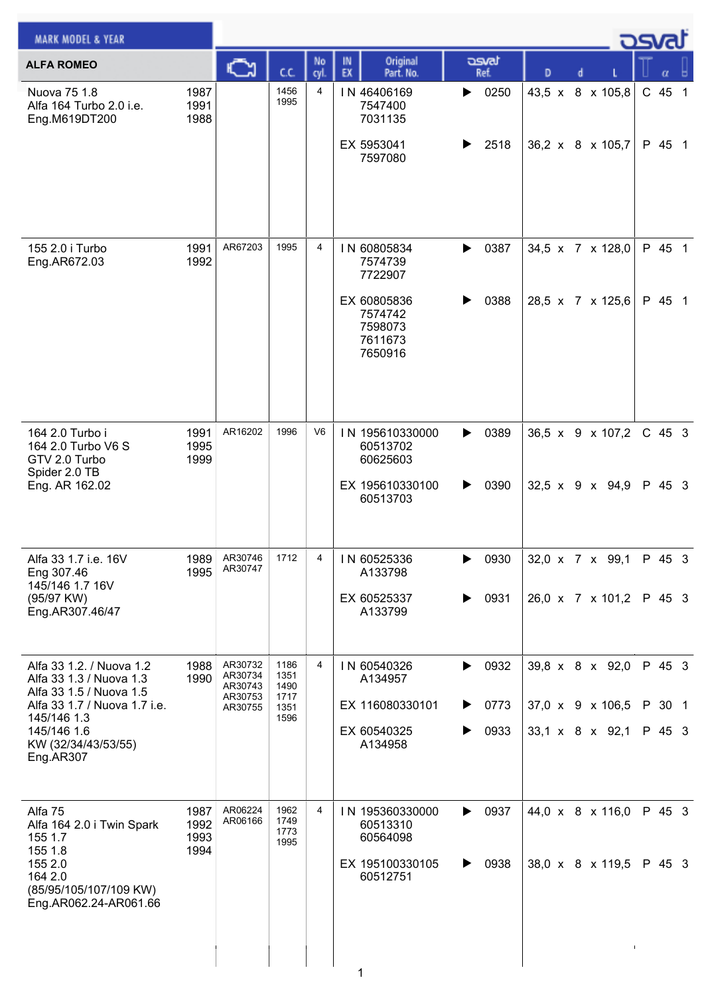| <b>MARK MODEL &amp; YEAR</b>                                                                                                        |                              |                                          |                              |                |                                                                        |                        |                                                 |  | كت الصري         |  |
|-------------------------------------------------------------------------------------------------------------------------------------|------------------------------|------------------------------------------|------------------------------|----------------|------------------------------------------------------------------------|------------------------|-------------------------------------------------|--|------------------|--|
| <b>ALFA ROMEO</b>                                                                                                                   |                              | C                                        | СC                           | No<br>cyl.     | Original<br>IN<br>EX<br>Part. No.                                      | asvat<br>Ref.          | D<br>d                                          |  |                  |  |
| Nuova 75 1.8<br>Alfa 164 Turbo 2.0 i.e.<br>Eng.M619DT200                                                                            | 1987<br>1991<br>1988         |                                          | 1456<br>1995                 | 4              | IN 46406169<br>7547400<br>7031135                                      | 0250<br>▶              | 43,5 x 8 x 105,8                                |  | $C$ 45 1         |  |
|                                                                                                                                     |                              |                                          |                              |                | EX 5953041<br>7597080                                                  | 2518<br>▶              | 36,2 x 8 x 105,7                                |  | P 45 1           |  |
| 155 2.0 i Turbo<br>Eng.AR672.03                                                                                                     | 1991<br>1992                 | AR67203                                  | 1995                         | 4              | IN 60805834<br>7574739<br>7722907                                      | 0387<br>▶              | 34,5 x 7 x 128,0                                |  | P 45 1           |  |
|                                                                                                                                     |                              |                                          |                              |                | EX 60805836<br>7574742<br>7598073<br>7611673<br>7650916                | 0388<br>▶              | 28,5 x 7 x 125,6                                |  | P 45 1           |  |
| 164 2.0 Turbo i<br>164 2.0 Turbo V6 S<br>GTV 2.0 Turbo<br>Spider 2.0 TB<br>Eng. AR 162.02                                           | 1991<br>1995<br>1999         | AR16202                                  | 1996                         | V <sub>6</sub> | IN 195610330000<br>60513702<br>60625603                                | 0389<br>▶              | 36,5 x 9 x 107,2                                |  | $C$ 45 3         |  |
|                                                                                                                                     |                              |                                          |                              |                | EX 195610330100<br>60513703                                            | 0390<br>▶              | $32,5 \times 9 \times 94,9$                     |  | P 45 3           |  |
| Alfa 33 1.7 i.e. 16V<br>Eng 307.46<br>145/146 1.7 16V<br>(95/97 KW)                                                                 | 1989<br>1995                 | AR30746<br>AR30747                       | 1712                         | 4              | IN 60525336<br>A133798<br>EX 60525337                                  | 0930<br>▶<br>0931<br>▶ | 32,0 x 7 x 99,1<br>26,0 x 7 x 101,2             |  | P 45 3<br>P 45 3 |  |
| Eng.AR307.46/47                                                                                                                     |                              |                                          |                              |                | A133799                                                                |                        |                                                 |  |                  |  |
| Alfa 33 1.2. / Nuova 1.2<br>Alfa 33 1.3 / Nuova 1.3<br>Alfa 33 1.5 / Nuova 1.5                                                      | 1988<br>1990                 | AR30732<br>AR30734<br>AR30743<br>AR30753 | 1186<br>1351<br>1490<br>1717 | 4              | IN 60540326<br>A134957                                                 | 0932<br>▶              | 39,8 x 8 x 92,0                                 |  | P 45 3           |  |
| Alfa 33 1.7 / Nuova 1.7 i.e.<br>145/146 1.3<br>145/146 1.6                                                                          |                              | AR30755                                  | 1351<br>1596                 |                | EX 116080330101<br>EX 60540325                                         | 0773<br>▶<br>0933<br>▶ | 37,0 x 9 x 106,5<br>$33,1 \times 8 \times 92,1$ |  | P 30 1<br>P 45 3 |  |
| KW (32/34/43/53/55)<br>Eng.AR307                                                                                                    |                              |                                          |                              |                | A134958                                                                |                        |                                                 |  |                  |  |
| Alfa 75<br>Alfa 164 2.0 i Twin Spark<br>155 1.7<br>155 1.8<br>155 2.0<br>164 2.0<br>(85/95/105/107/109 KW)<br>Eng.AR062.24-AR061.66 | 1987<br>1992<br>1993<br>1994 | AR06224<br>AR06166                       | 1962<br>1749<br>1773<br>1995 | 4              | IN 195360330000<br>60513310<br>60564098<br>EX 195100330105<br>60512751 | 0937<br>▶<br>0938<br>▶ | 44,0 x 8 x 116,0<br>38,0 x 8 x 119,5            |  | P 45 3<br>P 45 3 |  |
|                                                                                                                                     |                              |                                          |                              |                | 1                                                                      |                        |                                                 |  |                  |  |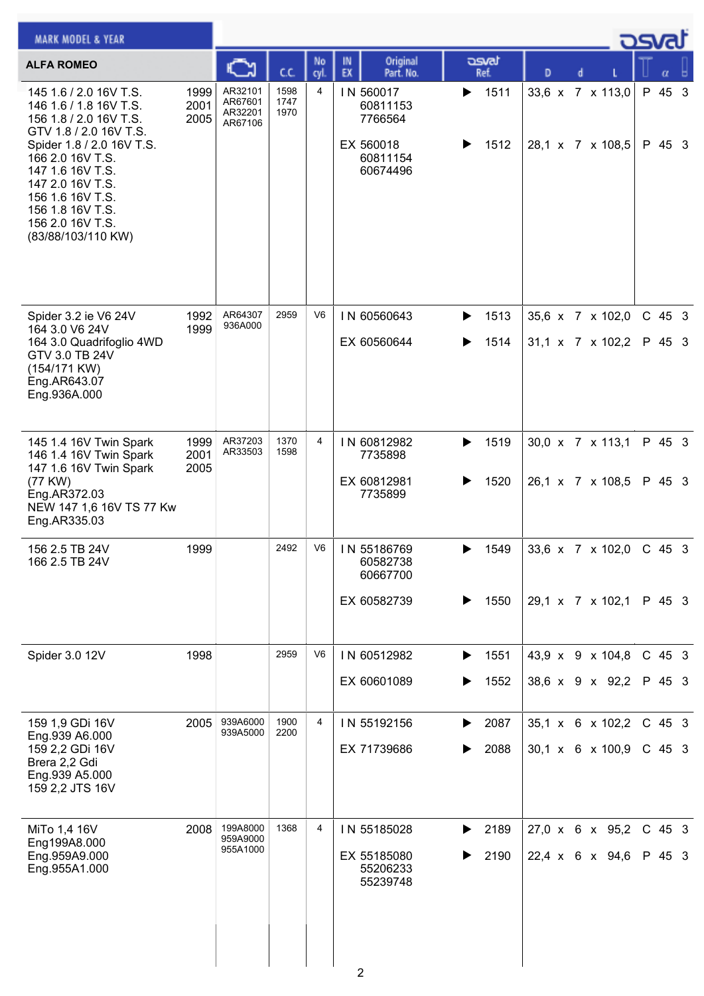| <b>MARK MODEL &amp; YEAR</b>                                                                                                                                                                                                                                                    |                      |                                          |                      |                |                                                                       |                        |                                                  | <b>OSval</b> |                      |  |
|---------------------------------------------------------------------------------------------------------------------------------------------------------------------------------------------------------------------------------------------------------------------------------|----------------------|------------------------------------------|----------------------|----------------|-----------------------------------------------------------------------|------------------------|--------------------------------------------------|--------------|----------------------|--|
| <b>ALFA ROMEO</b>                                                                                                                                                                                                                                                               |                      |                                          | cc                   | No<br>cyl      | Original<br>IN<br>EX<br>Part. No.                                     | asvat<br>Ref.          | D                                                |              | α                    |  |
| 145 1.6 / 2.0 16V T.S.<br>146 1.6 / 1.8 16V T.S.<br>156 1.8 / 2.0 16V T.S.<br>GTV 1.8 / 2.0 16V T.S.<br>Spider 1.8 / 2.0 16V T.S.<br>166 2.0 16V T.S.<br>147 1.6 16V T.S.<br>147 2.0 16V T.S.<br>156 1.6 16V T.S.<br>156 1.8 16V T.S.<br>156 2.0 16V T.S.<br>(83/88/103/110 KW) | 1999<br>2001<br>2005 | AR32101<br>AR67601<br>AR32201<br>AR67106 | 1598<br>1747<br>1970 | 4              | IN 560017<br>60811153<br>7766564<br>EX 560018<br>60811154<br>60674496 | 1511<br>▶<br>1512      | 33,6 x 7 x 113,0<br>28,1 x 7 x 108,5             |              | P 45 3<br>P 45 3     |  |
| Spider 3.2 ie V6 24V<br>164 3.0 V6 24V<br>164 3.0 Quadrifoglio 4WD<br>GTV 3.0 TB 24V<br>$(154/171$ KW)<br>Eng.AR643.07<br>Eng.936A.000                                                                                                                                          | 1992<br>1999         | AR64307<br>936A000                       | 2959                 | V <sub>6</sub> | IN 60560643<br>EX 60560644                                            | 1513<br>▶<br>1514      | 35,6 x 7 x 102,0<br>$31,1 \times 7 \times 102,2$ |              | $C$ 45 3<br>P 45 3   |  |
| 145 1.4 16V Twin Spark<br>146 1.4 16V Twin Spark<br>147 1.6 16V Twin Spark<br>(77 KW)<br>Eng.AR372.03<br>NEW 147 1,6 16V TS 77 Kw<br>Eng.AR335.03                                                                                                                               | 1999<br>2001<br>2005 | AR37203<br>AR33503                       | 1370<br>1598         | 4              | IN 60812982<br>7735898<br>EX 60812981<br>7735899                      | 1519<br>▶<br>1520<br>▶ | 30,0 x 7 x 113,1<br>26,1 x 7 x 108,5             |              | P 45 3<br>P 45 3     |  |
| 156 2.5 TB 24V<br>166 2.5 TB 24V                                                                                                                                                                                                                                                | 1999                 |                                          | 2492                 | V6             | IN 55186769<br>60582738<br>60667700<br>EX 60582739                    | 1549<br>1550<br>▶      | 33,6 x 7 x 102,0<br>29,1 x 7 x 102,1             | C 45 3       | P 45 3               |  |
| Spider 3.0 12V                                                                                                                                                                                                                                                                  | 1998                 |                                          | 2959                 | V <sub>6</sub> | IN 60512982<br>EX 60601089                                            | 1551<br>▶<br>1552      | 43,9 x 9 x 104,8<br>38,6 x 9 x 92,2              |              | $C$ 45 3<br>P 45 3   |  |
| 159 1,9 GDi 16V<br>Eng.939 A6.000<br>159 2,2 GDi 16V<br>Brera 2,2 Gdi<br>Eng.939 A5.000<br>159 2,2 JTS 16V                                                                                                                                                                      | 2005                 | 939A6000<br>939A5000                     | 1900<br>2200         | 4              | IN 55192156<br>EX 71739686                                            | 2087<br>▶<br>2088      | 35,1 x 6 x 102,2<br>30,1 x 6 x 100,9             |              | $C$ 45 3<br>$C$ 45 3 |  |
| MiTo 1,4 16V<br>Eng199A8.000<br>Eng.959A9.000<br>Eng.955A1.000                                                                                                                                                                                                                  | 2008                 | 199A8000<br>959A9000<br>955A1000         | 1368                 | 4              | IN 55185028<br>EX 55185080<br>55206233<br>55239748                    | 2189<br>▶<br>2190<br>▶ | 27,0 x 6 x 95,2<br>22,4 x 6 x 94,6               |              | C 45 3<br>P 45 3     |  |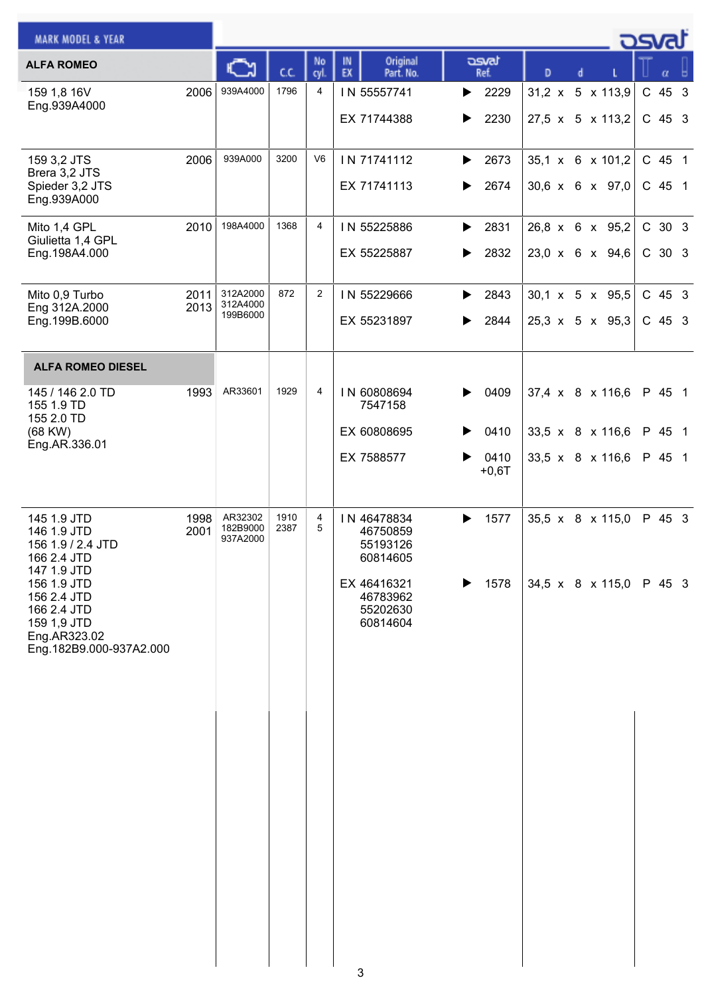| <b>MARK MODEL &amp; YEAR</b>                                                                        |              |                                  |              |                |                                                 |                        |   |                                                | asvat              |
|-----------------------------------------------------------------------------------------------------|--------------|----------------------------------|--------------|----------------|-------------------------------------------------|------------------------|---|------------------------------------------------|--------------------|
| <b>ALFA ROMEO</b>                                                                                   |              |                                  | C.C.         | No<br>cyl.     | Original<br>IN<br>EX<br>Part. No.               | asvat<br>Ref.          | D | d                                              | α                  |
| 159 1,8 16V<br>Eng.939A4000                                                                         | 2006         | 939A4000                         | 1796         | $\overline{4}$ | IN 55557741<br>EX 71744388                      | 2229<br>▶<br>2230<br>▶ |   | 31,2 x 5 x 113,9<br>27,5 x 5 x 113,2           | C 45 3<br>$C$ 45 3 |
| 159 3,2 JTS<br>Brera 3,2 JTS<br>Spieder 3,2 JTS<br>Eng.939A000                                      | 2006         | 939A000                          | 3200         | V <sub>6</sub> | IN 71741112<br>EX 71741113                      | 2673<br>▶<br>2674<br>▶ |   | 35,1 x 6 x 101,2<br>30,6 x 6 x 97,0            | C 45 1<br>C 45 1   |
| Mito 1,4 GPL<br>Giulietta 1,4 GPL<br>Eng.198A4.000                                                  | 2010         | 198A4000                         | 1368         | 4              | IN 55225886<br>EX 55225887                      | 2831<br>▶<br>2832<br>▶ |   | 26,8 x 6 x 95,2<br>23,0 x 6 x 94,6             | C 30 3<br>C 30 3   |
| Mito 0,9 Turbo<br>Eng 312A.2000<br>Eng.199B.6000                                                    | 2011<br>2013 | 312A2000<br>312A4000<br>199B6000 | 872          | $\overline{2}$ | IN 55229666<br>EX 55231897                      | 2843<br>▶<br>2844<br>▶ |   | 30,1 x 5 x 95,5<br>$25,3 \times 5 \times 95,3$ | $C$ 45 3<br>C 45 3 |
| <b>ALFA ROMEO DIESEL</b>                                                                            |              |                                  |              |                |                                                 |                        |   |                                                |                    |
| 145 / 146 2.0 TD<br>155 1.9 TD<br>155 2.0 TD                                                        | 1993         | AR33601                          | 1929         | 4              | IN 60808694<br>7547158                          | 0409<br>▶              |   | 37,4 x 8 x 116,6                               | P 45 1             |
| (68 KW)<br>Eng.AR.336.01                                                                            |              |                                  |              |                | EX 60808695                                     | 0410                   |   | 33,5 x 8 x 116,6                               | P 45 1             |
|                                                                                                     |              |                                  |              |                | EX 7588577                                      | 0410<br>$+0,6T$        |   | 33,5 x 8 x 116,6                               | P 45 1             |
| 145 1.9 JTD<br>146 1.9 JTD<br>156 1.9 / 2.4 JTD<br>166 2.4 JTD<br>147 1.9 JTD                       | 1998<br>2001 | AR32302<br>182B9000<br>937A2000  | 1910<br>2387 | 4<br>5         | IN 46478834<br>46750859<br>55193126<br>60814605 | 1577<br>▶              |   | $35,5 \times 8 \times 115,0$                   | P 45 3             |
| 156 1.9 JTD<br>156 2.4 JTD<br>166 2.4 JTD<br>159 1,9 JTD<br>Eng.AR323.02<br>Eng.182B9.000-937A2.000 |              |                                  |              |                | EX 46416321<br>46783962<br>55202630<br>60814604 | 1578<br>▶              |   | 34,5 x 8 x 115,0                               | P 45 3             |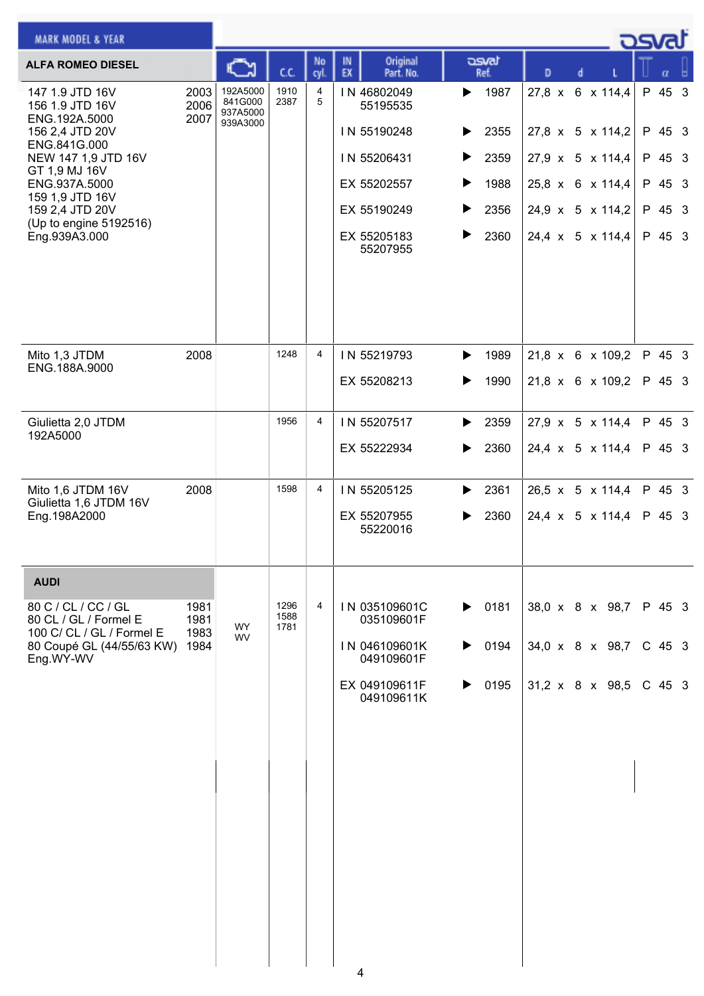| <b>MARK MODEL &amp; YEAR</b>                                              |                      |                                 |                      |                |                                   |                       |                              | <u>_ ರಾಡು</u> |          |  |
|---------------------------------------------------------------------------|----------------------|---------------------------------|----------------------|----------------|-----------------------------------|-----------------------|------------------------------|---------------|----------|--|
| <b>ALFA ROMEO DIESEL</b>                                                  |                      |                                 | СC                   | No<br>cyl.     | Original<br>IN<br>EX<br>Part. No. | asvat<br>Ref.         | D                            |               |          |  |
| 147 1.9 JTD 16V<br>156 1.9 JTD 16V<br>ENG.192A.5000                       | 2003<br>2006<br>2007 | 192A5000<br>841G000<br>937A5000 | 1910<br>2387         | 4<br>5         | IN 46802049<br>55195535           | 1987<br>▶             | 27,8 x 6 x 114,4             |               | P 45 3   |  |
| 156 2,4 JTD 20V<br>ENG.841G.000                                           |                      | 939A3000                        |                      |                | IN 55190248                       | 2355<br>▶             | 27,8 x 5 x 114,2             |               | P 45 3   |  |
| NEW 147 1,9 JTD 16V<br>GT 1,9 MJ 16V                                      |                      |                                 |                      |                | IN 55206431                       | 2359<br>▶             | 27,9 x 5 x 114,4             |               | P 45 3   |  |
| ENG.937A.5000<br>159 1,9 JTD 16V                                          |                      |                                 |                      |                | EX 55202557                       | 1988<br>▶             | 25,8 x 6 x 114,4             |               | P 45 3   |  |
| 159 2,4 JTD 20V<br>(Up to engine 5192516)                                 |                      |                                 |                      |                | EX 55190249                       | 2356<br>▶             | 24,9 x 5 x 114,2             |               | P 45 3   |  |
| Eng.939A3.000                                                             |                      |                                 |                      |                | EX 55205183<br>55207955           | ▶<br>2360             | 24,4 x 5 x 114,4             |               | P 45 3   |  |
| Mito 1,3 JTDM                                                             | 2008                 |                                 | 1248                 | $\overline{4}$ | IN 55219793                       | 1989<br>▶             | 21,8 x 6 x 109,2             |               | P 45 3   |  |
| ENG.188A.9000                                                             |                      |                                 |                      |                | EX 55208213                       | 1990<br>▶             | 21,8 x 6 x 109,2             |               | P 45 3   |  |
| Giulietta 2,0 JTDM<br>192A5000                                            |                      |                                 | 1956                 | $\overline{4}$ | IN 55207517                       | 2359<br>▶             | $27.9 \times 5 \times 114.4$ |               | P 45 3   |  |
|                                                                           |                      |                                 |                      |                | EX 55222934                       | 2360<br>▶             | 24,4 x 5 x 114,4             |               | P 45 3   |  |
| Mito 1,6 JTDM 16V<br>Giulietta 1,6 JTDM 16V                               | 2008                 |                                 | 1598                 | $\overline{4}$ | IN 55205125                       | 2361<br>▶             | $26,5 \times 5 \times 114,4$ |               | P 45 3   |  |
| Eng.198A2000                                                              |                      |                                 |                      |                | EX 55207955<br>55220016           | 2360<br>▶             | 24,4 x 5 x 114,4             |               | P 45 3   |  |
| <b>AUDI</b>                                                               |                      |                                 |                      |                |                                   |                       |                              |               |          |  |
| 80 C / CL / CC / GL<br>80 CL / GL / Formel E<br>100 C/ CL / GL / Formel E | 1981<br>1981<br>1983 | <b>WY</b><br><b>WV</b>          | 1296<br>1588<br>1781 | 4              | IN 035109601C<br>035109601F       | $\triangleright$ 0181 | 38,0 x 8 x 98,7              |               | P 45 3   |  |
| 80 Coupé GL (44/55/63 KW)<br>Eng.WY-WV                                    | 1984                 |                                 |                      |                | IN 046109601K<br>049109601F       | 0194<br>▶             | 34,0 x 8 x 98,7              |               | $C$ 45 3 |  |
|                                                                           |                      |                                 |                      |                | EX 049109611F<br>049109611K       | 0195<br>▶             | 31,2 x 8 x 98,5              |               | C 45 3   |  |
|                                                                           |                      |                                 |                      |                |                                   |                       |                              |               |          |  |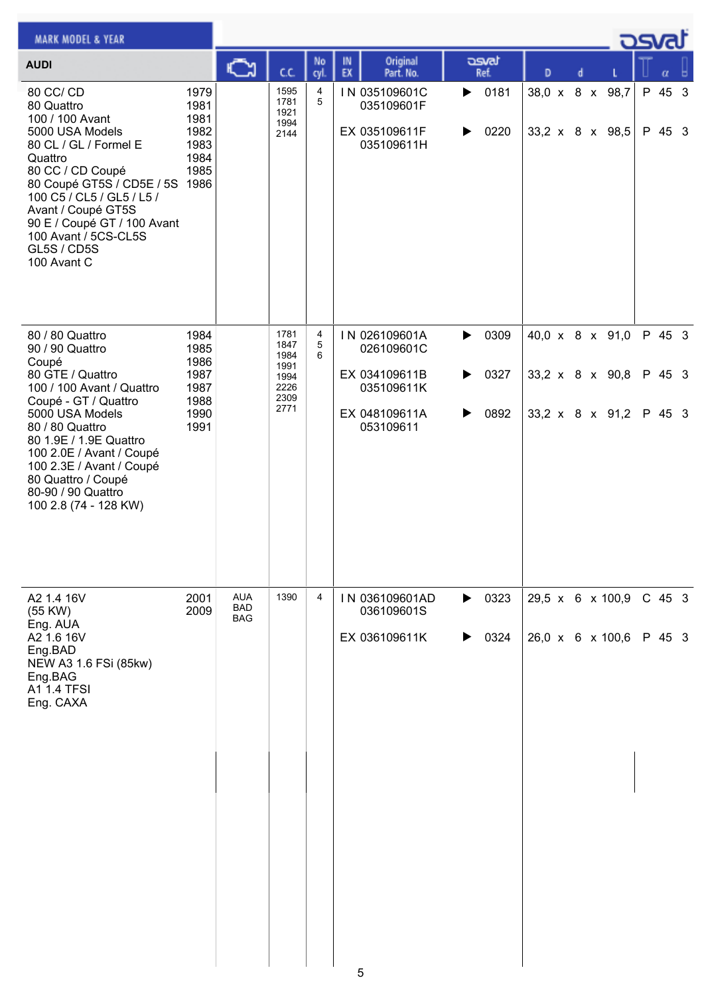| <b>MARK MODEL &amp; YEAR</b>                                                                                                                                                                                                                                                                    |                                                      |                                 |                                      |            |                                                            |                                            |                                    |  | ك <i>osv</i> a   |  |
|-------------------------------------------------------------------------------------------------------------------------------------------------------------------------------------------------------------------------------------------------------------------------------------------------|------------------------------------------------------|---------------------------------|--------------------------------------|------------|------------------------------------------------------------|--------------------------------------------|------------------------------------|--|------------------|--|
| <b>AUDI</b>                                                                                                                                                                                                                                                                                     |                                                      | ⊾                               | C.C.                                 | No<br>cyl. | Original<br>IN<br>EX<br>Part. No.                          | asvat<br>Ref.                              | D<br>d                             |  | α                |  |
| 80 CC/ CD<br>80 Quattro<br>100 / 100 Avant<br>5000 USA Models<br>80 CL / GL / Formel E<br>Quattro<br>80 CC / CD Coupé<br>80 Coupé GT5S / CD5E / 5S 1986<br>100 C5 / CL5 / GL5 / L5 /<br>Avant / Coupé GT5S<br>90 E / Coupé GT / 100 Avant<br>100 Avant / 5CS-CL5S<br>GL5S / CD5S<br>100 Avant C | 1979<br>1981<br>1981<br>1982<br>1983<br>1984<br>1985 |                                 | 1595<br>1781<br>1921<br>1994<br>2144 | 4<br>5     | IN 035109601C<br>035109601F<br>EX 035109611F<br>035109611H | 0181<br>$\blacktriangleright$<br>0220<br>▶ | 38,0 x 8 x 98,7<br>33,2 x 8 x 98,5 |  | P 45 3<br>P 45 3 |  |
| 80 / 80 Quattro<br>90 / 90 Quattro                                                                                                                                                                                                                                                              | 1984<br>1985                                         |                                 | 1781<br>1847                         | 4<br>5     | IN 026109601A<br>026109601C                                | 0309<br>▶                                  | 40,0 x 8 x 91,0                    |  | P 45 3           |  |
| Coupé<br>80 GTE / Quattro<br>100 / 100 Avant / Quattro<br>Coupé - GT / Quattro                                                                                                                                                                                                                  | 1986<br>1987<br>1987<br>1988                         |                                 | 1984<br>1991<br>1994<br>2226<br>2309 | 6          | EX 034109611B<br>035109611K                                | 0327<br>▶                                  | 33,2 x 8 x 90,8                    |  | P 45 3           |  |
| 5000 USA Models<br>80 / 80 Quattro<br>80 1.9E / 1.9E Quattro<br>100 2.0E / Avant / Coupé<br>100 2.3E / Avant / Coupé<br>80 Quattro / Coupé<br>80-90 / 90 Quattro<br>100 2.8 (74 - 128 KW)                                                                                                       | 1990<br>1991                                         |                                 | 2771                                 |            | EX 048109611A<br>053109611                                 | 0892<br>▶                                  | 33,2 x 8 x 91,2                    |  | P 45 3           |  |
| A2 1.4 16V<br>(55 KW)<br>Eng. AUA                                                                                                                                                                                                                                                               | 2001<br>2009                                         | <b>AUA</b><br><b>BAD</b><br>BAG | 1390                                 | 4          | IN 036109601AD<br>036109601S                               | $\triangleright$ 0323                      | 29,5 x 6 x 100,9                   |  | $C$ 45 3         |  |
| A2 1.6 16V<br>Eng.BAD<br>NEW A3 1.6 FSi (85kw)<br>Eng.BAG<br>A1 1.4 TFSI<br>Eng. CAXA                                                                                                                                                                                                           |                                                      |                                 |                                      |            | EX 036109611K                                              | 0324<br>▶                                  | $26,0 \times 6 \times 100,6$       |  | P 45 3           |  |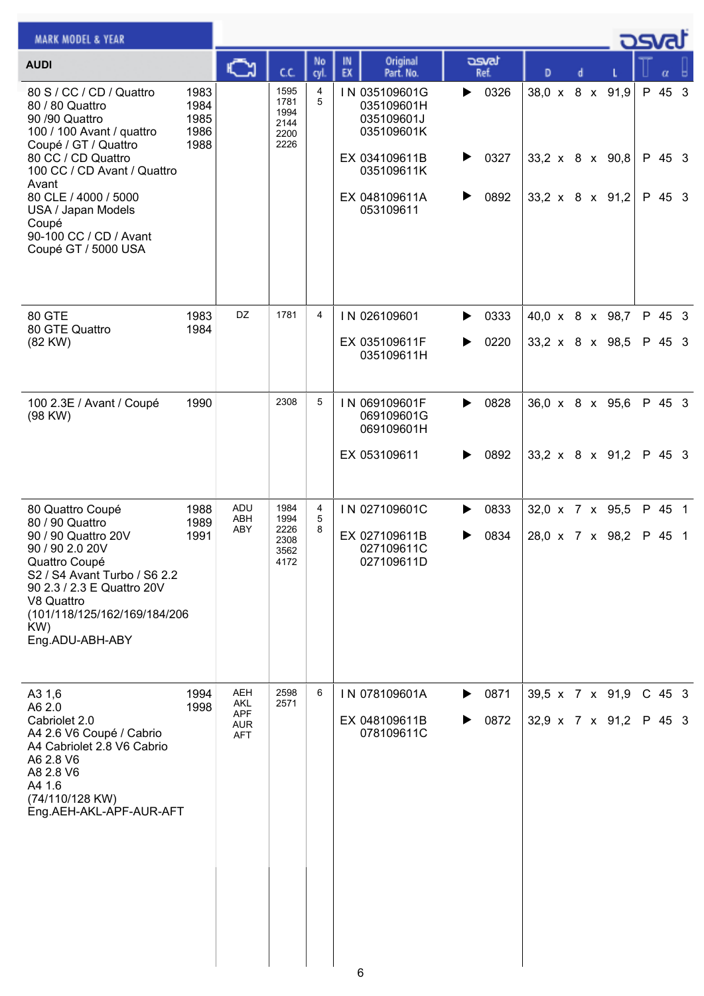| <b>MARK MODEL &amp; YEAR</b>                                                                                                                                           |                                      |                                 |                                              |                |                                                         |                   |                                    | - ਹਤਾਰਾਂ |                  |  |
|------------------------------------------------------------------------------------------------------------------------------------------------------------------------|--------------------------------------|---------------------------------|----------------------------------------------|----------------|---------------------------------------------------------|-------------------|------------------------------------|----------|------------------|--|
| <b>AUDI</b>                                                                                                                                                            |                                      | C٦                              | ĊĊ.                                          | No<br>cyl      | Original<br>IN<br>EX<br>Part. No.                       | asvat<br>Ref.     | D                                  |          |                  |  |
| 80 S / CC / CD / Quattro<br>80 / 80 Quattro<br>90 /90 Quattro<br>100 / 100 Avant / quattro<br>Coupé / GT / Quattro                                                     | 1983<br>1984<br>1985<br>1986<br>1988 |                                 | 1595<br>1781<br>1994<br>2144<br>2200<br>2226 | 4<br>5         | IN 035109601G<br>035109601H<br>035109601J<br>035109601K | 0326<br>▶         | 38,0 x 8 x 91,9                    |          | P 45 3           |  |
| 80 CC / CD Quattro<br>100 CC / CD Avant / Quattro<br>Avant                                                                                                             |                                      |                                 |                                              |                | EX 034109611B<br>035109611K                             | 0327<br>▶         | $33,2 \times 8 \times 90,8$        |          | P 45 3           |  |
| 80 CLE / 4000 / 5000<br>USA / Japan Models<br>Coupé<br>90-100 CC / CD / Avant<br>Coupé GT / 5000 USA                                                                   |                                      |                                 |                                              |                | EX 048109611A<br>053109611                              | 0892<br>▶         | $33,2 \times 8 \times 91,2$        |          | P 45 3           |  |
| 80 GTE                                                                                                                                                                 | 1983                                 | DZ                              | 1781                                         | $\overline{4}$ | IN 026109601                                            | 0333<br>▶         | 40,0 x 8 x 98,7                    |          | P 45 3           |  |
| 80 GTE Quattro<br>(82 KW)                                                                                                                                              | 1984                                 |                                 |                                              |                | EX 035109611F<br>035109611H                             | 0220<br>▶         | 33,2 x 8 x 98,5                    |          | P 45 3           |  |
| 100 2.3E / Avant / Coupé<br>(98 KW)                                                                                                                                    | 1990                                 |                                 | 2308                                         | 5              | IN 069109601F<br>069109601G<br>069109601H               | 0828<br>▶         | 36,0 x 8 x 95,6                    |          | P 45 3           |  |
|                                                                                                                                                                        |                                      |                                 |                                              |                | EX 053109611                                            | 0892<br>▶         | $33,2 \times 8 \times 91,2$        |          | P 45 3           |  |
| 80 Quattro Coupé<br>80 / 90 Quattro<br>90 / 90 Quattro 20V                                                                                                             | 1988<br>1989<br>1991                 | ADU<br>ABH<br>ABY               | 1984<br>1994<br>2226<br>2308                 | 4<br>5<br>8    | IN 027109601C<br>EX 027109611B                          | 0833<br>▶<br>0834 | 32,0 x 7 x 95,5<br>28,0 x 7 x 98,2 |          | P 45 1<br>P 45 1 |  |
| 90 / 90 2.0 20V<br>Quattro Coupé<br>S2 / S4 Avant Turbo / S6 2.2<br>90 2.3 / 2.3 E Quattro 20V<br>V8 Quattro<br>(101/118/125/162/169/184/206<br>KW)<br>Eng.ADU-ABH-ABY |                                      |                                 | 3562<br>4172                                 |                | 027109611C<br>027109611D                                |                   |                                    |          |                  |  |
| A3 1,6<br>A6 2.0                                                                                                                                                       | 1994<br>1998                         | AEH<br>AKL                      | 2598<br>2571                                 | 6              | IN 078109601A                                           | 0871<br>▶         | 39,5 x 7 x 91,9                    |          | $C$ 45 3         |  |
| Cabriolet 2.0<br>A4 2.6 V6 Coupé / Cabrio<br>A4 Cabriolet 2.8 V6 Cabrio<br>A6 2.8 V6<br>A8 2.8 V6<br>A4 1.6<br>(74/110/128 KW)<br>Eng.AEH-AKL-APF-AUR-AFT              |                                      | APF<br><b>AUR</b><br><b>AFT</b> |                                              |                | EX 048109611B<br>078109611C                             | 0872              | 32,9 x 7 x 91,2                    |          | P 45 3           |  |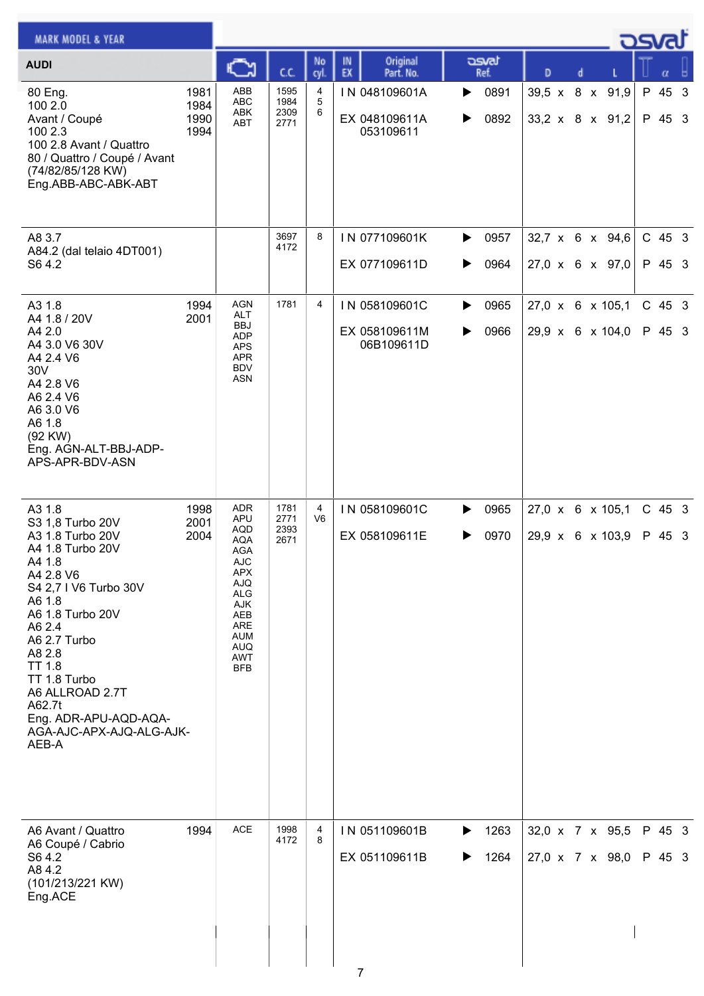| <b>MARK MODEL &amp; YEAR</b>                                                                                                                                                                                                                                                                                     |                              |                                                                                                                                                                                           |                              |                     |                                              |                        |                                                | osvaľ |                    |  |
|------------------------------------------------------------------------------------------------------------------------------------------------------------------------------------------------------------------------------------------------------------------------------------------------------------------|------------------------------|-------------------------------------------------------------------------------------------------------------------------------------------------------------------------------------------|------------------------------|---------------------|----------------------------------------------|------------------------|------------------------------------------------|-------|--------------------|--|
| <b>AUDI</b>                                                                                                                                                                                                                                                                                                      |                              | с                                                                                                                                                                                         | C.C.                         | No<br>cyl.          | Original<br>IN<br>EX<br>Part. No.            | asvat<br>Ref.          | D<br>d                                         |       | α                  |  |
| 80 Eng.<br>100 2.0<br>Avant / Coupé<br>100 2.3<br>100 2.8 Avant / Quattro<br>80 / Quattro / Coupé / Avant<br>(74/82/85/128 KW)<br>Eng.ABB-ABC-ABK-ABT                                                                                                                                                            | 1981<br>1984<br>1990<br>1994 | ABB<br><b>ABC</b><br>ABK<br><b>ABT</b>                                                                                                                                                    | 1595<br>1984<br>2309<br>2771 | 4<br>5<br>6         | IN 048109601A<br>EX 048109611A<br>053109611  | 0891<br>▶<br>0892<br>▶ | 39,5 x 8 x 91,9<br>33,2 x 8 x 91,2             |       | P 45 3<br>P 45 3   |  |
| A8 3.7<br>A84.2 (dal telaio 4DT001)<br>S64.2                                                                                                                                                                                                                                                                     |                              |                                                                                                                                                                                           | 3697<br>4172                 | 8                   | IN 077109601K<br>EX 077109611D               | 0957<br>▶<br>0964<br>▶ | $32,7 \times 6 \times 94,6$<br>27,0 x 6 x 97,0 |       | $C$ 45 3<br>P 45 3 |  |
| A3 1.8<br>A4 1.8 / 20V<br>A4 2.0<br>A4 3.0 V6 30V<br>A4 2.4 V6<br>30V<br>A4 2.8 V6<br>A6 2.4 V6<br>A6 3.0 V6<br>A6 1.8<br>(92 KW)<br>Eng. AGN-ALT-BBJ-ADP-<br>APS-APR-BDV-ASN                                                                                                                                    | 1994<br>2001                 | <b>AGN</b><br><b>ALT</b><br>BBJ<br><b>ADP</b><br><b>APS</b><br><b>APR</b><br><b>BDV</b><br><b>ASN</b>                                                                                     | 1781                         | 4                   | IN 058109601C<br>EX 058109611M<br>06B109611D | 0965<br>▶<br>0966<br>▶ | 27,0 x 6 x 105,1<br>29,9 x 6 x 104,0           |       | C 45 3<br>P 45 3   |  |
| A3 1.8<br>S3 1,8 Turbo 20V<br>A3 1.8 Turbo 20V<br>A4 1.8 Turbo 20V<br>A4 1.8<br>A4 2.8 V6<br>S4 2,7 I V6 Turbo 30V<br>A6 1.8<br>A6 1.8 Turbo 20V<br>A6 2.4<br>A6 2.7 Turbo<br>A8 2.8<br><b>TT 1.8</b><br>TT 1.8 Turbo<br>A6 ALLROAD 2.7T<br>A62.7t<br>Eng. ADR-APU-AQD-AQA-<br>AGA-AJC-APX-AJQ-ALG-AJK-<br>AEB-A | 1998<br>2001<br>2004         | <b>ADR</b><br><b>APU</b><br><b>AQD</b><br><b>AQA</b><br><b>AGA</b><br><b>AJC</b><br><b>APX</b><br><b>AJQ</b><br>ALG<br>AJK<br>AEB<br>ARE<br>AUM<br><b>AUQ</b><br><b>AWT</b><br><b>BFB</b> | 1781<br>2771<br>2393<br>2671 | 4<br>V <sub>6</sub> | IN 058109601C<br>EX 058109611E               | 0965<br>▶<br>0970<br>▶ | 27,0 x 6 x 105,1<br>29,9 x 6 x 103,9           |       | $C$ 45 3<br>P 45 3 |  |
| A6 Avant / Quattro<br>A6 Coupé / Cabrio<br>S64.2<br>A84.2<br>(101/213/221 KW)<br>Eng.ACE                                                                                                                                                                                                                         | 1994                         | <b>ACE</b>                                                                                                                                                                                | 1998<br>4172                 | 4<br>8              | IN 051109601B<br>EX 051109611B<br>7          | 1263<br>▶<br>1264<br>▶ | 32,0 x 7 x 95,5<br>27,0 x 7 x 98,0             |       | P 45 3<br>P 45 3   |  |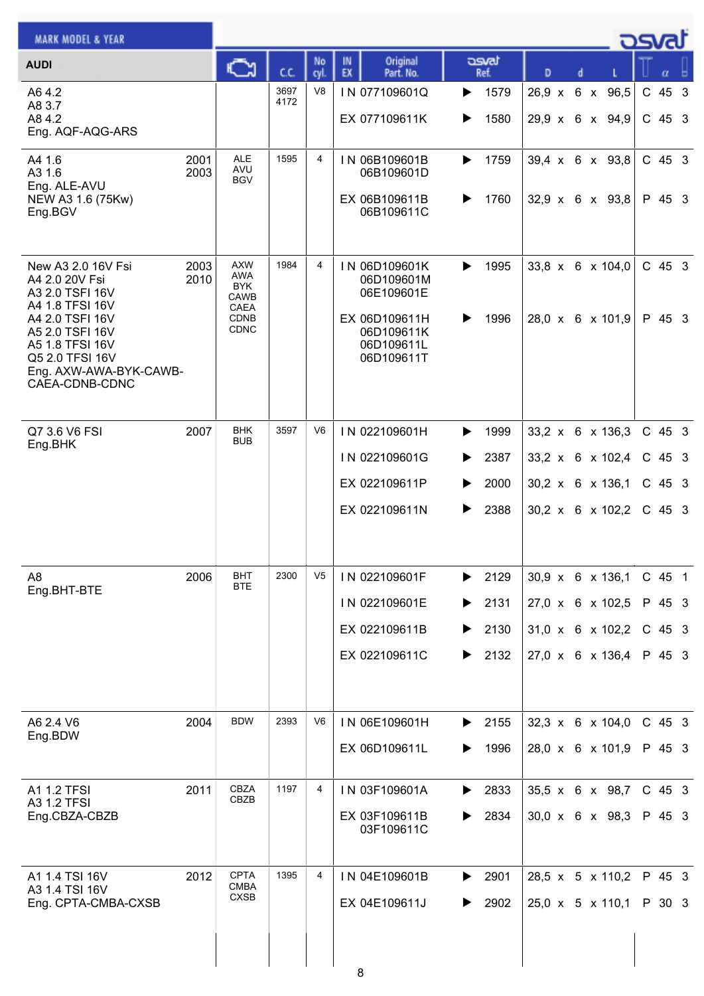| <b>MARK MODEL &amp; YEAR</b>                                                                                                                                                                       |              |                                                                                      |              |                |                                                                                                      |                                             |                                                                                                      |  | osvat                                      |  |
|----------------------------------------------------------------------------------------------------------------------------------------------------------------------------------------------------|--------------|--------------------------------------------------------------------------------------|--------------|----------------|------------------------------------------------------------------------------------------------------|---------------------------------------------|------------------------------------------------------------------------------------------------------|--|--------------------------------------------|--|
| <b>AUDI</b>                                                                                                                                                                                        |              | Ğ                                                                                    | C.C.         | No<br>cyl.     | Original<br>IN<br>EX<br>Part. No.                                                                    | asvat<br>Ref.                               | D                                                                                                    |  | α                                          |  |
| A64.2<br>A8 3.7<br>A84.2<br>Eng. AQF-AQG-ARS                                                                                                                                                       |              |                                                                                      | 3697<br>4172 | V <sub>8</sub> | IN 077109601Q<br>EX 077109611K                                                                       | 1579<br>▶<br>1580<br>▶                      | 26,9 x 6 x 96,5<br>29,9 x 6 x 94,9                                                                   |  | C 45 3<br>$C$ 45 3                         |  |
| A4 1.6<br>A3 1.6<br>Eng. ALE-AVU<br>NEW A3 1.6 (75Kw)<br>Eng.BGV                                                                                                                                   | 2001<br>2003 | <b>ALE</b><br><b>AVU</b><br><b>BGV</b>                                               | 1595         | 4              | IN 06B109601B<br>06B109601D<br>EX 06B109611B<br>06B109611C                                           | 1759<br>▶<br>1760                           | $39,4 \times 6 \times 93,8$<br>$32,9 \times 6 \times 93,8$                                           |  | $C$ 45 3<br>P 45 3                         |  |
| New A3 2.0 16V Fsi<br>A4 2.0 20V Fsi<br>A3 2.0 TSFI 16V<br>A4 1.8 TFSI 16V<br>A4 2.0 TSFI 16V<br>A5 2.0 TSFI 16V<br>A5 1.8 TFSI 16V<br>Q5 2.0 TFSI 16V<br>Eng. AXW-AWA-BYK-CAWB-<br>CAEA-CDNB-CDNC | 2003<br>2010 | <b>AXW</b><br>AWA<br><b>BYK</b><br><b>CAWB</b><br>CAEA<br><b>CDNB</b><br><b>CDNC</b> | 1984         | 4              | IN 06D109601K<br>06D109601M<br>06E109601E<br>EX 06D109611H<br>06D109611K<br>06D109611L<br>06D109611T | 1995<br>▶<br>1996<br>▶                      | $33,8 \times 6 \times 104,0$<br>28,0 x 6 x 101,9                                                     |  | $C$ 45 3<br>P 45 3                         |  |
| Q7 3.6 V6 FSI<br>Eng.BHK                                                                                                                                                                           | 2007         | <b>BHK</b><br><b>BUB</b>                                                             | 3597         | V6             | IN 022109601H<br>IN 022109601G<br>EX 022109611P<br>EX 022109611N                                     | 1999<br>▶<br>2387<br>2000<br>2388<br>▶      | 33,2 x 6 x 136,3<br>33,2 x 6 x 102,4<br>30,2 x 6 x 136,1<br>$30,2 \times 6 \times 102,2$             |  | $C$ 45 3<br>$C$ 45 3<br>$C$ 45 3<br>C 45 3 |  |
| A <sub>8</sub><br>Eng.BHT-BTE                                                                                                                                                                      | 2006         | <b>BHT</b><br><b>BTE</b>                                                             | 2300         | V <sub>5</sub> | IN 022109601F<br>IN 022109601E<br>EX 022109611B<br>EX 022109611C                                     | 2129<br>2131<br>▶<br>2130<br>▶<br>2132<br>▶ | $30,9 \times 6 \times 136,1$<br>27,0 x 6 x 102,5<br>$31,0 \times 6 \times 102,2$<br>27,0 x 6 x 136,4 |  | C 45 1<br>P 45 3<br>C 45 3<br>P 45 3       |  |
| A6 2.4 V6<br>Eng.BDW                                                                                                                                                                               | 2004         | <b>BDW</b>                                                                           | 2393         | V6             | IN 06E109601H<br>EX 06D109611L                                                                       | 2155<br>▶<br>1996                           | $32,3 \times 6 \times 104,0$<br>28,0 x 6 x 101,9                                                     |  | C 45 3<br>P 45 3                           |  |
| A1 1.2 TFSI<br>A3 1.2 TFSI<br>Eng.CBZA-CBZB                                                                                                                                                        | 2011         | CBZA<br>CBZB                                                                         | 1197         | 4              | IN 03F109601A<br>EX 03F109611B<br>03F109611C                                                         | 2833<br>▶<br>2834<br>▶                      | 35,5 x 6 x 98,7<br>$30,0 \times 6 \times 98,3$                                                       |  | $C$ 45 3<br>P 45 3                         |  |
| A1 1.4 TSI 16V<br>A3 1.4 TSI 16V<br>Eng. CPTA-CMBA-CXSB                                                                                                                                            | 2012         | <b>CPTA</b><br><b>CMBA</b><br><b>CXSB</b>                                            | 1395         | 4              | IN 04E109601B<br>EX 04E109611J<br>Ω                                                                  | 2901<br>▶<br>2902                           | 28,5 x 5 x 110,2<br>$25,0 \times 5 \times 110,1$                                                     |  | P 45 3<br>P 30 3                           |  |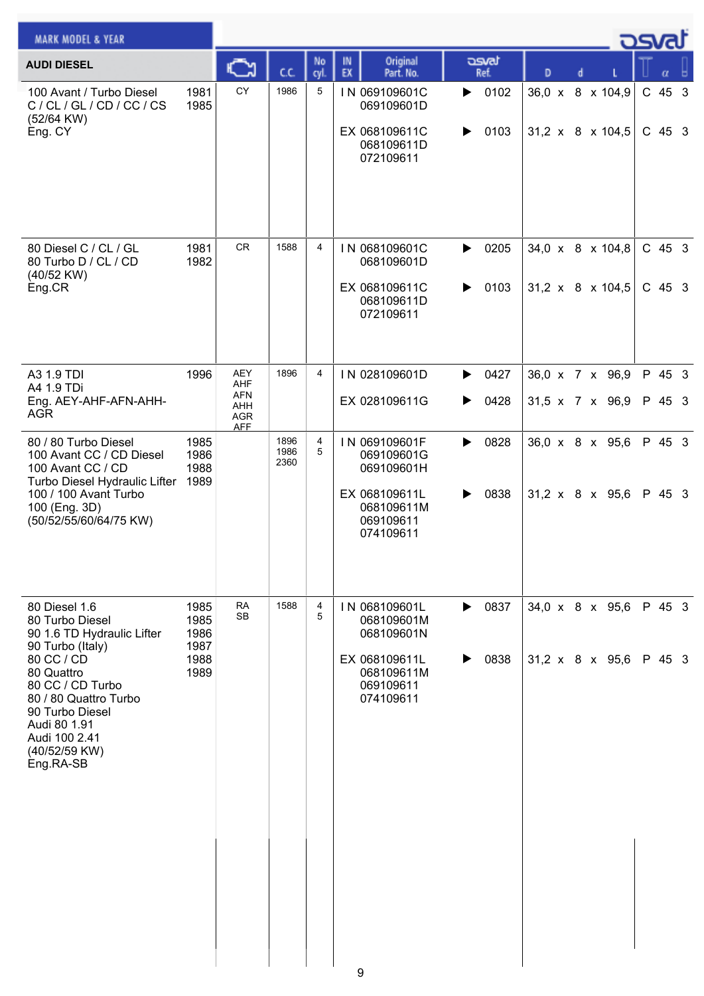| <b>MARK MODEL &amp; YEAR</b>                                                                                                                                                                                                                  |                                              |                                                             |                      |                |                                                                                                    |                        |                                                  | <u>- ರಾಗಾ</u> |                      |  |
|-----------------------------------------------------------------------------------------------------------------------------------------------------------------------------------------------------------------------------------------------|----------------------------------------------|-------------------------------------------------------------|----------------------|----------------|----------------------------------------------------------------------------------------------------|------------------------|--------------------------------------------------|---------------|----------------------|--|
| <b>AUDI DIESEL</b>                                                                                                                                                                                                                            |                                              | C                                                           | C.C.                 | No<br>cyl      | Original<br>IN<br>EX<br>Part. No.                                                                  | asvat<br>Ref.          | D                                                |               |                      |  |
| 100 Avant / Turbo Diesel<br>C / CL / GL / CD / CC / CS<br>(52/64 KW)<br>Eng. CY                                                                                                                                                               | 1981<br>1985                                 | CY                                                          | 1986                 | 5              | IN 069109601C<br>069109601D<br>EX 068109611C<br>068109611D<br>072109611                            | 0102<br>▶<br>0103<br>▶ | 36,0 x 8 x 104,9<br>$31,2 \times 8 \times 104,5$ |               | C 45 3<br>$C$ 45 3   |  |
| 80 Diesel C / CL / GL<br>80 Turbo D / CL / CD<br>(40/52 KW)<br>Eng.CR                                                                                                                                                                         | 1981<br>1982                                 | <b>CR</b>                                                   | 1588                 | $\overline{4}$ | IN 068109601C<br>068109601D<br>EX 068109611C<br>068109611D<br>072109611                            | 0205<br>▶<br>0103<br>▶ | 34,0 x 8 x 104,8<br>$31,2 \times 8 \times 104,5$ |               | $C$ 45 3<br>$C$ 45 3 |  |
| A3 1.9 TDI<br>A4 1.9 TDi<br>Eng. AEY-AHF-AFN-AHH-<br><b>AGR</b>                                                                                                                                                                               | 1996                                         | <b>AEY</b><br>AHF<br><b>AFN</b><br>AHH<br>AGR<br><b>AFF</b> | 1896                 | 4              | IN 028109601D<br>EX 028109611G                                                                     | 0427<br>▶<br>0428      | 36,0 x 7 x 96,9<br>$31,5 \times 7 \times 96,9$   |               | P 45 3<br>P 45 3     |  |
| 80 / 80 Turbo Diesel<br>100 Avant CC / CD Diesel<br>100 Avant CC / CD<br>Turbo Diesel Hydraulic Lifter<br>100 / 100 Avant Turbo<br>100 (Eng. 3D)<br>(50/52/55/60/64/75 KW)                                                                    | 1985<br>1986<br>1988<br>1989                 |                                                             | 1896<br>1986<br>2360 | 4<br>5         | IN 069109601F<br>069109601G<br>069109601H<br>EX 068109611L<br>068109611M<br>069109611<br>074109611 | 0828<br>▶<br>0838<br>▶ | 36,0 x 8 x 95,6<br>$31,2 \times 8 \times 95,6$   |               | P 45 3<br>P 45 3     |  |
| 80 Diesel 1.6<br>80 Turbo Diesel<br>90 1.6 TD Hydraulic Lifter<br>90 Turbo (Italy)<br>80 CC / CD<br>80 Quattro<br>80 CC / CD Turbo<br>80 / 80 Quattro Turbo<br>90 Turbo Diesel<br>Audi 80 1.91<br>Audi 100 2.41<br>(40/52/59 KW)<br>Eng.RA-SB | 1985<br>1985<br>1986<br>1987<br>1988<br>1989 | <b>RA</b><br><b>SB</b>                                      | 1588                 | 4<br>5         | IN 068109601L<br>068109601M<br>068109601N<br>EX 068109611L<br>068109611M<br>069109611<br>074109611 | 0837<br>▶<br>0838<br>▶ | 34,0 x 8 x 95,6<br>$31,2 \times 8 \times 95,6$   |               | P 45 3<br>P 45 3     |  |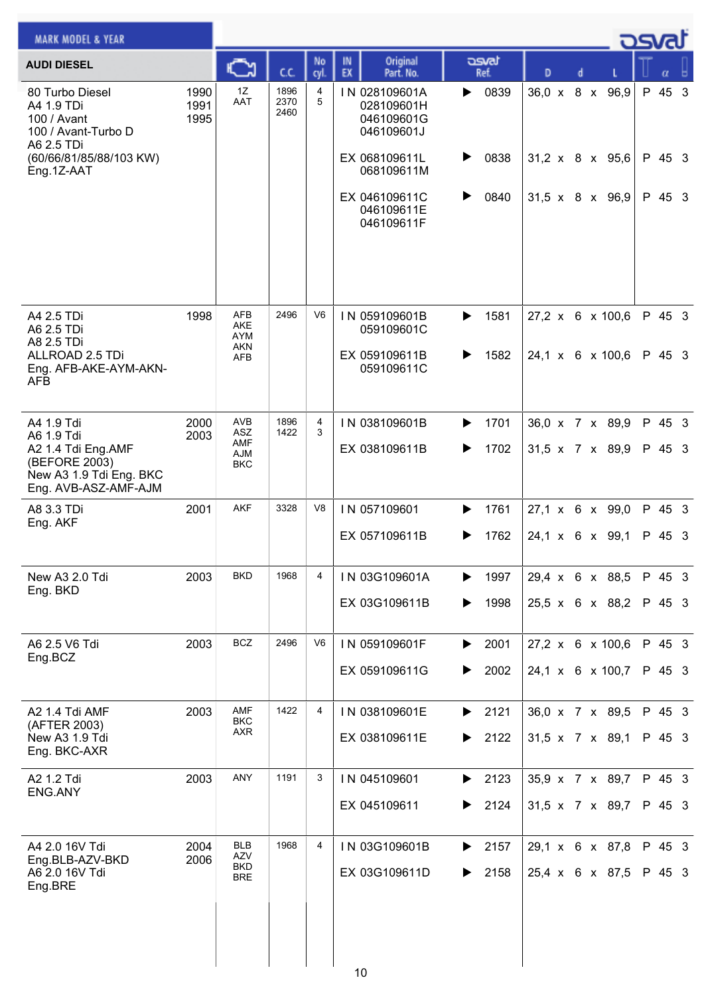| <b>MARK MODEL &amp; YEAR</b>                                                           |                      |                                 |                      |                |          |                                                         |   |               |   |  | <b>DSVAL</b>                |        |  |
|----------------------------------------------------------------------------------------|----------------------|---------------------------------|----------------------|----------------|----------|---------------------------------------------------------|---|---------------|---|--|-----------------------------|--------|--|
| <b>AUDI DIESEL</b>                                                                     |                      | C                               | C.C.                 | No<br>cyl      | IN<br>EX | Original<br>Part. No.                                   |   | asvat<br>Ref. | D |  |                             |        |  |
| 80 Turbo Diesel<br>A4 1.9 TDi<br>100 / Avant<br>100 / Avant-Turbo D<br>A6 2.5 TDi      | 1990<br>1991<br>1995 | 1Z<br>AAT                       | 1896<br>2370<br>2460 | 4<br>5         |          | IN 028109601A<br>028109601H<br>046109601G<br>046109601J | ▶ | 0839          |   |  | 36,0 x 8 x 96,9             | P 45 3 |  |
| (60/66/81/85/88/103 KW)<br>Eng.1Z-AAT                                                  |                      |                                 |                      |                |          | EX 068109611L<br>068109611M                             | ▶ | 0838          |   |  | 31,2 x 8 x 95,6             | P 45 3 |  |
|                                                                                        |                      |                                 |                      |                |          | EX 046109611C<br>046109611E<br>046109611F               | ▶ | 0840          |   |  | $31,5 \times 8 \times 96,9$ | P 45 3 |  |
| A4 2.5 TDi<br>A6 2.5 TDi<br>A8 2.5 TDi                                                 | 1998                 | <b>AFB</b><br>AKE<br><b>AYM</b> | 2496                 | V <sub>6</sub> |          | IN 059109601B<br>059109601C                             | ▶ | 1581          |   |  | 27,2 x 6 x 100,6            | P 45 3 |  |
| ALLROAD 2.5 TDi<br>Eng. AFB-AKE-AYM-AKN-<br><b>AFB</b>                                 |                      | AKN<br><b>AFB</b>               |                      |                |          | EX 059109611B<br>059109611C                             | ▶ | 1582          |   |  | 24,1 x 6 x 100,6            | P 45 3 |  |
| A4 1.9 Tdi<br>A6 1.9 Tdi                                                               | 2000<br>2003         | AVB<br><b>ASZ</b><br><b>AMF</b> | 1896<br>1422         | 4<br>3         |          | IN 038109601B                                           | ▶ | 1701          |   |  | 36,0 x 7 x 89,9             | P 45 3 |  |
| A2 1.4 Tdi Eng.AMF<br>(BEFORE 2003)<br>New A3 1.9 Tdi Eng. BKC<br>Eng. AVB-ASZ-AMF-AJM |                      | <b>AJM</b><br><b>BKC</b>        |                      |                |          | EX 038109611B                                           | ▶ | 1702          |   |  | 31,5 x 7 x 89,9             | P 45 3 |  |
| A8 3.3 TDi<br>Eng. AKF                                                                 | 2001                 | <b>AKF</b>                      | 3328                 | V <sub>8</sub> |          | IN 057109601                                            | ▶ | 1761          |   |  | 27,1 x 6 x 99,0             | P 45 3 |  |
|                                                                                        |                      |                                 |                      |                |          | EX 057109611B                                           |   | 1762          |   |  | 24,1 x 6 x 99,1             | P 45 3 |  |
| New A3 2.0 Tdi<br>Eng. BKD                                                             | 2003                 | <b>BKD</b>                      | 1968                 | 4              |          | IN 03G109601A                                           | ▶ | 1997          |   |  | 29,4 x 6 x 88,5             | P 45 3 |  |
|                                                                                        |                      |                                 |                      |                |          | EX 03G109611B                                           | ▶ | 1998          |   |  | 25,5 x 6 x 88,2             | P 45 3 |  |
| A6 2.5 V6 Tdi<br>Eng.BCZ                                                               | 2003                 | <b>BCZ</b>                      | 2496                 | V <sub>6</sub> |          | IN 059109601F                                           | ▶ | 2001          |   |  | 27,2 x 6 x 100,6            | P 45 3 |  |
|                                                                                        |                      |                                 |                      |                |          | EX 059109611G                                           | ▶ | 2002          |   |  | 24,1 x 6 x 100,7            | P 45 3 |  |
| A2 1.4 Tdi AMF<br>(AFTER 2003)                                                         | 2003                 | AMF<br><b>BKC</b><br><b>AXR</b> | 1422                 | 4              |          | IN 038109601E                                           | ▶ | 2121          |   |  | 36,0 x 7 x 89,5             | P 45 3 |  |
| New A3 1.9 Tdi<br>Eng. BKC-AXR                                                         |                      |                                 |                      |                |          | EX 038109611E                                           | ▶ | 2122          |   |  | $31,5 \times 7 \times 89,1$ | P 45 3 |  |
| A2 1.2 Tdi<br>ENG.ANY                                                                  | 2003                 | ANY                             | 1191                 | 3              |          | IN 045109601                                            | ▶ | 2123          |   |  | 35,9 x 7 x 89,7             | P 45 3 |  |
|                                                                                        |                      |                                 |                      |                |          | EX 045109611                                            |   | 2124          |   |  | 31,5 x 7 x 89,7             | P 45 3 |  |
| A4 2.0 16V Tdi<br>Eng.BLB-AZV-BKD                                                      | 2004<br>2006         | <b>BLB</b><br>AZV<br><b>BKD</b> | 1968                 | 4              |          | IN 03G109601B                                           |   | 2157          |   |  | 29,1 x 6 x 87,8             | P 45 3 |  |
| A6 2.0 16V Tdi<br>Eng.BRE                                                              |                      | <b>BRE</b>                      |                      |                | 10       | EX 03G109611D                                           | ▶ | 2158          |   |  | 25,4 x 6 x 87,5             | P 45 3 |  |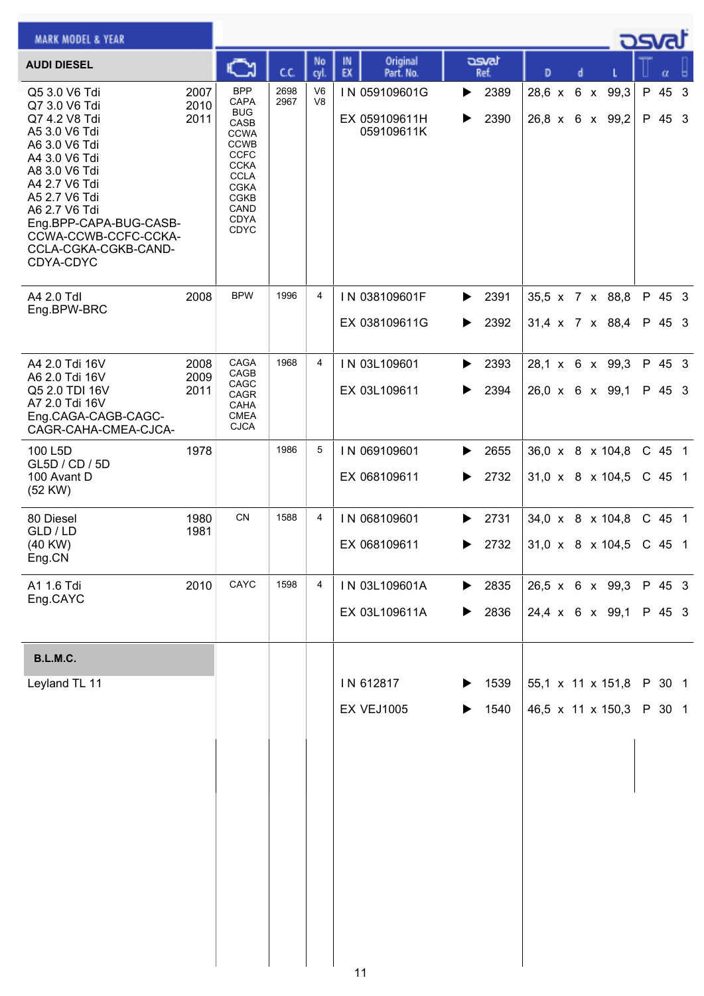| <b>MARK MODEL &amp; YEAR</b>                                                                                                                                                                                                                                  |                      |                                                                                                                                                                    |              |                                  |                                              |                                         |                                                  |  | osvaľ              |  |
|---------------------------------------------------------------------------------------------------------------------------------------------------------------------------------------------------------------------------------------------------------------|----------------------|--------------------------------------------------------------------------------------------------------------------------------------------------------------------|--------------|----------------------------------|----------------------------------------------|-----------------------------------------|--------------------------------------------------|--|--------------------|--|
| <b>AUDI DIESEL</b>                                                                                                                                                                                                                                            |                      | C٦                                                                                                                                                                 | C.C.         | No<br>cyl.                       | Original<br>IN<br>EX<br>Part. No.            | asvat<br>Ref.                           | D<br>d                                           |  | α                  |  |
| Q5 3.0 V6 Tdi<br>Q7 3.0 V6 Tdi<br>Q7 4.2 V8 Tdi<br>A5 3.0 V6 Tdi<br>A6 3.0 V6 Tdi<br>A4 3.0 V6 Tdi<br>A8 3.0 V6 Tdi<br>A4 2.7 V6 Tdi<br>A5 2.7 V6 Tdi<br>A6 2.7 V6 Tdi<br>Eng.BPP-CAPA-BUG-CASB-<br>CCWA-CCWB-CCFC-CCKA-<br>CCLA-CGKA-CGKB-CAND-<br>CDYA-CDYC | 2007<br>2010<br>2011 | <b>BPP</b><br>CAPA<br><b>BUG</b><br>CASB<br><b>CCWA</b><br><b>CCWB</b><br><b>CCFC</b><br><b>CCKA</b><br><b>CCLA</b><br><b>CGKA</b><br>CGKB<br>CAND<br>CDYA<br>CDYC | 2698<br>2967 | V <sub>6</sub><br>V <sub>8</sub> | IN 059109601G<br>EX 059109611H<br>059109611K | 2389<br>▶<br>2390<br>▶                  | 28,6 x 6 x 99,3<br>26,8 x 6 x 99,2               |  | P 45 3<br>P 45 3   |  |
| A4 2.0 Tdl<br>Eng.BPW-BRC                                                                                                                                                                                                                                     | 2008                 | <b>BPW</b>                                                                                                                                                         | 1996         | 4                                | IN 038109601F<br>EX 038109611G               | 2391<br>▶<br>2392<br>▶                  | 35,5 x 7 x 88,8<br>31,4 x 7 x 88,4               |  | P 45 3<br>P 45 3   |  |
| A4 2.0 Tdi 16V<br>A6 2.0 Tdi 16V<br>Q5 2.0 TDI 16V<br>A7 2.0 Tdi 16V<br>Eng.CAGA-CAGB-CAGC-<br>CAGR-CAHA-CMEA-CJCA-                                                                                                                                           | 2008<br>2009<br>2011 | CAGA<br>CAGB<br>CAGC<br>CAGR<br>CAHA<br><b>CMEA</b><br><b>CJCA</b>                                                                                                 | 1968         | 4                                | IN 03L109601<br>EX 03L109611                 | 2393<br>▶<br>2394<br>▶                  | 28,1 x 6 x 99,3<br>26,0 x 6 x 99,1               |  | P 45 3<br>P 45 3   |  |
| 100 L5D<br>GL5D / CD / 5D<br>100 Avant D<br>(52 KW)                                                                                                                                                                                                           | 1978                 |                                                                                                                                                                    | 1986         | 5                                | IN 069109601<br>EX 068109611                 | 2655<br>▶<br>2732<br>▶                  | 36,0 x 8 x 104,8<br>$31,0 \times 8 \times 104,5$ |  | C 45 1<br>$C$ 45 1 |  |
| 80 Diesel<br>GLD / LD<br>(40 KW)<br>Eng.CN                                                                                                                                                                                                                    | 1980<br>1981         | CN                                                                                                                                                                 | 1588         | 4                                | IN 068109601<br>EX 068109611                 | 2731<br>▶<br>2732<br>▶                  | 34,0 x 8 x 104,8<br>31,0 x 8 x 104,5             |  | C 45 1<br>$C$ 45 1 |  |
| A1 1.6 Tdi<br>Eng.CAYC                                                                                                                                                                                                                                        | 2010                 | CAYC                                                                                                                                                               | 1598         | 4                                | IN 03L109601A<br>EX 03L109611A               | $\blacktriangleright$ 2835<br>2836<br>▶ | $26,5 \times 6 \times 99,3$<br>24,4 x 6 x 99,1   |  | P 45 3<br>P 45 3   |  |
| B.L.M.C.                                                                                                                                                                                                                                                      |                      |                                                                                                                                                                    |              |                                  |                                              |                                         |                                                  |  |                    |  |
| Leyland TL 11                                                                                                                                                                                                                                                 |                      |                                                                                                                                                                    |              |                                  | IN 612817<br><b>EX VEJ1005</b>               | 1539<br>▶<br>1540                       | 55,1 x 11 x 151,8<br>46,5 x 11 x 150,3           |  | P 30 1<br>P 30 1   |  |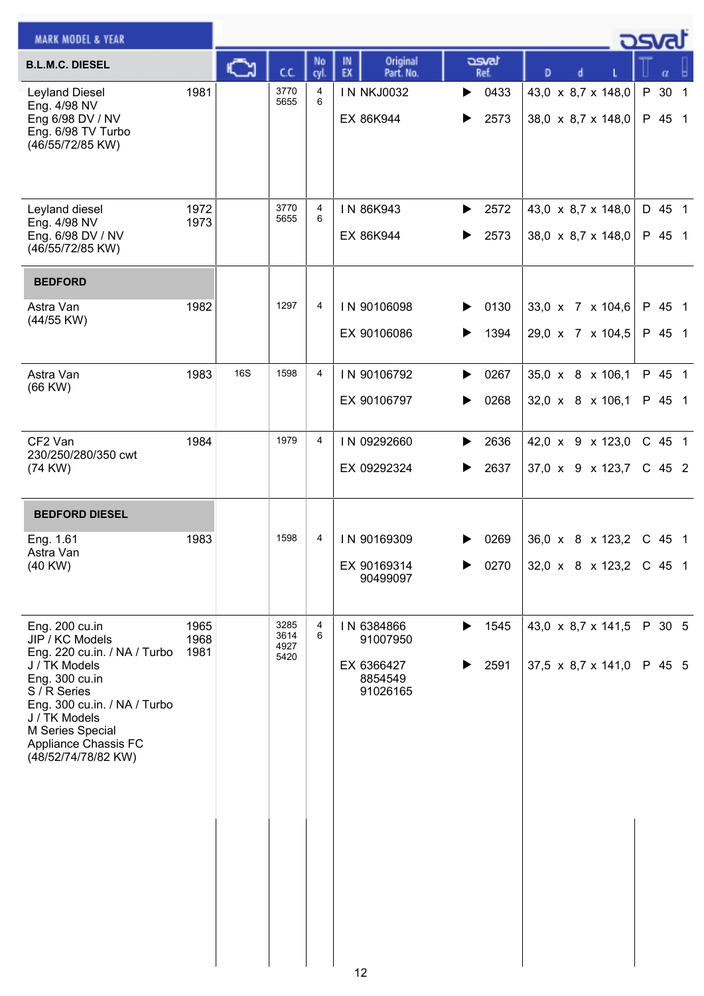| <b>MARK MODEL &amp; YEAR</b>                                                                                                                                                                                                             |                      |            |                              |            |                                                             |                        |                                                        | <u>- ರಾಗಾ</u>                    |
|------------------------------------------------------------------------------------------------------------------------------------------------------------------------------------------------------------------------------------------|----------------------|------------|------------------------------|------------|-------------------------------------------------------------|------------------------|--------------------------------------------------------|----------------------------------|
| <b>B.L.M.C. DIESEL</b>                                                                                                                                                                                                                   |                      | ⊾          | cc                           | No<br>cyl. | Original<br>IN<br>EX<br>Part. No.                           | asvat<br>Ref.          | D                                                      | α                                |
| <b>Leyland Diesel</b><br>Eng. 4/98 NV<br>Eng 6/98 DV / NV<br>Eng. 6/98 TV Turbo<br>(46/55/72/85 KW)                                                                                                                                      | 1981                 |            | 3770<br>5655                 | 4<br>6     | <b>IN NKJ0032</b><br>EX 86K944                              | 0433<br>▶<br>2573      | 43,0 x 8,7 x 148,0<br>38,0 x 8,7 x 148,0               | P 30<br>$\overline{1}$<br>P 45 1 |
| Leyland diesel<br>Eng. 4/98 NV<br>Eng. 6/98 DV / NV<br>(46/55/72/85 KW)                                                                                                                                                                  | 1972<br>1973         |            | 3770<br>5655                 | 4<br>6     | IN 86K943<br>EX 86K944                                      | 2572<br>▶<br>2573<br>▶ | 43,0 x 8,7 x 148,0<br>38,0 x 8,7 x 148,0               | D 45 1<br>P 45 1                 |
| <b>BEDFORD</b>                                                                                                                                                                                                                           |                      |            |                              |            |                                                             |                        |                                                        |                                  |
| Astra Van<br>(44/55 KW)                                                                                                                                                                                                                  | 1982                 |            | 1297                         | 4          | IN 90106098<br>EX 90106086                                  | 0130<br>▶<br>1394<br>▶ | 33,0 x 7 x 104,6<br>29,0 x 7 x 104,5                   | P 45 1<br>P 45 1                 |
| Astra Van<br>(66 KW)                                                                                                                                                                                                                     | 1983                 | <b>16S</b> | 1598                         | 4          | IN 90106792<br>EX 90106797                                  | 0267<br>▶<br>0268      | 35,0 x 8 x 106,1<br>32,0 x 8 x 106,1                   | P 45 1<br>P 45 1                 |
| CF2 Van<br>230/250/280/350 cwt<br>(74 KW)                                                                                                                                                                                                | 1984                 |            | 1979                         | 4          | IN 09292660<br>EX 09292324                                  | 2636<br>▶<br>2637<br>▶ | 42,0 x 9 x 123,0<br>37,0 x 9 x 123,7                   | C 45 1<br>$C$ 45 2               |
| <b>BEDFORD DIESEL</b>                                                                                                                                                                                                                    |                      |            |                              |            |                                                             |                        |                                                        |                                  |
| Eng. 1.61<br>Astra Van<br>$(40$ KW $)$                                                                                                                                                                                                   | 1983                 |            | 1598                         | 4          | IN 90169309<br>EX 90169314<br>90499097                      | 0269<br>▶<br>0270      | $36,0 \times 8 \times 123,2$<br>32,0 x 8 x 123,2       | $C$ 45 1<br>C 45 1               |
| Eng. 200 cu.in<br>JIP / KC Models<br>Eng. 220 cu.in. / NA / Turbo<br>J / TK Models<br>Eng. 300 cu.in<br>S / R Series<br>Eng. 300 cu.in. / NA / Turbo<br>J / TK Models<br>M Series Special<br>Appliance Chassis FC<br>(48/52/74/78/82 KW) | 1965<br>1968<br>1981 |            | 3285<br>3614<br>4927<br>5420 | 4<br>6     | IN 6384866<br>91007950<br>EX 6366427<br>8854549<br>91026165 | 1545<br>▶<br>2591<br>▶ | 43,0 x 8,7 x 141,5<br>37,5 $\times$ 8,7 $\times$ 141,0 | P 30 5<br>P 45 5                 |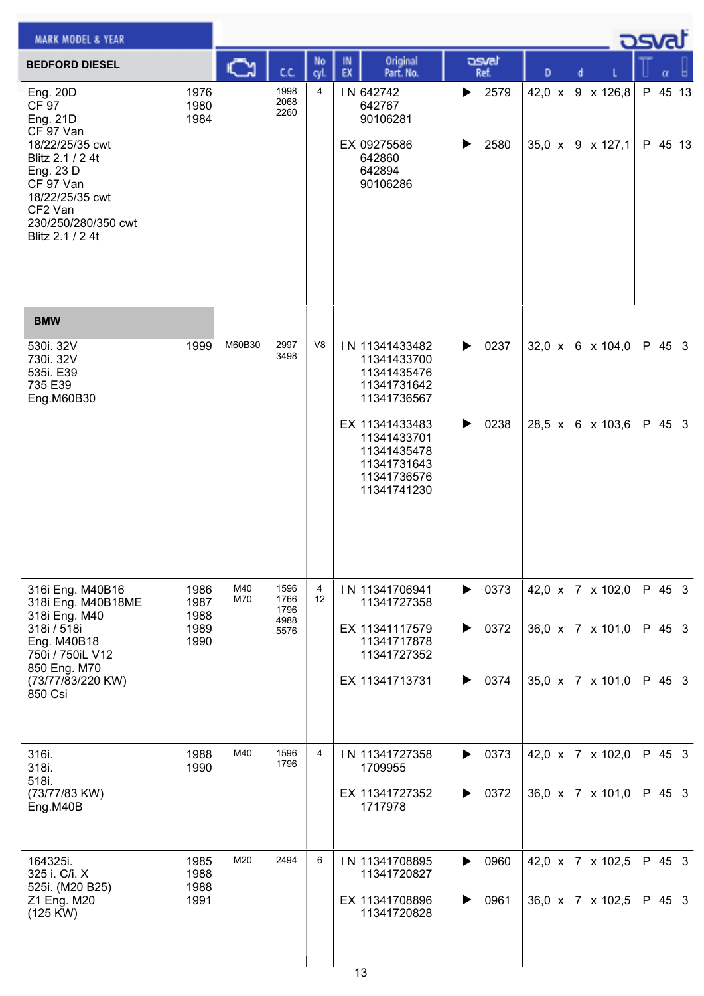| <b>MARK MODEL &amp; YEAR</b>                                                                                                                                                                |                                      |            |                                      |                |          |                                                                                           |        |                               |   |   |                                      | ك <i>ص</i> |                    |  |
|---------------------------------------------------------------------------------------------------------------------------------------------------------------------------------------------|--------------------------------------|------------|--------------------------------------|----------------|----------|-------------------------------------------------------------------------------------------|--------|-------------------------------|---|---|--------------------------------------|------------|--------------------|--|
| <b>BEDFORD DIESEL</b>                                                                                                                                                                       |                                      | C٦         | C.C.                                 | No<br>cyl.     | IN<br>EX | Original<br>Part. No.                                                                     |        | asvat<br>Ref.                 | D | d |                                      |            | α                  |  |
| Eng. 20D<br><b>CF 97</b><br>Eng. 21D<br>CF 97 Van<br>18/22/25/35 cwt<br>Blitz 2.1 / 2 4t<br>Eng. 23 D<br>CF 97 Van<br>18/22/25/35 cwt<br>CF2 Van<br>230/250/280/350 cwt<br>Blitz 2.1 / 2 4t | 1976<br>1980<br>1984                 |            | 1998<br>2068<br>2260                 | $\overline{4}$ |          | IN 642742<br>642767<br>90106281<br>EX 09275586<br>642860<br>642894<br>90106286            | ▶<br>▶ | 2579<br>2580                  |   |   | 42,0 x 9 x 126,8<br>35,0 x 9 x 127,1 |            | P 45 13<br>P 45 13 |  |
| <b>BMW</b>                                                                                                                                                                                  |                                      |            |                                      |                |          |                                                                                           |        |                               |   |   |                                      |            |                    |  |
| 530i. 32V<br>730i. 32V<br>535i. E39<br>735 E39<br>Eng.M60B30                                                                                                                                | 1999                                 | M60B30     | 2997<br>3498                         | V <sub>8</sub> |          | IN 11341433482<br>11341433700<br>11341435476<br>11341731642<br>11341736567                | ▶      | 0237                          |   |   | $32,0 \times 6 \times 104,0$         |            | P 45 3             |  |
|                                                                                                                                                                                             |                                      |            |                                      |                |          | EX 11341433483<br>11341433701<br>11341435478<br>11341731643<br>11341736576<br>11341741230 | ▶      | 0238                          |   |   | 28,5 x 6 x 103,6                     |            | P 45 3             |  |
| 316i Eng. M40B16<br>318i Eng. M40B18ME<br>318i Eng. M40<br>318i / 518i<br>Eng. M40B18                                                                                                       | 1986<br>1987<br>1988<br>1989<br>1990 | M40<br>M70 | 1596<br>1766<br>1796<br>4988<br>5576 | 4<br>12        |          | IN 11341706941<br>11341727358<br>EX 11341117579<br>11341717878                            | ▶      | $\triangleright$ 0373<br>0372 |   |   | 42,0 x 7 x 102,0<br>36,0 x 7 x 101,0 |            | P 45 3<br>P 45 3   |  |
| 750i / 750iL V12<br>850 Eng. M70<br>(73/77/83/220 KW)<br>850 Csi                                                                                                                            |                                      |            |                                      |                |          | 11341727352<br>EX 11341713731                                                             | ▶      | 0374                          |   |   | 35,0 x 7 x 101,0                     |            | P 45 3             |  |
| 316i.<br>318i.<br>518i.<br>(73/77/83 KW)<br>Eng.M40B                                                                                                                                        | 1988<br>1990                         | M40        | 1596<br>1796                         | $\overline{4}$ |          | IN 11341727358<br>1709955<br>EX 11341727352<br>1717978                                    | ▶<br>▶ | 0373<br>0372                  |   |   | 42,0 x 7 x 102,0<br>36,0 x 7 x 101,0 |            | P 45 3<br>P 45 3   |  |
| 164325i.<br>325 i. C/i. X<br>525i. (M20 B25)<br>Z1 Eng. M20<br>(125 KW)                                                                                                                     | 1985<br>1988<br>1988<br>1991         | M20        | 2494                                 | 6              |          | IN 11341708895<br>11341720827<br>EX 11341708896<br>11341720828                            | ▶<br>▶ | 0960<br>0961                  |   |   | 42,0 x 7 x 102,5<br>36,0 x 7 x 102,5 |            | P 45 3<br>P 45 3   |  |
|                                                                                                                                                                                             |                                      |            |                                      |                | 13       |                                                                                           |        |                               |   |   |                                      |            |                    |  |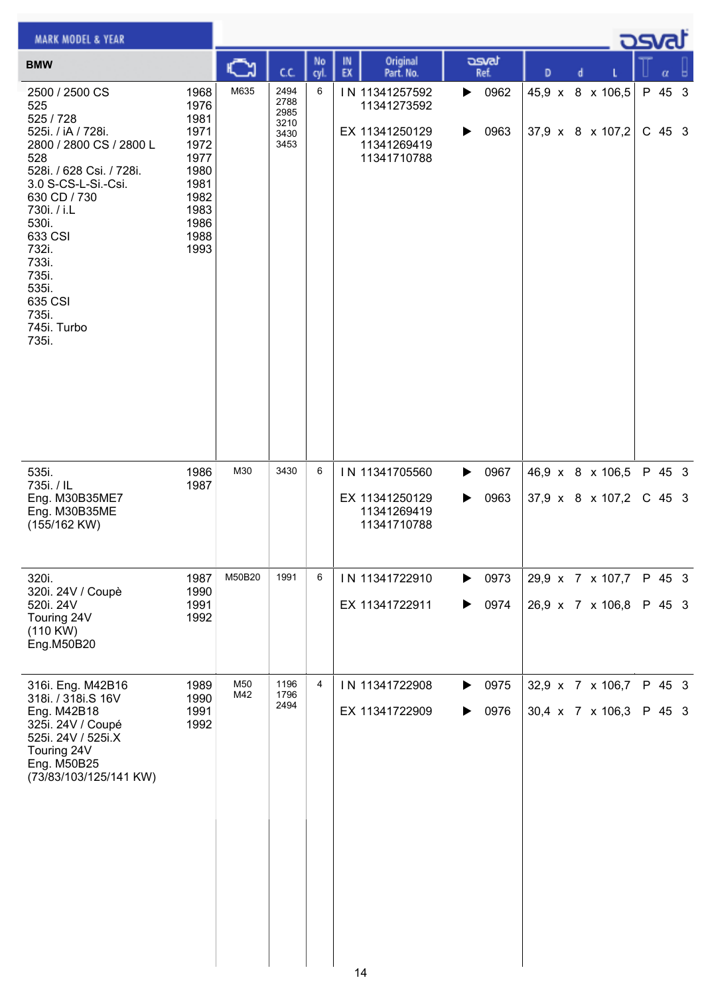| <b>MARK MODEL &amp; YEAR</b>                                                                                                                                                                                                                                                      |                                                                                                      |            |                                              |                |          |                                                                               |        |               |   |   | <b>DSVRJ</b>                         |                    |  |
|-----------------------------------------------------------------------------------------------------------------------------------------------------------------------------------------------------------------------------------------------------------------------------------|------------------------------------------------------------------------------------------------------|------------|----------------------------------------------|----------------|----------|-------------------------------------------------------------------------------|--------|---------------|---|---|--------------------------------------|--------------------|--|
| <b>BMW</b>                                                                                                                                                                                                                                                                        |                                                                                                      | C          | C.C.                                         | No<br>cyl      | IN<br>EX | Original<br>Part. No.                                                         |        | asvat<br>Ref. | D | d |                                      | α                  |  |
| 2500 / 2500 CS<br>525<br>525 / 728<br>525i. / iA / 728i.<br>2800 / 2800 CS / 2800 L<br>528<br>528i. / 628 Csi. / 728i.<br>3.0 S-CS-L-Si.-Csi.<br>630 CD / 730<br>730i. / i.L.<br>530i.<br>633 CSI<br>732i.<br>733i.<br>735i.<br>535i.<br>635 CSI<br>735i.<br>745i. Turbo<br>735i. | 1968<br>1976<br>1981<br>1971<br>1972<br>1977<br>1980<br>1981<br>1982<br>1983<br>1986<br>1988<br>1993 | M635       | 2494<br>2788<br>2985<br>3210<br>3430<br>3453 | 6              |          | IN 11341257592<br>11341273592<br>EX 11341250129<br>11341269419<br>11341710788 | ▶<br>▶ | 0962<br>0963  |   |   | 45,9 x 8 x 106,5<br>37,9 x 8 x 107,2 | P 45 3<br>$C$ 45 3 |  |
| 535i.<br>735i. / IL<br>Eng. M30B35ME7<br>Eng. M30B35ME<br>(155/162 KW)                                                                                                                                                                                                            | 1986<br>1987                                                                                         | M30        | 3430                                         | 6              |          | IN 11341705560<br>EX 11341250129<br>11341269419<br>11341710788                | ▶<br>▶ | 0967<br>0963  |   |   | 46,9 x 8 x 106,5<br>37,9 x 8 x 107,2 | P 45 3<br>$C$ 45 3 |  |
| 320i.<br>320i. 24V / Coupè<br>520i. 24V<br>Touring 24V<br>(110 KW)<br>Eng.M50B20                                                                                                                                                                                                  | 1987<br>1990<br>1991<br>1992                                                                         | M50B20     | 1991                                         | 6              |          | IN 11341722910<br>EX 11341722911                                              | ▶<br>▶ | 0973<br>0974  |   |   | 29,9 x 7 x 107,7<br>26,9 x 7 x 106,8 | P 45 3<br>P 45 3   |  |
| 316i. Eng. M42B16<br>318i. / 318i.S 16V<br>Eng. M42B18<br>325i. 24V / Coupé<br>525i. 24V / 525i.X<br>Touring 24V<br>Eng. M50B25<br>(73/83/103/125/141 KW)                                                                                                                         | 1989<br>1990<br>1991<br>1992                                                                         | M50<br>M42 | 1196<br>1796<br>2494                         | $\overline{4}$ |          | IN 11341722908<br>EX 11341722909                                              | ▶<br>▶ | 0975<br>0976  |   |   | 32,9 x 7 x 106,7<br>30,4 x 7 x 106,3 | P 45 3<br>P 45 3   |  |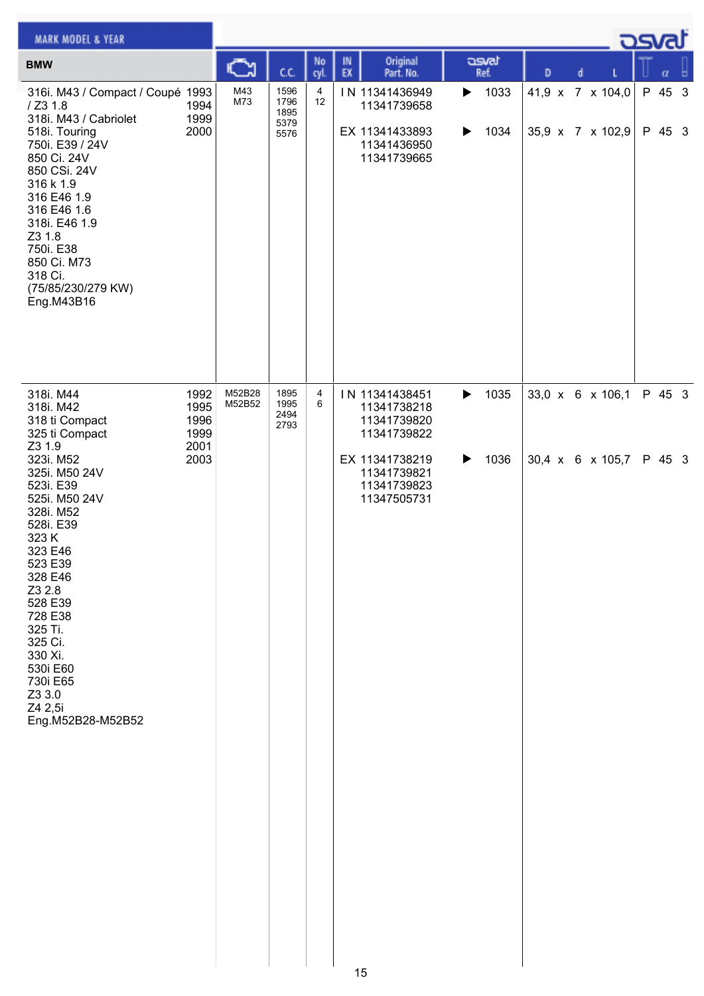| <b>MARK MODEL &amp; YEAR</b>                                                                                                                                                                                                                                                                                                            |                                              |                  |                                      |            |          |                                                                                                                            |        |               |                                      |   |                                      | <u>اەرى</u>      |          |
|-----------------------------------------------------------------------------------------------------------------------------------------------------------------------------------------------------------------------------------------------------------------------------------------------------------------------------------------|----------------------------------------------|------------------|--------------------------------------|------------|----------|----------------------------------------------------------------------------------------------------------------------------|--------|---------------|--------------------------------------|---|--------------------------------------|------------------|----------|
| <b>BMW</b>                                                                                                                                                                                                                                                                                                                              |                                              | Ğ                | C.C.                                 | No<br>cyl. | IN<br>EX | Original<br>Part. No.                                                                                                      |        | asvat<br>Ref. | D                                    | d |                                      | $\alpha$         | <b>A</b> |
| 316i. M43 / Compact / Coupé 1993<br>/ Z3 1.8<br>318i. M43 / Cabriolet<br>518i. Touring<br>750i. E39 / 24V<br>850 Ci. 24V<br>850 CSi. 24V<br>316 k 1.9<br>316 E46 1.9<br>316 E46 1.6<br>318i. E46 1.9<br>Z3 1.8<br>750i. E38<br>850 Ci. M73<br>318 Ci.<br>(75/85/230/279 KW)<br>Eng.M43B16                                               | 1994<br>1999<br>2000                         | M43<br>M73       | 1596<br>1796<br>1895<br>5379<br>5576 | 4<br>12    |          | IN 11341436949<br>11341739658<br>EX 11341433893<br>11341436950<br>11341739665                                              | ▶<br>▶ | 1033<br>1034  |                                      |   | 41,9 x 7 x 104,0<br>35,9 x 7 x 102,9 | P 45 3<br>P 45 3 |          |
| 318i. M44<br>318i. M42<br>318 ti Compact<br>325 ti Compact<br>Z3 1.9<br>323i. M52<br>325i. M50 24V<br>523i. E39<br>525i. M50 24V<br>328i. M52<br>528i. E39<br>323 K<br>323 E46<br>523 E39<br>328 E46<br>Z3 2.8<br>528 E39<br>728 E38<br>325 Ti.<br>325 Ci.<br>330 Xi.<br>530i E60<br>730i E65<br>Z3 3.0<br>Z4 2,5i<br>Eng.M52B28-M52B52 | 1992<br>1995<br>1996<br>1999<br>2001<br>2003 | M52B28<br>M52B52 | 1895<br>1995<br>2494<br>2793         | 4<br>6     |          | IN 11341438451<br>11341738218<br>11341739820<br>11341739822<br>EX 11341738219<br>11341739821<br>11341739823<br>11347505731 | ▶<br>▶ | 1035<br>1036  | 33,0 x 6 x 106,1<br>30,4 x 6 x 105,7 |   |                                      | P 45 3<br>P 45 3 |          |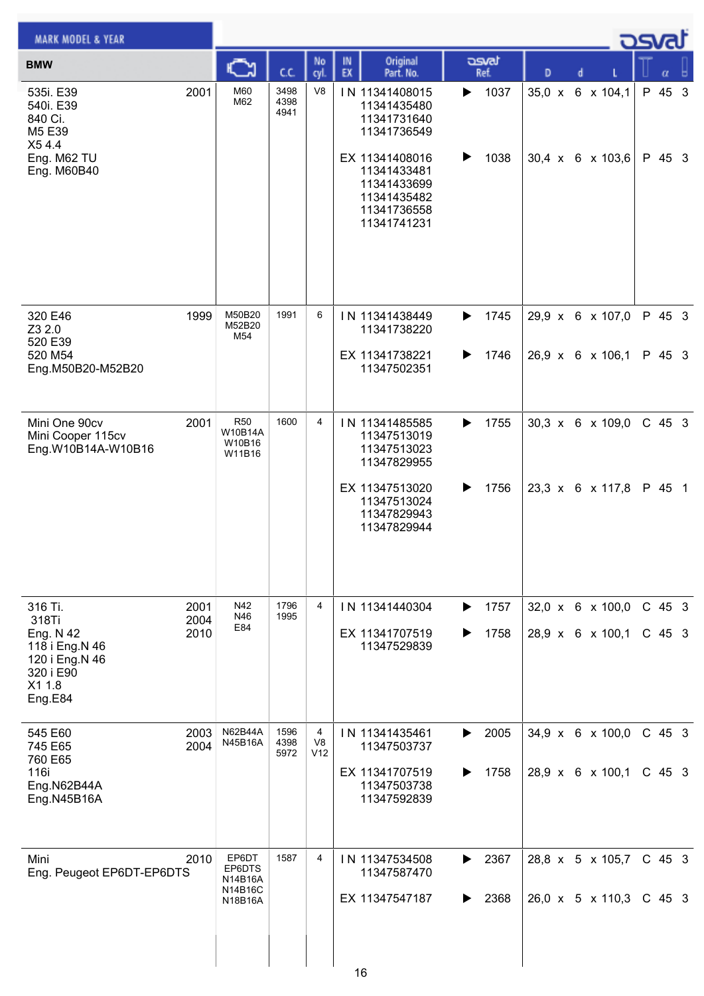| <b>MARK MODEL &amp; YEAR</b>                                                                        |                      |                                                  |                      |                |          |                                                                                           |        |               |               |   | <b>DSvat</b>                                     |                    |  |
|-----------------------------------------------------------------------------------------------------|----------------------|--------------------------------------------------|----------------------|----------------|----------|-------------------------------------------------------------------------------------------|--------|---------------|---------------|---|--------------------------------------------------|--------------------|--|
| <b>BMW</b>                                                                                          |                      | Ѽ                                                | C.C.                 | No<br>cyl.     | IN<br>EX | Original<br>Part. No.                                                                     |        | asvat<br>Ref. | D             | d |                                                  |                    |  |
| 535i. E39<br>540i. E39<br>840 Ci.<br>M5 E39<br>X54.4                                                | 2001                 | M60<br>M62                                       | 3498<br>4398<br>4941 | V <sub>8</sub> |          | IN 11341408015<br>11341435480<br>11341731640<br>11341736549                               | ▶      | 1037          | $35,0 \times$ |   | 6 x 104,1                                        | P 45 3             |  |
| Eng. M62 TU<br>Eng. M60B40                                                                          |                      |                                                  |                      |                |          | EX 11341408016<br>11341433481<br>11341433699<br>11341435482<br>11341736558<br>11341741231 | ▶      | 1038          |               |   | $30,4 \times 6 \times 103,6$                     | P 45 3             |  |
| 320 E46<br>Z3 2.0<br>520 E39<br>520 M54                                                             | 1999                 | M50B20<br>M52B20<br>M54                          | 1991                 | 6              |          | IN 11341438449<br>11341738220<br>EX 11341738221                                           | ▶<br>▶ | 1745<br>1746  |               |   | 29,9 x 6 x 107,0<br>26,9 x 6 x 106,1             | P 45 3<br>P 45 3   |  |
| Eng.M50B20-M52B20                                                                                   |                      |                                                  |                      |                |          | 11347502351                                                                               |        |               |               |   |                                                  |                    |  |
| Mini One 90cv<br>Mini Cooper 115cv<br>Eng.W10B14A-W10B16                                            | 2001                 | <b>R50</b><br>W10B14A<br>W10B16<br>W11B16        | 1600                 | 4              |          | IN 11341485585<br>11347513019<br>11347513023<br>11347829955                               | ▶      | 1755          |               |   | 30,3 x 6 x 109,0                                 | $C$ 45 3           |  |
|                                                                                                     |                      |                                                  |                      |                |          | EX 11347513020<br>11347513024<br>11347829943<br>11347829944                               | ▶      | 1756          |               |   | $23,3 \times 6 \times 117,8$                     | P 45 1             |  |
| 316 Ti.<br>318Ti<br>Eng. N 42<br>118 i Eng.N 46<br>120 i Eng.N 46<br>320 i E90<br>X1 1.8<br>Eng.E84 | 2001<br>2004<br>2010 | N42<br>N46<br>E84                                | 1796<br>1995         | $\overline{4}$ |          | IN 11341440304<br>EX 11341707519<br>11347529839                                           | ▶      | 1757<br>1758  |               |   | 32,0 x 6 x 100,0<br>28,9 x 6 x 100,1             | C 45 3<br>$C$ 45 3 |  |
| 545 E60<br>745 E65<br>760 E65                                                                       | 2003<br>2004         | N62B44A<br>N45B16A                               | 1596<br>4398<br>5972 | 4<br>V8<br>V12 |          | IN 11341435461<br>11347503737                                                             | ▶      | 2005          |               |   | $34,9 \times 6 \times 100,0$                     | $C$ 45 3           |  |
| 116i<br>Eng.N62B44A<br>Eng.N45B16A                                                                  |                      |                                                  |                      |                |          | EX 11341707519<br>11347503738<br>11347592839                                              | ▶      | 1758          |               |   | 28,9 x 6 x 100,1                                 | $C$ 45 3           |  |
| Mini<br>Eng. Peugeot EP6DT-EP6DTS                                                                   | 2010                 | EP6DT<br>EP6DTS<br>N14B16A<br>N14B16C<br>N18B16A | 1587                 | 4              |          | IN 11347534508<br>11347587470<br>EX 11347547187                                           | ▶<br>▶ | 2367<br>2368  |               |   | 28,8 x 5 x 105,7<br>$26,0 \times 5 \times 110,3$ | C 45 3<br>$C$ 45 3 |  |
|                                                                                                     |                      |                                                  |                      |                |          | 16                                                                                        |        |               |               |   |                                                  |                    |  |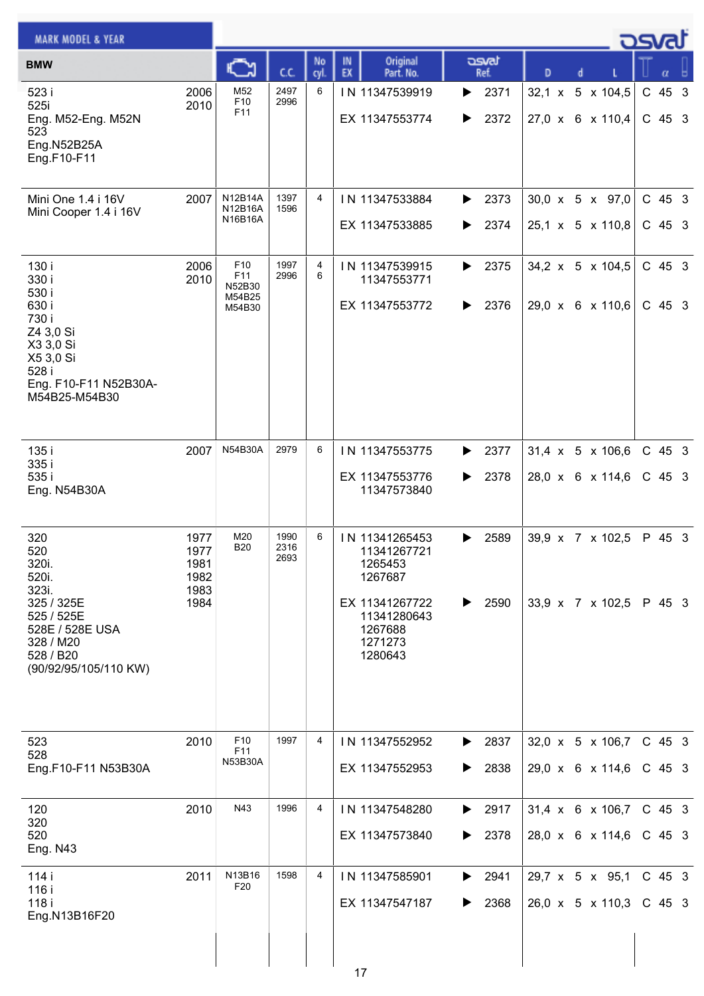| <b>MARK MODEL &amp; YEAR</b>                                                                                                            |                                              |                                                      |                      |                |                                                                                                                       |                        |                                                              | كصحت                 |
|-----------------------------------------------------------------------------------------------------------------------------------------|----------------------------------------------|------------------------------------------------------|----------------------|----------------|-----------------------------------------------------------------------------------------------------------------------|------------------------|--------------------------------------------------------------|----------------------|
| <b>BMW</b>                                                                                                                              |                                              |                                                      | C.C.                 | No<br>cyl      | Original<br>IN<br>EX<br>Part. No.                                                                                     | asvat<br>Ref.          | D<br>d                                                       |                      |
| 523 i<br>525i<br>Eng. M52-Eng. M52N<br>523<br>Eng.N52B25A<br>Eng.F10-F11                                                                | 2006<br>2010                                 | M52<br>F <sub>10</sub><br>F11                        | 2497<br>2996         | 6              | IN 11347539919<br>EX 11347553774                                                                                      | 2371<br>▶<br>2372<br>▶ | $32,1 \times 5 \times 104,5$<br>$27,0 \times 6 \times 110,4$ | $C$ 45 3<br>$C$ 45 3 |
| Mini One 1.4 i 16V<br>Mini Cooper 1.4 i 16V                                                                                             | 2007                                         | <b>N12B14A</b><br>N12B16A<br>N16B16A                 | 1397<br>1596         | $\overline{4}$ | IN 11347533884<br>EX 11347533885                                                                                      | 2373<br>▶<br>2374<br>▶ | 30,0 x 5 x 97,0<br>25,1 x 5 x 110,8                          | $C$ 45 3<br>C 45 3   |
| 130 i<br>330 i<br>530 i<br>630 i<br>730 i<br>Z4 3,0 Si<br>X3 3,0 Si<br>X5 3,0 Si<br>528 i<br>Eng. F10-F11 N52B30A-<br>M54B25-M54B30     | 2006<br>2010                                 | F <sub>10</sub><br>F11<br>N52B30<br>M54B25<br>M54B30 | 1997<br>2996         | 4<br>6         | IN 11347539915<br>11347553771<br>EX 11347553772                                                                       | 2375<br>▶<br>2376<br>▶ | 34,2 x 5 x 104,5<br>29,0 x 6 x 110,6                         | $C$ 45 3<br>$C$ 45 3 |
| 135 i<br>335 i<br>535 i<br>Eng. N54B30A                                                                                                 | 2007                                         | N54B30A                                              | 2979                 | 6              | IN 11347553775<br>EX 11347553776<br>11347573840                                                                       | 2377<br>▶<br>2378<br>▶ | 31,4 x 5 x 106,6<br>28,0 x 6 x 114,6                         | $C$ 45 3<br>$C$ 45 3 |
| 320<br>520<br>320i.<br>520i.<br>323i.<br>325 / 325E<br>525 / 525E<br>528E / 528E USA<br>328 / M20<br>528 / B20<br>(90/92/95/105/110 KW) | 1977<br>1977<br>1981<br>1982<br>1983<br>1984 | M20<br><b>B20</b>                                    | 1990<br>2316<br>2693 | 6              | IN 11341265453<br>11341267721<br>1265453<br>1267687<br>EX 11341267722<br>11341280643<br>1267688<br>1271273<br>1280643 | 2589<br>▶<br>2590<br>▶ | 39,9 x 7 x 102,5<br>33,9 x 7 x 102,5 P 45 3                  | P 45 3               |
| 523<br>528<br>Eng.F10-F11 N53B30A                                                                                                       | 2010                                         | F <sub>10</sub><br>F11<br>N53B30A                    | 1997                 | 4              | IN 11347552952<br>EX 11347552953                                                                                      | 2837<br>▶<br>2838<br>▶ | $32,0 \times 5 \times 106,7$<br>29,0 x 6 x 114,6             | $C$ 45 3<br>C 45 3   |
| 120<br>320<br>520<br><b>Eng. N43</b>                                                                                                    | 2010                                         | N43                                                  | 1996                 | 4              | IN 11347548280<br>EX 11347573840                                                                                      | 2917<br>▶<br>2378<br>▶ | $31,4 \times 6 \times 106,7$<br>28,0 x 6 x 114,6             | $C$ 45 3<br>C 45 3   |
| 114 i<br>116 i<br>118 i<br>Eng.N13B16F20                                                                                                | 2011                                         | N13B16<br>F <sub>20</sub>                            | 1598                 | 4              | IN 11347585901<br>EX 11347547187                                                                                      | 2941<br>▶<br>2368<br>▶ | 29,7 x 5 x 95,1<br>26,0 x 5 x 110,3                          | $C$ 45 3<br>C 45 3   |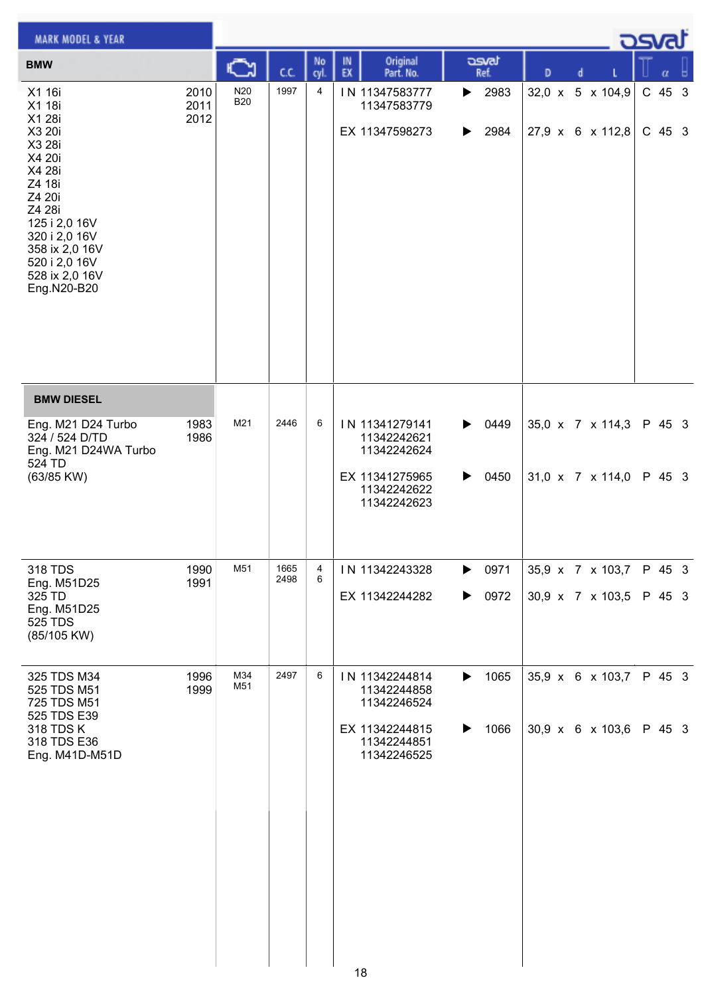| <b>MARK MODEL &amp; YEAR</b>                                                                                                                                                                           |                      |                   |              |            |          |                                                                                              |        |                                    |   |   |                                                  | كت الصح            |     |
|--------------------------------------------------------------------------------------------------------------------------------------------------------------------------------------------------------|----------------------|-------------------|--------------|------------|----------|----------------------------------------------------------------------------------------------|--------|------------------------------------|---|---|--------------------------------------------------|--------------------|-----|
| <b>BMW</b>                                                                                                                                                                                             |                      | C                 | C.C.         | No<br>cyl. | IN<br>EX | Original<br>Part. No.                                                                        |        | asvat<br>Ref.                      | D | d |                                                  | $\alpha$           | - 6 |
| X1 16i<br>X1 18i<br>X1 28i<br>X3 20i<br>X3 28i<br>X4 20i<br>X4 28i<br>Z4 18i<br>Z4 20i<br>Z4 28i<br>125 i 2,0 16V<br>320 i 2,0 16V<br>358 ix 2,0 16V<br>520 i 2,0 16V<br>528 ix 2,0 16V<br>Eng.N20-B20 | 2010<br>2011<br>2012 | N20<br><b>B20</b> | 1997         | 4          |          | IN 11347583777<br>11347583779<br>EX 11347598273                                              | ▶      | 2983<br>$\blacktriangleright$ 2984 |   |   | 32,0 x 5 x 104,9<br>27,9 x 6 x 112,8             | C 45 3<br>$C$ 45 3 |     |
| <b>BMW DIESEL</b>                                                                                                                                                                                      |                      |                   |              |            |          |                                                                                              |        |                                    |   |   |                                                  |                    |     |
| Eng. M21 D24 Turbo<br>324 / 524 D/TD<br>Eng. M21 D24WA Turbo<br>524 TD<br>(63/85 KW)                                                                                                                   | 1983<br>1986         | M21               | 2446         | 6          |          | IN 11341279141<br>11342242621<br>11342242624<br>EX 11341275965<br>11342242622<br>11342242623 | ▶      | $\triangleright$ 0449<br>0450      |   |   | 35,0 x 7 x 114,3<br>31,0 x 7 x 114,0             | P 45 3<br>P 45 3   |     |
| 318 TDS<br>Eng. M51D25<br>325 TD<br>Eng. M51D25<br><b>525 TDS</b><br>(85/105 KW)                                                                                                                       | 1990<br>1991         | M51               | 1665<br>2498 | 4<br>6     |          | IN 11342243328<br>EX 11342244282                                                             | ▶<br>▶ | 0971<br>0972                       |   |   | 35,9 x 7 x 103,7<br>30,9 x 7 x 103,5             | P 45 3<br>P 45 3   |     |
| 325 TDS M34<br>525 TDS M51<br>725 TDS M51<br>525 TDS E39<br>318 TDS K<br>318 TDS E36<br>Eng. M41D-M51D                                                                                                 | 1996<br>1999         | M34<br>M51        | 2497         | 6          |          | IN 11342244814<br>11342244858<br>11342246524<br>EX 11342244815<br>11342244851<br>11342246525 | ▶<br>▶ | 1065<br>1066                       |   |   | 35,9 x 6 x 103,7<br>$30,9 \times 6 \times 103,6$ | P 45 3<br>P 45 3   |     |
|                                                                                                                                                                                                        |                      |                   |              |            |          | 18                                                                                           |        |                                    |   |   |                                                  |                    |     |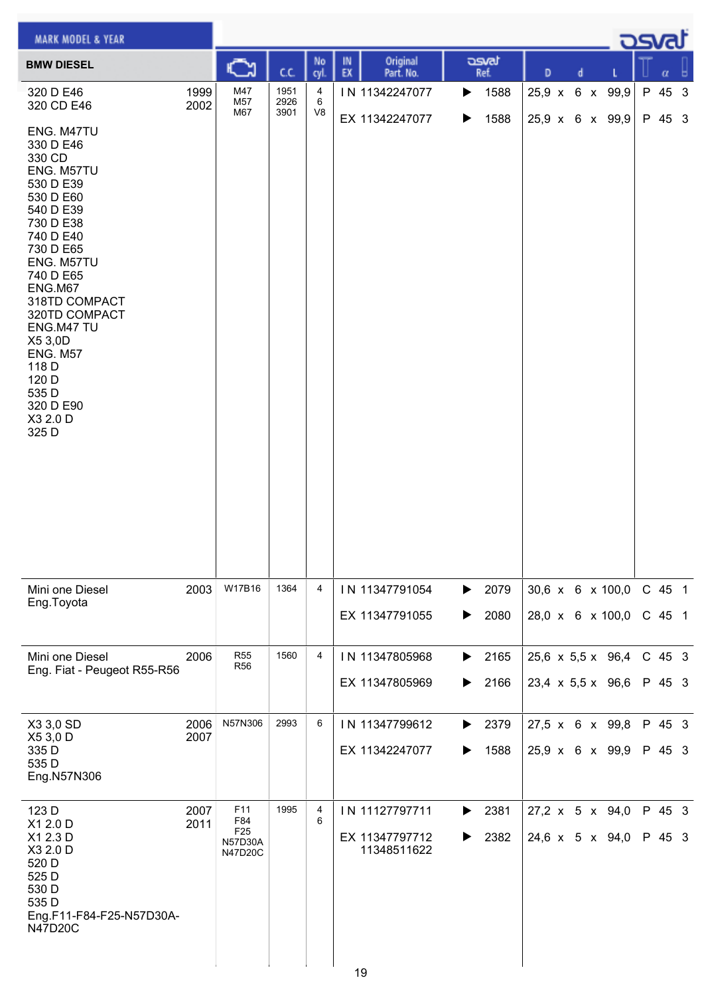| <b>MARK MODEL &amp; YEAR</b>                                                                                                                                                                                                                                                                                   |              |                                                                   |                      |                |                                                       |                        |                                      | ك <i>ص</i> |                    |   |
|----------------------------------------------------------------------------------------------------------------------------------------------------------------------------------------------------------------------------------------------------------------------------------------------------------------|--------------|-------------------------------------------------------------------|----------------------|----------------|-------------------------------------------------------|------------------------|--------------------------------------|------------|--------------------|---|
| <b>BMW DIESEL</b>                                                                                                                                                                                                                                                                                              |              | C                                                                 | C.C.                 | No<br>cyl.     | Original<br>IN<br>EX<br>Part. No.                     | asvat<br>Ref.          | D<br>d                               |            | α                  | ь |
| 320 D E46<br>320 CD E46                                                                                                                                                                                                                                                                                        | 1999<br>2002 | M47<br>M57<br>M67                                                 | 1951<br>2926<br>3901 | 4<br>6<br>V8   | IN 11342247077                                        | 1588<br>▶              | 25,9 x 6 x 99,9                      |            | P 45 3             |   |
| ENG. M47TU<br>330 D E46<br>330 CD<br>ENG. M57TU<br>530 D E39<br>530 D E60<br>540 D E39<br>730 D E38<br>740 D E40<br>730 D E65<br>ENG. M57TU<br>740 D E65<br>ENG.M67<br>318TD COMPACT<br>320TD COMPACT<br>ENG.M47 TU<br>X5 3,0D<br><b>ENG. M57</b><br>118 D<br>120 D<br>535 D<br>320 D E90<br>X3 2.0 D<br>325 D |              |                                                                   |                      |                | EX 11342247077                                        | 1588<br>▶              | 25,9 x 6 x 99,9                      |            | P 45 3             |   |
| Mini one Diesel<br>Eng.Toyota                                                                                                                                                                                                                                                                                  | 2003         | W17B16                                                            | 1364                 | $\overline{4}$ | IN 11347791054<br>EX 11347791055                      | 2079<br>▶<br>2080<br>▶ | 30,6 x 6 x 100,0<br>28,0 x 6 x 100,0 |            | C 45 1<br>$C$ 45 1 |   |
| Mini one Diesel                                                                                                                                                                                                                                                                                                | 2006         | <b>R55</b><br><b>R56</b>                                          | 1560                 | $\overline{4}$ | IN 11347805968                                        | 2165<br>▶              | 25,6 x 5,5 x 96,4                    |            | $C$ 45 3           |   |
| Eng. Fiat - Peugeot R55-R56                                                                                                                                                                                                                                                                                    |              |                                                                   |                      |                | EX 11347805969                                        | 2166<br>▶              | $23,4 \times 5,5 \times 96,6$        |            | P 45 3             |   |
| X3 3,0 SD<br>X5 3,0 D                                                                                                                                                                                                                                                                                          | 2006<br>2007 | N57N306                                                           | 2993                 | 6              | IN 11347799612                                        | 2379<br>▶              | 27,5 x 6 x 99,8                      |            | P 45 3             |   |
| 335 D<br>535 D<br>Eng.N57N306                                                                                                                                                                                                                                                                                  |              |                                                                   |                      |                | EX 11342247077                                        | 1588<br>▶              | 25,9 x 6 x 99,9                      |            | P 45 3             |   |
| 123 D<br>X1 2.0 D<br>X1 2.3 D<br>X3 2.0 D<br>520 D<br>525 D<br>530 D<br>535 D<br>Eng.F11-F84-F25-N57D30A-<br><b>N47D20C</b>                                                                                                                                                                                    | 2007<br>2011 | F11<br>F84<br>F <sub>25</sub><br><b>N57D30A</b><br><b>N47D20C</b> | 1995                 | 4<br>6         | IN 11127797711<br>EX 11347797712<br>11348511622<br>19 | 2381<br>▶<br>2382<br>▶ | 27,2 x 5 x 94,0<br>24,6 x 5 x 94,0   |            | P 45 3<br>P 45 3   |   |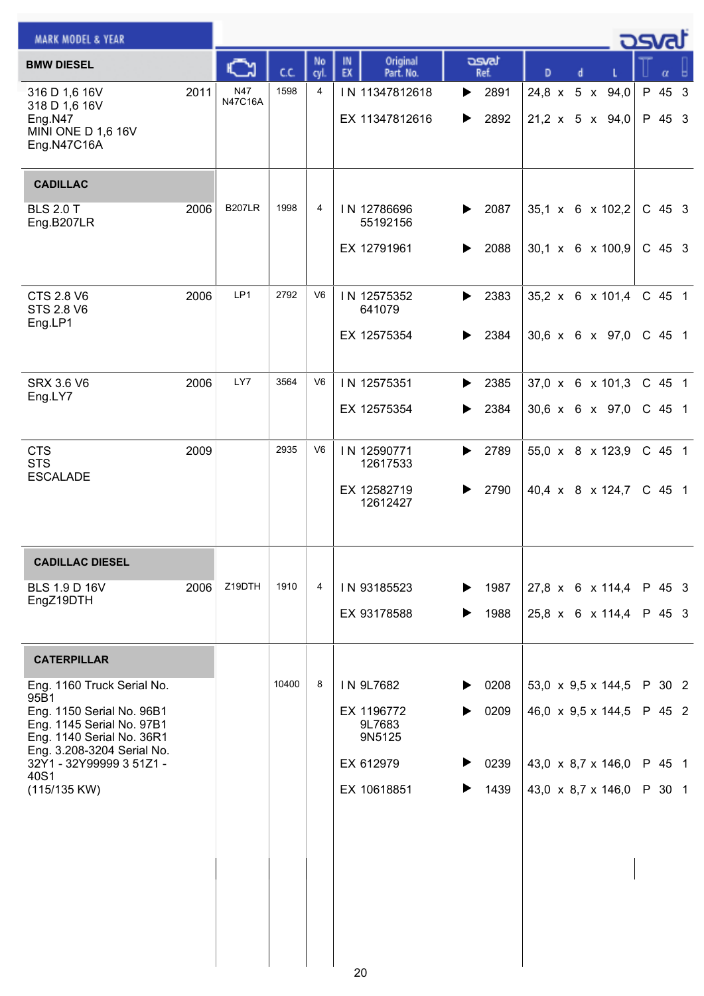| <b>MARK MODEL &amp; YEAR</b>                                                          |      |                |       |                |                                   |                        |                                    | osvat            |
|---------------------------------------------------------------------------------------|------|----------------|-------|----------------|-----------------------------------|------------------------|------------------------------------|------------------|
| <b>BMW DIESEL</b>                                                                     |      | ∾              | c.c.  | No<br>cyl.     | Original<br>IN<br>EX<br>Part. No. | asvat<br>Ref.          | D<br>d                             | α                |
| 316 D 1,6 16V<br>318 D 1,6 16V<br>Eng.N47<br><b>MINI ONE D 1,6 16V</b><br>Eng.N47C16A | 2011 | N47<br>N47C16A | 1598  | 4              | IN 11347812618<br>EX 11347812616  | 2891<br>▶<br>2892<br>▶ | 24,8 x 5 x 94,0<br>21,2 x 5 x 94,0 | P 45 3<br>P 45 3 |
| <b>CADILLAC</b>                                                                       |      |                |       |                |                                   |                        |                                    |                  |
| <b>BLS 2.0 T</b><br>Eng.B207LR                                                        | 2006 | <b>B207LR</b>  | 1998  | 4              | IN 12786696<br>55192156           | 2087<br>▶              | 35,1 x 6 x 102,2                   | $C$ 45 3         |
|                                                                                       |      |                |       |                | EX 12791961                       | 2088<br>▶              | $30,1 \times 6 \times 100,9$       | $C$ 45 3         |
| <b>CTS 2.8 V6</b><br><b>STS 2.8 V6</b>                                                | 2006 | LP1            | 2792  | V <sub>6</sub> | IN 12575352<br>641079             | 2383<br>▶              | 35,2 x 6 x 101,4                   | C 45 1           |
| Eng.LP1                                                                               |      |                |       |                | EX 12575354                       | 2384<br>▶              | $30,6 \times 6 \times 97,0$        | C 45 1           |
| <b>SRX 3.6 V6</b><br>Eng.LY7                                                          | 2006 | LY7            | 3564  | V <sub>6</sub> | IN 12575351                       | 2385<br>▶              | 37,0 x 6 x 101,3                   | C 45 1           |
|                                                                                       |      |                |       |                | EX 12575354                       | 2384<br>▶              | 30,6 x 6 x 97,0                    | C 45 1           |
| <b>CTS</b><br><b>STS</b><br><b>ESCALADE</b>                                           | 2009 |                | 2935  | V <sub>6</sub> | IN 12590771<br>12617533           | 2789<br>▶              | 55,0 x 8 x 123,9                   | C 45 1           |
|                                                                                       |      |                |       |                | EX 12582719<br>12612427           | 2790                   | 40,4 x 8 x 124,7                   | $C$ 45 1         |
| <b>CADILLAC DIESEL</b>                                                                |      |                |       |                |                                   |                        |                                    |                  |
| <b>BLS 1.9 D 16V</b><br>EngZ19DTH                                                     | 2006 | Z19DTH         | 1910  | 4              | IN 93185523                       | 1987<br>▶              | 27,8 x 6 x 114,4 P 45 3            |                  |
|                                                                                       |      |                |       |                | EX 93178588                       | 1988<br>▶              | $25,8 \times 6 \times 114,4$       | P 45 3           |
| <b>CATERPILLAR</b>                                                                    |      |                |       |                |                                   |                        |                                    |                  |
| Eng. 1160 Truck Serial No.<br>95B1                                                    |      |                | 10400 | 8              | IN 9L7682                         | 0208<br>▶              | 53,0 x 9,5 x 144,5                 | P 30 2           |
| Eng. 1150 Serial No. 96B1<br>Eng. 1145 Serial No. 97B1<br>Eng. 1140 Serial No. 36R1   |      |                |       |                | EX 1196772<br>9L7683<br>9N5125    | 0209                   | 46,0 x 9,5 x 144,5                 | P 45 2           |
| Eng. 3.208-3204 Serial No.<br>32Y1 - 32Y99999 3 51Z1 -<br>40S1                        |      |                |       |                | EX 612979                         | 0239                   | 43,0 x 8,7 x 146,0                 | P 45 1           |
| (115/135 KW)                                                                          |      |                |       |                | EX 10618851                       | 1439<br>▶              | 43,0 x 8,7 x 146,0                 | P 30 1           |
|                                                                                       |      |                |       |                |                                   |                        |                                    |                  |
|                                                                                       |      |                |       |                |                                   |                        |                                    |                  |
|                                                                                       |      |                |       |                |                                   |                        |                                    |                  |
|                                                                                       |      |                |       |                | 20                                |                        |                                    |                  |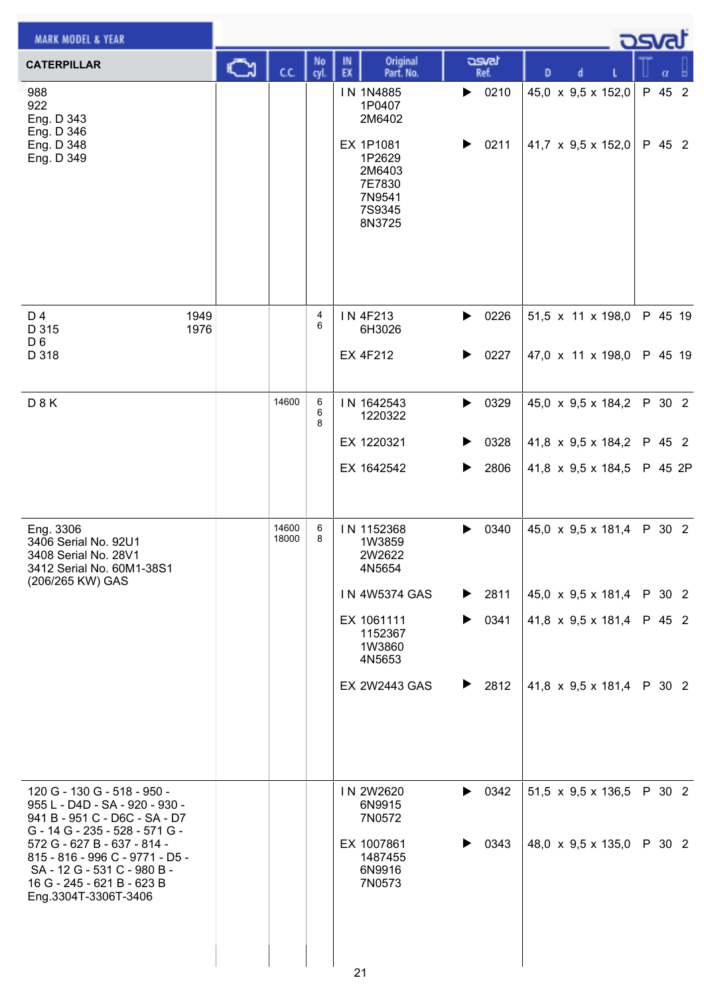| <b>MARK MODEL &amp; YEAR</b>                                                                                                                                                                                                                                                            |    |                |             |          |                                                                                                                                       |             |                                                    |   |  |                                                                                                                                | <b>DSvat</b>                         |  |
|-----------------------------------------------------------------------------------------------------------------------------------------------------------------------------------------------------------------------------------------------------------------------------------------|----|----------------|-------------|----------|---------------------------------------------------------------------------------------------------------------------------------------|-------------|----------------------------------------------------|---|--|--------------------------------------------------------------------------------------------------------------------------------|--------------------------------------|--|
| <b>CATERPILLAR</b>                                                                                                                                                                                                                                                                      | C٦ | C.C.           | No<br>cyl.  | IN<br>EX | Original<br>Part. No.                                                                                                                 |             | asvat<br>Ref.                                      | D |  |                                                                                                                                | α                                    |  |
| 988<br>922<br>Eng. D 343<br>Eng. D 346<br>Eng. D 348<br>Eng. D 349                                                                                                                                                                                                                      |    |                |             |          | IN 1N4885<br>1P0407<br>2M6402<br>EX 1P1081<br>1P2629<br>2M6403<br>7E7830<br>7N9541<br>7S9345<br>8N3725                                | ▶<br>▶      | 0210<br>0211                                       |   |  | 45,0 x 9,5 x 152,0<br>41,7 $\times$ 9,5 $\times$ 152,0                                                                         | P 45 2<br>P 45 2                     |  |
| D 4<br>1949<br>1976<br>D 315<br>D <sub>6</sub><br>D 318                                                                                                                                                                                                                                 |    |                | 4<br>6      |          | IN 4F213<br>6H3026<br><b>EX 4F212</b>                                                                                                 | ▶<br>▶      | 0226<br>0227                                       |   |  | 51,5 x 11 x 198,0<br>47,0 x 11 x 198,0                                                                                         | P 45 19<br>P 45 19                   |  |
| D 8 K                                                                                                                                                                                                                                                                                   |    | 14600          | 6<br>6<br>8 |          | IN 1642543<br>1220322<br>EX 1220321<br>EX 1642542                                                                                     | ▶<br>▶      | 0329<br>0328<br>2806                               |   |  | 45,0 $\times$ 9,5 $\times$ 184,2<br>41,8 $\times$ 9,5 $\times$ 184,2<br>41,8 $\times$ 9,5 $\times$ 184,5                       | P 30 2<br>P 45 2<br>P 45 2P          |  |
| Eng. 3306<br>3406 Serial No. 92U1<br>3408 Serial No. 28V1<br>3412 Serial No. 60M1-38S1<br>(206/265 KW) GAS                                                                                                                                                                              |    | 14600<br>18000 | 6<br>8      |          | IN 1152368<br>1W3859<br>2W2622<br>4N5654<br><b>IN 4W5374 GAS</b><br>EX 1061111<br>1152367<br>1W3860<br>4N5653<br><b>EX 2W2443 GAS</b> | ▶<br>▶<br>▶ | 0340<br>$\blacktriangleright$ 2811<br>0341<br>2812 |   |  | 45,0 x 9,5 x 181,4<br>45,0 $\times$ 9,5 $\times$ 181,4<br>41,8 $\times$ 9,5 $\times$ 181,4<br>41,8 $\times$ 9,5 $\times$ 181,4 | P 30 2<br>P 30 2<br>P 45 2<br>P 30 2 |  |
| 120 G - 130 G - 518 - 950 -<br>955 L - D4D - SA - 920 - 930 -<br>941 B - 951 C - D6C - SA - D7<br>G - 14 G - 235 - 528 - 571 G -<br>572 G - 627 B - 637 - 814 -<br>815 - 816 - 996 C - 9771 - D5 -<br>SA - 12 G - 531 C - 980 B -<br>16 G - 245 - 621 B - 623 B<br>Eng.3304T-3306T-3406 |    |                |             | 21       | IN 2W2620<br>6N9915<br>7N0572<br>EX 1007861<br>1487455<br>6N9916<br>7N0573                                                            | ▶           | $\blacktriangleright$ 0342<br>0343                 |   |  | 51,5 x 9,5 x 136,5<br>48,0 $\times$ 9,5 $\times$ 135,0                                                                         | P 30 2<br>P 30 2                     |  |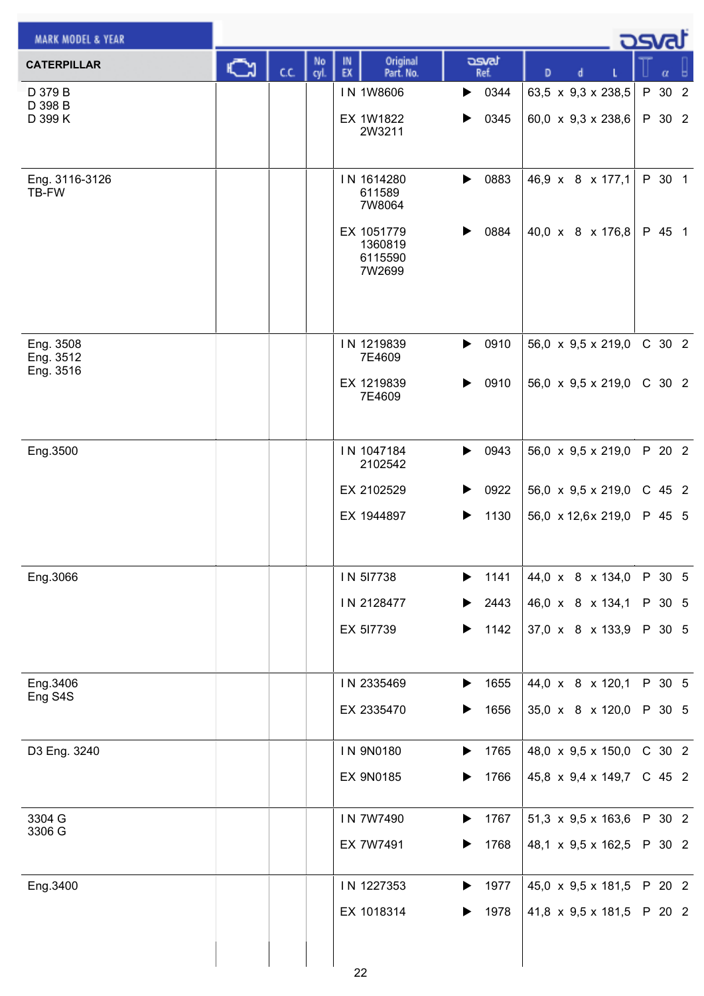| <b>MARK MODEL &amp; YEAR</b> |      |            |                                            |                               |                                  | <u>asva</u> |
|------------------------------|------|------------|--------------------------------------------|-------------------------------|----------------------------------|-------------|
| <b>CATERPILLAR</b>           | C.C. | No<br>cyl. | Original<br>IN<br>EX<br>Part. No.          | asvat<br>Ref.                 | D<br>d                           | α           |
| D 379 B<br>D 398 B           |      |            | IN 1W8606                                  | 0344<br>▶                     | 63,5 x 9,3 x 238,5               | P 30 2      |
| D 399 K                      |      |            | EX 1W1822<br>2W3211                        | 0345<br>▶                     | 60,0 x 9,3 x 238,6               | P 30 2      |
| Eng. 3116-3126<br>TB-FW      |      |            | IN 1614280<br>611589<br>7W8064             | 0883<br>▶                     | 46,9 x 8 x 177,1                 | P 30 1      |
|                              |      |            | EX 1051779<br>1360819<br>6115590<br>7W2699 | 0884<br>▶                     | 40,0 x 8 x 176,8                 | P 45 1      |
| Eng. 3508                    |      |            | IN 1219839                                 | 0910<br>$\blacktriangleright$ | 56,0 $\times$ 9,5 $\times$ 219,0 | C 30 2      |
| Eng. 3512<br>Eng. 3516       |      |            | 7E4609                                     |                               |                                  |             |
|                              |      |            | EX 1219839<br>7E4609                       | 0910<br>▶                     | 56,0 $\times$ 9,5 $\times$ 219,0 | C 30 2      |
| Eng.3500                     |      |            | IN 1047184<br>2102542                      | 0943<br>$\blacktriangleright$ | 56,0 x 9,5 x 219,0               | P 20 2      |
|                              |      |            | EX 2102529                                 | 0922<br>▶                     | 56,0 $\times$ 9,5 $\times$ 219,0 | C 45 2      |
|                              |      |            | EX 1944897                                 | 1130<br>▶                     | 56,0 x 12,6x 219,0               | P 45 5      |
| Eng.3066                     |      |            | IN 517738                                  | 1141                          | 44,0 x 8 x 134,0                 | P 30 5      |
|                              |      |            | IN 2128477                                 | 2443<br>▶                     | 46,0 x 8 x 134,1                 | P 30 5      |
|                              |      |            | EX 517739                                  | 1142<br>▶                     | 37,0 x 8 x 133,9                 | P 30 5      |
| Eng.3406                     |      |            | IN 2335469                                 | 1655<br>▶                     | 44,0 x 8 x 120,1                 | P 30 5      |
| Eng S4S                      |      |            | EX 2335470                                 | 1656<br>▶                     | 35,0 x 8 x 120,0                 | P 30 5      |
| D3 Eng. 3240                 |      |            | IN 9N0180                                  | 1765<br>▶                     | 48,0 x 9,5 x 150,0               | C 30 2      |
|                              |      |            | <b>EX 9N0185</b>                           | 1766                          | 45,8 x 9,4 x 149,7               | C 45 2      |
| 3304 G<br>3306 G             |      |            | IN 7W7490                                  | 1767<br>▶                     | 51,3 x 9,5 x 163,6               | P 30 2      |
|                              |      |            | EX 7W7491                                  | 1768<br>▶                     | 48,1 x 9,5 x 162,5               | P 30 2      |
| Eng.3400                     |      |            | IN 1227353                                 | 1977<br>▶                     | 45,0 $\times$ 9,5 $\times$ 181,5 | P 20 2      |
|                              |      |            | EX 1018314                                 | 1978<br>▶                     | 41,8 x 9,5 x 181,5               | P 20 2      |
|                              |      |            | 22                                         |                               |                                  |             |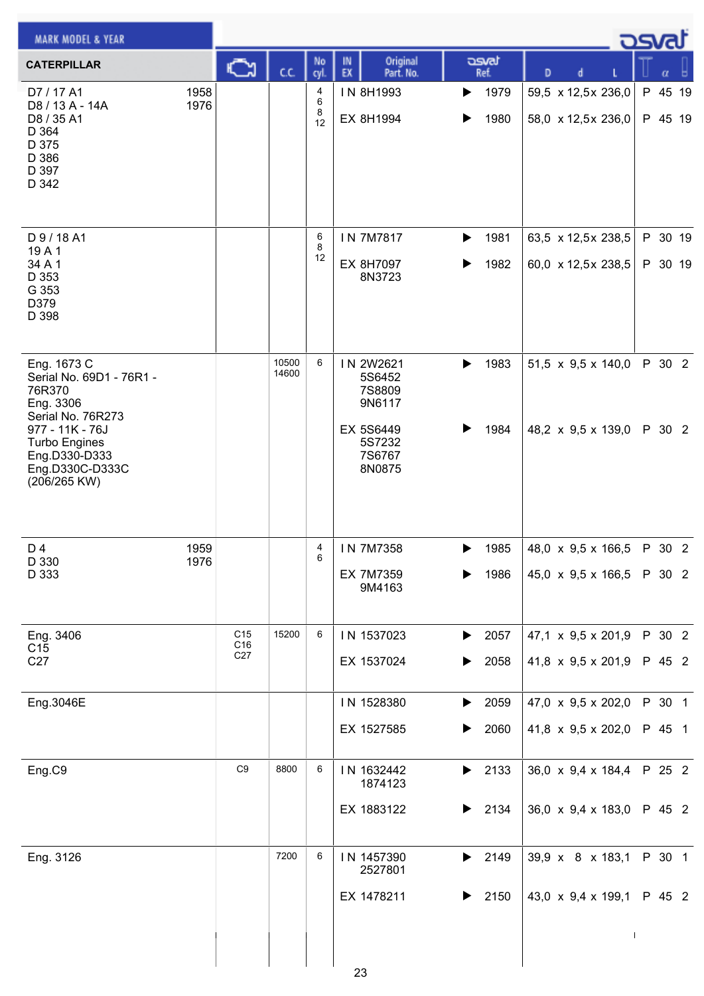| <b>MARK MODEL &amp; YEAR</b>                                                                                                                                                       |              |                                           |                |                   |                                                                                           |                                            |                                                                      | osvaľ              |  |
|------------------------------------------------------------------------------------------------------------------------------------------------------------------------------------|--------------|-------------------------------------------|----------------|-------------------|-------------------------------------------------------------------------------------------|--------------------------------------------|----------------------------------------------------------------------|--------------------|--|
| <b>CATERPILLAR</b>                                                                                                                                                                 |              | C٦                                        | CC.            | No<br>cyl.        | Original<br>IN<br>EX<br>Part. No.                                                         | asvat<br>Ref.                              | D<br>d                                                               | α                  |  |
| D7 / 17 A1<br>D8 / 13 A - 14A<br>D8 / 35 A1<br>D 364<br>D 375<br>D 386<br>D 397<br>D 342                                                                                           | 1958<br>1976 |                                           |                | 4<br>6<br>8<br>12 | IN 8H1993<br>EX 8H1994                                                                    | 1979<br>▶<br>1980<br>▶                     | 59,5 x 12,5x 236,0<br>58,0 x 12,5x 236,0                             | P 45 19<br>P 45 19 |  |
| D 9 / 18 A1<br>19A1<br>34 A 1<br>D 353<br>G 353<br>D379<br>D 398                                                                                                                   |              |                                           |                | 6<br>8<br>12      | IN 7M7817<br>EX 8H7097<br>8N3723                                                          | 1981<br>▶<br>1982<br>▶                     | 63,5 x 12,5x 238,5<br>60,0 x 12,5x 238,5                             | P 30 19<br>P 30 19 |  |
| Eng. 1673 C<br>Serial No. 69D1 - 76R1 -<br>76R370<br>Eng. 3306<br>Serial No. 76R273<br>977 - 11K - 76J<br><b>Turbo Engines</b><br>Eng.D330-D333<br>Eng.D330C-D333C<br>(206/265 KW) |              |                                           | 10500<br>14600 | 6                 | IN 2W2621<br>5S6452<br><b>7S8809</b><br>9N6117<br>EX 5S6449<br>5S7232<br>7S6767<br>8N0875 | 1983<br>$\blacktriangleright$<br>1984<br>▶ | 51,5 x 9,5 x 140,0<br>48,2 x 9,5 x 139,0                             | P 30 2<br>P 30 2   |  |
| D 4<br>D 330<br>D 333                                                                                                                                                              | 1959<br>1976 |                                           |                | 4<br>6            | IN 7M7358<br>EX 7M7359<br>9M4163                                                          | 1985<br>▶<br>1986                          | 48,0 x 9,5 x 166,5<br>45,0 $\times$ 9,5 $\times$ 166,5               | P 30 2<br>P 30 2   |  |
| Eng. 3406<br>C <sub>15</sub><br>C27                                                                                                                                                |              | C <sub>15</sub><br>C16<br>C <sub>27</sub> | 15200          | 6                 | IN 1537023<br>EX 1537024                                                                  | 2057<br>▶<br>2058<br>▶                     | 47,1 x 9,5 x 201,9<br>41,8 x 9,5 x 201,9                             | P 30 2<br>P 45 2   |  |
| Eng.3046E                                                                                                                                                                          |              |                                           |                |                   | IN 1528380<br>EX 1527585                                                                  | 2059<br>▶<br>2060<br>▶                     | 47,0 x 9,5 x 202,0<br>41,8 x 9,5 x 202,0                             | P 30 1<br>P 45 1   |  |
| Eng.C9                                                                                                                                                                             |              | C <sub>9</sub>                            | 8800           | 6                 | IN 1632442<br>1874123<br>EX 1883122                                                       | $\blacktriangleright$ 2133<br>2134<br>▶    | 36,0 $\times$ 9,4 $\times$ 184,4<br>36,0 $\times$ 9,4 $\times$ 183,0 | P 25 2<br>P 45 2   |  |
| Eng. 3126                                                                                                                                                                          |              |                                           | 7200           | 6                 | IN 1457390<br>2527801<br>EX 1478211<br>23                                                 | 2149<br>▶<br>2150<br>▶                     | 39,9 x 8 x 183,1<br>43,0 x 9,4 x 199,1                               | P 30 1<br>P 45 2   |  |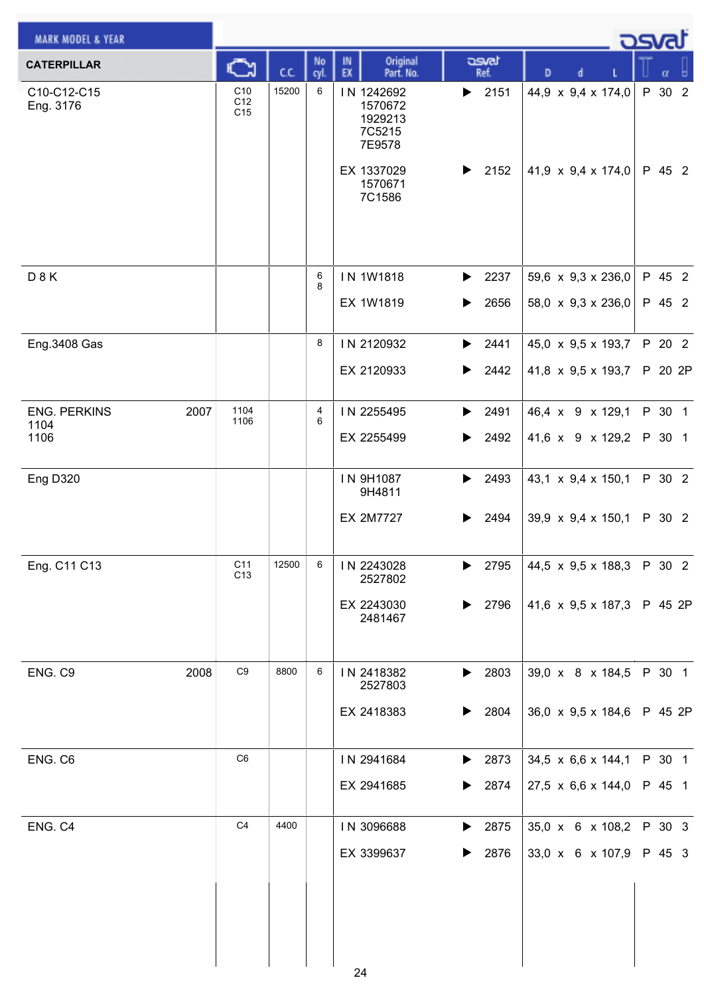| <b>MARK MODEL &amp; YEAR</b>        |                               |       |            |                                                      |                               |                                  | <b>DSvat</b> |
|-------------------------------------|-------------------------------|-------|------------|------------------------------------------------------|-------------------------------|----------------------------------|--------------|
| <b>CATERPILLAR</b>                  | C                             | C.C.  | No<br>cyl. | Original<br>IN<br>EX<br>Part. No.                    | asvat<br>Ref.                 | D<br>d                           | $\alpha$     |
| C10-C12-C15<br>Eng. 3176            | C10<br>C12<br>C <sub>15</sub> | 15200 | 6          | IN 1242692<br>1570672<br>1929213<br>7C5215<br>7E9578 | $\blacktriangleright$ 2151    | 44,9 x 9,4 x 174,0               | P 30 2       |
|                                     |                               |       |            | EX 1337029<br>1570671<br>7C1586                      | 2152<br>▶                     | 41,9 $\times$ 9,4 $\times$ 174,0 | P 45 2       |
| D 8 K                               |                               |       | 6<br>8     | IN 1W1818                                            | 2237<br>▶                     | 59,6 $\times$ 9,3 $\times$ 236,0 | P 45 2       |
|                                     |                               |       |            | EX 1W1819                                            | 2656<br>▶                     | 58,0 x 9,3 x 236,0               | P 45 2       |
| Eng.3408 Gas                        |                               |       | 8          | IN 2120932                                           | 2441<br>$\blacktriangleright$ | 45,0 x 9,5 x 193,7               | P 20 2       |
|                                     |                               |       |            | EX 2120933                                           | 2442<br>▶                     | 41,8 x 9,5 x 193,7               | P 20 2P      |
| <b>ENG. PERKINS</b><br>2007<br>1104 | 1104<br>1106                  |       | 4<br>6     | IN 2255495                                           | 2491<br>▶                     | 46,4 x 9 x 129,1                 | P 30 1       |
| 1106                                |                               |       |            | EX 2255499                                           | 2492<br>▶                     | 41,6 x 9 x 129,2                 | P 30 1       |
| Eng D320                            |                               |       |            | IN 9H1087<br>9H4811                                  | 2493<br>▶                     | 43,1 x 9,4 x 150,1               | P 30 2       |
|                                     |                               |       |            | <b>EX 2M7727</b>                                     | 2494<br>▶                     | 39,9 $\times$ 9,4 $\times$ 150,1 | P 30 2       |
| Eng. C11 C13                        | C11<br>C <sub>13</sub>        | 12500 | 6          | IN 2243028<br>2527802                                | 2795<br>▶                     | 44,5 x 9,5 x 188,3               | P 30 2       |
|                                     |                               |       |            | EX 2243030<br>2481467                                | 2796<br>▶                     | 41,6 x 9,5 x 187,3 P 45 2P       |              |
| 2008<br>ENG. C9                     | $\mathbb{C}9$                 | 8800  | 6          | IN 2418382<br>2527803                                | $\blacktriangleright$ 2803    | 39,0 x 8 x 184,5                 | P 30 1       |
|                                     |                               |       |            | EX 2418383                                           | 2804<br>▶                     | 36,0 $\times$ 9,5 $\times$ 184,6 | P 45 2P      |
| ENG. C6                             | C6                            |       |            | IN 2941684                                           | 2873<br>$\blacktriangleright$ | 34,5 x 6,6 x 144,1               | P 30 1       |
|                                     |                               |       |            | EX 2941685                                           | 2874<br>▶                     | 27,5 $\times$ 6,6 $\times$ 144,0 | P 45 1       |
| ENG. C4                             | C <sub>4</sub>                | 4400  |            | IN 3096688                                           | 2875<br>▶                     | 35,0 x 6 x 108,2                 | P 30 3       |
|                                     |                               |       |            | EX 3399637                                           | 2876<br>▶                     | 33,0 x 6 x 107,9                 | P 45 3       |
|                                     |                               |       |            | 24                                                   |                               |                                  |              |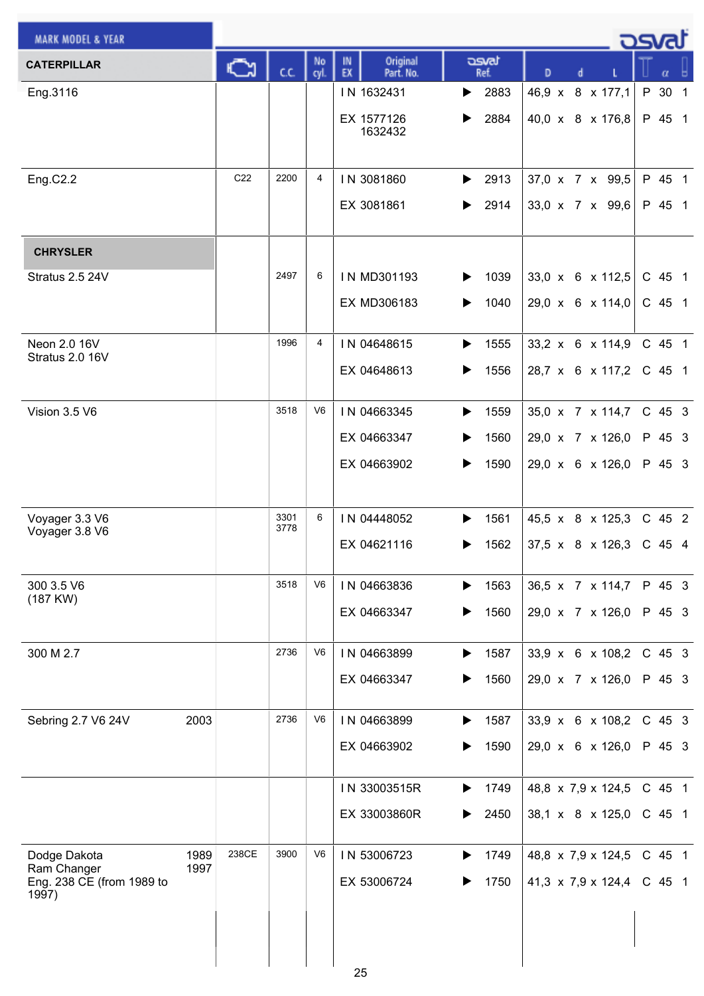| <b>MARK MODEL &amp; YEAR</b>             |                 |              |                |                                   |                               |                                  | asvat                  |
|------------------------------------------|-----------------|--------------|----------------|-----------------------------------|-------------------------------|----------------------------------|------------------------|
| <b>CATERPILLAR</b>                       | C٦              | C.C.         | No<br>cyl.     | IN<br>Original<br>EX<br>Part. No. | asvat<br>Ref.                 | D                                |                        |
| Eng.3116                                 |                 |              |                | IN 1632431                        | 2883<br>▶                     | 46,9 x 8 x 177,1                 | P 30<br>$\overline{1}$ |
|                                          |                 |              |                | EX 1577126                        | 2884<br>▶                     | 40,0 x 8 x 176,8                 | P 45 1                 |
|                                          |                 |              |                | 1632432                           |                               |                                  |                        |
| Eng.C2.2                                 | C <sub>22</sub> | 2200         | 4              | IN 3081860                        | 2913<br>▶                     | 37,0 x 7 x 99,5                  | P 45 1                 |
|                                          |                 |              |                | EX 3081861                        | 2914<br>▶                     | 33,0 x 7 x 99,6                  | P 45 1                 |
|                                          |                 |              |                |                                   |                               |                                  |                        |
| <b>CHRYSLER</b>                          |                 |              |                |                                   |                               |                                  |                        |
| Stratus 2.5 24V                          |                 | 2497         | 6              | IN MD301193                       | 1039<br>▶                     | 33,0 x 6 x 112,5                 | $C$ 45 1               |
|                                          |                 |              |                | EX MD306183                       | 1040<br>▶                     | 29,0 x 6 x 114,0                 | $C$ 45 1               |
| Neon 2.0 16V                             |                 | 1996         | $\overline{4}$ | IN 04648615                       | 1555<br>▶                     | 33,2 x 6 x 114,9                 | C 45 1                 |
| Stratus 2.0 16V                          |                 |              |                | EX 04648613                       | ▶<br>1556                     | 28,7 x 6 x 117,2                 | $C$ 45 1               |
|                                          |                 |              |                |                                   |                               |                                  |                        |
| Vision 3.5 V6                            |                 | 3518         | V <sub>6</sub> | IN 04663345                       | $\blacktriangleright$<br>1559 | 35,0 x 7 x 114,7                 | C 45 3                 |
|                                          |                 |              |                | EX 04663347                       | ▶<br>1560                     | 29,0 x 7 x 126,0                 | P 45 3                 |
|                                          |                 |              |                | EX 04663902                       | 1590<br>▶                     | 29,0 x 6 x 126,0                 | P 45 3                 |
|                                          |                 |              |                |                                   |                               |                                  |                        |
| Voyager 3.3 V6<br>Voyager 3.8 V6         |                 | 3301<br>3778 | 6              | IN 04448052                       | 1561<br>▶                     | 45,5 x 8 x 125,3                 | $C$ 45 2               |
|                                          |                 |              |                | EX 04621116                       | 1562<br>▶                     | $37,5 \times 8 \times 126,3$     | $C$ 45 4               |
| 300 3.5 V6                               |                 | 3518         | V <sub>6</sub> | IN 04663836                       | 1563<br>▶                     | 36,5 x 7 x 114,7                 | P 45 3                 |
| (187 KW)                                 |                 |              |                | EX 04663347                       | 1560<br>▶                     | 29,0 x 7 x 126,0                 | P 45 3                 |
|                                          |                 |              |                |                                   |                               |                                  |                        |
| 300 M 2.7                                |                 | 2736         | V6             | IN 04663899                       | 1587<br>$\blacktriangleright$ | 33,9 x 6 x 108,2                 | C 45 3                 |
|                                          |                 |              |                | EX 04663347                       | 1560<br>▶                     | 29,0 x 7 x 126,0                 | P 45 3                 |
| Sebring 2.7 V6 24V                       | 2003            | 2736         | V <sub>6</sub> | IN 04663899                       | 1587<br>▶                     | 33,9 x 6 x 108,2                 | C 45 3                 |
|                                          |                 |              |                | EX 04663902                       | 1590<br>▶                     | 29,0 x 6 x 126,0                 | P 45 3                 |
|                                          |                 |              |                |                                   |                               |                                  |                        |
|                                          |                 |              |                | IN 33003515R                      | 1749<br>▶                     | 48,8 x 7,9 x 124,5               | C 45 1                 |
|                                          |                 |              |                | EX 33003860R                      | 2450<br>▶                     | 38,1 x 8 x 125,0                 | $C$ 45 1               |
| Dodge Dakota                             | 238CE<br>1989   | 3900         | V <sub>6</sub> | IN 53006723                       | 1749<br>▶                     | 48,8 x 7,9 x 124,5               | C 45 1                 |
| Ram Changer<br>Eng. 238 CE (from 1989 to | 1997            |              |                | EX 53006724                       | 1750                          | 41,3 $\times$ 7,9 $\times$ 124,4 | $C$ 45 1               |
| 1997)                                    |                 |              |                |                                   |                               |                                  |                        |
|                                          |                 |              |                |                                   |                               |                                  |                        |
|                                          |                 |              |                |                                   |                               |                                  |                        |
|                                          |                 |              |                | 25                                |                               |                                  |                        |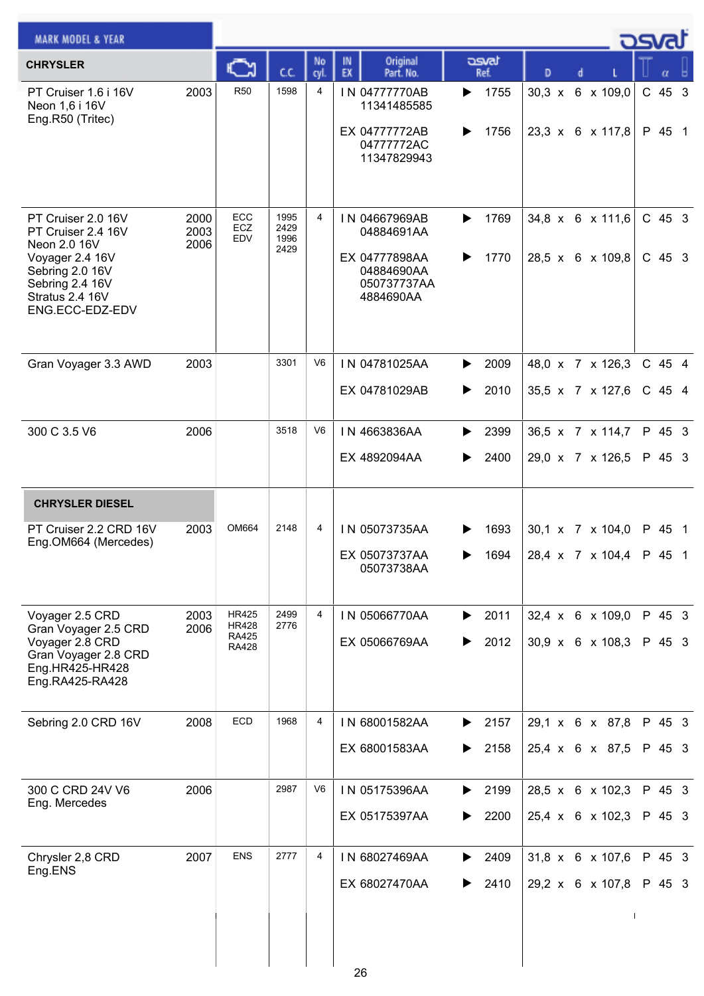| <b>MARK MODEL &amp; YEAR</b>                                                  |                      |                              |                              |                |                                               |                        |                                                    | <u>osvaľ</u> |                  |  |
|-------------------------------------------------------------------------------|----------------------|------------------------------|------------------------------|----------------|-----------------------------------------------|------------------------|----------------------------------------------------|--------------|------------------|--|
| <b>CHRYSLER</b>                                                               |                      | C                            | C.C.                         | No<br>cyl.     | Original<br>IN<br>EX<br>Part. No.             | asvat<br>Ref.          | D<br>d                                             |              |                  |  |
| PT Cruiser 1.6 i 16V<br>Neon 1,6 i 16V<br>Eng.R50 (Tritec)                    | 2003                 | <b>R50</b>                   | 1598                         | 4              | IN 04777770AB<br>11341485585<br>EX 04777772AB | 1755<br>▶<br>1756<br>▶ | 30,3 x 6 x 109,0<br>23,3 $\times$ 6 $\times$ 117,8 |              | C 45 3<br>P 45 1 |  |
|                                                                               |                      |                              |                              |                | 04777772AC<br>11347829943                     |                        |                                                    |              |                  |  |
| PT Cruiser 2.0 16V<br>PT Cruiser 2.4 16V<br>Neon 2.0 16V<br>Voyager 2.4 16V   | 2000<br>2003<br>2006 | ECC<br>ECZ<br>EDV            | 1995<br>2429<br>1996<br>2429 | 4              | IN 04667969AB<br>04884691AA<br>EX 04777898AA  | 1769<br>▶<br>1770<br>▶ | $34,8 \times 6 \times 111,6$<br>28,5 x 6 x 109,8   |              | C 45 3<br>C 45 3 |  |
| Sebring 2.0 16V<br>Sebring 2.4 16V<br>Stratus 2.4 16V<br>ENG.ECC-EDZ-EDV      |                      |                              |                              |                | 04884690AA<br>050737737AA<br>4884690AA        |                        |                                                    |              |                  |  |
| Gran Voyager 3.3 AWD                                                          | 2003                 |                              | 3301                         | V <sub>6</sub> | IN 04781025AA                                 | 2009<br>▶              | 48,0 x 7 x 126,3                                   |              | C 45 4           |  |
|                                                                               |                      |                              |                              |                | EX 04781029AB                                 | 2010<br>▶              | 35,5 x 7 x 127,6                                   |              | $C$ 45 4         |  |
| 300 C 3.5 V6                                                                  | 2006                 |                              | 3518                         | V6             | IN 4663836AA                                  | 2399<br>▶              | 36,5 x 7 x 114,7                                   |              | P 45 3           |  |
|                                                                               |                      |                              |                              |                | EX 4892094AA                                  | 2400<br>▶              | 29,0 x 7 x 126,5                                   |              | P 45 3           |  |
| <b>CHRYSLER DIESEL</b>                                                        |                      |                              |                              |                |                                               |                        |                                                    |              |                  |  |
| PT Cruiser 2.2 CRD 16V<br>Eng.OM664 (Mercedes)                                | 2003                 | OM664                        | 2148                         | 4              | IN 05073735AA                                 | 1693<br>▶              | 30,1 x 7 x 104,0                                   |              | P 45 1           |  |
|                                                                               |                      |                              |                              |                | EX 05073737AA<br>05073738AA                   | 1694                   | $ 28,4 \times 7 \times 104,4 $ P 45 1              |              |                  |  |
| Voyager 2.5 CRD<br>Gran Voyager 2.5 CRD                                       | 2003<br>2006         | <b>HR425</b><br><b>HR428</b> | 2499<br>2776                 | 4              | IN 05066770AA                                 | 2011<br>▶              | 32,4 x 6 x 109,0                                   |              | P 45 3           |  |
| Voyager 2.8 CRD<br>Gran Voyager 2.8 CRD<br>Eng.HR425-HR428<br>Eng.RA425-RA428 |                      | <b>RA425</b><br><b>RA428</b> |                              |                | EX 05066769AA                                 | 2012<br>▶              | 30,9 x 6 x 108,3                                   |              | P 45 3           |  |
| Sebring 2.0 CRD 16V                                                           | 2008                 | ECD                          | 1968                         | 4              | IN 68001582AA                                 | 2157<br>▶              | 29,1 x 6 x 87,8                                    |              | P 45 3           |  |
|                                                                               |                      |                              |                              |                | EX 68001583AA                                 | 2158                   | 25,4 x 6 x 87,5                                    |              | P 45 3           |  |
| 300 C CRD 24V V6<br>Eng. Mercedes                                             | 2006                 |                              | 2987                         | V6             | IN 05175396AA                                 | 2199                   | 28,5 x 6 x 102,3                                   |              | P 45 3           |  |
|                                                                               |                      |                              |                              |                | EX 05175397AA                                 | 2200<br>▶              | 25,4 x 6 x 102,3                                   |              | P 45 3           |  |
| Chrysler 2,8 CRD<br>Eng.ENS                                                   | 2007                 | <b>ENS</b>                   | 2777                         | 4              | IN 68027469AA                                 | 2409                   | 31,8 x 6 x 107,6                                   |              | P 45 3           |  |
|                                                                               |                      |                              |                              |                | EX 68027470AA                                 | 2410<br>▶              | 29,2 x 6 x 107,8                                   |              | P 45 3           |  |
|                                                                               |                      |                              |                              |                | 26                                            |                        |                                                    |              |                  |  |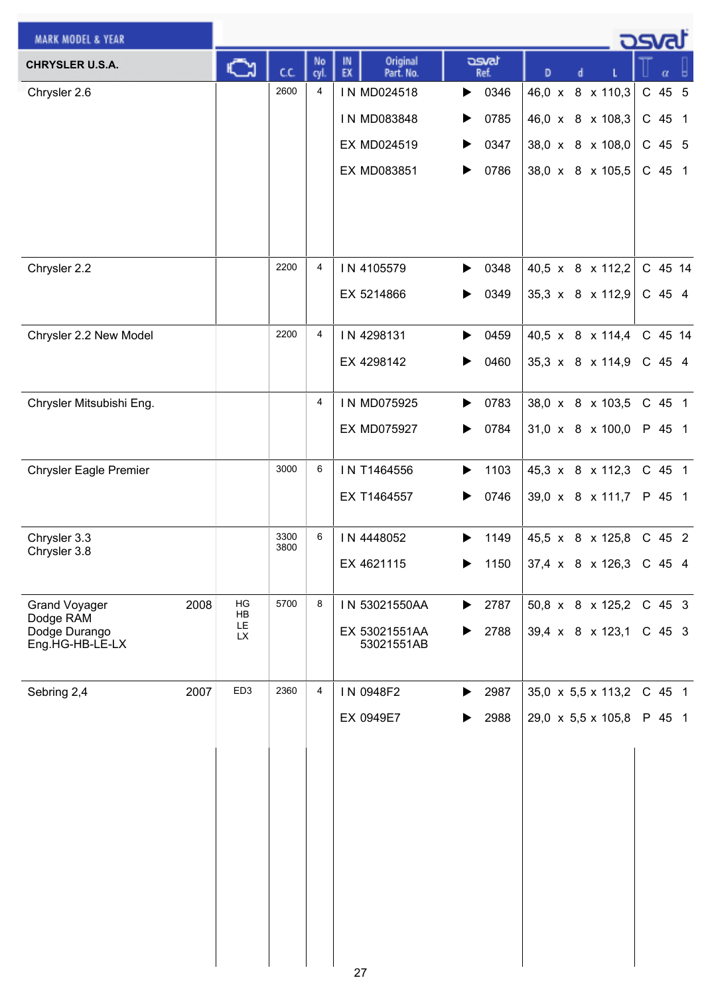| <b>MARK MODEL &amp; YEAR</b>  |      |                 |              |            |                                   |                               |                                  |  | كت المحد |  |
|-------------------------------|------|-----------------|--------------|------------|-----------------------------------|-------------------------------|----------------------------------|--|----------|--|
| <b>CHRYSLER U.S.A.</b>        |      |                 | cc           | No<br>cyl. | Original<br>IN<br>EX<br>Part. No. | asvat<br>Ref.                 | D                                |  | α        |  |
| Chrysler 2.6                  |      |                 | 2600         | 4          | IN MD024518                       | 0346<br>▶                     | 46,0 x 8 x 110,3                 |  | C 45 5   |  |
|                               |      |                 |              |            | IN MD083848                       | 0785<br>▶                     | 46,0 x 8 x 108,3                 |  | C 45 1   |  |
|                               |      |                 |              |            | EX MD024519                       | 0347                          | 38,0 x 8 x 108,0                 |  | C 45 5   |  |
|                               |      |                 |              |            | EX MD083851                       | $\blacktriangleright$<br>0786 | 38,0 x 8 x 105,5                 |  | C 45 1   |  |
|                               |      |                 |              |            |                                   |                               |                                  |  |          |  |
|                               |      |                 |              |            |                                   |                               |                                  |  |          |  |
|                               |      |                 |              |            |                                   |                               |                                  |  |          |  |
| Chrysler 2.2                  |      |                 | 2200         | 4          | IN 4105579                        | 0348<br>▶                     | 40,5 x 8 x 112,2                 |  | C 45 14  |  |
|                               |      |                 |              |            | EX 5214866                        | 0349<br>▶                     | 35,3 x 8 x 112,9                 |  | C 45 4   |  |
| Chrysler 2.2 New Model        |      |                 | 2200         | 4          | IN 4298131                        | 0459<br>▶                     | 40,5 x 8 x 114,4                 |  | C 45 14  |  |
|                               |      |                 |              |            | EX 4298142                        | 0460<br>▶                     | 35,3 x 8 x 114,9                 |  | C 45 4   |  |
|                               |      |                 |              |            |                                   |                               |                                  |  |          |  |
| Chrysler Mitsubishi Eng.      |      |                 |              | 4          | IN MD075925                       | 0783<br>▶                     | 38,0 x 8 x 103,5                 |  | C 45 1   |  |
|                               |      |                 |              |            | <b>EX MD075927</b>                | 0784                          | 31,0 x 8 x 100,0                 |  | P 45 1   |  |
| <b>Chrysler Eagle Premier</b> |      |                 | 3000         | 6          | IN T1464556                       | 1103<br>▶                     | 45,3 x 8 x 112,3                 |  | C 45 1   |  |
|                               |      |                 |              |            | EX T1464557                       | 0746<br>▶                     | 39,0 x 8 x 111,7                 |  | P 45 1   |  |
|                               |      |                 |              |            |                                   |                               |                                  |  |          |  |
| Chrysler 3.3<br>Chrysler 3.8  |      |                 | 3300<br>3800 | 6          | IN 4448052                        | 1149<br>▶                     | 45,5 x 8 x 125,8                 |  | C 45 2   |  |
|                               |      |                 |              |            | EX 4621115                        | 1150                          | 37,4 x 8 x 126,3                 |  | C 45 4   |  |
| <b>Grand Voyager</b>          | 2008 | HG              | 5700         | 8          | IN 53021550AA                     | 2787<br>▶                     | 50,8 x 8 x 125,2                 |  | $C$ 45 3 |  |
| Dodge RAM<br>Dodge Durango    |      | HB<br>LE        |              |            | EX 53021551AA                     | 2788<br>▶                     | 39,4 x 8 x 123,1                 |  | C 45 3   |  |
| Eng.HG-HB-LE-LX               |      | LX.             |              |            | 53021551AB                        |                               |                                  |  |          |  |
|                               |      |                 |              |            |                                   |                               |                                  |  |          |  |
| Sebring 2,4                   | 2007 | ED <sub>3</sub> | 2360         | 4          | IN 0948F2                         | 2987<br>▶                     | 35,0 $\times$ 5,5 $\times$ 113,2 |  | C 45 1   |  |
|                               |      |                 |              |            | EX 0949E7                         | 2988                          | 29,0 x 5,5 x 105,8               |  | P 45 1   |  |
|                               |      |                 |              |            |                                   |                               |                                  |  |          |  |
|                               |      |                 |              |            |                                   |                               |                                  |  |          |  |
|                               |      |                 |              |            |                                   |                               |                                  |  |          |  |
|                               |      |                 |              |            |                                   |                               |                                  |  |          |  |
|                               |      |                 |              |            |                                   |                               |                                  |  |          |  |
|                               |      |                 |              |            |                                   |                               |                                  |  |          |  |
|                               |      |                 |              |            |                                   |                               |                                  |  |          |  |
|                               |      |                 |              |            |                                   |                               |                                  |  |          |  |
|                               |      |                 |              |            |                                   |                               |                                  |  |          |  |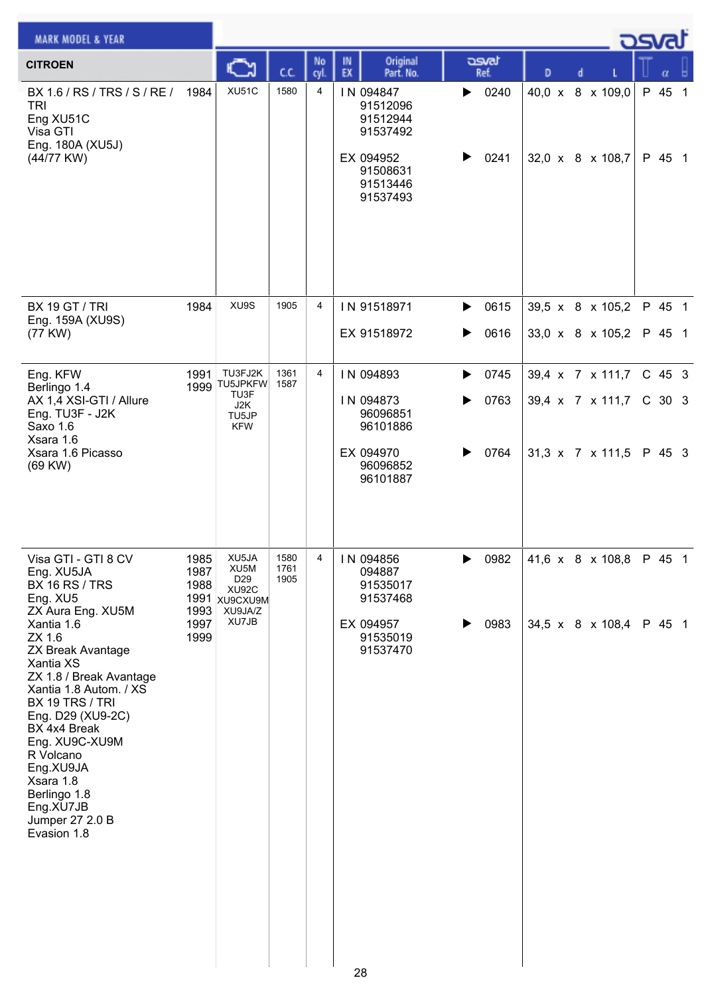| <b>MARK MODEL &amp; YEAR</b>                                                                                                                                                                                                                                                                                                   |                      |                                                            |                      |                |          |                                                                                                |   |               |               |  |                               | <u>osvaľ</u> |                  |  |
|--------------------------------------------------------------------------------------------------------------------------------------------------------------------------------------------------------------------------------------------------------------------------------------------------------------------------------|----------------------|------------------------------------------------------------|----------------------|----------------|----------|------------------------------------------------------------------------------------------------|---|---------------|---------------|--|-------------------------------|--------------|------------------|--|
| <b>CITROEN</b>                                                                                                                                                                                                                                                                                                                 |                      |                                                            |                      | No<br>cyl.     | IN<br>EX | Original<br>Part. No.                                                                          |   | asvat<br>Ref. | D             |  |                               |              |                  |  |
| BX 1.6 / RS / TRS / S / RE / 1984<br><b>TRI</b><br>Eng XU51C<br>Visa GTI<br>Eng. 180A (XU5J)<br>(44/77 KW)                                                                                                                                                                                                                     |                      | XU51C                                                      | 1580                 | $\overline{4}$ |          | IN 094847<br>91512096<br>91512944<br>91537492<br>EX 094952<br>91508631<br>91513446<br>91537493 | ▶ | 0240<br>0241  | $40,0 \times$ |  | 8 x 109,0<br>32,0 x 8 x 108,7 |              | P 45 1<br>P 45 1 |  |
|                                                                                                                                                                                                                                                                                                                                |                      |                                                            |                      |                |          |                                                                                                |   |               |               |  |                               |              |                  |  |
| <b>BX 19 GT / TRI</b><br>Eng. 159A (XU9S)                                                                                                                                                                                                                                                                                      | 1984                 | XU9S                                                       | 1905                 | 4              |          | IN 91518971                                                                                    | ▶ | 0615          |               |  | 39,5 x 8 x 105,2              |              | P 45 1           |  |
| (77 KW)                                                                                                                                                                                                                                                                                                                        |                      |                                                            |                      |                |          | EX 91518972                                                                                    | ▶ | 0616          |               |  | 33,0 x 8 x 105,2              |              | P 45 1           |  |
| Eng. KFW                                                                                                                                                                                                                                                                                                                       | 1991                 | TU3FJ2K<br><b>TU5JPKFW</b>                                 | 1361<br>1587         | $\overline{4}$ |          | IN 094893                                                                                      | ▶ | 0745          |               |  | 39,4 x 7 x 111,7              |              | C 45 3           |  |
| Berlingo 1.4<br>AX 1,4 XSI-GTI / Allure<br>Eng. TU3F - J2K<br>Saxo 1.6<br>Xsara 1.6                                                                                                                                                                                                                                            | 1999                 | TU3F<br>J2K<br>TU5JP<br><b>KFW</b>                         |                      |                |          | IN 094873<br>96096851<br>96101886                                                              | ▶ | 0763          |               |  | 39,4 x 7 x 111,7              |              | C 30 3           |  |
| Xsara 1.6 Picasso<br>(69 KW)                                                                                                                                                                                                                                                                                                   |                      |                                                            |                      |                |          | EX 094970<br>96096852<br>96101887                                                              |   | 0764          |               |  | 31,3 x 7 x 111,5              |              | P 45 3           |  |
| Visa GTI - GTI 8 CV<br>Eng. XU5JA<br><b>BX 16 RS / TRS</b><br>Eng. XU5                                                                                                                                                                                                                                                         | 1985<br>1987<br>1988 | XU5JA<br>XU5M<br>D <sub>29</sub><br>XU92C<br>1991 xugcxugM | 1580<br>1761<br>1905 | $\overline{4}$ |          | IN 094856<br>094887<br>91535017<br>91537468                                                    |   | 0982          |               |  | 41,6 x 8 x 108,8 P 45 1       |              |                  |  |
| ZX Aura Eng. XU5M<br>Xantia 1.6<br>ZX 1.6<br><b>ZX Break Avantage</b><br>Xantia XS<br>ZX 1.8 / Break Avantage<br>Xantia 1.8 Autom. / XS<br><b>BX 19 TRS / TRI</b><br>Eng. D29 (XU9-2C)<br>BX 4x4 Break<br>Eng. XU9C-XU9M<br>R Volcano<br>Eng.XU9JA<br>Xsara 1.8<br>Berlingo 1.8<br>Eng.XU7JB<br>Jumper 27 2.0 B<br>Evasion 1.8 | 1993<br>1997<br>1999 | XU9JA/Z<br>XU7JB                                           |                      |                | 28       | EX 094957<br>91535019<br>91537470                                                              | ▶ | 0983          |               |  | 34,5 x 8 x 108,4              |              | P 45 1           |  |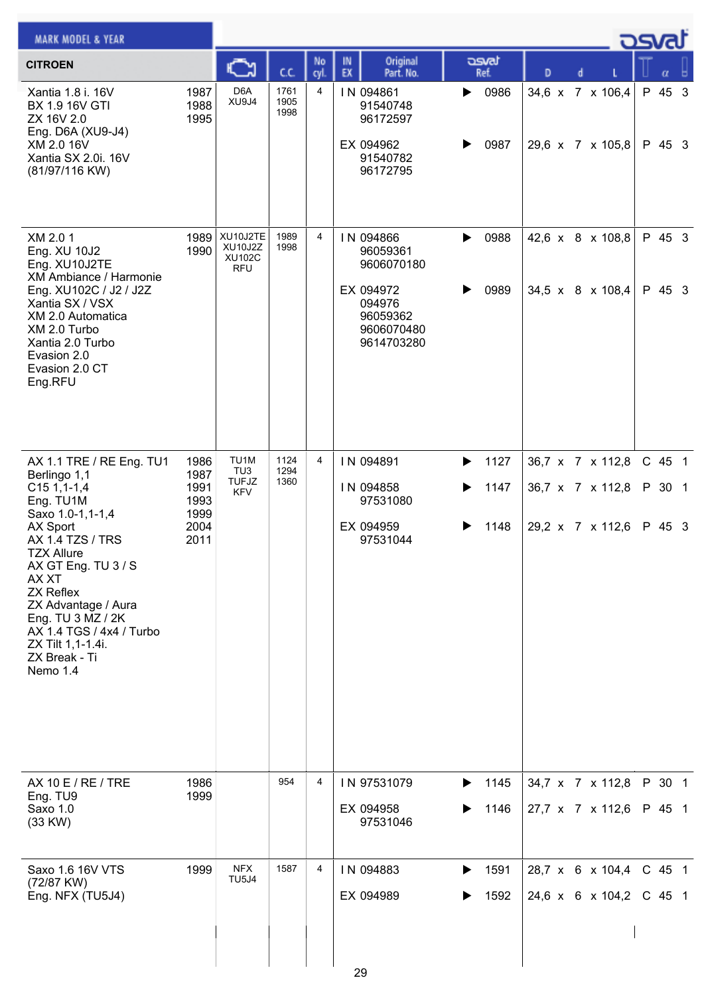| <b>MARK MODEL &amp; YEAR</b>                                                                                                                                                                                                                                                                                                        |                                                      |                                                        |                      |                |                                                                                                    |                                |                                                          |  | ك <i>osva</i> d            |  |
|-------------------------------------------------------------------------------------------------------------------------------------------------------------------------------------------------------------------------------------------------------------------------------------------------------------------------------------|------------------------------------------------------|--------------------------------------------------------|----------------------|----------------|----------------------------------------------------------------------------------------------------|--------------------------------|----------------------------------------------------------|--|----------------------------|--|
| <b>CITROEN</b>                                                                                                                                                                                                                                                                                                                      |                                                      | C                                                      | C.C.                 | No<br>cyl.     | Original<br>IN<br>EX<br>Part. No.                                                                  | asvat<br>Ref.                  | D<br>d                                                   |  |                            |  |
| Xantia 1.8 i. 16V<br>BX 1.9 16V GTI<br>ZX 16V 2.0<br>Eng. D6A (XU9-J4)<br>XM 2.0 16V<br>Xantia SX 2.0i. 16V<br>(81/97/116 KW)                                                                                                                                                                                                       | 1987<br>1988<br>1995                                 | D <sub>6</sub> A<br>XU9J4                              | 1761<br>1905<br>1998 | 4              | IN 094861<br>91540748<br>96172597<br>EX 094962<br>91540782<br>96172795                             | 0986<br>▶<br>0987<br>▶         | 34,6 x 7 x 106,4<br>29,6 x 7 x 105,8                     |  | P 45 3<br>P 45 3           |  |
| XM 2.0 1<br>Eng. XU 10J2<br>Eng. XU10J2TE<br>XM Ambiance / Harmonie<br>Eng. XU102C / J2 / J2Z<br>Xantia SX / VSX<br>XM 2.0 Automatica<br>XM 2.0 Turbo<br>Xantia 2.0 Turbo<br>Evasion 2.0<br>Evasion 2.0 CT<br>Eng.RFU                                                                                                               | 1989<br>1990                                         | XU10J2TE<br>XU10J2Z<br><b>XU102C</b><br><b>RFU</b>     | 1989<br>1998         | 4              | IN 094866<br>96059361<br>9606070180<br>EX 094972<br>094976<br>96059362<br>9606070480<br>9614703280 | 0988<br>▶<br>0989<br>▶         | 42,6 x 8 x 108,8<br>34,5 x 8 x 108,4                     |  | P 45 3<br>P 45 3           |  |
| AX 1.1 TRE / RE Eng. TU1<br>Berlingo 1,1<br>$C151,1-1,4$<br>Eng. TU1M<br>Saxo 1.0-1,1-1,4<br>AX Sport<br><b>AX 1.4 TZS / TRS</b><br><b>TZX Allure</b><br>AX GT Eng. TU 3 / S<br>AX XT<br><b>ZX Reflex</b><br>ZX Advantage / Aura<br>Eng. TU 3 MZ / 2K<br>AX 1.4 TGS / 4x4 / Turbo<br>ZX Tilt 1,1-1.4i.<br>ZX Break - Ti<br>Nemo 1.4 | 1986<br>1987<br>1991<br>1993<br>1999<br>2004<br>2011 | TU <sub>1</sub> M<br>TU3<br><b>TUFJZ</b><br><b>KFV</b> | 1124<br>1294<br>1360 | $\overline{4}$ | IN 094891<br>IN 094858<br>97531080<br>EX 094959<br>97531044                                        | 1127<br>▶<br>1147<br>▶<br>1148 | 36,7 x 7 x 112,8<br>36,7 x 7 x 112,8<br>29,2 x 7 x 112,6 |  | C 45 1<br>P 30 1<br>P 45 3 |  |
| AX 10 E / RE / TRE<br>Eng. TU9<br>Saxo 1.0<br>(33 KW)                                                                                                                                                                                                                                                                               | 1986<br>1999                                         |                                                        | 954                  | 4              | IN 97531079<br>EX 094958<br>97531046                                                               | 1145<br>▶<br>1146              | 34,7 x 7 x 112,8<br>27,7 x 7 x 112,6                     |  | P 30 1<br>P 45 1           |  |
| Saxo 1.6 16V VTS<br>(72/87 KW)<br>Eng. NFX (TU5J4)                                                                                                                                                                                                                                                                                  | 1999                                                 | <b>NFX</b><br><b>TU5J4</b>                             | 1587                 | 4              | IN 094883<br>EX 094989<br>29                                                                       | 1591<br>▶<br>1592<br>▶         | 28,7 x 6 x 104,4<br>24,6 x 6 x 104,2                     |  | C 45 1<br>$C$ 45 1         |  |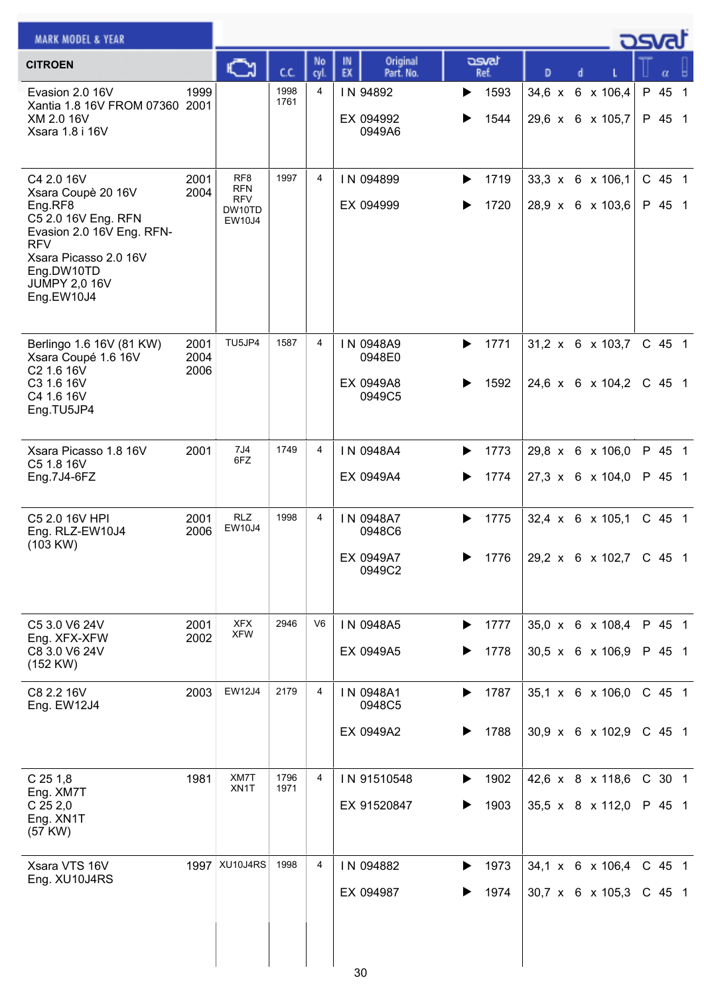| <b>MARK MODEL &amp; YEAR</b>                                                                                                                                                               |                      |                                                                        |              |                |                                            |                        |               |                                                  | osvat              |
|--------------------------------------------------------------------------------------------------------------------------------------------------------------------------------------------|----------------------|------------------------------------------------------------------------|--------------|----------------|--------------------------------------------|------------------------|---------------|--------------------------------------------------|--------------------|
| <b>CITROEN</b>                                                                                                                                                                             |                      | ⊾                                                                      | C.C.         | No<br>cyl.     | Original<br>IN<br>EX<br>Part. No.          | asvat<br>Ref.          | D             | d                                                | α                  |
| Evasion 2.0 16V<br>Xantia 1.8 16V FROM 07360 2001<br>XM 2.0 16V<br>Xsara 1.8 i 16V                                                                                                         | 1999                 |                                                                        | 1998<br>1761 | 4              | IN 94892<br>EX 094992<br>0949A6            | 1593<br>▶<br>1544      | $34,6 \times$ | 6 x 106,4<br>29,6 x 6 x 105,7                    | P 45 1<br>P 45 1   |
| C4 2.0 16V<br>Xsara Coupè 20 16V<br>Eng.RF8<br>C5 2.0 16V Eng. RFN<br>Evasion 2.0 16V Eng. RFN-<br><b>RFV</b><br>Xsara Picasso 2.0 16V<br>Eng.DW10TD<br><b>JUMPY 2,0 16V</b><br>Eng.EW10J4 | 2001<br>2004         | RF <sub>8</sub><br><b>RFN</b><br><b>RFV</b><br>DW10TD<br><b>EW10J4</b> | 1997         | $\overline{4}$ | IN 094899<br>EX 094999                     | 1719<br>▶<br>1720      |               | 33,3 x 6 x 106,1<br>28,9 x 6 x 103,6             | C 45 1<br>P 45 1   |
| Berlingo 1.6 16V (81 KW)<br>Xsara Coupé 1.6 16V<br>C2 1.6 16V<br>C3 1.6 16V<br>C4 1.6 16V<br>Eng.TU5JP4                                                                                    | 2001<br>2004<br>2006 | TU5JP4                                                                 | 1587         | 4              | IN 0948A9<br>0948E0<br>EX 0949A8<br>0949C5 | 1771<br>▶<br>1592      |               | $31,2 \times 6 \times 103,7$<br>24,6 x 6 x 104,2 | C 45 1<br>$C$ 45 1 |
| Xsara Picasso 1.8 16V<br>C5 1.8 16V<br>Eng.7J4-6FZ                                                                                                                                         | 2001                 | 7J4<br>6FZ                                                             | 1749         | 4              | IN 0948A4<br>EX 0949A4                     | 1773<br>▶<br>1774<br>▶ |               | 29,8 x 6 x 106,0<br>$27,3 \times 6 \times 104,0$ | P 45 1<br>P 45 1   |
| C5 2.0 16V HPI<br>Eng. RLZ-EW10J4<br>(103 KW)                                                                                                                                              | 2001<br>2006         | <b>RLZ</b><br>EW10J4                                                   | 1998         | 4              | IN 0948A7<br>0948C6<br>EX 0949A7<br>0949C2 | 1775<br>▶<br>1776      |               | 32,4 x 6 x 105,1<br>29,2 x 6 x 102,7 C 45 1      | C 45 1             |
| C5 3.0 V6 24V<br>Eng. XFX-XFW<br>C8 3.0 V6 24V<br>$(152$ KW $)$                                                                                                                            | 2001<br>2002         | <b>XFX</b><br><b>XFW</b>                                               | 2946         | V <sub>6</sub> | IN 0948A5<br>EX 0949A5                     | 1777<br>▶<br>1778      |               | 35,0 x 6 x 108,4<br>30,5 x 6 x 106,9             | P 45 1<br>P 45 1   |
| C8 2.2 16V<br>Eng. EW12J4                                                                                                                                                                  | 2003                 | <b>EW12J4</b>                                                          | 2179         | 4              | IN 0948A1<br>0948C5<br>EX 0949A2           | 1787<br>▶<br>1788      |               | 35,1 x 6 x 106,0<br>30,9 x 6 x 102,9             | C 45 1<br>C 45 1   |
| $C$ 25 1,8<br>Eng. XM7T<br>$C$ 25 2,0<br>Eng. XN1T<br>(57 KW)                                                                                                                              | 1981                 | XM7T<br>XN1T                                                           | 1796<br>1971 | $\overline{4}$ | IN 91510548<br>EX 91520847                 | 1902<br>1903           |               | 42,6 x 8 x 118,6<br>35,5 x 8 x 112,0             | C 30 1<br>P 45 1   |
| Xsara VTS 16V<br>Eng. XU10J4RS                                                                                                                                                             | 1997                 | XU10J4RS                                                               | 1998         | 4              | IN 094882<br>EX 094987<br>30               | 1973<br>▶<br>1974      |               | 34,1 x 6 x 106,4<br>30,7 x 6 x 105,3             | $C$ 45 1<br>C 45 1 |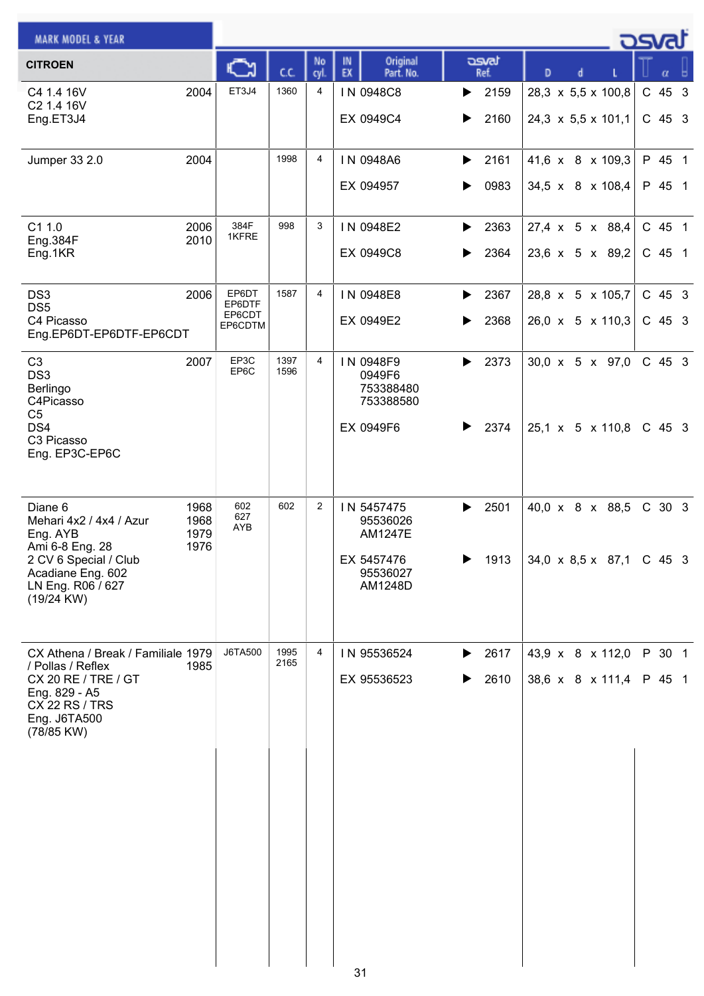| <b>MARK MODEL &amp; YEAR</b>                                                                                                                           |                              |                                      |              |                |                                                                               |                        |                                                        | <b>DSvat</b>         |
|--------------------------------------------------------------------------------------------------------------------------------------------------------|------------------------------|--------------------------------------|--------------|----------------|-------------------------------------------------------------------------------|------------------------|--------------------------------------------------------|----------------------|
| <b>CITROEN</b>                                                                                                                                         |                              |                                      | C.C.         | No<br>cyl.     | Original<br>IN<br>EX<br>Part. No.                                             | asvat<br>Ref.          | D<br>d                                                 | α                    |
| C4 1.4 16V<br>C2 1.4 16V<br>Eng.ET3J4                                                                                                                  | 2004                         | ET3J4                                | 1360         | 4              | IN 0948C8<br>EX 0949C4                                                        | 2159<br>▶<br>2160<br>▶ | 28,3 x 5,5 x 100,8<br>24,3 $\times$ 5,5 $\times$ 101,1 | C 45 3<br>C 45 3     |
| Jumper 33 2.0                                                                                                                                          | 2004                         |                                      | 1998         | $\overline{4}$ | IN 0948A6<br>EX 094957                                                        | 2161<br>▶<br>0983<br>▶ | 41,6 x 8 x 109,3<br>34,5 x 8 x 108,4                   | P 45 1<br>P 45 1     |
| C1 1.0<br>Eng.384F<br>Eng.1KR                                                                                                                          | 2006<br>2010                 | 384F<br>1KFRE                        | 998          | 3              | IN 0948E2<br>EX 0949C8                                                        | 2363<br>▶<br>2364<br>▶ | 27,4 x 5 x 88,4<br>23,6 x 5 x 89,2                     | C 45 1<br>C 45 1     |
| DS <sub>3</sub><br>DS <sub>5</sub><br>C4 Picasso<br>Eng.EP6DT-EP6DTF-EP6CDT                                                                            | 2006                         | EP6DT<br>EP6DTF<br>EP6CDT<br>EP6CDTM | 1587         | 4              | IN 0948E8<br>EX 0949E2                                                        | 2367<br>▶<br>2368<br>▶ | 28,8 x 5 x 105,7<br>26,0 x 5 x 110,3                   | $C$ 45 3<br>$C$ 45 3 |
| C <sub>3</sub><br>DS <sub>3</sub><br>Berlingo<br>C4Picasso<br>C <sub>5</sub><br>DS4<br>C3 Picasso<br>Eng. EP3C-EP6C                                    | 2007                         | EP3C<br>EP6C                         | 1397<br>1596 | 4              | IN 0948F9<br>0949F6<br>753388480<br>753388580<br>EX 0949F6                    | 2373<br>▶<br>2374<br>▶ | $30,0 \times 5 \times 97,0$<br>25,1 x 5 x 110,8        | $C$ 45 3<br>$C$ 45 3 |
| Diane 6<br>Mehari 4x2 / 4x4 / Azur<br>Eng. AYB<br>Ami 6-8 Eng. 28<br>2 CV 6 Special / Club<br>Acadiane Eng. 602<br>LN Eng. R06 / 627<br>$(19/24$ KW)   | 1968<br>1968<br>1979<br>1976 | 602<br>627<br>AYB                    | 602          | $\overline{2}$ | IN 5457475<br>95536026<br><b>AM1247E</b><br>EX 5457476<br>95536027<br>AM1248D | 2501<br>▶<br>1913<br>▶ | 40,0 x 8 x 88,5<br>34,0 x 8,5 x 87,1 C 45 3            | C 30 3               |
| CX Athena / Break / Familiale 1979<br>/ Pollas / Reflex<br>CX 20 RE / TRE / GT<br>Eng. 829 - A5<br><b>CX 22 RS / TRS</b><br>Eng. J6TA500<br>(78/85 KW) | 1985                         | <b>J6TA500</b>                       | 1995<br>2165 | 4              | IN 95536524<br>EX 95536523                                                    | 2617<br>▶<br>2610      | 43,9 x 8 x 112,0<br>38,6 x 8 x 111,4                   | P 30 1<br>P 45 1     |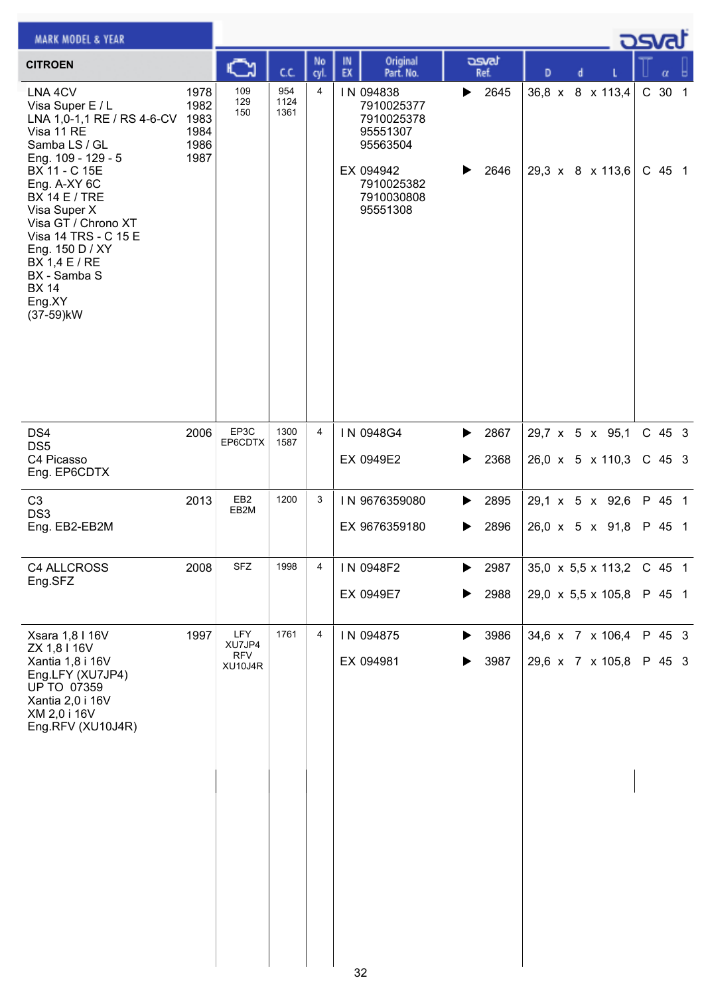| <b>MARK MODEL &amp; YEAR</b>                                                                                                                                                                   |                                              |                         |                     |            |          |                                                                            |        |               |   |   |                                      | asvar            |  |
|------------------------------------------------------------------------------------------------------------------------------------------------------------------------------------------------|----------------------------------------------|-------------------------|---------------------|------------|----------|----------------------------------------------------------------------------|--------|---------------|---|---|--------------------------------------|------------------|--|
| <b>CITROEN</b>                                                                                                                                                                                 |                                              | అ                       | C.C.                | No<br>cyl. | IN<br>EX | Original<br>Part. No.                                                      |        | asvat<br>Ref. | D | d |                                      | α                |  |
| LNA <sub>4CV</sub><br>Visa Super E / L<br>LNA 1,0-1,1 RE / RS 4-6-CV<br>Visa 11 RE<br>Samba LS / GL<br>Eng. 109 - 129 - 5<br>BX 11 - C 15E                                                     | 1978<br>1982<br>1983<br>1984<br>1986<br>1987 | 109<br>129<br>150       | 954<br>1124<br>1361 | 4          |          | IN 094838<br>7910025377<br>7910025378<br>95551307<br>95563504<br>EX 094942 | ▶<br>▶ | 2645<br>2646  |   |   | 36,8 x 8 x 113,4<br>29,3 x 8 x 113,6 | C 30 1<br>C 45 1 |  |
| Eng. A-XY 6C<br><b>BX 14 E / TRE</b><br>Visa Super X<br>Visa GT / Chrono XT<br>Visa 14 TRS - C 15 E<br>Eng. 150 D / XY<br>BX 1,4 E / RE<br>BX - Samba S<br><b>BX 14</b><br>Eng.XY<br>(37-59)kW |                                              |                         |                     |            |          | 7910025382<br>7910030808<br>95551308                                       |        |               |   |   |                                      |                  |  |
| DS4                                                                                                                                                                                            | 2006                                         | EP3C                    | 1300                | 4          |          | IN 0948G4                                                                  | ▶      | 2867          |   |   | 29,7 x 5 x 95,1                      | $C$ 45 3         |  |
| DS <sub>5</sub><br>C4 Picasso<br>Eng. EP6CDTX                                                                                                                                                  |                                              | EP6CDTX                 | 1587                |            |          | EX 0949E2                                                                  | ▶      | 2368          |   |   | 26,0 x 5 x 110,3                     | C 45 3           |  |
| C <sub>3</sub><br>DS <sub>3</sub>                                                                                                                                                              | 2013                                         | EB <sub>2</sub><br>EB2M | 1200                | 3          |          | IN 9676359080                                                              | ▶      | 2895          |   |   | 29,1 x 5 x 92,6                      | P 45 1           |  |
| Eng. EB2-EB2M                                                                                                                                                                                  |                                              |                         |                     |            |          | EX 9676359180                                                              | ▶      | 2896          |   |   | 26,0 x 5 x 91,8                      | P 45 1           |  |
| C4 ALLCROSS<br>Eng.SFZ                                                                                                                                                                         | 2008                                         | ${\sf SFZ}$             | 1998                | 4          |          | IN 0948F2                                                                  | ▶      | 2987          |   |   | 35,0 $\times$ 5,5 $\times$ 113,2     | C 45 1           |  |
|                                                                                                                                                                                                |                                              |                         |                     |            |          | EX 0949E7                                                                  |        | 2988          |   |   | 29,0 x 5,5 x 105,8                   | P 45 1           |  |
| Xsara 1,8 I 16V<br>ZX 1,8 I 16V                                                                                                                                                                | 1997                                         | <b>LFY</b><br>XU7JP4    | 1761                | 4          |          | IN 094875                                                                  | ▶      | 3986          |   |   | 34,6 x 7 x 106,4                     | P 45 3           |  |
| Xantia 1,8 i 16V<br>Eng.LFY (XU7JP4)<br><b>UP TO 07359</b><br>Xantia 2,0 i 16V<br>XM 2,0 i 16V<br>Eng.RFV (XU10J4R)                                                                            |                                              | RFV<br>XU10J4R          |                     |            |          | EX 094981                                                                  | ▶      | 3987          |   |   | 29,6 x 7 x 105,8                     | P 45 3           |  |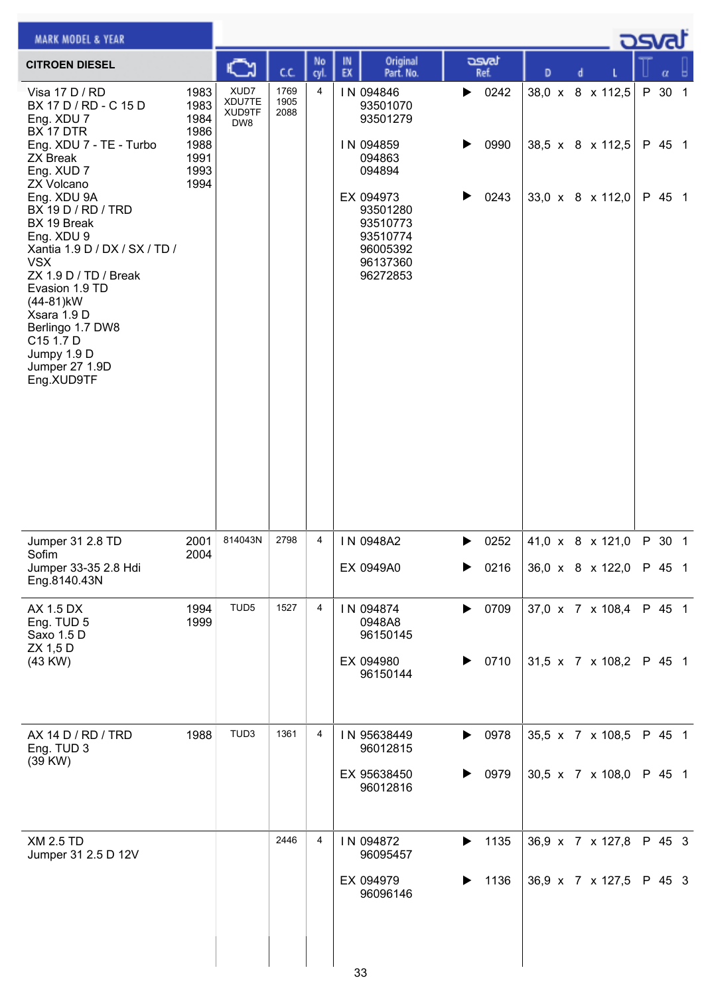| <b>MARK MODEL &amp; YEAR</b>                                                                                                                                                                                                                                         |                              |                                 |                      |           |                                                                                   |                   |   |                                      | كتصد   |        |  |
|----------------------------------------------------------------------------------------------------------------------------------------------------------------------------------------------------------------------------------------------------------------------|------------------------------|---------------------------------|----------------------|-----------|-----------------------------------------------------------------------------------|-------------------|---|--------------------------------------|--------|--------|--|
| <b>CITROEN DIESEL</b>                                                                                                                                                                                                                                                |                              |                                 | C.C.                 | No<br>cyl | Original<br>IN<br>EX<br>Part. No.                                                 | asvat<br>Ref.     | D |                                      |        | α      |  |
| Visa 17 D / RD<br>BX 17 D / RD - C 15 D<br>Eng. XDU 7<br>BX 17 DTR                                                                                                                                                                                                   | 1983<br>1983<br>1984<br>1986 | XUD7<br>XDU7TE<br>XUD9TF<br>DW8 | 1769<br>1905<br>2088 | 4         | IN 094846<br>93501070<br>93501279                                                 | 0242<br>▶         |   | 38,0 x 8 x 112,5                     | P 30 1 |        |  |
| Eng. XDU 7 - TE - Turbo<br><b>ZX Break</b><br>Eng. XUD 7<br><b>ZX Volcano</b>                                                                                                                                                                                        | 1988<br>1991<br>1993<br>1994 |                                 |                      |           | IN 094859<br>094863<br>094894                                                     | 0990              |   | 38,5 x 8 x 112,5                     | P 45 1 |        |  |
| Eng. XDU 9A<br>BX 19 D / RD / TRD<br>BX 19 Break<br>Eng. XDU 9<br>Xantia 1.9 D / DX / SX / TD /<br><b>VSX</b><br>ZX 1.9 D / TD / Break<br>Evasion 1.9 TD<br>(44-81)kW<br>Xsara 1.9 D<br>Berlingo 1.7 DW8<br>C15 1.7 D<br>Jumpy 1.9 D<br>Jumper 27 1.9D<br>Eng.XUD9TF |                              |                                 |                      |           | EX 094973<br>93501280<br>93510773<br>93510774<br>96005392<br>96137360<br>96272853 | 0243<br>▶         |   | 33,0 x 8 x 112,0                     | P 45 1 |        |  |
| Jumper 31 2.8 TD                                                                                                                                                                                                                                                     | 2001                         | 814043N                         | 2798                 | 4         | IN 0948A2                                                                         | 0252<br>▶         |   | 41,0 x 8 x 121,0                     | P 30 1 |        |  |
| Sofim<br>Jumper 33-35 2.8 Hdi<br>Eng.8140.43N                                                                                                                                                                                                                        | 2004                         |                                 |                      |           | EX 0949A0                                                                         | 0216<br>▶         |   | 36,0 x 8 x 122,0                     | P 45 1 |        |  |
| AX 1.5 DX<br>Eng. TUD 5<br>Saxo 1.5 D<br>ZX 1,5 D                                                                                                                                                                                                                    | 1994<br>1999                 | TUD5                            | 1527                 | 4         | IN 094874<br>0948A8<br>96150145                                                   | 0709<br>▶         |   | 37,0 x 7 x 108,4                     | P 45 1 |        |  |
| (43 KW)                                                                                                                                                                                                                                                              |                              |                                 |                      |           | EX 094980<br>96150144                                                             | 0710<br>▶         |   | 31,5 x 7 x 108,2                     | P 45 1 |        |  |
| AX 14 D / RD / TRD<br>Eng. TUD 3<br>(39 KW)                                                                                                                                                                                                                          | 1988                         | TUD3                            | 1361                 | 4         | IN 95638449<br>96012815                                                           | 0978<br>▶         |   | 35,5 x 7 x 108,5                     |        | P 45 1 |  |
|                                                                                                                                                                                                                                                                      |                              |                                 |                      |           | EX 95638450<br>96012816                                                           | 0979<br>▶         |   | 30,5 x 7 x 108,0                     | P 45 1 |        |  |
| <b>XM 2.5 TD</b><br>Jumper 31 2.5 D 12V                                                                                                                                                                                                                              |                              |                                 | 2446                 | 4         | IN 094872<br>96095457<br>EX 094979                                                | 1135<br>▶<br>1136 |   | 36,9 x 7 x 127,8<br>36,9 x 7 x 127,5 | P 45 3 | P 45 3 |  |
|                                                                                                                                                                                                                                                                      |                              |                                 |                      |           | 96096146                                                                          |                   |   |                                      |        |        |  |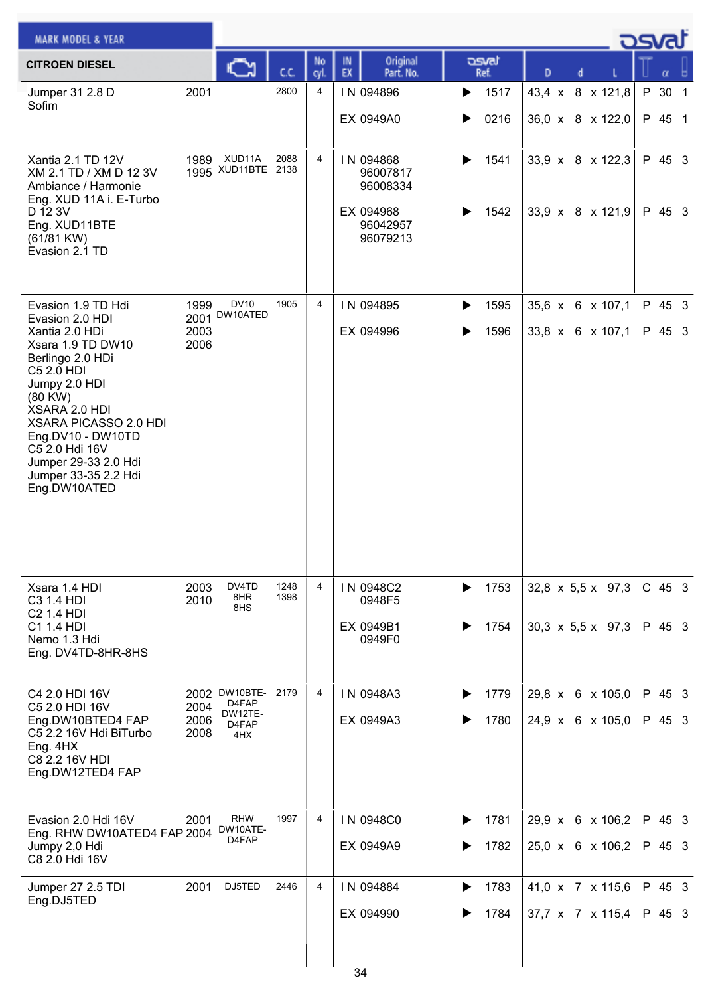| <b>MARK MODEL &amp; YEAR</b>                                                                                                                                                                                                                          |                              |                                                           |              |                |          |                                            |   |               |                                      |  |                                 | asvat            |  |
|-------------------------------------------------------------------------------------------------------------------------------------------------------------------------------------------------------------------------------------------------------|------------------------------|-----------------------------------------------------------|--------------|----------------|----------|--------------------------------------------|---|---------------|--------------------------------------|--|---------------------------------|------------------|--|
| <b>CITROEN DIESEL</b>                                                                                                                                                                                                                                 |                              |                                                           | cc           | No<br>cyl.     | IN<br>EX | Original<br>Part. No.                      |   | asvat<br>Ref. | D                                    |  |                                 | α                |  |
| Jumper 31 2.8 D<br>Sofim                                                                                                                                                                                                                              | 2001                         |                                                           | 2800         | 4              |          | IN 094896                                  | ▶ | 1517          | 43,4 x 8 x 121,8                     |  |                                 | P 30 1           |  |
|                                                                                                                                                                                                                                                       |                              |                                                           |              |                |          | EX 0949A0                                  | ▶ | 0216          |                                      |  | 36,0 x 8 x 122,0                | P 45 1           |  |
| Xantia 2.1 TD 12V<br>XM 2.1 TD / XM D 12 3V<br>Ambiance / Harmonie<br>Eng. XUD 11A i. E-Turbo                                                                                                                                                         | 1989                         | XUD11A<br>$1995$ $XUD11BTE$                               | 2088<br>2138 | $\overline{4}$ |          | IN 094868<br>96007817<br>96008334          | ▶ | 1541          | 33,9 x 8 x 122,3                     |  |                                 | P 45 3           |  |
| D 12 3V<br>Eng. XUD11BTE<br>$(61/81$ KW)<br>Evasion 2.1 TD                                                                                                                                                                                            |                              |                                                           |              |                |          | EX 094968<br>96042957<br>96079213          | ▶ | 1542          |                                      |  | 33,9 x 8 x 121,9                | P 45 3           |  |
| Evasion 1.9 TD Hdi                                                                                                                                                                                                                                    | 1999                         | <b>DV10</b><br>DW10ATED                                   | 1905         | 4              |          | IN 094895                                  | ▶ | 1595          | 35,6 x 6 x 107,1                     |  |                                 | P 45 3           |  |
| Evasion 2.0 HDI<br>Xantia 2.0 HDi<br>Xsara 1.9 TD DW10<br>Berlingo 2.0 HDi<br>C5 2.0 HDI<br>Jumpy 2.0 HDI<br>(80 KW)<br>XSARA 2.0 HDI<br>XSARA PICASSO 2.0 HDI<br>Eng.DV10 - DW10TD<br>C5 2.0 Hdi 16V<br>Jumper 29-33 2.0 Hdi<br>Jumper 33-35 2.2 Hdi | 2001<br>2003<br>2006         |                                                           |              |                |          | EX 094996                                  |   | 1596          | 33,8 x 6 x 107,1                     |  |                                 | P 45 3           |  |
| Eng.DW10ATED<br>Xsara 1.4 HDI<br>C3 1.4 HDI<br>C2 1.4 HDI<br>C1 1.4 HDI<br>Nemo 1.3 Hdi<br>Eng. DV4TD-8HR-8HS                                                                                                                                         | 2003<br>2010                 | DV4TD<br>8HR<br>8HS                                       | 1248<br>1398 | 4              |          | IN 0948C2<br>0948F5<br>EX 0949B1<br>0949F0 | ▶ | 1753<br>1754  | $30,3 \times 5,5 \times 97,3$        |  | 32,8 $\times$ 5,5 $\times$ 97,3 | C 45 3<br>P 45 3 |  |
| C4 2.0 HDI 16V<br>C5 2.0 HDI 16V<br>Eng.DW10BTED4 FAP<br>C5 2.2 16V Hdi BiTurbo<br>Eng. 4HX<br>C8 2.2 16V HDI<br>Eng.DW12TED4 FAP                                                                                                                     | 2002<br>2004<br>2006<br>2008 | DW10BTE-<br>D4FAP<br>DW12TE-<br>D <sub>4</sub> FAP<br>4HX | 2179         | 4              |          | IN 0948A3<br>EX 0949A3                     | ▶ | 1779<br>1780  | 29,8 x 6 x 105,0<br>24,9 x 6 x 105,0 |  |                                 | P 45 3<br>P 45 3 |  |
| Evasion 2.0 Hdi 16V<br>Eng. RHW DW10ATED4 FAP 2004                                                                                                                                                                                                    | 2001                         | <b>RHW</b><br>DW10ATE-                                    | 1997         | 4              |          | IN 0948C0                                  | ▶ | 1781          | 29,9 x 6 x 106,2                     |  |                                 | P 45 3           |  |
| Jumpy 2,0 Hdi<br>C8 2.0 Hdi 16V                                                                                                                                                                                                                       |                              | D4FAP                                                     |              |                |          | EX 0949A9                                  |   | 1782          | 25,0 x 6 x 106,2                     |  |                                 | P 45 3           |  |
| Jumper 27 2.5 TDI<br>Eng.DJ5TED                                                                                                                                                                                                                       | 2001                         | DJ5TED                                                    | 2446         | 4              |          | IN 094884                                  | ▶ | 1783          | 41,0 x 7 x 115,6                     |  |                                 | P 45 3           |  |
|                                                                                                                                                                                                                                                       |                              |                                                           |              |                | 34       | EX 094990                                  |   | 1784          | 37,7 x 7 x 115,4                     |  |                                 | P 45 3           |  |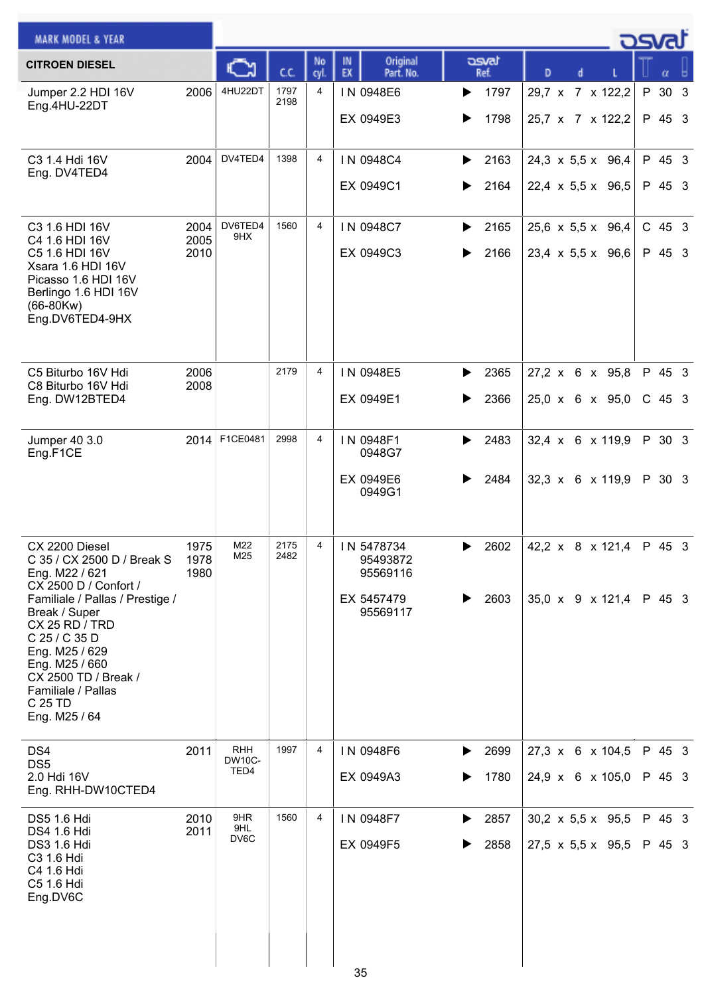| <b>MARK MODEL &amp; YEAR</b>                                                                                                                                                                                                                                                                 |                      |                                     |              |                |                                                              |                        |                                                                | <b>DSVAT</b>       |
|----------------------------------------------------------------------------------------------------------------------------------------------------------------------------------------------------------------------------------------------------------------------------------------------|----------------------|-------------------------------------|--------------|----------------|--------------------------------------------------------------|------------------------|----------------------------------------------------------------|--------------------|
| <b>CITROEN DIESEL</b>                                                                                                                                                                                                                                                                        |                      |                                     | cc           | No<br>cyl.     | Original<br>IN<br>EX<br>Part. No.                            | asvat<br>Ref.          | D                                                              | α                  |
| Jumper 2.2 HDI 16V<br>Eng.4HU-22DT                                                                                                                                                                                                                                                           | 2006                 | 4HU22DT                             | 1797<br>2198 | 4              | IN 0948E6<br>EX 0949E3                                       | 1797<br>▶<br>1798<br>▶ | 29,7 x 7 x 122,2<br>25,7 x 7 x 122,2                           | P 30 3<br>P 45 3   |
| C3 1.4 Hdi 16V<br>Eng. DV4TED4                                                                                                                                                                                                                                                               | 2004                 | DV4TED4                             | 1398         | $\overline{4}$ | IN 0948C4<br>EX 0949C1                                       | 2163<br>▶<br>2164<br>▶ | $24,3 \times 5,5 \times 96,4$<br>$22,4 \times 5,5 \times 96,5$ | P 45 3<br>P 45 3   |
| C <sub>3</sub> 1.6 HDI 16V<br>C4 1.6 HDI 16V<br>C5 1.6 HDI 16V<br>Xsara 1.6 HDI 16V<br>Picasso 1.6 HDI 16V<br>Berlingo 1.6 HDI 16V<br>$(66-80Kw)$<br>Eng.DV6TED4-9HX                                                                                                                         | 2004<br>2005<br>2010 | DV6TED4<br>9HX                      | 1560         | 4              | IN 0948C7<br>EX 0949C3                                       | 2165<br>▶<br>2166<br>▶ | $25,6 \times 5,5 \times 96,4$<br>$23,4 \times 5,5 \times 96,6$ | $C$ 45 3<br>P 45 3 |
| C5 Biturbo 16V Hdi<br>C8 Biturbo 16V Hdi<br>Eng. DW12BTED4                                                                                                                                                                                                                                   | 2006<br>2008         |                                     | 2179         | 4              | IN 0948E5<br>EX 0949E1                                       | 2365<br>▶<br>2366<br>▶ | 27,2 x 6 x 95,8<br>25,0 x 6 x 95,0                             | P 45 3<br>$C$ 45 3 |
| Jumper 40 3.0<br>Eng.F1CE                                                                                                                                                                                                                                                                    | 2014                 | F1CE0481                            | 2998         | 4              | IN 0948F1<br>0948G7<br>EX 0949E6<br>0949G1                   | 2483<br>▶<br>2484      | 32,4 x 6 x 119,9<br>32,3 x 6 x 119,9                           | P 30 3<br>P 30 3   |
| CX 2200 Diesel<br>C 35 / CX 2500 D / Break S<br>Eng. M22 / 621<br>CX 2500 D / Confort /<br>Familiale / Pallas / Prestige /<br>Break / Super<br>CX 25 RD / TRD<br>C 25 / C 35 D<br>Eng. M25 / 629<br>Eng. M25 / 660<br>CX 2500 TD / Break /<br>Familiale / Pallas<br>C 25 TD<br>Eng. M25 / 64 | 1975<br>1978<br>1980 | M22<br>M25                          | 2175<br>2482 | 4              | IN 5478734<br>95493872<br>95569116<br>EX 5457479<br>95569117 | 2602<br>▶<br>2603<br>▶ | 42,2 $\times$ 8 $\times$ 121,4<br>35,0 x 9 x 121,4             | P 45 3<br>P 45 3   |
| DS4<br>DS <sub>5</sub><br>2.0 Hdi 16V<br>Eng. RHH-DW10CTED4                                                                                                                                                                                                                                  | 2011                 | <b>RHH</b><br><b>DW10C-</b><br>TED4 | 1997         | 4              | IN 0948F6<br>EX 0949A3                                       | 2699<br>▶<br>1780      | 27,3 x 6 x 104,5<br>24,9 x 6 x 105,0                           | P 45 3<br>P 45 3   |
| DS5 1.6 Hdi<br>DS4 1.6 Hdi<br><b>DS3 1.6 Hdi</b><br>C3 1.6 Hdi<br>C4 1.6 Hdi<br>C5 1.6 Hdi<br>Eng.DV6C                                                                                                                                                                                       | 2010<br>2011         | 9HR<br>9HL<br>DV6C                  | 1560         | 4              | IN 0948F7<br>EX 0949F5                                       | 2857<br>▶<br>2858<br>▶ | $30,2 \times 5,5 \times 95,5$<br>$27,5 \times 5,5 \times 95,5$ | P 45 3<br>P 45 3   |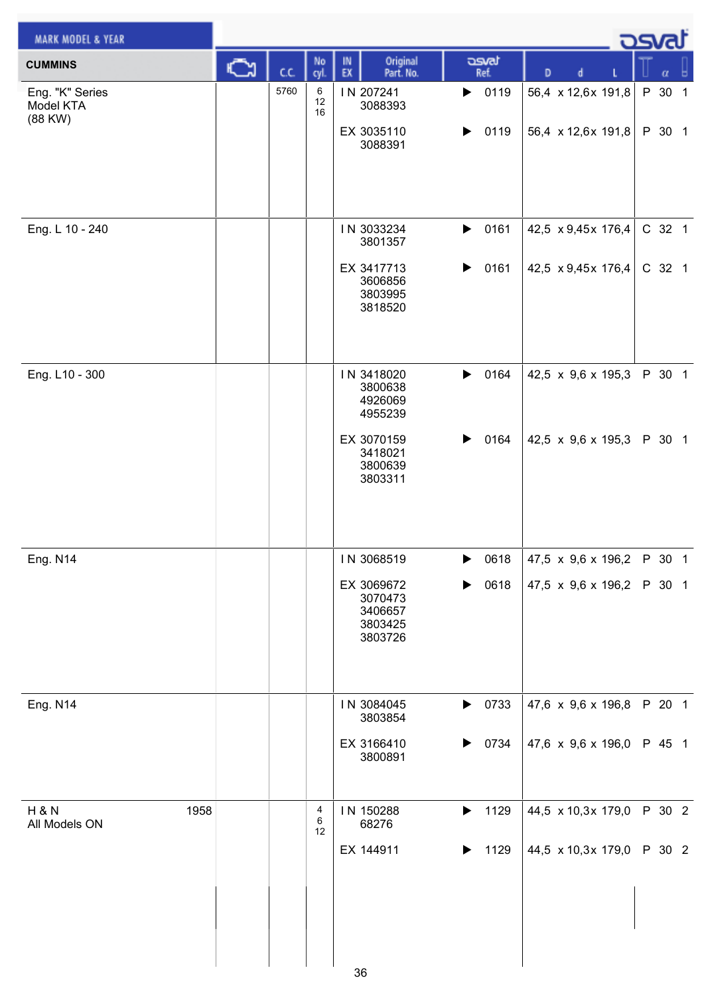| <b>MARK MODEL &amp; YEAR</b>              |    |      |               |                                                                                            |                                            |                                                        | <b>DSvat</b>     |
|-------------------------------------------|----|------|---------------|--------------------------------------------------------------------------------------------|--------------------------------------------|--------------------------------------------------------|------------------|
| <b>CUMMINS</b>                            | C٦ | C.C. | No<br>cyl.    | Original<br>IN<br>EX<br>Part. No.                                                          | asvat<br>Ref.                              | d<br>D                                                 | ы<br>α           |
| Eng. "K" Series<br>Model KTA<br>(88 KW)   |    | 5760 | 6<br>12<br>16 | IN 207241<br>3088393<br>EX 3035110<br>3088391                                              | 0119<br>$\blacktriangleright$<br>0119<br>▶ | 56,4 x 12,6x 191,8<br>56,4 x 12,6x 191,8               | P 30 1<br>P 30 1 |
| Eng. L 10 - 240                           |    |      |               | IN 3033234<br>3801357<br>EX 3417713<br>3606856<br>3803995<br>3818520                       | 0161<br>$\blacktriangleright$<br>0161<br>▶ | 42,5 x 9,45x 176,4<br>42,5 x 9,45x 176,4               | C 32 1<br>C 32 1 |
| Eng. L10 - 300                            |    |      |               | IN 3418020<br>3800638<br>4926069<br>4955239<br>EX 3070159<br>3418021<br>3800639<br>3803311 | 0164<br>▶<br>0164<br>▶                     | 42,5 x 9,6 x 195,3<br>42,5 x 9,6 x 195,3               | P 30 1<br>P 30 1 |
| Eng. N14                                  |    |      |               | IN 3068519<br>EX 3069672<br>3070473<br>3406657<br>3803425<br>3803726                       | ▶<br>0618<br>0618<br>▶                     | 47,5 $\times$ 9,6 $\times$ 196,2<br>47,5 x 9,6 x 196,2 | P 30 1<br>P 30 1 |
| <b>Eng. N14</b>                           |    |      |               | IN 3084045<br>3803854<br>EX 3166410<br>3800891                                             | 0733<br>$\blacktriangleright$<br>0734<br>▶ | 47,6 x 9,6 x 196,8<br>47,6 x 9,6 x 196,0               | P 20 1<br>P 45 1 |
| 1958<br><b>H &amp; N</b><br>All Models ON |    |      | 4<br>6<br>12  | IN 150288<br>68276<br>EX 144911<br>36                                                      | 1129<br>$\blacktriangleright$<br>1129<br>▶ | 44,5 x 10,3x 179,0<br>44,5 x 10,3x 179,0               | P 30 2<br>P 30 2 |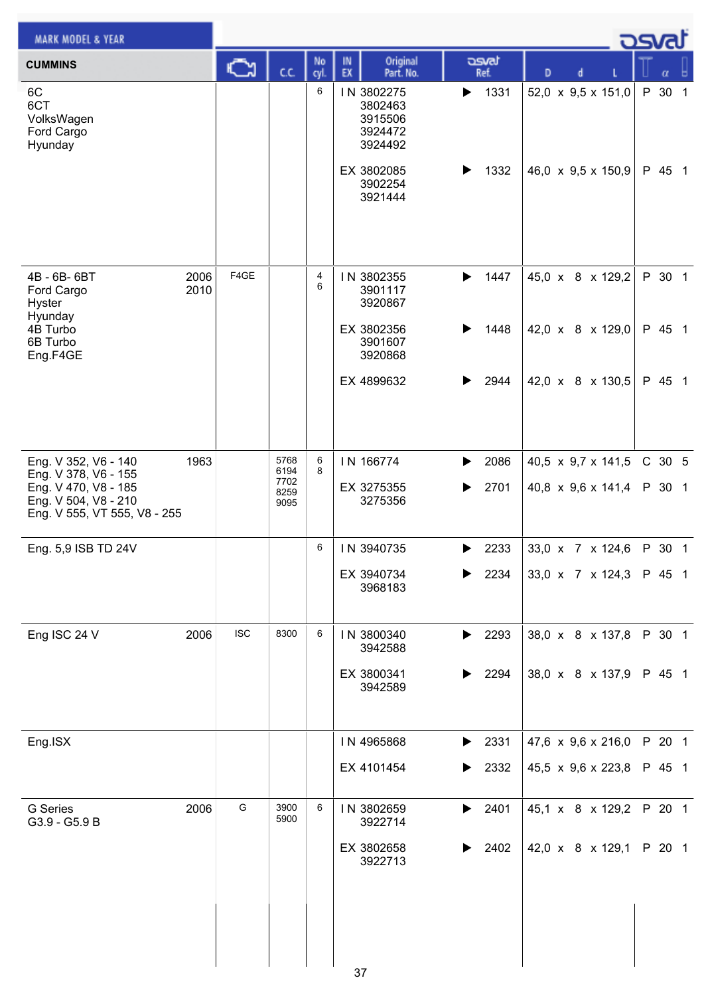| <b>MARK MODEL &amp; YEAR</b>                                                                                                 |              |            |                                      |           |          |                                                        |        |               |   |   |                                                        | <b>DSVRJ</b>     |  |
|------------------------------------------------------------------------------------------------------------------------------|--------------|------------|--------------------------------------|-----------|----------|--------------------------------------------------------|--------|---------------|---|---|--------------------------------------------------------|------------------|--|
| <b>CUMMINS</b>                                                                                                               |              | Ğ          | C.C.                                 | No<br>cyl | IN<br>EX | Original<br>Part. No.                                  |        | asvat<br>Ref. | D | d |                                                        | α                |  |
| 6C<br>6CT<br>VolksWagen<br>Ford Cargo<br>Hyunday                                                                             |              |            |                                      | 6         |          | IN 3802275<br>3802463<br>3915506<br>3924472<br>3924492 | ▶      | 1331          |   |   | 52,0 x 9,5 x 151,0                                     | P 30 1           |  |
|                                                                                                                              |              |            |                                      |           |          | EX 3802085<br>3902254<br>3921444                       | ▶      | 1332          |   |   | 46,0 x 9,5 x 150,9                                     | P 45 1           |  |
| 4B - 6B- 6BT<br>Ford Cargo<br><b>Hyster</b><br>Hyunday                                                                       | 2006<br>2010 | F4GE       |                                      | 4<br>6    |          | IN 3802355<br>3901117<br>3920867                       | ▶      | 1447          |   |   | 45,0 x 8 x 129,2                                       | P 30 1           |  |
| 4B Turbo<br>6B Turbo<br>Eng.F4GE                                                                                             |              |            |                                      |           |          | EX 3802356<br>3901607<br>3920868                       |        | 1448          |   |   | 42,0 x 8 x 129,0                                       | P 45 1           |  |
|                                                                                                                              |              |            |                                      |           |          | EX 4899632                                             | ▶      | 2944          |   |   | 42,0 x 8 x 130,5                                       | P 45 1           |  |
| Eng. V 352, V6 - 140<br>Eng. V 378, V6 - 155<br>Eng. V 470, V8 - 185<br>Eng. V 504, V8 - 210<br>Eng. V 555, VT 555, V8 - 255 | 1963         |            | 5768<br>6194<br>7702<br>8259<br>9095 | 6<br>8    |          | IN 166774<br>EX 3275355<br>3275356                     | ▶<br>▶ | 2086<br>2701  |   |   | 40,5 $\times$ 9,7 $\times$ 141,5<br>40,8 x 9,6 x 141,4 | C 30 5<br>P 30 1 |  |
| Eng. 5,9 ISB TD 24V                                                                                                          |              |            |                                      | 6         |          | IN 3940735                                             | ▶      | 2233          |   |   | 33,0 x 7 x 124,6                                       | P 30 1           |  |
|                                                                                                                              |              |            |                                      |           |          | EX 3940734<br>3968183                                  | ▶      | 2234          |   |   | 33,0 x 7 x 124,3                                       | P 45 1           |  |
| Eng ISC 24 V                                                                                                                 | 2006         | <b>ISC</b> | 8300                                 | 6         |          | IN 3800340<br>3942588                                  | ▶      | 2293          |   |   | 38,0 x 8 x 137,8                                       | P 30 1           |  |
|                                                                                                                              |              |            |                                      |           |          | EX 3800341<br>3942589                                  | ▶      | 2294          |   |   | 38,0 x 8 x 137,9                                       | P 45 1           |  |
| Eng.ISX                                                                                                                      |              |            |                                      |           |          | IN 4965868                                             | ▶      | 2331          |   |   | 47,6 x 9,6 x 216,0                                     | P 20 1           |  |
|                                                                                                                              |              |            |                                      |           |          | EX 4101454                                             | ▶      | 2332          |   |   | 45,5 x 9,6 x 223,8                                     | P 45 1           |  |
| G Series<br>G3.9 - G5.9 B                                                                                                    | 2006         | G          | 3900<br>5900                         | 6         |          | IN 3802659<br>3922714                                  | ▶      | 2401          |   |   | 45,1 x 8 x 129,2                                       | P 20 1           |  |
|                                                                                                                              |              |            |                                      |           |          | EX 3802658<br>3922713                                  |        | 2402          |   |   | 42,0 x 8 x 129,1                                       | P 20 1           |  |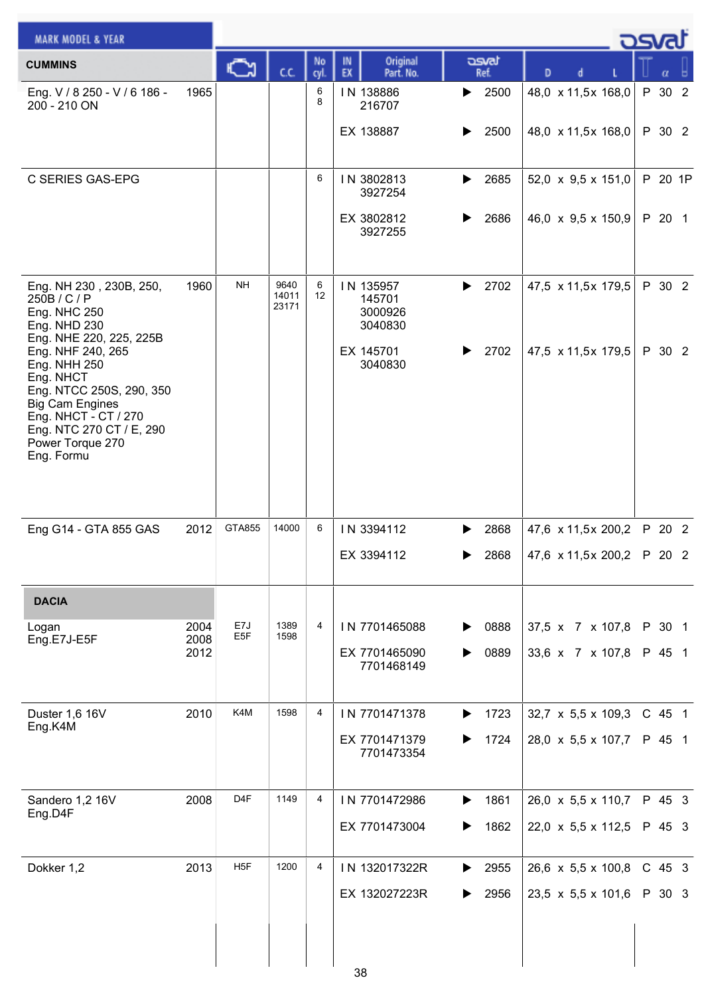| <b>MARK MODEL &amp; YEAR</b>                                                                                                                                                                                          |              |                        |                        |            |                                           |               |                                  | كsvat |          |         |
|-----------------------------------------------------------------------------------------------------------------------------------------------------------------------------------------------------------------------|--------------|------------------------|------------------------|------------|-------------------------------------------|---------------|----------------------------------|-------|----------|---------|
| <b>CUMMINS</b>                                                                                                                                                                                                        |              | C٦                     | C.C.                   | No<br>cyl. | Original<br>IN<br>EX<br>Part. No.         | asvat<br>Ref. | D                                |       |          |         |
| Eng. V / 8 250 - V / 6 186 -<br>200 - 210 ON                                                                                                                                                                          | 1965         |                        |                        | 6<br>8     | IN 138886<br>216707                       | 2500<br>▶     | 48,0 x 11,5x 168,0               |       | P 30 2   |         |
|                                                                                                                                                                                                                       |              |                        |                        |            | EX 138887                                 | 2500          | 48,0 x 11,5x 168,0               |       | P 30 2   |         |
| C SERIES GAS-EPG                                                                                                                                                                                                      |              |                        |                        | 6          | IN 3802813<br>3927254                     | 2685<br>▶     | 52,0 $\times$ 9,5 $\times$ 151,0 |       |          | P 20 1P |
|                                                                                                                                                                                                                       |              |                        |                        |            | EX 3802812<br>3927255                     | 2686          | 46,0 $\times$ 9,5 $\times$ 150,9 |       | P 20 1   |         |
| Eng. NH 230, 230B, 250,<br>250B/C/P<br><b>Eng. NHC 250</b><br><b>Eng. NHD 230</b>                                                                                                                                     | 1960         | <b>NH</b>              | 9640<br>14011<br>23171 | 6<br>12    | IN 135957<br>145701<br>3000926<br>3040830 | 2702          | 47,5 x 11,5x 179,5               |       |          | P 30 2  |
| Eng. NHE 220, 225, 225B<br>Eng. NHF 240, 265<br>Eng. NHH 250<br>Eng. NHCT<br>Eng. NTCC 250S, 290, 350<br><b>Big Cam Engines</b><br>Eng. NHCT - CT / 270<br>Eng. NTC 270 CT / E, 290<br>Power Torque 270<br>Eng. Formu |              |                        |                        |            | EX 145701<br>3040830                      | 2702<br>▶     | 47,5 x 11,5x 179,5               |       | P 30 2   |         |
| Eng G14 - GTA 855 GAS                                                                                                                                                                                                 | 2012         | GTA855                 | 14000                  | 6          | IN 3394112                                | 2868          | 47,6 x 11,5x 200,2               |       | P 20 2   |         |
|                                                                                                                                                                                                                       |              |                        |                        |            | EX 3394112                                | 2868<br>►     | 47,6 x 11,5x 200,2 P 20 2        |       |          |         |
| <b>DACIA</b>                                                                                                                                                                                                          |              |                        |                        |            |                                           |               |                                  |       |          |         |
| Logan<br>Eng.E7J-E5F                                                                                                                                                                                                  | 2004<br>2008 | E7J<br>E <sub>5F</sub> | 1389<br>1598           | 4          | IN 7701465088                             | 0888<br>▶     | 37,5 x 7 x 107,8                 |       | P 30 1   |         |
|                                                                                                                                                                                                                       | 2012         |                        |                        |            | EX 7701465090<br>7701468149               | 0889          | 33,6 x 7 x 107,8                 |       | P 45 1   |         |
| Duster 1,6 16V                                                                                                                                                                                                        | 2010         | K4M                    | 1598                   | 4          | IN 7701471378                             | 1723<br>▶     | $32,7 \times 5,5 \times 109,3$   |       | C 45 1   |         |
| Eng.K4M                                                                                                                                                                                                               |              |                        |                        |            | EX 7701471379<br>7701473354               | 1724<br>▶     | 28,0 x 5,5 x 107,7               |       | P 45 1   |         |
| Sandero 1,2 16V                                                                                                                                                                                                       | 2008         | D <sub>4</sub> F       | 1149                   | 4          | IN 7701472986                             | 1861<br>▶     | 26,0 x 5,5 x 110,7               |       | P 45 3   |         |
| Eng.D4F                                                                                                                                                                                                               |              |                        |                        |            | EX 7701473004                             | 1862<br>▶     | 22,0 x 5,5 x 112,5               |       | P 45 3   |         |
| Dokker 1,2                                                                                                                                                                                                            | 2013         | H <sub>5</sub> F       | 1200                   | 4          | IN 132017322R                             | 2955<br>▶     | $26,6 \times 5,5 \times 100,8$   |       | $C$ 45 3 |         |
|                                                                                                                                                                                                                       |              |                        |                        |            | EX 132027223R                             | 2956          | 23,5 x 5,5 x 101,6               |       | P 30 3   |         |
|                                                                                                                                                                                                                       |              |                        |                        |            | 38                                        |               |                                  |       |          |         |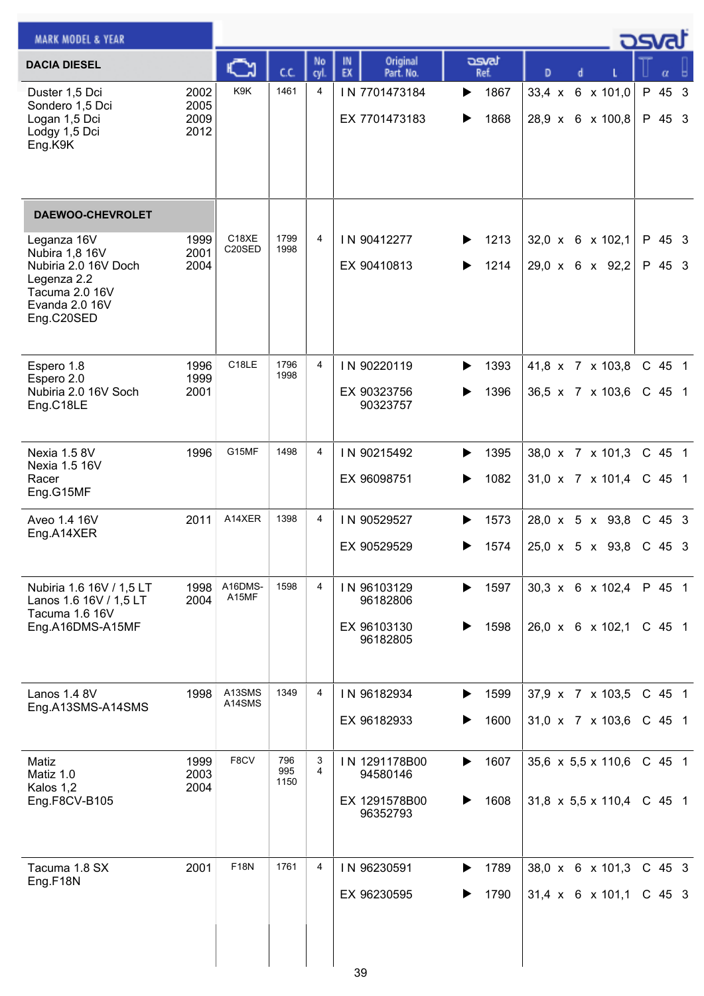| <b>MARK MODEL &amp; YEAR</b>                                                                                                                      |                              |                  |                    |                     |                                                        |                        |                                                            | كصحت                 |
|---------------------------------------------------------------------------------------------------------------------------------------------------|------------------------------|------------------|--------------------|---------------------|--------------------------------------------------------|------------------------|------------------------------------------------------------|----------------------|
| <b>DACIA DIESEL</b>                                                                                                                               |                              | C                | c.c.               | No<br>cyl.          | Original<br>IN<br>EX<br>Part. No.                      | asvat<br>Ref.          | D                                                          | α                    |
| Duster 1,5 Dci<br>Sondero 1,5 Dci<br>Logan 1,5 Dci<br>Lodgy 1,5 Dci<br>Eng.K9K                                                                    | 2002<br>2005<br>2009<br>2012 | K9K              | 1461               | 4                   | IN 7701473184<br>EX 7701473183                         | 1867<br>▶<br>1868<br>▶ | $33,4 \times$<br>6 x 101,0<br>28,9 x 6 x 100,8             | P 45 3<br>P 45 3     |
| <b>DAEWOO-CHEVROLET</b><br>Leganza 16V<br>Nubira 1,8 16V<br>Nubiria 2.0 16V Doch<br>Legenza 2.2<br>Tacuma 2.0 16V<br>Evanda 2.0 16V<br>Eng.C20SED | 1999<br>2001<br>2004         | C18XE<br>C20SED  | 1799<br>1998       | 4                   | IN 90412277<br>EX 90410813                             | 1213<br>▶<br>1214<br>▶ | 32,0 x 6 x 102,1<br>29,0 x 6 x 92,2                        | P 45 3<br>P 45 3     |
| Espero 1.8<br>Espero 2.0<br>Nubiria 2.0 16V Soch<br>Eng.C18LE                                                                                     | 1996<br>1999<br>2001         | C18LE            | 1796<br>1998       | 4                   | IN 90220119<br>EX 90323756<br>90323757                 | 1393<br>▶<br>1396<br>▶ | 41,8 x 7 x 103,8<br>36,5 x 7 x 103,6                       | C 45 1<br>$C$ 45 1   |
| Nexia 1.5 8V<br>Nexia 1.5 16V<br>Racer<br>Eng.G15MF                                                                                               | 1996                         | G15MF            | 1498               | 4                   | IN 90215492<br>EX 96098751                             | 1395<br>▶<br>1082<br>▶ | 38,0 x 7 x 101,3<br>$31,0 \times 7 \times 101,4$           | C 45 1<br>$C$ 45 1   |
| Aveo 1.4 16V<br>Eng.A14XER                                                                                                                        | 2011                         | A14XER           | 1398               | 4                   | IN 90529527<br>EX 90529529                             | 1573<br>▶<br>1574<br>▶ | 28,0 x 5 x 93,8<br>$25,0 \times 5 \times 93,8$             | $C$ 45 3<br>$C$ 45 3 |
| Nubiria 1.6 16V / 1,5 LT<br>Lanos 1.6 16V / 1,5 LT<br>Tacuma 1.6 16V<br>Eng.A16DMS-A15MF                                                          | 1998<br>2004                 | A16DMS-<br>A15MF | 1598               | 4                   | IN 96103129<br>96182806<br>EX 96103130<br>96182805     | 1597<br>▶<br>1598<br>▶ | 30,3 x 6 x 102,4<br>26,0 x 6 x 102,1                       | P 45 1<br>$C$ 45 1   |
| Lanos 1.4 8V<br>Eng.A13SMS-A14SMS                                                                                                                 | 1998                         | A13SMS<br>A14SMS | 1349               | $\overline{4}$      | IN 96182934<br>EX 96182933                             | 1599<br>▶<br>1600<br>▶ | 37,9 x 7 x 103,5<br>31,0 x 7 x 103,6                       | C 45 1<br>C 45 1     |
| Matiz<br>Matiz 1.0<br>Kalos 1,2<br>Eng.F8CV-B105                                                                                                  | 1999<br>2003<br>2004         | F8CV             | 796<br>995<br>1150 | 3<br>$\overline{4}$ | IN 1291178B00<br>94580146<br>EX 1291578B00<br>96352793 | 1607<br>▶<br>1608<br>▶ | 35,6 x 5,5 x 110,6<br>31,8 $\times$ 5,5 $\times$ 110,4     | $C$ 45 1<br>$C$ 45 1 |
| Tacuma 1.8 SX<br>Eng.F18N                                                                                                                         | 2001                         | <b>F18N</b>      | 1761               | 4                   | IN 96230591<br>EX 96230595<br>3Q                       | 1789<br>▶<br>1790<br>▶ | $38,0 \times$<br>6 x 101,3<br>$31,4 \times 6 \times 101,1$ | $C$ 45 3<br>$C$ 45 3 |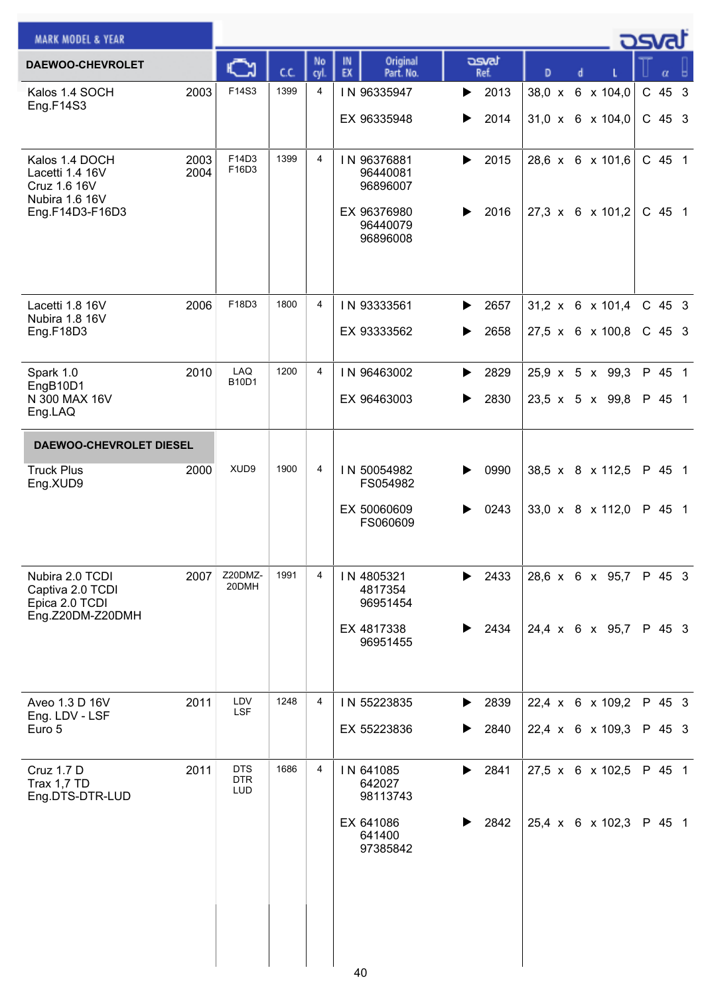| <b>MARK MODEL &amp; YEAR</b>                                        |              |                                 |      |                |                                     |                               |   |                                | osvat    |
|---------------------------------------------------------------------|--------------|---------------------------------|------|----------------|-------------------------------------|-------------------------------|---|--------------------------------|----------|
| DAEWOO-CHEVROLET                                                    |              |                                 | C.C. | No<br>cyl.     | Original<br>IN<br>EX<br>Part. No.   | asvat<br>Ref.                 | D | d                              | α        |
| Kalos 1.4 SOCH<br>Eng.F14S3                                         | 2003         | F14S3                           | 1399 | 4              | IN 96335947                         | 2013<br>▶                     |   | 38,0 x 6 x 104,0               | C 45 3   |
|                                                                     |              |                                 |      |                | EX 96335948                         | 2014<br>▶                     |   | $31,0 \times 6 \times 104,0$   | $C$ 45 3 |
| Kalos 1.4 DOCH<br>Lacetti 1.4 16V<br>Cruz 1.6 16V<br>Nubira 1.6 16V | 2003<br>2004 | F14D3<br>F16D3                  | 1399 | $\overline{4}$ | IN 96376881<br>96440081<br>96896007 | 2015<br>▶                     |   | 28,6 x 6 x 101,6               | C 45 1   |
| Eng.F14D3-F16D3                                                     |              |                                 |      |                | EX 96376980<br>96440079<br>96896008 | 2016<br>▶                     |   | 27,3 x 6 x 101,2               | C 45 1   |
| Lacetti 1.8 16V<br>Nubira 1.8 16V                                   | 2006         | F18D3                           | 1800 | 4              | IN 93333561                         | $\blacktriangleright$<br>2657 |   | 31,2 x 6 x 101,4               | C 45 3   |
| Eng.F18D3                                                           |              |                                 |      |                | EX 93333562                         | 2658<br>▶                     |   | $27.5 \times 6 \times 100.8$   | $C$ 45 3 |
| Spark 1.0<br>EngB10D1                                               | 2010         | LAQ<br><b>B10D1</b>             | 1200 | $\overline{4}$ | IN 96463002                         | 2829<br>▶                     |   | 25,9 x 5 x 99,3                | P 45 1   |
| N 300 MAX 16V<br>Eng.LAQ                                            |              |                                 |      |                | EX 96463003                         | 2830<br>▶                     |   | 23,5 x 5 x 99,8                | P 45 1   |
| DAEWOO-CHEVROLET DIESEL                                             |              |                                 |      |                |                                     |                               |   |                                |          |
| <b>Truck Plus</b><br>Eng.XUD9                                       | 2000         | XUD9                            | 1900 | 4              | IN 50054982<br>FS054982             | 0990<br>▶                     |   | 38,5 x 8 x 112,5               | P 45 1   |
|                                                                     |              |                                 |      |                | EX 50060609<br>FS060609             | 0243<br>▶                     |   | 33,0 $\times$ 8 $\times$ 112,0 | P 45 1   |
| Nubira 2.0 TCDI<br>Captiva 2.0 TCDI<br>Epica 2.0 TCDI               | 2007         | Z20DMZ-<br>20DMH                | 1991 | $\overline{4}$ | IN 4805321<br>4817354<br>96951454   | $\blacktriangleright$ 2433    |   | 28,6 x 6 x 95,7                | P 45 3   |
| Eng.Z20DM-Z20DMH                                                    |              |                                 |      |                | EX 4817338<br>96951455              | 2434<br>▶                     |   | 24,4 x 6 x 95,7                | P 45 3   |
| Aveo 1.3 D 16V<br>Eng. LDV - LSF                                    | 2011         | LDV<br><b>LSF</b>               | 1248 | 4              | IN 55223835                         | 2839<br>$\blacktriangleright$ |   | 22,4 x 6 x 109,2               | P 45 3   |
| Euro 5                                                              |              |                                 |      |                | EX 55223836                         | 2840<br>▶                     |   | 22,4 x 6 x 109,3               | P 45 3   |
| <b>Cruz 1.7 D</b><br>Trax 1,7 TD<br>Eng.DTS-DTR-LUD                 | 2011         | <b>DTS</b><br><b>DTR</b><br>LUD | 1686 | 4              | IN 641085<br>642027<br>98113743     | $\blacktriangleright$ 2841    |   | 27,5 x 6 x 102,5               | P 45 1   |
|                                                                     |              |                                 |      |                | EX 641086<br>641400<br>97385842     | 2842<br>▶                     |   | $25,4 \times 6 \times 102,3$   | P 45 1   |
|                                                                     |              |                                 |      |                | 40                                  |                               |   |                                |          |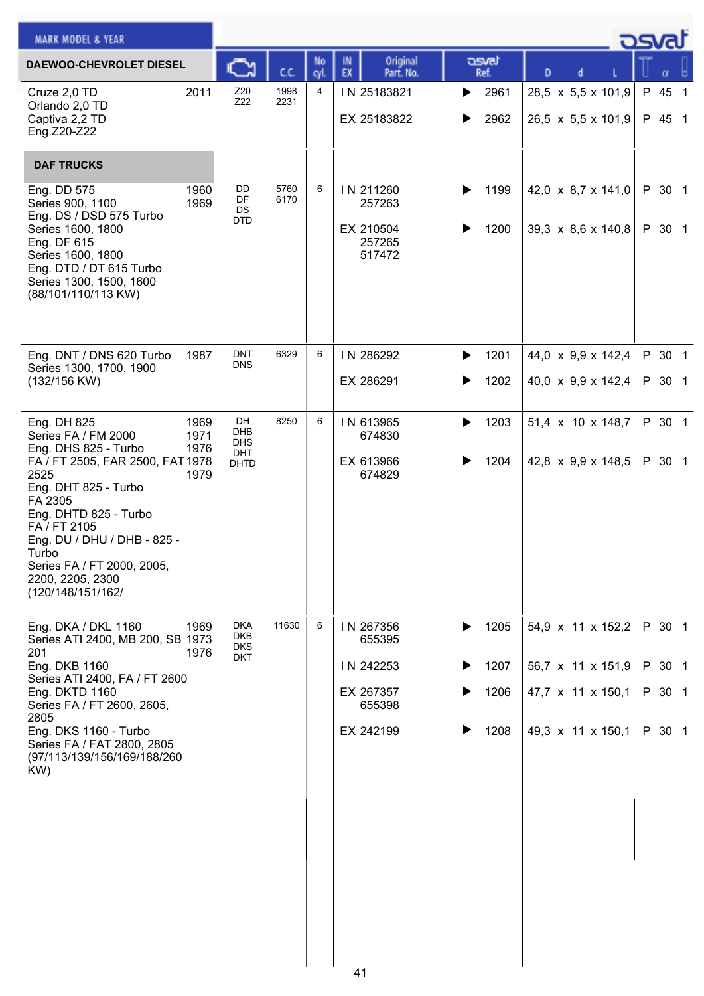|                                                                                                                                 |              |                |                                                      |                        |                                                                      | osvat            |
|---------------------------------------------------------------------------------------------------------------------------------|--------------|----------------|------------------------------------------------------|------------------------|----------------------------------------------------------------------|------------------|
| C                                                                                                                               | C.C.         | No<br>cyl.     | Original<br>IN<br>EX<br>Part. No.                    | asvat<br>Ref.          | D                                                                    |                  |
| Z20<br>2011<br>Z22                                                                                                              | 1998<br>2231 | $\overline{4}$ | IN 25183821<br>EX 25183822                           | 2961<br>▶<br>2962<br>▶ | 28,5 x 5,5 x 101,9<br>26,5 $\times$ 5,5 $\times$ 101,9               | P 45 1<br>P 45 1 |
|                                                                                                                                 |              |                |                                                      |                        |                                                                      |                  |
| DD<br>1960<br>DF<br>1969<br>DS<br><b>DTD</b>                                                                                    | 5760<br>6170 | 6              | IN 211260<br>257263<br>EX 210504<br>257265<br>517472 | 1199<br>▶<br>1200      | 42,0 $\times$ 8,7 $\times$ 141,0<br>39,3 $\times$ 8,6 $\times$ 140,8 | P 30 1<br>P 30 1 |
| <b>DNT</b><br>1987<br><b>DNS</b>                                                                                                | 6329         | 6              | IN 286292                                            | 1201<br>▶              | 44,0 x 9,9 x 142,4                                                   | P 30 1           |
|                                                                                                                                 |              |                | EX 286291                                            | 1202<br>▶              | $40,0 \times 9,9 \times 142,4$                                       | P 30 1           |
| DH<br>1969<br><b>DHB</b><br>1971<br><b>DHS</b><br>1976<br><b>DHT</b><br>FA / FT 2505, FAR 2500, FAT 1978<br><b>DHTD</b><br>1979 | 8250         | 6              | IN 613965<br>674830<br>EX 613966<br>674829           | 1203<br>▶<br>1204      | 51,4 x 10 x 148,7<br>42,8 $\times$ 9,9 $\times$ 148,5                | P 30 1<br>P 30 1 |
| <b>DKA</b><br>1969<br><b>DKB</b><br>Series ATI 2400, MB 200, SB 1973<br><b>DKS</b>                                              | 11630        | 6              | IN 267356<br>655395                                  | 1205<br>▶              | 54,9 x 11 x 152,2                                                    | P 30 1           |
|                                                                                                                                 |              |                | IN 242253<br>EX 267357                               | 1207<br>1206           | 56,7 x 11 x 151,9<br>47,7 x 11 x 150,1                               | P 30 1<br>P 30 1 |
|                                                                                                                                 |              |                | EX 242199                                            | 1208                   | 49,3 x 11 x 150,1                                                    | P 30 1           |
| 1976                                                                                                                            | <b>DKT</b>   |                |                                                      | 655398                 |                                                                      |                  |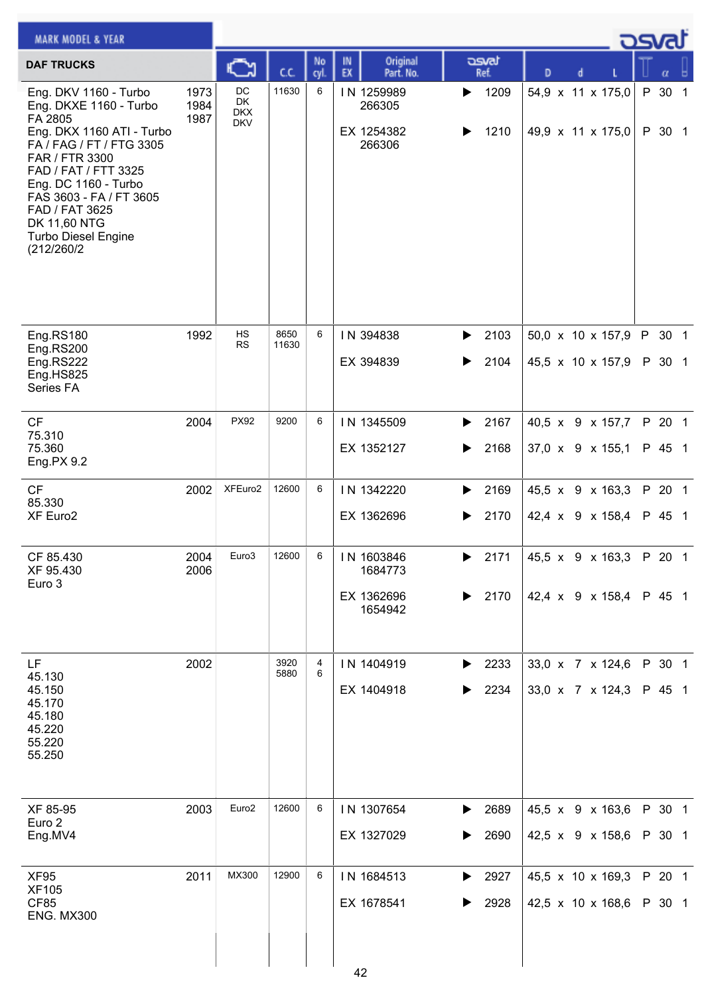| <b>MARK MODEL &amp; YEAR</b>                                                                                                                                                                                                                                                                   |                      |                                             |               |                 |                                                |                        |                                                                | كت الم           |
|------------------------------------------------------------------------------------------------------------------------------------------------------------------------------------------------------------------------------------------------------------------------------------------------|----------------------|---------------------------------------------|---------------|-----------------|------------------------------------------------|------------------------|----------------------------------------------------------------|------------------|
| <b>DAF TRUCKS</b>                                                                                                                                                                                                                                                                              |                      | <b>A</b>                                    | cc            | No<br>cyl       | Original<br>IN<br>EX<br>Part. No.              | asvat<br>Ref.          | D<br>d                                                         | α                |
| Eng. DKV 1160 - Turbo<br>Eng. DKXE 1160 - Turbo<br>FA 2805<br>Eng. DKX 1160 ATI - Turbo<br>FA / FAG / FT / FTG 3305<br>FAR / FTR 3300<br>FAD / FAT / FTT 3325<br>Eng. DC 1160 - Turbo<br>FAS 3603 - FA / FT 3605<br>FAD / FAT 3625<br>DK 11,60 NTG<br><b>Turbo Diesel Engine</b><br>(212/260/2 | 1973<br>1984<br>1987 | DC<br><b>DK</b><br><b>DKX</b><br><b>DKV</b> | 11630         | 6               | IN 1259989<br>266305<br>EX 1254382<br>266306   | 1209<br>▶<br>1210      | 54,9 x 11 x 175,0<br>49,9 x 11 x 175,0                         | P 30 1<br>P 30 1 |
| Eng.RS180<br>Eng.RS200<br>Eng.RS222<br>Eng.HS825<br>Series FA                                                                                                                                                                                                                                  | 1992                 | HS<br><b>RS</b>                             | 8650<br>11630 | 6               | IN 394838<br>EX 394839                         | 2103<br>▶<br>2104      | 50,0 x 10 x 157,9<br>45,5 x 10 x 157,9                         | P 30 1<br>P 30 1 |
| CF<br>75.310<br>75.360<br>Eng.PX 9.2                                                                                                                                                                                                                                                           | 2004                 | <b>PX92</b>                                 | 9200          | 6               | IN 1345509<br>EX 1352127                       | 2167<br>▶<br>2168<br>▶ | 40,5 x 9 x 157,7<br>37,0 x 9 x 155,1                           | P 20 1<br>P 45 1 |
| CF<br>85.330<br>XF Euro2                                                                                                                                                                                                                                                                       | 2002                 | XFEuro2                                     | 12600         | 6               | IN 1342220<br>EX 1362696                       | 2169<br>▶<br>2170      | 45,5 x 9 x 163,3<br>42,4 x 9 x 158,4                           | P 20 1<br>P 45 1 |
| CF 85.430<br>XF 95.430<br>Euro 3                                                                                                                                                                                                                                                               | 2004<br>2006         | Euro3                                       | 12600         | $6\overline{6}$ | IN 1603846<br>1684773<br>EX 1362696<br>1654942 | ▶<br>2170              | 2171 $ 45.5 \times 9 \times 163.3 $ P 20 1<br>42,4 x 9 x 158,4 | P 45 1           |
| LF.<br>45.130<br>45.150<br>45.170<br>45.180<br>45.220<br>55.220<br>55.250                                                                                                                                                                                                                      | 2002                 |                                             | 3920<br>5880  | 4<br>6          | IN 1404919<br>EX 1404918                       | 2233<br>▶<br>2234      | 33,0 x 7 x 124,6<br>33,0 x 7 x 124,3                           | P 30 1<br>P 45 1 |
| XF 85-95<br>Euro 2<br>Eng.MV4                                                                                                                                                                                                                                                                  | 2003                 | Euro <sub>2</sub>                           | 12600         | 6               | IN 1307654<br>EX 1327029                       | 2689<br>▶<br>2690      | 45,5 x 9 x 163,6<br>42,5 x 9 x 158,6                           | P 30 1<br>P 30 1 |
| <b>XF95</b><br><b>XF105</b><br>CF85<br><b>ENG. MX300</b>                                                                                                                                                                                                                                       | 2011                 | MX300                                       | 12900         | 6               | IN 1684513<br>EX 1678541<br>42                 | 2927<br>▶<br>2928      | 45,5 x 10 x 169,3<br>42,5 x 10 x 168,6                         | P 20 1<br>P 30 1 |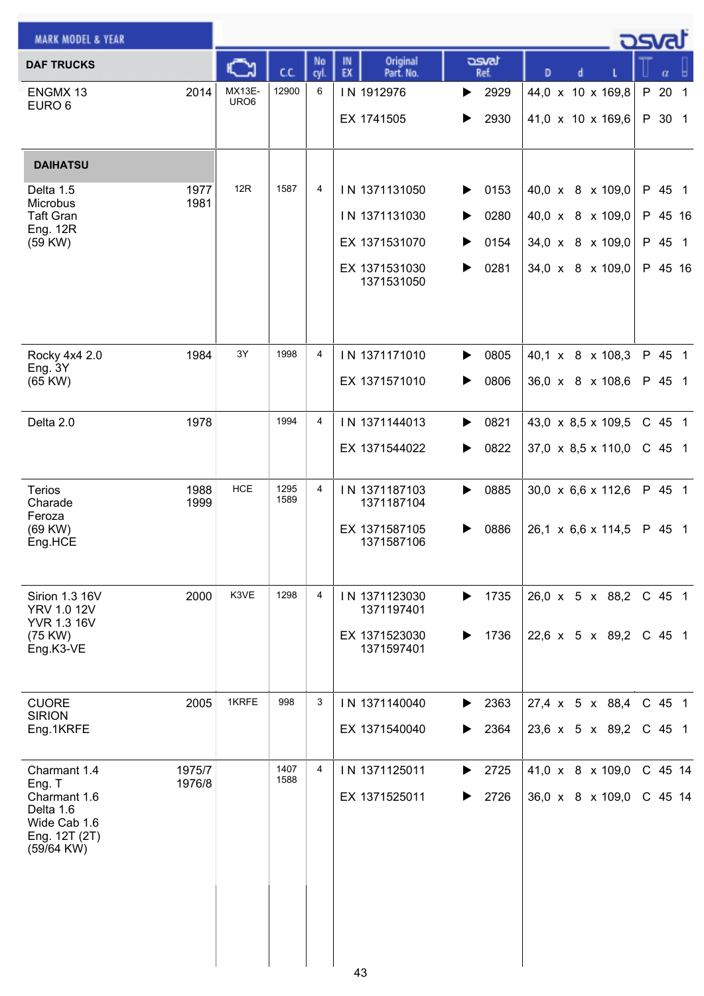|                                            |                |                                                                                |                                             |                                                                              | asvat                                                                                                                                                                                                                                                                |
|--------------------------------------------|----------------|--------------------------------------------------------------------------------|---------------------------------------------|------------------------------------------------------------------------------|----------------------------------------------------------------------------------------------------------------------------------------------------------------------------------------------------------------------------------------------------------------------|
| C.C.                                       | No<br>cyl.     | Original<br>IN<br>EX<br>Part. No.                                              | asvat<br>Ref.                               | D<br>d                                                                       | α                                                                                                                                                                                                                                                                    |
| 12900<br><b>MX13E-</b><br>URO <sub>6</sub> | 6              | IN 1912976<br>EX 1741505                                                       | 2929<br>▶<br>2930<br>▶                      | 44,0 x 10 x 169,8<br>41,0 x 10 x 169,6                                       | P<br>20<br>$\overline{1}$<br>P 30 1                                                                                                                                                                                                                                  |
|                                            |                |                                                                                |                                             |                                                                              |                                                                                                                                                                                                                                                                      |
| 12R<br>1587                                | 4              | IN 1371131050<br>IN 1371131030<br>EX 1371531070<br>EX 1371531030<br>1371531050 | 0153<br>▶<br>0280<br>0154<br>▶<br>0281<br>▶ | 40,0 x 8 x 109,0<br>40,0 x 8 x 109,0<br>34,0 x 8 x 109,0<br>34,0 x 8 x 109,0 | P 45 1<br>P 45 16<br>P 45 1<br>P 45 16                                                                                                                                                                                                                               |
| 3Y<br>1998                                 | $\overline{4}$ | IN 1371171010<br>EX 1371571010                                                 | 0805<br>▶<br>0806<br>▶                      | 40,1 x 8 x 108,3<br>36,0 x 8 x 108,6                                         | P 45 1<br>P 45 1                                                                                                                                                                                                                                                     |
| 1994                                       | $\overline{4}$ | IN 1371144013<br>EX 1371544022                                                 | 0821<br>▶<br>0822<br>▶                      |                                                                              | C 45 1<br>$C$ 45 1                                                                                                                                                                                                                                                   |
| <b>HCE</b><br>1295<br>1589                 | $\overline{4}$ | IN 1371187103<br>1371187104<br>EX 1371587105<br>1371587106                     | 0885<br>▶<br>0886                           |                                                                              | P 45 1<br>P 45 1                                                                                                                                                                                                                                                     |
| K3VE<br>1298                               | $\overline{4}$ | IN 1371123030<br>1371197401<br>EX 1371523030<br>1371597401                     | 1735<br>▶<br>1736<br>▶                      |                                                                              | C 45 1<br>C 45 1                                                                                                                                                                                                                                                     |
| 1KRFE<br>998                               | 3              | IN 1371140040<br>EX 1371540040                                                 | 2363<br>▶<br>2364<br>▶                      |                                                                              | C 45 1<br>$C$ 45 1                                                                                                                                                                                                                                                   |
| 1407<br>1588                               | 4              | IN 1371125011<br>EX 1371525011                                                 | 2725<br>▶<br>2726<br>▶                      |                                                                              | C 45 14<br>$C$ 45 14                                                                                                                                                                                                                                                 |
|                                            |                |                                                                                | 43                                          |                                                                              | $43,0 \times 8,5 \times 109,5$<br>$37,0 \times 8,5 \times 110,0$<br>$30,0 \times 6,6 \times 112,6$<br>$26,1 \times 6,6 \times 114,5$<br>26,0 x 5 x 88,2<br>22,6 x 5 x 89,2<br>$27,4 \times 5 \times 88,4$<br>23,6 x 5 x 89,2<br>41,0 x 8 x 109,0<br>36,0 x 8 x 109,0 |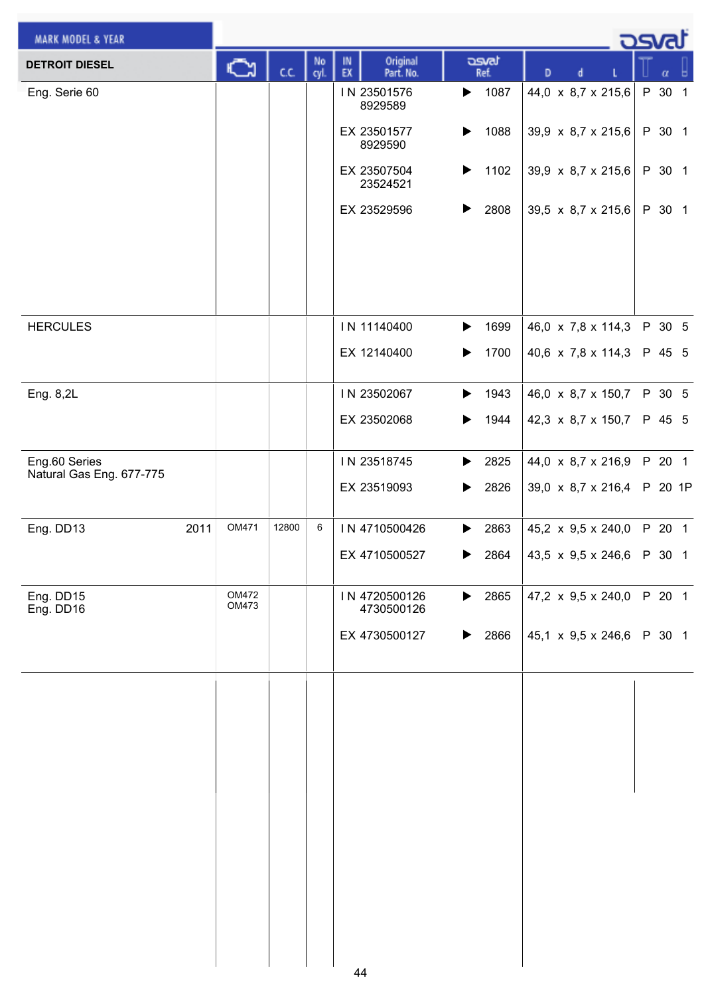| <b>MARK MODEL &amp; YEAR</b>              |                |       |            |                                   |                               | <u>_ ರಾ</u> ಡು                   |         |
|-------------------------------------------|----------------|-------|------------|-----------------------------------|-------------------------------|----------------------------------|---------|
| <b>DETROIT DIESEL</b>                     | ⊾              | C.C.  | No<br>cyl. | Original<br>IN<br>EX<br>Part. No. | asvat<br>Ref.                 | D                                | α       |
| Eng. Serie 60                             |                |       |            | IN 23501576<br>8929589            | 1087<br>▶                     | 44,0 x 8,7 x 215,6               | P 30 1  |
|                                           |                |       |            | EX 23501577<br>8929590            | 1088<br>▶                     | 39,9 x 8,7 x 215,6               | P 30 1  |
|                                           |                |       |            | EX 23507504<br>23524521           | ▶<br>1102                     | 39,9 x 8,7 x 215,6               | P 30 1  |
|                                           |                |       |            | EX 23529596                       | 2808<br>▶                     | 39,5 x 8,7 x 215,6               | P 30 1  |
|                                           |                |       |            |                                   |                               |                                  |         |
| <b>HERCULES</b>                           |                |       |            | IN 11140400                       | $\blacktriangleright$<br>1699 | 46,0 x 7,8 x 114,3               | P 30 5  |
|                                           |                |       |            | EX 12140400                       | 1700<br>▶                     | 40,6 x 7,8 x 114,3               | P 45 5  |
| Eng. 8,2L                                 |                |       |            | IN 23502067                       | 1943<br>▶                     | 46,0 x 8,7 x 150,7               | P 30 5  |
|                                           |                |       |            | EX 23502068                       | 1944<br>▶                     | 42,3 x 8,7 x 150,7               | P 45 5  |
| Eng.60 Series<br>Natural Gas Eng. 677-775 |                |       |            | IN 23518745                       | 2825<br>▶                     | 44,0 x 8,7 x 216,9               | P 20 1  |
|                                           |                |       |            | EX 23519093                       | 2826<br>▶                     | 39,0 x 8,7 x 216,4               | P 20 1P |
| Eng. DD13<br>2011                         | OM471          | 12800 | 6          | IN 4710500426                     | 2863<br>▶                     | 45,2 x 9,5 x 240,0               | P 20 1  |
|                                           |                |       |            | EX 4710500527                     | $\blacktriangleright$ 2864    | 43,5 x 9,5 x 246,6 P 30 1        |         |
| Eng. DD15<br>Eng. DD16                    | OM472<br>OM473 |       |            | IN 4720500126<br>4730500126       | 2865<br>$\blacktriangleright$ | 47,2 $\times$ 9,5 $\times$ 240,0 | P 20 1  |
|                                           |                |       |            | EX 4730500127                     | 2866<br>▶                     | 45,1 x 9,5 x 246,6               | P 30 1  |
|                                           |                |       |            |                                   |                               |                                  |         |
|                                           |                |       |            |                                   |                               |                                  |         |
|                                           |                |       |            |                                   |                               |                                  |         |
|                                           |                |       |            |                                   |                               |                                  |         |
|                                           |                |       |            |                                   |                               |                                  |         |
|                                           |                |       |            |                                   |                               |                                  |         |
|                                           |                |       |            |                                   |                               |                                  |         |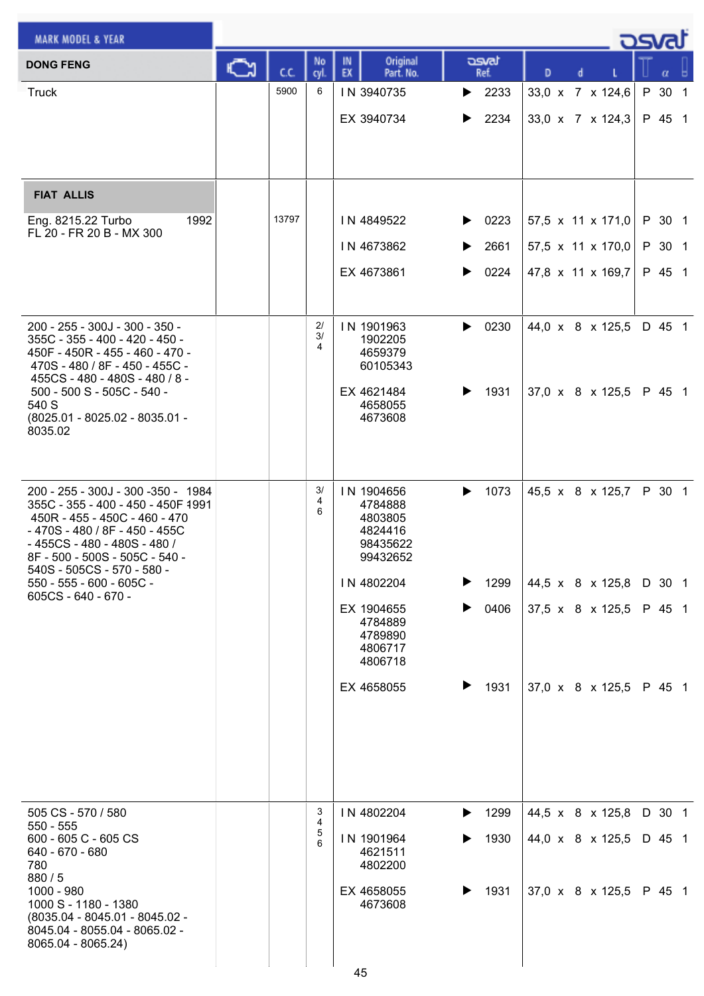| <b>MARK MODEL &amp; YEAR</b>                                                                                                                                                                                                                                                                    |    |       |                  |                                                                                                                                                           |                                                  |                                                                              | asvat                                |  |
|-------------------------------------------------------------------------------------------------------------------------------------------------------------------------------------------------------------------------------------------------------------------------------------------------|----|-------|------------------|-----------------------------------------------------------------------------------------------------------------------------------------------------------|--------------------------------------------------|------------------------------------------------------------------------------|--------------------------------------|--|
| <b>DONG FENG</b>                                                                                                                                                                                                                                                                                | C٦ | C.C.  | No<br>cyl.       | Original<br>IN<br>EX<br>Part. No.                                                                                                                         | asvat<br>Ref.                                    | D<br>d                                                                       |                                      |  |
| <b>Truck</b>                                                                                                                                                                                                                                                                                    |    | 5900  | 6                | IN 3940735<br>EX 3940734                                                                                                                                  | $\blacktriangleright$ 2233<br>2234<br>▶          | 33,0 x 7 x 124,6<br>33,0 x 7 x 124,3                                         | P 30 1<br>P 45 1                     |  |
| <b>FIAT ALLIS</b><br>1992<br>Eng. 8215.22 Turbo<br>FL 20 - FR 20 B - MX 300                                                                                                                                                                                                                     |    | 13797 |                  | IN 4849522<br>IN 4673862<br>EX 4673861                                                                                                                    | 0223<br>▶<br>2661<br>▶<br>0224<br>▶              | 57,5 x 11 x 171,0<br>57,5 x 11 x 170,0<br>47,8 x 11 x 169,7                  | P 30 1<br>P 30 1<br>P 45 1           |  |
| 200 - 255 - 300J - 300 - 350 -<br>355C - 355 - 400 - 420 - 450 -<br>450F - 450R - 455 - 460 - 470 -<br>470S - 480 / 8F - 450 - 455C -<br>455CS - 480 - 480S - 480 / 8 -<br>500 - 500 S - 505C - 540 -<br>540 S<br>(8025.01 - 8025.02 - 8035.01 -<br>8035.02                                     |    |       | 2/<br>3/<br>4    | IN 1901963<br>1902205<br>4659379<br>60105343<br>EX 4621484<br>4658055<br>4673608                                                                          | 0230<br>▶<br>1931<br>▶                           | 44,0 x 8 x 125,5<br>37,0 x 8 x 125,5                                         | D 45 1<br>P 45 1                     |  |
| 200 - 255 - 300J - 300 - 350 - 1984<br>355C - 355 - 400 - 450 - 450F 4991<br>450R - 455 - 450C - 460 - 470<br>- 470S - 480 / 8F - 450 - 455C<br>- 455CS - 480 - 480S - 480 /<br>8F - 500 - 500S - 505C - 540 -<br>540S - 505CS - 570 - 580 -<br>550 - 555 - 600 - 605C -<br>605CS - 640 - 670 - |    |       | 3/<br>4<br>6     | IN 1904656<br>4784888<br>4803805<br>4824416<br>98435622<br>99432652<br>IN 4802204<br>EX 1904655<br>4784889<br>4789890<br>4806717<br>4806718<br>EX 4658055 | 1073<br>▶<br>1299<br>▶<br>0406<br>▶<br>▶<br>1931 | 45,5 x 8 x 125,7<br>44,5 x 8 x 125,8<br>37,5 x 8 x 125,5<br>37,0 x 8 x 125,5 | P 30 1<br>D 30 1<br>P 45 1<br>P 45 1 |  |
| 505 CS - 570 / 580<br>$550 - 555$<br>600 - 605 C - 605 CS<br>640 - 670 - 680<br>780<br>880/5<br>1000 - 980<br>1000 S - 1180 - 1380<br>(8035.04 - 8045.01 - 8045.02 -<br>8045.04 - 8055.04 - 8065.02 -<br>8065.04 - 8065.24)                                                                     |    |       | 3<br>4<br>5<br>6 | IN 4802204<br>IN 1901964<br>4621511<br>4802200<br>EX 4658055<br>4673608<br>45                                                                             | 1299<br>▶<br>1930<br>1931<br>▶                   | 44,5 x 8 x 125,8<br>44,0 x 8 x 125,5<br>$37,0 \times 8 \times 125,5$         | D 30 1<br>D 45 1<br>P 45 1           |  |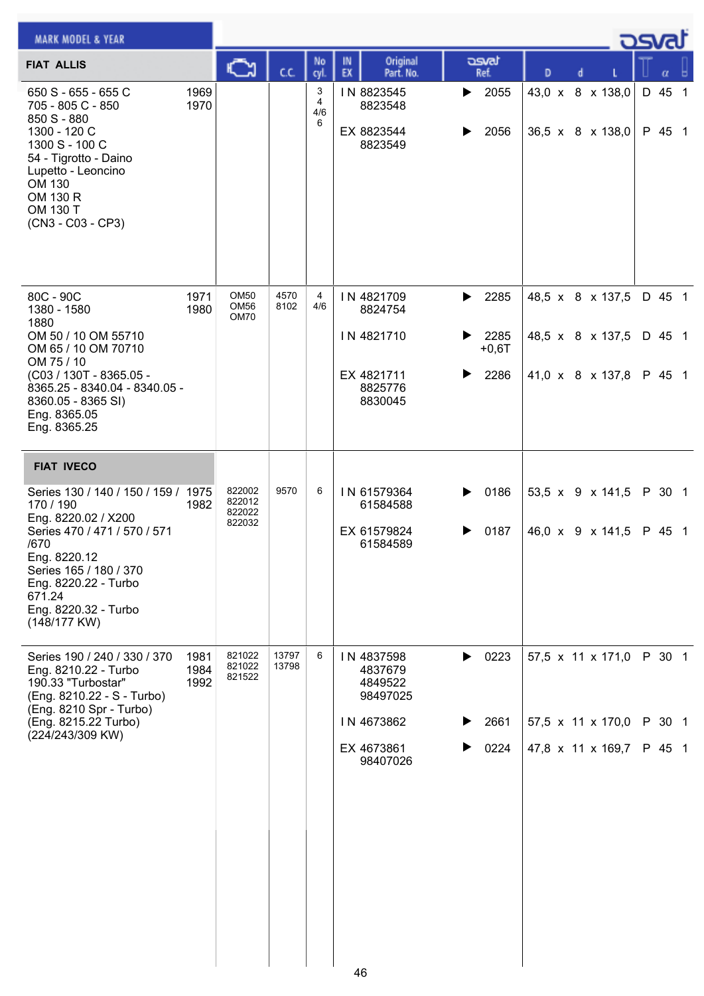| <b>MARK MODEL &amp; YEAR</b>                                                                                                                                                                                                        |                      |                                      |                |                                 |                                        |                                                    |             |                                 |   |  | <b>DSVAT</b>                                             |                            |  |
|-------------------------------------------------------------------------------------------------------------------------------------------------------------------------------------------------------------------------------------|----------------------|--------------------------------------|----------------|---------------------------------|----------------------------------------|----------------------------------------------------|-------------|---------------------------------|---|--|----------------------------------------------------------|----------------------------|--|
| <b>FIAT ALLIS</b>                                                                                                                                                                                                                   |                      | ు                                    | C.C.           | No<br>cyl                       | IN<br>EX                               | Original<br>Part. No.                              |             | asvat<br>Ref.                   | D |  |                                                          |                            |  |
| 650 S - 655 - 655 C<br>705 - 805 C - 850<br>850 S - 880<br>1300 - 120 C<br>1300 S - 100 C<br>54 - Tigrotto - Daino<br>Lupetto - Leoncino<br>OM 130<br>OM 130 R<br>OM 130 T<br>(CN3 - C03 - CP3)                                     | 1969<br>1970         |                                      |                | 3<br>$\overline{4}$<br>4/6<br>6 | IN 8823545<br>EX 8823544               | 8823548<br>8823549                                 | ▶           | 2055<br>2056                    |   |  | 43,0 x 8 x 138,0<br>36,5 x 8 x 138,0                     | D 45 1<br>P 45 1           |  |
| 80C - 90C<br>1380 - 1580<br>1880<br>OM 50 / 10 OM 55710<br>OM 65 / 10 OM 70710<br>OM 75 / 10<br>(C03 / 130T - 8365.05 -<br>8365.25 - 8340.04 - 8340.05 -<br>8360.05 - 8365 SI)<br>Eng. 8365.05<br>Eng. 8365.25                      | 1971<br>1980         | OM50<br>OM56<br>OM70                 | 4570<br>8102   | 4<br>4/6                        | IN 4821709<br>IN 4821710<br>EX 4821711 | 8824754<br>8825776<br>8830045                      | ▶<br>▶<br>▶ | 2285<br>2285<br>$+0,6T$<br>2286 |   |  | 48,5 x 8 x 137,5<br>48,5 x 8 x 137,5<br>41,0 x 8 x 137,8 | D 45 1<br>D 45 1<br>P 45 1 |  |
| <b>FIAT IVECO</b>                                                                                                                                                                                                                   |                      |                                      |                |                                 |                                        |                                                    |             |                                 |   |  |                                                          |                            |  |
| Series 130 / 140 / 150 / 159 / 1975<br>170 / 190<br>Eng. 8220.02 / X200<br>Series 470 / 471 / 570 / 571<br>/670<br>Eng. 8220.12<br>Series 165 / 180 / 370<br>Eng. 8220.22 - Turbo<br>671.24<br>Eng. 8220.32 - Turbo<br>(148/177 KW) | 1982                 | 822002<br>822012<br>822022<br>822032 | 9570           | 6                               |                                        | IN 61579364<br>61584588<br>EX 61579824<br>61584589 | ▶<br>▶      | 0186<br>0187                    |   |  | 53,5 x 9 x 141,5<br>46,0 x 9 x 141,5                     | P 30 1<br>P 45 1           |  |
| Series 190 / 240 / 330 / 370<br>Eng. 8210.22 - Turbo<br>190.33 "Turbostar"<br>(Eng. 8210.22 - S - Turbo)<br>(Eng. 8210 Spr - Turbo)                                                                                                 | 1981<br>1984<br>1992 | 821022<br>821022<br>821522           | 13797<br>13798 | 6                               | IN 4837598                             | 4837679<br>4849522<br>98497025                     | ▶           | 0223                            |   |  | 57,5 x 11 x 171,0                                        | P 30 1                     |  |
| (Eng. 8215.22 Turbo)<br>(224/243/309 KW)                                                                                                                                                                                            |                      |                                      |                |                                 | IN 4673862                             |                                                    |             | 2661                            |   |  | 57,5 x 11 x 170,0                                        | P 30 1                     |  |
|                                                                                                                                                                                                                                     |                      |                                      |                |                                 | EX 4673861                             | 98407026                                           |             | 0224                            |   |  | 47,8 x 11 x 169,7                                        | P 45 1                     |  |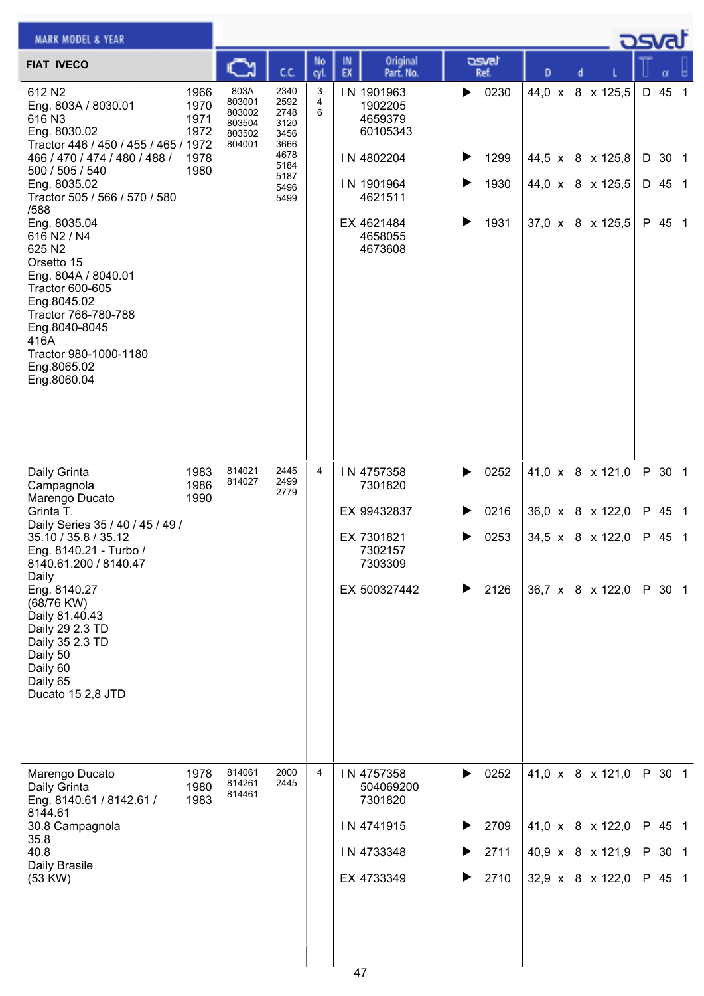| <b>MARK MODEL &amp; YEAR</b>                                                                                                                                                                                                                                                                                                                                                                                                                    |                                              |                                                        |                                                                                      |             |                                                      |                                                                 |                  |                              |   |   |                                                                              | <u>osvaľ</u> |                                      |  |
|-------------------------------------------------------------------------------------------------------------------------------------------------------------------------------------------------------------------------------------------------------------------------------------------------------------------------------------------------------------------------------------------------------------------------------------------------|----------------------------------------------|--------------------------------------------------------|--------------------------------------------------------------------------------------|-------------|------------------------------------------------------|-----------------------------------------------------------------|------------------|------------------------------|---|---|------------------------------------------------------------------------------|--------------|--------------------------------------|--|
| <b>FIAT IVECO</b>                                                                                                                                                                                                                                                                                                                                                                                                                               |                                              | న                                                      | C.C.                                                                                 | No<br>cyl.  | IN<br>EX                                             | Original<br>Part. No.                                           |                  | asvat<br>Ref.                | D | d |                                                                              |              | α                                    |  |
| 612 N <sub>2</sub><br>Eng. 803A / 8030.01<br>616 N3<br>Eng. 8030.02<br>Tractor 446 / 450 / 455 / 465 / 1972<br>466 / 470 / 474 / 480 / 488 /<br>500 / 505 / 540<br>Eng. 8035.02<br>Tractor 505 / 566 / 570 / 580<br>/588<br>Eng. 8035.04<br>616 N2 / N4<br>625 N2<br>Orsetto 15<br>Eng. 804A / 8040.01<br>Tractor 600-605<br>Eng.8045.02<br>Tractor 766-780-788<br>Eng.8040-8045<br>416A<br>Tractor 980-1000-1180<br>Eng.8065.02<br>Eng.8060.04 | 1966<br>1970<br>1971<br>1972<br>1978<br>1980 | 803A<br>803001<br>803002<br>803504<br>803502<br>804001 | 2340<br>2592<br>2748<br>3120<br>3456<br>3666<br>4678<br>5184<br>5187<br>5496<br>5499 | 3<br>4<br>6 | IN 1901963<br>IN 4802204<br>IN 1901964<br>EX 4621484 | 1902205<br>4659379<br>60105343<br>4621511<br>4658055<br>4673608 | ▶<br>▶<br>▶      | 0230<br>1299<br>1930<br>1931 |   |   | 44,0 x 8 x 125,5<br>44,5 x 8 x 125,8<br>44,0 x 8 x 125,5<br>37,0 x 8 x 125,5 |              | D 45 1<br>D 30 1<br>D 45 1<br>P 45 1 |  |
| Daily Grinta<br>Campagnola<br>Marengo Ducato<br>Grinta T.<br>Daily Series 35 / 40 / 45 / 49 /<br>35.10 / 35.8 / 35.12<br>Eng. 8140.21 - Turbo /<br>8140.61.200 / 8140.47<br>Daily<br>Eng. 8140.27<br>(68/76 KW)<br>Daily 81.40.43<br>Daily 29 2.3 TD<br>Daily 35 2.3 TD<br>Daily 50<br>Daily 60<br>Daily 65<br>Ducato 15 2,8 JTD                                                                                                                | 1983<br>1986<br>1990                         | 814021<br>814027                                       | 2445<br>2499<br>2779                                                                 | 4           | IN 4757358<br>EX 99432837<br>EX 7301821              | 7301820<br>7302157<br>7303309<br>EX 500327442                   | ▶<br>▶<br>▶<br>▶ | 0252<br>0216<br>0253<br>2126 |   |   | 41,0 x 8 x 121,0<br>36,0 x 8 x 122,0<br>34,5 x 8 x 122,0<br>36,7 x 8 x 122,0 |              | P 30 1<br>P 45 1<br>P 45 1<br>P 30 1 |  |
| Marengo Ducato<br>Daily Grinta<br>Eng. 8140.61 / 8142.61 /<br>8144.61<br>30.8 Campagnola<br>35.8<br>40.8<br>Daily Brasile<br>(53 KW)                                                                                                                                                                                                                                                                                                            | 1978<br>1980<br>1983                         | 814061<br>814261<br>814461                             | 2000<br>2445                                                                         | 4           | IN 4757358<br>IN 4741915<br>IN 4733348<br>EX 4733349 | 504069200<br>7301820                                            | ▶<br>▶           | 0252<br>2709<br>2711<br>2710 |   |   | 41,0 x 8 x 121,0<br>41,0 x 8 x 122,0<br>40,9 x 8 x 121,9<br>32,9 x 8 x 122,0 |              | P 30 1<br>P 45 1<br>P 30 1<br>P 45 1 |  |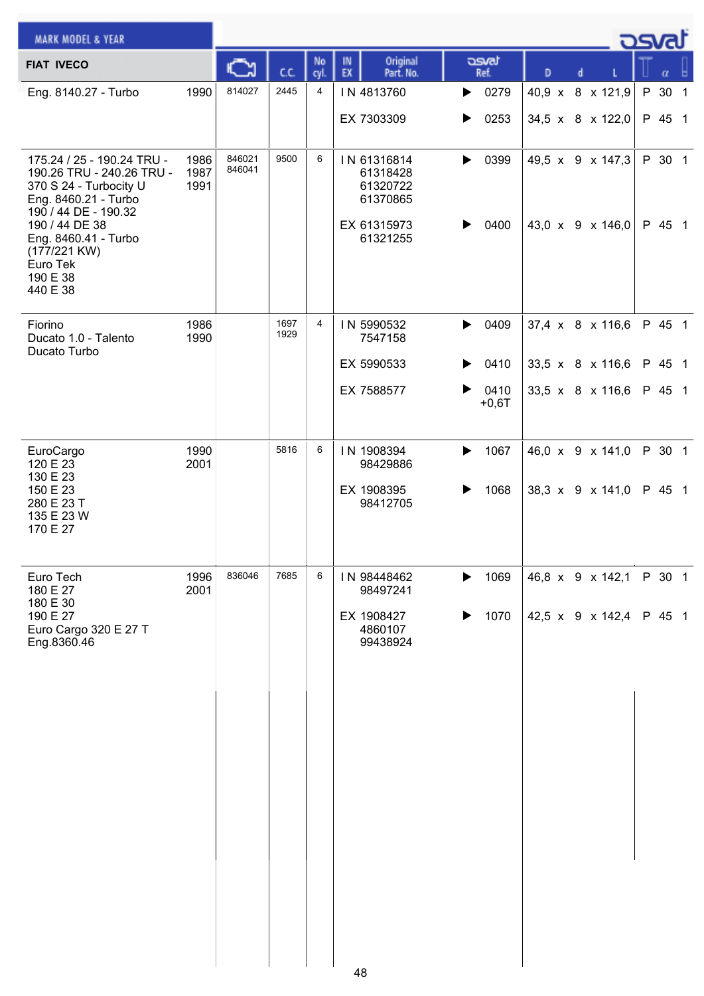| <b>MARK MODEL &amp; YEAR</b>                                                                                                                        |                      |                  |              |            |                                                                |                               |                                      |  | كتصور            |  |
|-----------------------------------------------------------------------------------------------------------------------------------------------------|----------------------|------------------|--------------|------------|----------------------------------------------------------------|-------------------------------|--------------------------------------|--|------------------|--|
| <b>FIAT IVECO</b>                                                                                                                                   |                      |                  | ĊĊ.          | No<br>cyl. | Original<br>IN<br>EX<br>Part. No.                              | asvat<br>Ref.                 | D<br>d                               |  | α                |  |
| Eng. 8140.27 - Turbo                                                                                                                                | 1990                 | 814027           | 2445         | 4          | IN 4813760                                                     | $\triangleright$ 0279         | 40,9 x 8 x 121,9                     |  | P 30 1           |  |
|                                                                                                                                                     |                      |                  |              |            | EX 7303309                                                     | 0253<br>▶                     | 34,5 x 8 x 122,0                     |  | P 45 1           |  |
| 175.24 / 25 - 190.24 TRU -<br>190.26 TRU - 240.26 TRU -<br>370 S 24 - Turbocity U<br>Eng. 8460.21 - Turbo<br>190 / 44 DE - 190.32<br>190 / 44 DE 38 | 1986<br>1987<br>1991 | 846021<br>846041 | 9500         | 6          | IN 61316814<br>61318428<br>61320722<br>61370865<br>EX 61315973 | 0399<br>▶<br>0400<br>▶        | 49,5 x 9 x 147,3<br>43,0 x 9 x 146,0 |  | P 30 1<br>P 45 1 |  |
| Eng. 8460.41 - Turbo<br>(177/221 KW)<br>Euro Tek<br>190 E 38<br>440 E 38                                                                            |                      |                  |              |            | 61321255                                                       |                               |                                      |  |                  |  |
| Fiorino<br>Ducato 1.0 - Talento<br>Ducato Turbo                                                                                                     | 1986<br>1990         |                  | 1697<br>1929 | 4          | IN 5990532<br>7547158                                          | ▶<br>0409                     | 37,4 x 8 x 116,6                     |  | P 45 1           |  |
|                                                                                                                                                     |                      |                  |              |            | EX 5990533                                                     | 0410<br>▶                     | 33,5 x 8 x 116,6                     |  | P 45 1           |  |
|                                                                                                                                                     |                      |                  |              |            | EX 7588577                                                     | 0410<br>▶<br>$+0,6T$          | 33,5 x $8 \times 116,6$              |  | P 45 1           |  |
| EuroCargo<br>120 E 23                                                                                                                               | 1990<br>2001         |                  | 5816         | 6          | IN 1908394<br>98429886                                         | 1067<br>▶                     | 46,0 x 9 x 141,0                     |  | P 30 1           |  |
| 130 E 23<br>150 E 23<br>280 E 23 T<br>135 E 23 W<br>170 E 27                                                                                        |                      |                  |              |            | EX 1908395<br>98412705                                         | 1068                          | 38,3 x 9 x 141,0                     |  | P 45 1           |  |
| Euro Tech<br>180 E 27<br>180 E 30                                                                                                                   | 1996<br>2001         | 836046           | 7685         | 6          | IN 98448462<br>98497241                                        | 1069<br>▶                     | 46,8 x 9 x 142,1                     |  | P 30 1           |  |
| 190 E 27<br>Euro Cargo 320 E 27 T<br>Eng.8360.46                                                                                                    |                      |                  |              |            | EX 1908427<br>4860107<br>99438924                              | 1070<br>$\blacktriangleright$ | 42,5 x 9 x 142,4 P 45 1              |  |                  |  |
|                                                                                                                                                     |                      |                  |              |            |                                                                |                               |                                      |  |                  |  |
|                                                                                                                                                     |                      |                  |              |            |                                                                |                               |                                      |  |                  |  |
|                                                                                                                                                     |                      |                  |              |            |                                                                |                               |                                      |  |                  |  |
|                                                                                                                                                     |                      |                  |              |            |                                                                |                               |                                      |  |                  |  |
|                                                                                                                                                     |                      |                  |              |            |                                                                |                               |                                      |  |                  |  |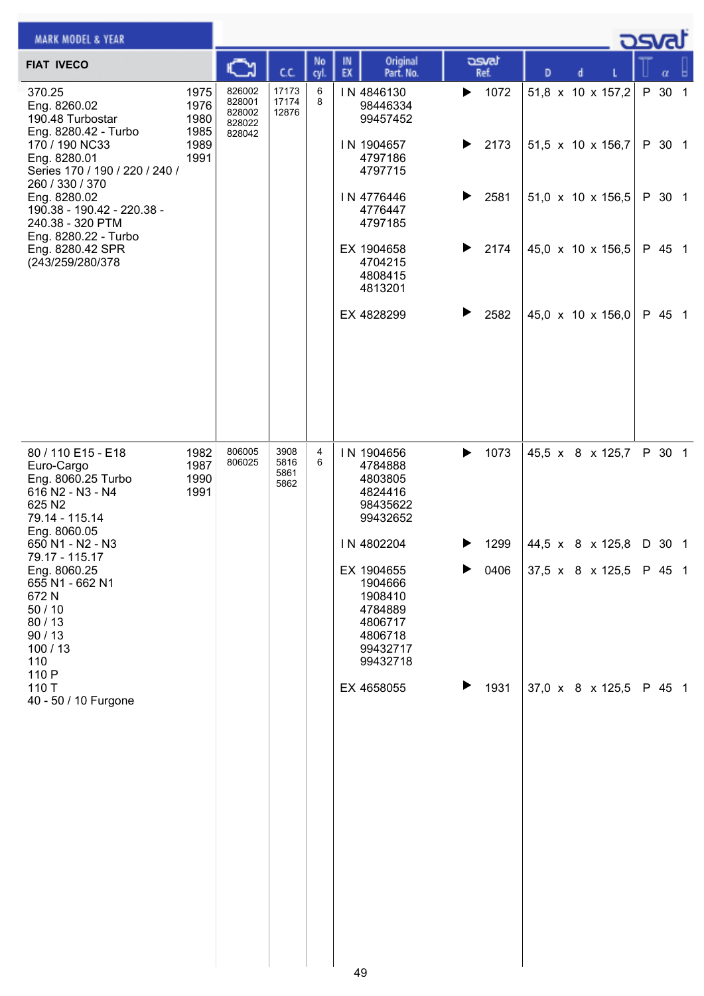| <b>MARK MODEL &amp; YEAR</b>                                                                           |                              |                                                |                              |            |          |                                                                                           |   |                            |                         |   |  | <u>asvat</u> |     |
|--------------------------------------------------------------------------------------------------------|------------------------------|------------------------------------------------|------------------------------|------------|----------|-------------------------------------------------------------------------------------------|---|----------------------------|-------------------------|---|--|--------------|-----|
| <b>FIAT IVECO</b>                                                                                      |                              | ⊾                                              | сc                           | No<br>cyl. | IN<br>EX | Original<br>Part. No.                                                                     |   | asvat<br>Ref.              | D                       | d |  | $\alpha$     | - A |
| 370.25<br>Eng. 8260.02<br>190.48 Turbostar<br>Eng. 8280.42 - Turbo                                     | 1975<br>1976<br>1980<br>1985 | 826002<br>828001<br>828002<br>828022<br>828042 | 17173<br>17174<br>12876      | 6<br>8     |          | IN 4846130<br>98446334<br>99457452                                                        |   | $\blacktriangleright$ 1072 | 51,8 x 10 x 157,2       |   |  | P 30 1       |     |
| 170 / 190 NC33<br>Eng. 8280.01<br>Series 170 / 190 / 220 / 240 /<br>260 / 330 / 370                    | 1989<br>1991                 |                                                |                              |            |          | IN 1904657<br>4797186<br>4797715                                                          | ▶ | 2173                       | 51,5 x 10 x 156,7       |   |  | P 30 1       |     |
| Eng. 8280.02<br>190.38 - 190.42 - 220.38 -<br>240.38 - 320 PTM<br>Eng. 8280.22 - Turbo                 |                              |                                                |                              |            |          | IN 4776446<br>4776447<br>4797185                                                          |   | 2581                       | 51,0 x 10 x 156,5       |   |  | P 30 1       |     |
| Eng. 8280.42 SPR<br>(243/259/280/378                                                                   |                              |                                                |                              |            |          | EX 1904658<br>4704215<br>4808415<br>4813201                                               | ▶ | 2174                       | 45,0 x 10 x 156,5       |   |  | P 45 1       |     |
|                                                                                                        |                              |                                                |                              |            |          | EX 4828299                                                                                |   | 2582                       | 45,0 x 10 x 156,0       |   |  | P 45 1       |     |
| 80 / 110 E15 - E18<br>Euro-Cargo<br>Eng. 8060.25 Turbo<br>616 N2 - N3 - N4<br>625 N2<br>79.14 - 115.14 | 1982<br>1987<br>1990<br>1991 | 806005<br>806025                               | 3908<br>5816<br>5861<br>5862 | 4<br>6     |          | IN 1904656<br>4784888<br>4803805<br>4824416<br>98435622<br>99432652                       | ▶ | 1073                       | 45,5 x 8 x 125,7        |   |  | P 30 1       |     |
| Eng. 8060.05<br>650 N1 - N2 - N3<br>79.17 - 115.17                                                     |                              |                                                |                              |            |          | IN 4802204                                                                                |   | 1299                       | 44,5 x 8 x 125,8 D 30 1 |   |  |              |     |
| Eng. 8060.25<br>655 N1 - 662 N1<br>672N<br>50/10<br>80 / 13<br>90/13<br>100/13<br>110<br>110 P         |                              |                                                |                              |            |          | EX 1904655<br>1904666<br>1908410<br>4784889<br>4806717<br>4806718<br>99432717<br>99432718 |   | 0406                       | 37,5 x 8 x 125,5        |   |  | P 45 1       |     |
| 110 T<br>40 - 50 / 10 Furgone                                                                          |                              |                                                |                              |            |          | EX 4658055<br>40                                                                          |   | 1931                       | 37,0 x 8 x 125,5        |   |  | P 45 1       |     |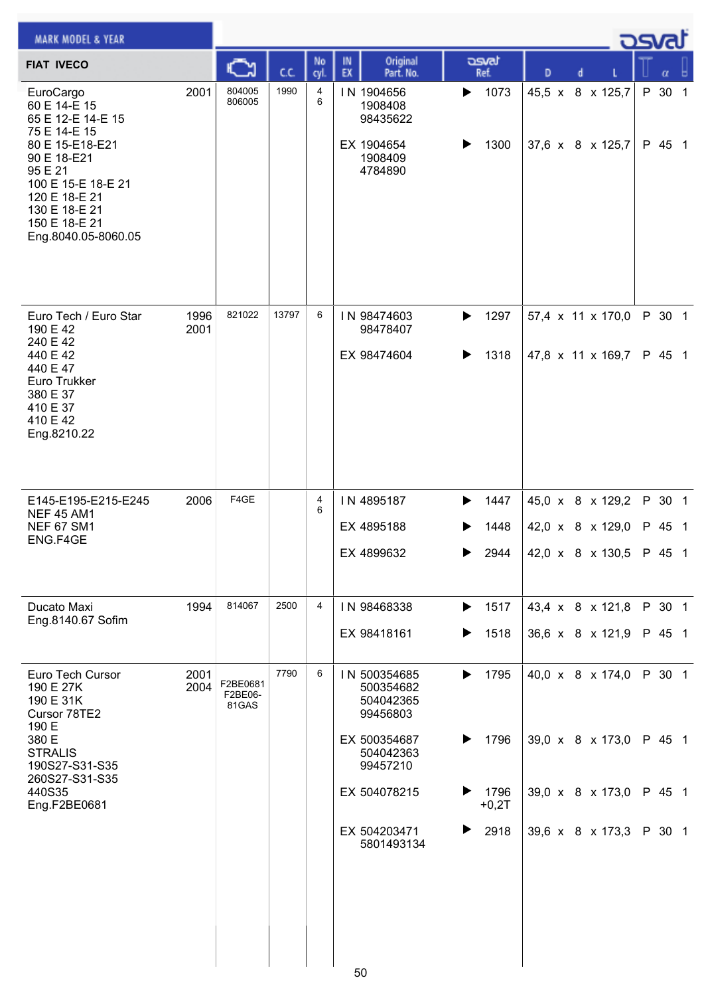| <b>MARK MODEL &amp; YEAR</b>                                                                                                                                                                                |                                              |       |                |                                                                                                                                           |                                                   |                                                                              | ك <i>osva</i> d  |                  |  |
|-------------------------------------------------------------------------------------------------------------------------------------------------------------------------------------------------------------|----------------------------------------------|-------|----------------|-------------------------------------------------------------------------------------------------------------------------------------------|---------------------------------------------------|------------------------------------------------------------------------------|------------------|------------------|--|
| <b>FIAT IVECO</b>                                                                                                                                                                                           |                                              | C.C.  | No<br>cyl.     | Original<br>IN<br>EX<br>Part. No.                                                                                                         | asvat<br>Ref.                                     | D<br>d                                                                       |                  | α                |  |
| EuroCargo<br>60 E 14-E 15<br>65 E 12-E 14-E 15<br>75 E 14-E 15<br>80 E 15-E18-E21<br>90 E 18-E21<br>95 E 21<br>100 E 15-E 18-E 21<br>120 E 18-E 21<br>130 E 18-E 21<br>150 E 18-E 21<br>Eng.8040.05-8060.05 | 804005<br>2001<br>806005                     | 1990  | 4<br>6         | IN 1904656<br>1908408<br>98435622<br>EX 1904654<br>1908409<br>4784890                                                                     | 1073<br>▶<br>1300                                 | 45,5 x 8 x 125,7<br>37,6 x 8 x 125,7                                         |                  | P 30 1<br>P 45 1 |  |
| Euro Tech / Euro Star<br>190 E 42<br>240 E 42<br>440 E 42<br>440 E 47<br>Euro Trukker<br>380 E 37<br>410 E 37<br>410 E 42<br>Eng.8210.22                                                                    | 821022<br>1996<br>2001                       | 13797 | 6              | IN 98474603<br>98478407<br>EX 98474604                                                                                                    | 1297<br>▶<br>1318<br>▶                            | 57,4 x 11 x 170,0<br>47,8 x 11 x 169,7                                       |                  | P 30 1<br>P 45 1 |  |
| E145-E195-E215-E245<br><b>NEF 45 AM1</b><br><b>NEF 67 SM1</b><br>ENG.F4GE                                                                                                                                   | F4GE<br>2006                                 |       | 4<br>6         | IN 4895187<br>EX 4895188<br>EX 4899632                                                                                                    | 1447<br>1448<br>2944                              | 45,0 x 8 x 129,2<br>42,0 x 8 x 129,0<br>42,0 x 8 x 130,5 P 45 1              |                  | P 30 1<br>P 45 1 |  |
| Ducato Maxi<br>Eng.8140.67 Sofim                                                                                                                                                                            | 814067<br>1994                               | 2500  | $\overline{4}$ | IN 98468338<br>EX 98418161                                                                                                                | 1517<br>▶<br>1518<br>▶                            | 43,4 x 8 x 121,8<br>36,6 x 8 x 121,9                                         | P 30 1           | P 45 1           |  |
| Euro Tech Cursor<br>190 E 27K<br>190 E 31K<br>Cursor 78TE2<br>190 E<br>380 E<br><b>STRALIS</b><br>190S27-S31-S35<br>260S27-S31-S35<br>440S35<br>Eng.F2BE0681                                                | 2001<br>F2BE0681<br>2004<br>F2BE06-<br>81GAS | 7790  | 6              | IN 500354685<br>500354682<br>504042365<br>99456803<br>EX 500354687<br>504042363<br>99457210<br>EX 504078215<br>EX 504203471<br>5801493134 | 1795<br>▶<br>1796<br>1796<br>$+0,2T$<br>2918<br>▶ | 40,0 x 8 x 174,0<br>39,0 x 8 x 173,0<br>39,0 x 8 x 173,0<br>39,6 x 8 x 173,3 | P 45 1<br>P 30 1 | P 30 1<br>P 45 1 |  |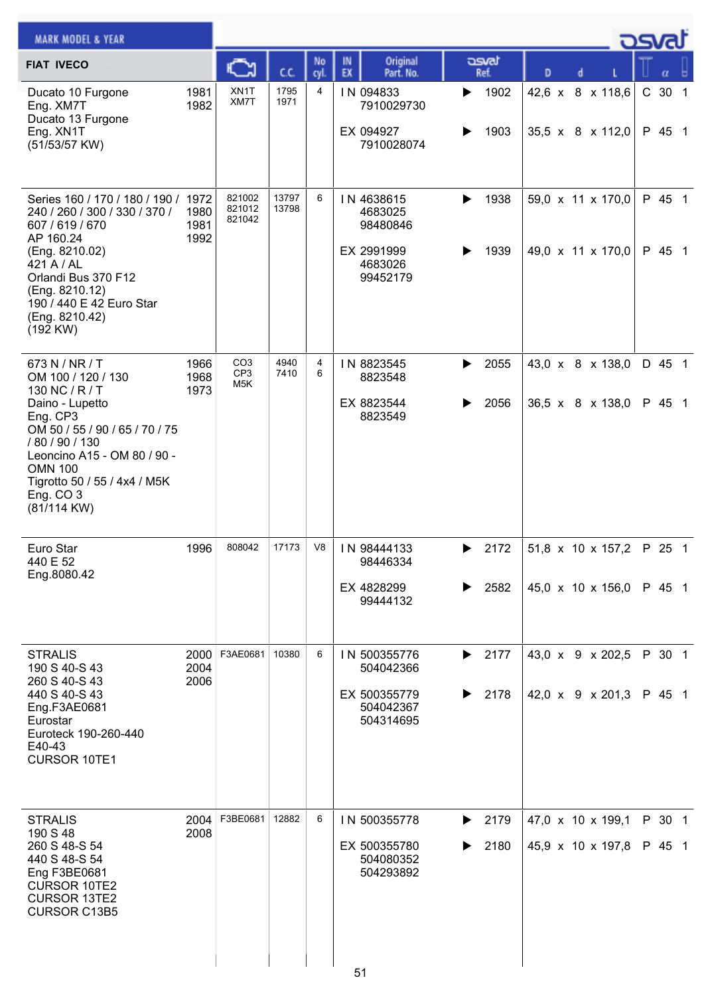| <b>MARK MODEL &amp; YEAR</b>                                                                                                                                                                                                                       |                      |                                           |                |            |          |                                                                        |        |               |                                        |  | <b>OSVA</b> |                  |  |
|----------------------------------------------------------------------------------------------------------------------------------------------------------------------------------------------------------------------------------------------------|----------------------|-------------------------------------------|----------------|------------|----------|------------------------------------------------------------------------|--------|---------------|----------------------------------------|--|-------------|------------------|--|
| <b>FIAT IVECO</b>                                                                                                                                                                                                                                  |                      |                                           | cc             | No<br>cyl. | IN<br>EX | Original<br>Part. No.                                                  |        | asvat<br>Ref. | D                                      |  |             | α                |  |
| Ducato 10 Furgone<br>Eng. XM7T<br>Ducato 13 Furgone<br>Eng. XN1T<br>(51/53/57 KW)                                                                                                                                                                  | 1981<br>1982         | XN1T<br>XM7T                              | 1795<br>1971   | 4          |          | IN 094833<br>7910029730<br>EX 094927<br>7910028074                     | ▶      | 1902<br>1903  | 42,6 x 8 x 118,6<br>35,5 x 8 x 112,0   |  |             | C 30 1<br>P 45 1 |  |
| Series 160 / 170 / 180 / 190 / 1972<br>240 / 260 / 300 / 330 / 370 /<br>607 / 619 / 670<br>AP 160.24<br>(Eng. 8210.02)<br>421 A / AL<br>Orlandi Bus 370 F12<br>(Eng. 8210.12)<br>190 / 440 E 42 Euro Star<br>(Eng. 8210.42)<br>(192 KW)            | 1980<br>1981<br>1992 | 821002<br>821012<br>821042                | 13797<br>13798 | 6          |          | IN 4638615<br>4683025<br>98480846<br>EX 2991999<br>4683026<br>99452179 | ▶      | 1938<br>1939  | 59,0 x 11 x 170,0<br>49,0 x 11 x 170,0 |  |             | P 45 1<br>P 45 1 |  |
| 673 N / NR / T<br>OM 100 / 120 / 130<br>130 NC / R / T<br>Daino - Lupetto<br>Eng. CP3<br>OM 50 / 55 / 90 / 65 / 70 / 75<br>/80/90/130<br>Leoncino A15 - OM 80 / 90 -<br><b>OMN 100</b><br>Tigrotto 50 / 55 / 4x4 / M5K<br>Eng. CO 3<br>(81/114 KW) | 1966<br>1968<br>1973 | CO <sub>3</sub><br>CP <sub>3</sub><br>M5K | 4940<br>7410   | 4<br>6     |          | IN 8823545<br>8823548<br>EX 8823544<br>8823549                         | ▶      | 2055<br>2056  | 43,0 x 8 x 138,0<br>36,5 x 8 x 138,0   |  |             | D 45 1<br>P 45 1 |  |
| Euro Star<br>440 E 52<br>Eng.8080.42                                                                                                                                                                                                               | 1996                 | 808042                                    | 17173          | V8         |          | IN 98444133<br>98446334<br>EX 4828299<br>99444132                      | ▶<br>▶ | 2172<br>2582  | 51,8 x 10 x 157,2<br>45,0 x 10 x 156,0 |  | P 25 1      | P 45 1           |  |
| <b>STRALIS</b><br>190 S 40-S 43<br>260 S 40-S 43<br>440 S 40-S 43<br>Eng.F3AE0681<br>Eurostar<br>Euroteck 190-260-440<br>E40-43<br>CURSOR 10TE1                                                                                                    | 2000<br>2004<br>2006 | F3AE0681                                  | 10380          | 6          |          | IN 500355776<br>504042366<br>EX 500355779<br>504042367<br>504314695    | ▶<br>▶ | 2177<br>2178  | 43,0 x 9 x 202,5<br>42,0 x 9 x 201,3   |  |             | P 30 1<br>P 45 1 |  |
| <b>STRALIS</b><br>190 S 48<br>260 S 48-S 54<br>440 S 48-S 54<br>Eng F3BE0681<br><b>CURSOR 10TE2</b><br><b>CURSOR 13TE2</b><br><b>CURSOR C13B5</b>                                                                                                  | 2004<br>2008         | F3BE0681                                  | 12882          | 6          | 51       | IN 500355778<br>EX 500355780<br>504080352<br>504293892                 | ▶<br>▶ | 2179<br>2180  | 47,0 x 10 x 199,1<br>45,9 x 10 x 197,8 |  |             | P 30 1<br>P 45 1 |  |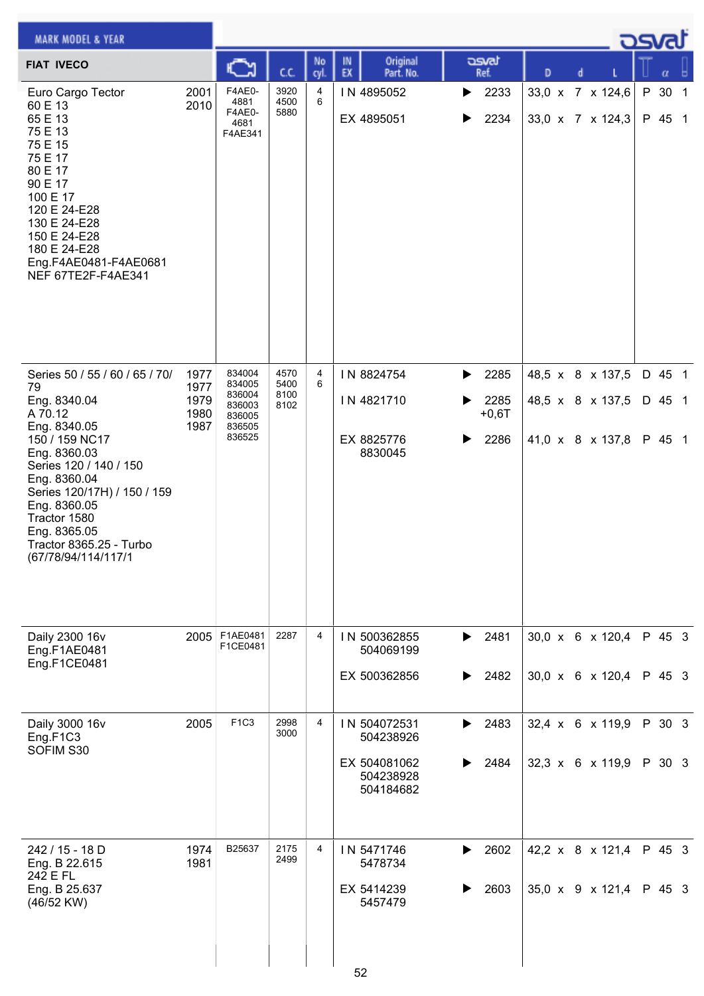| <b>MARK MODEL &amp; YEAR</b>                                                                                                                                                                                              |              |                                             |                      |                |                                           |                        |                                      |  | osvat            |  |
|---------------------------------------------------------------------------------------------------------------------------------------------------------------------------------------------------------------------------|--------------|---------------------------------------------|----------------------|----------------|-------------------------------------------|------------------------|--------------------------------------|--|------------------|--|
| <b>FIAT IVECO</b>                                                                                                                                                                                                         |              |                                             | C.C.                 | No<br>cyl.     | Original<br>IN<br>EX<br>Part. No.         | asvat<br>Ref.          | D                                    |  | α                |  |
| Euro Cargo Tector<br>60 E 13<br>65 E 13<br>75 E 13<br>75 E 15<br>75 E 17<br>80 E 17<br>90 E 17<br>100 E 17<br>120 E 24-E28<br>130 E 24-E28<br>150 E 24-E28<br>180 E 24-E28<br>Eng.F4AE0481-F4AE0681<br>NEF 67TE2F-F4AE341 | 2001<br>2010 | F4AE0-<br>4881<br>F4AE0-<br>4681<br>F4AE341 | 3920<br>4500<br>5880 | 4<br>6         | IN 4895052<br>EX 4895051                  | 2233<br>▶<br>2234      | 33,0 x 7 x 124,6<br>33,0 x 7 x 124,3 |  | P 30 1<br>P 45 1 |  |
| Series 50 / 55 / 60 / 65 / 70/<br>79                                                                                                                                                                                      | 1977<br>1977 | 834004<br>834005                            | 4570<br>5400         | 4<br>6         | IN 8824754                                | 2285<br>▶              | 48,5 x 8 x 137,5                     |  | D 45 1           |  |
| Eng. 8340.04<br>A 70.12                                                                                                                                                                                                   | 1979<br>1980 | 836004<br>836003<br>836005                  | 8100<br>8102         |                | IN 4821710                                | 2285<br>▶<br>$+0,6T$   | 48,5 x 8 x 137,5                     |  | D 45 1           |  |
| Eng. 8340.05<br>150 / 159 NC17<br>Eng. 8360.03<br>Series 120 / 140 / 150<br>Eng. 8360.04<br>Series 120/17H) / 150 / 159<br>Eng. 8360.05<br>Tractor 1580<br>Eng. 8365.05<br>Tractor 8365.25 - Turbo<br>(67/78/94/114/117/1 | 1987         | 836505<br>836525                            |                      |                | EX 8825776<br>8830045                     | 2286<br>▶              | 41,0 x 8 x 137,8                     |  | P 45 1           |  |
| Daily 2300 16v<br>Eng.F1AE0481<br>Eng.F1CE0481                                                                                                                                                                            | 2005         | F1AE0481<br>F1CE0481                        | 2287                 | $\overline{4}$ | IN 500362855<br>504069199<br>EX 500362856 | 2481<br>▶<br>2482<br>▶ | 30,0 x 6 x 120,4<br>30,0 x 6 x 120,4 |  | P 45 3<br>P 45 3 |  |
| Daily 3000 16v<br>Eng.F1C3                                                                                                                                                                                                | 2005         | F1C3                                        | 2998<br>3000         | 4              | IN 504072531<br>504238926                 | 2483<br>▶              | 32,4 x 6 x 119,9                     |  | P 30 3           |  |
| SOFIM S30                                                                                                                                                                                                                 |              |                                             |                      |                | EX 504081062<br>504238928<br>504184682    | 2484                   | 32,3 x 6 x 119,9                     |  | P 30 3           |  |
| 242 / 15 - 18 D<br>Eng. B 22.615                                                                                                                                                                                          | 1974<br>1981 | B25637                                      | 2175<br>2499         | 4              | IN 5471746<br>5478734                     | 2602<br>▶              | 42,2 x 8 x 121,4                     |  | P 45 3           |  |
| 242 E FL<br>Eng. B 25.637<br>(46/52 KW)                                                                                                                                                                                   |              |                                             |                      |                | EX 5414239<br>5457479<br>52               | 2603<br>▶              | 35,0 x 9 x 121,4                     |  | P 45 3           |  |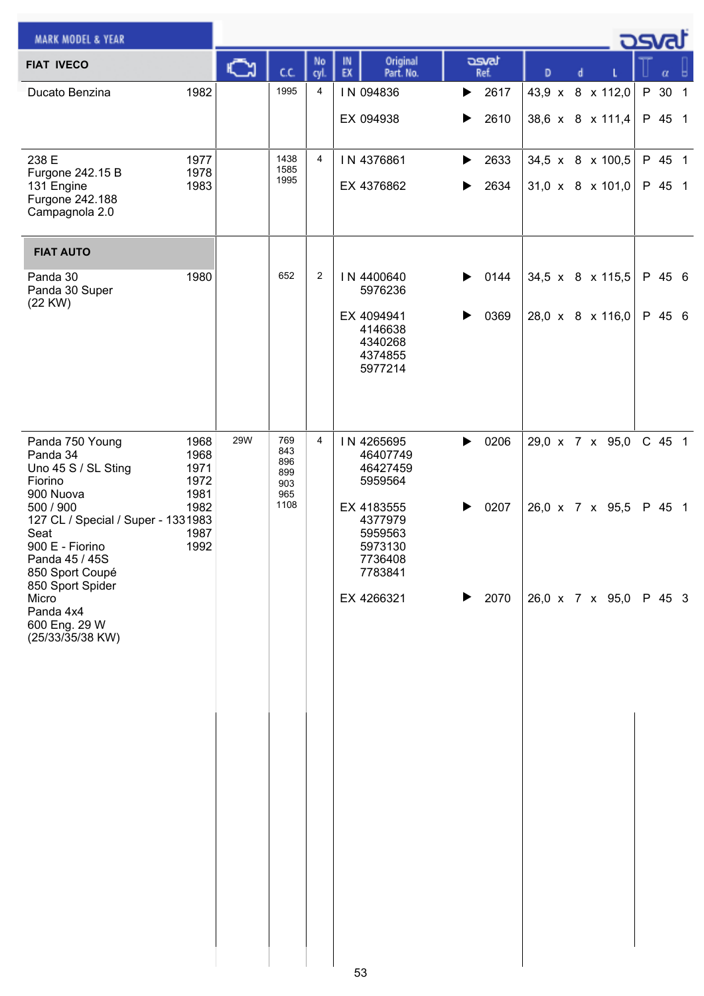| <b>MARK MODEL &amp; YEAR</b>                                                                                                                                 |            |                   |                |                                                                   |               |   |                              | <b>DSVRJ</b> |
|--------------------------------------------------------------------------------------------------------------------------------------------------------------|------------|-------------------|----------------|-------------------------------------------------------------------|---------------|---|------------------------------|--------------|
| <b>FIAT IVECO</b>                                                                                                                                            | Ѽ          | cc                | No<br>cyl.     | Original<br>IN<br>EX<br>Part. No.                                 | asvat<br>Ref. | D | d                            | α            |
| 1982<br>Ducato Benzina                                                                                                                                       |            | 1995              | 4              | IN 094836                                                         | 2617<br>▶     |   | 43,9 x 8 x 112,0             | P 30 1       |
|                                                                                                                                                              |            |                   |                | EX 094938                                                         | 2610<br>▶     |   | 38,6 x 8 x 111,4             | P 45 1       |
| 238 E<br>1977<br>Furgone 242.15 B<br>1978                                                                                                                    |            | 1438<br>1585      | 4              | IN 4376861                                                        | 2633<br>▶     |   | 34,5 x 8 x 100,5             | P 45 1       |
| 131 Engine<br>1983<br>Furgone 242.188<br>Campagnola 2.0                                                                                                      |            | 1995              |                | EX 4376862                                                        | 2634<br>▶     |   | $31,0 \times 8 \times 101,0$ | P 45 1       |
| <b>FIAT AUTO</b>                                                                                                                                             |            |                   |                |                                                                   |               |   |                              |              |
| 1980<br>Panda 30<br>Panda 30 Super<br>(22 KW)                                                                                                                |            | 652               | $\overline{c}$ | IN 4400640<br>5976236                                             | 0144<br>▶     |   | 34,5 x 8 x 115,5             | P 45 6       |
|                                                                                                                                                              |            |                   |                | EX 4094941<br>4146638<br>4340268<br>4374855<br>5977214            | 0369          |   | 28,0 x 8 x 116,0             | P 45 6       |
| Panda 750 Young<br>1968<br>Panda 34<br>1968                                                                                                                  | <b>29W</b> | 769<br>843        | 4              | IN 4265695<br>46407749                                            | 0206<br>▶     |   | 29,0 x 7 x 95,0              | C 45 1       |
| Uno 45 S / SL Sting<br>1971<br>Fiorino<br>1972                                                                                                               |            | 896<br>899<br>903 |                | 46427459<br>5959564                                               |               |   |                              |              |
| 1981<br>900 Nuova<br>500 / 900<br>1982<br>127 CL / Special / Super - 1331983<br>1987<br>Seat<br>900 E - Fiorino<br>1992<br>Panda 45 / 45S<br>850 Sport Coupé |            | 965<br>1108       |                | EX 4183555<br>4377979<br>5959563<br>5973130<br>7736408<br>7783841 | 0207          |   | 26,0 x 7 x 95,5              | P 45 1       |
| 850 Sport Spider<br>Micro<br>Panda 4x4<br>600 Eng. 29 W<br>(25/33/35/38 KW)                                                                                  |            |                   |                | EX 4266321<br>53                                                  | 2070<br>▶     |   | 26,0 x 7 x 95,0 P 45 3       |              |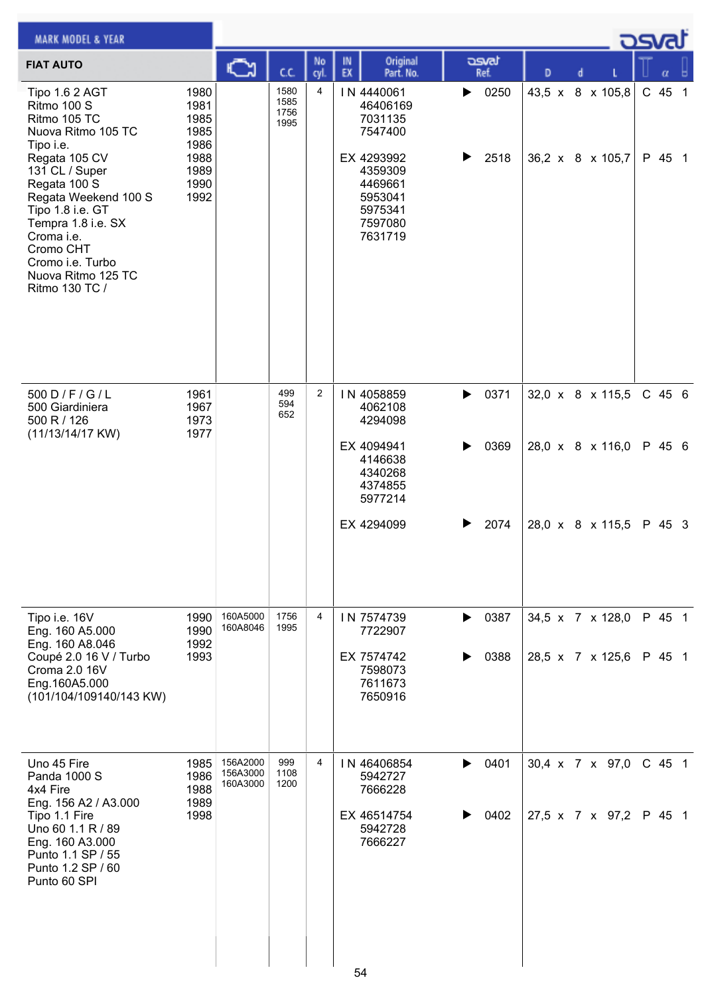| <b>MARK MODEL &amp; YEAR</b>                                                                                                                                                                                                                                                                 |                                                                      |                                  |                              |            |                                                                                                                              |                        |                                      |  | ك <i>osva</i> d    |  |
|----------------------------------------------------------------------------------------------------------------------------------------------------------------------------------------------------------------------------------------------------------------------------------------------|----------------------------------------------------------------------|----------------------------------|------------------------------|------------|------------------------------------------------------------------------------------------------------------------------------|------------------------|--------------------------------------|--|--------------------|--|
| <b>FIAT AUTO</b>                                                                                                                                                                                                                                                                             |                                                                      | ∾                                | СC                           | No<br>cyl. | Original<br>IN<br>EX<br>Part. No.                                                                                            | asvat<br>Ref.          | D<br>d                               |  | α                  |  |
| Tipo 1.6 2 AGT<br>Ritmo 100 S<br>Ritmo 105 TC<br>Nuova Ritmo 105 TC<br>Tipo i.e.<br>Regata 105 CV<br>131 CL / Super<br>Regata 100 S<br>Regata Weekend 100 S<br>Tipo 1.8 i.e. GT<br>Tempra 1.8 i.e. SX<br>Croma i.e.<br>Cromo CHT<br>Cromo i.e. Turbo<br>Nuova Ritmo 125 TC<br>Ritmo 130 TC / | 1980<br>1981<br>1985<br>1985<br>1986<br>1988<br>1989<br>1990<br>1992 |                                  | 1580<br>1585<br>1756<br>1995 | 4          | IN 4440061<br>46406169<br>7031135<br>7547400<br>EX 4293992<br>4359309<br>4469661<br>5953041<br>5975341<br>7597080<br>7631719 | 0250<br>▶<br>2518      | 43,5 x 8 x 105,8<br>36,2 x 8 x 105,7 |  | $C$ 45 1<br>P 45 1 |  |
| 500 D / F / G / L<br>500 Giardiniera<br>500 R / 126<br>(11/13/14/17 KW)                                                                                                                                                                                                                      | 1961<br>1967<br>1973<br>1977                                         |                                  | 499<br>594<br>652            | 2          | IN 4058859<br>4062108<br>4294098<br>EX 4094941<br>4146638<br>4340268<br>4374855<br>5977214                                   | 0371<br>▶<br>0369<br>▶ | 32,0 x 8 x 115,5<br>28,0 x 8 x 116,0 |  | $C$ 45 6<br>P 45 6 |  |
| Tipo i.e. 16V                                                                                                                                                                                                                                                                                | 1990                                                                 | 160A5000                         | 1756                         | 4          | EX 4294099<br>IN 7574739                                                                                                     | 2074<br>0387<br>▶      | 28,0 x 8 x 115,5<br>34,5 x 7 x 128,0 |  | P 45 3<br>P 45 1   |  |
| Eng. 160 A5.000<br>Eng. 160 A8.046<br>Coupé 2.0 16 V / Turbo<br>Croma 2.0 16V<br>Eng.160A5.000<br>(101/104/109140/143 KW)                                                                                                                                                                    | 1990<br>1992<br>1993                                                 | 160A8046                         | 1995                         |            | 7722907<br>EX 7574742<br>7598073<br>7611673<br>7650916                                                                       | 0388                   | 28,5 x 7 x 125,6                     |  | P 45 1             |  |
| Uno 45 Fire<br>Panda 1000 S<br>4x4 Fire<br>Eng. 156 A2 / A3.000<br>Tipo 1.1 Fire<br>Uno 60 1.1 R / 89<br>Eng. 160 A3.000<br>Punto 1.1 SP / 55<br>Punto 1.2 SP / 60<br>Punto 60 SPI                                                                                                           | 1985<br>1986<br>1988<br>1989<br>1998                                 | 156A2000<br>156A3000<br>160A3000 | 999<br>1108<br>1200          | 4          | IN 46406854<br>5942727<br>7666228<br>EX 46514754<br>5942728<br>7666227                                                       | 0401<br>▶<br>0402      | 30,4 x 7 x 97,0<br>27,5 x 7 x 97,2   |  | C 45 1<br>P 45 1   |  |
|                                                                                                                                                                                                                                                                                              |                                                                      |                                  |                              |            | 54                                                                                                                           |                        |                                      |  |                    |  |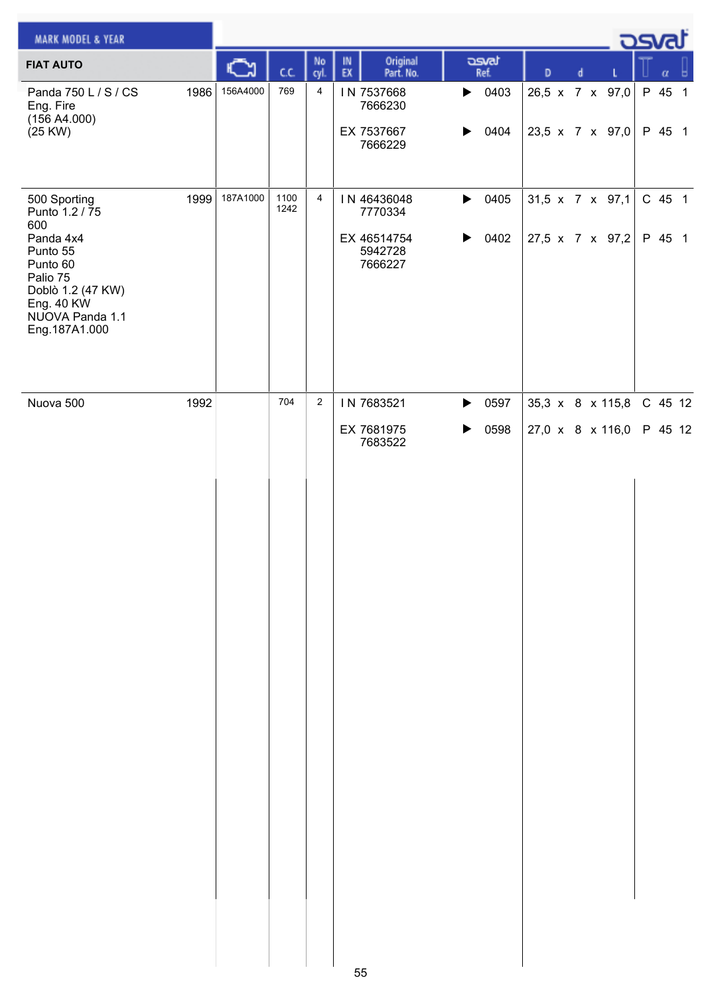| <b>MARK MODEL &amp; YEAR</b>                                                                                                                                  |      |          |              |                |                                                             |                                                                |                                      | - ರಾಗ              |
|---------------------------------------------------------------------------------------------------------------------------------------------------------------|------|----------|--------------|----------------|-------------------------------------------------------------|----------------------------------------------------------------|--------------------------------------|--------------------|
| <b>FIAT AUTO</b>                                                                                                                                              |      |          | C.C.         | No<br>cyl.     | Original<br>IN<br>EX<br>Part. No.                           | asvat<br>Ref.                                                  | D<br>d                               | α                  |
| Panda 750 L / S / CS<br>Eng. Fire<br>(156 A4.000)<br>(25 KW)                                                                                                  | 1986 | 156A4000 | 769          | 4              | IN 7537668<br>7666230<br>EX 7537667<br>7666229              | $\triangleright$ 0403<br>0404<br>▶                             | 26,5 x 7 x 97,0<br>23,5 x 7 x 97,0   | P 45 1<br>P 45 1   |
| 500 Sporting<br>Punto 1.2 / 75<br>600<br>Panda 4x4<br>Punto 55<br>Punto 60<br>Palio 75<br>Doblò 1.2 (47 KW)<br>Eng. 40 KW<br>NUOVA Panda 1.1<br>Eng.187A1.000 | 1999 | 187A1000 | 1100<br>1242 | $\overline{4}$ | IN 46436048<br>7770334<br>EX 46514754<br>5942728<br>7666227 | 0405<br>$\blacktriangleright$<br>0402<br>$\blacktriangleright$ | 31,5 x 7 x 97,1<br>27,5 x 7 x 97,2   | C 45 1<br>P 45 1   |
| Nuova 500                                                                                                                                                     | 1992 |          | 704          | $\sqrt{2}$     | IN 7683521<br>EX 7681975<br>7683522                         | 0597<br>$\blacktriangleright$<br>0598<br>▶                     | 35,3 x 8 x 115,8<br>27,0 x 8 x 116,0 | C 45 12<br>P 45 12 |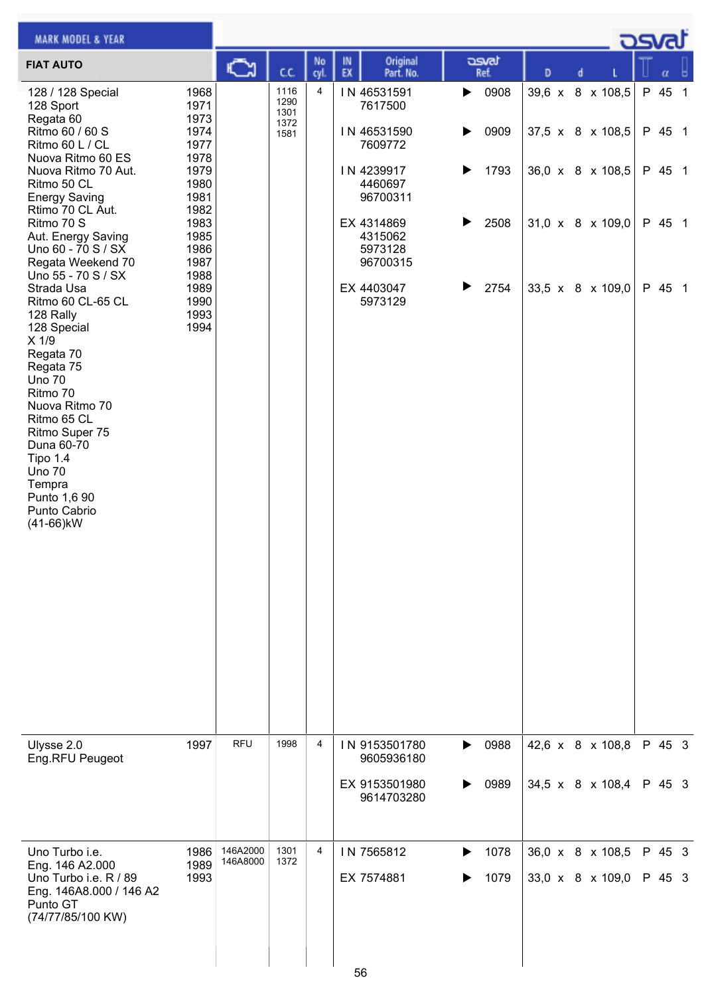| <b>MARK MODEL &amp; YEAR</b>                                                                                                                                                                                                                                                                                                                                                                                                                                                                                                                                                      |                                                                                                                                                      |                      |                                      |                |          |                                                                                                                                                                |                       |                                      |   |  |                                                                                                              | كصحت                                           |  |
|-----------------------------------------------------------------------------------------------------------------------------------------------------------------------------------------------------------------------------------------------------------------------------------------------------------------------------------------------------------------------------------------------------------------------------------------------------------------------------------------------------------------------------------------------------------------------------------|------------------------------------------------------------------------------------------------------------------------------------------------------|----------------------|--------------------------------------|----------------|----------|----------------------------------------------------------------------------------------------------------------------------------------------------------------|-----------------------|--------------------------------------|---|--|--------------------------------------------------------------------------------------------------------------|------------------------------------------------|--|
| <b>FIAT AUTO</b>                                                                                                                                                                                                                                                                                                                                                                                                                                                                                                                                                                  |                                                                                                                                                      |                      | C.C.                                 | No<br>cyl.     | IN<br>EX | Original<br>Part. No.                                                                                                                                          |                       | asvat<br>Ref.                        | D |  |                                                                                                              |                                                |  |
| 128 / 128 Special<br>128 Sport<br>Regata 60<br>Ritmo 60 / 60 S<br>Ritmo 60 L / CL<br>Nuova Ritmo 60 ES<br>Nuova Ritmo 70 Aut.<br>Ritmo 50 CL<br><b>Energy Saving</b><br>Rtimo 70 CL Aut.<br>Ritmo 70 S<br>Aut. Energy Saving<br>Uno 60 - 70 S / SX<br>Regata Weekend 70<br>Uno 55 - 70 S / SX<br>Strada Usa<br>Ritmo 60 CL-65 CL<br>128 Rally<br>128 Special<br>X 1/9<br>Regata 70<br>Regata 75<br><b>Uno 70</b><br>Ritmo 70<br>Nuova Ritmo 70<br>Ritmo 65 CL<br>Ritmo Super 75<br>Duna 60-70<br>Tipo 1.4<br><b>Uno 70</b><br>Tempra<br>Punto 1,6 90<br>Punto Cabrio<br>(41-66)kW | 1968<br>1971<br>1973<br>1974<br>1977<br>1978<br>1979<br>1980<br>1981<br>1982<br>1983<br>1985<br>1986<br>1987<br>1988<br>1989<br>1990<br>1993<br>1994 |                      | 1116<br>1290<br>1301<br>1372<br>1581 | 4              |          | IN 46531591<br>7617500<br>IN 46531590<br>7609772<br>IN 4239917<br>4460697<br>96700311<br>EX 4314869<br>4315062<br>5973128<br>96700315<br>EX 4403047<br>5973129 | ▶<br>▶<br>▶<br>▶<br>▶ | 0908<br>0909<br>1793<br>2508<br>2754 |   |  | 39,6 x 8 x 108,5<br>37,5 x 8 x 108,5<br>36,0 x 8 x 108,5<br>$31,0 \times 8 \times 109,0$<br>33,5 x 8 x 109,0 | P 45 1<br>P 45 1<br>P 45 1<br>P 45 1<br>P 45 1 |  |
| Ulysse 2.0<br>Eng.RFU Peugeot                                                                                                                                                                                                                                                                                                                                                                                                                                                                                                                                                     | 1997                                                                                                                                                 | <b>RFU</b>           | 1998                                 | 4              |          | IN 9153501780<br>9605936180<br>EX 9153501980<br>9614703280                                                                                                     | ▶<br>▶                | 0988<br>0989                         |   |  | 42,6 x 8 x 108,8<br>34,5 x 8 x 108,4                                                                         | P 45 3<br>P 45 3                               |  |
| Uno Turbo i.e.<br>Eng. 146 A2.000<br>Uno Turbo i.e. R / 89<br>Eng. 146A8.000 / 146 A2<br>Punto GT<br>(74/77/85/100 KW)                                                                                                                                                                                                                                                                                                                                                                                                                                                            | 1986<br>1989<br>1993                                                                                                                                 | 146A2000<br>146A8000 | 1301<br>1372                         | $\overline{4}$ | 56       | IN 7565812<br>EX 7574881                                                                                                                                       | ▶                     | 1078<br>1079                         |   |  | 36,0 x 8 x 108,5<br>33,0 x 8 x 109,0                                                                         | P 45 3<br>P 45 3                               |  |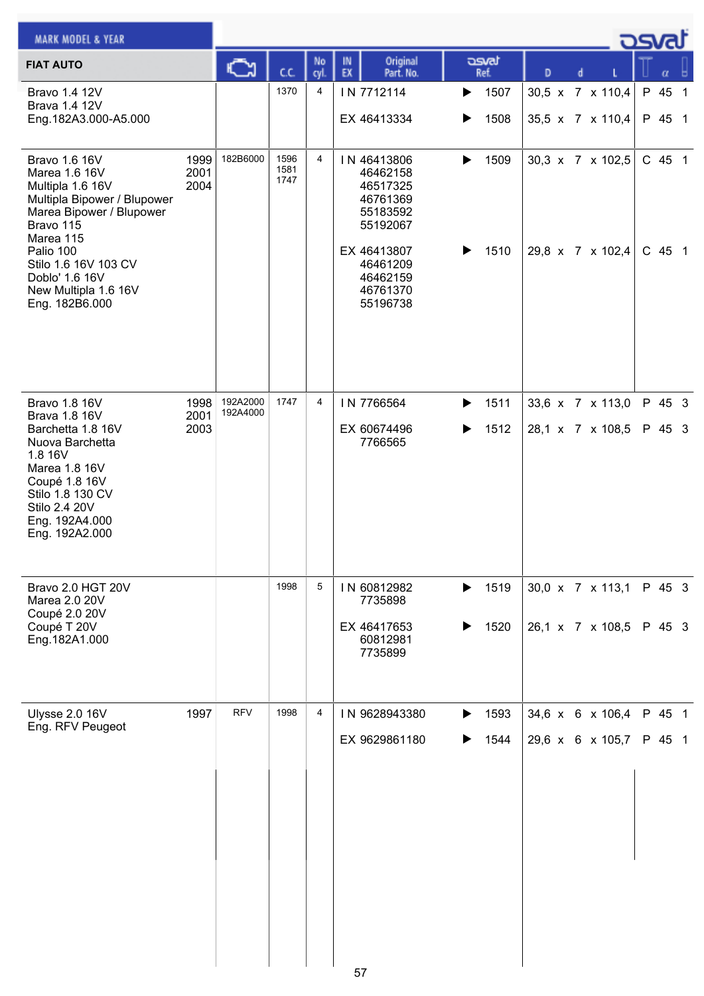| <b>MARK MODEL &amp; YEAR</b>                                                                                                                                                                        |                      |                      |                      |                |          |                                                                                                                |        |               |   |  |                                             | asval            |                |
|-----------------------------------------------------------------------------------------------------------------------------------------------------------------------------------------------------|----------------------|----------------------|----------------------|----------------|----------|----------------------------------------------------------------------------------------------------------------|--------|---------------|---|--|---------------------------------------------|------------------|----------------|
| <b>FIAT AUTO</b>                                                                                                                                                                                    |                      |                      | C.C.                 | No<br>cyl      | IN<br>EX | Original<br>Part. No.                                                                                          |        | asvat<br>Ref. | D |  |                                             | α                |                |
| Bravo 1.4 12V<br><b>Brava 1.4 12V</b><br>Eng.182A3.000-A5.000                                                                                                                                       |                      |                      | 1370                 | 4              |          | IN 7712114<br>EX 46413334                                                                                      | ▶<br>▶ | 1507<br>1508  |   |  | 30,5 x 7 x 110,4<br>35,5 x 7 x 110,4        | P 45<br>P 45 1   | $\overline{1}$ |
| Bravo 1.6 16V<br>Marea 1.6 16V<br>Multipla 1.6 16V<br>Multipla Bipower / Blupower<br>Marea Bipower / Blupower<br>Bravo 115<br>Marea 115<br>Palio 100<br>Stilo 1.6 16V 103 CV<br>Doblo' 1.6 16V      | 1999<br>2001<br>2004 | 182B6000             | 1596<br>1581<br>1747 | $\overline{4}$ |          | IN 46413806<br>46462158<br>46517325<br>46761369<br>55183592<br>55192067<br>EX 46413807<br>46461209<br>46462159 | ▶<br>▶ | 1509<br>1510  |   |  | 30,3 x 7 x 102,5<br>29,8 x 7 x 102,4 C 45 1 | C 45 1           |                |
| New Multipla 1.6 16V<br>Eng. 182B6.000                                                                                                                                                              |                      |                      |                      |                |          | 46761370<br>55196738                                                                                           |        |               |   |  |                                             |                  |                |
| Bravo 1.8 16V<br><b>Brava 1.8 16V</b><br>Barchetta 1.8 16V<br>Nuova Barchetta<br>1.8 16V<br>Marea 1.8 16V<br>Coupé 1.8 16V<br>Stilo 1.8 130 CV<br>Stilo 2.4 20V<br>Eng. 192A4.000<br>Eng. 192A2.000 | 1998<br>2001<br>2003 | 192A2000<br>192A4000 | 1747                 | 4              |          | IN 7766564<br>EX 60674496<br>7766565                                                                           | ▶<br>▶ | 1511<br>1512  |   |  | 33,6 x 7 x 113,0<br>28,1 x 7 x 108,5        | P 45 3<br>P 45 3 |                |
| <b>Bravo 2.0 HGT 20V</b><br>Marea 2.0 20V<br>Coupé 2.0 20V<br>Coupé T 20V<br>Eng. 182A1.000                                                                                                         |                      |                      | 1998                 | 5              |          | IN 60812982<br>7735898<br>EX 46417653<br>60812981<br>7735899                                                   | ▶<br>▶ | 1519<br>1520  |   |  | 30,0 x 7 x 113,1<br>26,1 x 7 x 108,5        | P 45 3<br>P 45 3 |                |
| Ulysse 2.0 16V<br>Eng. RFV Peugeot                                                                                                                                                                  | 1997                 | <b>RFV</b>           | 1998                 | 4              |          | IN 9628943380<br>EX 9629861180                                                                                 | ▶<br>▶ | 1593<br>1544  |   |  | 34,6 x 6 x 106,4<br>29,6 x 6 x 105,7        | P 45 1<br>P 45 1 |                |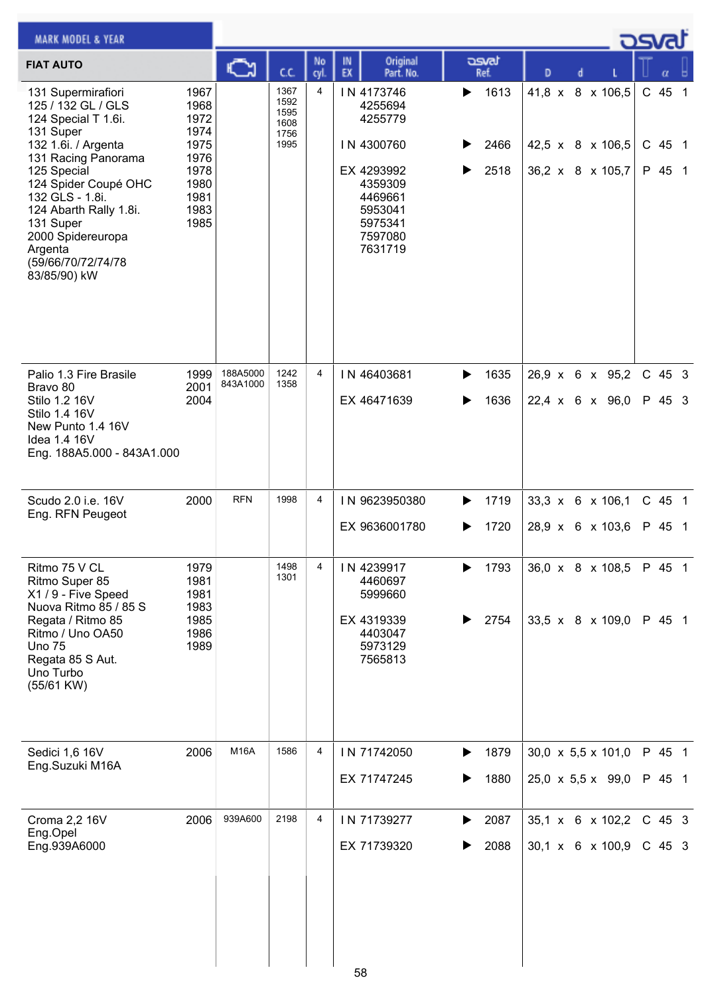| <b>MARK MODEL &amp; YEAR</b>                                                                                                                                                                                                                                                                      |                                                                                      |             |                                              |                |          |                                                                                                                                |        |                      |   |  |                                                          | <b>DSVRJ</b>               |  |
|---------------------------------------------------------------------------------------------------------------------------------------------------------------------------------------------------------------------------------------------------------------------------------------------------|--------------------------------------------------------------------------------------|-------------|----------------------------------------------|----------------|----------|--------------------------------------------------------------------------------------------------------------------------------|--------|----------------------|---|--|----------------------------------------------------------|----------------------------|--|
| <b>FIAT AUTO</b>                                                                                                                                                                                                                                                                                  |                                                                                      | <u>ោ</u>    | cc                                           | No<br>cyl.     | IN<br>EX | Original<br>Part. No.                                                                                                          |        | asvat<br>Ref.        | D |  |                                                          |                            |  |
| 131 Supermirafiori<br>125 / 132 GL / GLS<br>124 Special T 1.6i.<br>131 Super<br>132 1.6i. / Argenta<br>131 Racing Panorama<br>125 Special<br>124 Spider Coupé OHC<br>132 GLS - 1.8i.<br>124 Abarth Rally 1.8i.<br>131 Super<br>2000 Spidereuropa<br>Argenta<br>(59/66/70/72/74/78<br>83/85/90) kW | 1967<br>1968<br>1972<br>1974<br>1975<br>1976<br>1978<br>1980<br>1981<br>1983<br>1985 |             | 1367<br>1592<br>1595<br>1608<br>1756<br>1995 | $\overline{4}$ |          | IN 4173746<br>4255694<br>4255779<br>IN 4300760<br>EX 4293992<br>4359309<br>4469661<br>5953041<br>5975341<br>7597080<br>7631719 | ▶<br>▶ | 1613<br>2466<br>2518 |   |  | 41,8 x 8 x 106,5<br>42,5 x 8 x 106,5<br>36,2 x 8 x 105,7 | C 45 1<br>C 45 1<br>P 45 1 |  |
| Palio 1.3 Fire Brasile                                                                                                                                                                                                                                                                            | 1999                                                                                 | 188A5000    | 1242<br>1358                                 | $\overline{4}$ |          | IN 46403681                                                                                                                    | ▶      | 1635                 |   |  | 26,9 x 6 x 95,2                                          | $C$ 45 3                   |  |
| Bravo 80<br>Stilo 1.2 16V<br>Stilo 1.4 16V<br>New Punto 1.4 16V<br>Idea 1.4 16V<br>Eng. 188A5.000 - 843A1.000                                                                                                                                                                                     | 2001<br>2004                                                                         | 843A1000    |                                              |                |          | EX 46471639                                                                                                                    |        | 1636                 |   |  | $22,4 \times 6 \times 96,0$                              | P 45 3                     |  |
| Scudo 2.0 i.e. 16V<br>Eng. RFN Peugeot                                                                                                                                                                                                                                                            | 2000                                                                                 | <b>RFN</b>  | 1998                                         | 4              |          | IN 9623950380                                                                                                                  |        | 1719                 |   |  | 33,3 x 6 x 106,1                                         | $C$ 45 1                   |  |
|                                                                                                                                                                                                                                                                                                   |                                                                                      |             |                                              |                |          | EX 9636001780                                                                                                                  |        | 1720                 |   |  | 28,9 x 6 x 103,6                                         | P 45 1                     |  |
| Ritmo 75 V CL<br>Ritmo Super 85<br>X1 / 9 - Five Speed<br>Nuova Ritmo 85 / 85 S<br>Regata / Ritmo 85<br>Ritmo / Uno OA50<br><b>Uno 75</b><br>Regata 85 S Aut.<br>Uno Turbo<br>(55/61 KW)                                                                                                          | 1979<br>1981<br>1981<br>1983<br>1985<br>1986<br>1989                                 |             | 1498<br>1301                                 | 4              |          | IN 4239917<br>4460697<br>5999660<br>EX 4319339<br>4403047<br>5973129<br>7565813                                                |        | 1793<br>2754         |   |  | 36,0 x 8 x 108,5<br>33,5 x 8 x 109,0                     | P 45 1<br>P 45 1           |  |
| Sedici 1,6 16V<br>Eng.Suzuki M16A                                                                                                                                                                                                                                                                 | 2006                                                                                 | <b>M16A</b> | 1586                                         | $\overline{4}$ |          | IN 71742050                                                                                                                    | ▶      | 1879                 |   |  | $30,0 \times 5,5 \times 101,0$                           | P 45 1                     |  |
|                                                                                                                                                                                                                                                                                                   |                                                                                      |             |                                              |                |          | EX 71747245                                                                                                                    |        | 1880                 |   |  | $25,0 \times 5,5 \times 99,0$                            | P 45 1                     |  |
| Croma 2,2 16V<br>Eng.Opel                                                                                                                                                                                                                                                                         | 2006                                                                                 | 939A600     | 2198                                         | 4              |          | IN 71739277                                                                                                                    |        | 2087                 |   |  | 35,1 x 6 x 102,2                                         | $C$ 45 3                   |  |
| Eng.939A6000                                                                                                                                                                                                                                                                                      |                                                                                      |             |                                              |                |          | EX 71739320                                                                                                                    |        | 2088                 |   |  | 30,1 x 6 x 100,9                                         | $C$ 45 3                   |  |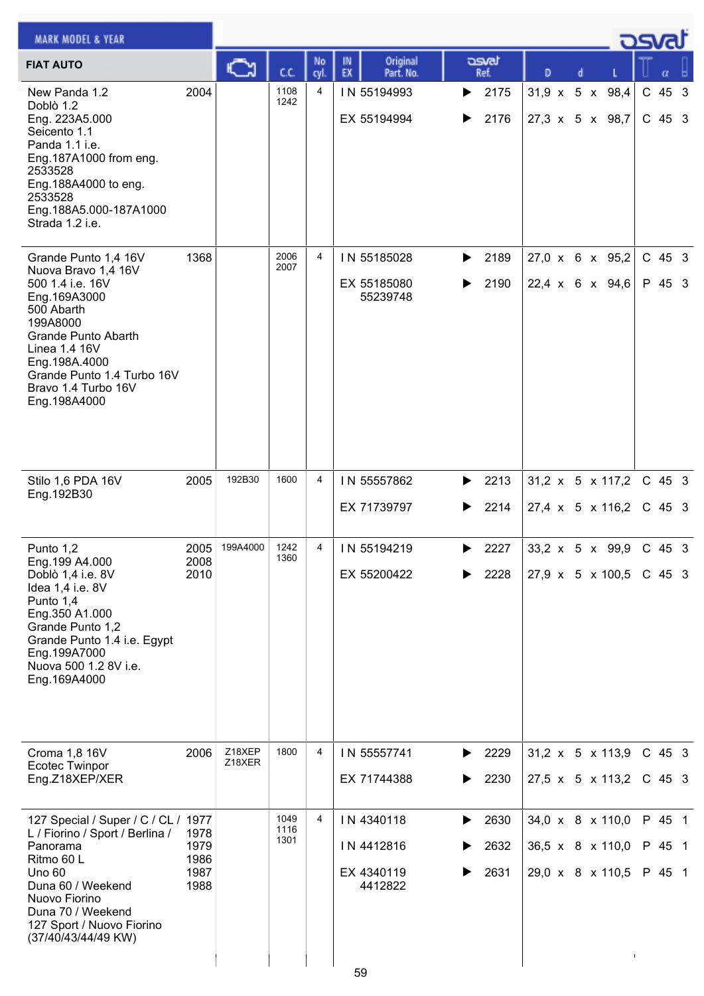| <b>MARK MODEL &amp; YEAR</b>                                                                                                                                                                                                                   |                                      |                  |                      |            |                                                         |                                |                                                              |  | <b>OSVA</b> |                            |  |
|------------------------------------------------------------------------------------------------------------------------------------------------------------------------------------------------------------------------------------------------|--------------------------------------|------------------|----------------------|------------|---------------------------------------------------------|--------------------------------|--------------------------------------------------------------|--|-------------|----------------------------|--|
| <b>FIAT AUTO</b>                                                                                                                                                                                                                               |                                      |                  | c.c.                 | No<br>cyl. | Original<br>IN<br>EX<br>Part. No.                       | asvat<br>Ref.                  | D                                                            |  |             |                            |  |
| New Panda 1.2<br>Doblò 1.2<br>Eng. 223A5.000<br>Seicento 1.1<br>Panda 1.1 i.e.<br>Eng.187A1000 from eng.<br>2533528<br>Eng.188A4000 to eng.<br>2533528<br>Eng.188A5.000-187A1000<br>Strada 1.2 i.e.                                            | 2004                                 |                  | 1108<br>1242         | 4          | IN 55194993<br>EX 55194994                              | 2175<br>▶<br>2176              | 31,9 x 5 x 98,4<br>27,3 x 5 x 98,7                           |  |             | $C$ 45 3<br>$C$ 45 3       |  |
| Grande Punto 1,4 16V<br>Nuova Bravo 1,4 16V<br>500 1.4 i.e. 16V<br>Eng.169A3000<br>500 Abarth<br>199A8000<br><b>Grande Punto Abarth</b><br>Linea 1.4 16V<br>Eng.198A.4000<br>Grande Punto 1.4 Turbo 16V<br>Bravo 1.4 Turbo 16V<br>Eng.198A4000 | 1368                                 |                  | 2006<br>2007         | 4          | IN 55185028<br>EX 55185080<br>55239748                  | 2189<br>▶<br>2190<br>▶         | 27,0 x 6 x 95,2<br>22,4 x 6 x 94,6                           |  |             | $C$ 45 3<br>P 45 3         |  |
| Stilo 1,6 PDA 16V<br>Eng. 192B30                                                                                                                                                                                                               | 2005                                 | 192B30           | 1600                 | 4          | IN 55557862<br>EX 71739797                              | 2213<br>▶<br>2214<br>▶         | $31,2 \times 5 \times 117,2$<br>$27,4 \times 5 \times 116,2$ |  |             | $C$ 45 3<br>$C$ 45 3       |  |
| Punto 1,2<br>Eng.199 A4.000<br>Doblò 1,4 i.e. 8V<br>Idea 1,4 i.e. 8V<br>Punto 1,4<br>Eng.350 A1.000<br>Grande Punto 1,2<br>Grande Punto 1.4 i.e. Egypt<br>Eng.199A7000<br>Nuova 500 1.2 8V i.e.<br>Eng.169A4000                                | 2005<br>2008<br>2010                 | 199A4000         | 1242<br>1360         | 4          | IN 55194219<br>EX 55200422                              | 2227<br>▶<br>2228              | 33,2 x 5 x 99,9<br>27,9 x 5 x 100,5                          |  |             | C 45 3<br>C 45 3           |  |
| Croma 1,8 16V<br><b>Ecotec Twinpor</b><br>Eng.Z18XEP/XER                                                                                                                                                                                       | 2006                                 | Z18XEP<br>Z18XER | 1800                 | 4          | IN 55557741<br>EX 71744388                              | 2229<br>▶<br>2230              | 31,2 x 5 x 113,9<br>27,5 x 5 x 113,2                         |  |             | $C$ 45 3<br>$C$ 45 3       |  |
| 127 Special / Super / C / CL / 1977<br>L / Fiorino / Sport / Berlina /<br>Panorama<br>Ritmo 60 L<br><b>Uno 60</b><br>Duna 60 / Weekend<br>Nuovo Fiorino<br>Duna 70 / Weekend<br>127 Sport / Nuovo Fiorino<br>(37/40/43/44/49 KW)               | 1978<br>1979<br>1986<br>1987<br>1988 |                  | 1049<br>1116<br>1301 | 4          | IN 4340118<br>IN 4412816<br>EX 4340119<br>4412822<br>59 | 2630<br>▶<br>2632<br>2631<br>▶ | 34,0 x 8 x 110,0<br>36,5 x 8 x 110,0<br>29,0 x 8 x 110,5     |  |             | P 45 1<br>P 45 1<br>P 45 1 |  |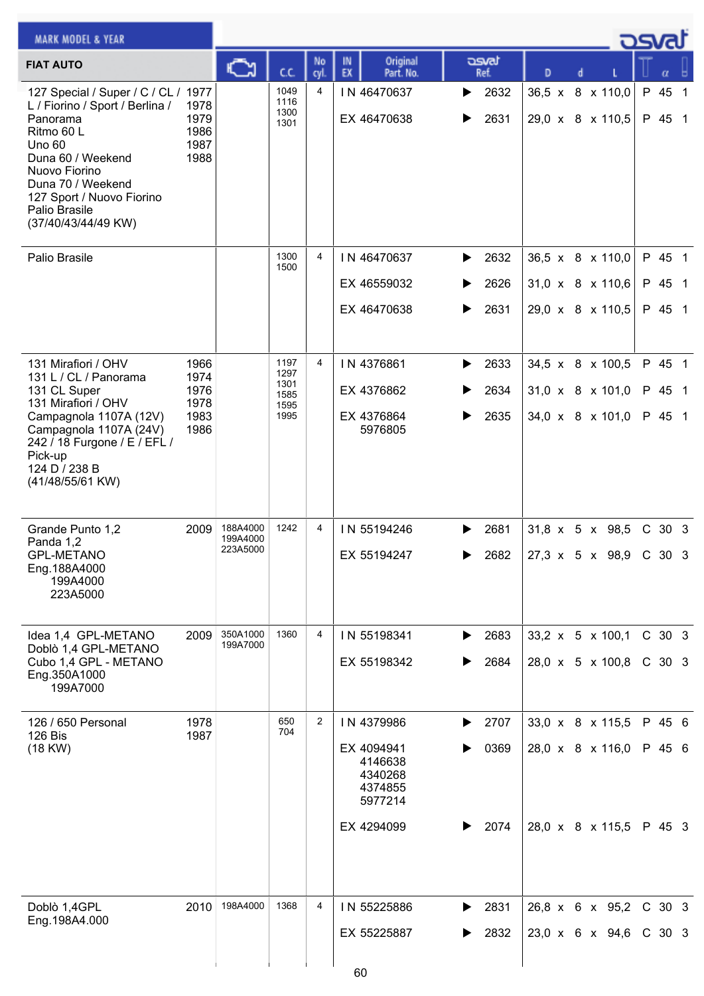| <b>MARK MODEL &amp; YEAR</b>                                                                                                                                                                                                                      |                                      |                      |                              |                |                                                        |                        |                                      | كصحت |                   |  |
|---------------------------------------------------------------------------------------------------------------------------------------------------------------------------------------------------------------------------------------------------|--------------------------------------|----------------------|------------------------------|----------------|--------------------------------------------------------|------------------------|--------------------------------------|------|-------------------|--|
| <b>FIAT AUTO</b>                                                                                                                                                                                                                                  |                                      | ∾                    | cc                           | No<br>cyl      | Original<br>IN<br>EX<br>Part. No.                      | asvat<br>Ref.          | D                                    |      | α                 |  |
| 127 Special / Super / C / CL / 1977<br>L / Fiorino / Sport / Berlina /<br>Panorama<br>Ritmo 60 L<br><b>Uno 60</b><br>Duna 60 / Weekend<br>Nuovo Fiorino<br>Duna 70 / Weekend<br>127 Sport / Nuovo Fiorino<br>Palio Brasile<br>(37/40/43/44/49 KW) | 1978<br>1979<br>1986<br>1987<br>1988 |                      | 1049<br>1116<br>1300<br>1301 | 4              | IN 46470637<br>EX 46470638                             | 2632<br>▶<br>2631<br>▶ | 36,5 x 8 x 110,0<br>29,0 x 8 x 110,5 |      | P 45 1<br>P 45 1  |  |
| Palio Brasile                                                                                                                                                                                                                                     |                                      |                      | 1300<br>1500                 | 4              | IN 46470637                                            | 2632<br>▶              | 36,5 x 8 x 110,0                     |      | P 45 1            |  |
|                                                                                                                                                                                                                                                   |                                      |                      |                              |                | EX 46559032                                            | 2626<br>▶              | $31,0 \times 8 \times 110,6$         |      | P 45 1            |  |
|                                                                                                                                                                                                                                                   |                                      |                      |                              |                | EX 46470638                                            | 2631<br>▶              | 29,0 x 8 x 110,5                     |      | P 45 1            |  |
| 131 Mirafiori / OHV<br>131 L / CL / Panorama                                                                                                                                                                                                      | 1966<br>1974                         |                      | 1197<br>1297                 | 4              | IN 4376861                                             | 2633<br>▶              | 34,5 x 8 x 100,5                     |      | P 45 1            |  |
| 131 CL Super<br>131 Mirafiori / OHV                                                                                                                                                                                                               | 1976<br>1978                         |                      | 1301<br>1585<br>1595         |                | EX 4376862                                             | 2634                   | 31,0 x 8 x 101,0                     |      | P 45 1            |  |
| Campagnola 1107A (12V)<br>Campagnola 1107A (24V)<br>242 / 18 Furgone / E / EFL /<br>Pick-up<br>124 D / 238 B<br>(41/48/55/61 KW)                                                                                                                  | 1983<br>1986                         |                      | 1995                         |                | EX 4376864<br>5976805                                  | 2635<br>▶              | $34,0 \times 8 \times 101,0$         |      | P 45 1            |  |
| Grande Punto 1,2<br>Panda 1,2                                                                                                                                                                                                                     | 2009                                 | 188A4000<br>199A4000 | 1242                         | 4              | IN 55194246                                            | 2681<br>▶              | $31,8 \times 5 \times 98,5$          |      | C 30 3            |  |
| <b>GPL-METANO</b><br>Eng.188A4000<br>199A4000<br>223A5000                                                                                                                                                                                         |                                      | 223A5000             |                              |                | EX 55194247                                            | 2682                   | $27,3 \times 5 \times 98,9$ C 30 3   |      |                   |  |
| Idea 1,4 GPL-METANO<br>Doblò 1,4 GPL-METANO                                                                                                                                                                                                       | 2009                                 | 350A1000<br>199A7000 | 1360                         | 4              | IN 55198341                                            | 2683<br>▶              | 33,2 x 5 x 100,1                     |      | C 30 3            |  |
| Cubo 1,4 GPL - METANO<br>Eng.350A1000<br>199A7000                                                                                                                                                                                                 |                                      |                      |                              |                | EX 55198342                                            | 2684                   | 28,0 x 5 x 100,8                     |      | C 30 3            |  |
| 126 / 650 Personal<br><b>126 Bis</b>                                                                                                                                                                                                              | 1978<br>1987                         |                      | 650<br>704                   | $\overline{2}$ | IN 4379986                                             | 2707<br>▶              | 33,0 x 8 x 115,5                     |      | P 45 6            |  |
| $(18$ KW $)$                                                                                                                                                                                                                                      |                                      |                      |                              |                | EX 4094941<br>4146638<br>4340268<br>4374855<br>5977214 | 0369<br>▶              | 28,0 x 8 x 116,0                     |      | P 45 6            |  |
|                                                                                                                                                                                                                                                   |                                      |                      |                              |                | EX 4294099                                             | 2074<br>▶              | 28,0 x 8 x 115,5                     |      | P 45 3            |  |
| Doblò 1,4GPL<br>Eng.198A4.000                                                                                                                                                                                                                     | 2010                                 | 198A4000             | 1368                         | 4              | IN 55225886                                            | 2831<br>▶              | 26,8 x 6 x 95,2                      |      | C 30 3            |  |
|                                                                                                                                                                                                                                                   |                                      |                      |                              |                | EX 55225887                                            | 2832<br>▶              | 23,0 x 6 x 94,6                      |      | C <sub>30</sub> 3 |  |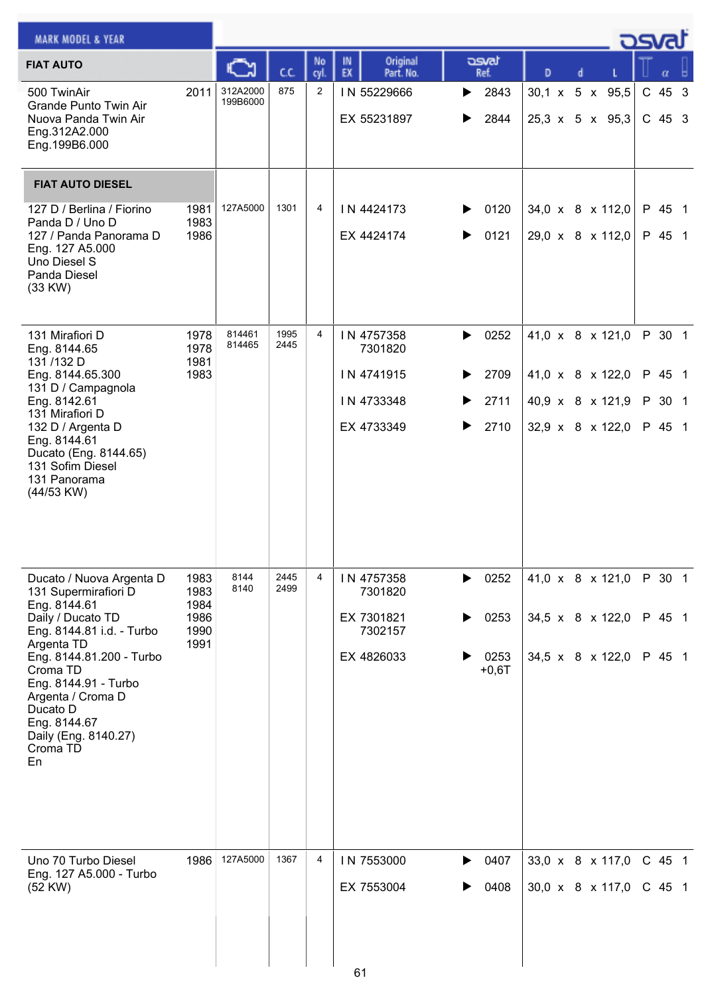| <b>MARK MODEL &amp; YEAR</b>                                                                                                                                          |                      |                      |              |                |                                   |                        |                                                |  | osvat              |  |
|-----------------------------------------------------------------------------------------------------------------------------------------------------------------------|----------------------|----------------------|--------------|----------------|-----------------------------------|------------------------|------------------------------------------------|--|--------------------|--|
| <b>FIAT AUTO</b>                                                                                                                                                      |                      |                      | C.C.         | No<br>cyl.     | Original<br>IN<br>EX<br>Part. No. | asvat<br>Ref.          | D                                              |  |                    |  |
| 500 TwinAir<br>Grande Punto Twin Air<br>Nuova Panda Twin Air<br>Eng.312A2.000<br>Eng.199B6.000                                                                        | 2011                 | 312A2000<br>199B6000 | 875          | $\overline{2}$ | IN 55229666<br>EX 55231897        | 2843<br>▶<br>2844<br>▶ | 30,1 x 5 x 95,5<br>$25,3 \times 5 \times 95,3$ |  | C 45 3<br>$C$ 45 3 |  |
| <b>FIAT AUTO DIESEL</b>                                                                                                                                               |                      |                      |              |                |                                   |                        |                                                |  |                    |  |
| 127 D / Berlina / Fiorino<br>Panda D / Uno D<br>127 / Panda Panorama D<br>Eng. 127 A5.000<br>Uno Diesel S<br>Panda Diesel<br>(33 KW)                                  | 1981<br>1983<br>1986 | 127A5000             | 1301         | 4              | IN 4424173<br>EX 4424174          | 0120<br>▶<br>0121<br>▶ | 34,0 x 8 x 112,0<br>29,0 x 8 x 112,0           |  | P 45 1<br>P 45 1   |  |
| 131 Mirafiori D<br>Eng. 8144.65                                                                                                                                       | 1978<br>1978         | 814461<br>814465     | 1995<br>2445 | 4              | IN 4757358<br>7301820             | 0252<br>▶              | 41,0 x 8 x 121,0                               |  | P 30 1             |  |
| 131/132 D<br>Eng. 8144.65.300<br>131 D / Campagnola                                                                                                                   | 1981<br>1983         |                      |              |                | IN 4741915                        | 2709<br>▶              | 41,0 x 8 x 122,0                               |  | P 45 1             |  |
| Eng. 8142.61<br>131 Mirafiori D                                                                                                                                       |                      |                      |              |                | IN 4733348                        | 2711                   | 40,9 x 8 x 121,9                               |  | P 30 1             |  |
| 132 D / Argenta D<br>Eng. 8144.61<br>Ducato (Eng. 8144.65)<br>131 Sofim Diesel<br>131 Panorama<br>(44/53 KW)                                                          |                      |                      |              |                | EX 4733349                        | 2710<br>▶              | 32,9 $\times$ 8 $\times$ 122,0                 |  | P 45 1             |  |
| Ducato / Nuova Argenta D<br>131 Supermirafiori D<br>Eng. 8144.61                                                                                                      | 1983<br>1983<br>1984 | 8144<br>8140         | 2445<br>2499 | 4              | IN 4757358<br>7301820             | 0252<br>▶              | 41,0 x 8 x 121,0                               |  | P 30 1             |  |
| Daily / Ducato TD<br>Eng. 8144.81 i.d. - Turbo                                                                                                                        | 1986<br>1990         |                      |              |                | EX 7301821<br>7302157             | 0253                   | 34,5 x 8 x 122,0                               |  | P 45 1             |  |
| Argenta TD<br>Eng. 8144.81.200 - Turbo<br>Croma TD<br>Eng. 8144.91 - Turbo<br>Argenta / Croma D<br>Ducato D<br>Eng. 8144.67<br>Daily (Eng. 8140.27)<br>Croma TD<br>En | 1991                 |                      |              |                | EX 4826033                        | 0253<br>$+0,6T$        | 34,5 x $8 \times 122,0$                        |  | P 45 1             |  |
| Uno 70 Turbo Diesel<br>Eng. 127 A5.000 - Turbo                                                                                                                        | 1986                 | 127A5000             | 1367         | 4              | IN 7553000                        | 0407                   | 33,0 $\times$ 8 $\times$ 117,0                 |  | C 45 1             |  |
| (52 KW)                                                                                                                                                               |                      |                      |              |                | EX 7553004                        | 0408                   | 30,0 x 8 x 117,0                               |  | C 45 1             |  |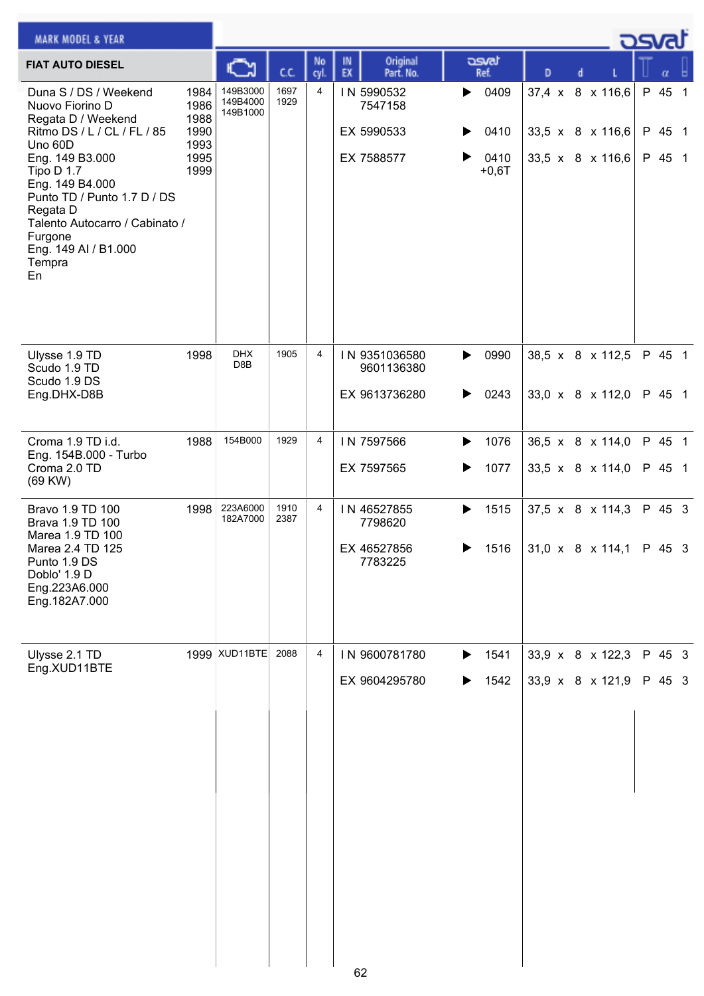| <b>MARK MODEL &amp; YEAR</b>                                                                                                                                                     |                                      |                                  |              |                |                                                  |                        |                  |                                                    | <b>DSVRJ</b>     |  |
|----------------------------------------------------------------------------------------------------------------------------------------------------------------------------------|--------------------------------------|----------------------------------|--------------|----------------|--------------------------------------------------|------------------------|------------------|----------------------------------------------------|------------------|--|
| <b>FIAT AUTO DIESEL</b>                                                                                                                                                          |                                      |                                  | C.C.         | No<br>cyl.     | Original<br>IN<br>EX<br>Part. No.                | asvat<br>Ref.          | D                |                                                    | α                |  |
| Duna S / DS / Weekend<br>Nuovo Fiorino D<br>Regata D / Weekend<br>Ritmo DS / L / CL / FL / 85<br>Uno 60D                                                                         | 1984<br>1986<br>1988<br>1990<br>1993 | 149B3000<br>149B4000<br>149B1000 | 1697<br>1929 | $\overline{4}$ | IN 5990532<br>7547158<br>EX 5990533              | 0409<br>▶<br>0410      | 37,4 x 8 x 116,6 | 33,5 x 8 x 116,6                                   | P 45 1<br>P 45 1 |  |
| Eng. 149 B3.000<br>Tipo D 1.7<br>Eng. 149 B4.000<br>Punto TD / Punto 1.7 D / DS<br>Regata D<br>Talento Autocarro / Cabinato /<br>Furgone<br>Eng. 149 AI / B1.000<br>Tempra<br>En | 1995<br>1999                         |                                  |              |                | EX 7588577                                       | 0410<br>$+0,6T$        |                  | 33,5 x 8 x 116,6                                   | P 45 1           |  |
| Ulysse 1.9 TD<br>Scudo 1.9 TD<br>Scudo 1.9 DS<br>Eng.DHX-D8B                                                                                                                     | 1998                                 | <b>DHX</b><br>D8B                | 1905         | 4              | IN 9351036580<br>9601136380<br>EX 9613736280     | 0990<br>▶<br>0243<br>▶ |                  | 38,5 x 8 x 112,5<br>33,0 $\times$ 8 $\times$ 112,0 | P 45 1<br>P 45 1 |  |
|                                                                                                                                                                                  |                                      |                                  |              |                |                                                  |                        |                  |                                                    |                  |  |
| Croma 1.9 TD i.d.<br>Eng. 154B.000 - Turbo                                                                                                                                       | 1988                                 | 154B000                          | 1929         | 4              | IN 7597566                                       | 1076<br>▶              |                  | 36,5 x 8 x 114,0                                   | P 45 1           |  |
| Croma 2.0 TD<br>(69 KW)                                                                                                                                                          |                                      |                                  |              |                | EX 7597565                                       | 1077<br>▶              |                  | 33,5 $\times$ 8 $\times$ 114,0                     | P 45 1           |  |
| Bravo 1.9 TD 100<br>Brava 1.9 TD 100<br>Marea 1.9 TD 100<br>Marea 2.4 TD 125<br>Punto 1.9 DS<br>Doblo' 1.9 D<br>Eng.223A6.000<br>Eng.182A7.000                                   | 1998                                 | 223A6000<br>182A7000             | 1910<br>2387 | 4              | IN 46527855<br>7798620<br>EX 46527856<br>7783225 | 1515<br>▶<br>1516<br>▶ |                  | $37,5 \times 8 \times 114,3$<br>31,0 x 8 x 114,1   | P 45 3<br>P 45 3 |  |
| Ulysse 2.1 TD<br>Eng.XUD11BTE                                                                                                                                                    |                                      | 1999 XUD11BTE                    | 2088         | 4              | IN 9600781780                                    | 1541<br>▶              |                  | 33,9 x 8 x 122,3                                   | P 45 3           |  |
|                                                                                                                                                                                  |                                      |                                  |              |                | EX 9604295780                                    | 1542<br>▶              |                  | 33,9 x 8 x 121,9                                   | P 45 3           |  |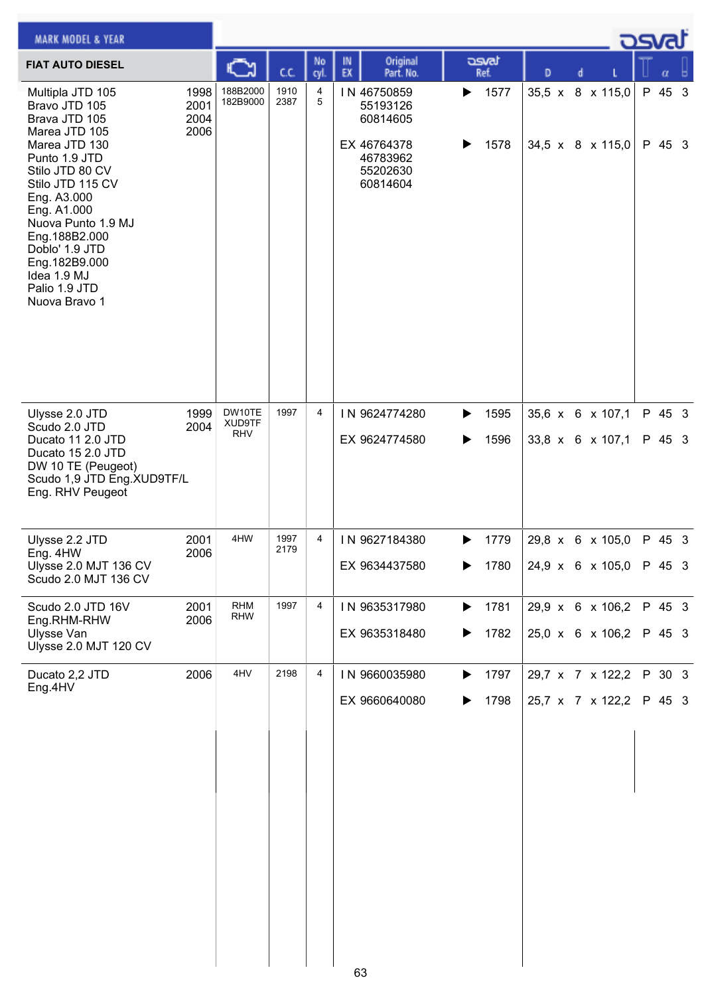| <b>MARK MODEL &amp; YEAR</b>                                                                                                                                                                                                                                                                          |                              |                                |              |                |                                                                                        |                        |   |                                      | ك <i>osv</i> a   |  |
|-------------------------------------------------------------------------------------------------------------------------------------------------------------------------------------------------------------------------------------------------------------------------------------------------------|------------------------------|--------------------------------|--------------|----------------|----------------------------------------------------------------------------------------|------------------------|---|--------------------------------------|------------------|--|
| <b>FIAT AUTO DIESEL</b>                                                                                                                                                                                                                                                                               |                              |                                | C.C.         | No<br>cyl      | Original<br>IN<br>EX<br>Part. No.                                                      | asvat<br>Ref.          | D |                                      | α                |  |
| Multipla JTD 105<br>Bravo JTD 105<br>Brava JTD 105<br>Marea JTD 105<br>Marea JTD 130<br>Punto 1.9 JTD<br>Stilo JTD 80 CV<br>Stilo JTD 115 CV<br>Eng. A3.000<br>Eng. A1.000<br>Nuova Punto 1.9 MJ<br>Eng.188B2.000<br>Doblo' 1.9 JTD<br>Eng.182B9.000<br>Idea 1.9 MJ<br>Palio 1.9 JTD<br>Nuova Bravo 1 | 1998<br>2001<br>2004<br>2006 | 188B2000<br>182B9000           | 1910<br>2387 | 4<br>5         | IN 46750859<br>55193126<br>60814605<br>EX 46764378<br>46783962<br>55202630<br>60814604 | 1577<br>▶<br>1578<br>▶ |   | 35,5 x 8 x 115,0<br>34,5 x 8 x 115,0 | P 45 3<br>P 45 3 |  |
| Ulysse 2.0 JTD<br>Scudo 2.0 JTD<br>Ducato 11 2.0 JTD<br>Ducato 15 2.0 JTD<br>DW 10 TE (Peugeot)<br>Scudo 1,9 JTD Eng.XUD9TF/L<br>Eng. RHV Peugeot                                                                                                                                                     | 1999<br>2004                 | DW10TE<br>XUD9TF<br><b>RHV</b> | 1997         | $\overline{4}$ | IN 9624774280<br>EX 9624774580                                                         | 1595<br>▶<br>1596<br>▶ |   | 35,6 x 6 x 107,1<br>33,8 x 6 x 107,1 | P 45 3<br>P 45 3 |  |
| Ulysse 2.2 JTD<br>Eng. 4HW<br>Ulysse 2.0 MJT 136 CV<br>Scudo 2.0 MJT 136 CV                                                                                                                                                                                                                           | 2001<br>2006                 | 4HW                            | 1997<br>2179 | 4              | IN 9627184380<br>EX 9634437580                                                         | 1779<br>▶<br>1780<br>▶ |   | 29,8 x 6 x 105,0<br>24,9 x 6 x 105,0 | P 45 3<br>P 45 3 |  |
| Scudo 2.0 JTD 16V<br>Eng.RHM-RHW<br>Ulysse Van<br>Ulysse 2.0 MJT 120 CV                                                                                                                                                                                                                               | 2001<br>2006                 | <b>RHM</b><br><b>RHW</b>       | 1997         | 4              | IN 9635317980<br>EX 9635318480                                                         | 1781<br>▶<br>1782<br>▶ |   | 29,9 x 6 x 106,2<br>25,0 x 6 x 106,2 | P 45 3<br>P 45 3 |  |
| Ducato 2,2 JTD<br>Eng.4HV                                                                                                                                                                                                                                                                             | 2006                         | 4HV                            | 2198         | 4              | IN 9660035980<br>EX 9660640080                                                         | 1797<br>▶<br>1798<br>▶ |   | 29,7 x 7 x 122,2<br>25,7 x 7 x 122,2 | P 30 3<br>P 45 3 |  |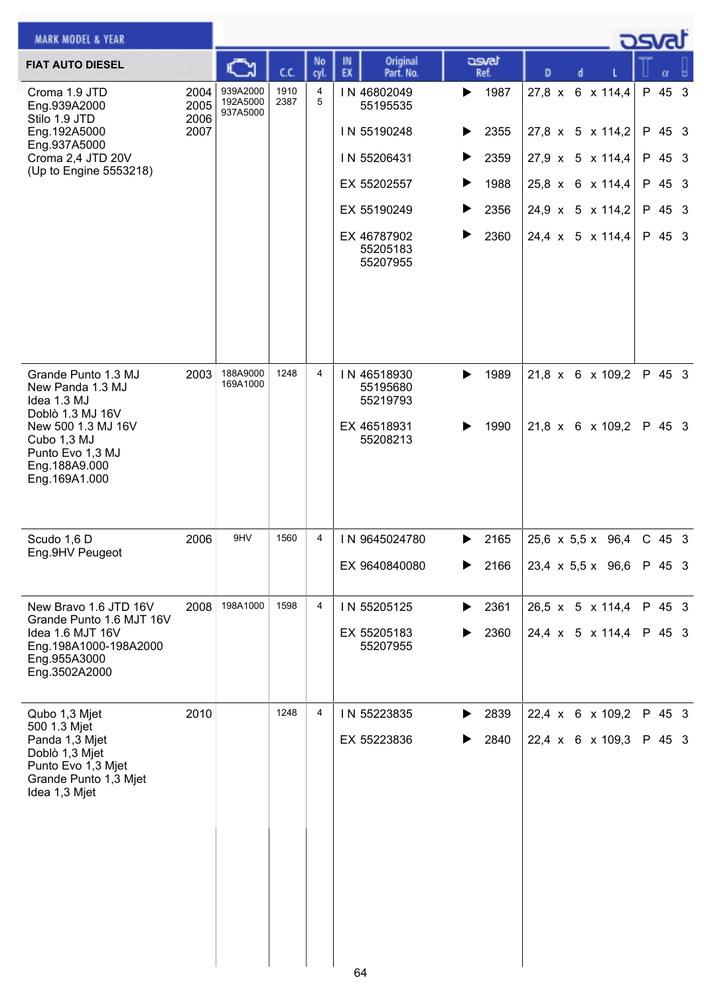| <b>MARK MODEL &amp; YEAR</b>                                                                                     |                      |                                  |              |                |          |                                     |   |               |                  |  | ಾಡ                                                 |                  |  |
|------------------------------------------------------------------------------------------------------------------|----------------------|----------------------------------|--------------|----------------|----------|-------------------------------------|---|---------------|------------------|--|----------------------------------------------------|------------------|--|
| <b>FIAT AUTO DIESEL</b>                                                                                          |                      |                                  | C.C.         | No<br>cyl.     | IN<br>EX | Original<br>Part. No.               |   | asvat<br>Ref. | D                |  |                                                    | α                |  |
| Croma 1.9 JTD<br>Eng.939A2000<br>Stilo 1.9 JTD                                                                   | 2004<br>2005<br>2006 | 939A2000<br>192A5000<br>937A5000 | 1910<br>2387 | 4<br>5         |          | IN 46802049<br>55195535             | ▶ | 1987          |                  |  | 27,8 x 6 x 114,4                                   | P 45 3           |  |
| Eng.192A5000                                                                                                     | 2007                 |                                  |              |                |          | IN 55190248                         |   | 2355          |                  |  | 27,8 x 5 x 114,2                                   | P 45 3           |  |
| Eng.937A5000<br>Croma 2,4 JTD 20V                                                                                |                      |                                  |              |                |          | IN 55206431                         | ▶ | 2359          |                  |  | 27,9 x 5 x 114,4                                   | P 45 3           |  |
| (Up to Engine 5553218)                                                                                           |                      |                                  |              |                |          | EX 55202557                         | ▶ | 1988          |                  |  | 25,8 x 6 x 114,4                                   | P 45 3           |  |
|                                                                                                                  |                      |                                  |              |                |          | EX 55190249                         | ▶ | 2356          | 24,9 x 5 x 114,2 |  |                                                    | P 45 3           |  |
|                                                                                                                  |                      |                                  |              |                |          | EX 46787902<br>55205183<br>55207955 | ▶ | 2360          |                  |  | 24,4 x 5 x 114,4                                   | P 45 3           |  |
| Grande Punto 1.3 MJ                                                                                              | 2003                 | 188A9000                         | 1248         | $\overline{4}$ |          | IN 46518930                         | ▶ | 1989          |                  |  | 21,8 x 6 x 109,2                                   | P 45 3           |  |
| New Panda 1.3 MJ<br>Idea 1.3 MJ                                                                                  |                      | 169A1000                         |              |                |          | 55195680<br>55219793                |   |               |                  |  |                                                    |                  |  |
| Doblò 1.3 MJ 16V<br>New 500 1.3 MJ 16V<br>Cubo 1,3 MJ<br>Punto Evo 1,3 MJ<br>Eng.188A9.000<br>Eng.169A1.000      |                      |                                  |              |                |          | EX 46518931<br>55208213             | ▶ | 1990          |                  |  | 21,8 x 6 x 109,2                                   | P 45 3           |  |
| Scudo 1,6 D                                                                                                      | 2006                 | 9HV                              | 1560         | 4              |          | IN 9645024780                       | ▶ | 2165          |                  |  | $25,6 \times 5,5 \times 96,4$                      | $C$ 45 3         |  |
| Eng.9HV Peugeot                                                                                                  |                      |                                  |              |                |          | EX 9640840080                       |   | 2166          |                  |  | 23,4 $\times$ 5,5 $\times$ 96,6                    | P 45 3           |  |
|                                                                                                                  |                      |                                  | 1598         |                |          |                                     |   |               |                  |  |                                                    |                  |  |
| New Bravo 1.6 JTD 16V<br>Grande Punto 1.6 MJT 16V<br>Idea 1.6 MJT 16V                                            | 2008                 | 198A1000                         |              | 4              |          | IN 55205125                         | ▶ | 2361<br>2360  |                  |  | 26,5 x 5 x 114,4<br>24,4 $\times$ 5 $\times$ 114,4 | P 45 3<br>P 45 3 |  |
| Eng.198A1000-198A2000<br>Eng.955A3000<br>Eng.3502A2000                                                           |                      |                                  |              |                |          | EX 55205183<br>55207955             | ▶ |               |                  |  |                                                    |                  |  |
| Qubo 1,3 Mjet                                                                                                    | 2010                 |                                  | 1248         | 4              |          | IN 55223835                         | ▶ | 2839          |                  |  | 22,4 x 6 x 109,2                                   | P 45 3           |  |
| 500 1.3 Mjet<br>Panda 1,3 Mjet<br>Doblò 1,3 Mjet<br>Punto Evo 1,3 Mjet<br>Grande Punto 1,3 Mjet<br>Idea 1,3 Mjet |                      |                                  |              |                |          | EX 55223836                         |   | 2840          |                  |  | 22,4 x 6 x 109,3                                   | P 45 3           |  |
|                                                                                                                  |                      |                                  |              |                |          |                                     |   |               |                  |  |                                                    |                  |  |
|                                                                                                                  |                      |                                  |              |                |          |                                     |   |               |                  |  |                                                    |                  |  |
|                                                                                                                  |                      |                                  |              |                | 64       |                                     |   |               |                  |  |                                                    |                  |  |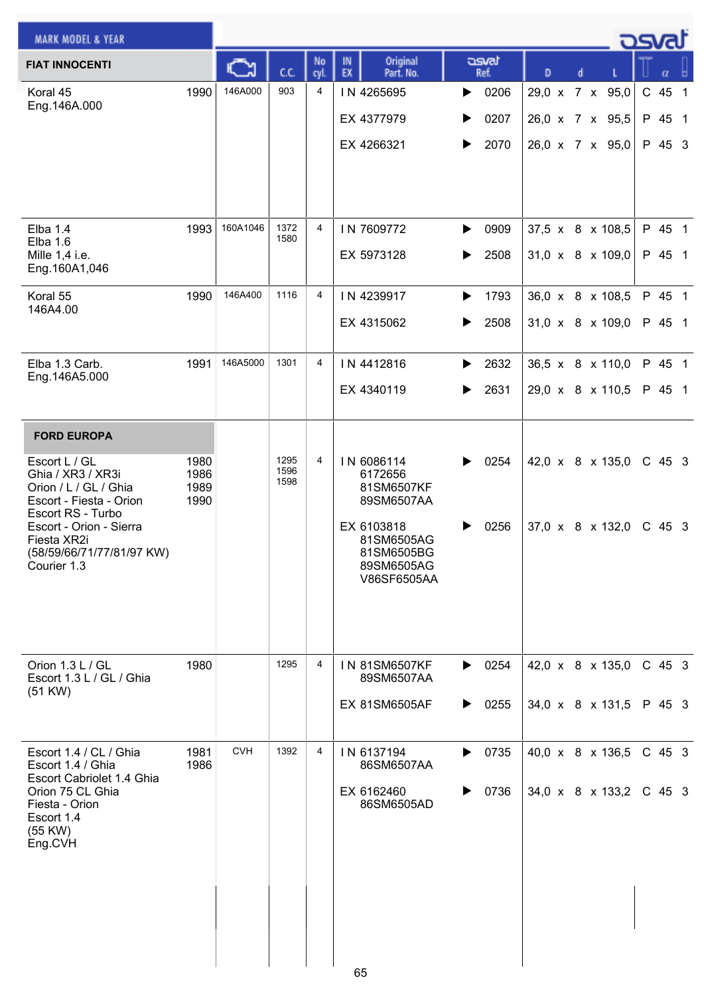| <b>MARK MODEL &amp; YEAR</b>                                                                                                                                                                                            |                              |            |                      |            |                                                                                                                          |                                    |                                                       | asvat                      |   |  |
|-------------------------------------------------------------------------------------------------------------------------------------------------------------------------------------------------------------------------|------------------------------|------------|----------------------|------------|--------------------------------------------------------------------------------------------------------------------------|------------------------------------|-------------------------------------------------------|----------------------------|---|--|
| <b>FIAT INNOCENTI</b>                                                                                                                                                                                                   |                              |            | cc                   | No<br>cyl. | Original<br>IN<br>EX<br>Part. No.                                                                                        | asvat<br>Ref.                      | D<br>d                                                |                            | α |  |
| Koral 45<br>Eng.146A.000                                                                                                                                                                                                | 1990                         | 146A000    | 903                  | 4          | IN 4265695<br>EX 4377979<br>EX 4266321                                                                                   | 0206<br>▶<br>0207<br>▶<br>2070     | 29,0 x 7 x 95,0<br>26,0 x 7 x 95,5<br>26,0 x 7 x 95,0 | C 45 1<br>P 45 1<br>P 45 3 |   |  |
| Elba $1.4$<br><b>Elba 1.6</b><br>Mille 1,4 i.e.<br>Eng.160A1,046                                                                                                                                                        | 1993                         | 160A1046   | 1372<br>1580         | 4          | IN 7609772<br>EX 5973128                                                                                                 | 0909<br>▶<br>2508<br>▶             | 37,5 x 8 x 108,5<br>$31,0 \times 8 \times 109,0$      | P 45 1<br>P 45 1           |   |  |
| Koral 55<br>146A4.00                                                                                                                                                                                                    | 1990                         | 146A400    | 1116                 | 4          | IN 4239917<br>EX 4315062                                                                                                 | 1793<br>▶<br>2508<br>▶             | 36,0 x 8 x 108,5<br>$31,0 \times 8 \times 109,0$      | P 45 1<br>P 45 1           |   |  |
| Elba 1.3 Carb.<br>Eng.146A5.000                                                                                                                                                                                         | 1991                         | 146A5000   | 1301                 | 4          | IN 4412816<br>EX 4340119                                                                                                 | 2632<br>▶<br>2631<br>▶             | 36,5 x 8 x 110,0<br>29,0 x 8 x 110,5                  | P 45 1<br>P 45 1           |   |  |
| <b>FORD EUROPA</b><br>Escort L / GL<br>Ghia / XR3 / XR3i<br>Orion / L / GL / Ghia<br>Escort - Fiesta - Orion<br>Escort RS - Turbo<br>Escort - Orion - Sierra<br>Fiesta XR2i<br>(58/59/66/71/77/81/97 KW)<br>Courier 1.3 | 1980<br>1986<br>1989<br>1990 |            | 1295<br>1596<br>1598 | 4          | IN 6086114<br>6172656<br>81SM6507KF<br>89SM6507AA<br>EX 6103818<br>81SM6505AG<br>81SM6505BG<br>89SM6505AG<br>V86SF6505AA | 0254<br>▶<br>0256                  | 42,0 x 8 x 135,0<br>$37,0 \times 8 \times 132,0$      | $C$ 45 3<br>$C$ 45 3       |   |  |
| Orion 1.3 L / GL<br>Escort 1.3 L / GL / Ghia<br>(51 KW)                                                                                                                                                                 | 1980                         |            | 1295                 | 4          | IN 81SM6507KF<br>89SM6507AA<br><b>EX 81SM6505AF</b>                                                                      | $\triangleright$ 0254<br>0255<br>▶ | 42,0 x 8 x 135,0<br>34,0 x 8 x 131,5                  | $C$ 45 3<br>P 45 3         |   |  |
| Escort 1.4 / CL / Ghia<br>Escort 1.4 / Ghia<br>Escort Cabriolet 1.4 Ghia<br>Orion 75 CL Ghia<br>Fiesta - Orion<br>Escort 1.4<br>(55 KW)<br>Eng.CVH                                                                      | 1981<br>1986                 | <b>CVH</b> | 1392                 | 4          | IN 6137194<br>86SM6507AA<br>EX 6162460<br>86SM6505AD<br>65                                                               | 0735<br>▶<br>0736<br>▶             | 40,0 x 8 x 136,5<br>34,0 x 8 x 133,2                  | C 45 3<br>C 45 3           |   |  |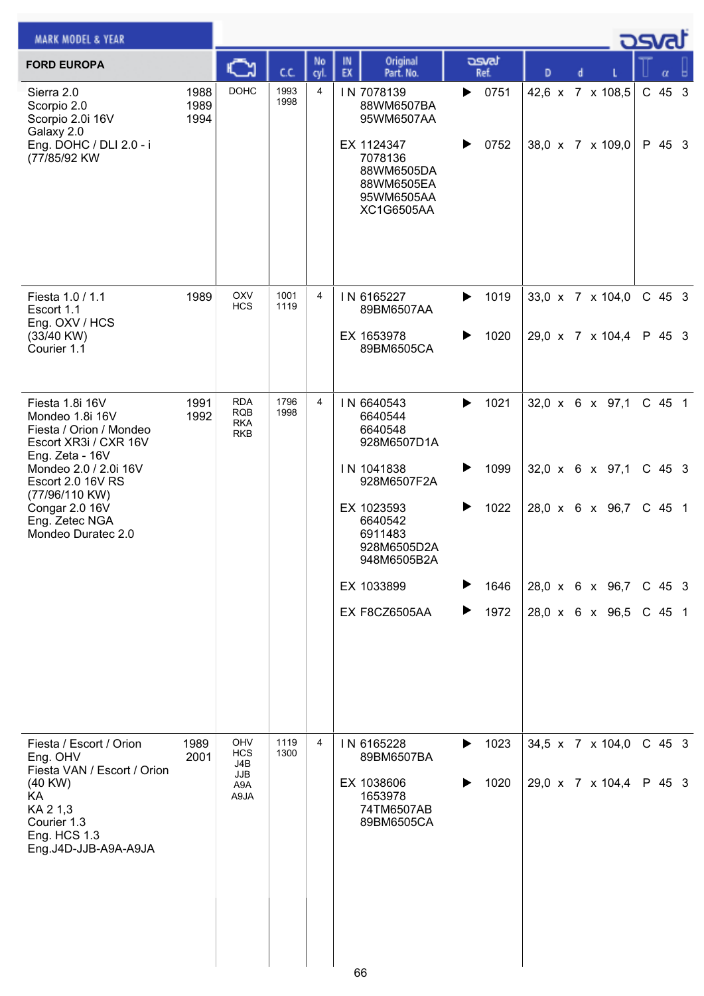| <b>MARK MODEL &amp; YEAR</b>                                                                                                |                      |                                                      |              |                |                                                                                                                                |                               |                                      |  | كSva               |  |
|-----------------------------------------------------------------------------------------------------------------------------|----------------------|------------------------------------------------------|--------------|----------------|--------------------------------------------------------------------------------------------------------------------------------|-------------------------------|--------------------------------------|--|--------------------|--|
| <b>FORD EUROPA</b>                                                                                                          |                      |                                                      | C.C.         | No<br>cyl.     | Original<br>IN<br>EX<br>Part. No.                                                                                              | dsvat<br>Ref.                 | D<br>d                               |  |                    |  |
| Sierra 2.0<br>Scorpio 2.0<br>Scorpio 2.0i 16V<br>Galaxy 2.0<br>Eng. DOHC / DLI 2.0 - i<br>(77/85/92 KW                      | 1988<br>1989<br>1994 | <b>DOHC</b>                                          | 1993<br>1998 | $\overline{4}$ | IN 7078139<br>88WM6507BA<br>95WM6507AA<br>EX 1124347<br>7078136<br>88WM6505DA<br>88WM6505EA<br>95WM6505AA<br><b>XC1G6505AA</b> | 0751<br>▶<br>0752<br>▶        | 42,6 x 7 x 108,5<br>38,0 x 7 x 109,0 |  | $C$ 45 3<br>P 45 3 |  |
| Fiesta 1.0 / 1.1<br>Escort 1.1                                                                                              | 1989                 | OXV<br><b>HCS</b>                                    | 1001<br>1119 | 4              | IN 6165227<br>89BM6507AA                                                                                                       | 1019<br>▶                     | 33,0 x 7 x 104,0                     |  | C 45 3             |  |
| Eng. OXV / HCS<br>(33/40 KW)<br>Courier 1.1                                                                                 |                      |                                                      |              |                | EX 1653978<br>89BM6505CA                                                                                                       | 1020                          | 29,0 x 7 x 104,4                     |  | P 45 3             |  |
| Fiesta 1.8i 16V<br>Mondeo 1.8i 16V<br>Fiesta / Orion / Mondeo<br>Escort XR3i / CXR 16V<br>Eng. Zeta - 16V                   | 1991<br>1992         | <b>RDA</b><br><b>RQB</b><br><b>RKA</b><br><b>RKB</b> | 1796<br>1998 | 4              | IN 6640543<br>6640544<br>6640548<br>928M6507D1A                                                                                | 1021<br>$\blacktriangleright$ | $32,0 \times 6 \times 97,1$          |  | C 45 1             |  |
| Mondeo 2.0 / 2.0i 16V<br>Escort 2.0 16V RS                                                                                  |                      |                                                      |              |                | IN 1041838<br>928M6507F2A                                                                                                      | 1099<br>▶                     | $32,0 \times 6 \times 97,1$          |  | $C$ 45 3           |  |
| (77/96/110 KW)<br>Congar 2.0 16V<br>Eng. Zetec NGA<br>Mondeo Duratec 2.0                                                    |                      |                                                      |              |                | EX 1023593<br>6640542<br>6911483<br>928M6505D2A<br>948M6505B2A                                                                 | 1022<br>▶                     | 28,0 x 6 x 96,7                      |  | $C$ 45 1           |  |
|                                                                                                                             |                      |                                                      |              |                | EX 1033899                                                                                                                     | 1646<br>▶                     | 28,0 x 6 x 96,7                      |  | $C$ 45 3           |  |
|                                                                                                                             |                      |                                                      |              |                | EX F8CZ6505AA                                                                                                                  | 1972<br>▶                     | 28,0 x 6 x 96,5                      |  | C 45 1             |  |
| Fiesta / Escort / Orion<br>Eng. OHV                                                                                         | 1989<br>2001         | OHV<br><b>HCS</b><br>J4B                             | 1119<br>1300 | 4              | IN 6165228<br>89BM6507BA                                                                                                       | 1023<br>▶                     | 34,5 x 7 x 104,0                     |  | $C$ 45 3           |  |
| Fiesta VAN / Escort / Orion<br>$(40$ KW $)$<br>KA<br>KA 2 1,3<br>Courier 1.3<br><b>Eng. HCS 1.3</b><br>Eng.J4D-JJB-A9A-A9JA |                      | JJB<br>A9A<br>A9JA                                   |              |                | EX 1038606<br>1653978<br>74TM6507AB<br>89BM6505CA<br>66                                                                        | 1020<br>▶                     | 29,0 x 7 x 104,4                     |  | P 45 3             |  |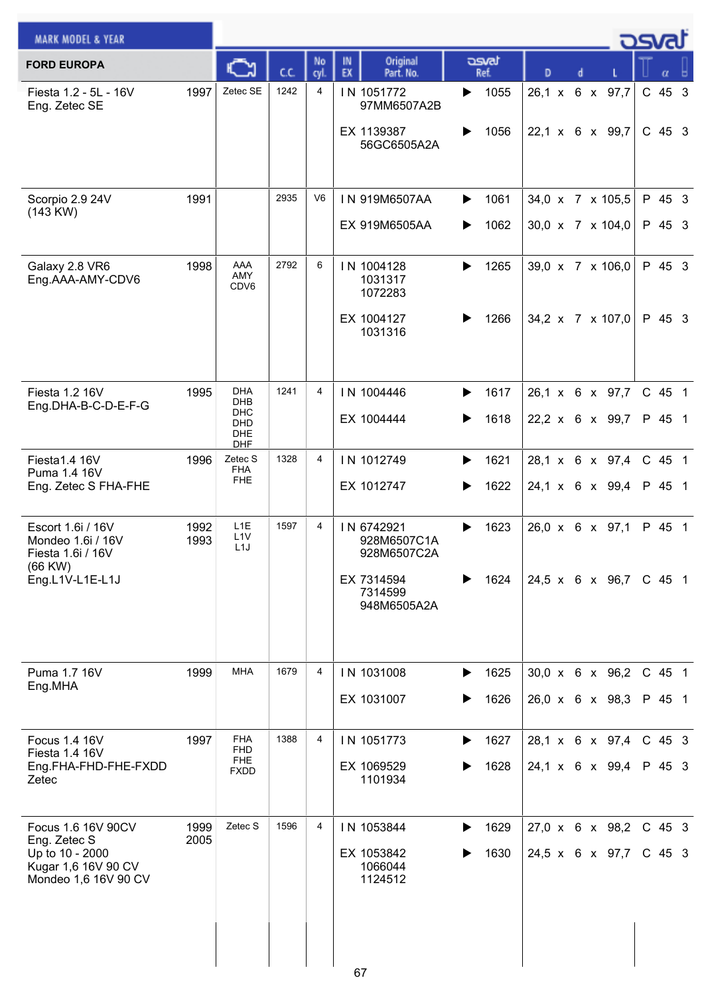| <b>MARK MODEL &amp; YEAR</b>                                                                         |              |                                                          |      |                |                                                                                  |                        |                                                | كمحت |                      |  |
|------------------------------------------------------------------------------------------------------|--------------|----------------------------------------------------------|------|----------------|----------------------------------------------------------------------------------|------------------------|------------------------------------------------|------|----------------------|--|
| <b>FORD EUROPA</b>                                                                                   |              |                                                          | C.C. | No<br>cyl.     | Original<br>IN<br>EX<br>Part. No.                                                | asvat<br>Ref.          | D<br>d                                         |      |                      |  |
| Fiesta 1.2 - 5L - 16V<br>Eng. Zetec SE                                                               | 1997         | Zetec SE                                                 | 1242 | 4              | IN 1051772<br>97MM6507A2B<br>EX 1139387<br>56GC6505A2A                           | 1055<br>▶<br>1056      | 26,1 x 6 x 97,7<br>22,1 x 6 x 99,7             |      | $C$ 45 3<br>$C$ 45 3 |  |
| Scorpio 2.9 24V<br>(143 KW)                                                                          | 1991         |                                                          | 2935 | V <sub>6</sub> | IN 919M6507AA<br>EX 919M6505AA                                                   | 1061<br>▶<br>1062<br>▶ | 34,0 x 7 x 105,5<br>30,0 x 7 x 104,0           |      | P 45 3<br>P 45 3     |  |
| Galaxy 2.8 VR6<br>Eng.AAA-AMY-CDV6                                                                   | 1998         | AAA<br>AMY<br>CDV6                                       | 2792 | 6              | IN 1004128<br>1031317<br>1072283<br>EX 1004127<br>1031316                        | 1265<br>▶<br>1266      | 39,0 x 7 x 106,0<br>34,2 x 7 x 107,0           |      | P 45 3<br>P 45 3     |  |
| Fiesta 1.2 16V<br>Eng.DHA-B-C-D-E-F-G                                                                | 1995         | DHA<br>DHB<br>DHC<br>DHD<br><b>DHE</b><br><b>DHF</b>     | 1241 | 4              | IN 1004446<br>EX 1004444                                                         | 1617<br>▶<br>1618<br>▶ | 26,1 x 6 x 97,7<br>22,2 x 6 x 99,7             |      | C 45 1<br>P 45 1     |  |
| Fiesta1.4 16V<br>Puma 1.4 16V<br>Eng. Zetec S FHA-FHE                                                | 1996         | Zetec S<br><b>FHA</b><br><b>FHE</b>                      | 1328 | 4              | IN 1012749<br>EX 1012747                                                         | 1621<br>▶<br>1622<br>▶ | 28,1 x 6 x 97,4<br>24,1 x 6 x 99,4             |      | C 45 1<br>P 45 1     |  |
| Escort 1.6i / 16V<br>Mondeo 1.6i / 16V<br>Fiesta 1.6i / 16V<br>$(66$ KW $)$<br>Eng.L1V-L1E-L1J       | 1992<br>1993 | L <sub>1</sub> E<br>L <sub>1</sub> V<br>L <sub>1</sub> J | 1597 | 4              | IN 6742921<br>928M6507C1A<br>928M6507C2A<br>EX 7314594<br>7314599<br>948M6505A2A | 1623<br>▶<br>1624      | 26,0 x 6 x 97,1<br>24,5 x 6 x 96,7             |      | P 45 1<br>$C$ 45 1   |  |
| Puma 1.7 16V<br>Eng.MHA                                                                              | 1999         | <b>MHA</b>                                               | 1679 | 4              | IN 1031008<br>EX 1031007                                                         | ▶<br>1625<br>1626<br>▶ | 30,0 x 6 x 96,2<br>$26,0 \times 6 \times 98,3$ |      | C 45 1<br>P 45 1     |  |
| Focus 1.4 16V<br>Fiesta 1.4 16V<br>Eng.FHA-FHD-FHE-FXDD<br>Zetec                                     | 1997         | FHA<br>FHD<br><b>FHE</b><br>FXDD                         | 1388 | 4              | IN 1051773<br>EX 1069529<br>1101934                                              | 1627<br>▶<br>1628      | 28,1 x 6 x 97,4<br>24,1 x 6 x 99,4             |      | C 45 3<br>P 45 3     |  |
| Focus 1.6 16V 90CV<br>Eng. Zetec S<br>Up to 10 - 2000<br>Kugar 1,6 16V 90 CV<br>Mondeo 1,6 16V 90 CV | 1999<br>2005 | Zetec S                                                  | 1596 | 4              | IN 1053844<br>EX 1053842<br>1066044<br>1124512                                   | 1629<br>▶<br>1630      | $27,0 \times 6 \times 98,2$<br>24,5 x 6 x 97,7 |      | $C$ 45 3<br>C 45 3   |  |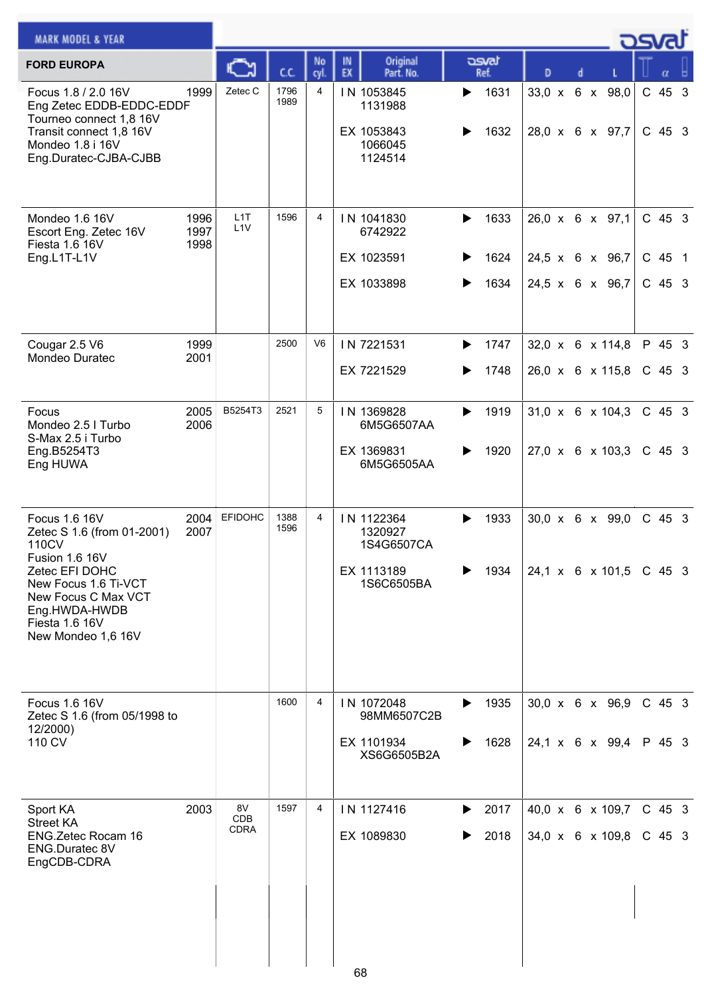| <b>MARK MODEL &amp; YEAR</b>                                                                                                                                                                     |                      |                                 |              |                |          |                                                                 |        |                      |   |  | <b>posta</b>                                          |                                |  |
|--------------------------------------------------------------------------------------------------------------------------------------------------------------------------------------------------|----------------------|---------------------------------|--------------|----------------|----------|-----------------------------------------------------------------|--------|----------------------|---|--|-------------------------------------------------------|--------------------------------|--|
| <b>FORD EUROPA</b>                                                                                                                                                                               |                      |                                 | C.C.         | No<br>cyl.     | IN<br>EX | Original<br>Part. No.                                           |        | asvat<br>Ref.        | D |  |                                                       | α                              |  |
| Focus 1.8 / 2.0 16V<br>Eng Zetec EDDB-EDDC-EDDF<br>Tourneo connect 1,8 16V<br>Transit connect 1,8 16V<br>Mondeo 1.8 i 16V<br>Eng.Duratec-CJBA-CJBB                                               | 1999                 | Zetec C                         | 1796<br>1989 | 4              |          | IN 1053845<br>1131988<br>EX 1053843<br>1066045<br>1124514       | ▶      | 1631<br>1632         |   |  | 33,0 x 6 x 98,0<br>28,0 x 6 x 97,7                    | C 45 3<br>$C$ 45 3             |  |
| Mondeo 1.6 16V<br>Escort Eng. Zetec 16V<br>Fiesta 1.6 16V<br>Eng.L1T-L1V                                                                                                                         | 1996<br>1997<br>1998 | L <sub>1</sub> T<br>L1V         | 1596         | 4              |          | IN 1041830<br>6742922<br>EX 1023591<br>EX 1033898               | ▶<br>▶ | 1633<br>1624<br>1634 |   |  | 26,0 x 6 x 97,1<br>24,5 x 6 x 96,7<br>24,5 x 6 x 96,7 | $C$ 45 3<br>$C$ 45 1<br>C 45 3 |  |
| Cougar 2.5 V6<br>Mondeo Duratec                                                                                                                                                                  | 1999<br>2001         |                                 | 2500         | V <sub>6</sub> |          | IN 7221531<br>EX 7221529                                        | ▶<br>▶ | 1747<br>1748         |   |  | 32,0 x 6 x 114,8<br>26,0 x 6 x 115,8                  | P 45 3<br>$C$ 45 3             |  |
| Focus<br>Mondeo 2.5 I Turbo<br>S-Max 2.5 i Turbo<br>Eng.B5254T3<br>Eng HUWA                                                                                                                      | 2005<br>2006         | B5254T3                         | 2521         | 5              |          | IN 1369828<br>6M5G6507AA<br>EX 1369831<br>6M5G6505AA            | ▶<br>▶ | 1919<br>1920         |   |  | $31,0 \times 6 \times 104,3$<br>27,0 x 6 x 103,3      | $C$ 45 3<br>$C$ 45 3           |  |
| Focus 1.6 16V<br>Zetec S 1.6 (from 01-2001)<br>110CV<br>Fusion 1.6 16V<br>Zetec EFI DOHC<br>New Focus 1.6 Ti-VCT<br>New Focus C Max VCT<br>Eng.HWDA-HWDB<br>Fiesta 1.6 16V<br>New Mondeo 1,6 16V | 2004<br>2007         | <b>EFIDOHC</b>                  | 1388<br>1596 | 4              |          | IN 1122364<br>1320927<br>1S4G6507CA<br>EX 1113189<br>1S6C6505BA | ▶      | 1933<br>1934         |   |  | $30,0 \times 6 \times 99,0$<br>24,1 x 6 x 101,5       | $C$ 45 3<br>$C$ 45 3           |  |
| Focus 1.6 16V<br>Zetec S 1.6 (from 05/1998 to<br>12/2000)<br>110 CV                                                                                                                              |                      |                                 | 1600         | 4              |          | IN 1072048<br>98MM6507C2B<br>EX 1101934<br>XS6G6505B2A          | ▶<br>▶ | 1935<br>1628         |   |  | 30,0 x 6 x 96,9<br>24,1 x 6 x 99,4                    | $C$ 45 3<br>P 45 3             |  |
| Sport KA<br><b>Street KA</b><br>ENG.Zetec Rocam 16<br><b>ENG.Duratec 8V</b><br>EngCDB-CDRA                                                                                                       | 2003                 | 8V<br><b>CDB</b><br><b>CDRA</b> | 1597         | 4              | 68       | IN 1127416<br>EX 1089830                                        | ▶<br>▶ | 2017<br>2018         |   |  | 40,0 x 6 x 109,7<br>34,0 x 6 x 109,8                  | $C$ 45 3<br>$C$ 45 3           |  |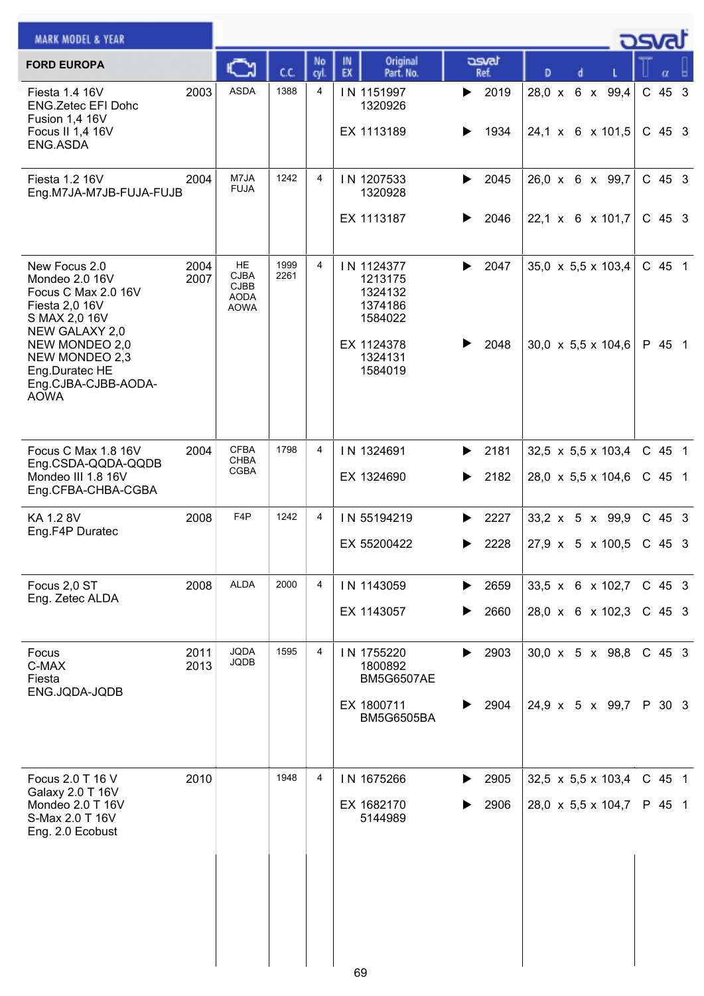| <b>MARK MODEL &amp; YEAR</b>                                                                                                                                                                            |              |                                                                |              |                |                                                                                            |                            |              |               |  |                                                        | كصحت                 |  |
|---------------------------------------------------------------------------------------------------------------------------------------------------------------------------------------------------------|--------------|----------------------------------------------------------------|--------------|----------------|--------------------------------------------------------------------------------------------|----------------------------|--------------|---------------|--|--------------------------------------------------------|----------------------|--|
| <b>FORD EUROPA</b>                                                                                                                                                                                      |              |                                                                | C.C.         | No<br>cyl.     | Original<br>IN<br>EX<br>Part. No.                                                          | asvat<br>Ref.              |              | D             |  |                                                        |                      |  |
| Fiesta 1.4 16V<br><b>ENG.Zetec EFI Dohc</b><br>Fusion 1,4 16V<br>Focus II 1,4 16V<br>ENG.ASDA                                                                                                           | 2003         | <b>ASDA</b>                                                    | 1388         | 4              | IN 1151997<br>1320926<br>EX 1113189                                                        | ▶<br>▶                     | 2019<br>1934 | $28,0 \times$ |  | 6 x 99,4<br>24,1 x 6 x 101,5                           | C 45 3<br>$C$ 45 3   |  |
| Fiesta 1.2 16V<br>Eng.M7JA-M7JB-FUJA-FUJB                                                                                                                                                               | 2004         | M7JA<br><b>FUJA</b>                                            | 1242         | 4              | IN 1207533<br>1320928<br>EX 1113187                                                        | ▶<br>▶                     | 2045<br>2046 |               |  | 26,0 x 6 x 99,7<br>22,1 x 6 x 101,7                    | $C$ 45 3<br>$C$ 45 3 |  |
| New Focus 2.0<br>Mondeo 2.0 16V<br>Focus C Max 2.0 16V<br>Fiesta 2,0 16V<br>S MAX 2,0 16V<br>NEW GALAXY 2,0<br>NEW MONDEO 2,0<br>NEW MONDEO 2,3<br>Eng.Duratec HE<br>Eng.CJBA-CJBB-AODA-<br><b>AOWA</b> | 2004<br>2007 | HE<br><b>CJBA</b><br><b>CJBB</b><br><b>AODA</b><br><b>AOWA</b> | 1999<br>2261 | $\overline{4}$ | IN 1124377<br>1213175<br>1324132<br>1374186<br>1584022<br>EX 1124378<br>1324131<br>1584019 | $\blacktriangleright$      | 2047<br>2048 |               |  | 35,0 x 5,5 x 103,4<br>30,0 x 5,5 x 104,6               | C 45 1<br>P 45 1     |  |
| Focus C Max 1.8 16V<br>Eng.CSDA-QQDA-QQDB<br>Mondeo III 1.8 16V<br>Eng.CFBA-CHBA-CGBA                                                                                                                   | 2004         | <b>CFBA</b><br>CHBA<br><b>CGBA</b>                             | 1798         | 4              | IN 1324691<br>EX 1324690                                                                   | $\blacktriangleright$<br>▶ | 2181<br>2182 |               |  | 32,5 $\times$ 5,5 $\times$ 103,4<br>28,0 x 5,5 x 104,6 | C 45 1<br>$C$ 45 1   |  |
| KA 1.2 8V<br>Eng.F4P Duratec                                                                                                                                                                            | 2008         | F <sub>4</sub> P                                               | 1242         | 4              | IN 55194219<br>EX 55200422                                                                 | ▶<br>▶                     | 2227<br>2228 |               |  | $33,2 \times 5 \times 99,9$<br>27,9 x 5 x 100,5        | C 45 3<br>C 45 3     |  |
| Focus 2,0 ST<br>Eng. Zetec ALDA                                                                                                                                                                         | 2008         | <b>ALDA</b>                                                    | 2000         | 4              | IN 1143059<br>EX 1143057                                                                   | ▶<br>▶                     | 2659<br>2660 |               |  | 33,5 x 6 x 102,7<br>28,0 x 6 x 102,3                   | $C$ 45 3<br>$C$ 45 3 |  |
| Focus<br>C-MAX<br>Fiesta<br>ENG.JQDA-JQDB                                                                                                                                                               | 2011<br>2013 | <b>JQDA</b><br><b>JQDB</b>                                     | 1595         | 4              | IN 1755220<br>1800892<br><b>BM5G6507AE</b><br>EX 1800711<br><b>BM5G6505BA</b>              | $\blacktriangleright$<br>▶ | 2903<br>2904 |               |  | $30.0 \times 5 \times 98.8$<br>24,9 x 5 x 99,7         | $C$ 45 3<br>P 30 3   |  |
| Focus 2.0 T 16 V<br>Galaxy 2.0 T 16V<br>Mondeo 2.0 T 16V<br>S-Max 2.0 T 16V<br>Eng. 2.0 Ecobust                                                                                                         | 2010         |                                                                | 1948         | 4              | IN 1675266<br>EX 1682170<br>5144989                                                        | ▶                          | 2905<br>2906 |               |  | 32,5 $\times$ 5,5 $\times$ 103,4<br>28,0 x 5,5 x 104,7 | $C$ 45 1<br>P 45 1   |  |
|                                                                                                                                                                                                         |              |                                                                |              |                | 69                                                                                         |                            |              |               |  |                                                        |                      |  |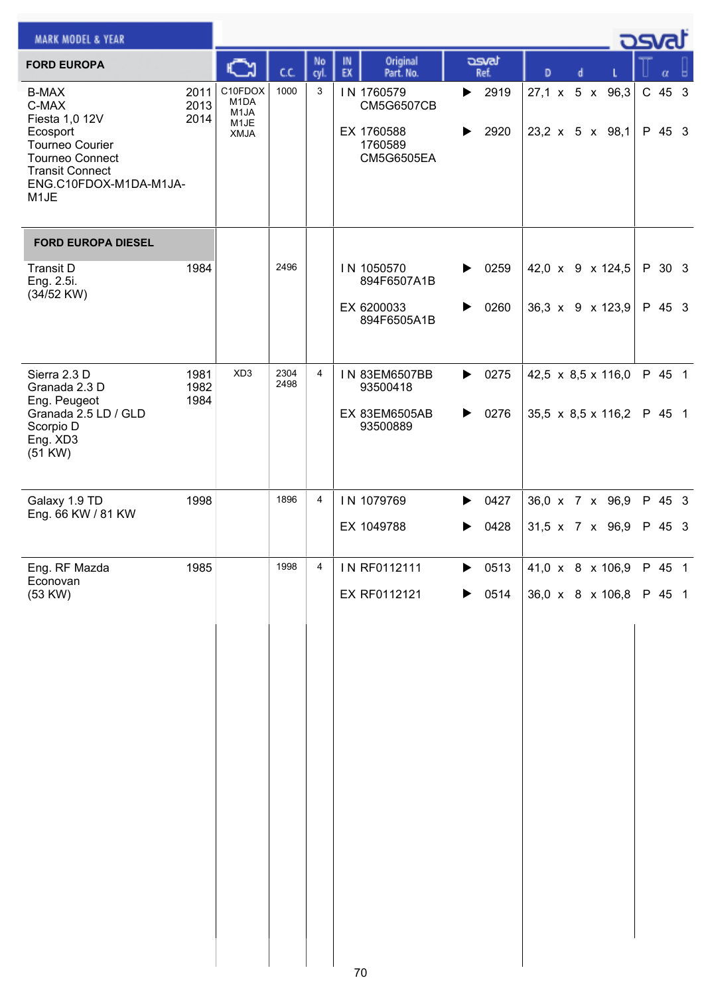| <b>MARK MODEL &amp; YEAR</b>                                                                                                                                              |                      |                                                                          |              |                |          |                                                                               |                       |                       |   |  | <u>_ ರಾ</u> ಡು                       |                  |  |
|---------------------------------------------------------------------------------------------------------------------------------------------------------------------------|----------------------|--------------------------------------------------------------------------|--------------|----------------|----------|-------------------------------------------------------------------------------|-----------------------|-----------------------|---|--|--------------------------------------|------------------|--|
| <b>FORD EUROPA</b>                                                                                                                                                        |                      |                                                                          | cc           | No<br>cyl      | IN<br>EX | Original<br>Part. No.                                                         |                       | asvat<br>Ref.         | D |  |                                      |                  |  |
| <b>B-MAX</b><br>C-MAX<br>Fiesta 1,0 12V<br>Ecosport<br>Tourneo Courier<br><b>Tourneo Connect</b><br><b>Transit Connect</b><br>ENG.C10FDOX-M1DA-M1JA-<br>M <sub>1</sub> JE | 2011<br>2013<br>2014 | C10FDOX<br>M <sub>1</sub> DA<br>M <sub>1</sub> JA<br>M1JE<br><b>XMJA</b> | 1000         | 3              |          | IN 1760579<br><b>CM5G6507CB</b><br>EX 1760588<br>1760589<br><b>CM5G6505EA</b> | ▶<br>▶                | 2919<br>2920          |   |  | 27,1 x 5 x 96,3<br>23,2 x 5 x 98,1   | C 45 3<br>P 45 3 |  |
| <b>FORD EUROPA DIESEL</b>                                                                                                                                                 |                      |                                                                          |              |                |          |                                                                               |                       |                       |   |  |                                      |                  |  |
| <b>Transit D</b><br>Eng. 2.5i.<br>(34/52 KW)                                                                                                                              | 1984                 |                                                                          | 2496         |                |          | IN 1050570<br>894F6507A1B<br>EX 6200033<br>894F6505A1B                        | ▶<br>▶                | 0259<br>0260          |   |  | 42,0 x 9 x 124,5<br>36,3 x 9 x 123,9 | P 30 3<br>P 45 3 |  |
| Sierra 2.3 D<br>Granada 2.3 D                                                                                                                                             | 1981<br>1982         | XD <sub>3</sub>                                                          | 2304<br>2498 | 4              |          | IN 83EM6507BB<br>93500418                                                     |                       | $\triangleright$ 0275 |   |  | 42,5 x 8,5 x 116,0                   | P 45 1           |  |
| Eng. Peugeot<br>Granada 2.5 LD / GLD<br>Scorpio D<br>Eng. XD3<br>(51 KW)                                                                                                  | 1984                 |                                                                          |              |                |          | EX 83EM6505AB<br>93500889                                                     | ▶                     | 0276                  |   |  | 35,5 x 8,5 x 116,2                   | P 45 1           |  |
| Galaxy 1.9 TD<br>Eng. 66 KW / 81 KW                                                                                                                                       | 1998                 |                                                                          | 1896         | $\overline{4}$ |          | IN 1079769                                                                    | ▶                     | 0427                  |   |  | 36,0 x 7 x 96,9                      | P 45 3           |  |
|                                                                                                                                                                           |                      |                                                                          |              |                |          | EX 1049788                                                                    |                       | 0428                  |   |  | 31,5 x 7 x 96,9                      | P 45 3           |  |
| Eng. RF Mazda<br>Econovan                                                                                                                                                 | 1985                 |                                                                          | 1998         | 4              |          | IN RF0112111                                                                  | $\blacktriangleright$ | 0513                  |   |  | 41,0 x 8 x 106,9                     | P 45 1           |  |
| (53 KW)                                                                                                                                                                   |                      |                                                                          |              |                |          | EX RF0112121                                                                  | ▶                     | 0514                  |   |  | 36,0 x 8 x 106,8                     | P 45 1           |  |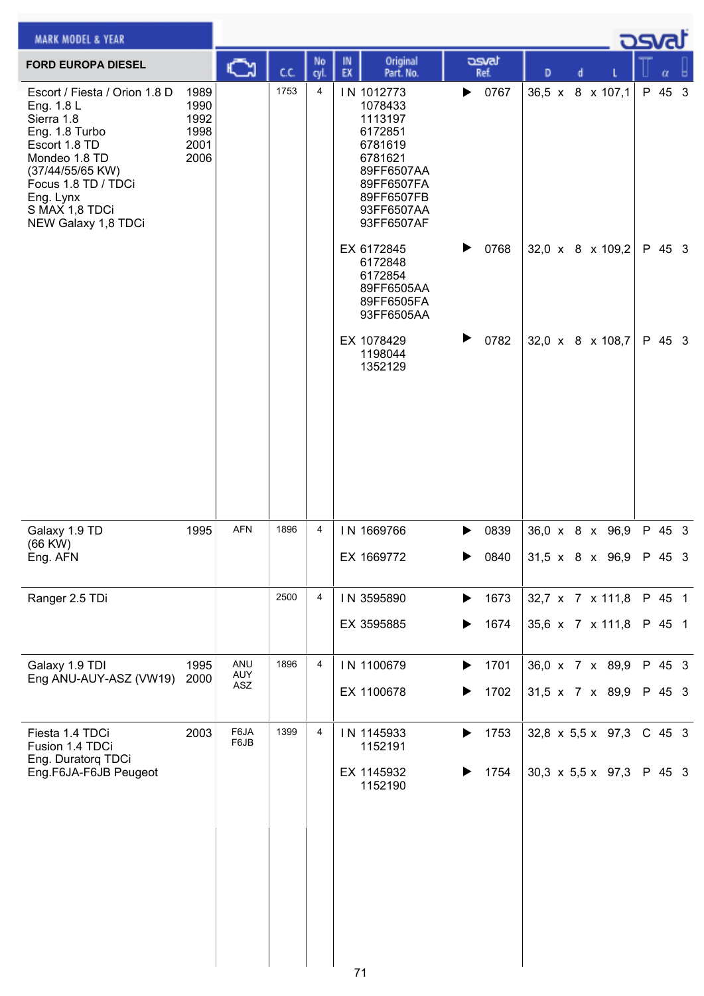| <b>MARK MODEL &amp; YEAR</b>                                                                                                                                                                                   |                                              |                   |      |           |          |                                                                                                                                         |        |               |   |   |                                                       | <b>DSval</b>       |  |
|----------------------------------------------------------------------------------------------------------------------------------------------------------------------------------------------------------------|----------------------------------------------|-------------------|------|-----------|----------|-----------------------------------------------------------------------------------------------------------------------------------------|--------|---------------|---|---|-------------------------------------------------------|--------------------|--|
| <b>FORD EUROPA DIESEL</b>                                                                                                                                                                                      |                                              | C                 | cc   | No<br>cyl | IN<br>EX | Original<br>Part. No.                                                                                                                   |        | asvat<br>Ref. | D | d |                                                       | α                  |  |
| Escort / Fiesta / Orion 1.8 D<br>Eng. 1.8 L<br>Sierra 1.8<br>Eng. 1.8 Turbo<br>Escort 1.8 TD<br>Mondeo 1.8 TD<br>(37/44/55/65 KW)<br>Focus 1.8 TD / TDCi<br>Eng. Lynx<br>S MAX 1,8 TDCi<br>NEW Galaxy 1,8 TDCi | 1989<br>1990<br>1992<br>1998<br>2001<br>2006 |                   | 1753 | 4         |          | IN 1012773<br>1078433<br>1113197<br>6172851<br>6781619<br>6781621<br>89FF6507AA<br>89FF6507FA<br>89FF6507FB<br>93FF6507AA<br>93FF6507AF | ▶      | 0767          |   |   | 36,5 x 8 x 107,1                                      | P 45 3             |  |
|                                                                                                                                                                                                                |                                              |                   |      |           |          | EX 6172845<br>6172848<br>6172854<br>89FF6505AA<br>89FF6505FA<br>93FF6505AA                                                              | ▶      | 0768          |   |   | 32,0 x 8 x 109,2                                      | P 45 3             |  |
|                                                                                                                                                                                                                |                                              |                   |      |           |          | EX 1078429<br>1198044<br>1352129                                                                                                        | ▶      | 0782          |   |   | 32,0 $\times$ 8 $\times$ 108,7                        | P 45 3             |  |
| Galaxy 1.9 TD<br>$(66$ KW $)$<br>Eng. AFN                                                                                                                                                                      | 1995                                         | AFN               | 1896 | 4         |          | IN 1669766<br>EX 1669772                                                                                                                | ▶      | 0839<br>0840  |   |   | $36,0 \times 8 \times 96,9$<br>31,5 x 8 x 96,9 P 45 3 | P 45 3             |  |
| Ranger 2.5 TDi                                                                                                                                                                                                 |                                              |                   | 2500 | 4         |          | IN 3595890                                                                                                                              | ▶      | 1673          |   |   | 32,7 x 7 x 111,8                                      | P 45 1             |  |
|                                                                                                                                                                                                                |                                              |                   |      |           |          | EX 3595885                                                                                                                              |        | 1674          |   |   | 35,6 x 7 x 111,8                                      | P 45 1             |  |
| Galaxy 1.9 TDI<br>Eng ANU-AUY-ASZ (VW19)                                                                                                                                                                       | 1995<br>2000                                 | ANU<br>AUY<br>ASZ | 1896 | 4         |          | IN 1100679<br>EX 1100678                                                                                                                | ▶      | 1701<br>1702  |   |   | 36,0 x 7 x 89,9<br>31,5 x 7 x 89,9                    | P 45 3<br>P 45 3   |  |
| Fiesta 1.4 TDCi<br>Fusion 1.4 TDCi<br>Eng. Duratorq TDCi<br>Eng.F6JA-F6JB Peugeot                                                                                                                              | 2003                                         | F6JA<br>F6JB      | 1399 | 4         |          | IN 1145933<br>1152191<br>EX 1145932<br>1152190                                                                                          | ▶<br>▶ | 1753<br>1754  |   |   | 32,8 $\times$ 5,5 $\times$ 97,3<br>30,3 x 5,5 x 97,3  | $C$ 45 3<br>P 45 3 |  |
|                                                                                                                                                                                                                |                                              |                   |      |           | 71       |                                                                                                                                         |        |               |   |   |                                                       |                    |  |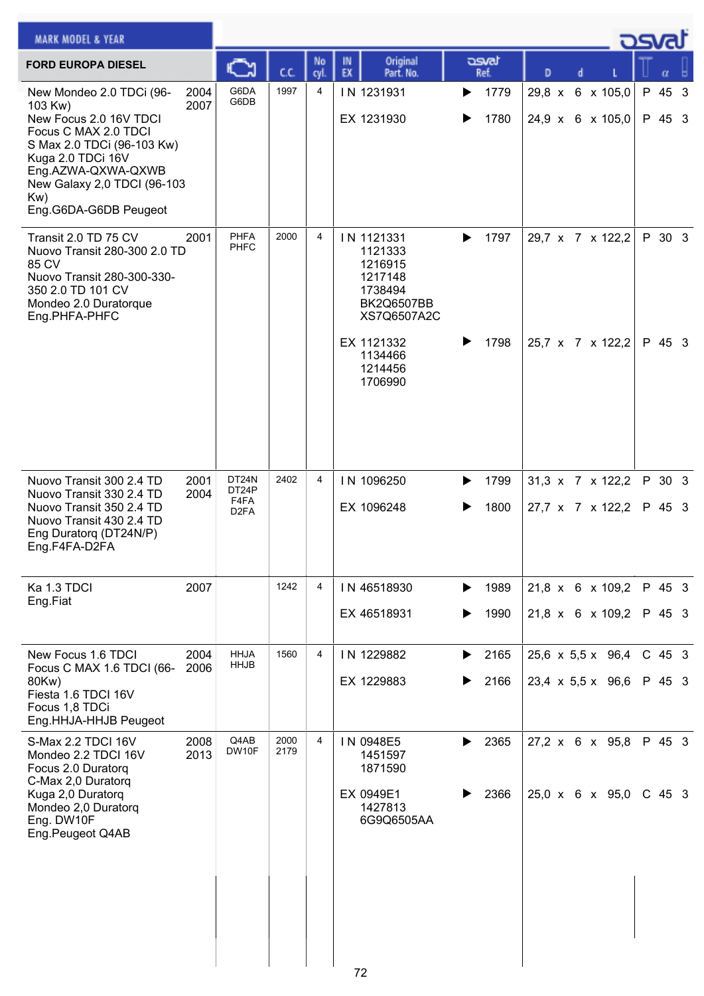| <b>MARK MODEL &amp; YEAR</b>                                                                                                                                                                                                  |              |                                             |              |                |          |                                                                                                          |        |               |   |  |                                                  | كصحت             |  |
|-------------------------------------------------------------------------------------------------------------------------------------------------------------------------------------------------------------------------------|--------------|---------------------------------------------|--------------|----------------|----------|----------------------------------------------------------------------------------------------------------|--------|---------------|---|--|--------------------------------------------------|------------------|--|
| <b>FORD EUROPA DIESEL</b>                                                                                                                                                                                                     |              |                                             | C.C.         | No<br>cyl.     | IN<br>EX | Original<br>Part. No.                                                                                    |        | asvat<br>Ref. | D |  |                                                  | α                |  |
| New Mondeo 2.0 TDCi (96-<br>103 Kw)<br>New Focus 2.0 16V TDCI<br>Focus C MAX 2.0 TDCI<br>S Max 2.0 TDCi (96-103 Kw)<br>Kuga 2.0 TDCi 16V<br>Eng.AZWA-QXWA-QXWB<br>New Galaxy 2,0 TDCI (96-103<br>Kw)<br>Eng.G6DA-G6DB Peugeot | 2004<br>2007 | G6DA<br>G6DB                                | 1997         | 4              |          | IN 1231931<br>EX 1231930                                                                                 | ▶<br>▶ | 1779<br>1780  |   |  | 29,8 x 6 x 105,0<br>24,9 x 6 x 105,0             | P 45 3<br>P 45 3 |  |
| Transit 2.0 TD 75 CV<br>Nuovo Transit 280-300 2.0 TD<br>85 CV<br>Nuovo Transit 280-300-330-<br>350 2.0 TD 101 CV<br>Mondeo 2.0 Duratorque<br>Eng.PHFA-PHFC                                                                    | 2001         | <b>PHFA</b><br><b>PHFC</b>                  | 2000         | 4              |          | IN 1121331<br>1121333<br>1216915<br>1217148<br>1738494<br><b>BK2Q6507BB</b><br>XS7Q6507A2C<br>EX 1121332 | ▶<br>▶ | 1797<br>1798  |   |  | 29,7 x 7 x 122,2<br>25,7 x 7 x 122,2             | P 30 3<br>P 45 3 |  |
|                                                                                                                                                                                                                               |              |                                             |              |                |          | 1134466<br>1214456<br>1706990                                                                            |        |               |   |  |                                                  |                  |  |
| Nuovo Transit 300 2.4 TD<br>Nuovo Transit 330 2.4 TD<br>Nuovo Transit 350 2.4 TD<br>Nuovo Transit 430 2.4 TD<br>Eng Duratorq (DT24N/P)<br>Eng.F4FA-D2FA                                                                       | 2001<br>2004 | DT24N<br>DT24P<br>F4FA<br>D <sub>2</sub> FA | 2402         | $\overline{4}$ |          | IN 1096250<br>EX 1096248                                                                                 | ▶<br>▶ | 1799<br>1800  |   |  | $31,3 \times 7 \times 122,2$<br>27,7 x 7 x 122,2 | P 30 3<br>P 45 3 |  |
| Ka 1.3 TDCI<br>Eng.Fiat                                                                                                                                                                                                       | 2007         |                                             | 1242         | 4              |          | IN 46518930<br>EX 46518931                                                                               | ▶<br>▶ | 1989<br>1990  |   |  | 21,8 x 6 x 109,2<br>21,8 x 6 x 109,2             | P 45 3<br>P 45 3 |  |
| New Focus 1.6 TDCI                                                                                                                                                                                                            | 2004         | <b>HHJA</b><br><b>HHJB</b>                  | 1560         | 4              |          | IN 1229882                                                                                               | ▶      | 2165          |   |  | $25,6 \times 5,5 \times 96,4$                    | $C$ 45 3         |  |
| Focus C MAX 1.6 TDCI (66-<br>80Kw)<br>Fiesta 1.6 TDCI 16V<br>Focus 1,8 TDCi<br>Eng.HHJA-HHJB Peugeot                                                                                                                          | 2006         |                                             |              |                |          | EX 1229883                                                                                               | ▶      | 2166          |   |  | $23,4 \times 5,5 \times 96,6$                    | P 45 3           |  |
| S-Max 2.2 TDCI 16V<br>Mondeo 2.2 TDCI 16V<br>Focus 2.0 Duratorq<br>C-Max 2,0 Duratorq                                                                                                                                         | 2008<br>2013 | Q4AB<br>DW10F                               | 2000<br>2179 | 4              |          | IN 0948E5<br>1451597<br>1871590                                                                          | ▶      | 2365          |   |  | $27,2 \times 6 \times 95,8$                      | P 45 3           |  |
| Kuga 2,0 Duratorq<br>Mondeo 2,0 Duratorq<br>Eng. DW10F<br>Eng.Peugeot Q4AB                                                                                                                                                    |              |                                             |              |                |          | EX 0949E1<br>1427813<br>6G9Q6505AA                                                                       |        | 2366          |   |  | 25,0 x 6 x 95,0                                  | $C$ 45 3         |  |
|                                                                                                                                                                                                                               |              |                                             |              |                | 72       |                                                                                                          |        |               |   |  |                                                  |                  |  |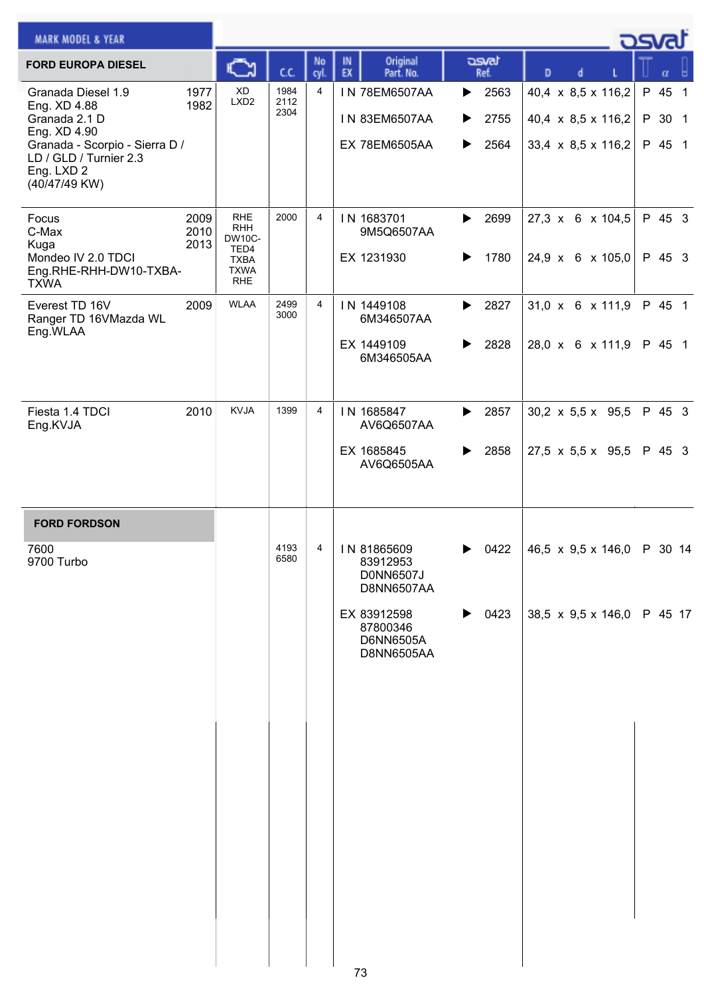| <b>MARK MODEL &amp; YEAR</b>                                                                                                                                   |                      |                                                                                               |                      |                |                                                      |                                     |                                                                | <u>_ ರಾ</u> ಡು             |
|----------------------------------------------------------------------------------------------------------------------------------------------------------------|----------------------|-----------------------------------------------------------------------------------------------|----------------------|----------------|------------------------------------------------------|-------------------------------------|----------------------------------------------------------------|----------------------------|
| <b>FORD EUROPA DIESEL</b>                                                                                                                                      |                      | C                                                                                             | C.C.                 | No<br>cyl.     | Original<br>IN<br>EX<br>Part. No.                    | asvat<br>Ref.                       | D                                                              |                            |
| Granada Diesel 1.9<br>Eng. XD 4.88<br>Granada 2.1 D<br>Eng. XD 4.90<br>Granada - Scorpio - Sierra D /<br>LD / GLD / Turnier 2.3<br>Eng. LXD 2<br>(40/47/49 KW) | 1977<br>1982         | <b>XD</b><br>LXD <sub>2</sub>                                                                 | 1984<br>2112<br>2304 | $\overline{4}$ | IN 78EM6507AA<br>IN 83EM6507AA<br>EX 78EM6505AA      | 2563<br>▶<br>2755<br>▶<br>2564<br>▶ | 40,4 x 8,5 x 116,2<br>40,4 x 8,5 x 116,2<br>33,4 x 8,5 x 116,2 | P 45 1<br>P 30 1<br>P 45 1 |
| Focus<br>C-Max<br>Kuga<br>Mondeo IV 2.0 TDCI<br>Eng.RHE-RHH-DW10-TXBA-<br><b>TXWA</b>                                                                          | 2009<br>2010<br>2013 | <b>RHE</b><br><b>RHH</b><br><b>DW10C-</b><br>TED4<br><b>TXBA</b><br><b>TXWA</b><br><b>RHE</b> | 2000                 | $\overline{4}$ | IN 1683701<br>9M5Q6507AA<br>EX 1231930               | 2699<br>▶<br>1780<br>▶              | 27,3 x 6 x 104,5<br>24,9 x 6 x 105,0                           | P 45 3<br>P 45 3           |
| Everest TD 16V<br>Ranger TD 16VMazda WL<br>Eng.WLAA                                                                                                            | 2009                 | <b>WLAA</b>                                                                                   | 2499<br>3000         | $\overline{4}$ | IN 1449108<br>6M346507AA<br>EX 1449109<br>6M346505AA | 2827<br>▶<br>2828<br>▶              | 31,0 x 6 x 111,9<br>28,0 x 6 x 111,9                           | P 45 1<br>P 45 1           |
| Fiesta 1.4 TDCI<br>Eng.KVJA                                                                                                                                    | 2010                 | <b>KVJA</b>                                                                                   | 1399                 | $\overline{4}$ | IN 1685847<br>AV6Q6507AA<br>EX 1685845<br>AV6Q6505AA | 2857<br>▶<br>2858<br>▶              | $30,2 \times 5,5 \times 95,5$<br>27,5 x 5,5 x 95,5             | P 45 3<br>P 45 3           |
| <b>FORD FORDSON</b>                                                                                                                                            |                      |                                                                                               |                      |                |                                                      |                                     |                                                                |                            |
| 7600<br>9700 Turbo                                                                                                                                             |                      |                                                                                               | 4193<br>6580         | 4              | IN 81865609<br>83912953<br>D0NN6507J<br>D8NN6507AA   | 0422<br>▶                           | 46,5 x 9,5 x 146,0 P 30 14                                     |                            |
|                                                                                                                                                                |                      |                                                                                               |                      |                | EX 83912598<br>87800346<br>D6NN6505A<br>D8NN6505AA   | ▶<br>0423                           | 38,5 x 9,5 x 146,0                                             | P 45 17                    |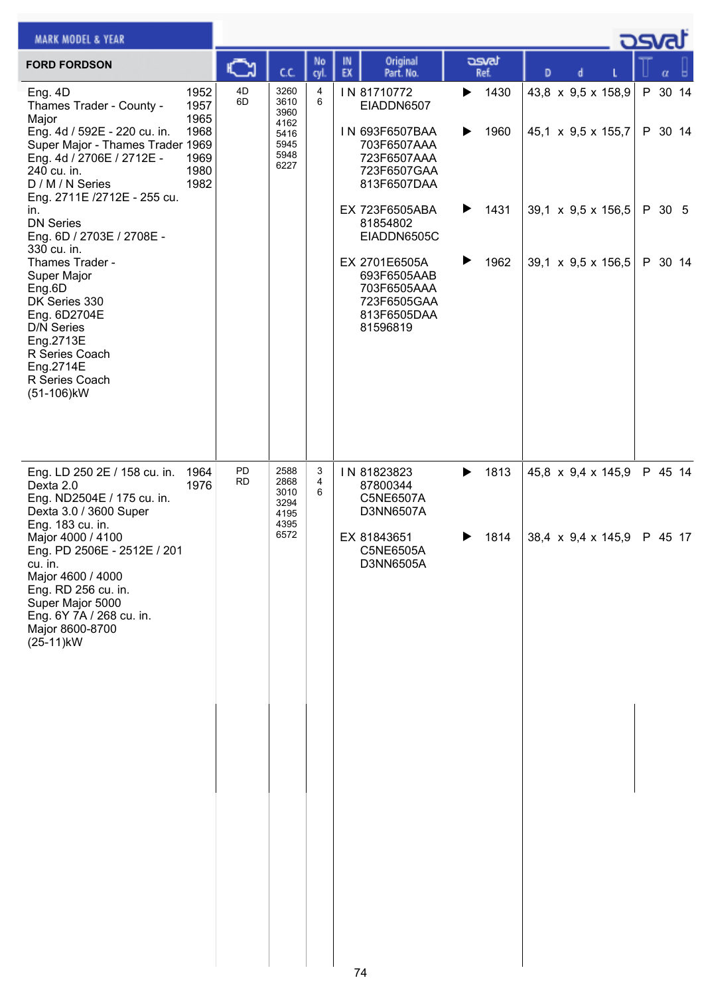| <b>MARK MODEL &amp; YEAR</b>                                                                                                                                                                                    |                                                      |                 |                                                              |             |          |                                                                                                         |        |               |   |                                                                      | asvar              |  |
|-----------------------------------------------------------------------------------------------------------------------------------------------------------------------------------------------------------------|------------------------------------------------------|-----------------|--------------------------------------------------------------|-------------|----------|---------------------------------------------------------------------------------------------------------|--------|---------------|---|----------------------------------------------------------------------|--------------------|--|
| <b>FORD FORDSON</b>                                                                                                                                                                                             |                                                      | ∾               | cc                                                           | No<br>cyl.  | IN<br>EX | Original<br>Part. No.                                                                                   |        | asvat<br>Ref. | D |                                                                      |                    |  |
| Eng. 4D<br>Thames Trader - County -<br>Major<br>Eng. 4d / 592E - 220 cu. in.<br>Super Major - Thames Trader 1969<br>Eng. 4d / 2706E / 2712E -<br>240 cu. in.<br>D / M / N Series<br>Eng. 2711E /2712E - 255 cu. | 1952<br>1957<br>1965<br>1968<br>1969<br>1980<br>1982 | 4D<br>6D        | 3260<br>3610<br>3960<br>4162<br>5416<br>5945<br>5948<br>6227 | 4<br>6      |          | IN 81710772<br>EIADDN6507<br>IN 693F6507BAA<br>703F6507AAA<br>723F6507AAA<br>723F6507GAA<br>813F6507DAA | ▶<br>▶ | 1430<br>1960  |   | 43,8 x 9,5 x 158,9<br>45,1 x 9,5 x 155,7                             | P 30 14<br>P 30 14 |  |
| in.<br><b>DN Series</b><br>Eng. 6D / 2703E / 2708E -<br>330 cu. in.<br>Thames Trader -                                                                                                                          |                                                      |                 |                                                              |             |          | EX 723F6505ABA<br>81854802<br>EIADDN6505C<br>EX 2701E6505A                                              | ▶<br>▶ | 1431<br>1962  |   | 39,1 $\times$ 9,5 $\times$ 156,5<br>39,1 $\times$ 9,5 $\times$ 156,5 | P 30 5<br>P 30 14  |  |
| Super Major<br>Eng.6D<br>DK Series 330<br>Eng. 6D2704E<br><b>D/N Series</b><br>Eng.2713E<br>R Series Coach<br>Eng.2714E<br>R Series Coach<br>(51-106)kW                                                         |                                                      |                 |                                                              |             |          | 693F6505AAB<br>703F6505AAA<br>723F6505GAA<br>813F6505DAA<br>81596819                                    |        |               |   |                                                                      |                    |  |
| Eng. LD 250 2E / 158 cu. in.<br>Dexta 2.0<br>Eng. ND2504E / 175 cu. in.<br>Dexta 3.0 / 3600 Super<br>Eng. 183 cu. in.                                                                                           | 1964<br>1976                                         | PD<br><b>RD</b> | 2588<br>2868<br>3010<br>3294<br>4195<br>4395                 | 3<br>4<br>6 |          | IN 81823823<br>87800344<br>C5NE6507A<br>D3NN6507A                                                       | ▶      | 1813          |   | 45,8 x 9,4 x 145,9                                                   | P 45 14            |  |
| Major 4000 / 4100<br>Eng. PD 2506E - 2512E / 201<br>cu. in.<br>Major 4600 / 4000<br>Eng. RD 256 cu. in.<br>Super Major 5000<br>Eng. 6Y 7A / 268 cu. in.<br>Major 8600-8700<br>(25-11)kW                         |                                                      |                 | 6572                                                         |             |          | EX 81843651<br>C5NE6505A<br>D3NN6505A                                                                   |        | 1814          |   | 38,4 $\times$ 9,4 $\times$ 145,9                                     | P 45 17            |  |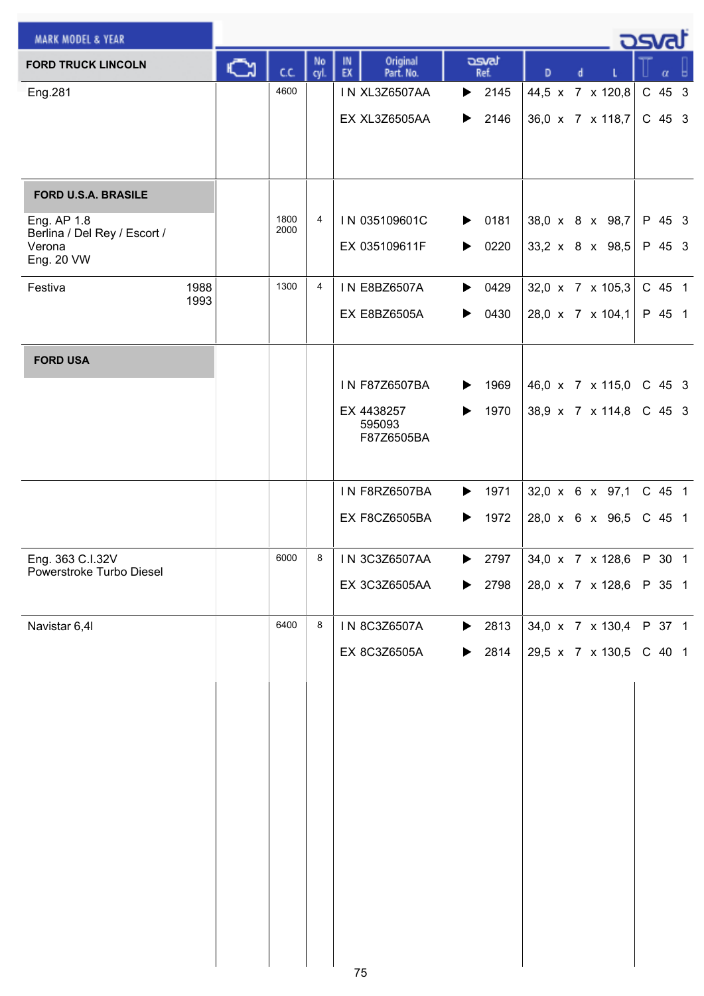| <b>MARK MODEL &amp; YEAR</b>                 |    |              |            |          |                          |                       |                            |                                     |   | <u>.</u> ರೂಡ                       |          |  |
|----------------------------------------------|----|--------------|------------|----------|--------------------------|-----------------------|----------------------------|-------------------------------------|---|------------------------------------|----------|--|
| <b>FORD TRUCK LINCOLN</b>                    | C٦ | cc           | No<br>cyl. | IN<br>EX | Original<br>Part. No.    |                       | asvat<br>Ref.              | D                                   | d |                                    | $\alpha$ |  |
| Eng.281                                      |    | 4600         |            |          | <b>IN XL3Z6507AA</b>     |                       | $\blacktriangleright$ 2145 |                                     |   | 44,5 x 7 x 120,8                   | C 45 3   |  |
|                                              |    |              |            |          | EX XL3Z6505AA            | ▶                     | 2146                       |                                     |   | 36,0 x 7 x 118,7                   | C 45 3   |  |
|                                              |    |              |            |          |                          |                       |                            |                                     |   |                                    |          |  |
|                                              |    |              |            |          |                          |                       |                            |                                     |   |                                    |          |  |
| <b>FORD U.S.A. BRASILE</b>                   |    |              |            |          |                          |                       |                            |                                     |   |                                    |          |  |
| Eng. AP 1.8<br>Berlina / Del Rey / Escort /  |    | 1800<br>2000 | 4          |          | IN 035109601C            | $\blacktriangleright$ | 0181                       |                                     |   | 38,0 x 8 x 98,7                    | P 45 3   |  |
| Verona<br>Eng. 20 VW                         |    |              |            |          | EX 035109611F            | ▶                     | 0220                       |                                     |   | 33,2 x 8 x 98,5                    | P 45 3   |  |
| 1988<br>Festiva<br>1993                      |    | 1300         | 4          |          | <b>IN E8BZ6507A</b>      | ▶                     | 0429                       |                                     |   | 32,0 x 7 x 105,3                   | C 45 1   |  |
|                                              |    |              |            |          | EX E8BZ6505A             | ▶                     | 0430                       |                                     |   | 28,0 x 7 x 104,1                   | P 45 1   |  |
| <b>FORD USA</b>                              |    |              |            |          |                          |                       |                            |                                     |   |                                    |          |  |
|                                              |    |              |            |          | IN F87Z6507BA            | ▶                     | 1969                       |                                     |   | 46,0 x 7 x 115,0                   | C 45 3   |  |
|                                              |    |              |            |          | EX 4438257<br>595093     | $\blacktriangleright$ | 1970                       |                                     |   | 38,9 x 7 x 114,8                   | C 45 3   |  |
|                                              |    |              |            |          | F87Z6505BA               |                       |                            |                                     |   |                                    |          |  |
|                                              |    |              |            |          | <b>IN F8RZ6507BA</b>     | $\blacktriangleright$ |                            |                                     |   |                                    | C 45 1   |  |
|                                              |    |              |            |          | EX F8CZ6505BA            | ▶                     | 1971<br>1972               |                                     |   | 32,0 x 6 x 97,1<br>28,0 x 6 x 96,5 | C 45 1   |  |
|                                              |    |              |            |          |                          |                       |                            |                                     |   |                                    |          |  |
| Eng. 363 C.I.32V<br>Powerstroke Turbo Diesel |    |              |            |          | 6000   8   IN 3C3Z6507AA |                       | $\blacktriangleright$ 2797 | $34.0 \times 7 \times 128.6$ P 30 1 |   |                                    |          |  |
|                                              |    |              |            |          | EX 3C3Z6505AA            |                       | $\blacktriangleright$ 2798 |                                     |   | 28,0 x 7 x 128,6 P 35 1            |          |  |
| Navistar 6,4I                                |    | 6400         | 8          |          | IN 8C3Z6507A             |                       | $\blacktriangleright$ 2813 |                                     |   | 34,0 x 7 x 130,4                   | P 37 1   |  |
|                                              |    |              |            |          | EX 8C3Z6505A             |                       | $\blacktriangleright$ 2814 |                                     |   | 29,5 x 7 x 130,5                   | C 40 1   |  |
|                                              |    |              |            |          |                          |                       |                            |                                     |   |                                    |          |  |
|                                              |    |              |            |          |                          |                       |                            |                                     |   |                                    |          |  |
|                                              |    |              |            |          |                          |                       |                            |                                     |   |                                    |          |  |
|                                              |    |              |            |          |                          |                       |                            |                                     |   |                                    |          |  |
|                                              |    |              |            |          |                          |                       |                            |                                     |   |                                    |          |  |
|                                              |    |              |            |          |                          |                       |                            |                                     |   |                                    |          |  |
|                                              |    |              |            |          |                          |                       |                            |                                     |   |                                    |          |  |
|                                              |    |              |            |          |                          |                       |                            |                                     |   |                                    |          |  |
|                                              |    |              |            |          |                          |                       |                            |                                     |   |                                    |          |  |
|                                              |    |              |            |          |                          |                       |                            |                                     |   |                                    |          |  |
|                                              |    |              |            |          |                          |                       |                            |                                     |   |                                    |          |  |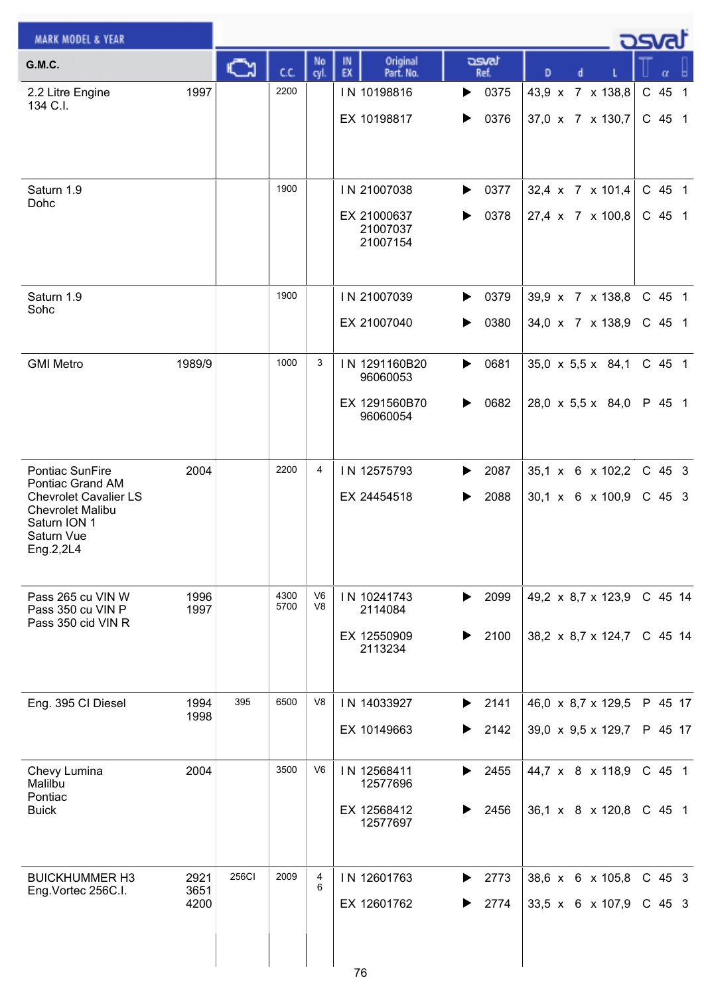| <b>MARK MODEL &amp; YEAR</b>                                                                                                              |                      |              |              |                |                                                        |                        |                                                                      | <b>DSvat</b>       |
|-------------------------------------------------------------------------------------------------------------------------------------------|----------------------|--------------|--------------|----------------|--------------------------------------------------------|------------------------|----------------------------------------------------------------------|--------------------|
| <b>G.M.C.</b>                                                                                                                             |                      | $\sqrt{2}$   | cc           | No<br>cyl.     | Original<br>IN<br>EX<br>Part. No.                      | asvat<br>Ref.          | D<br>d                                                               | α                  |
| 2.2 Litre Engine<br>134 C.I.                                                                                                              | 1997                 |              | 2200         |                | IN 10198816<br>EX 10198817                             | 0375<br>▶<br>0376<br>▶ | 43,9 x 7 x 138,8<br>37,0 x 7 x 130,7                                 | C 45 1<br>$C$ 45 1 |
| Saturn 1.9<br>Dohc                                                                                                                        |                      |              | 1900         |                | IN 21007038<br>EX 21000637<br>21007037<br>21007154     | 0377<br>▶<br>0378<br>▶ | 32,4 x 7 x 101,4<br>27,4 x 7 x 100,8                                 | C 45 1<br>C 45 1   |
| Saturn 1.9<br>Sohc                                                                                                                        |                      |              | 1900         |                | IN 21007039<br>EX 21007040                             | 0379<br>▶<br>0380<br>▶ | 39,9 x 7 x 138,8<br>34,0 x 7 x 138,9                                 | C 45 1<br>C 45 1   |
| <b>GMI Metro</b>                                                                                                                          | 1989/9               |              | 1000         | 3              | IN 1291160B20<br>96060053<br>EX 1291560B70<br>96060054 | 0681<br>▶<br>0682<br>▶ | $35,0 \times 5,5 \times 84,1$<br>28,0 x 5,5 x 84,0                   | C 45 1<br>P 45 1   |
| Pontiac SunFire<br>Pontiac Grand AM<br><b>Chevrolet Cavalier LS</b><br><b>Chevrolet Malibu</b><br>Saturn ION 1<br>Saturn Vue<br>Eng.2,2L4 | 2004                 |              | 2200         | $\overline{4}$ | IN 12575793<br>EX 24454518                             | 2087<br>2088<br>▶      | 35,1 x 6 x 102,2<br>$30,1 \times 6 \times 100,9$                     | C 45 3<br>$C$ 45 3 |
| Pass 265 cu VIN W<br>Pass 350 cu VIN P<br>Pass 350 cid VIN R                                                                              | 1996<br>1997         |              | 4300<br>5700 | V6<br>V8       | IN 10241743<br>2114084<br>EX 12550909<br>2113234       | 2099<br>▶<br>2100<br>▶ | 49,2 $\times$ 8,7 $\times$ 123,9<br>38,2 x 8,7 x 124,7               | C 45 14<br>C 45 14 |
| Eng. 395 CI Diesel                                                                                                                        | 1994<br>1998         | 395          | 6500         | V8             | IN 14033927<br>EX 10149663                             | 2141<br>▶<br>2142<br>▶ | 46,0 $\times$ 8,7 $\times$ 129,5<br>39,0 $\times$ 9,5 $\times$ 129,7 | P 45 17<br>P 45 17 |
| Chevy Lumina<br>Malilbu<br>Pontiac<br><b>Buick</b>                                                                                        | 2004                 |              | 3500         | V <sub>6</sub> | IN 12568411<br>12577696<br>EX 12568412<br>12577697     | 2455<br>▶<br>2456      | 44,7 x 8 x 118,9<br>$36,1 \times 8 \times 120,8$                     | C 45 1<br>C 45 1   |
| <b>BUICKHUMMER H3</b><br>Eng.Vortec 256C.I.                                                                                               | 2921<br>3651<br>4200 | <b>256CI</b> | 2009         | 4<br>6         | IN 12601763<br>EX 12601762<br>76                       | 2773<br>▶<br>2774      | 38,6 x 6 x 105,8<br>33,5 x 6 x 107,9                                 | C 45 3<br>$C$ 45 3 |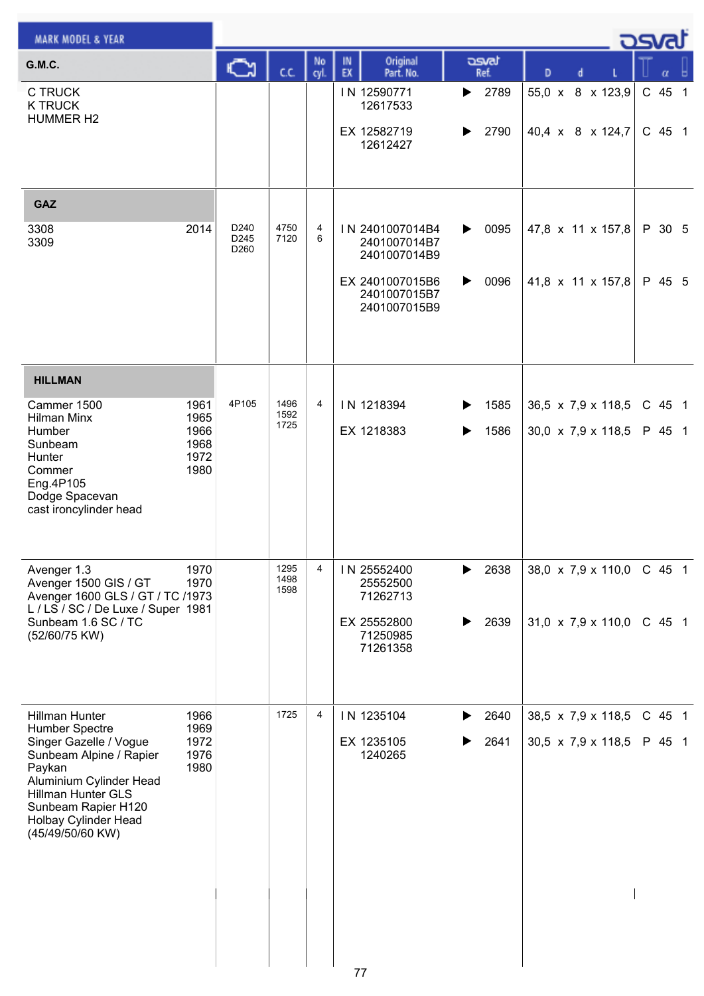| <b>MARK MODEL &amp; YEAR</b>                                                                                                                                                           |                              |                      |              |                |                                                    |                        |                                      | كت الصح |                  |  |
|----------------------------------------------------------------------------------------------------------------------------------------------------------------------------------------|------------------------------|----------------------|--------------|----------------|----------------------------------------------------|------------------------|--------------------------------------|---------|------------------|--|
| <b>G.M.C.</b>                                                                                                                                                                          |                              | Ğ                    | c.c.         | No<br>cyl.     | Original<br>IN<br>EX<br>Part. No.                  | asvat<br>Ref.          | D<br>d                               |         | α                |  |
| <b>C TRUCK</b><br><b>K TRUCK</b><br><b>HUMMER H2</b>                                                                                                                                   |                              |                      |              |                | IN 12590771<br>12617533<br>EX 12582719<br>12612427 | 2789<br>▶<br>2790<br>▶ | 55,0 x 8 x 123,9<br>40,4 x 8 x 124,7 |         | C 45 1<br>C 45 1 |  |
| GAZ                                                                                                                                                                                    |                              |                      |              |                |                                                    |                        |                                      |         |                  |  |
| 3308<br>3309                                                                                                                                                                           | 2014                         | D240<br>D245<br>D260 | 4750<br>7120 | 4<br>6         | IN 2401007014B4<br>2401007014B7<br>2401007014B9    | 0095<br>▶              | 47,8 x 11 x 157,8                    |         | P 30 5           |  |
|                                                                                                                                                                                        |                              |                      |              |                | EX 2401007015B6<br>2401007015B7<br>2401007015B9    | 0096<br>▶              | 41,8 x 11 x 157,8                    |         | P 45 5           |  |
| <b>HILLMAN</b>                                                                                                                                                                         |                              |                      |              |                |                                                    |                        |                                      |         |                  |  |
| Cammer 1500<br><b>Hilman Minx</b>                                                                                                                                                      | 1961<br>1965                 | 4P105                | 1496<br>1592 | $\overline{4}$ | IN 1218394                                         | 1585<br>▶              | 36,5 x 7,9 x 118,5                   |         | $C$ 45 1         |  |
| Humber<br>Sunbeam<br>Hunter<br>Commer<br>Eng.4P105<br>Dodge Spacevan<br>cast ironcylinder head                                                                                         | 1966<br>1968<br>1972<br>1980 |                      | 1725         |                | EX 1218383                                         | 1586<br>▶              | 30,0 x 7,9 x 118,5                   |         | P 45 1           |  |
| Avenger 1.3<br>Avenger 1500 GIS / GT                                                                                                                                                   | 1970<br>1970                 |                      | 1295<br>1498 | 4              | IN 25552400<br>25552500                            | 2638<br>▶              | 38,0 $\times$ 7,9 $\times$ 110,0     |         | C 45 1           |  |
| Avenger 1600 GLS / GT / TC /1973<br>L / LS / SC / De Luxe / Super 1981                                                                                                                 |                              |                      | 1598         |                | 71262713                                           |                        |                                      |         |                  |  |
| Sunbeam 1.6 SC / TC<br>(52/60/75 KW)                                                                                                                                                   |                              |                      |              |                | EX 25552800<br>71250985<br>71261358                | 2639                   | 31,0 $\times$ 7,9 $\times$ 110,0     |         | C 45 1           |  |
| Hillman Hunter<br>Humber Spectre                                                                                                                                                       | 1966<br>1969                 |                      | 1725         | 4              | IN 1235104                                         | 2640<br>▶              | 38,5 $\times$ 7,9 $\times$ 118,5     |         | C 45 1           |  |
| Singer Gazelle / Vogue<br>Sunbeam Alpine / Rapier<br>Paykan<br>Aluminium Cylinder Head<br><b>Hillman Hunter GLS</b><br>Sunbeam Rapier H120<br>Holbay Cylinder Head<br>(45/49/50/60 KW) | 1972<br>1976<br>1980         |                      |              |                | EX 1235105<br>1240265                              | 2641                   | 30,5 x 7,9 x 118,5                   |         | P 45 1           |  |
|                                                                                                                                                                                        |                              |                      |              |                | 77                                                 |                        |                                      |         |                  |  |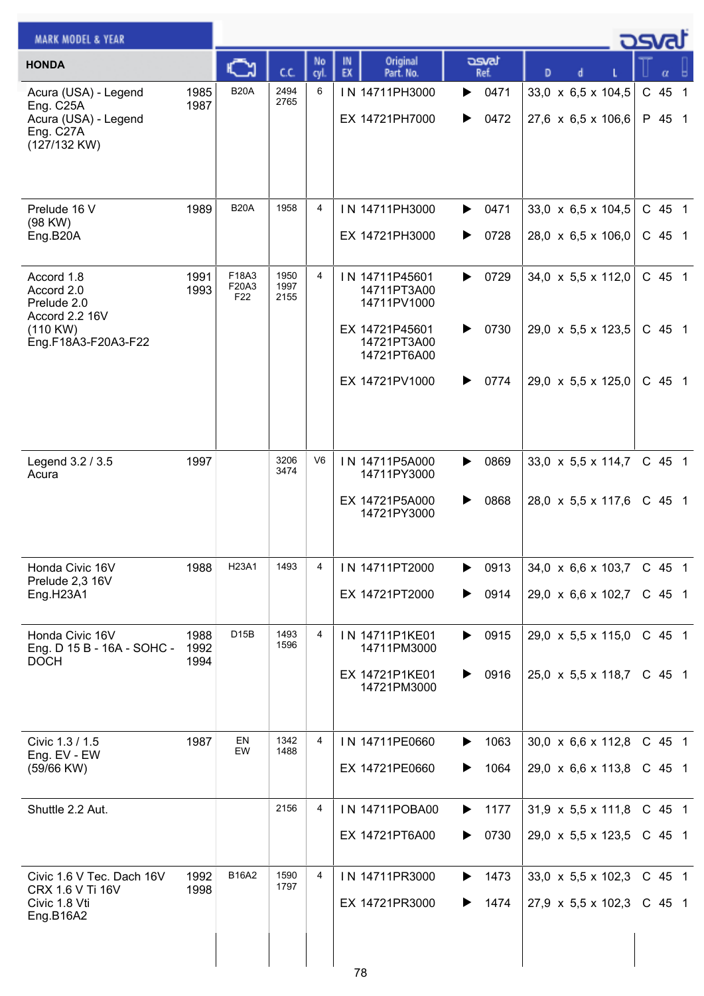| <b>MARK MODEL &amp; YEAR</b>                                                           |                      |                                   |                      |            |                                                 |                        |                                                                      | كصحت               |   |                |
|----------------------------------------------------------------------------------------|----------------------|-----------------------------------|----------------------|------------|-------------------------------------------------|------------------------|----------------------------------------------------------------------|--------------------|---|----------------|
| <b>HONDA</b>                                                                           |                      |                                   | C.C.                 | No<br>cyl. | Original<br>IN<br>EX<br>Part. No.               | asvat<br>Ref.          | D                                                                    |                    | α |                |
| Acura (USA) - Legend<br>Eng. C25A<br>Acura (USA) - Legend<br>Eng. C27A<br>(127/132 KW) | 1985<br>1987         | <b>B20A</b>                       | 2494<br>2765         | 6          | IN 14711PH3000<br>EX 14721PH7000                | 0471<br>▶<br>0472<br>▶ | 33,0 x 6,5 x 104,5<br>27,6 x 6,5 x 106,6                             | C 45<br>P 45 1     |   | $\overline{1}$ |
| Prelude 16 V<br>(98 KW)<br>Eng.B20A                                                    | 1989                 | <b>B20A</b>                       | 1958                 | 4          | IN 14711PH3000<br>EX 14721PH3000                | 0471<br>▶<br>0728<br>▶ | $33,0 \times 6,5 \times 104,5$<br>28,0 $\times$ 6,5 $\times$ 106,0   | C 45 1<br>$C$ 45 1 |   |                |
| Accord 1.8<br>Accord 2.0<br>Prelude 2.0<br>Accord 2.2 16V                              | 1991<br>1993         | F18A3<br>F20A3<br>F <sub>22</sub> | 1950<br>1997<br>2155 | 4          | IN 14711P45601<br>14711PT3A00<br>14711PV1000    | 0729<br>▶              | 34,0 $\times$ 5,5 $\times$ 112,0                                     | C 45 1             |   |                |
| $(110$ KW)<br>Eng.F18A3-F20A3-F22                                                      |                      |                                   |                      |            | EX 14721P45601<br>14721PT3A00<br>14721PT6A00    | 0730<br>▶              | 29,0 $\times$ 5,5 $\times$ 123,5                                     | C 45 1             |   |                |
|                                                                                        |                      |                                   |                      |            | EX 14721PV1000                                  | 0774<br>▶              | 29,0 $\times$ 5,5 $\times$ 125,0                                     | C 45 1             |   |                |
| Legend 3.2 / 3.5<br>Acura                                                              | 1997                 |                                   | 3206<br>3474         | V6         | IN 14711P5A000<br>14711PY3000<br>EX 14721P5A000 | 0869<br>▶<br>0868<br>▶ | $33,0 \times 5,5 \times 114,7$<br>28,0 $\times$ 5,5 $\times$ 117,6   | C 45 1<br>$C$ 45 1 |   |                |
|                                                                                        |                      |                                   |                      |            | 14721PY3000                                     |                        |                                                                      |                    |   |                |
| Honda Civic 16V<br>Prelude 2,3 16V<br>Eng.H23A1                                        | 1988                 | H23A1                             | 1493                 | 4          | IN 14711PT2000<br>EX 14721PT2000                | 0913<br>▶<br>0914<br>▶ | $34,0 \times 6,6 \times 103,7$<br>29,0 $\times$ 6,6 $\times$ 102,7   | C 45 1<br>C 45 1   |   |                |
| Honda Civic 16V<br>Eng. D 15 B - 16A - SOHC -<br><b>DOCH</b>                           | 1988<br>1992<br>1994 | D15B                              | 1493<br>1596         | 4          | IN 14711P1KE01<br>14711PM3000                   | $\triangleright$ 0915  | 29,0 x 5,5 x 115,0                                                   | C 45 1             |   |                |
|                                                                                        |                      |                                   |                      |            | EX 14721P1KE01<br>14721PM3000                   | 0916<br>▶              | 25,0 $\times$ 5,5 $\times$ 118,7                                     | C 45 1             |   |                |
| Civic 1.3 / 1.5<br>Eng. EV - EW<br>(59/66 KW)                                          | 1987                 | EN<br>EW                          | 1342<br>1488         | 4          | IN 14711PE0660<br>EX 14721PE0660                | 1063<br>▶<br>1064<br>▶ | $30,0 \times 6,6 \times 112,8$<br>29,0 $\times$ 6,6 $\times$ 113,8   | C 45 1<br>C 45 1   |   |                |
| Shuttle 2.2 Aut.                                                                       |                      |                                   | 2156                 | 4          | IN 14711POBA00                                  | 1177<br>▶              | $31,9 \times 5,5 \times 111,8$                                       | $C$ 45 1           |   |                |
|                                                                                        |                      |                                   |                      |            | EX 14721PT6A00                                  | 0730<br>▶              | 29,0 x 5,5 x 123,5                                                   | C 45 1             |   |                |
| Civic 1.6 V Tec. Dach 16V<br>CRX 1.6 V Ti 16V<br>Civic 1.8 Vti                         | 1992<br>1998         | B16A2                             | 1590<br>1797         | 4          | IN 14711PR3000<br>EX 14721PR3000                | 1473<br>▶<br>1474      | 33,0 $\times$ 5,5 $\times$ 102,3<br>27,9 $\times$ 5,5 $\times$ 102,3 | C 45 1<br>C 45 1   |   |                |
| Eng.B16A2                                                                              |                      |                                   |                      |            | 78                                              |                        |                                                                      |                    |   |                |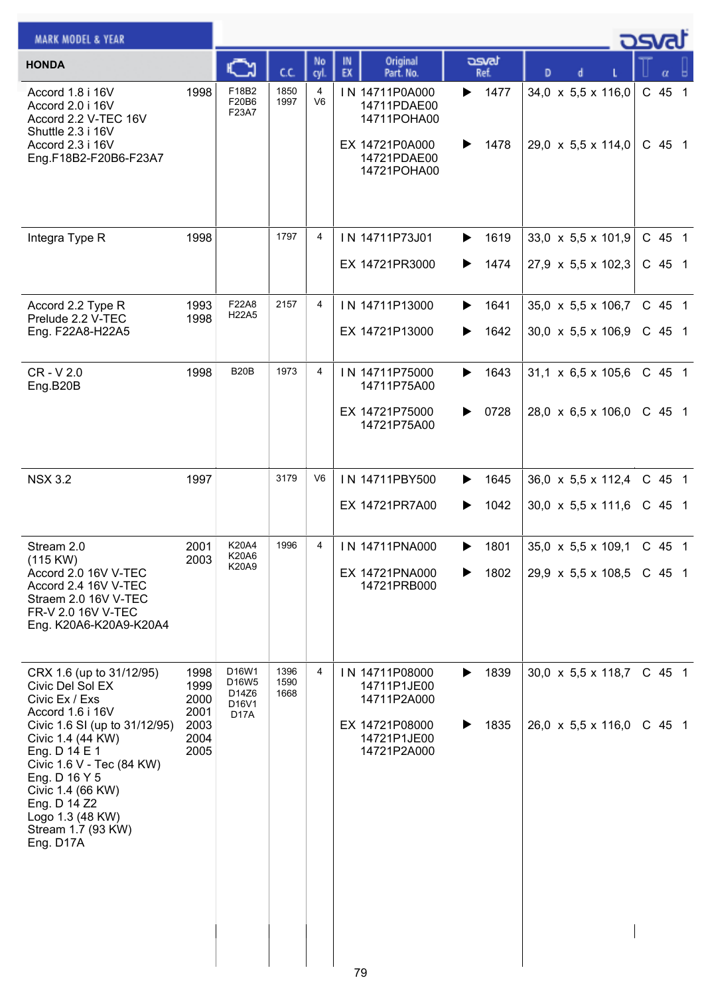| <b>MARK MODEL &amp; YEAR</b>                                                                                                                                                                                                      |                              |                                         |                      |                     |                                                                |                        |                                          | ರ್ಯಾ               |
|-----------------------------------------------------------------------------------------------------------------------------------------------------------------------------------------------------------------------------------|------------------------------|-----------------------------------------|----------------------|---------------------|----------------------------------------------------------------|------------------------|------------------------------------------|--------------------|
| <b>HONDA</b>                                                                                                                                                                                                                      |                              |                                         | C.C.                 | No<br>cyl.          | Original<br>IN<br>EX<br>Part. No.                              | asvat<br>Ref.          | D                                        |                    |
| Accord 1.8 i 16V<br>Accord 2.0 i 16V<br>Accord 2.2 V-TEC 16V<br>Shuttle 2.3 i 16V<br>Accord 2.3 i 16V                                                                                                                             | 1998                         | F18B2<br>F20B6<br>F23A7                 | 1850<br>1997         | 4<br>V <sub>6</sub> | IN 14711P0A000<br>14711PDAE00<br>14711POHA00<br>EX 14721P0A000 | 1477<br>▶<br>1478<br>▶ | 34,0 x 5,5 x 116,0<br>29,0 x 5,5 x 114,0 | C 45 1<br>$C$ 45 1 |
| Eng.F18B2-F20B6-F23A7                                                                                                                                                                                                             |                              |                                         |                      |                     | 14721PDAE00<br>14721POHA00                                     |                        |                                          |                    |
| Integra Type R                                                                                                                                                                                                                    | 1998                         |                                         | 1797                 | 4                   | IN 14711P73J01                                                 | 1619<br>▶              | $33,0 \times 5,5 \times 101,9$           | C 45 1             |
|                                                                                                                                                                                                                                   |                              |                                         |                      |                     | EX 14721PR3000                                                 | 1474<br>▶              | 27,9 x 5,5 x 102,3                       | $C$ 45 1           |
| Accord 2.2 Type R<br>Prelude 2.2 V-TEC                                                                                                                                                                                            | 1993<br>1998                 | F22A8<br>H <sub>22</sub> A <sub>5</sub> | 2157                 | 4                   | IN 14711P13000                                                 | 1641<br>▶              | 35,0 x 5,5 x 106,7                       | C 45 1             |
| Eng. F22A8-H22A5                                                                                                                                                                                                                  |                              |                                         |                      |                     | EX 14721P13000                                                 | 1642                   | $30,0 \times 5,5 \times 106,9$           | $C$ 45 1           |
| CR-V2.0<br>Eng.B20B                                                                                                                                                                                                               | 1998                         | <b>B20B</b>                             | 1973                 | 4                   | IN 14711P75000<br>14711P75A00                                  | 1643<br>▶              | $31,1 \times 6,5 \times 105,6$           | C 45 1             |
|                                                                                                                                                                                                                                   |                              |                                         |                      |                     | EX 14721P75000<br>14721P75A00                                  | 0728<br>▶              | $28,0 \times 6,5 \times 106,0$           | C 45 1             |
| <b>NSX 3.2</b>                                                                                                                                                                                                                    | 1997                         |                                         | 3179                 | V6                  | IN 14711PBY500                                                 | 1645<br>▶              | $36,0 \times 5,5 \times 112,4$           | C 45 1             |
|                                                                                                                                                                                                                                   |                              |                                         |                      |                     | EX 14721PR7A00                                                 | 1042<br>▶              | 30,0 x 5,5 x 111,6                       | C 45 1             |
| Stream 2.0<br>(115 KW)                                                                                                                                                                                                            | 2001<br>2003                 | K20A4<br>K20A6<br>K20A9                 | 1996                 | 4                   | IN 14711PNA000                                                 | 1801<br>▶              | 35,0 $\times$ 5,5 $\times$ 109,1         | $C$ 45 1           |
| Accord 2.0 16V V-TEC<br>Accord 2.4 16V V-TEC<br>Straem 2.0 16V V-TEC<br>FR-V 2.0 16V V-TEC<br>Eng. K20A6-K20A9-K20A4                                                                                                              |                              |                                         |                      |                     | EX 14721PNA000<br>14721PRB000                                  | 1802                   | 29,9 x 5,5 x 108,5                       | C 45 1             |
| CRX 1.6 (up to 31/12/95)<br>Civic Del Sol EX<br>Civic Ex / Exs                                                                                                                                                                    | 1998<br>1999<br>2000         | D16W1<br>D16W5<br>D14Z6<br>D16V1        | 1396<br>1590<br>1668 | 4                   | IN 14711P08000<br>14711P1JE00<br>14711P2A000                   | 1839<br>▶              | $30,0 \times 5,5 \times 118,7$           | C 45 1             |
| Accord 1.6 i 16V<br>Civic 1.6 SI (up to 31/12/95)<br>Civic 1.4 (44 KW)<br>Eng. D 14 E 1<br>Civic 1.6 V - Tec (84 KW)<br>Eng. D 16 Y 5<br>Civic 1.4 (66 KW)<br>Eng. D 14 Z2<br>Logo 1.3 (48 KW)<br>Stream 1.7 (93 KW)<br>Eng. D17A | 2001<br>2003<br>2004<br>2005 | D <sub>17</sub> A                       |                      |                     | EX 14721P08000<br>14721P1JE00<br>14721P2A000                   | 1835<br>▶              | $26,0 \times 5,5 \times 116,0$           | C 45 1             |
|                                                                                                                                                                                                                                   |                              |                                         |                      |                     | 79                                                             |                        |                                          |                    |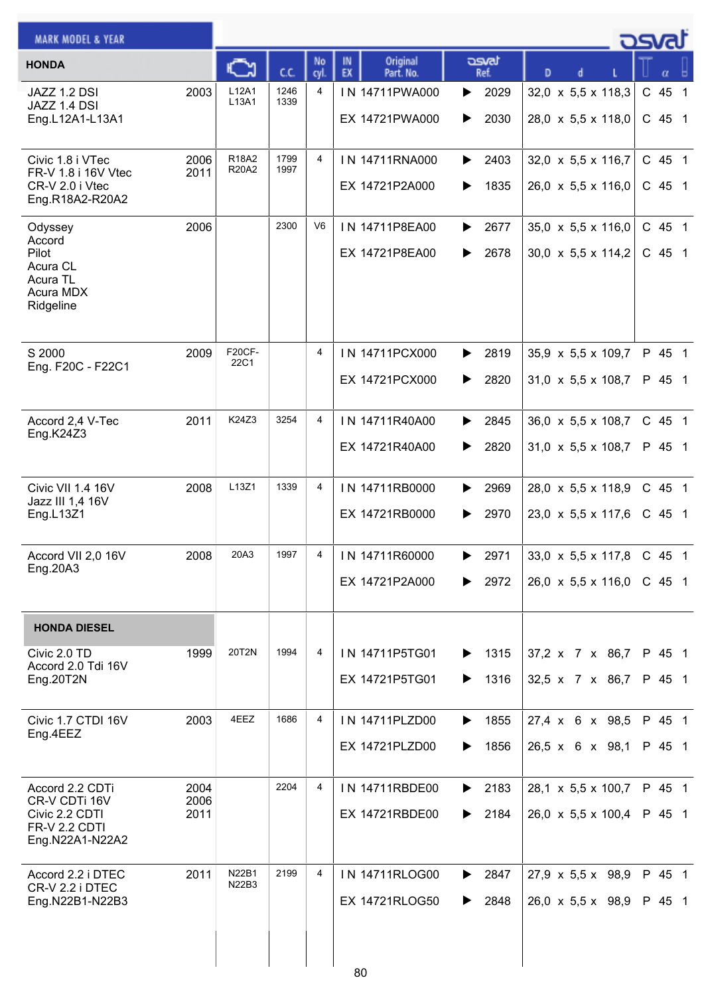| <b>MARK MODEL &amp; YEAR</b>                                                           |                      |                       |              |                |                                        |                        |                                                                  | osvat              |
|----------------------------------------------------------------------------------------|----------------------|-----------------------|--------------|----------------|----------------------------------------|------------------------|------------------------------------------------------------------|--------------------|
| <b>HONDA</b>                                                                           |                      |                       | cc           | No<br>cyl.     | Original<br>IN.<br>EX<br>Part. No.     | asvat<br>Ref.          | D                                                                |                    |
| JAZZ 1.2 DSI<br>JAZZ 1.4 DSI<br>Eng.L12A1-L13A1                                        | 2003                 | L12A1<br>L13A1        | 1246<br>1339 | 4              | IN 14711PWA000<br>EX 14721PWA000       | 2029<br>▶<br>2030<br>▶ | 32,0 x 5,5 x 118,3<br>28,0 x 5,5 x 118,0                         | C 45 1<br>$C$ 45 1 |
| Civic 1.8 i VTec<br>FR-V 1.8 i 16V Vtec<br>CR-V 2.0 i Vtec<br>Eng.R18A2-R20A2          | 2006<br>2011         | R18A2<br><b>R20A2</b> | 1799<br>1997 | 4              | IN 14711RNA000<br>EX 14721P2A000       | 2403<br>▶<br>1835<br>▶ | 32,0 x 5,5 x 116,7<br>$26,0 \times 5,5 \times 116,0$             | C 45 1<br>C 45 1   |
| Odyssey<br>Accord<br>Pilot<br>Acura CL<br>Acura TL<br>Acura MDX<br>Ridgeline           | 2006                 |                       | 2300         | V <sub>6</sub> | IN 14711P8EA00<br>EX 14721P8EA00       | 2677<br>▶<br>2678<br>▶ | 35,0 x 5,5 x 116,0<br>$30,0 \times 5,5 \times 114,2$             | C 45 1<br>C 45 1   |
| S 2000<br>Eng. F20C - F22C1                                                            | 2009                 | <b>F20CF-</b><br>22C1 |              | 4              | IN 14711PCX000<br>EX 14721PCX000       | 2819<br>▶<br>2820<br>▶ | $35,9 \times 5,5 \times 109,7$<br>31,0 x 5,5 x 108,7             | P 45 1<br>P 45 1   |
| Accord 2,4 V-Tec<br>Eng.K24Z3                                                          | 2011                 | K24Z3                 | 3254         | 4              | IN 14711R40A00<br>EX 14721R40A00       | 2845<br>▶<br>2820<br>▶ | $36,0 \times 5,5 \times 108,7$<br>31,0 x 5,5 x 108,7             | C 45 1<br>P 45 1   |
| Civic VII 1.4 16V<br>Jazz III 1,4 16V<br>Eng.L13Z1                                     | 2008                 | L13Z1                 | 1339         | 4              | IN 14711RB0000<br>EX 14721RB0000       | 2969<br>▶<br>2970<br>▶ | $28,0 \times 5,5 \times 118,9$<br>$23,0 \times 5,5 \times 117,6$ | C 45 1<br>$C$ 45 1 |
| Accord VII 2,0 16V<br>Eng.20A3                                                         | 2008                 | 20A3                  | 1997         | $\overline{4}$ | IN 14711R60000<br>EX 14721P2A000       | 2971<br>2972<br>▶      | 33,0 x 5,5 x 117,8 C 45 1<br>26,0 $\times$ 5,5 $\times$ 116,0    | C 45 1             |
| <b>HONDA DIESEL</b>                                                                    |                      |                       |              |                |                                        |                        |                                                                  |                    |
| Civic 2.0 TD<br>Accord 2.0 Tdi 16V<br>Eng.20T2N                                        | 1999                 | 20T2N                 | 1994         | 4              | IN 14711P5TG01<br>EX 14721P5TG01       | 1315<br>▶<br>1316<br>▶ | 37,2 x 7 x 86,7<br>32,5 x 7 x 86,7                               | P 45 1<br>P 45 1   |
| Civic 1.7 CTDI 16V<br>Eng.4EEZ                                                         | 2003                 | 4EEZ                  | 1686         | 4              | IN 14711PLZD00<br>EX 14721PLZD00       | 1855<br>▶<br>1856<br>▶ | 27,4 x 6 x 98,5<br>26,5 x 6 x 98,1                               | P 45 1<br>P 45 1   |
| Accord 2.2 CDTi<br>CR-V CDTi 16V<br>Civic 2.2 CDTI<br>FR-V 2.2 CDTI<br>Eng.N22A1-N22A2 | 2004<br>2006<br>2011 |                       | 2204         | 4              | IN 14711RBDE00<br>EX 14721RBDE00       | 2183<br>▶<br>2184<br>▶ | 28,1 x 5,5 x 100,7<br>26,0 $\times$ 5,5 $\times$ 100,4           | P 45 1<br>P 45 1   |
| Accord 2.2 i DTEC<br>CR-V 2.2 i DTEC<br>Eng.N22B1-N22B3                                | 2011                 | N22B1<br>N22B3        | 2199         | 4              | IN 14711RLOG00<br>EX 14721RLOG50<br>80 | 2847<br>▶<br>2848<br>▶ | $27,9 \times 5,5 \times 98,9$<br>$26,0 \times 5,5 \times 98,9$   | P 45 1<br>P 45 1   |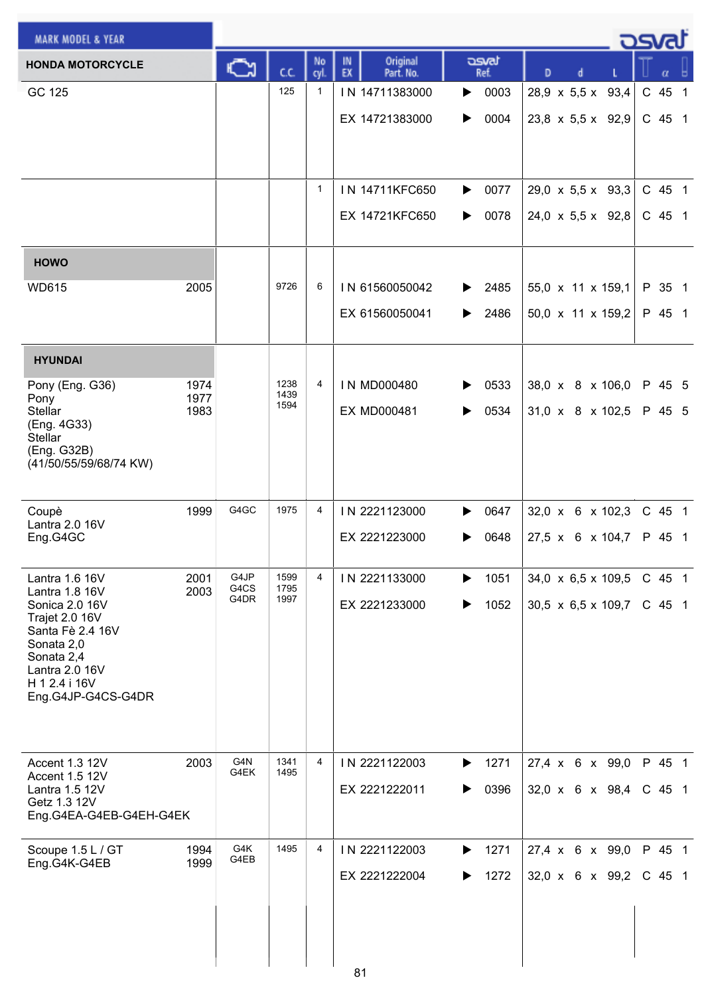| <b>MARK MODEL &amp; YEAR</b>            |              |              |              |                |                                   |                               |                                  | <u>osvat</u> |                |
|-----------------------------------------|--------------|--------------|--------------|----------------|-----------------------------------|-------------------------------|----------------------------------|--------------|----------------|
| <b>HONDA MOTORCYCLE</b>                 |              | C٦           | cc           | No<br>cvl.     | Original<br>IN<br>EX<br>Part. No. | asvat<br>Ref.                 | D                                | α            |                |
| GC 125                                  |              |              | 125          | $\mathbf{1}$   | IN 14711383000                    | 0003<br>▶                     | $28.9 \times 5.5 \times$<br>93,4 | $C$ 45       | $\overline{1}$ |
|                                         |              |              |              |                | EX 14721383000                    | 0004<br>▶                     | $23,8 \times 5,5 \times 92,9$    | $C$ 45 1     |                |
|                                         |              |              |              |                |                                   |                               |                                  |              |                |
|                                         |              |              |              |                |                                   |                               |                                  |              |                |
|                                         |              |              |              | $\mathbf{1}$   | IN 14711KFC650                    | 0077<br>▶                     | $29,0 \times 5,5 \times 93,3$    | C 45 1       |                |
|                                         |              |              |              |                | EX 14721KFC650                    | 0078<br>▶                     | $24,0 \times 5,5 \times 92,8$    | C 45 1       |                |
| <b>HOWO</b>                             |              |              |              |                |                                   |                               |                                  |              |                |
| <b>WD615</b>                            | 2005         |              | 9726         | 6              | IN 61560050042                    | 2485<br>▶                     | 55,0 x 11 x 159,1                | P 35 1       |                |
|                                         |              |              |              |                | EX 61560050041                    | 2486<br>▶                     | 50,0 x 11 x 159,2                | P 45 1       |                |
|                                         |              |              |              |                |                                   |                               |                                  |              |                |
| <b>HYUNDAI</b>                          |              |              |              |                |                                   |                               |                                  |              |                |
| Pony (Eng. G36)<br>Pony                 | 1974<br>1977 |              | 1238<br>1439 | 4              | IN MD000480                       | 0533                          | 38,0 x 8 x 106,0                 | P 45 5       |                |
| <b>Stellar</b><br>(Eng. 4G33)           | 1983         |              | 1594         |                | <b>EX MD000481</b>                | 0534<br>▶                     | $31,0 \times 8 \times 102,5$     | P 45 5       |                |
| <b>Stellar</b><br>(Eng. G32B)           |              |              |              |                |                                   |                               |                                  |              |                |
| (41/50/55/59/68/74 KW)                  |              |              |              |                |                                   |                               |                                  |              |                |
|                                         |              |              |              |                |                                   |                               |                                  |              |                |
| Coupè<br>Lantra 2.0 16V                 | 1999         | G4GC         | 1975         | 4              | IN 2221123000                     | 0647                          | 32,0 x 6 x 102,3                 | C 45 1       |                |
| Eng.G4GC                                |              |              |              |                | EX 2221223000                     | 0648<br>▶                     | 27,5 x 6 x 104,7                 | P 45 1       |                |
| Lantra 1.6 16V                          | 2001         | G4JP         | 1599         | 4              | IN 2221133000                     | 1051<br>▶                     | 34,0 $\times$ 6,5 $\times$ 109,5 | $C$ 45 1     |                |
| Lantra 1.8 16V<br>Sonica 2.0 16V        | 2003         | G4CS<br>G4DR | 1795<br>1997 |                | EX 2221233000                     | 1052                          | $30,5 \times 6,5 \times 109,7$   | $C$ 45 1     |                |
| Trajet 2.0 16V<br>Santa Fè 2.4 16V      |              |              |              |                |                                   |                               |                                  |              |                |
| Sonata 2,0<br>Sonata 2,4                |              |              |              |                |                                   |                               |                                  |              |                |
| Lantra 2.0 16V<br>H 1 2.4 i 16V         |              |              |              |                |                                   |                               |                                  |              |                |
| Eng.G4JP-G4CS-G4DR                      |              |              |              |                |                                   |                               |                                  |              |                |
|                                         |              |              |              |                |                                   |                               |                                  |              |                |
| Accent 1.3 12V                          | 2003         | G4N          | 1341         | 4              | IN 2221122003                     | 1271<br>▶                     | 27,4 x 6 x 99,0                  | P 45 1       |                |
| Accent 1.5 12V<br>Lantra 1.5 12V        |              | G4EK         | 1495         |                | EX 2221222011                     | 0396<br>▶                     | 32,0 x 6 x 98,4                  | $C$ 45 1     |                |
| Getz 1.3 12V<br>Eng.G4EA-G4EB-G4EH-G4EK |              |              |              |                |                                   |                               |                                  |              |                |
| Scoupe 1.5 L / GT                       | 1994         | G4K          | 1495         | $\overline{4}$ | IN 2221122003                     | 1271<br>$\blacktriangleright$ | $27,4 \times 6 \times 99,0$      | P 45 1       |                |
| Eng.G4K-G4EB                            | 1999         | G4EB         |              |                | EX 2221222004                     | 1272<br>▶                     | 32,0 x 6 x 99,2                  | $C$ 45 1     |                |
|                                         |              |              |              |                |                                   |                               |                                  |              |                |
|                                         |              |              |              |                |                                   |                               |                                  |              |                |
|                                         |              |              |              |                |                                   |                               |                                  |              |                |
|                                         |              |              |              |                | 81                                |                               |                                  |              |                |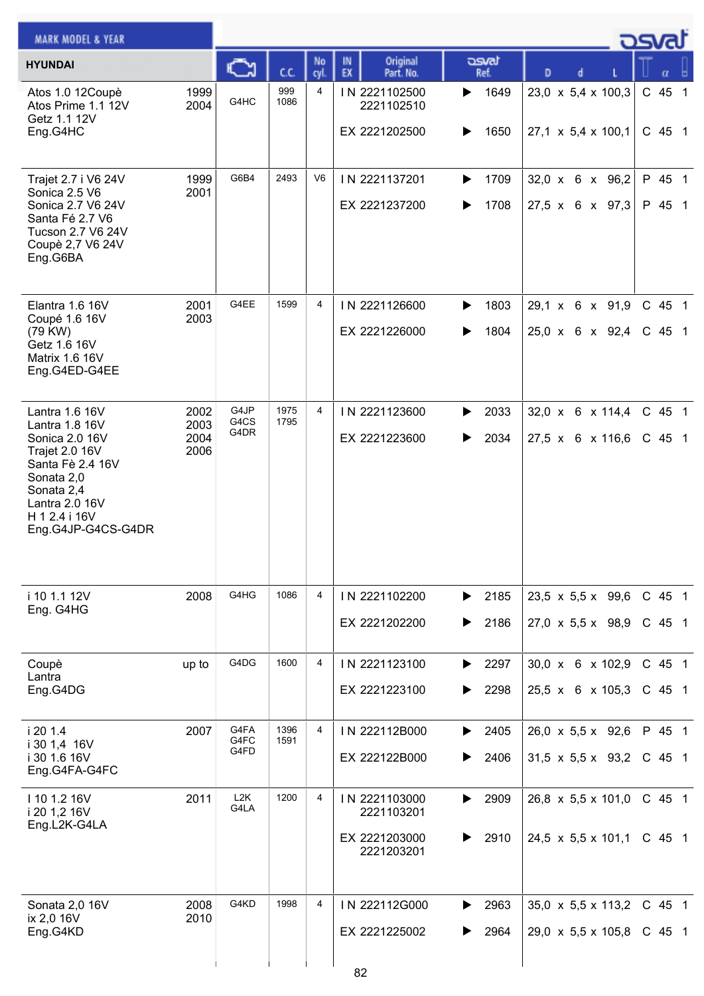| <b>MARK MODEL &amp; YEAR</b>                                                                                                                                                  |                              |                          |              |                |                                                            |                        |                                                                    | كارى                 |
|-------------------------------------------------------------------------------------------------------------------------------------------------------------------------------|------------------------------|--------------------------|--------------|----------------|------------------------------------------------------------|------------------------|--------------------------------------------------------------------|----------------------|
| <b>HYUNDAI</b>                                                                                                                                                                |                              | C                        | C.C.         | No<br>cyl.     | Original<br>IN<br>EX<br>Part. No.                          | asvat<br>Ref.          | D<br>d                                                             |                      |
| Atos 1.0 12Coupè<br>Atos Prime 1.1 12V<br>Getz 1.1 12V<br>Eng.G4HC                                                                                                            | 1999<br>2004                 | G4HC                     | 999<br>1086  | 4              | IN 2221102500<br>2221102510<br>EX 2221202500               | 1649<br>▶<br>1650<br>▶ | $23,0 \times 5,4 \times 100,3$<br>27,1 x 5,4 x 100,1               | C 45 1<br>$C$ 45 1   |
| Trajet 2.7 i V6 24V<br>Sonica 2.5 V6<br>Sonica 2.7 V6 24V<br>Santa Fé 2.7 V6<br>Tucson 2.7 V6 24V<br>Coupè 2,7 V6 24V<br>Eng.G6BA                                             | 1999<br>2001                 | G6B4                     | 2493         | V <sub>6</sub> | IN 2221137201<br>EX 2221237200                             | 1709<br>▶<br>1708      | $32,0 \times 6 \times 96,2$<br>$27,5 \times 6 \times 97,3$         | P 45 1<br>P 45 1     |
| Elantra 1.6 16V<br>Coupé 1.6 16V<br>(79 KW)<br>Getz 1.6 16V<br><b>Matrix 1.6 16V</b><br>Eng.G4ED-G4EE                                                                         | 2001<br>2003                 | G4EE                     | 1599         | 4              | IN 2221126600<br>EX 2221226000                             | 1803<br>▶<br>1804<br>▶ | 29,1 x 6 x 91,9<br>25,0 x 6 x 92,4                                 | C 45 1<br>$C$ 45 1   |
| Lantra 1.6 16V<br>Lantra 1.8 16V<br>Sonica 2.0 16V<br>Trajet 2.0 16V<br>Santa Fè 2.4 16V<br>Sonata 2,0<br>Sonata 2,4<br>Lantra 2.0 16V<br>H 1 2.4 i 16V<br>Eng.G4JP-G4CS-G4DR | 2002<br>2003<br>2004<br>2006 | G4JP<br>G4CS<br>G4DR     | 1975<br>1795 | $\overline{4}$ | IN 2221123600<br>EX 2221223600                             | 2033<br>▶<br>2034<br>▶ | $32,0 \times 6 \times 114,4$<br>27,5 x 6 x 116,6                   | C 45 1<br>$C$ 45 1   |
| i 10 1.1 12V<br>Eng. G4HG                                                                                                                                                     | 2008                         | G4HG                     | 1086         | 4              | IN 2221102200<br>EX 2221202200                             | 2185<br>▶<br>2186      | 23,5 $\times$ 5,5 $\times$ 99,6<br>$27,0 \times 5,5 \times 98,9$   | C 45 1<br>$C$ 45 1   |
| Coupè<br>Lantra<br>Eng.G4DG                                                                                                                                                   | up to                        | G4DG                     | 1600         | 4              | IN 2221123100<br>EX 2221223100                             | 2297<br>▶<br>2298      | 30,0 x 6 x 102,9<br>$25,5 \times 6 \times 105,3$                   | C 45 1<br>$C$ 45 1   |
| i 20 1.4<br>i 30 1,4 16V<br>i 30 1.6 16V<br>Eng.G4FA-G4FC                                                                                                                     | 2007                         | G4FA<br>G4FC<br>G4FD     | 1396<br>1591 | 4              | IN 222112B000<br>EX 222122B000                             | 2405<br>▶<br>2406<br>▶ | 26,0 x 5,5 x 92,6<br>$31,5 \times 5,5 \times 93,2$                 | P 45 1<br>$C$ 45 1   |
| I 10 1.2 16V<br>i 20 1,2 16V<br>Eng.L2K-G4LA                                                                                                                                  | 2011                         | L <sub>2</sub> K<br>G4LA | 1200         | 4              | IN 2221103000<br>2221103201<br>EX 2221203000<br>2221203201 | 2909<br>▶<br>2910      | 26,8 $\times$ 5,5 $\times$ 101,0<br>$24,5 \times 5,5 \times 101,1$ | $C$ 45 1<br>$C$ 45 1 |
| Sonata 2,0 16V<br>ix 2,0 16V<br>Eng.G4KD                                                                                                                                      | 2008<br>2010                 | G4KD                     | 1998         | 4              | IN 222112G000<br>EX 2221225002<br>$\circ$                  | 2963<br>▶<br>2964      | $35,0 \times 5,5 \times 113,2$<br>$29,0 \times 5,5 \times 105,8$   | $C$ 45 1<br>$C$ 45 1 |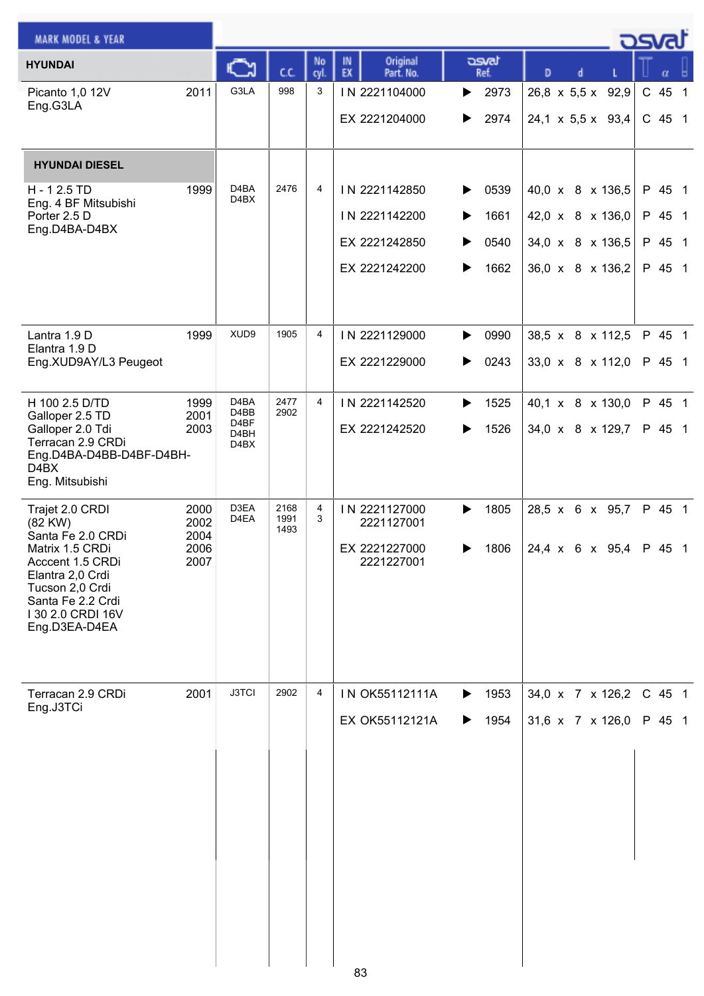| <b>MARK MODEL &amp; YEAR</b>                                                                                                                               |                      |                                   |                      |            |                                   |                               |                               | كتصدق  |
|------------------------------------------------------------------------------------------------------------------------------------------------------------|----------------------|-----------------------------------|----------------------|------------|-----------------------------------|-------------------------------|-------------------------------|--------|
| <b>HYUNDAI</b>                                                                                                                                             |                      | C٦                                | cc                   | No<br>cyl. | Original<br>IN<br>EX<br>Part. No. | asvat<br>Ref.                 | D<br>d                        | α      |
| Picanto 1,0 12V<br>Eng.G3LA                                                                                                                                | 2011                 | G3LA                              | 998                  | 3          | IN 2221104000                     | 2973<br>▶                     | 26,8 x 5,5 x 92,9             | C 45 1 |
|                                                                                                                                                            |                      |                                   |                      |            | EX 2221204000                     | 2974<br>▶                     | $24,1 \times 5,5 \times 93,4$ | C 45 1 |
| <b>HYUNDAI DIESEL</b>                                                                                                                                      |                      |                                   |                      |            |                                   |                               |                               |        |
| H - 12.5 TD<br>Eng. 4 BF Mitsubishi                                                                                                                        | 1999                 | D <sub>4</sub> BA<br>D4BX         | 2476                 | 4          | IN 2221142850                     | 0539<br>▶                     | 40,0 x 8 x 136,5              | P 45 1 |
| Porter 2.5 D<br>Eng.D4BA-D4BX                                                                                                                              |                      |                                   |                      |            | IN 2221142200                     | 1661<br>▶                     | 42,0 x 8 x 136,0              | P 45 1 |
|                                                                                                                                                            |                      |                                   |                      |            | EX 2221242850                     | 0540<br>▶                     | 34,0 x 8 x 136,5              | P 45 1 |
|                                                                                                                                                            |                      |                                   |                      |            | EX 2221242200                     | 1662<br>▶                     | 36,0 x 8 x 136,2              | P 45 1 |
| Lantra 1.9 D<br>Elantra 1.9 D                                                                                                                              | 1999                 | XUD9                              | 1905                 | 4          | IN 2221129000                     | 0990<br>▶                     | 38,5 x 8 x 112,5              | P 45 1 |
| Eng.XUD9AY/L3 Peugeot                                                                                                                                      |                      |                                   |                      |            | EX 2221229000                     | $\blacktriangleright$<br>0243 | 33,0 x 8 x 112,0              | P 45 1 |
| H 100 2.5 D/TD<br>Galloper 2.5 TD                                                                                                                          | 1999<br>2001         | D <sub>4</sub> BA<br>D4BB         | 2477<br>2902         | 4          | IN 2221142520                     | 1525<br>▶                     | 40,1 x 8 x 130,0              | P 45 1 |
| Galloper 2.0 Tdi<br>Terracan 2.9 CRDi<br>Eng.D4BA-D4BB-D4BF-D4BH-<br>D4BX<br>Eng. Mitsubishi                                                               | 2003                 | D4BF<br>D <sub>4</sub> BH<br>D4BX |                      |            | EX 2221242520                     | 1526<br>▶                     | 34,0 x 8 x 129,7              | P 45 1 |
| Trajet 2.0 CRDI<br>(82 KW)                                                                                                                                 | 2000<br>2002         | D3EA<br>D4EA                      | 2168<br>1991<br>1493 | 4<br>3     | IN 2221127000<br>2221127001       | 1805<br>▶                     | 28,5 x 6 x 95,7               | P 45 1 |
| Santa Fe 2.0 CRDi<br>Matrix 1.5 CRDi<br>Acccent 1.5 CRDi<br>Elantra 2,0 Crdi<br>Tucson 2,0 Crdi<br>Santa Fe 2.2 Crdi<br>I 30 2.0 CRDI 16V<br>Eng.D3EA-D4EA | 2004<br>2006<br>2007 |                                   |                      |            | EX 2221227000<br>2221227001       | 1806                          | 24,4 x 6 x 95,4 P 45 1        |        |
| Terracan 2.9 CRDi<br>Eng.J3TCi                                                                                                                             | 2001                 | <b>J3TCI</b>                      | 2902                 | 4          | IN OK55112111A                    | 1953<br>▶                     | 34,0 x 7 x 126,2              | C 45 1 |
|                                                                                                                                                            |                      |                                   |                      |            | EX OK55112121A                    | 1954<br>▶                     | 31,6 x 7 x 126,0              | P 45 1 |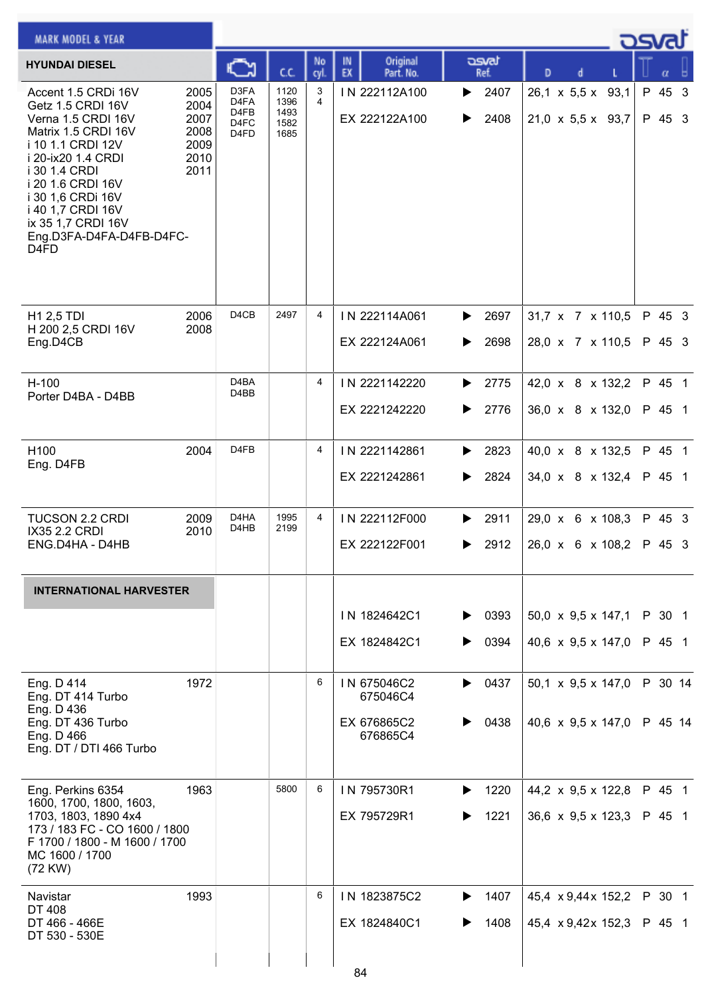| <b>MARK MODEL &amp; YEAR</b>                                                                                                                                                                                                                                                                        |                                                      |                                                  |                                      |            |                                                    |                                    |                                                                      | كsvat            |
|-----------------------------------------------------------------------------------------------------------------------------------------------------------------------------------------------------------------------------------------------------------------------------------------------------|------------------------------------------------------|--------------------------------------------------|--------------------------------------|------------|----------------------------------------------------|------------------------------------|----------------------------------------------------------------------|------------------|
| <b>HYUNDAI DIESEL</b>                                                                                                                                                                                                                                                                               |                                                      | Ć٦                                               | c.c.                                 | No<br>cyl. | Original<br>IN<br>EX<br>Part. No.                  | asvat<br>Ref.                      | D                                                                    |                  |
| Accent 1.5 CRDi 16V<br>Getz 1.5 CRDI 16V<br>Verna 1.5 CRDI 16V<br>Matrix 1.5 CRDI 16V<br>i 10 1.1 CRDI 12V<br>i 20-ix20 1.4 CRDI<br>i 30 1.4 CRDI<br>i 20 1.6 CRDI 16V<br>i 30 1,6 CRDi 16V<br>i 40 1,7 CRDI 16V<br>ix 35 1,7 CRDI 16V<br>Eng.D3FA-D4FA-D4FB-D4FC-<br>D <sub>4</sub> F <sub>D</sub> | 2005<br>2004<br>2007<br>2008<br>2009<br>2010<br>2011 | D3FA<br>D4FA<br>D <sub>4FB</sub><br>D4FC<br>D4FD | 1120<br>1396<br>1493<br>1582<br>1685 | 3<br>4     | IN 222112A100<br>EX 222122A100                     | 2407<br>▶<br>2408<br>▶             | $26,1 \times 5,5 \times 93,1$<br>$21,0 \times 5,5 \times 93,7$       | P 45 3<br>P 45 3 |
| <b>H1 2,5 TDI</b><br>H 200 2,5 CRDI 16V<br>Eng.D4CB                                                                                                                                                                                                                                                 | 2006<br>2008                                         | D <sub>4</sub> C <sub>B</sub>                    | 2497                                 | 4          | IN 222114A061<br>EX 222124A061                     | $\blacktriangleright$ 2697<br>2698 | 31,7 x 7 x 110,5<br>28,0 x 7 x 110,5                                 | P 45 3<br>P 45 3 |
| $H-100$<br>Porter D4BA - D4BB                                                                                                                                                                                                                                                                       |                                                      | D <sub>4</sub> BA<br>D4BB                        |                                      | 4          | IN 2221142220<br>EX 2221242220                     | 2775<br>▶<br>2776<br>▶             | 42,0 x 8 x 132,2<br>36,0 x 8 x 132,0                                 | P 45 1<br>P 45 1 |
| H100<br>Eng. D4FB                                                                                                                                                                                                                                                                                   | 2004                                                 | D <sub>4FB</sub>                                 |                                      | 4          | IN 2221142861<br>EX 2221242861                     | 2823<br>▶<br>2824<br>▶             | 40,0 x 8 x 132,5<br>34,0 x 8 x 132,4                                 | P 45 1<br>P 45 1 |
| <b>TUCSON 2.2 CRDI</b><br>IX35 2.2 CRDI<br>ENG.D4HA - D4HB                                                                                                                                                                                                                                          | 2009<br>2010                                         | D4HA<br>D4HB                                     | 1995<br>2199                         | 4          | IN 222112F000<br>EX 222122F001                     | 2911<br>▶<br>2912<br>▶             | 29,0 x 6 x 108,3<br>$26,0 \times 6 \times 108,2$                     | P 45 3<br>P 45 3 |
| <b>INTERNATIONAL HARVESTER</b>                                                                                                                                                                                                                                                                      |                                                      |                                                  |                                      |            |                                                    |                                    |                                                                      |                  |
|                                                                                                                                                                                                                                                                                                     |                                                      |                                                  |                                      |            | IN 1824642C1<br>EX 1824842C1                       | $\triangleright$ 0393<br>0394<br>▶ | 50,0 x 9,5 x 147,1 P 30 1<br>40,6 x 9,5 x 147,0 P 45 1               |                  |
| Eng. D 414<br>Eng. DT 414 Turbo<br>Eng. D 436<br>Eng. DT 436 Turbo<br>Eng. D 466<br>Eng. DT / DTI 466 Turbo                                                                                                                                                                                         | 1972                                                 |                                                  |                                      | 6          | IN 675046C2<br>675046C4<br>EX 676865C2<br>676865C4 | 0437<br>▶<br>0438                  | 50,1 x 9,5 x 147,0<br>40,6 x 9,5 x 147,0 P 45 14                     | P 30 14          |
| Eng. Perkins 6354<br>1600, 1700, 1800, 1603,<br>1703, 1803, 1890 4x4<br>173 / 183 FC - CO 1600 / 1800<br>F 1700 / 1800 - M 1600 / 1700<br>MC 1600 / 1700<br>(72 KW)                                                                                                                                 | 1963                                                 |                                                  | 5800                                 | 6          | IN 795730R1<br>EX 795729R1                         | 1220<br>▶<br>1221                  | 44,2 $\times$ 9,5 $\times$ 122,8<br>36,6 $\times$ 9,5 $\times$ 123,3 | P 45 1<br>P 45 1 |
| Navistar<br><b>DT 408</b><br>DT 466 - 466E<br>DT 530 - 530E                                                                                                                                                                                                                                         | 1993                                                 |                                                  |                                      | 6          | IN 1823875C2<br>EX 1824840C1                       | 1407<br>▶<br>1408                  | 45,4 x 9,44x 152,2<br>45,4 $\times$ 9,42 $\times$ 152,3              | P 30 1<br>P 45 1 |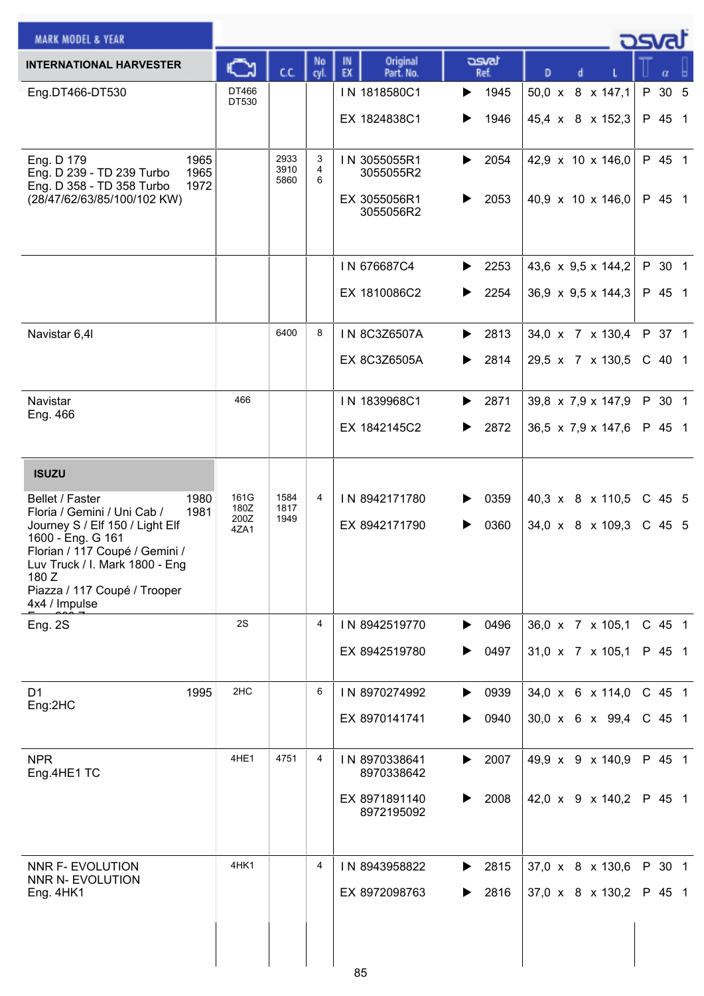| <b>MARK MODEL &amp; YEAR</b>                                                                                                                                                                                                                                         |                              |                      |             |                                                            |                        |                                                        | osvat              |
|----------------------------------------------------------------------------------------------------------------------------------------------------------------------------------------------------------------------------------------------------------------------|------------------------------|----------------------|-------------|------------------------------------------------------------|------------------------|--------------------------------------------------------|--------------------|
| <b>INTERNATIONAL HARVESTER</b>                                                                                                                                                                                                                                       | ⊾                            | c.c.                 | No<br>cyl.  | Original<br>IN<br>EX<br>Part. No.                          | asvat<br>Ref.          | D                                                      | $\alpha$           |
| Eng.DT466-DT530                                                                                                                                                                                                                                                      | DT466<br>DT530               |                      |             | IN 1818580C1<br>EX 1824838C1                               | 1945<br>▶<br>1946<br>▶ | $50,0 \times$<br>8 x 147,1<br>45,4 x 8 x 152,3         | P 30 5<br>P 45 1   |
| 1965<br>Eng. D 179<br>Eng. D 239 - TD 239 Turbo<br>1965<br>Eng. D 358 - TD 358 Turbo<br>1972<br>(28/47/62/63/85/100/102 KW)                                                                                                                                          |                              | 2933<br>3910<br>5860 | 3<br>4<br>6 | IN 3055055R1<br>3055055R2<br>EX 3055056R1<br>3055056R2     | 2054<br>▶<br>2053<br>▶ | 42,9 x 10 x 146,0<br>40,9 x 10 x 146,0                 | P 45 1<br>P 45 1   |
|                                                                                                                                                                                                                                                                      |                              |                      |             | IN 676687C4<br>EX 1810086C2                                | 2253<br>▶<br>2254<br>▶ | 43,6 x 9,5 x 144,2<br>36,9 $\times$ 9,5 $\times$ 144,3 | P 30 1<br>P 45 1   |
| Navistar 6,4I                                                                                                                                                                                                                                                        |                              | 6400                 | 8           | IN 8C3Z6507A<br>EX 8C3Z6505A                               | 2813<br>▶<br>2814<br>▶ | 34,0 x 7 x 130,4<br>29,5 x 7 x 130,5                   | P 37 1<br>$C$ 40 1 |
| Navistar<br>Eng. 466                                                                                                                                                                                                                                                 | 466                          |                      |             | IN 1839968C1<br>EX 1842145C2                               | 2871<br>▶<br>2872<br>▶ | 39,8 x 7,9 x 147,9<br>36,5 $\times$ 7,9 $\times$ 147,6 | P 30 1<br>P 45 1   |
| <b>ISUZU</b><br>1980<br>Bellet / Faster<br>1981<br>Floria / Gemini / Uni Cab /<br>Journey S / Elf 150 / Light Elf<br>1600 - Eng. G 161<br>Florian / 117 Coupé / Gemini /<br>Luv Truck / I. Mark 1800 - Eng<br>180 Z<br>Piazza / 117 Coupé / Trooper<br>4x4 / Impulse | 161G<br>180Z<br>200Z<br>4ZA1 | 1584<br>1817<br>1949 | 4           | IN 8942171780<br>EX 8942171790                             | 0359<br>▶<br>0360<br>▶ | 40,3 x 8 x 110,5<br>34,0 x 8 x 109,3                   | C 45 5<br>C 45 5   |
| Eng. 2S                                                                                                                                                                                                                                                              | 2S                           |                      | 4           | IN 8942519770<br>EX 8942519780                             | 0496<br>▶<br>0497<br>▶ | 36,0 x 7 x 105,1<br>31,0 x 7 x 105,1                   | C 45 1<br>P 45 1   |
| D <sub>1</sub><br>1995<br>Eng:2HC                                                                                                                                                                                                                                    | 2HC                          |                      | 6           | IN 8970274992<br>EX 8970141741                             | 0939<br>▶<br>0940<br>▶ | 34,0 x 6 x 114,0<br>$30,0 \times 6 \times 99,4$        | C 45 1<br>C 45 1   |
| <b>NPR</b><br>Eng.4HE1 TC                                                                                                                                                                                                                                            | 4HE1                         | 4751                 | 4           | IN 8970338641<br>8970338642<br>EX 8971891140<br>8972195092 | 2007<br>▶<br>2008<br>▶ | 49,9 x 9 x 140,9<br>42,0 x 9 x 140,2                   | P 45 1<br>P 45 1   |
| NNR F- EVOLUTION<br>NNR N- EVOLUTION<br>Eng. 4HK1                                                                                                                                                                                                                    | 4HK1                         |                      | 4           | IN 8943958822<br>EX 8972098763<br>0F                       | 2815<br>▶<br>2816      | 37,0 x 8 x 130,6<br>37,0 x 8 x 130,2                   | P 30 1<br>P 45 1   |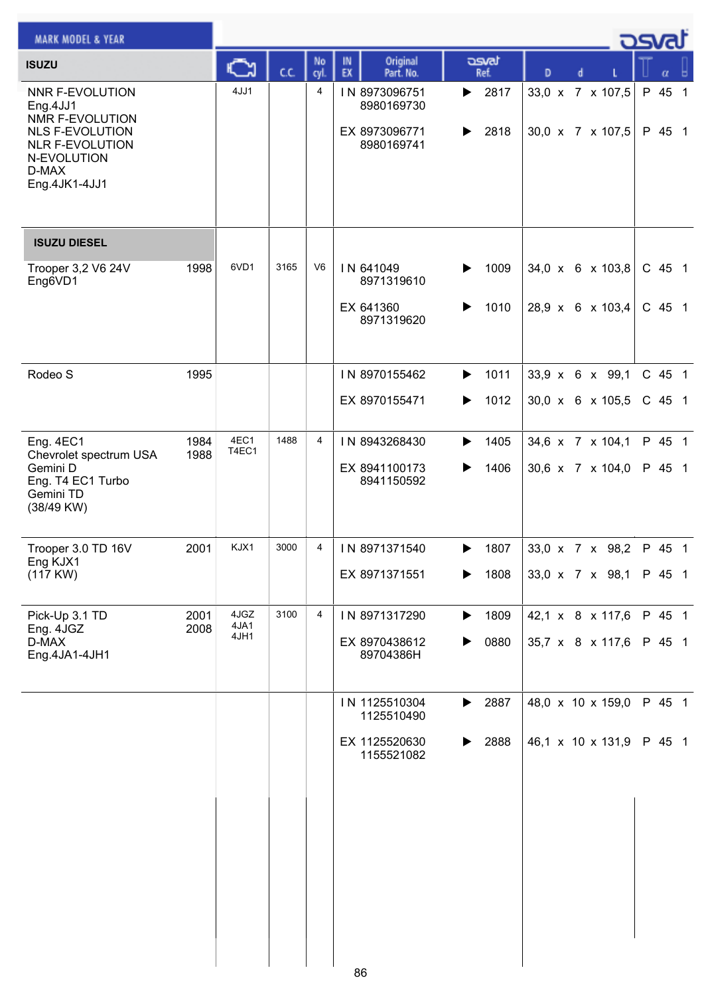| <b>MARK MODEL &amp; YEAR</b>                                                                                                                       |              |               |      |                |                                                            |                        |                                      | <u>osvaľ</u>     |
|----------------------------------------------------------------------------------------------------------------------------------------------------|--------------|---------------|------|----------------|------------------------------------------------------------|------------------------|--------------------------------------|------------------|
| <b>ISUZU</b>                                                                                                                                       |              | C             | c.c. | No<br>cyl.     | Original<br>IN<br>EX<br>Part. No.                          | asvat<br>Ref.          | D<br>d                               | α                |
| <b>NNR F-EVOLUTION</b><br>Eng.4JJ1<br>NMR F-EVOLUTION<br><b>NLS F-EVOLUTION</b><br><b>NLR F-EVOLUTION</b><br>N-EVOLUTION<br>D-MAX<br>Eng.4JK1-4JJ1 |              | 4JJ1          |      | 4              | IN 8973096751<br>8980169730<br>EX 8973096771<br>8980169741 | 2817<br>▶<br>2818<br>▶ | 33,0 x 7 x 107,5<br>30,0 x 7 x 107,5 | P 45 1<br>P 45 1 |
| <b>ISUZU DIESEL</b>                                                                                                                                |              |               |      |                |                                                            |                        |                                      |                  |
| Trooper 3,2 V6 24V<br>Eng6VD1                                                                                                                      | 1998         | 6VD1          | 3165 | V <sub>6</sub> | IN 641049<br>8971319610                                    | 1009<br>▶              | 34,0 x 6 x 103,8                     | C 45 1           |
|                                                                                                                                                    |              |               |      |                | EX 641360<br>8971319620                                    | 1010                   | 28,9 x 6 x 103,4                     | C 45 1           |
| Rodeo S                                                                                                                                            | 1995         |               |      |                | IN 8970155462                                              | 1011<br>▶              | 33,9 x 6 x 99,1                      | C 45 1           |
|                                                                                                                                                    |              |               |      |                | EX 8970155471                                              | 1012<br>▶              | 30,0 x 6 x 105,5                     | $C$ 45 1         |
| Eng. 4EC1<br>Chevrolet spectrum USA                                                                                                                | 1984<br>1988 | 4EC1<br>T4EC1 | 1488 | $\overline{4}$ | IN 8943268430                                              | 1405                   | 34,6 x 7 x 104,1                     | P 45 1           |
| Gemini D<br>Eng. T4 EC1 Turbo<br>Gemini TD<br>(38/49 KW)                                                                                           |              |               |      |                | EX 8941100173<br>8941150592                                | 1406<br>▶              | 30,6 x 7 x 104,0                     | P 45 1           |
| Trooper 3.0 TD 16V<br>Eng KJX1                                                                                                                     | 2001         | KJX1          | 3000 | 4              | IN 8971371540                                              | 1807<br>▶              | 33,0 x 7 x 98,2                      | P 45 1           |
| (117 KW)                                                                                                                                           |              |               |      |                | EX 8971371551                                              | 1808                   | 33,0 x 7 x 98,1                      | P 45 1           |
| Pick-Up 3.1 TD<br>Eng. 4JGZ                                                                                                                        | 2001<br>2008 | 4JGZ<br>4JA1  | 3100 | 4              | IN 8971317290                                              | 1809<br>▶              | 42,1 x 8 x 117,6                     | P 45 1           |
| D-MAX<br>Eng.4JA1-4JH1                                                                                                                             |              | 4JH1          |      |                | EX 8970438612<br>89704386H                                 | 0880<br>▶              | 35,7 x 8 x 117,6                     | P 45 1           |
|                                                                                                                                                    |              |               |      |                | IN 1125510304<br>1125510490                                | 2887<br>▶              | 48,0 x 10 x 159,0                    | P 45 1           |
|                                                                                                                                                    |              |               |      |                | EX 1125520630<br>1155521082                                | 2888<br>▶              | 46,1 x 10 x 131,9                    | P 45 1           |
|                                                                                                                                                    |              |               |      |                |                                                            |                        |                                      |                  |
|                                                                                                                                                    |              |               |      |                |                                                            |                        |                                      |                  |
|                                                                                                                                                    |              |               |      |                |                                                            |                        |                                      |                  |
|                                                                                                                                                    |              |               |      |                |                                                            |                        |                                      |                  |
|                                                                                                                                                    |              |               |      |                |                                                            |                        |                                      |                  |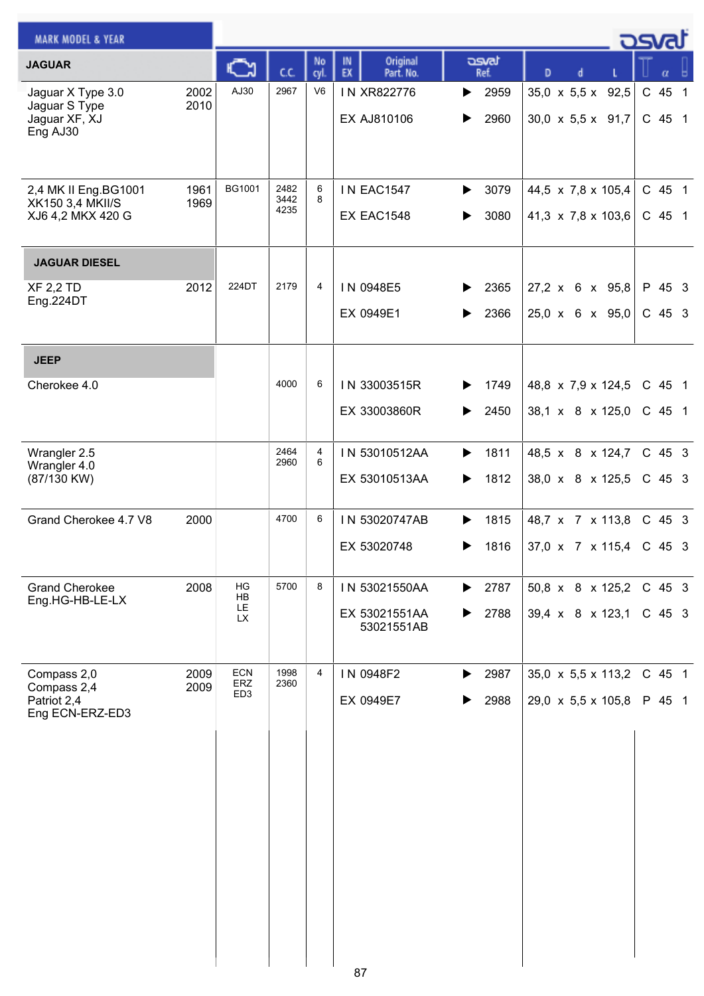|                       |                                                                             |                |                                              |                        |                                                                      | osvat                            |
|-----------------------|-----------------------------------------------------------------------------|----------------|----------------------------------------------|------------------------|----------------------------------------------------------------------|----------------------------------|
| C                     | c.c.                                                                        | No             | Original<br>IN<br>EX                         | asvat<br>Ref.          | D                                                                    | α                                |
| AJ30                  | 2967                                                                        | V <sub>6</sub> | IN XR822776<br>EX AJ810106                   | 2959<br>▶<br>2960<br>▶ | 35,0 x 5,5 x 92,5<br>$30,0 \times 5,5 \times 91,7$                   | C 45<br>$\overline{1}$<br>C 45 1 |
| <b>BG1001</b>         | 2482<br>3442<br>4235                                                        | 6<br>8         | <b>IN EAC1547</b><br><b>EX EAC1548</b>       | 3079<br>▶<br>3080      | 44,5 $\times$ 7,8 $\times$ 105,4<br>41,3 $\times$ 7,8 $\times$ 103,6 | C 45 1<br>C 45 1                 |
|                       |                                                                             |                |                                              |                        |                                                                      |                                  |
| 224DT                 | 2179                                                                        | 4              | IN 0948E5<br>EX 0949E1                       | 2365<br>2366           | 27,2 x 6 x 95,8<br>$25,0 \times 6 \times 95,0$                       | P 45 3<br>$C$ 45 3               |
|                       |                                                                             |                |                                              |                        |                                                                      |                                  |
|                       | 4000                                                                        | 6              | IN 33003515R<br>EX 33003860R                 | 1749<br>2450<br>▶      | 48,8 $\times$ 7,9 $\times$ 124,5<br>38,1 x 8 x 125,0                 | C 45 1<br>C 45 1                 |
|                       | 2464                                                                        | 4              | IN 53010512AA                                | 1811<br>▶              | 48,5 x 8 x 124,7                                                     | C 45 3                           |
|                       |                                                                             |                | EX 53010513AA                                | 1812<br>▶              | 38,0 x 8 x 125,5                                                     | $C$ 45 3                         |
|                       | 4700                                                                        | 6              | IN 53020747AB                                | 1815<br>▶              | 48,7 x 7 x 113,8                                                     | C 45 3                           |
|                       |                                                                             |                | EX 53020748                                  | 1816<br>▶              | $37,0 \times 7 \times 115,4$                                         | C 45 3                           |
| HG<br>HB<br>LE.<br>LX | 5700                                                                        | 8              | IN 53021550AA<br>EX 53021551AA<br>53021551AB | 2787<br>▶<br>2788<br>▶ | 50,8 x 8 x 125,2<br>$39,4 \times 8 \times 123,1$                     | $C$ 45 3<br>$C$ 45 3             |
| <b>ECN</b>            | 1998                                                                        | 4              | IN 0948F2                                    | 2987<br>▶              | $35,0 \times 5,5 \times 113,2$                                       | C 45 1                           |
| ED <sub>3</sub>       |                                                                             |                | EX 0949E7                                    | 2988<br>▶              | 29,0 x 5,5 x 105,8                                                   | P 45 1                           |
|                       |                                                                             |                |                                              |                        |                                                                      |                                  |
|                       |                                                                             |                |                                              |                        |                                                                      |                                  |
|                       |                                                                             |                |                                              |                        |                                                                      |                                  |
|                       |                                                                             |                |                                              |                        |                                                                      |                                  |
|                       | 2002<br>2010<br>1961<br>1969<br>2012<br>2000<br>2008<br>2009<br>ERZ<br>2009 | 2960<br>2360   | cyl.<br>6                                    | Part. No.              |                                                                      |                                  |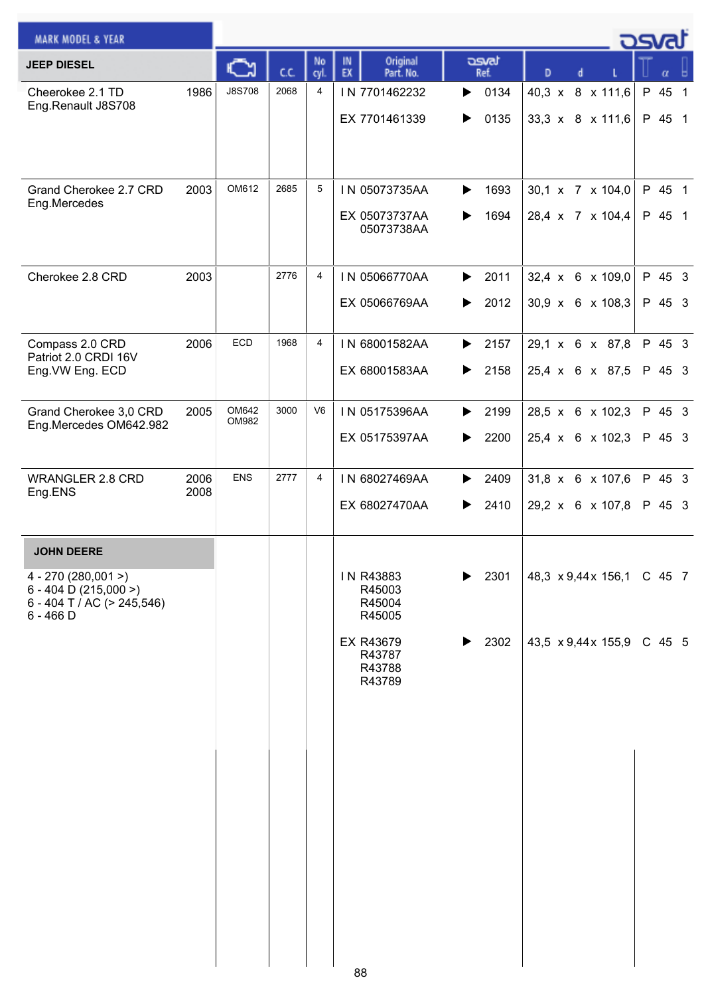| <b>MARK MODEL &amp; YEAR</b>                                                               |              |                |      |                |                                         |                        |                                                    | osvaľ                  |    |                |
|--------------------------------------------------------------------------------------------|--------------|----------------|------|----------------|-----------------------------------------|------------------------|----------------------------------------------------|------------------------|----|----------------|
| <b>JEEP DIESEL</b>                                                                         |              |                | cc   | No<br>cyl.     | Original<br>IN<br>EX<br>Part. No.       | asvat<br>Ref.          | D                                                  |                        | α  |                |
| Cheerokee 2.1 TD<br>Eng.Renault J8S708                                                     | 1986         | <b>J8S708</b>  | 2068 | $\overline{4}$ | IN 7701462232<br>EX 7701461339          | 0134<br>▶<br>0135<br>▶ | 40,3 x 8 x 111,6<br>33,3 $\times$ 8 $\times$ 111,6 | $\mathsf{P}$<br>P 45 1 | 45 | $\overline{1}$ |
| Grand Cherokee 2.7 CRD                                                                     | 2003         | OM612          | 2685 | 5              | IN 05073735AA                           | 1693<br>▶              | 30,1 x 7 x 104,0                                   | P 45 1                 |    |                |
| Eng.Mercedes                                                                               |              |                |      |                | EX 05073737AA<br>05073738AA             | 1694                   | 28,4 x 7 x 104,4                                   | P 45 1                 |    |                |
| Cherokee 2.8 CRD                                                                           | 2003         |                | 2776 | 4              | IN 05066770AA<br>EX 05066769AA          | 2011<br>▶<br>2012<br>▶ | 32,4 x 6 x 109,0<br>$30,9 \times 6 \times 108,3$   | P 45 3<br>P 45 3       |    |                |
| Compass 2.0 CRD<br>Patriot 2.0 CRDI 16V<br>Eng. VW Eng. ECD                                | 2006         | <b>ECD</b>     | 1968 | $\overline{4}$ | IN 68001582AA<br>EX 68001583AA          | 2157<br>▶<br>2158<br>▶ | 29,1 x 6 x 87,8<br>25,4 x 6 x 87,5                 | P 45 3<br>P 45 3       |    |                |
| Grand Cherokee 3,0 CRD                                                                     | 2005         | OM642<br>OM982 | 3000 | V <sub>6</sub> | IN 05175396AA                           | 2199<br>▶              | 28,5 x 6 x 102,3                                   | P 45 3                 |    |                |
| Eng.Mercedes OM642.982                                                                     |              |                |      |                | EX 05175397AA                           | 2200<br>▶              | 25,4 x 6 x 102,3                                   | P 45 3                 |    |                |
| <b>WRANGLER 2.8 CRD</b><br>Eng.ENS                                                         | 2006<br>2008 | <b>ENS</b>     | 2777 | 4              | IN 68027469AA<br>EX 68027470AA          | 2409<br>▶<br>2410<br>▶ | 31,8 x 6 x 107,6<br>29,2 x 6 x 107,8               | P 45 3<br>P 45 3       |    |                |
| <b>JOHN DEERE</b>                                                                          |              |                |      |                |                                         |                        |                                                    |                        |    |                |
| $4 - 270(280,001)$<br>$6 - 404$ D (215,000 >)<br>6 - 404 T / AC (> 245,546)<br>$6 - 466$ D |              |                |      |                | IN R43883<br>R45003<br>R45004<br>R45005 | 2301                   | 48,3 x 9,44x 156,1 C 45 7                          |                        |    |                |
|                                                                                            |              |                |      |                | EX R43679<br>R43787<br>R43788<br>R43789 | 2302<br>▶              | 43,5 $\times$ 9,44 $\times$ 155,9                  | C 45 5                 |    |                |
|                                                                                            |              |                |      |                |                                         |                        |                                                    |                        |    |                |
|                                                                                            |              |                |      |                |                                         |                        |                                                    |                        |    |                |
|                                                                                            |              |                |      |                |                                         |                        |                                                    |                        |    |                |
|                                                                                            |              |                |      |                |                                         |                        |                                                    |                        |    |                |
|                                                                                            |              |                |      |                | 88                                      |                        |                                                    |                        |    |                |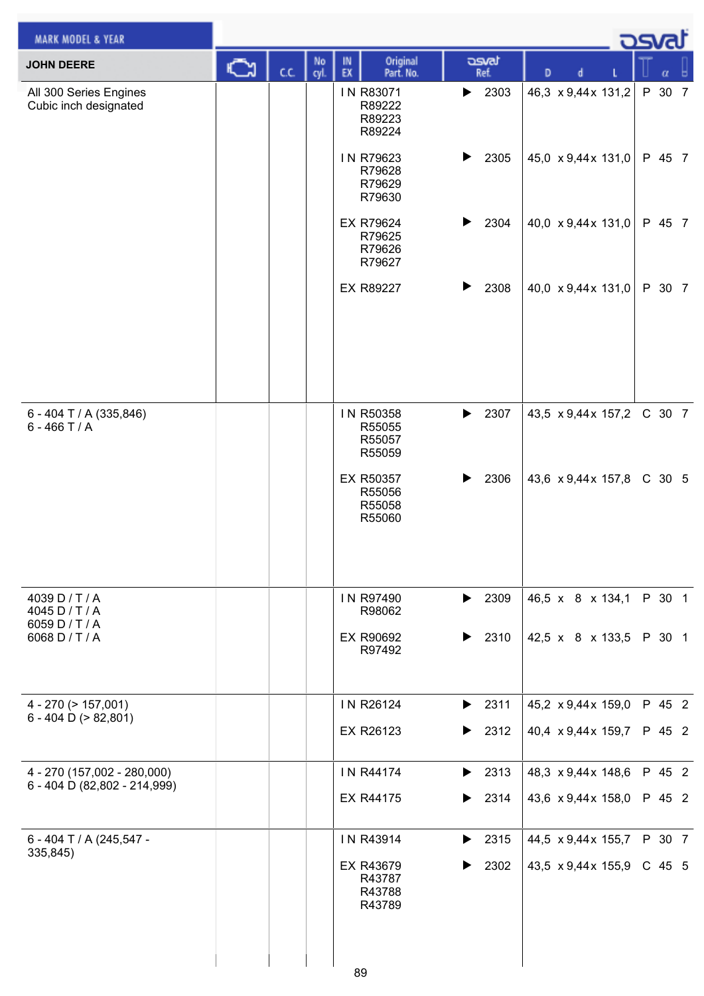| <b>MARK MODEL &amp; YEAR</b>                                         |   |      |            |          |                                                      |   |                                                          |   |                                          | ಾಡ |                    |  |
|----------------------------------------------------------------------|---|------|------------|----------|------------------------------------------------------|---|----------------------------------------------------------|---|------------------------------------------|----|--------------------|--|
| <b>JOHN DEERE</b>                                                    | జ | C.C. | No<br>cyl. | IN<br>EX | Original<br>Part. No.                                |   | asvat<br>Ref.                                            | D | d                                        |    |                    |  |
| All 300 Series Engines<br>Cubic inch designated                      |   |      |            |          | IN R83071<br>R89222<br>R89223<br>R89224              | ▶ | 2303                                                     |   | 46,3 x 9,44x 131,2                       |    | P 30 7             |  |
|                                                                      |   |      |            |          | IN R79623<br>R79628<br>R79629<br>R79630              | ▶ | 2305                                                     |   | 45,0 x 9,44x 131,0                       |    | P 45 7             |  |
|                                                                      |   |      |            |          | EX R79624<br>R79625<br>R79626<br>R79627              | ▶ | 2304                                                     |   | 40,0 x 9,44x 131,0                       |    | P 45 7             |  |
|                                                                      |   |      |            |          | EX R89227                                            |   | 2308                                                     |   | 40,0 x 9,44x 131,0                       |    | P 30 7             |  |
| 6 - 404 T / A (335,846)<br>$6 - 466$ T / A                           |   |      |            |          | IN R50358<br>R55055<br>R55057<br>R55059              | ▶ | 2307                                                     |   | 43,5 x 9,44x 157,2                       |    | C 30 7             |  |
|                                                                      |   |      |            |          | EX R50357<br>R55056<br>R55058<br>R55060              |   | 2306                                                     |   | 43,6 x 9,44x 157,8                       |    | C 30 5             |  |
| 4039 D / T / A<br>4045 D / T / A<br>6059 D / T / A<br>6068 D / T / A |   |      |            |          | IN R97490<br>R98062<br>EX R90692<br>R97492           | ▶ | $\blacktriangleright$ 2309<br>2310                       |   | 46,5 x 8 x 134,1<br>42,5 x 8 x 133,5     |    | P 30 1<br>P 30 1   |  |
| $4 - 270$ ( $> 157,001$ )<br>6 - 404 D ( $> 82,801$ )                |   |      |            |          | IN R26124<br>EX R26123                               |   | $\blacktriangleright$ 2311<br>$\blacktriangleright$ 2312 |   | 45,2 x 9,44x 159,0<br>40,4 x 9,44x 159,7 |    | P 45 2<br>P 45 2   |  |
| 4 - 270 (157,002 - 280,000)<br>6 - 404 D (82,802 - 214,999)          |   |      |            |          | IN R44174<br>EX R44175                               |   | $\blacktriangleright$ 2313<br>$\blacktriangleright$ 2314 |   | 48,3 x 9,44x 148,6<br>43,6 x 9,44x 158,0 |    | P 45 2<br>P 45 2   |  |
| 6 - 404 T / A (245,547 -<br>335,845)                                 |   |      |            |          | IN R43914<br>EX R43679<br>R43787<br>R43788<br>R43789 | ▶ | $\blacktriangleright$ 2315<br>2302                       |   | 44,5 x 9,44x 155,7<br>43,5 x 9,44x 155,9 |    | P 30 7<br>$C$ 45 5 |  |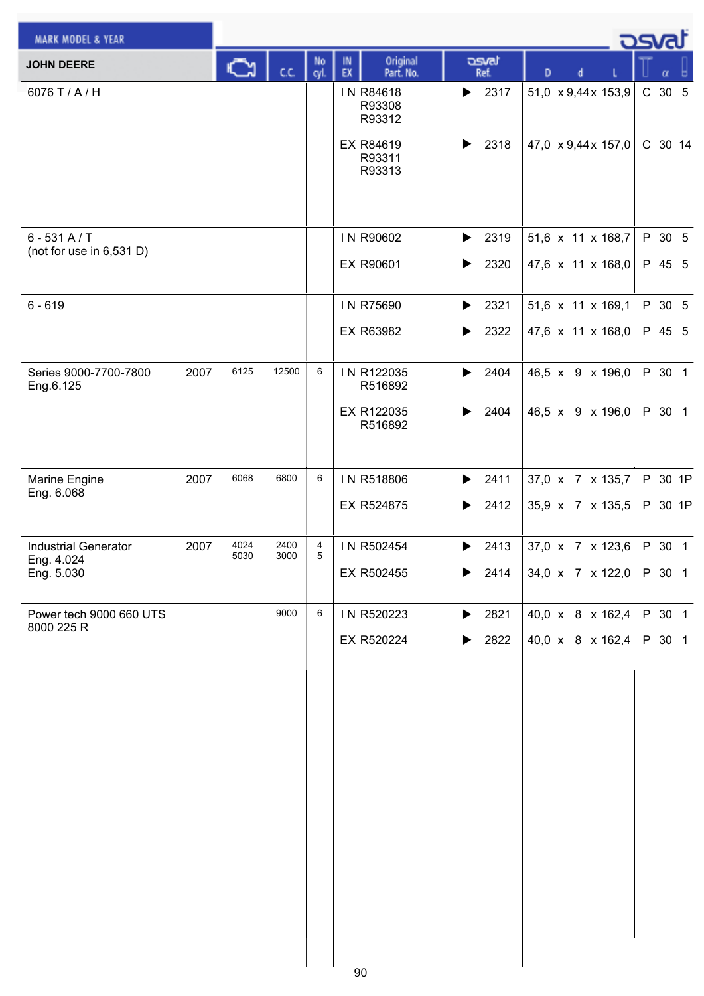| <b>MARK MODEL &amp; YEAR</b>              |      |              |              |            |          |                               |                            |                            |   |   | ಾಡ                                     |                  |         |
|-------------------------------------------|------|--------------|--------------|------------|----------|-------------------------------|----------------------------|----------------------------|---|---|----------------------------------------|------------------|---------|
| <b>JOHN DEERE</b>                         |      | Ğ            | C.C.         | No<br>cyl. | IN<br>EX | Original<br>Part. No.         |                            | asvat<br>Ref.              | D | d |                                        | $\alpha$         |         |
| 6076 T / A / H                            |      |              |              |            |          | IN R84618<br>R93308<br>R93312 | ▶                          | 2317                       |   |   | 51,0 x 9,44x 153,9                     | C 30 5           |         |
|                                           |      |              |              |            |          | EX R84619<br>R93311<br>R93313 | ▶                          | 2318                       |   |   | 47,0 $\times$ 9,44 $\times$ 157,0      |                  | C 30 14 |
|                                           |      |              |              |            |          |                               |                            |                            |   |   |                                        |                  |         |
| $6 - 531 A/T$<br>(not for use in 6,531 D) |      |              |              |            |          | IN R90602<br>EX R90601        | ▶<br>$\blacktriangleright$ | 2319<br>2320               |   |   | 51,6 x 11 x 168,7<br>47,6 x 11 x 168,0 | P 30 5<br>P 45 5 |         |
| $6 - 619$                                 |      |              |              |            |          | IN R75690                     | $\blacktriangleright$      | 2321                       |   |   | 51,6 x 11 x 169,1                      | P 30 5           |         |
|                                           |      |              |              |            |          | EX R63982                     | ▶                          | 2322                       |   |   | 47,6 x 11 x 168,0                      | P 45 5           |         |
| Series 9000-7700-7800<br>Eng.6.125        | 2007 | 6125         | 12500        | 6          |          | IN R122035<br>R516892         | ▶                          | 2404                       |   |   | 46,5 x 9 x 196,0                       | P 30 1           |         |
|                                           |      |              |              |            |          | EX R122035<br>R516892         | ▶                          | 2404                       |   |   | 46,5 x 9 x 196,0                       | P 30 1           |         |
| Marine Engine                             | 2007 | 6068         | 6800         | 6          |          | IN R518806                    | ▶                          | 2411                       |   |   | 37,0 x 7 x 135,7                       |                  | P 30 1P |
| Eng. 6.068                                |      |              |              |            |          | EX R524875                    | $\blacktriangleright$      | 2412                       |   |   | 35,9 x 7 x 135,5                       |                  | P 30 1P |
| <b>Industrial Generator</b><br>Eng. 4.024 | 2007 | 4024<br>5030 | 2400<br>3000 | 4<br>5     |          | IN R502454                    | ▶                          | 2413                       |   |   | 37,0 x 7 x 123,6                       | P 30 1           |         |
| Eng. 5.030                                |      |              |              |            |          | EX R502455                    |                            | $\blacktriangleright$ 2414 |   |   | 34,0 x 7 x 122,0 P 30 1                |                  |         |
| Power tech 9000 660 UTS<br>8000 225 R     |      |              | 9000         | 6          |          | IN R520223                    |                            | $\blacktriangleright$ 2821 |   |   | 40,0 x 8 x 162,4                       | P 30 1           |         |
|                                           |      |              |              |            |          | EX R520224                    | ▶                          | 2822                       |   |   | 40,0 x 8 x 162,4                       | P 30 1           |         |
|                                           |      |              |              |            |          |                               |                            |                            |   |   |                                        |                  |         |
|                                           |      |              |              |            |          |                               |                            |                            |   |   |                                        |                  |         |
|                                           |      |              |              |            |          |                               |                            |                            |   |   |                                        |                  |         |
|                                           |      |              |              |            |          |                               |                            |                            |   |   |                                        |                  |         |
|                                           |      |              |              |            |          |                               |                            |                            |   |   |                                        |                  |         |
|                                           |      |              |              |            |          |                               |                            |                            |   |   |                                        |                  |         |
|                                           |      |              |              |            |          |                               |                            |                            |   |   |                                        |                  |         |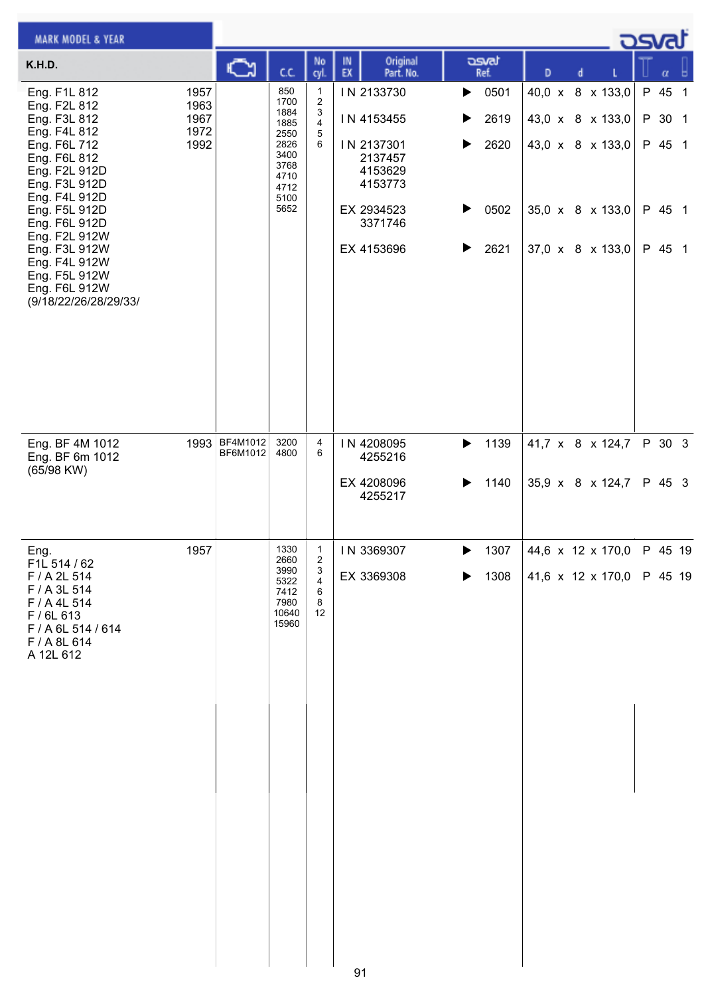| <b>MARK MODEL &amp; YEAR</b>                                                                                                                                                                                                                                                                    |                                      |                           |                                                                                             |                                                  |          |                                                                                                                |                                           |                                      |   |   |                                                                                                  | <u>osvaľ</u>                                   |  |
|-------------------------------------------------------------------------------------------------------------------------------------------------------------------------------------------------------------------------------------------------------------------------------------------------|--------------------------------------|---------------------------|---------------------------------------------------------------------------------------------|--------------------------------------------------|----------|----------------------------------------------------------------------------------------------------------------|-------------------------------------------|--------------------------------------|---|---|--------------------------------------------------------------------------------------------------|------------------------------------------------|--|
| K.H.D.                                                                                                                                                                                                                                                                                          |                                      | ∾                         | C.C.                                                                                        | No<br>cyl.                                       | IN<br>EX | Original<br>Part. No.                                                                                          |                                           | asvat<br>Ref.                        | D | d |                                                                                                  | α                                              |  |
| Eng. F1L 812<br>Eng. F2L 812<br>Eng. F3L 812<br>Eng. F4L 812<br>Eng. F6L 712<br>Eng. F6L 812<br>Eng. F2L 912D<br>Eng. F3L 912D<br>Eng. F4L 912D<br>Eng. F5L 912D<br>Eng. F6L 912D<br>Eng. F2L 912W<br>Eng. F3L 912W<br>Eng. F4L 912W<br>Eng. F5L 912W<br>Eng. F6L 912W<br>(9/18/22/26/28/29/33/ | 1957<br>1963<br>1967<br>1972<br>1992 |                           | 850<br>1700<br>1884<br>1885<br>2550<br>2826<br>3400<br>3768<br>4710<br>4712<br>5100<br>5652 | 1<br>$\overline{\mathbf{c}}$<br>3<br>4<br>5<br>6 |          | IN 2133730<br>IN 4153455<br>IN 2137301<br>2137457<br>4153629<br>4153773<br>EX 2934523<br>3371746<br>EX 4153696 | $\blacktriangleright$<br>▶<br>▶<br>▶<br>▶ | 0501<br>2619<br>2620<br>0502<br>2621 |   |   | 40,0 x 8 x 133,0<br>43,0 x 8 x 133,0<br>43,0 x 8 x 133,0<br>35,0 x 8 x 133,0<br>37,0 x 8 x 133,0 | P 45 1<br>P 30 1<br>P 45 1<br>P 45 1<br>P 45 1 |  |
| Eng. BF 4M 1012<br>Eng. BF 6m 1012<br>(65/98 KW)                                                                                                                                                                                                                                                |                                      | 1993 BF4M1012<br>BF6M1012 | 3200<br>4800                                                                                | 4<br>6                                           |          | IN 4208095<br>4255216<br>EX 4208096<br>4255217                                                                 | ▶<br>▶                                    | 1139<br>1140                         |   |   | 41,7 x 8 x 124,7<br>35,9 x 8 x 124,7                                                             | P 30 3<br>P 45 3                               |  |
| Eng.<br>F1L 514 / 62<br>F / A 2L 514<br>F / A 3L 514<br>F / A 4L 514<br>F / 6L 613<br>F / A 6L 514 / 614<br>F / A 8L 614<br>A 12L 612                                                                                                                                                           | 1957                                 |                           | 1330<br>2660<br>3990<br>5322<br>7412<br>7980<br>10640<br>15960                              | 1<br>2<br>3<br>$\overline{4}$<br>6<br>8<br>12    |          | IN 3369307<br>EX 3369308                                                                                       | ▶                                         | 1307<br>1308                         |   |   | 44,6 x 12 x 170,0<br>41,6 x 12 x 170,0 P 45 19                                                   | P 45 19                                        |  |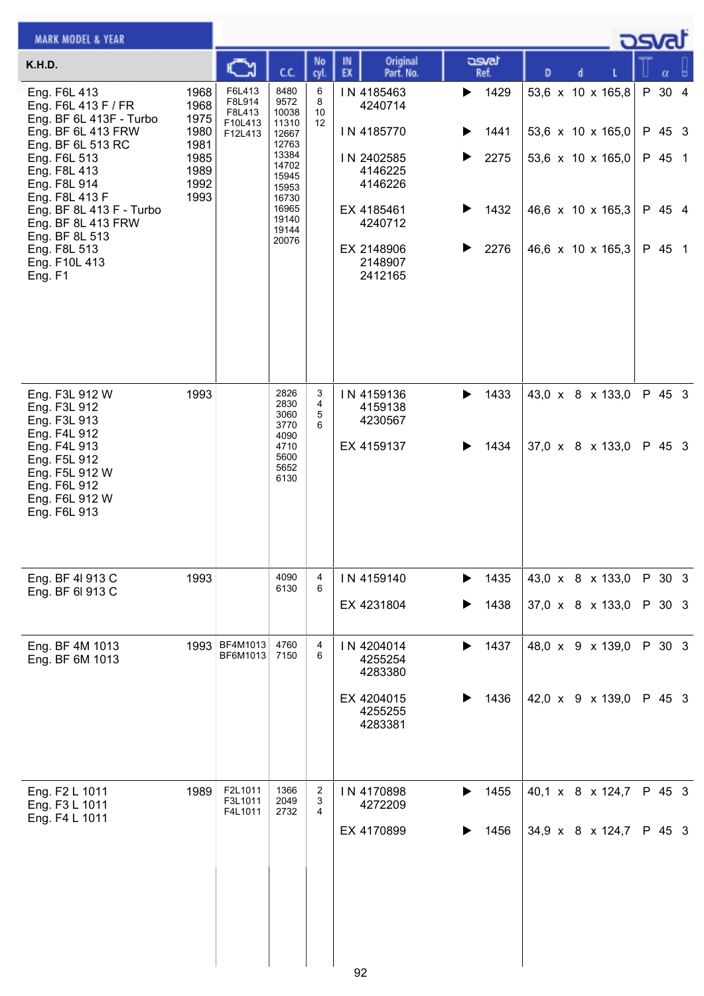| <b>MARK MODEL &amp; YEAR</b>                                                                                                                                                                                                                                                                |                                                                      |                                                  |                                                                                                                                   |                    |                                                                                                                                      |                                                                 |                                                                                                       | ك <i>osva</i> d |                                                |   |
|---------------------------------------------------------------------------------------------------------------------------------------------------------------------------------------------------------------------------------------------------------------------------------------------|----------------------------------------------------------------------|--------------------------------------------------|-----------------------------------------------------------------------------------------------------------------------------------|--------------------|--------------------------------------------------------------------------------------------------------------------------------------|-----------------------------------------------------------------|-------------------------------------------------------------------------------------------------------|-----------------|------------------------------------------------|---|
| K.H.D.                                                                                                                                                                                                                                                                                      |                                                                      | జ                                                | C.C.                                                                                                                              | No<br>cyl.         | Original<br>IN<br>EX<br>Part. No.                                                                                                    | asvat<br>Ref.                                                   | D<br>d                                                                                                |                 | α                                              | ы |
| Eng. F6L 413<br>Eng. F6L 413 F / FR<br>Eng. BF 6L 413F - Turbo<br>Eng. BF 6L 413 FRW<br>Eng. BF 6L 513 RC<br>Eng. F6L 513<br>Eng. F8L 413<br>Eng. F8L 914<br>Eng. F8L 413 F<br>Eng. BF 8L 413 F - Turbo<br>Eng. BF 8L 413 FRW<br>Eng. BF 8L 513<br>Eng. F8L 513<br>Eng. F10L 413<br>Eng. F1 | 1968<br>1968<br>1975<br>1980<br>1981<br>1985<br>1989<br>1992<br>1993 | F6L413<br>F8L914<br>F8L413<br>F10L413<br>F12L413 | 8480<br>9572<br>10038<br>11310<br>12667<br>12763<br>13384<br>14702<br>15945<br>15953<br>16730<br>16965<br>19140<br>19144<br>20076 | 6<br>8<br>10<br>12 | IN 4185463<br>4240714<br>IN 4185770<br>IN 2402585<br>4146225<br>4146226<br>EX 4185461<br>4240712<br>EX 2148906<br>2148907<br>2412165 | $\blacktriangleright$ 1429<br>1441<br>2275<br>1432<br>▶<br>2276 | 53,6 x 10 x 165,8<br>53,6 x 10 x 165,0<br>53,6 x 10 x 165,0<br>46,6 x 10 x 165,3<br>46,6 x 10 x 165,3 |                 | P 30 4<br>P 45 3<br>P 45 1<br>P 45 4<br>P 45 1 |   |
| Eng. F3L 912 W<br>Eng. F3L 912<br>Eng. F3L 913<br>Eng. F4L 912<br>Eng. F4L 913<br>Eng. F5L 912<br>Eng. F5L 912 W<br>Eng. F6L 912<br>Eng. F6L 912 W<br>Eng. F6L 913                                                                                                                          | 1993                                                                 |                                                  | 2826<br>2830<br>3060<br>3770<br>4090<br>4710<br>5600<br>5652<br>6130                                                              | 3<br>4<br>5<br>6   | IN 4159136<br>4159138<br>4230567<br>EX 4159137                                                                                       | 1433<br>▶<br>1434                                               | 43,0 x 8 x 133,0<br>37,0 x 8 x 133,0                                                                  |                 | P 45 3<br>P 45 3                               |   |
| Eng. BF 4I 913 C<br>Eng. BF 6I 913 C                                                                                                                                                                                                                                                        | 1993                                                                 |                                                  | 4090<br>6130                                                                                                                      | 4<br>6             | IN 4159140<br>EX 4231804                                                                                                             | 1435<br>1438                                                    | 43,0 x 8 x 133,0<br>37,0 x 8 x 133,0                                                                  |                 | P 30 3<br>P 30 3                               |   |
| Eng. BF 4M 1013<br>Eng. BF 6M 1013                                                                                                                                                                                                                                                          | 1993                                                                 | BF4M1013<br>BF6M1013                             | 4760<br>7150                                                                                                                      | 4<br>6             | IN 4204014<br>4255254<br>4283380<br>EX 4204015<br>4255255<br>4283381                                                                 | 1437<br>▶<br>1436                                               | 48,0 x 9 x 139,0<br>42,0 x 9 x 139,0                                                                  |                 | P 30 3<br>P 45 3                               |   |
| Eng. F2 L 1011<br>Eng. F3 L 1011<br>Eng. F4 L 1011                                                                                                                                                                                                                                          | 1989                                                                 | F2L1011<br>F3L1011<br>F4L1011                    | 1366<br>2049<br>2732                                                                                                              | 2<br>3<br>4        | IN 4170898<br>4272209<br>EX 4170899<br>92                                                                                            | 1455<br>▶<br>1456                                               | 40,1 x 8 x 124,7<br>34,9 x 8 x 124,7                                                                  |                 | P 45 3<br>P 45 3                               |   |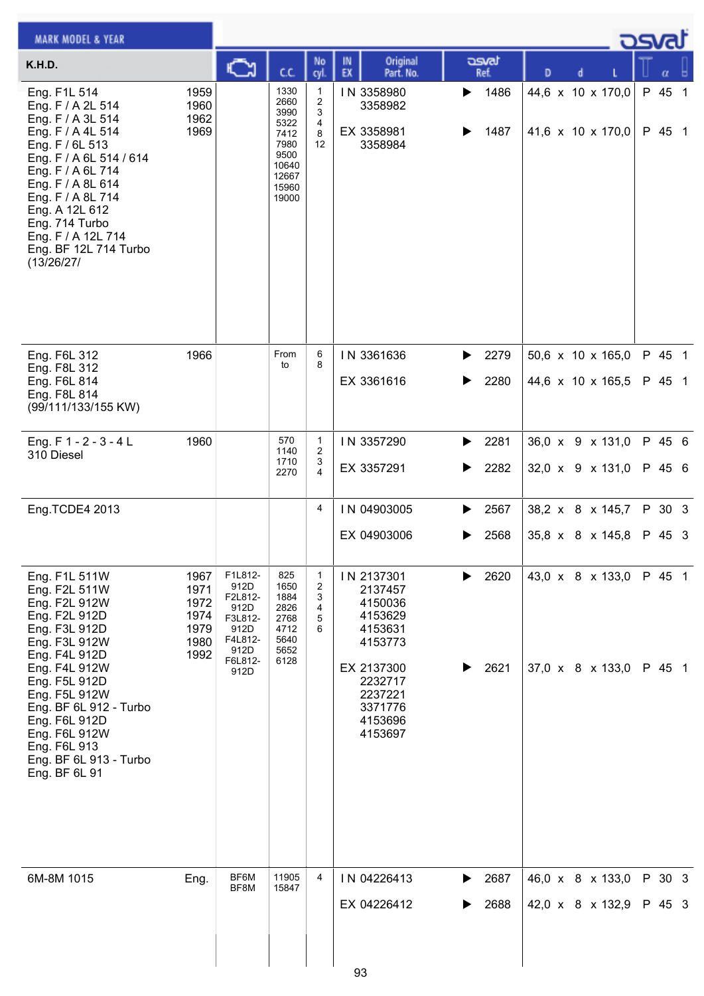| <b>MARK MODEL &amp; YEAR</b>                                                                                                                                                                                                                                                                  |                                                      |                                                                                             |                                                                                          |                                            |                                                                                                                                        |        |               |   |  |                                        | كمحت             |  |
|-----------------------------------------------------------------------------------------------------------------------------------------------------------------------------------------------------------------------------------------------------------------------------------------------|------------------------------------------------------|---------------------------------------------------------------------------------------------|------------------------------------------------------------------------------------------|--------------------------------------------|----------------------------------------------------------------------------------------------------------------------------------------|--------|---------------|---|--|----------------------------------------|------------------|--|
| K.H.D.                                                                                                                                                                                                                                                                                        |                                                      | C                                                                                           | C.C.                                                                                     | No<br>cyl.                                 | Original<br>IN<br>EX<br>Part. No.                                                                                                      |        | asvat<br>Ref. | D |  |                                        | α                |  |
| Eng. F1L 514<br>Eng. F / A 2L 514<br>Eng. F / A 3L 514<br>Eng. F / A 4L 514<br>Eng. F / 6L 513<br>Eng. F / A 6L 514 / 614<br>Eng. F / A 6L 714<br>Eng. F / A 8L 614<br>Eng. F / A 8L 714<br>Eng. A 12L 612<br>Eng. 714 Turbo<br>Eng. F / A 12L 714<br>Eng. BF 12L 714 Turbo<br>(13/26/27/     | 1959<br>1960<br>1962<br>1969                         |                                                                                             | 1330<br>2660<br>3990<br>5322<br>7412<br>7980<br>9500<br>10640<br>12667<br>15960<br>19000 | 1<br>2<br>3<br>4<br>8<br>$12 \overline{ }$ | IN 3358980<br>3358982<br>EX 3358981<br>3358984                                                                                         | ▶      | 1486<br>1487  |   |  | 44,6 x 10 x 170,0<br>41,6 x 10 x 170,0 | P 45 1<br>P 45 1 |  |
| Eng. F6L 312<br>Eng. F8L 312<br>Eng. F6L 814<br>Eng. F8L 814<br>(99/111/133/155 KW)                                                                                                                                                                                                           | 1966                                                 |                                                                                             | From<br>to                                                                               | 6<br>8                                     | IN 3361636<br>EX 3361616                                                                                                               | ▶<br>▶ | 2279<br>2280  |   |  | 50,6 x 10 x 165,0<br>44,6 x 10 x 165,5 | P 45 1<br>P 45 1 |  |
| Eng. $F 1 - 2 - 3 - 4 L$<br>310 Diesel                                                                                                                                                                                                                                                        | 1960                                                 |                                                                                             | 570<br>1140<br>1710<br>2270                                                              | $\mathbf{1}$<br>2<br>3<br>4                | IN 3357290<br>EX 3357291                                                                                                               | ▶      | 2281<br>2282  |   |  | 36,0 x 9 x 131,0<br>32,0 x 9 x 131,0   | P 45 6<br>P 45 6 |  |
| Eng.TCDE4 2013                                                                                                                                                                                                                                                                                |                                                      |                                                                                             |                                                                                          | 4                                          | IN 04903005<br>EX 04903006                                                                                                             | ▶      | 2567<br>2568  |   |  | 38,2 x 8 x 145,7<br>35,8 x 8 x 145,8   | P 30 3<br>P 45 3 |  |
| Eng. F1L 511W<br>Eng. F2L 511W<br>Eng. F2L 912W<br>Eng. F2L 912D<br>Eng. F3L 912D<br>Eng. F3L 912W<br>Eng. F4L 912D<br>Eng. F4L 912W<br>Eng. F5L 912D<br>Eng. F5L 912W<br>Eng. BF 6L 912 - Turbo<br>Eng. F6L 912D<br>Eng. F6L 912W<br>Eng. F6L 913<br>Eng. BF 6L 913 - Turbo<br>Eng. BF 6L 91 | 1967<br>1971<br>1972<br>1974<br>1979<br>1980<br>1992 | F1L812-<br>912D<br>F2L812-<br>912D<br>F3L812-<br>912D<br>F4L812-<br>912D<br>F6L812-<br>912D | 825<br>1650<br>1884<br>2826<br>2768<br>4712<br>5640<br>5652<br>6128                      | $\mathbf{1}$<br>2<br>3<br>4<br>5<br>6      | IN 2137301<br>2137457<br>4150036<br>4153629<br>4153631<br>4153773<br>EX 2137300<br>2232717<br>2237221<br>3371776<br>4153696<br>4153697 |        | 2620<br>2621  |   |  | 43,0 x 8 x 133,0<br>37,0 x 8 x 133,0   | P 45 1<br>P 45 1 |  |
| 6M-8M 1015                                                                                                                                                                                                                                                                                    | Eng.                                                 | BF6M<br>BF8M                                                                                | 11905<br>15847                                                                           | 4                                          | IN 04226413<br>EX 04226412<br>റാ                                                                                                       | ▶      | 2687<br>2688  |   |  | 46,0 x 8 x 133,0<br>42,0 x 8 x 132,9   | P 30 3<br>P 45 3 |  |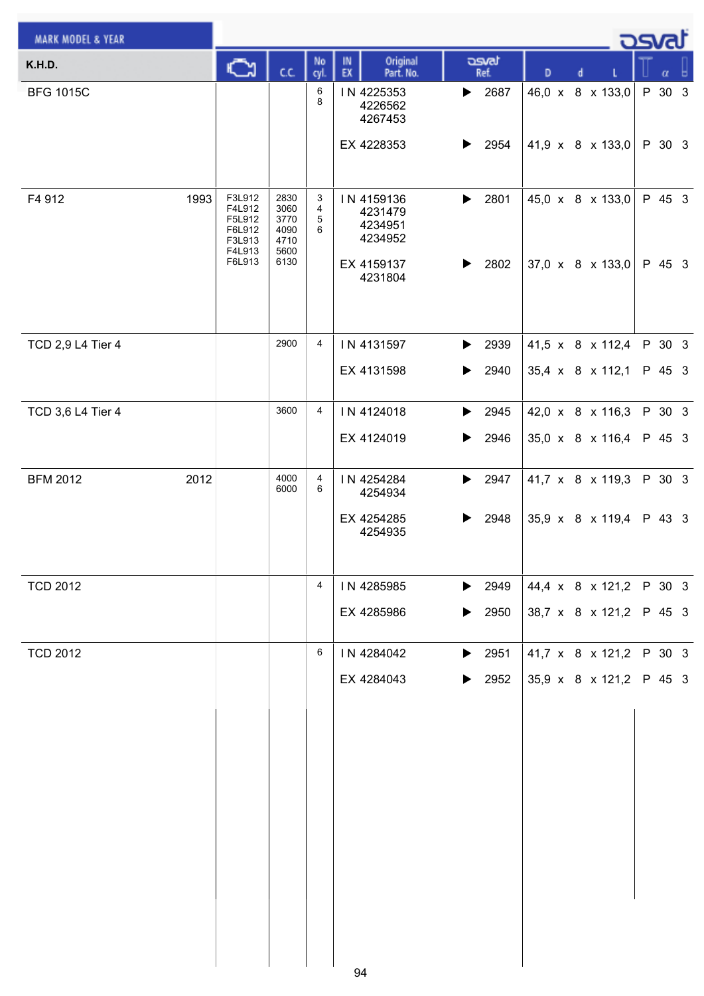| <b>MARK MODEL &amp; YEAR</b> |                                                                    |                                                      |                  |                                                           |                                                                |                                      | <u>_ ರಾ</u> ಡು |        |                  |     |
|------------------------------|--------------------------------------------------------------------|------------------------------------------------------|------------------|-----------------------------------------------------------|----------------------------------------------------------------|--------------------------------------|----------------|--------|------------------|-----|
| K.H.D.                       | Q                                                                  | c.c.                                                 | No<br>cyl.       | Original<br>IN<br>EX<br>Part. No.                         | asvat<br>Ref.                                                  | D<br>d                               |                |        | $\alpha$         | - 8 |
| <b>BFG 1015C</b>             |                                                                    |                                                      | 6<br>8           | IN 4225353<br>4226562<br>4267453                          | $\blacktriangleright$ 2687                                     | 46,0 x 8 x 133,0                     |                |        | P 30 3           |     |
|                              |                                                                    |                                                      |                  | EX 4228353                                                | $\blacktriangleright$ 2954                                     | 41,9 x 8 x 133,0                     |                |        | P 30 3           |     |
| 1993<br>F4 912               | F3L912<br>F4L912<br>F5L912<br>F6L912<br>F3L913<br>F4L913<br>F6L913 | 2830<br>3060<br>3770<br>4090<br>4710<br>5600<br>6130 | 3<br>4<br>5<br>6 | IN 4159136<br>4231479<br>4234951<br>4234952<br>EX 4159137 | 2801<br>$\blacktriangleright$<br>$\blacktriangleright$<br>2802 | 45,0 x 8 x 133,0<br>37,0 x 8 x 133,0 |                |        | P 45 3<br>P 45 3 |     |
|                              |                                                                    |                                                      |                  | 4231804                                                   |                                                                |                                      |                |        |                  |     |
| TCD 2,9 L4 Tier 4            |                                                                    | 2900                                                 | $\overline{4}$   | IN 4131597                                                | $\blacktriangleright$ 2939                                     | 41,5 x 8 x 112,4                     |                |        | P 30 3           |     |
|                              |                                                                    |                                                      |                  | EX 4131598                                                | 2940<br>$\blacktriangleright$                                  | 35,4 x 8 x 112,1                     |                |        | P 45 3           |     |
| TCD 3,6 L4 Tier 4            |                                                                    | 3600                                                 | 4                | IN 4124018                                                | $\blacktriangleright$ 2945                                     | 42,0 x 8 x 116,3                     |                |        | P 30 3           |     |
|                              |                                                                    |                                                      |                  | EX 4124019                                                | 2946<br>▶                                                      | 35,0 x 8 x 116,4                     |                |        | P 45 3           |     |
| 2012<br><b>BFM 2012</b>      |                                                                    | 4000<br>6000                                         | 4<br>6           | IN 4254284<br>4254934                                     | 2947<br>$\blacktriangleright$                                  | 41,7 x 8 x 119,3                     |                |        | P 30 3           |     |
|                              |                                                                    |                                                      |                  | EX 4254285<br>4254935                                     | 2948<br>▶                                                      | 35,9 x 8 x 119,4                     |                | P 43 3 |                  |     |
| <b>TCD 2012</b>              |                                                                    |                                                      | 4                | IN 4285985                                                | $\blacktriangleright$ 2949                                     | 44,4 x 8 x 121,2                     |                | P 30 3 |                  |     |
|                              |                                                                    |                                                      |                  | EX 4285986                                                | $\blacktriangleright$<br>2950                                  | 38,7 x 8 x 121,2                     |                |        | P 45 3           |     |
| <b>TCD 2012</b>              |                                                                    |                                                      | 6                | IN 4284042                                                | $\blacktriangleright$ 2951                                     | 41,7 x 8 x 121,2                     |                |        | P 30 3           |     |
|                              |                                                                    |                                                      |                  | EX 4284043                                                | 2952<br>▶                                                      | 35,9 x 8 x 121,2                     |                |        | P 45 3           |     |
|                              |                                                                    |                                                      |                  |                                                           |                                                                |                                      |                |        |                  |     |
|                              |                                                                    |                                                      |                  |                                                           |                                                                |                                      |                |        |                  |     |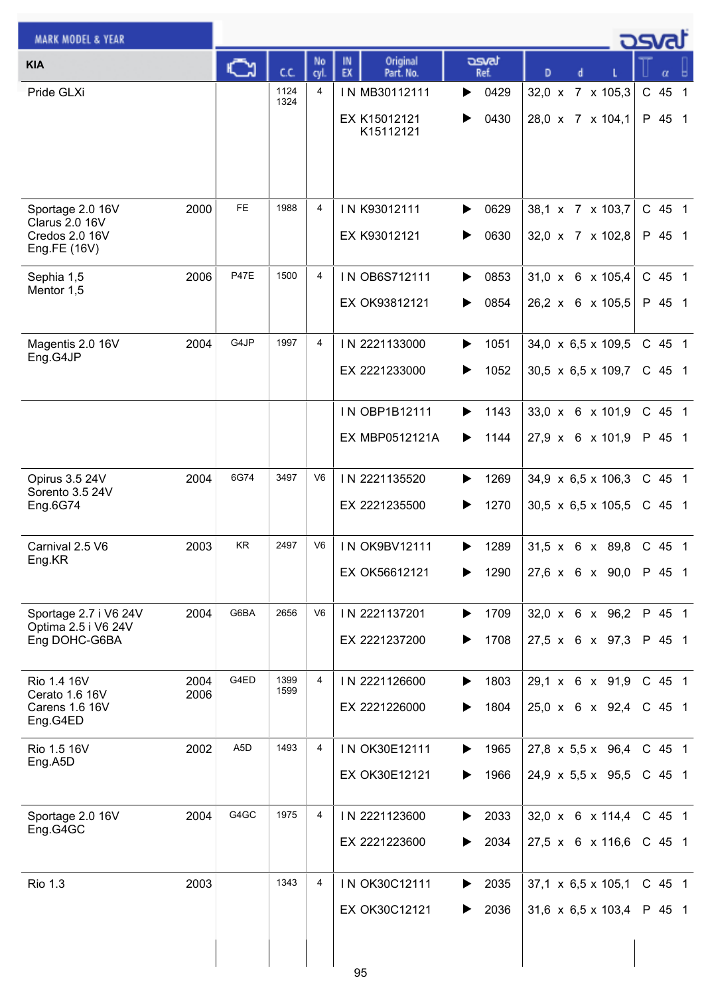| <b>MARK MODEL &amp; YEAR</b>                 |      |                  |              |                |                                   |               |                                  | osvat                  |
|----------------------------------------------|------|------------------|--------------|----------------|-----------------------------------|---------------|----------------------------------|------------------------|
| <b>KIA</b>                                   |      | C٦               | C.C.         | No<br>cyl.     | Original<br>IN<br>EX<br>Part. No. | asvat<br>Ref. | D<br>d                           | α                      |
| Pride GLXi                                   |      |                  | 1124<br>1324 | 4              | IN MB30112111                     | 0429<br>▶     | 32,0 x 7 x 105,3                 | C 45<br>$\overline{1}$ |
|                                              |      |                  |              |                | EX K15012121                      | 0430<br>▶     | 28,0 x 7 x 104,1                 | P 45 1                 |
|                                              |      |                  |              |                | K15112121                         |               |                                  |                        |
|                                              |      |                  |              |                |                                   |               |                                  |                        |
|                                              |      | <b>FE</b>        | 1988         | 4              |                                   |               |                                  |                        |
| Sportage 2.0 16V<br><b>Clarus 2.0 16V</b>    | 2000 |                  |              |                | IN K93012111                      | 0629<br>▶     | 38,1 x 7 x 103,7                 | C 45 1                 |
| Credos 2.0 16V<br>Eng.FE (16V)               |      |                  |              |                | EX K93012121                      | 0630<br>▶     | 32,0 x 7 x 102,8                 | P 45 1                 |
| Sephia 1,5                                   | 2006 | <b>P47E</b>      | 1500         | $\overline{4}$ | IN OB6S712111                     | 0853<br>▶     | $31,0 \times 6 \times 105,4$     | C 45 1                 |
| Mentor 1,5                                   |      |                  |              |                | EX OK93812121                     | 0854<br>▶     | 26,2 x 6 x 105,5                 | P 45 1                 |
|                                              |      |                  |              |                |                                   |               |                                  |                        |
| Magentis 2.0 16V<br>Eng.G4JP                 | 2004 | G4JP             | 1997         | $\overline{4}$ | IN 2221133000                     | 1051<br>▶     | 34,0 x 6,5 x 109,5               | C 45 1                 |
|                                              |      |                  |              |                | EX 2221233000                     | 1052<br>▶     | $30,5 \times 6,5 \times 109,7$   | $C$ 45 1               |
|                                              |      |                  |              |                | IN OBP1B12111                     | 1143<br>▶     | 33,0 x 6 x 101,9                 | C 45 1                 |
|                                              |      |                  |              |                | EX MBP0512121A                    | 1144<br>▶     | $27,9 \times 6 \times 101,9$     | P 45 1                 |
|                                              |      |                  |              |                |                                   |               |                                  |                        |
| Opirus 3.5 24V<br>Sorento 3.5 24V            | 2004 | 6G74             | 3497         | V <sub>6</sub> | IN 2221135520                     | 1269<br>▶     | 34,9 $\times$ 6,5 $\times$ 106,3 | C 45 1                 |
| Eng.6G74                                     |      |                  |              |                | EX 2221235500                     | 1270<br>▶     | 30,5 $\times$ 6,5 $\times$ 105,5 | C 45 1                 |
| Carnival 2.5 V6                              | 2003 | <b>KR</b>        | 2497         | V6             | <b>IN OK9BV12111</b>              | 1289<br>▶     | $31.5 \times 6 \times 89.8$      | C 45 1                 |
| Eng.KR                                       |      |                  |              |                | EX OK56612121                     | 1290<br>▶     | 27,6 x 6 x 90,0                  | P 45 1                 |
|                                              |      |                  |              |                |                                   |               |                                  |                        |
| Sportage 2.7 i V6 24V<br>Optima 2.5 i V6 24V | 2004 | G6BA             | 2656         | V <sub>6</sub> | IN 2221137201                     | 1709<br>▶     | 32,0 x 6 x 96,2                  | P 45 1                 |
| Eng DOHC-G6BA                                |      |                  |              |                | EX 2221237200                     | 1708<br>▶     | 27,5 x 6 x 97,3                  | P 45 1                 |
| Rio 1.4 16V                                  | 2004 | G4ED             | 1399         | $\overline{4}$ | IN 2221126600                     | 1803<br>▶     | 29,1 x 6 x 91,9                  | C 45 1                 |
| Cerato 1.6 16V<br><b>Carens 1.6 16V</b>      | 2006 |                  | 1599         |                | EX 2221226000                     | 1804<br>▶     | $25,0 \times 6 \times 92,4$      | C 45 1                 |
| Eng.G4ED                                     |      |                  |              |                |                                   |               |                                  |                        |
| Rio 1.5 16V<br>Eng.A5D                       | 2002 | A <sub>5</sub> D | 1493         | 4              | IN OK30E12111                     | 1965<br>▶     | 27,8 $\times$ 5,5 $\times$ 96,4  | C 45 1                 |
|                                              |      |                  |              |                | EX OK30E12121                     | 1966<br>▶     | 24,9 $\times$ 5,5 $\times$ 95,5  | C 45 1                 |
| Sportage 2.0 16V                             | 2004 | G4GC             | 1975         | 4              | IN 2221123600                     | 2033<br>▶     | 32,0 x 6 x 114,4                 | C 45 1                 |
| Eng.G4GC                                     |      |                  |              |                | EX 2221223600                     | 2034<br>▶     | $27,5 \times 6 \times 116,6$     | C 45 1                 |
|                                              |      |                  |              |                |                                   |               |                                  |                        |
| <b>Rio 1.3</b>                               | 2003 |                  | 1343         | 4              | IN OK30C12111                     | 2035<br>▶     | $37,1 \times 6,5 \times 105,1$   | C 45 1                 |
|                                              |      |                  |              |                | EX OK30C12121                     | 2036<br>▶     | 31,6 $\times$ 6,5 $\times$ 103,4 | P 45 1                 |
|                                              |      |                  |              |                |                                   |               |                                  |                        |
|                                              |      |                  |              |                | 95                                |               |                                  |                        |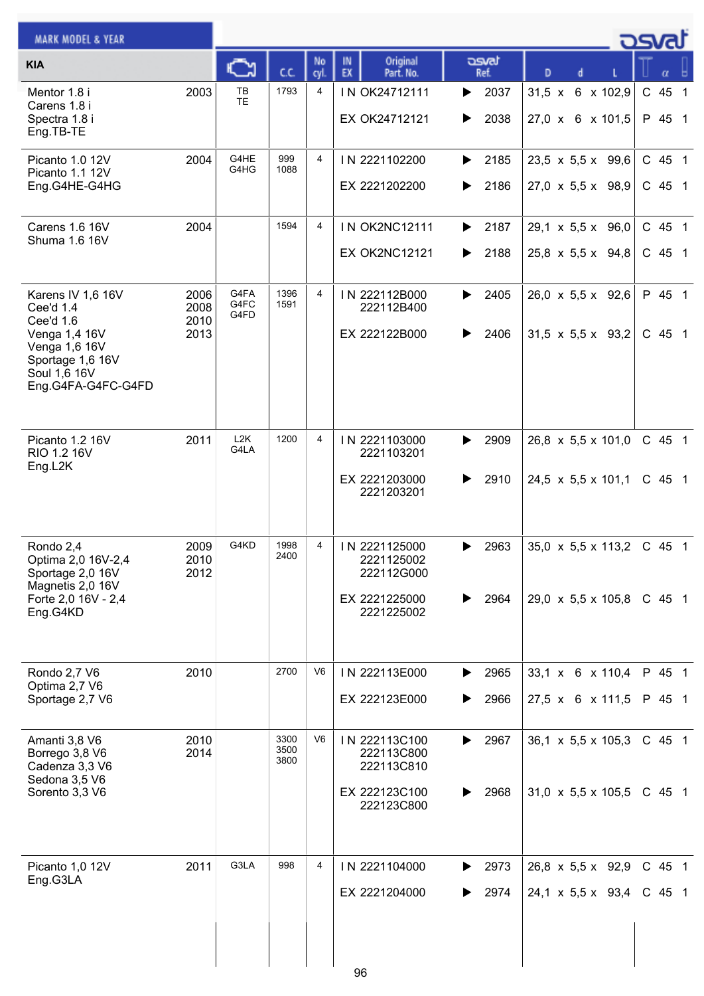| <b>MARK MODEL &amp; YEAR</b>                                                                                                            |                              |                      |                      |            |                                                                          |                        |                                                                    | <b>DSVAT</b>         |
|-----------------------------------------------------------------------------------------------------------------------------------------|------------------------------|----------------------|----------------------|------------|--------------------------------------------------------------------------|------------------------|--------------------------------------------------------------------|----------------------|
| <b>KIA</b>                                                                                                                              |                              | <b>CA</b>            | C.C.                 | No<br>cyl. | Original<br>IN<br>EX<br>Part. No.                                        | asvat<br>Ref.          | D                                                                  | α                    |
| Mentor 1.8 i<br>Carens 1.8 i<br>Spectra 1.8 i<br>Eng.TB-TE                                                                              | 2003                         | TB<br>TE             | 1793                 | 4          | IN OK24712111<br>EX OK24712121                                           | 2037<br>▶<br>2038<br>▶ | 31,5 x 6 x 102,9<br>27,0 x 6 x 101,5                               | C 45 1<br>P 45 1     |
| Picanto 1.0 12V<br>Picanto 1.1 12V<br>Eng.G4HE-G4HG                                                                                     | 2004                         | G4HE<br>G4HG         | 999<br>1088          | 4          | IN 2221102200<br>EX 2221202200                                           | 2185<br>▶<br>2186      | 23,5 x 5,5 x 99,6<br>$27,0 \times 5,5 \times 98,9$                 | C 45 1<br>C 45 1     |
| <b>Carens 1.6 16V</b><br>Shuma 1.6 16V                                                                                                  | 2004                         |                      | 1594                 | 4          | <b>IN OK2NC12111</b><br><b>EX OK2NC12121</b>                             | 2187<br>▶<br>2188<br>▶ | $29,1 \times 5,5 \times 96,0$<br>25,8 x 5,5 x 94,8                 | C 45 1<br>C 45 1     |
| Karens IV 1,6 16V<br>Cee'd 1.4<br>Cee'd 1.6<br>Venga 1,4 16V<br>Venga 1,6 16V<br>Sportage 1,6 16V<br>Soul 1,6 16V<br>Eng.G4FA-G4FC-G4FD | 2006<br>2008<br>2010<br>2013 | G4FA<br>G4FC<br>G4FD | 1396<br>1591         | 4          | IN 222112B000<br>222112B400<br>EX 222122B000                             | 2405<br>▶<br>2406<br>▶ | $26.0 \times 5.5 \times 92.6$<br>$31,5 \times 5,5 \times 93,2$     | P 45 1<br>$C$ 45 1   |
| Picanto 1.2 16V<br>RIO 1.2 16V<br>Eng.L2K                                                                                               | 2011                         | L2K<br>G4LA          | 1200                 | 4          | IN 2221103000<br>2221103201<br>EX 2221203000<br>2221203201               | 2909<br>▶<br>2910<br>▶ | $26,8 \times 5,5 \times 101,0$<br>24,5 x 5,5 x 101,1               | C 45 1<br>C 45 1     |
| Rondo 2,4<br>Optima 2,0 16V-2,4<br>Sportage 2,0 16V<br>Magnetis 2,0 16V<br>Forte 2,0 16V - 2,4<br>Eng.G4KD                              | 2009<br>2010<br>2012         | G4KD                 | 1998<br>2400         | 4          | IN 2221125000<br>2221125002<br>222112G000<br>EX 2221225000<br>2221225002 | 2963<br>▶<br>2964      | 35,0 $\times$ 5,5 $\times$ 113,2<br>$29,0 \times 5,5 \times 105,8$ | $C$ 45 1<br>$C$ 45 1 |
| Rondo 2,7 V6<br>Optima 2,7 V6<br>Sportage 2,7 V6                                                                                        | 2010                         |                      | 2700                 | V6         | IN 222113E000<br>EX 222123E000                                           | 2965<br>▶<br>2966<br>▶ | 33,1 x 6 x 110,4<br>27,5 x 6 x 111,5                               | P 45 1<br>P 45 1     |
| Amanti 3,8 V6<br>Borrego 3,8 V6<br>Cadenza 3,3 V6<br>Sedona 3,5 V6<br>Sorento 3,3 V6                                                    | 2010<br>2014                 |                      | 3300<br>3500<br>3800 | V6         | IN 222113C100<br>222113C800<br>222113C810<br>EX 222123C100<br>222123C800 | 2967<br>▶<br>2968<br>▶ | 36,1 $\times$ 5,5 $\times$ 105,3<br>$31,0 \times 5,5 \times 105,5$ | C 45 1<br>$C$ 45 1   |
| Picanto 1,0 12V<br>Eng.G3LA                                                                                                             | 2011                         | G3LA                 | 998                  | 4          | IN 2221104000<br>EX 2221204000                                           | 2973<br>▶<br>2974      | $26,8 \times 5,5 \times 92,9$<br>24,1 x 5,5 x 93,4                 | C 45 1<br>$C$ 45 1   |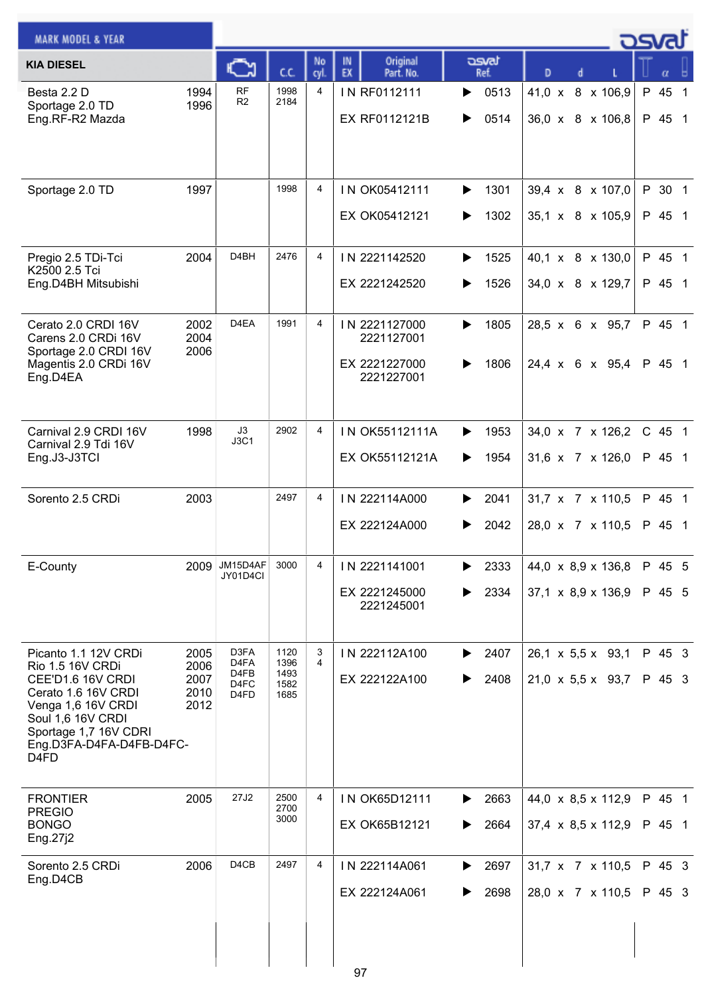| <b>MARK MODEL &amp; YEAR</b>                                                                                                                                                                                          |                                      |                                      |                                      |                |                                                            |                        |                                                                | <u>הכ</u>                        |
|-----------------------------------------------------------------------------------------------------------------------------------------------------------------------------------------------------------------------|--------------------------------------|--------------------------------------|--------------------------------------|----------------|------------------------------------------------------------|------------------------|----------------------------------------------------------------|----------------------------------|
| <b>KIA DIESEL</b>                                                                                                                                                                                                     |                                      |                                      | cc                                   | No<br>cvl.     | Original<br>IN<br>EX<br>Part. No.                          | asvat<br>Ref.          | D                                                              |                                  |
| Besta 2.2 D<br>Sportage 2.0 TD<br>Eng.RF-R2 Mazda                                                                                                                                                                     | 1994<br>1996                         | <b>RF</b><br>R <sub>2</sub>          | 1998<br>2184                         | 4              | IN RF0112111<br>EX RF0112121B                              | 0513<br>▶<br>0514<br>▶ | 41,0 x 8 x 106,9<br>36,0 x 8 x 106,8                           | P 45<br>$\overline{1}$<br>P 45 1 |
| Sportage 2.0 TD                                                                                                                                                                                                       | 1997                                 |                                      | 1998                                 | $\overline{4}$ | IN OK05412111<br>EX OK05412121                             | 1301<br>▶<br>1302<br>▶ | 39,4 x 8 x 107,0<br>35,1 x 8 x 105,9                           | P 30 1<br>P 45 1                 |
| Pregio 2.5 TDi-Tci<br>K2500 2.5 Tci<br>Eng.D4BH Mitsubishi                                                                                                                                                            | 2004                                 | D <sub>4</sub> BH                    | 2476                                 | 4              | IN 2221142520<br>EX 2221242520                             | 1525<br>▶<br>1526<br>▶ | 40,1 x 8 x 130,0<br>34,0 x 8 x 129,7                           | P 45 1<br>P 45 1                 |
| Cerato 2.0 CRDI 16V<br>Carens 2.0 CRDi 16V<br>Sportage 2.0 CRDI 16V<br>Magentis 2.0 CRDi 16V<br>Eng.D4EA                                                                                                              | 2002<br>2004<br>2006                 | D <sub>4</sub> EA                    | 1991                                 | 4              | IN 2221127000<br>2221127001<br>EX 2221227000<br>2221227001 | 1805<br>▶<br>1806<br>▶ | 28,5 x 6 x 95,7<br>24,4 x 6 x 95,4                             | P 45 1<br>P 45 1                 |
| Carnival 2.9 CRDI 16V<br>Carnival 2.9 Tdi 16V<br>Eng.J3-J3TCI                                                                                                                                                         | 1998                                 | J3<br><b>J3C1</b>                    | 2902                                 | 4              | IN OK55112111A<br>EX OK55112121A                           | 1953<br>▶<br>1954<br>▶ | 34,0 x 7 x 126,2<br>31,6 x 7 x 126,0                           | $C$ 45 1<br>P 45 1               |
| Sorento 2.5 CRDi                                                                                                                                                                                                      | 2003                                 |                                      | 2497                                 | 4              | IN 222114A000<br>EX 222124A000                             | 2041<br>▶<br>2042<br>▶ | 31,7 x 7 x 110,5<br>28,0 x 7 x 110,5                           | P 45 1<br>P 45 1                 |
| E-County                                                                                                                                                                                                              | 2009                                 | JM15D4AF<br>JY01D4Cl                 | 3000                                 | 4              | IN 2221141001<br>EX 2221245000<br>2221245001               | 2333<br>▶<br>2334<br>▶ | 44,0 x 8,9 x 136,8<br>$37,1 \times 8,9 \times 136,9$           | P 45 5<br>P 45 5                 |
| Picanto 1.1 12V CRDi<br>Rio 1.5 16V CRDi<br>CEE'D1.6 16V CRDI<br>Cerato 1.6 16V CRDI<br>Venga 1,6 16V CRDI<br>Soul 1,6 16V CRDI<br>Sportage 1,7 16V CDRI<br>Eng.D3FA-D4FA-D4FB-D4FC-<br>D <sub>4</sub> F <sub>D</sub> | 2005<br>2006<br>2007<br>2010<br>2012 | D3FA<br>D4FA<br>D4FB<br>D4FC<br>D4FD | 1120<br>1396<br>1493<br>1582<br>1685 | 3<br>4         | IN 222112A100<br>EX 222122A100                             | 2407<br>▶<br>2408<br>▶ | $26,1 \times 5,5 \times 93,1$<br>$21,0 \times 5,5 \times 93,7$ | P 45 3<br>P 45 3                 |
| <b>FRONTIER</b><br><b>PREGIO</b><br><b>BONGO</b><br>Eng.27j2                                                                                                                                                          | 2005                                 | 27J2                                 | 2500<br>2700<br>3000                 | 4              | IN OK65D12111<br>EX OK65B12121                             | 2663<br>▶<br>2664<br>▶ | $44,0 \times 8,5 \times 112,9$<br>37,4 x 8,5 x 112,9           | P 45 1<br>P 45 1                 |
| Sorento 2.5 CRDi<br>Eng.D4CB                                                                                                                                                                                          | 2006                                 | D <sub>4</sub> C <sub>B</sub>        | 2497                                 | 4              | IN 222114A061<br>EX 222124A061<br>07                       | 2697<br>▶<br>2698<br>▶ | $31,7 \times 7 \times 110,5$<br>28,0 x 7 x 110,5               | P 45 3<br>P 45 3                 |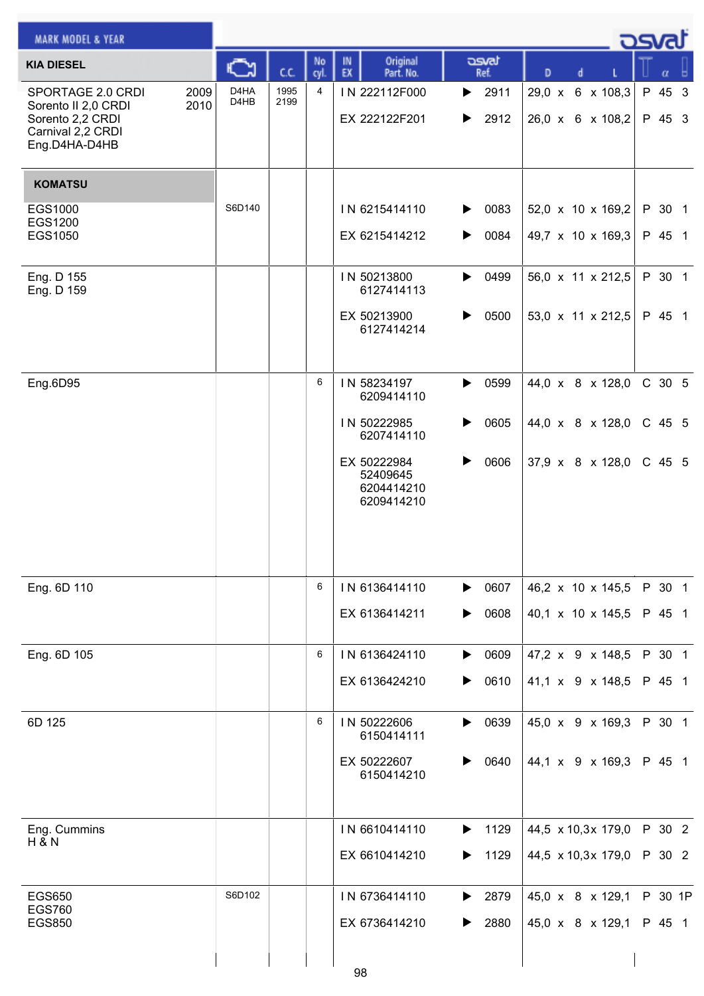| <b>MARK MODEL &amp; YEAR</b>                                                                                       |                                                    |              |            |                                                     |                                                          |                                      | <u>- ರಾಗಸ</u> |                  |  |
|--------------------------------------------------------------------------------------------------------------------|----------------------------------------------------|--------------|------------|-----------------------------------------------------|----------------------------------------------------------|--------------------------------------|---------------|------------------|--|
| <b>KIA DIESEL</b>                                                                                                  | C                                                  | C.C.         | No<br>cyl. | Original<br>IN<br>EX<br>Part. No.                   | asvat<br>Ref.                                            | D<br>d                               |               | α                |  |
| 2009<br>SPORTAGE 2.0 CRDI<br>2010<br>Sorento II 2,0 CRDI<br>Sorento 2,2 CRDI<br>Carnival 2,2 CRDI<br>Eng.D4HA-D4HB | D <sub>4</sub> HA<br>D <sub>4</sub> H <sub>B</sub> | 1995<br>2199 | 4          | IN 222112F000<br>EX 222122F201                      | $\blacktriangleright$ 2911<br>$\blacktriangleright$ 2912 | 29,0 x 6 x 108,3<br>26,0 x 6 x 108,2 |               | P 45 3<br>P 45 3 |  |
| <b>KOMATSU</b>                                                                                                     |                                                    |              |            |                                                     |                                                          |                                      |               |                  |  |
| EGS1000<br>EGS1200                                                                                                 | S6D140                                             |              |            | IN 6215414110                                       | 0083<br>▶                                                | 52,0 $\times$ 10 $\times$ 169,2      |               | P 30 1           |  |
| EGS1050                                                                                                            |                                                    |              |            | EX 6215414212                                       | 0084<br>▶                                                | 49,7 x 10 x 169,3                    |               | P 45 1           |  |
| Eng. D 155<br>Eng. D 159                                                                                           |                                                    |              |            | IN 50213800<br>6127414113                           | 0499<br>▶                                                | 56,0 x 11 x 212,5                    |               | P 30 1           |  |
|                                                                                                                    |                                                    |              |            | EX 50213900<br>6127414214                           | 0500<br>▶                                                | 53,0 x 11 x 212,5                    |               | P 45 1           |  |
| Eng.6D95                                                                                                           |                                                    |              | 6          | IN 58234197<br>6209414110                           | 0599<br>▶                                                | 44,0 x 8 x 128,0                     |               | C 30 5           |  |
|                                                                                                                    |                                                    |              |            | IN 50222985<br>6207414110                           | 0605<br>▶                                                | 44,0 x 8 x 128,0                     |               | C 45 5           |  |
|                                                                                                                    |                                                    |              |            | EX 50222984<br>52409645<br>6204414210<br>6209414210 | 0606<br>▶                                                | $37,9 \times 8 \times 128,0$         |               | C 45 5           |  |
| Eng. 6D 110                                                                                                        |                                                    |              | 6          | IN 6136414110                                       | $\triangleright$ 0607                                    | 46,2 x 10 x 145,5                    |               | P 30 1           |  |
|                                                                                                                    |                                                    |              |            | EX 6136414211                                       | 0608<br>▶                                                | 40,1 x 10 x 145,5                    |               | P 45 1           |  |
| Eng. 6D 105                                                                                                        |                                                    |              | 6          | IN 6136424110                                       | $\blacktriangleright$ 0609                               | 47,2 x 9 x 148,5                     |               | P 30 1           |  |
|                                                                                                                    |                                                    |              |            | EX 6136424210                                       | 0610<br>▶                                                | 41,1 x 9 x 148,5                     |               | P 45 1           |  |
| 6D 125                                                                                                             |                                                    |              | 6          | IN 50222606<br>6150414111                           | $\blacktriangleright$ 0639                               | 45,0 x 9 x 169,3                     |               | P 30 1           |  |
|                                                                                                                    |                                                    |              |            | EX 50222607<br>6150414210                           | 0640<br>▶                                                | 44,1 x 9 x 169,3                     |               | P 45 1           |  |
| Eng. Cummins<br><b>H &amp; N</b>                                                                                   |                                                    |              |            | IN 6610414110                                       | 1129<br>▶                                                | 44,5 $\times$ 10,3x 179,0            |               | P 30 2           |  |
|                                                                                                                    |                                                    |              |            | EX 6610414210                                       | 1129<br>▶                                                | 44,5 $\times$ 10,3x 179,0            |               | P 30 2           |  |
| <b>EGS650</b><br><b>EGS760</b>                                                                                     | S6D102                                             |              |            | IN 6736414110                                       | 2879<br>▶                                                | 45,0 x 8 x 129,1                     |               | P 30 1P          |  |
| <b>EGS850</b>                                                                                                      |                                                    |              |            | EX 6736414210                                       | 2880<br>▶                                                | 45,0 x 8 x 129,1                     |               | P 45 1           |  |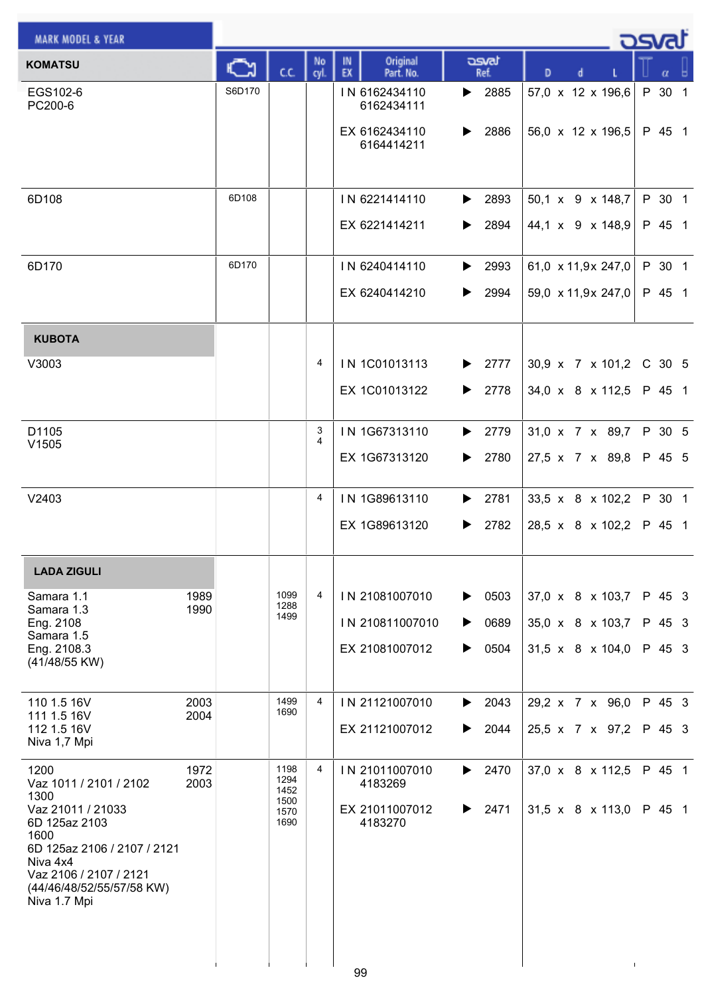| <b>MARK MODEL &amp; YEAR</b>                                                                                                                                 |              |        |                      |            |                                              |                                         |                                          | كصحت             |  |
|--------------------------------------------------------------------------------------------------------------------------------------------------------------|--------------|--------|----------------------|------------|----------------------------------------------|-----------------------------------------|------------------------------------------|------------------|--|
| <b>KOMATSU</b>                                                                                                                                               |              | Ѽ      | C.C.                 | No<br>cyl. | Original<br>IN<br>EX<br>Part. No.            | asvat<br>Ref.                           | d<br>D                                   | α                |  |
| EGS102-6<br>PC200-6                                                                                                                                          |              | S6D170 |                      |            | IN 6162434110<br>6162434111<br>EX 6162434110 | $\blacktriangleright$ 2885<br>2886<br>▶ | 57,0 x 12 x 196,6<br>56,0 x 12 x 196,5   | P 30 1<br>P 45 1 |  |
|                                                                                                                                                              |              |        |                      |            | 6164414211                                   |                                         |                                          |                  |  |
| 6D108                                                                                                                                                        |              | 6D108  |                      |            | IN 6221414110<br>EX 6221414211               | $\blacktriangleright$ 2893<br>2894<br>▶ | 50,1 x 9 x 148,7<br>44,1 x 9 x 148,9     | P 30 1<br>P 45 1 |  |
| 6D170                                                                                                                                                        |              | 6D170  |                      |            | IN 6240414110<br>EX 6240414210               | $\blacktriangleright$ 2993<br>2994<br>▶ | 61,0 x 11,9x 247,0<br>59,0 x 11,9x 247,0 | P 30 1<br>P 45 1 |  |
|                                                                                                                                                              |              |        |                      |            |                                              |                                         |                                          |                  |  |
| <b>KUBOTA</b>                                                                                                                                                |              |        |                      |            |                                              |                                         |                                          |                  |  |
| V3003                                                                                                                                                        |              |        |                      | 4          | IN 1C01013113                                | 2777<br>▶                               | 30,9 x 7 x 101,2                         | C 30 5           |  |
|                                                                                                                                                              |              |        |                      |            | EX 1C01013122                                | 2778<br>▶                               | 34,0 x 8 x 112,5                         | P 45 1           |  |
| D1105<br>V1505                                                                                                                                               |              |        |                      | 3<br>4     | IN 1G67313110                                | 2779<br>▶                               | 31,0 x 7 x 89,7                          | P 30 5           |  |
|                                                                                                                                                              |              |        |                      |            | EX 1G67313120                                | 2780<br>▶                               | 27,5 x 7 x 89,8                          | P 45 5           |  |
| V2403                                                                                                                                                        |              |        |                      | 4          | IN 1G89613110                                | 2781<br>▶                               | 33,5 x 8 x 102,2                         | P 30 1           |  |
|                                                                                                                                                              |              |        |                      |            | EX 1G89613120                                | 2782<br>▶                               | 28,5 x 8 x 102,2                         | P 45 1           |  |
| <b>LADA ZIGULI</b>                                                                                                                                           |              |        |                      |            |                                              |                                         |                                          |                  |  |
| Samara 1.1<br>Samara 1.3                                                                                                                                     | 1989<br>1990 |        | 1099<br>1288         | 4          | IN 21081007010                               | 0503<br>▶                               | 37,0 x 8 x 103,7                         | P 45 3           |  |
| Eng. 2108<br>Samara 1.5                                                                                                                                      |              |        | 1499                 |            | IN 210811007010                              | 0689<br>▶                               | 35,0 x 8 x 103,7                         | P 45 3           |  |
| Eng. 2108.3<br>(41/48/55 KW)                                                                                                                                 |              |        |                      |            | EX 21081007012                               | 0504<br>▶                               | $31,5 \times 8 \times 104,0$             | P 45 3           |  |
| 110 1.5 16V                                                                                                                                                  | 2003         |        | 1499<br>1690         | 4          | IN 21121007010                               | 2043<br>▶                               | 29,2 x 7 x 96,0                          | P 45 3           |  |
| 111 1.5 16V<br>112 1.5 16V<br>Niva 1,7 Mpi                                                                                                                   | 2004         |        |                      |            | EX 21121007012                               | 2044<br>▶                               | 25,5 x 7 x 97,2                          | P 45 3           |  |
| 1200<br>Vaz 1011 / 2101 / 2102<br>1300                                                                                                                       | 1972<br>2003 |        | 1198<br>1294<br>1452 | 4          | IN 21011007010<br>4183269                    | 2470<br>$\blacktriangleright$           | 37,0 x 8 x 112,5                         | P 45 1           |  |
| Vaz 21011 / 21033<br>6D 125az 2103<br>1600<br>6D 125az 2106 / 2107 / 2121<br>Niva 4x4<br>Vaz 2106 / 2107 / 2121<br>(44/46/48/52/55/57/58 KW)<br>Niva 1.7 Mpi |              |        | 1500<br>1570<br>1690 |            | EX 21011007012<br>4183270<br>00              | 2471<br>▶                               | $31,5 \times 8 \times 113,0$             | P 45 1           |  |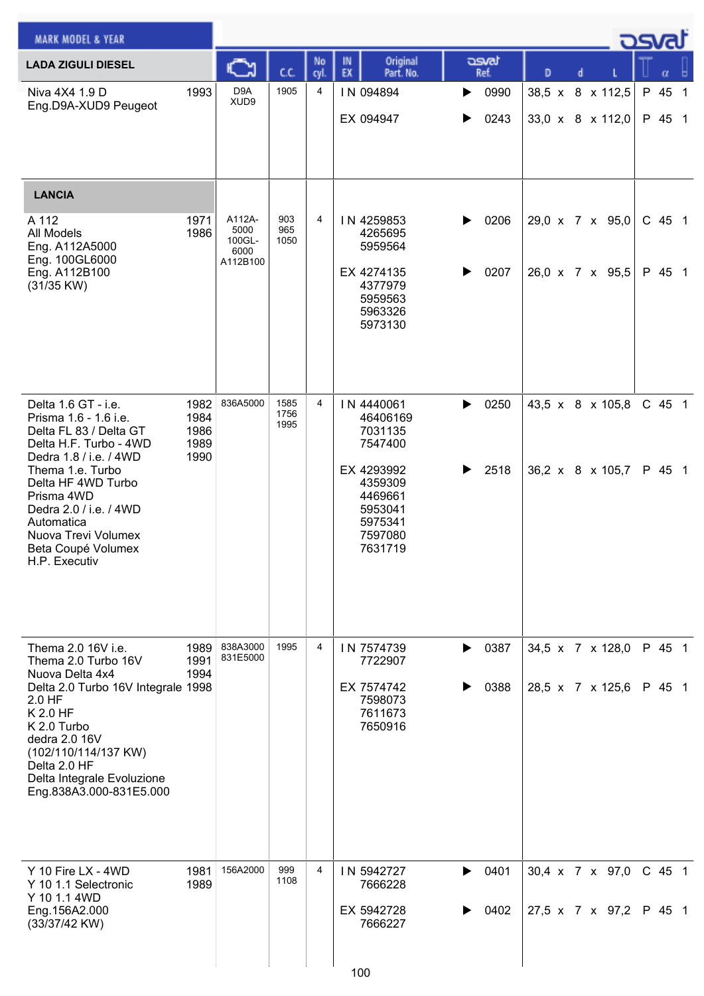| <b>MARK MODEL &amp; YEAR</b>                                                                                                                                                                                 |                              |                                              |                      |            |                                                                                            |                            |               |   |   |                                                  | osvat              |  |
|--------------------------------------------------------------------------------------------------------------------------------------------------------------------------------------------------------------|------------------------------|----------------------------------------------|----------------------|------------|--------------------------------------------------------------------------------------------|----------------------------|---------------|---|---|--------------------------------------------------|--------------------|--|
| <b>LADA ZIGULI DIESEL</b>                                                                                                                                                                                    |                              |                                              | cc                   | No<br>cvl. | Original<br>IN<br>EX<br>Part. No.                                                          |                            | asvat<br>Ref. | D | d |                                                  |                    |  |
| Niva 4X4 1.9 D<br>Eng.D9A-XUD9 Peugeot                                                                                                                                                                       | 1993                         | D <sub>9</sub> A<br>XUD9                     | 1905                 | 4          | IN 094894<br>EX 094947                                                                     | ▶<br>▶                     | 0990<br>0243  |   |   | 38,5 x 8 x 112,5<br>$33,0 \times 8 \times 112,0$ | P 45 1<br>P 45 1   |  |
| <b>LANCIA</b>                                                                                                                                                                                                |                              |                                              |                      |            |                                                                                            |                            |               |   |   |                                                  |                    |  |
| A 112<br>All Models<br>Eng. A112A5000<br>Eng. 100GL6000<br>Eng. A112B100<br>$(31/35$ KW)                                                                                                                     | 1971<br>1986                 | A112A-<br>5000<br>100GL-<br>6000<br>A112B100 | 903<br>965<br>1050   | 4          | IN 4259853<br>4265695<br>5959564<br>EX 4274135<br>4377979<br>5959563<br>5963326<br>5973130 | ▶<br>▶                     | 0206<br>0207  |   |   | 29,0 x 7 x 95,0<br>26,0 x 7 x 95,5               | $C$ 45 1<br>P 45 1 |  |
| Delta 1.6 GT - i.e.<br>Prisma 1.6 - 1.6 i.e.<br>Delta FL 83 / Delta GT<br>Delta H.F. Turbo - 4WD                                                                                                             | 1982<br>1984<br>1986<br>1989 | 836A5000                                     | 1585<br>1756<br>1995 | 4          | IN 4440061<br>46406169<br>7031135<br>7547400                                               | ▶                          | 0250          |   |   | 43,5 x 8 x 105,8                                 | C 45 1             |  |
| Dedra 1.8 / i.e. / 4WD<br>Thema 1.e. Turbo<br>Delta HF 4WD Turbo<br>Prisma 4WD<br>Dedra 2.0 / i.e. / 4WD<br>Automatica<br>Nuova Trevi Volumex<br>Beta Coupé Volumex<br>H.P. Executiv                         | 1990                         |                                              |                      |            | EX 4293992<br>4359309<br>4469661<br>5953041<br>5975341<br>7597080<br>7631719               | ▶                          | 2518          |   |   | 36,2 x 8 x 105,7                                 | P 45 1             |  |
| Thema 2.0 16V i.e.<br>Thema 2.0 Turbo 16V                                                                                                                                                                    | 1989<br>1991                 | 838A3000<br>831E5000                         | 1995                 | 4          | IN 7574739<br>7722907                                                                      | ▶                          | 0387          |   |   | 34,5 x 7 x 128,0                                 | P 45 1             |  |
| Nuova Delta 4x4<br>Delta 2.0 Turbo 16V Integrale 1998<br>2.0 HF<br>K 2.0 HF<br>K 2.0 Turbo<br>dedra 2.0 16V<br>(102/110/114/137 KW)<br>Delta 2.0 HF<br>Delta Integrale Evoluzione<br>Eng.838A3.000-831E5.000 | 1994                         |                                              |                      |            | EX 7574742<br>7598073<br>7611673<br>7650916                                                | ▶                          | 0388          |   |   | 28,5 x 7 x 125,6                                 | P 45 1             |  |
| Y 10 Fire LX - 4WD<br>Y 10 1.1 Selectronic<br>Y 10 1.1 4WD<br>Eng.156A2.000<br>(33/37/42 KW)                                                                                                                 | 1981<br>1989                 | 156A2000                                     | 999<br>1108          | 4          | IN 5942727<br>7666228<br>EX 5942728<br>7666227                                             | $\blacktriangleright$<br>▶ | 0401<br>0402  |   |   | 30,4 x 7 x 97,0<br>27,5 x 7 x 97,2               | $C$ 45 1<br>P 45 1 |  |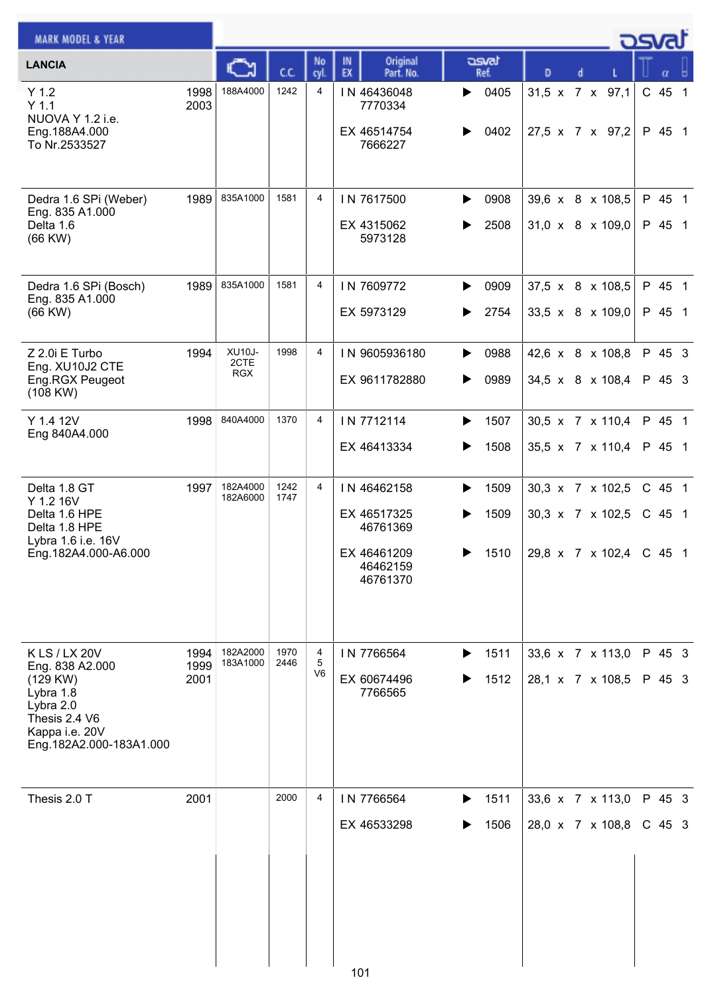| <b>MARK MODEL &amp; YEAR</b>                                                                                                         |                      |                              |              |                          |                                                                               |                           |                                                                             | asvat              |  |
|--------------------------------------------------------------------------------------------------------------------------------------|----------------------|------------------------------|--------------|--------------------------|-------------------------------------------------------------------------------|---------------------------|-----------------------------------------------------------------------------|--------------------|--|
| <b>LANCIA</b>                                                                                                                        |                      |                              | C.C.         | No<br>cyl.               | Original<br>IN.<br>EX<br>Part. No.                                            | asvat<br>Ref.             | D                                                                           | α                  |  |
| Y 1.2<br>$Y$ 1.1<br>NUOVA Y 1.2 i.e.<br>Eng.188A4.000<br>To Nr.2533527                                                               | 1998<br>2003         | 188A4000                     | 1242         | 4                        | IN 46436048<br>7770334<br>EX 46514754<br>7666227                              | 0405<br>▶<br>0402<br>▶    | 31,5 x 7 x 97,1<br>27,5 x 7 x 97,2                                          | C 45 1<br>P 45 1   |  |
| Dedra 1.6 SPi (Weber)<br>Eng. 835 A1.000<br>Delta 1.6<br>$(66$ KW $)$                                                                | 1989                 | 835A1000                     | 1581         | 4                        | IN 7617500<br>EX 4315062<br>5973128                                           | 0908<br>▶<br>2508<br>▶    | 39,6 x 8 x 108,5<br>$31,0 \times 8 \times 109,0$                            | P 45 1<br>P 45 1   |  |
| Dedra 1.6 SPi (Bosch)<br>Eng. 835 A1.000<br>$(66$ KW $)$                                                                             | 1989                 | 835A1000                     | 1581         | 4                        | IN 7609772<br>EX 5973129                                                      | 0909<br>▶<br>2754<br>▶    | 37,5 x 8 x 108,5<br>33,5 x 8 x 109,0                                        | P 45 1<br>P 45 1   |  |
| Z 2.0i E Turbo<br>Eng. XU10J2 CTE<br>Eng.RGX Peugeot<br>(108 KW)                                                                     | 1994                 | XU10J-<br>2CTE<br><b>RGX</b> | 1998         | 4                        | IN 9605936180<br>EX 9611782880                                                | 0988<br>▶<br>0989<br>▶    | 42,6 x 8 x 108,8<br>34,5 x 8 x 108,4                                        | P 45 3<br>P 45 3   |  |
| Y 1.4 12V<br>Eng 840A4.000                                                                                                           | 1998                 | 840A4000                     | 1370         | 4                        | IN 7712114<br>EX 46413334                                                     | 1507<br>▶<br>1508<br>▶    | 30,5 x 7 x 110,4<br>35,5 x 7 x 110,4                                        | P 45 1<br>P 45 1   |  |
| Delta 1.8 GT<br>Y 1.2 16V<br>Delta 1.6 HPE<br>Delta 1.8 HPE<br>Lybra 1.6 i.e. 16V<br>Eng.182A4.000-A6.000                            | 1997                 | 182A4000<br>182A6000         | 1242<br>1747 | 4                        | IN 46462158<br>EX 46517325<br>46761369<br>EX 46461209<br>46462159<br>46761370 | 1509<br>▶<br>1509<br>1510 | 30,3 x 7 x 102,5<br>30,3 x 7 x 102,5<br>$29.8 \times 7 \times 102.4$ C 45 1 | C 45 1<br>C 45 1   |  |
| K LS / LX 20V<br>Eng. 838 A2.000<br>(129 KW)<br>Lybra 1.8<br>Lybra 2.0<br>Thesis 2.4 V6<br>Kappa i.e. 20V<br>Eng.182A2.000-183A1.000 | 1994<br>1999<br>2001 | 182A2000<br>183A1000         | 1970<br>2446 | 4<br>5<br>V <sub>6</sub> | IN 7766564<br>EX 60674496<br>7766565                                          | 1511<br>▶<br>1512         | 33,6 x 7 x 113,0<br>28,1 x 7 x 108,5                                        | P 45 3<br>P 45 3   |  |
| Thesis 2.0 T                                                                                                                         | 2001                 |                              | 2000         | 4                        | IN 7766564<br>EX 46533298<br>101                                              | 1511<br>▶<br>1506         | 33,6 x 7 x 113,0<br>28,0 x 7 x 108,8                                        | P 45 3<br>$C$ 45 3 |  |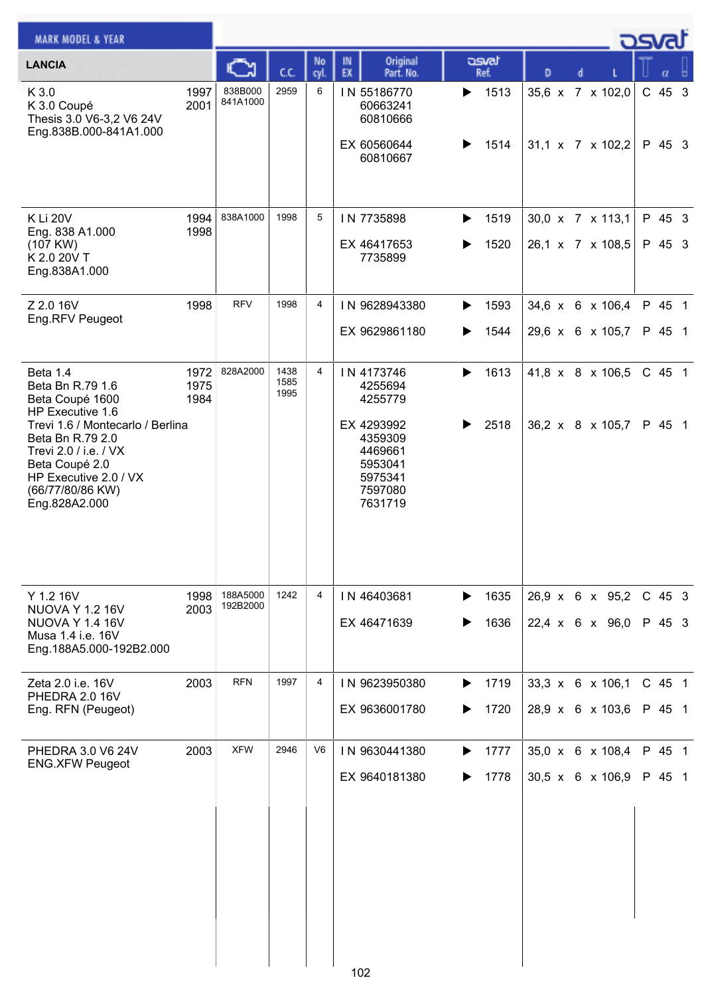| <b>MARK MODEL &amp; YEAR</b>                                                                                                                                                                                                         |                      |                      |                      |            |                                                                                                                  |                        |                                                              | ರಾ               |                  |  |
|--------------------------------------------------------------------------------------------------------------------------------------------------------------------------------------------------------------------------------------|----------------------|----------------------|----------------------|------------|------------------------------------------------------------------------------------------------------------------|------------------------|--------------------------------------------------------------|------------------|------------------|--|
| <b>LANCIA</b>                                                                                                                                                                                                                        |                      |                      | C.C.                 | No<br>cyl. | Original<br>IN.<br>EX<br>Part. No.                                                                               | asvat<br>Ref.          | D                                                            |                  |                  |  |
| K 3.0<br>K 3.0 Coupé<br>Thesis 3.0 V6-3,2 V6 24V<br>Eng.838B.000-841A1.000                                                                                                                                                           | 1997<br>2001         | 838B000<br>841A1000  | 2959                 | 6          | IN 55186770<br>60663241<br>60810666<br>EX 60560644<br>60810667                                                   | 1513<br>▶<br>1514<br>▶ | 35,6 x 7 x 102,0<br>31,1 x 7 x 102,2                         | C 45 3           | P 45 3           |  |
| K Li 20V<br>Eng. 838 A1.000<br>(107 KW)<br>K 2.0 20V T<br>Eng.838A1.000                                                                                                                                                              | 1994<br>1998         | 838A1000             | 1998                 | 5          | IN 7735898<br>EX 46417653<br>7735899                                                                             | 1519<br>▶<br>1520      | $30,0 \times 7 \times 113,1$<br>26,1 x 7 x 108,5             |                  | P 45 3<br>P 45 3 |  |
| Z 2.0 16V<br>Eng.RFV Peugeot                                                                                                                                                                                                         | 1998                 | <b>RFV</b>           | 1998                 | 4          | IN 9628943380<br>EX 9629861180                                                                                   | 1593<br>▶<br>1544      | $34,6 \times 6 \times 106,4$<br>29,6 x 6 x 105,7             |                  | P 45 1<br>P 45 1 |  |
| Beta 1.4<br>Beta Bn R.79 1.6<br>Beta Coupé 1600<br>HP Executive 1.6<br>Trevi 1.6 / Montecarlo / Berlina<br>Beta Bn R.79 2.0<br>Trevi 2.0 / i.e. / VX<br>Beta Coupé 2.0<br>HP Executive 2.0 / VX<br>(66/77/80/86 KW)<br>Eng.828A2.000 | 1972<br>1975<br>1984 | 828A2000             | 1438<br>1585<br>1995 | 4          | IN 4173746<br>4255694<br>4255779<br>EX 4293992<br>4359309<br>4469661<br>5953041<br>5975341<br>7597080<br>7631719 | 1613<br>▶<br>2518      | 41,8 x 8 x 106,5<br>36,2 x 8 x 105,7                         |                  | C 45 1<br>P 45 1 |  |
| Y 1.2 16V<br><b>NUOVA Y 1.2 16V</b><br><b>NUOVA Y 1.4 16V</b><br>Musa 1.4 i.e. 16V<br>Eng.188A5.000-192B2.000                                                                                                                        | 1998<br>2003         | 188A5000<br>192B2000 | 1242                 | 4          | IN 46403681<br>EX 46471639                                                                                       | 1635<br>▶<br>1636<br>▶ | $26,9 \times 6 \times 95,2$<br>22,4 $\times$ 6 $\times$ 96,0 | C 45 3<br>P 45 3 |                  |  |
| Zeta 2.0 i.e. 16V<br>PHEDRA 2.0 16V<br>Eng. RFN (Peugeot)                                                                                                                                                                            | 2003                 | <b>RFN</b>           | 1997                 | 4          | IN 9623950380<br>EX 9636001780                                                                                   | 1719<br>▶<br>1720<br>▶ | 33,3 x 6 x 106,1<br>28,9 x 6 x 103,6                         |                  | C 45 1<br>P 45 1 |  |
| PHEDRA 3.0 V6 24V<br><b>ENG.XFW Peugeot</b>                                                                                                                                                                                          | 2003                 | <b>XFW</b>           | 2946                 | V6         | IN 9630441380<br>EX 9640181380                                                                                   | 1777<br>▶<br>1778<br>▶ | 35,0 x 6 x 108,4<br>$30,5 \times 6 \times 106,9$             |                  | P 45 1<br>P 45 1 |  |
|                                                                                                                                                                                                                                      |                      |                      |                      |            | 102                                                                                                              |                        |                                                              |                  |                  |  |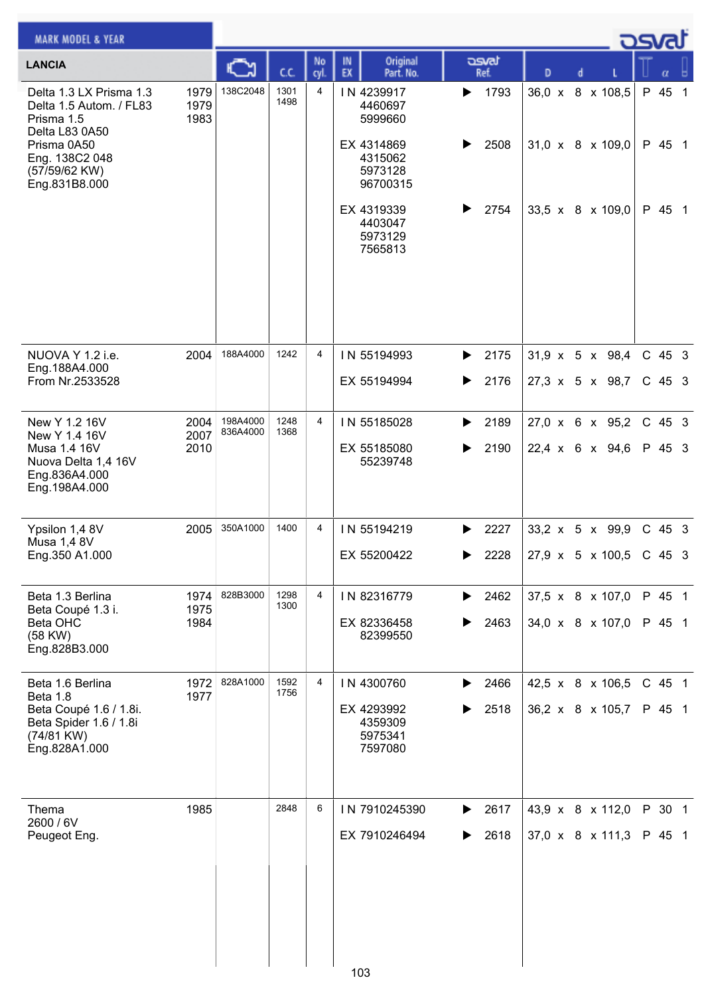| <b>MARK MODEL &amp; YEAR</b>                                                                                                                          |                      |                      |              |                |                                                                                                                                 |                           |                                                                      | asvat  |                            |  |
|-------------------------------------------------------------------------------------------------------------------------------------------------------|----------------------|----------------------|--------------|----------------|---------------------------------------------------------------------------------------------------------------------------------|---------------------------|----------------------------------------------------------------------|--------|----------------------------|--|
| <b>LANCIA</b>                                                                                                                                         |                      |                      | cc           | No<br>cyl.     | Original<br>IN<br>EX<br>Part. No.                                                                                               | asvat<br>Ref.             | D<br>d                                                               |        |                            |  |
| Delta 1.3 LX Prisma 1.3<br>Delta 1.5 Autom. / FL83<br>Prisma 1.5<br>Delta L83 0A50<br>Prisma 0A50<br>Eng. 138C2 048<br>(57/59/62 KW)<br>Eng.831B8.000 | 1979<br>1979<br>1983 | 138C2048             | 1301<br>1498 | 4              | IN 4239917<br>4460697<br>5999660<br>EX 4314869<br>4315062<br>5973128<br>96700315<br>EX 4319339<br>4403047<br>5973129<br>7565813 | 1793<br>▶<br>2508<br>2754 | 36,0 x 8 x 108,5<br>$31,0 \times 8 \times 109,0$<br>33,5 x 8 x 109,0 |        | P 45 1<br>P 45 1<br>P 45 1 |  |
| NUOVA Y 1.2 i.e.<br>Eng.188A4.000<br>From Nr.2533528                                                                                                  | 2004                 | 188A4000             | 1242         | 4              | IN 55194993<br>EX 55194994                                                                                                      | 2175<br>▶<br>2176<br>▶    | $31,9 \times 5 \times 98,4$<br>27,3 x 5 x 98,7                       |        | $C$ 45 3<br>$C$ 45 3       |  |
| New Y 1.2 16V<br>New Y 1.4 16V<br>Musa 1.4 16V<br>Nuova Delta 1,4 16V<br>Eng.836A4.000<br>Eng.198A4.000                                               | 2004<br>2007<br>2010 | 198A4000<br>836A4000 | 1248<br>1368 | 4              | IN 55185028<br>EX 55185080<br>55239748                                                                                          | 2189<br>▶<br>2190<br>▶    | $27,0 \times 6 \times 95,2$<br>22,4 x 6 x 94,6                       |        | $C$ 45 3<br>P 45 3         |  |
| Ypsilon 1,4 8V<br>Musa 1,4 8V<br>Eng.350 A1.000                                                                                                       | 2005                 | 350A1000             | 1400         | 4              | IN 55194219<br>EX 55200422                                                                                                      | 2227<br>2228              | $33,2 \times 5 \times 99,9$<br>$27.9 \times 5 \times 100.5$ C 45 3   |        | $C$ 45 3                   |  |
| Beta 1.3 Berlina<br>Beta Coupé 1.3 i.<br>Beta OHC<br>(58 KW)<br>Eng.828B3.000                                                                         | 1974<br>1975<br>1984 | 828B3000             | 1298<br>1300 | $\overline{4}$ | IN 82316779<br>EX 82336458<br>82399550                                                                                          | 2462<br>▶<br>2463         | $37,5 \times 8 \times 107,0$<br>34,0 x 8 x 107,0                     | P 45 1 | P 45 1                     |  |
| Beta 1.6 Berlina<br>Beta 1.8<br>Beta Coupé 1.6 / 1.8i.<br>Beta Spider 1.6 / 1.8i<br>(74/81 KW)<br>Eng.828A1.000                                       | 1972<br>1977         | 828A1000             | 1592<br>1756 | 4              | IN 4300760<br>EX 4293992<br>4359309<br>5975341<br>7597080                                                                       | 2466<br>2518              | 42,5 x 8 x 106,5<br>36,2 x 8 x 105,7                                 |        | C 45 1<br>P 45 1           |  |
| Thema<br>2600 / 6V<br>Peugeot Eng.                                                                                                                    | 1985                 |                      | 2848         | 6              | IN 7910245390<br>EX 7910246494<br>103                                                                                           | 2617<br>▶<br>2618         | 43,9 x 8 x 112,0<br>37,0 x 8 x 111,3                                 |        | P 30 1<br>P 45 1           |  |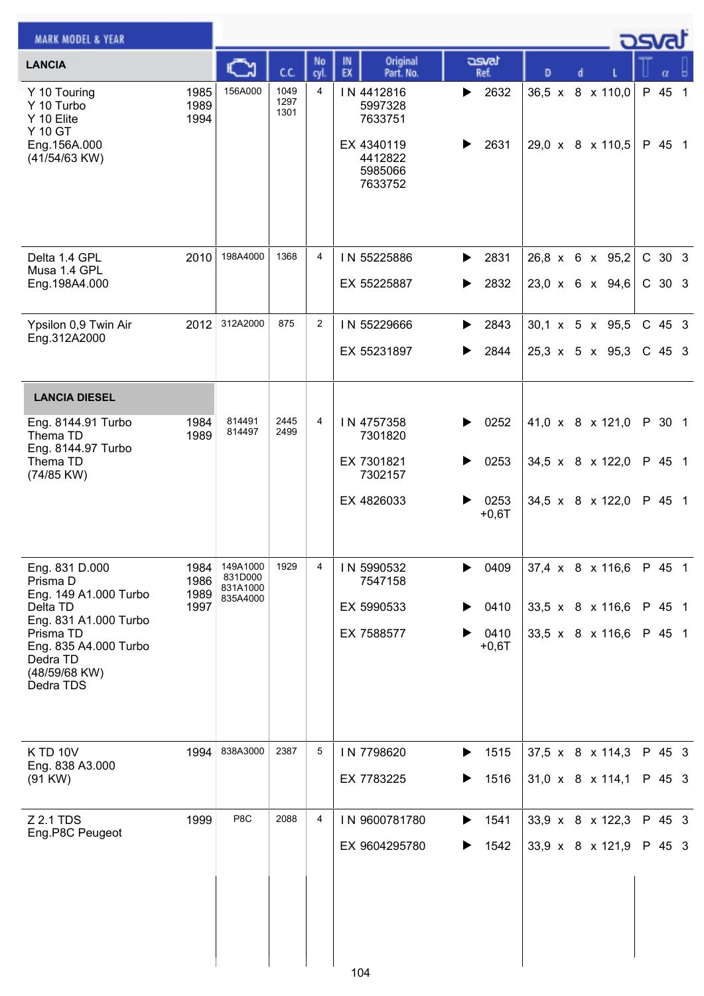| <b>MARK MODEL &amp; YEAR</b>                                                                          |                              |                                             |                      |                |                                                                                 |                                            |   |                                                    | osvat |                      |  |
|-------------------------------------------------------------------------------------------------------|------------------------------|---------------------------------------------|----------------------|----------------|---------------------------------------------------------------------------------|--------------------------------------------|---|----------------------------------------------------|-------|----------------------|--|
| <b>LANCIA</b>                                                                                         |                              | C                                           | CC.                  | No<br>cyl.     | Original<br>IN<br>EX<br>Part. No.                                               | asvat<br>Ref.                              | D |                                                    |       | α                    |  |
| Y 10 Touring<br>Y 10 Turbo<br>Y 10 Elite<br>Y 10 GT<br>Eng.156A.000<br>(41/54/63 KW)                  | 1985<br>1989<br>1994         | 156A000                                     | 1049<br>1297<br>1301 | 4              | IN 4412816<br>5997328<br>7633751<br>EX 4340119<br>4412822<br>5985066<br>7633752 | 2632<br>▶<br>2631<br>▶                     |   | 36,5 x 8 x 110,0<br>29,0 x 8 x 110,5               |       | P 45 1<br>P 45 1     |  |
| Delta 1.4 GPL<br>Musa 1.4 GPL<br>Eng.198A4.000                                                        | 2010                         | 198A4000                                    | 1368                 | 4              | IN 55225886<br>EX 55225887                                                      | 2831<br>▶<br>2832<br>▶                     |   | 26,8 x 6 x 95,2<br>23,0 x 6 x 94,6                 |       | C 30 3<br>C 30 3     |  |
| Ypsilon 0,9 Twin Air<br>Eng.312A2000                                                                  | 2012                         | 312A2000                                    | 875                  | $\overline{2}$ | IN 55229666<br>EX 55231897                                                      | 2843<br>▶<br>2844<br>▶                     |   | 30,1 x 5 x 95,5<br>$25,3 \times 5 \times 95,3$     |       | $C$ 45 3<br>$C$ 45 3 |  |
| <b>LANCIA DIESEL</b>                                                                                  |                              |                                             |                      |                |                                                                                 |                                            |   |                                                    |       |                      |  |
| Eng. 8144.91 Turbo<br>Thema TD<br>Eng. 8144.97 Turbo<br>Thema TD<br>(74/85 KW)                        | 1984<br>1989                 | 814491<br>814497                            | 2445<br>2499         | 4              | IN 4757358<br>7301820<br>EX 7301821<br>7302157                                  | 0252<br>▶<br>0253<br>▶                     |   | 41,0 x 8 x 121,0<br>34,5 x $8 \times 122,0$        |       | P 30 1<br>P 45 1     |  |
|                                                                                                       |                              |                                             |                      |                | EX 4826033                                                                      | 0253<br>$+0,6T$                            |   | 34,5 x 8 x 122,0                                   |       | P 45 1               |  |
| Eng. 831 D.000<br>Prisma D<br>Eng. 149 A1.000 Turbo<br>Delta TD                                       | 1984<br>1986<br>1989<br>1997 | 149A1000<br>831D000<br>831A1000<br>835A4000 | 1929                 | 4              | IN 5990532<br>7547158<br>EX 5990533                                             | 0409<br>0410                               |   | 37,4 x 8 x 116,6<br>33,5 x $8 \times 116,6$        |       | P 45 1<br>P 45 1     |  |
| Eng. 831 A1.000 Turbo<br>Prisma TD<br>Eng. 835 A4.000 Turbo<br>Dedra TD<br>(48/59/68 KW)<br>Dedra TDS |                              |                                             |                      |                | EX 7588577                                                                      | 0410<br>$+0,6T$                            |   | 33,5 x 8 x 116,6                                   |       | P 45 1               |  |
| <b>K TD 10V</b><br>Eng. 838 A3.000<br>(91 KW)                                                         | 1994                         | 838A3000                                    | 2387                 | 5              | IN 7798620<br>EX 7783225                                                        | 1515<br>$\blacktriangleright$<br>1516<br>▶ |   | 37,5 x 8 x 114,3<br>$31,0 \times 8 \times 114,1$   |       | P 45 3<br>P 45 3     |  |
| Z 2.1 TDS<br>Eng.P8C Peugeot                                                                          | 1999                         | P8C                                         | 2088                 | 4              | IN 9600781780<br>EX 9604295780                                                  | 1541<br>▶<br>1542                          |   | 33,9 x 8 x 122,3<br>33,9 $\times$ 8 $\times$ 121,9 |       | P 45 3<br>P 45 3     |  |
|                                                                                                       |                              |                                             |                      |                | 104                                                                             |                                            |   |                                                    |       |                      |  |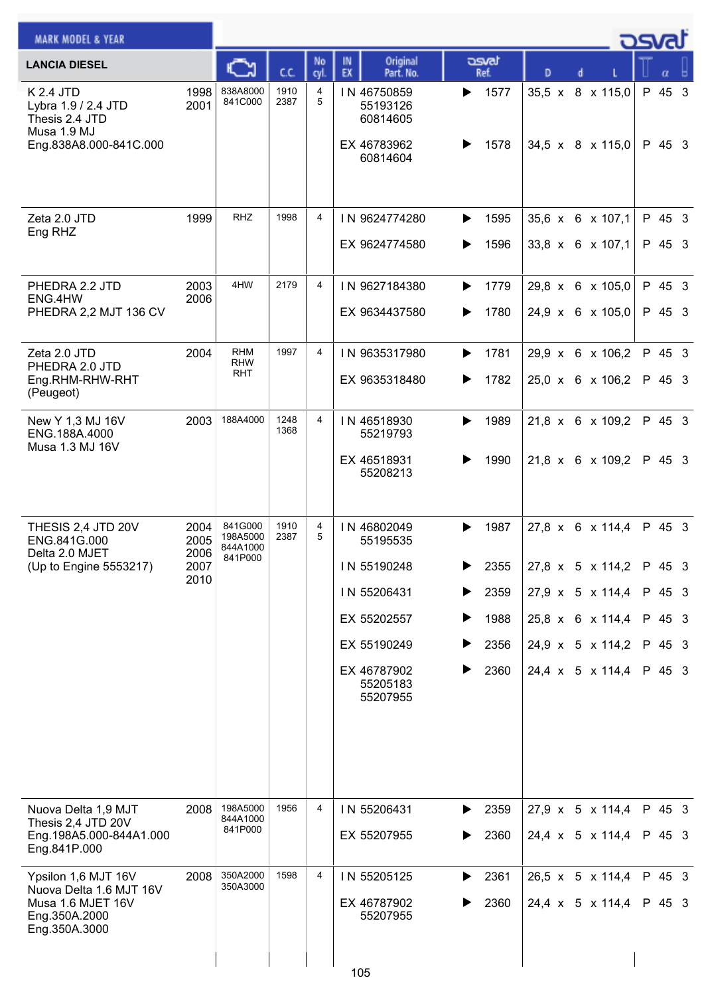| <b>MARK MODEL &amp; YEAR</b>                                                                          |                                      |                                            |              |            |                                                                                                                            |                                                                            |                                                                                                                                  | osvat                                                    |
|-------------------------------------------------------------------------------------------------------|--------------------------------------|--------------------------------------------|--------------|------------|----------------------------------------------------------------------------------------------------------------------------|----------------------------------------------------------------------------|----------------------------------------------------------------------------------------------------------------------------------|----------------------------------------------------------|
| <b>LANCIA DIESEL</b>                                                                                  |                                      |                                            | C.C.         | No<br>cyl. | Original<br>IN.<br>EX<br>Part. No.                                                                                         | asvat<br>Ref.                                                              | D                                                                                                                                |                                                          |
| K 2.4 JTD<br>Lybra 1.9 / 2.4 JTD<br>Thesis 2.4 JTD<br>Musa 1.9 MJ<br>Eng.838A8.000-841C.000           | 1998<br>2001                         | 838A8000<br>841C000                        | 1910<br>2387 | 4<br>5     | IN 46750859<br>55193126<br>60814605<br>EX 46783962<br>60814604                                                             | 1577<br>▶<br>1578<br>▶                                                     | 35,5 x 8 x 115,0<br>34,5 x 8 x 115,0                                                                                             | P 45 3<br>P 45 3                                         |
| Zeta 2.0 JTD<br>Eng RHZ                                                                               | 1999                                 | <b>RHZ</b>                                 | 1998         | 4          | IN 9624774280<br>EX 9624774580                                                                                             | 1595<br>▶<br>1596<br>▶                                                     | 35,6 x 6 x 107,1<br>33,8 x 6 x 107,1                                                                                             | P 45 3<br>P 45 3                                         |
| PHEDRA 2.2 JTD<br>ENG.4HW<br>PHEDRA 2,2 MJT 136 CV                                                    | 2003<br>2006                         | 4HW                                        | 2179         | 4          | IN 9627184380<br>EX 9634437580                                                                                             | 1779<br>▶<br>1780<br>▶                                                     | 29,8 x 6 x 105,0<br>24,9 x 6 x 105,0                                                                                             | P 45 3<br>P 45 3                                         |
| Zeta 2.0 JTD<br>PHEDRA 2.0 JTD<br>Eng.RHM-RHW-RHT<br>(Peugeot)                                        | 2004                                 | <b>RHM</b><br><b>RHW</b><br>RHT            | 1997         | 4          | IN 9635317980<br>EX 9635318480                                                                                             | 1781<br>▶<br>1782<br>▶                                                     | 29,9 x 6 x 106,2<br>25,0 x 6 x 106,2                                                                                             | P 45 3<br>P 45 3                                         |
| New Y 1,3 MJ 16V<br>ENG.188A.4000<br>Musa 1.3 MJ 16V                                                  | 2003                                 | 188A4000                                   | 1248<br>1368 | 4          | IN 46518930<br>55219793<br>EX 46518931<br>55208213                                                                         | 1989<br>▶<br>1990<br>▶                                                     | 21,8 x 6 x 109,2<br>21,8 x 6 x 109,2                                                                                             | P 45 3<br>P 45 3                                         |
| THESIS 2,4 JTD 20V<br>ENG.841G.000<br>Delta 2.0 MJET<br>(Up to Engine 5553217)                        | 2004<br>2005<br>2006<br>2007<br>2010 | 841G000<br>198A5000<br>844A1000<br>841P000 | 1910<br>2387 | 4<br>5     | IN 46802049<br>55195535<br>IN 55190248<br>IN 55206431<br>EX 55202557<br>EX 55190249<br>EX 46787902<br>55205183<br>55207955 | 1987<br>▶<br>2355<br>▶<br>2359<br>▶<br>1988<br>▶<br>▶<br>2356<br>2360<br>▶ | 27,8 x 6 x 114,4<br>27,8 x 5 x 114,2<br>$27,9 \times 5 \times 114,4$<br>25,8 x 6 x 114,4<br>24,9 x 5 x 114,2<br>24,4 x 5 x 114,4 | P 45 3<br>P 45 3<br>P 45 3<br>P 45 3<br>P 45 3<br>P 45 3 |
| Nuova Delta 1,9 MJT<br>Thesis 2,4 JTD 20V<br>Eng.198A5.000-844A1.000<br>Eng.841P.000                  | 2008                                 | 198A5000<br>844A1000<br>841P000            | 1956         | 4          | IN 55206431<br>EX 55207955                                                                                                 | 2359<br>▶<br>2360<br>▶                                                     | $27.9 \times 5 \times 114.4$<br>24,4 x 5 x 114,4                                                                                 | P 45 3<br>P 45 3                                         |
| Ypsilon 1,6 MJT 16V<br>Nuova Delta 1.6 MJT 16V<br>Musa 1.6 MJET 16V<br>Eng.350A.2000<br>Eng.350A.3000 | 2008                                 | 350A2000<br>350A3000                       | 1598         | 4          | IN 55205125<br>EX 46787902<br>55207955                                                                                     | 2361<br>▶<br>2360<br>▶                                                     | $26,5 \times 5 \times 114,4$<br>24,4 x 5 x 114,4                                                                                 | P 45 3<br>P 45 3                                         |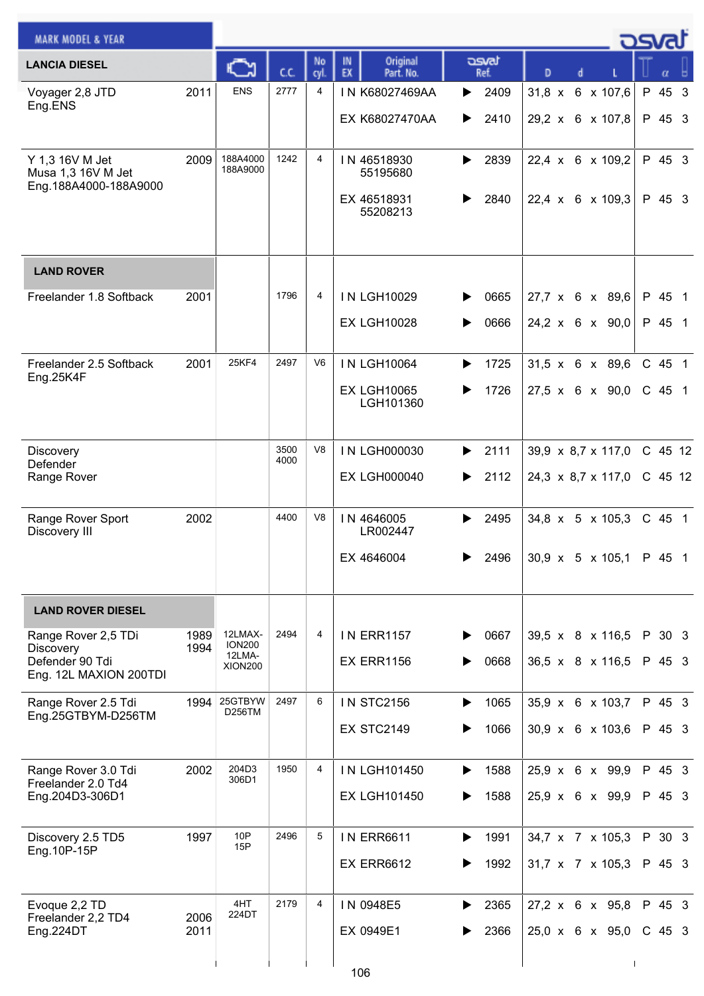| <b>MARK MODEL &amp; YEAR</b>                                   |              |                          |              |                |                                   |               |                                     | كمحت |         |  |
|----------------------------------------------------------------|--------------|--------------------------|--------------|----------------|-----------------------------------|---------------|-------------------------------------|------|---------|--|
| <b>LANCIA DIESEL</b>                                           |              | C٦                       | C.C.         | No<br>cyl.     | Original<br>IN<br>EX<br>Part. No. | asvat<br>Ref. | D                                   |      |         |  |
| Voyager 2,8 JTD<br>Eng.ENS                                     | 2011         | <b>ENS</b>               | 2777         | 4              | IN K68027469AA                    | 2409<br>▶     | $31,8 \times$<br>6 x 107,6          |      | P 45 3  |  |
|                                                                |              |                          |              |                | EX K68027470AA                    | 2410<br>▶     | 29,2 x 6 x 107,8                    |      | P 45 3  |  |
| Y 1,3 16V M Jet<br>Musa 1,3 16V M Jet<br>Eng.188A4000-188A9000 | 2009         | 188A4000<br>188A9000     | 1242         | 4              | IN 46518930<br>55195680           | 2839<br>▶     | 22,4 x 6 x 109,2                    |      | P 45 3  |  |
|                                                                |              |                          |              |                | EX 46518931<br>55208213           | 2840          | 22,4 x 6 x 109,3                    |      | P 45 3  |  |
| <b>LAND ROVER</b>                                              |              |                          |              |                |                                   |               |                                     |      |         |  |
| Freelander 1.8 Softback                                        | 2001         |                          | 1796         | 4              | <b>IN LGH10029</b>                | 0665          | 27,7 x 6 x 89,6                     |      | P 45 1  |  |
|                                                                |              |                          |              |                | <b>EX LGH10028</b>                | 0666<br>▶     | $24.2 \times 6 \times 90.0$         |      | P 45 1  |  |
| Freelander 2.5 Softback<br>Eng.25K4F                           | 2001         | 25KF4                    | 2497         | V <sub>6</sub> | <b>IN LGH10064</b>                | 1725<br>▶     | $31,5 \times 6 \times 89,6$         |      | C 45 1  |  |
|                                                                |              |                          |              |                | <b>EX LGH10065</b><br>LGH101360   | 1726          | $27,5 \times 6 \times 90,0$         |      | C 45 1  |  |
| Discovery                                                      |              |                          | 3500<br>4000 | V <sub>8</sub> | IN LGH000030                      | 2111<br>▶     | $39,9 \times 8,7 \times 117,0$      |      | C 45 12 |  |
| Defender<br>Range Rover                                        |              |                          |              |                | <b>EX LGH000040</b>               | 2112<br>▶     | 24,3 x 8,7 x 117,0                  |      | C 45 12 |  |
| Range Rover Sport<br>Discovery III                             | 2002         |                          | 4400         | V8             | IN 4646005<br>LR002447            | 2495<br>▶     | $34,8 \times 5 \times 105,3$        |      | C 45 1  |  |
|                                                                |              |                          |              |                | EX 4646004                        | 2496<br>▶     | $30,9 \times 5 \times 105,1$ P 45 1 |      |         |  |
| <b>LAND ROVER DIESEL</b>                                       |              |                          |              |                |                                   |               |                                     |      |         |  |
| Range Rover 2,5 TDi<br>Discovery                               | 1989<br>1994 | 12LMAX-<br><b>ION200</b> | 2494         | 4              | <b>IN ERR1157</b>                 | 0667          | 39,5 x 8 x 116,5                    |      | P 30 3  |  |
| Defender 90 Tdi<br>Eng. 12L MAXION 200TDI                      |              | 12LMA-<br><b>XION200</b> |              |                | <b>EX ERR1156</b>                 | 0668          | 36,5 x 8 x 116,5                    |      | P 45 3  |  |
| Range Rover 2.5 Tdi<br>Eng.25GTBYM-D256TM                      | 1994         | 25GTBYW<br>D256TM        | 2497         | 6              | <b>IN STC2156</b>                 | 1065<br>▶     | 35,9 x 6 x 103,7                    |      | P 45 3  |  |
|                                                                |              |                          |              |                | <b>EX STC2149</b>                 | 1066          | 30,9 x 6 x 103,6                    |      | P 45 3  |  |
| Range Rover 3.0 Tdi<br>Freelander 2.0 Td4                      | 2002         | 204D3<br>306D1           | 1950         | 4              | IN LGH101450                      | 1588<br>▶     | 25,9 x 6 x 99,9                     |      | P 45 3  |  |
| Eng.204D3-306D1                                                |              |                          |              |                | <b>EX LGH101450</b>               | 1588          | 25,9 x 6 x 99,9                     |      | P 45 3  |  |
| Discovery 2.5 TD5<br>Eng. 10P-15P                              | 1997         | 10P<br>15P               | 2496         | 5              | <b>IN ERR6611</b>                 | 1991<br>▶     | 34,7 x 7 x 105,3                    |      | P 30 3  |  |
|                                                                |              |                          |              |                | <b>EX ERR6612</b>                 | 1992          | $31,7 \times 7 \times 105,3$        |      | P 45 3  |  |
| Evoque 2,2 TD<br>Freelander 2,2 TD4                            | 2006         | 4HT<br>224DT             | 2179         | 4              | IN 0948E5                         | 2365<br>▶     | 27,2 x 6 x 95,8                     |      | P 45 3  |  |
| Eng.224DT                                                      | 2011         |                          |              |                | EX 0949E1                         | 2366          | 25,0 x 6 x 95,0                     |      | C 45 3  |  |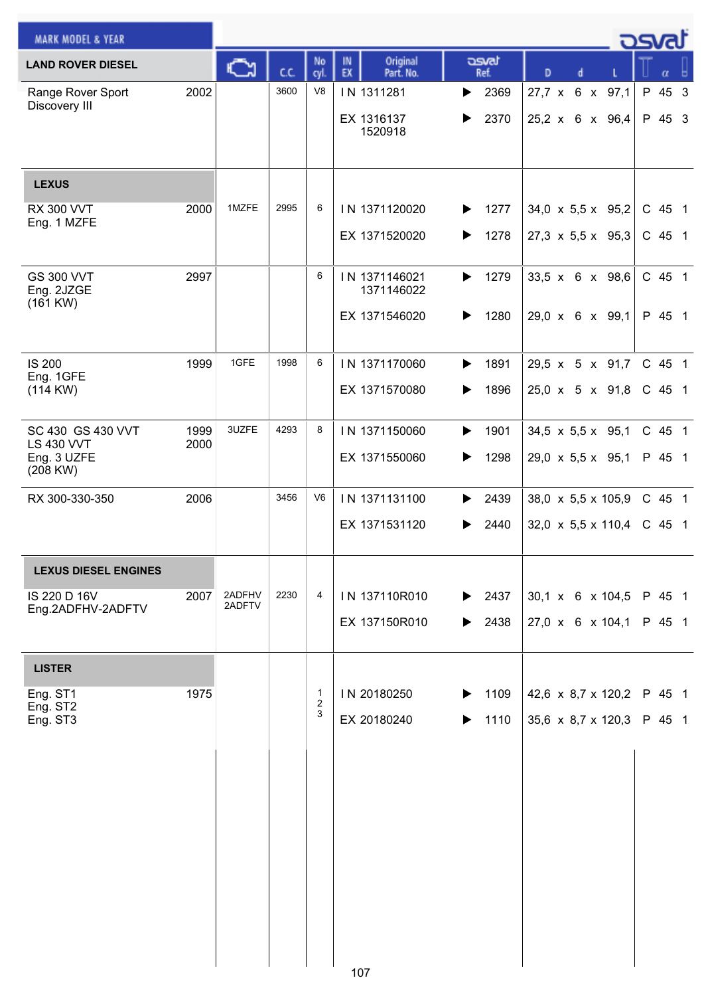| <b>MARK MODEL &amp; YEAR</b>                     |              |                  |      |                                  |                                   |               |                                  | osvat                           |
|--------------------------------------------------|--------------|------------------|------|----------------------------------|-----------------------------------|---------------|----------------------------------|---------------------------------|
| <b>LAND ROVER DIESEL</b>                         |              | C٦               | C.C. | No<br>cyl.                       | Original<br>IN<br>EX<br>Part. No. | asvat<br>Ref. | D<br>d                           | α                               |
| Range Rover Sport<br>Discovery III               | 2002         |                  | 3600 | V <sub>8</sub>                   | IN 1311281                        | 2369<br>▶     | 27,7 x 6 x 97,1                  | P 45<br>$\overline{\mathbf{3}}$ |
|                                                  |              |                  |      |                                  | EX 1316137<br>1520918             | 2370<br>▶     | 25,2 x 6 x 96,4                  | P 45 3                          |
| <b>LEXUS</b>                                     |              |                  |      |                                  |                                   |               |                                  |                                 |
| <b>RX 300 VVT</b><br>Eng. 1 MZFE                 | 2000         | 1MZFE            | 2995 | 6                                | IN 1371120020                     | 1277<br>▶     | 34,0 x 5,5 x 95,2                | C 45 1                          |
|                                                  |              |                  |      |                                  | EX 1371520020                     | 1278<br>▶     | 27,3 $\times$ 5,5 $\times$ 95,3  | C 45 1                          |
| <b>GS 300 VVT</b><br>Eng. 2JZGE<br>$(161$ KW $)$ | 2997         |                  |      | 6                                | IN 1371146021<br>1371146022       | 1279<br>▶     | 33,5 x 6 x 98,6                  | C 45 1                          |
|                                                  |              |                  |      |                                  | EX 1371546020                     | 1280<br>▶     | $29,0 \times 6 \times 99,1$      | P 45 1                          |
| <b>IS 200</b><br>Eng. 1GFE                       | 1999         | 1GFE             | 1998 | 6                                | IN 1371170060                     | 1891<br>▶     | 29,5 x 5 x 91,7                  | C 45 1                          |
| (114 KW)                                         |              |                  |      |                                  | EX 1371570080                     | 1896<br>▶     | 25,0 x 5 x 91,8                  | C 45 1                          |
| SC 430 GS 430 VVT<br><b>LS 430 VVT</b>           | 1999<br>2000 | 3UZFE            | 4293 | 8                                | IN 1371150060                     | 1901<br>▶     | 34,5 x 5,5 x 95,1                | C 45 1                          |
| Eng. 3 UZFE<br>(208 KW)                          |              |                  |      |                                  | EX 1371550060                     | 1298          | 29,0 $\times$ 5,5 $\times$ 95,1  | P 45 1                          |
| RX 300-330-350                                   | 2006         |                  | 3456 | V <sub>6</sub>                   | IN 1371131100                     | 2439          | 38,0 $\times$ 5,5 $\times$ 105,9 | C 45 1                          |
|                                                  |              |                  |      |                                  | EX 1371531120                     | 2440          | 32,0 $\times$ 5,5 $\times$ 110,4 | C 45 1                          |
| <b>LEXUS DIESEL ENGINES</b>                      |              |                  |      |                                  |                                   |               |                                  |                                 |
| IS 220 D 16V<br>Eng.2ADFHV-2ADFTV                | 2007         | 2ADFHV<br>2ADFTV | 2230 | 4                                | IN 137110R010                     | 2437<br>▶     | 30,1 x 6 x 104,5                 | P 45 1                          |
|                                                  |              |                  |      |                                  | EX 137150R010                     | 2438<br>▶     | $27,0 \times 6 \times 104,1$     | P 45 1                          |
| <b>LISTER</b>                                    |              |                  |      |                                  |                                   |               |                                  |                                 |
| Eng. ST1<br>Eng. ST2                             | 1975         |                  |      | $\mathbf{1}$<br>$\boldsymbol{2}$ | IN 20180250                       | 1109          | 42,6 $\times$ 8,7 $\times$ 120,2 | P 45 1                          |
| Eng. ST3                                         |              |                  |      | 3                                | EX 20180240                       | 1110          | 35,6 $\times$ 8,7 $\times$ 120,3 | P 45 1                          |
|                                                  |              |                  |      |                                  |                                   |               |                                  |                                 |
|                                                  |              |                  |      |                                  |                                   |               |                                  |                                 |
|                                                  |              |                  |      |                                  |                                   |               |                                  |                                 |
|                                                  |              |                  |      |                                  |                                   |               |                                  |                                 |
|                                                  |              |                  |      |                                  |                                   |               |                                  |                                 |
|                                                  |              |                  |      |                                  |                                   |               |                                  |                                 |
|                                                  |              |                  |      |                                  | 107                               |               |                                  |                                 |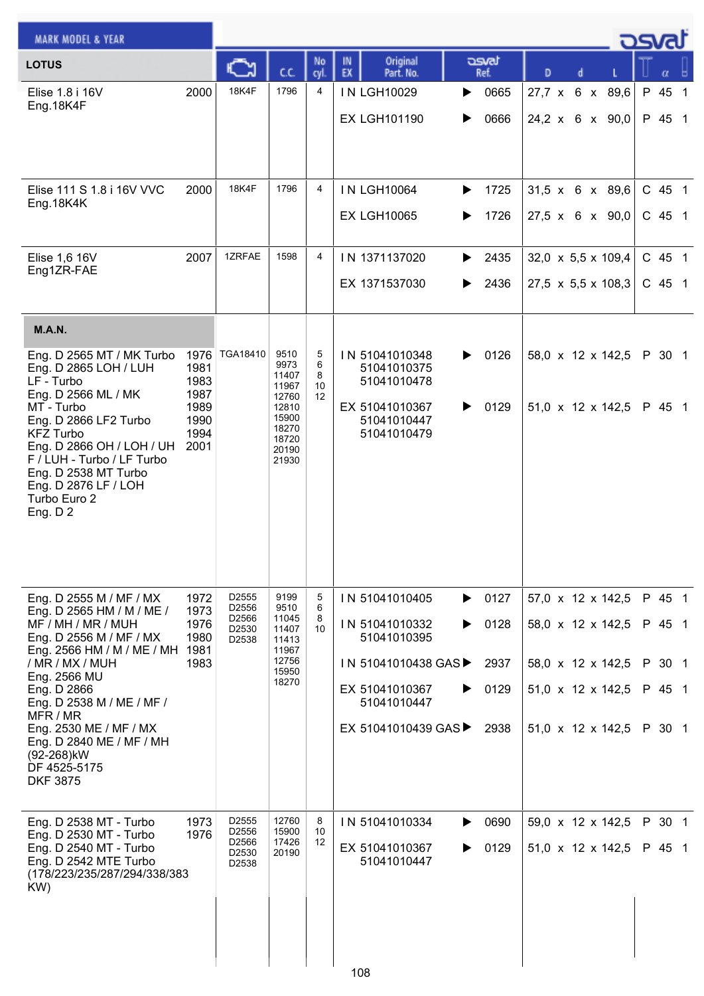| <b>MARK MODEL &amp; YEAR</b>                                                                                                                                                                                  |                                                              |                                     |                                                                                               |                         |                                                                                              |                        |                                                                      |                    |
|---------------------------------------------------------------------------------------------------------------------------------------------------------------------------------------------------------------|--------------------------------------------------------------|-------------------------------------|-----------------------------------------------------------------------------------------------|-------------------------|----------------------------------------------------------------------------------------------|------------------------|----------------------------------------------------------------------|--------------------|
| <b>LOTUS</b>                                                                                                                                                                                                  |                                                              |                                     | СC                                                                                            | No<br>cyl.              | Original<br>IN.<br>EX<br>Part. No.                                                           | asvat<br>Ref.          | D                                                                    |                    |
| Elise 1.8 i 16V<br>Eng.18K4F                                                                                                                                                                                  | 2000                                                         | <b>18K4F</b>                        | 1796                                                                                          | 4                       | IN LGH10029<br><b>EX LGH101190</b>                                                           | 0665<br>▶<br>0666<br>▶ | 27,7 x 6 x 89,6<br>$24,2 \times 6 \times 90,0$                       | P 45 1<br>P 45 1   |
| Elise 111 S 1.8 i 16V VVC<br>Eng. 18K4K                                                                                                                                                                       | 2000                                                         | 18K4F                               | 1796                                                                                          | $\overline{4}$          | <b>IN LGH10064</b><br><b>EX LGH10065</b>                                                     | 1725<br>▶<br>1726<br>▶ | $31,5 \times 6 \times 89,6$<br>27,5 x 6 x 90,0                       | C 45 1<br>$C$ 45 1 |
| Elise 1,6 16V<br>Eng1ZR-FAE                                                                                                                                                                                   | 2007                                                         | 1ZRFAE                              | 1598                                                                                          | 4                       | IN 1371137020<br>EX 1371537030                                                               | 2435<br>▶<br>2436<br>▶ | 32,0 $\times$ 5,5 $\times$ 109,4<br>27,5 $\times$ 5,5 $\times$ 108,3 | C 45 1<br>$C$ 45 1 |
| <b>M.A.N.</b>                                                                                                                                                                                                 |                                                              |                                     |                                                                                               |                         |                                                                                              |                        |                                                                      |                    |
| Eng. D 2565 MT / MK Turbo<br>Eng. D 2865 LOH / LUH<br>LF - Turbo<br>Eng. D 2566 ML / MK<br>MT - Turbo<br>Eng. D 2866 LF2 Turbo<br><b>KFZ Turbo</b><br>Eng. D 2866 OH / LOH / UH<br>F / LUH - Turbo / LF Turbo | 1976<br>1981<br>1983<br>1987<br>1989<br>1990<br>1994<br>2001 | TGA18410                            | 9510<br>9973<br>11407<br>11967<br>12760<br>12810<br>15900<br>18270<br>18720<br>20190<br>21930 | 5<br>6<br>8<br>10<br>12 | IN 51041010348<br>51041010375<br>51041010478<br>EX 51041010367<br>51041010447<br>51041010479 | 0126<br>▶<br>0129<br>▶ | 58,0 x 12 x 142,5<br>$51,0 \times 12 \times 142,5$                   | P 30 1<br>P 45 1   |
| Eng. D 2538 MT Turbo<br>Eng. D 2876 LF / LOH<br>Turbo Euro 2<br>Eng. $D2$                                                                                                                                     |                                                              |                                     |                                                                                               |                         |                                                                                              |                        |                                                                      |                    |
| Eng. D 2555 M / MF / MX<br>Eng. D 2565 HM / M / ME /                                                                                                                                                          | 1972<br>1973                                                 | D <sub>2555</sub><br>D2556<br>D2566 | 9199<br>9510<br>11045                                                                         | 5<br>6<br>8             | IN 51041010405                                                                               | 0127<br>▶              | 57,0 x 12 x 142,5                                                    | P 45 1             |
| MF / MH / MR / MUH<br>Eng. D 2556 M / MF / MX                                                                                                                                                                 | 1976<br>1980                                                 | D2530<br>D2538                      | 11407<br>11413                                                                                | 10 <sup>1</sup>         | IN 51041010332<br>51041010395                                                                | 0128<br>▶              | 58,0 x 12 x 142,5                                                    | P 45 1             |
| Eng. 2566 HM / M / ME / MH 1981<br>/ MR / MX / MUH<br>Eng. 2566 MU                                                                                                                                            | 1983                                                         |                                     | 11967<br>12756<br>15950                                                                       |                         | IN 51041010438 GAS▶                                                                          | 2937                   | 58,0 x 12 x 142,5                                                    | P 30 1             |
| Eng. D 2866<br>Eng. D 2538 M / ME / MF /                                                                                                                                                                      |                                                              |                                     | 18270                                                                                         |                         | EX 51041010367<br>51041010447                                                                | 0129<br>▶              | $51,0 \times 12 \times 142,5$                                        | P 45 1             |
| MFR / MR<br>Eng. 2530 ME / MF / MX<br>Eng. D 2840 ME / MF / MH<br>(92-268)kW<br>DF 4525-5175<br><b>DKF 3875</b>                                                                                               |                                                              |                                     |                                                                                               |                         | EX 51041010439 GAS▶                                                                          | 2938                   | $51,0 \times 12 \times 142,5$                                        | P 30 1             |
| Eng. D 2538 MT - Turbo<br>Eng. D 2530 MT - Turbo                                                                                                                                                              | 1973<br>1976                                                 | D <sub>2555</sub><br>D2556          | 12760<br>15900                                                                                | 8<br>10                 | IN 51041010334                                                                               | 0690<br>▶              | 59,0 x 12 x 142,5                                                    | P 30 1             |
| Eng. D 2540 MT - Turbo<br>Eng. D 2542 MTE Turbo<br>(178/223/235/287/294/338/383<br>KW)                                                                                                                        |                                                              | D2566<br>D2530<br>D2538             | 17426<br>20190                                                                                | 12                      | EX 51041010367<br>51041010447                                                                | 0129<br>▶              | $51,0 \times 12 \times 142,5$                                        | P 45 1             |
|                                                                                                                                                                                                               |                                                              |                                     |                                                                                               |                         | 108                                                                                          |                        |                                                                      |                    |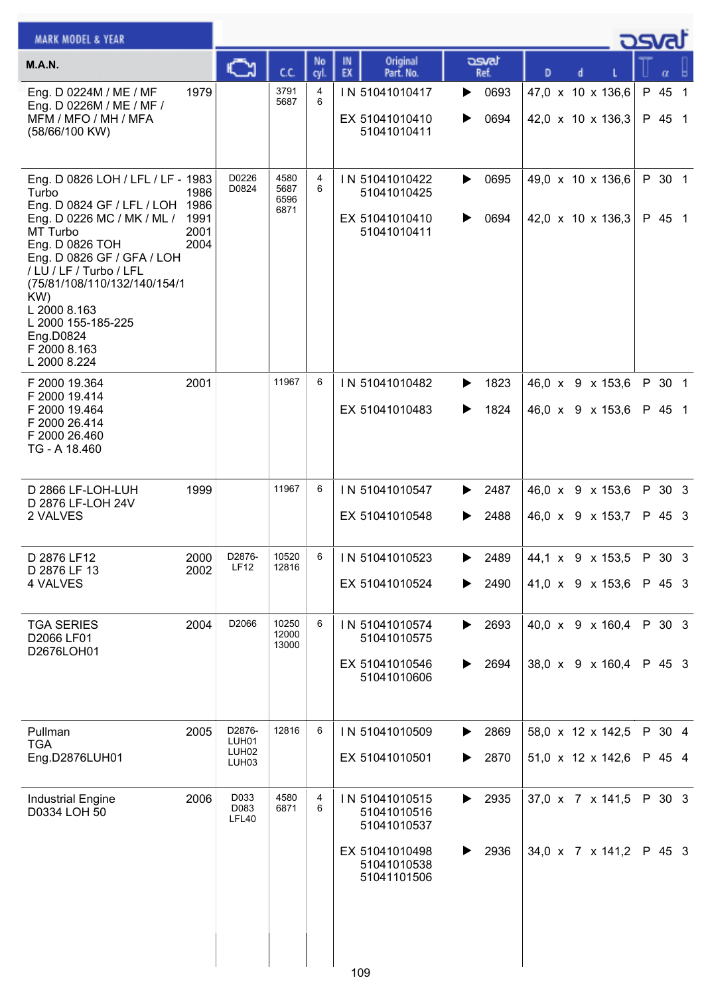| <b>MARK MODEL &amp; YEAR</b>                                                                                                                                                                                                                                                                                                  |                              |                                                           |                              |            |          |                                                                                              |        |                                      |                                                    |  |  | osvat |                  |  |
|-------------------------------------------------------------------------------------------------------------------------------------------------------------------------------------------------------------------------------------------------------------------------------------------------------------------------------|------------------------------|-----------------------------------------------------------|------------------------------|------------|----------|----------------------------------------------------------------------------------------------|--------|--------------------------------------|----------------------------------------------------|--|--|-------|------------------|--|
| <b>M.A.N.</b>                                                                                                                                                                                                                                                                                                                 |                              | ∾                                                         | C.C.                         | No<br>cyl. | IN<br>EX | Original<br>Part. No.                                                                        |        | asvat<br>Ref.                        | D                                                  |  |  |       |                  |  |
| Eng. D 0224M / ME / MF<br>Eng. D 0226M / ME / MF /<br>MFM / MFO / MH / MFA<br>(58/66/100 KW)                                                                                                                                                                                                                                  | 1979                         |                                                           | 3791<br>5687                 | 4<br>6     |          | IN 51041010417<br>EX 51041010410<br>51041010411                                              | ▶<br>▶ | 0693<br>0694                         | 47,0 x 10 x 136,6<br>42,0 x 10 x 136,3             |  |  |       | P 45 1<br>P 45 1 |  |
| Eng. D 0826 LOH / LFL / LF - 1983<br>Turbo<br>Eng. D 0824 GF / LFL / LOH 1986<br>Eng. D 0226 MC / MK / ML /<br>MT Turbo<br>Eng. D 0826 TOH<br>Eng. D 0826 GF / GFA / LOH<br>/ LU / LF / Turbo / LFL<br>(75/81/108/110/132/140/154/1<br>KW)<br>L 2000 8.163<br>L 2000 155-185-225<br>Eng.D0824<br>F 2000 8.163<br>L 2000 8.224 | 1986<br>1991<br>2001<br>2004 | D0226<br>D0824                                            | 4580<br>5687<br>6596<br>6871 | 4<br>6     |          | IN 51041010422<br>51041010425<br>EX 51041010410<br>51041010411                               | ▶<br>▶ | 0695<br>0694                         | 49,0 x 10 x 136,6<br>42,0 x 10 x 136,3             |  |  |       | P 30 1<br>P 45 1 |  |
| F 2000 19.364<br>F 2000 19.414<br>F 2000 19.464<br>F 2000 26.414<br>F 2000 26.460<br>TG - A 18.460                                                                                                                                                                                                                            | 2001                         |                                                           | 11967                        | 6          |          | IN 51041010482<br>EX 51041010483                                                             | ▶<br>▶ | 1823<br>1824                         | 46,0 x 9 x 153,6<br>46,0 x 9 x 153,6               |  |  |       | P 30 1<br>P 45 1 |  |
| D 2866 LF-LOH-LUH<br>D 2876 LF-LOH 24V<br>2 VALVES                                                                                                                                                                                                                                                                            | 1999                         |                                                           | 11967                        | 6          |          | IN 51041010547<br>EX 51041010548                                                             | ▶<br>▶ | 2487<br>2488                         | 46,0 x 9 x 153,6<br>46,0 x 9 x 153,7               |  |  |       | P 30 3<br>P 45 3 |  |
| D 2876 LF12<br>D 2876 LF 13<br>4 VALVES                                                                                                                                                                                                                                                                                       | 2000<br>2002                 | D2876-<br><b>LF12</b>                                     | 10520<br>12816               |            |          | $6$   IN 51041010523<br>EX 51041010524                                                       | ▶      | 2489 44,1 x 9 x 153,5 P 30 3<br>2490 | 41,0 x 9 x 153,6                                   |  |  |       | P 45 3           |  |
| <b>TGA SERIES</b><br>D2066 LF01<br>D2676LOH01                                                                                                                                                                                                                                                                                 | 2004                         | D2066                                                     | 10250<br>12000<br>13000      | 6          |          | IN 51041010574<br>51041010575<br>EX 51041010546<br>51041010606                               | ▶<br>▶ | 2693<br>2694                         | 40,0 x 9 x 160,4<br>38,0 x 9 x 160,4               |  |  |       | P 30 3<br>P 45 3 |  |
| Pullman<br><b>TGA</b><br>Eng.D2876LUH01                                                                                                                                                                                                                                                                                       | 2005                         | D2876-<br>LUH01<br>LUH <sub>02</sub><br>LUH <sub>03</sub> | 12816                        | 6          |          | IN 51041010509<br>EX 51041010501                                                             | ▶<br>▶ | 2869<br>2870                         | 58,0 x 12 x 142,5<br>$51,0 \times 12 \times 142,6$ |  |  |       | P 30 4<br>P 45 4 |  |
| <b>Industrial Engine</b><br>D0334 LOH 50                                                                                                                                                                                                                                                                                      | 2006                         | D033<br>D083<br>LFL40                                     | 4580<br>6871                 | 4<br>6     |          | IN 51041010515<br>51041010516<br>51041010537<br>EX 51041010498<br>51041010538<br>51041101506 | ▶<br>▶ | 2935<br>2936                         | 37,0 x 7 x 141,5<br>34,0 x 7 x 141,2               |  |  |       | P 30 3<br>P 45 3 |  |
|                                                                                                                                                                                                                                                                                                                               |                              |                                                           |                              |            | 109      |                                                                                              |        |                                      |                                                    |  |  |       |                  |  |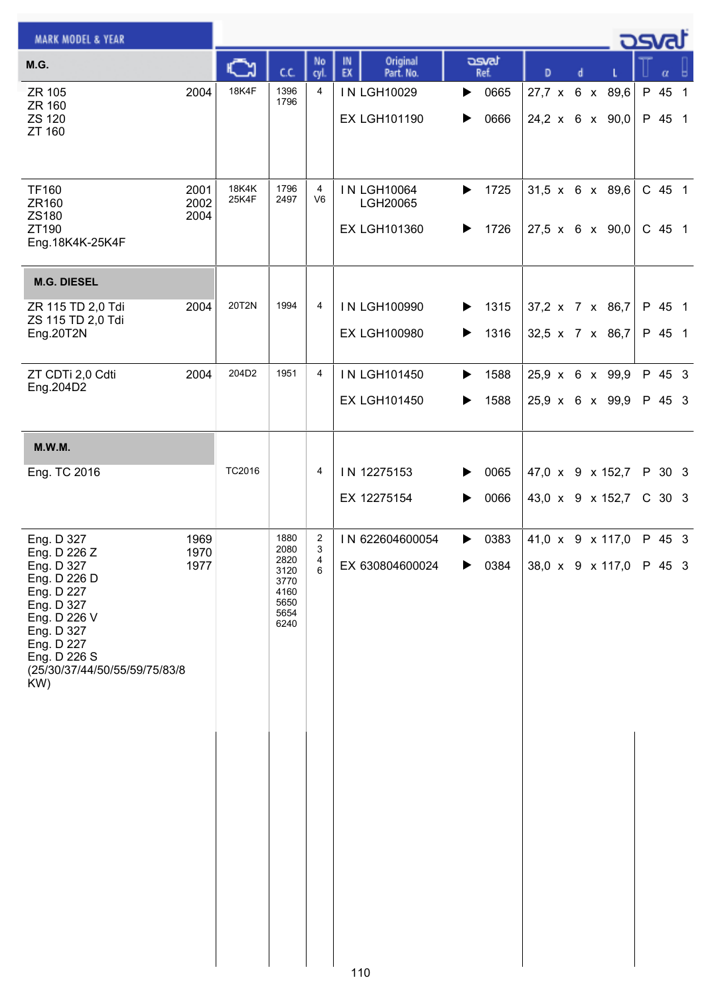| <b>MARK MODEL &amp; YEAR</b>                                                                                                                                                             |                      |                |                                                                      |                                        |          |                                                       |        |               |   |   | _ ರಾಡು                                         |                  |  |
|------------------------------------------------------------------------------------------------------------------------------------------------------------------------------------------|----------------------|----------------|----------------------------------------------------------------------|----------------------------------------|----------|-------------------------------------------------------|--------|---------------|---|---|------------------------------------------------|------------------|--|
| M.G.                                                                                                                                                                                     |                      | ⊾              | C.C.                                                                 | No<br>cyl.                             | IN<br>EX | Original<br>Part. No.                                 |        | asvat<br>Ref. | D | d |                                                | α                |  |
| ZR 105<br>ZR 160<br>ZS 120<br>ZT 160                                                                                                                                                     | 2004                 | <b>18K4F</b>   | 1396<br>1796                                                         | 4                                      |          | IN LGH10029<br><b>EX LGH101190</b>                    | ▶<br>▶ | 0665<br>0666  |   |   | 27,7 x 6 x 89,6<br>24,2 x 6 x 90,0             | P 45 1<br>P 45 1 |  |
| <b>TF160</b><br>ZR160<br>ZS180<br>ZT190<br>Eng.18K4K-25K4F                                                                                                                               | 2001<br>2002<br>2004 | 18K4K<br>25K4F | 1796<br>2497                                                         | 4<br>V <sub>6</sub>                    |          | <b>IN LGH10064</b><br>LGH20065<br><b>EX LGH101360</b> | ▶<br>▶ | 1725<br>1726  |   |   | $31,5 \times 6 \times 89,6$<br>27,5 x 6 x 90,0 | C 45 1<br>C 45 1 |  |
| <b>M.G. DIESEL</b>                                                                                                                                                                       |                      |                |                                                                      |                                        |          |                                                       |        |               |   |   |                                                |                  |  |
| ZR 115 TD 2,0 Tdi<br>ZS 115 TD 2,0 Tdi<br>Eng.20T2N                                                                                                                                      | 2004                 | 20T2N          | 1994                                                                 | 4                                      |          | IN LGH100990<br><b>EX LGH100980</b>                   | ▶<br>▶ | 1315<br>1316  |   |   | 37,2 x 7 x 86,7<br>32,5 x 7 x 86,7             | P 45 1<br>P 45 1 |  |
| ZT CDTi 2,0 Cdti                                                                                                                                                                         | 2004                 | 204D2          | 1951                                                                 | $\overline{4}$                         |          | IN LGH101450                                          | ▶      | 1588          |   |   | 25,9 x 6 x 99,9                                | P 45 3           |  |
| Eng.204D2                                                                                                                                                                                |                      |                |                                                                      |                                        |          | <b>EX LGH101450</b>                                   | ▶      | 1588          |   |   | 25,9 x 6 x 99,9                                | P 45 3           |  |
| <b>M.W.M.</b>                                                                                                                                                                            |                      |                |                                                                      |                                        |          |                                                       |        |               |   |   |                                                |                  |  |
| Eng. TC 2016                                                                                                                                                                             |                      | TC2016         |                                                                      | 4                                      |          | IN 12275153<br>EX 12275154                            | ▶      | 0065<br>0066  |   |   | 47,0 x 9 x 152,7<br>43,0 x 9 x 152,7           | P 30 3<br>C 30 3 |  |
| Eng. D 327<br>Eng. D 226 Z<br>Eng. D 327<br>Eng. D 226 D<br>Eng. D 227<br>Eng. D 327<br>Eng. D 226 V<br>Eng. D 327<br>Eng. D 227<br>Eng. D 226 S<br>(25/30/37/44/50/55/59/75/83/8<br>KW) | 1969<br>1970<br>1977 |                | 1880<br>2080<br>2820<br>3120<br>3770<br>4160<br>5650<br>5654<br>6240 | $\overline{\mathbf{c}}$<br>3<br>4<br>6 |          | IN 622604600054<br>EX 630804600024                    | ▶      | 0383<br>0384  |   |   | 41,0 x 9 x 117,0<br>38,0 x 9 x 117,0           | P 45 3<br>P 45 3 |  |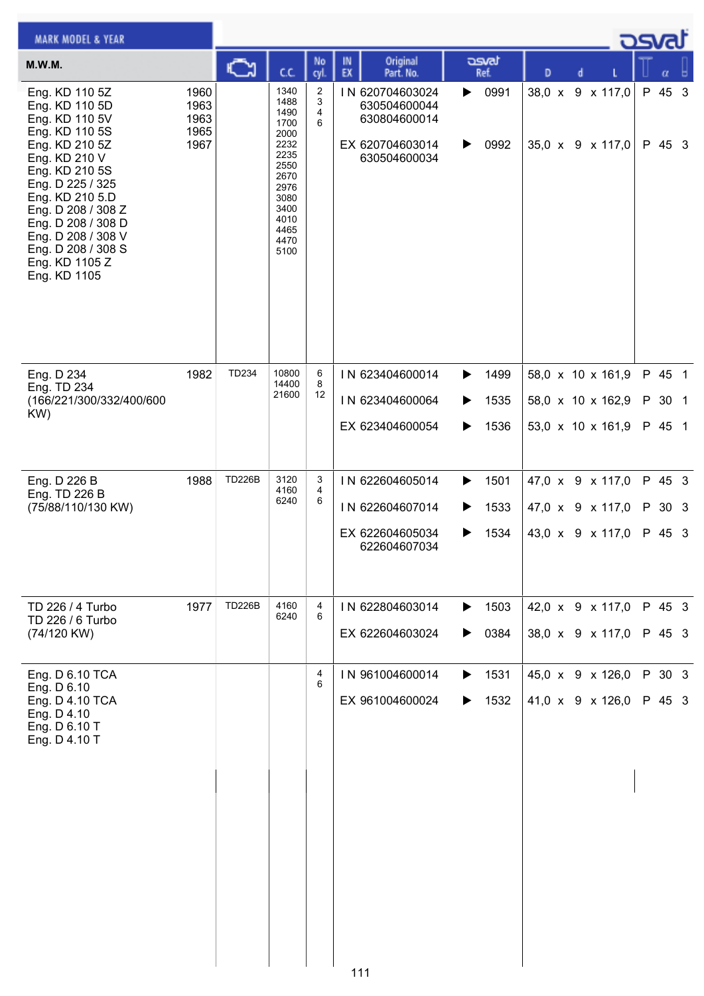| <b>MARK MODEL &amp; YEAR</b>                                                                                                                                                                                                                                                               |                                      |               |                                                                                                                              |                          |                                                                                    |                                     |   |                                                             | كمحت                       |  |
|--------------------------------------------------------------------------------------------------------------------------------------------------------------------------------------------------------------------------------------------------------------------------------------------|--------------------------------------|---------------|------------------------------------------------------------------------------------------------------------------------------|--------------------------|------------------------------------------------------------------------------------|-------------------------------------|---|-------------------------------------------------------------|----------------------------|--|
| <b>M.W.M.</b>                                                                                                                                                                                                                                                                              |                                      | C٦            | C.C.                                                                                                                         | No<br>cyl.               | Original<br>IN<br>EX<br>Part. No.                                                  | asvat<br>Ref.                       | D | d                                                           |                            |  |
| Eng. KD 110 5Z<br>Eng. KD 110 5D<br>Eng. KD 110 5V<br>Eng. KD 110 5S<br>Eng. KD 210 5Z<br>Eng. KD 210 V<br>Eng. KD 210 5S<br>Eng. D 225 / 325<br>Eng. KD 210 5.D<br>Eng. D 208 / 308 Z<br>Eng. D 208 / 308 D<br>Eng. D 208 / 308 V<br>Eng. D 208 / 308 S<br>Eng. KD 1105 Z<br>Eng. KD 1105 | 1960<br>1963<br>1963<br>1965<br>1967 |               | 1340<br>1488<br>1490<br>1700<br>2000<br>2232<br>2235<br>2550<br>2670<br>2976<br>3080<br>3400<br>4010<br>4465<br>4470<br>5100 | 2<br>3<br>4<br>6         | IN 620704603024<br>630504600044<br>630804600014<br>EX 620704603014<br>630504600034 | 0991<br>▶<br>0992<br>▶              |   | 38,0 x 9 x 117,0<br>35,0 x 9 x 117,0                        | P 45 3<br>P 45 3           |  |
| Eng. D 234<br>Eng. TD 234<br>(166/221/300/332/400/600<br>KW)                                                                                                                                                                                                                               | 1982                                 | TD234         | 10800<br>14400<br>21600                                                                                                      | 6<br>8<br>12             | IN 623404600014<br>IN 623404600064<br>EX 623404600054                              | 1499<br>▶<br>1535<br>1536<br>▶      |   | 58,0 x 10 x 161,9<br>58,0 x 10 x 162,9<br>53,0 x 10 x 161,9 | P 45 1<br>P 30 1<br>P 45 1 |  |
| Eng. D 226 B<br>Eng. TD 226 B<br>(75/88/110/130 KW)                                                                                                                                                                                                                                        | 1988                                 | <b>TD226B</b> | 3120<br>4160<br>6240                                                                                                         | 3<br>$\overline{4}$<br>6 | IN 622604605014<br>IN 622604607014<br>EX 622604605034<br>622604607034              | 1501<br>▶<br>1533<br>▶<br>1534<br>▶ |   | 47,0 x 9 x 117,0<br>47,0 x 9 x 117,0<br>43,0 x 9 x 117,0    | P 45 3<br>P 30 3<br>P 45 3 |  |
| TD 226 / 4 Turbo<br>TD 226 / 6 Turbo<br>(74/120 KW)                                                                                                                                                                                                                                        | 1977                                 | <b>TD226B</b> | 4160<br>6240                                                                                                                 | 4<br>6                   | IN 622804603014<br>EX 622604603024                                                 | 1503<br>▶<br>0384                   |   | 42,0 x 9 x 117,0<br>38,0 x 9 x 117,0                        | P 45 3<br>P 45 3           |  |
| Eng. D 6.10 TCA<br>Eng. D 6.10<br>Eng. D 4.10 TCA<br>Eng. D 4.10<br>Eng. D 6.10 T<br>Eng. D 4.10 T                                                                                                                                                                                         |                                      |               |                                                                                                                              | 4<br>6                   | IN 961004600014<br>EX 961004600024                                                 | 1531<br>▶<br>1532<br>▶              |   | 45,0 x 9 x 126,0<br>41,0 x 9 x 126,0                        | P 30 3<br>P 45 3           |  |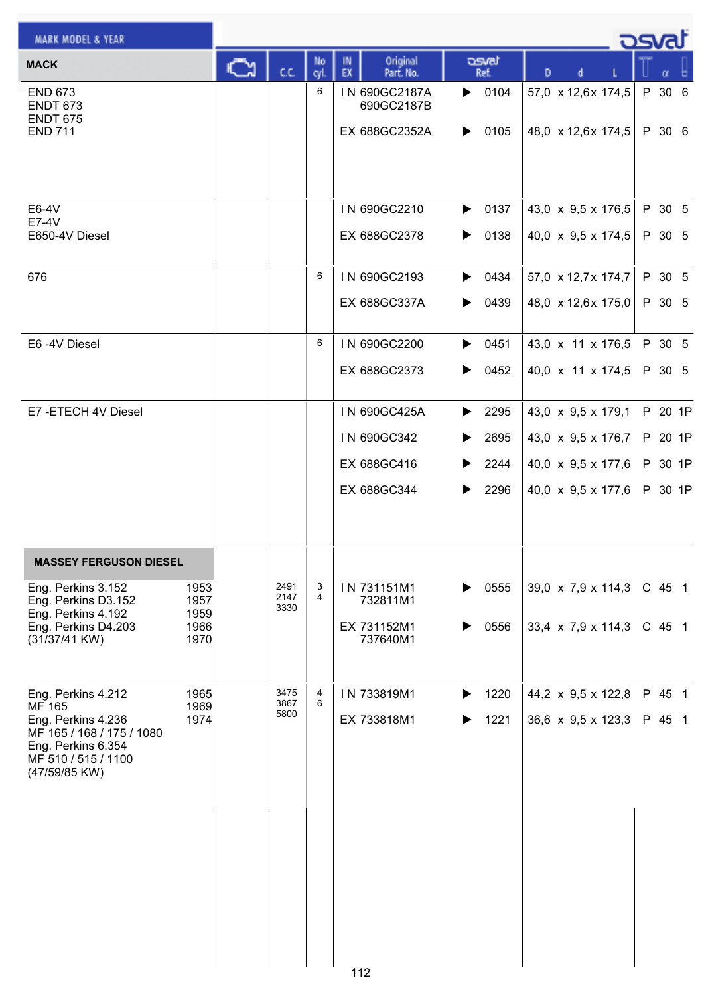| <b>MARK MODEL &amp; YEAR</b>                                                                                                                                                     |     |                      |            |                                                           |                                                                   |                                                                                                                  | <b>DSval</b>                             |
|----------------------------------------------------------------------------------------------------------------------------------------------------------------------------------|-----|----------------------|------------|-----------------------------------------------------------|-------------------------------------------------------------------|------------------------------------------------------------------------------------------------------------------|------------------------------------------|
| <b>MACK</b>                                                                                                                                                                      | ्रे | C.C.                 | No<br>cyl. | Original<br>IN<br>EX<br>Part. No.                         | asvat<br>Ref.                                                     | D<br>d                                                                                                           | α                                        |
| <b>END 673</b><br><b>ENDT 673</b><br><b>ENDT 675</b><br><b>END 711</b>                                                                                                           |     |                      | 6          | IN 690GC2187A<br>690GC2187B<br>EX 688GC2352A              | $\triangleright$ 0104<br>0105<br>▶                                | 57,0 x 12,6x 174,5<br>48,0 $\times$ 12,6x 174,5                                                                  | P 30 6<br>P 30 6                         |
| E6-4V<br>E7-4V<br>E650-4V Diesel                                                                                                                                                 |     |                      |            | IN 690GC2210<br>EX 688GC2378                              | 0137<br>▶<br>0138<br>▶                                            | 43,0 $\times$ 9,5 $\times$ 176,5<br>40,0 $\times$ 9,5 $\times$ 174,5                                             | P 30 5<br>P 30 5                         |
| 676                                                                                                                                                                              |     |                      | 6          | IN 690GC2193<br>EX 688GC337A                              | $\triangleright$ 0434<br>0439<br>▶                                | 57,0 x 12,7x 174,7<br>48,0 x 12,6x 175,0                                                                         | P 30 5<br>P 30 5                         |
| E6-4V Diesel                                                                                                                                                                     |     |                      | 6          | IN 690GC2200<br>EX 688GC2373                              | $\triangleright$ 0451<br>0452<br>▶                                | 43,0 x 11 x 176,5<br>40,0 x 11 x 174,5                                                                           | P 30 5<br>P 30 5                         |
| E7-ETECH 4V Diesel                                                                                                                                                               |     |                      |            | IN 690GC425A<br>IN 690GC342<br>EX 688GC416<br>EX 688GC344 | $\blacktriangleright$ 2295<br>2695<br>▶<br>2244<br>▶<br>▶<br>2296 | 43,0 x 9,5 x 179,1<br>43,0 $\times$ 9,5 $\times$ 176,7<br>40,0 $\times$ 9,5 $\times$ 177,6<br>40,0 x 9,5 x 177,6 | P 20 1P<br>P 20 1P<br>P 30 1P<br>P 30 1P |
| <b>MASSEY FERGUSON DIESEL</b><br>Eng. Perkins 3.152<br>1953<br>Eng. Perkins D3.152<br>1957<br>Eng. Perkins 4.192<br>1959<br>Eng. Perkins D4.203<br>1966<br>(31/37/41 KW)<br>1970 |     | 2491<br>2147<br>3330 | 3<br>4     | IN 731151M1<br>732811M1<br>EX 731152M1<br>737640M1        | 0555<br>▶<br>0556                                                 | 39,0 $\times$ 7,9 $\times$ 114,3<br>33,4 $\times$ 7,9 $\times$ 114,3                                             | C 45 1<br>$C$ 45 1                       |
| 1965<br>Eng. Perkins 4.212<br>MF 165<br>1969<br>1974<br>Eng. Perkins 4.236<br>MF 165 / 168 / 175 / 1080<br>Eng. Perkins 6.354<br>MF 510 / 515 / 1100<br>(47/59/85 KW)            |     | 3475<br>3867<br>5800 | 4<br>6     | IN 733819M1<br>EX 733818M1                                | 1220<br>▶<br>1221                                                 | 44,2 $\times$ 9,5 $\times$ 122,8<br>36,6 $\times$ 9,5 $\times$ 123,3                                             | P 45 1<br>P 45 1                         |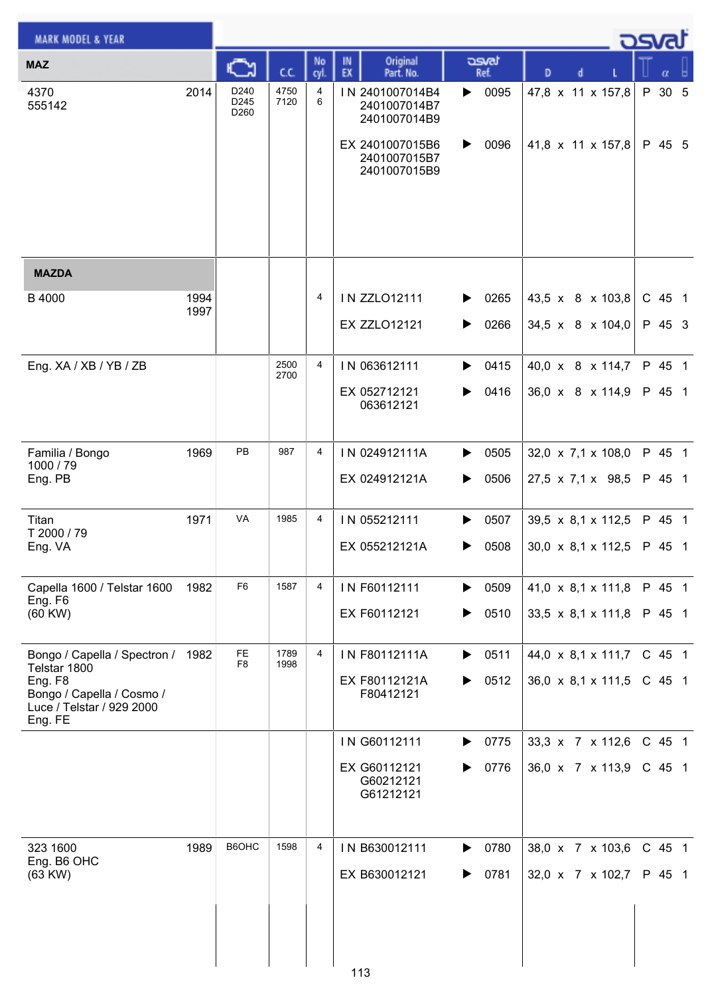| <b>MARK MODEL &amp; YEAR</b>                                                 |              |                      |              |                |                                                 |               |                                  | كت الصح  |
|------------------------------------------------------------------------------|--------------|----------------------|--------------|----------------|-------------------------------------------------|---------------|----------------------------------|----------|
| <b>MAZ</b>                                                                   |              | C٦                   | cc           | No<br>cyl.     | Original<br>IN<br>EX<br>Part. No.               | asvat<br>Ref. | D<br>d                           | α        |
| 4370<br>555142                                                               | 2014         | D240<br>D245<br>D260 | 4750<br>7120 | 4<br>6         | IN 2401007014B4<br>2401007014B7<br>2401007014B9 | 0095<br>▶     | 47,8 x 11 x 157,8                | P 30 5   |
|                                                                              |              |                      |              |                | EX 2401007015B6<br>2401007015B7<br>2401007015B9 | 0096<br>▶     | 41,8 x 11 x 157,8                | P 45 5   |
|                                                                              |              |                      |              |                |                                                 |               |                                  |          |
| <b>MAZDA</b>                                                                 |              |                      |              |                |                                                 |               |                                  |          |
| B 4000                                                                       | 1994<br>1997 |                      |              | 4              | <b>IN ZZLO12111</b>                             | 0265<br>▶     | 43,5 x 8 x 103,8                 | C 45 1   |
|                                                                              |              |                      |              |                | <b>EX ZZLO12121</b>                             | 0266<br>▶     | $34,5 \times 8 \times 104,0$     | P 45 3   |
| Eng. XA / XB / YB / ZB                                                       |              |                      | 2500<br>2700 | 4              | IN 063612111                                    | 0415<br>▶     | 40,0 x 8 x 114,7                 | P 45 1   |
|                                                                              |              |                      |              |                | EX 052712121<br>063612121                       | 0416<br>▶     | 36,0 x 8 x 114,9                 | P 45 1   |
| Familia / Bongo                                                              | 1969         | PB                   | 987          | 4              | IN 024912111A                                   | 0505<br>▶     | $32,0 \times 7,1 \times 108,0$   | P 45 1   |
| 1000 / 79<br>Eng. PB                                                         |              |                      |              |                | EX 024912121A                                   | 0506<br>▶     | $27,5 \times 7,1 \times 98,5$    | P 45 1   |
| Titan<br>T 2000 / 79                                                         | 1971         | VA                   | 1985         | $\overline{4}$ | IN 055212111                                    | 0507<br>▶     | $39,5 \times 8,1 \times 112,5$   | P 45 1   |
| Eng. VA                                                                      |              |                      |              |                | EX 055212121A                                   | 0508<br>▶     | $30,0 \times 8,1 \times 112,5$   | P 45 1   |
| Capella 1600 / Telstar 1600<br>Eng. F6                                       | 1982         | F <sub>6</sub>       | 1587         | 4              | IN F60112111                                    | 0509<br>▶     | 41,0 $\times$ 8,1 $\times$ 111,8 | P 45 1   |
| (60 KW)                                                                      |              |                      |              |                | EX F60112121                                    | 0510<br>▶     | 33,5 x 8,1 x 111,8               | P 45 1   |
| Bongo / Capella / Spectron / 1982<br>Telstar 1800                            |              | FE<br>F <sub>8</sub> | 1789<br>1998 | $\overline{4}$ | IN F80112111A                                   | 0511<br>▶     | $44,0 \times 8,1 \times 111,7$   | C 45 1   |
| Eng. F8<br>Bongo / Capella / Cosmo /<br>Luce / Telstar / 929 2000<br>Eng. FE |              |                      |              |                | EX F80112121A<br>F80412121                      | 0512<br>▶     | 36,0 x 8,1 x 111,5               | $C$ 45 1 |
|                                                                              |              |                      |              |                | IN G60112111                                    | 0775<br>▶     | 33,3 x 7 x 112,6                 | C 45 1   |
|                                                                              |              |                      |              |                | EX G60112121<br>G60212121<br>G61212121          | 0776<br>▶     | 36,0 x 7 x 113,9                 | $C$ 45 1 |
| 323 1600                                                                     | 1989         | B6OHC                | 1598         | 4              | IN B630012111                                   | 0780<br>▶     | 38,0 x 7 x 103,6                 | C 45 1   |
| Eng. B6 OHC<br>(63 KW)                                                       |              |                      |              |                | EX B630012121                                   | 0781          | 32,0 x 7 x 102,7                 | P 45 1   |
|                                                                              |              |                      |              |                |                                                 |               |                                  |          |
|                                                                              |              |                      |              |                | 113                                             |               |                                  |          |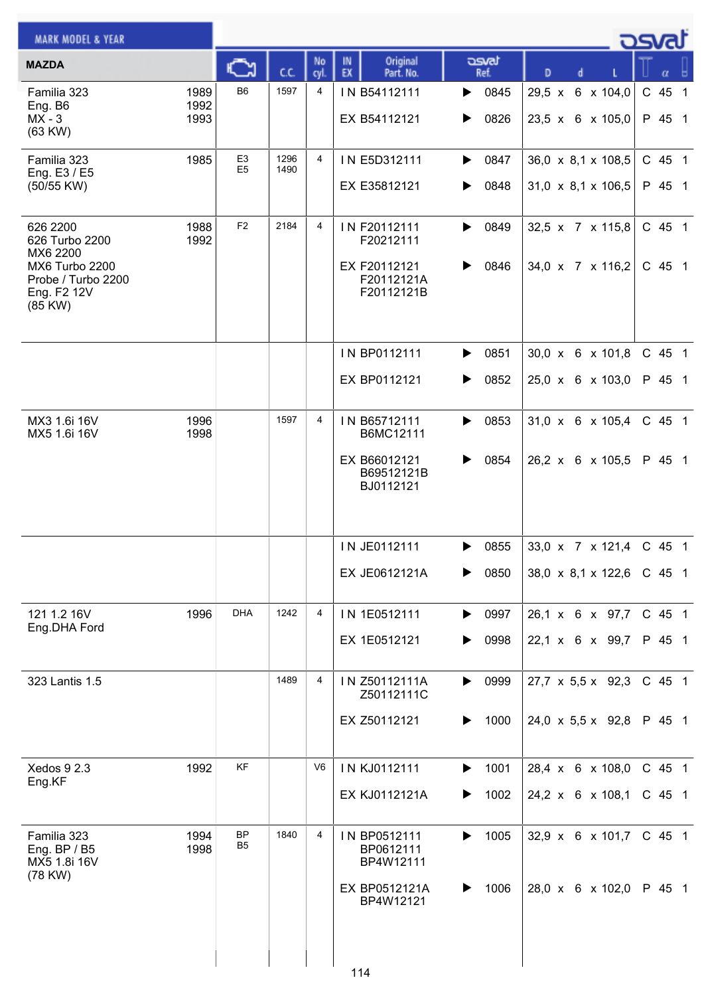| <b>MARK MODEL &amp; YEAR</b>                                                                             |                      |                                  |              |                |                                                                       |                        |                                                      | كصحت               |
|----------------------------------------------------------------------------------------------------------|----------------------|----------------------------------|--------------|----------------|-----------------------------------------------------------------------|------------------------|------------------------------------------------------|--------------------|
| <b>MAZDA</b>                                                                                             |                      | Ky                               | C.C.         | No<br>cyl.     | Original<br>IN<br>EX<br>Part. No.                                     | asvat<br>Ref.          | D<br>d                                               | α                  |
| Familia 323<br>Eng. B6<br>$MX - 3$<br>(63 KW)                                                            | 1989<br>1992<br>1993 | B <sub>6</sub>                   | 1597         | 4              | IN B54112111<br>EX B54112121                                          | 0845<br>▶<br>0826<br>▶ | 29,5 x 6 x 104,0<br>23,5 x 6 x 105,0                 | C 45 1<br>P 45 1   |
| Familia 323<br>Eng. E3 / E5<br>(50/55 KW)                                                                | 1985                 | E <sub>3</sub><br>E <sub>5</sub> | 1296<br>1490 | 4              | IN E5D312111<br>EX E35812121                                          | 0847<br>▶<br>0848<br>▶ | 36,0 x 8,1 x 108,5<br>$31,0 \times 8,1 \times 106,5$ | C 45 1<br>P 45 1   |
| 626 2200<br>626 Turbo 2200<br>MX6 2200<br>MX6 Turbo 2200<br>Probe / Turbo 2200<br>Eng. F2 12V<br>(85 KW) | 1988<br>1992         | F <sub>2</sub>                   | 2184         | 4              | IN F20112111<br>F20212111<br>EX F20112121<br>F20112121A<br>F20112121B | 0849<br>▶<br>0846<br>▶ | 32,5 x 7 x 115,8<br>34,0 x 7 x 116,2                 | C 45 1<br>$C$ 45 1 |
|                                                                                                          |                      |                                  |              |                | IN BP0112111<br>EX BP0112121                                          | 0851<br>▶<br>0852<br>▶ | $30.0 \times 6 \times 101.8$<br>25,0 x 6 x 103,0     | C 45 1<br>P 45 1   |
| MX3 1.6i 16V<br>MX5 1.6i 16V                                                                             | 1996<br>1998         |                                  | 1597         | 4              | IN B65712111<br>B6MC12111<br>EX B66012121<br>B69512121B<br>BJ0112121  | 0853<br>▶<br>0854<br>▶ | $31,0 \times 6 \times 105,4$<br>26,2 x 6 x 105,5     | C 45 1<br>P 45 1   |
|                                                                                                          |                      |                                  |              |                | IN JE0112111<br>EX JE0612121A                                         | 0855<br>▶<br>0850<br>▶ | 33,0 x 7 x 121,4<br>38,0 x 8,1 x 122,6               | C 45 1<br>C 45 1   |
| 121 1.2 16V<br>Eng.DHA Ford                                                                              | 1996                 | <b>DHA</b>                       | 1242         | 4              | IN 1E0512111<br>EX 1E0512121                                          | 0997<br>▶<br>0998<br>▶ | 26,1 x 6 x 97,7<br>22,1 x 6 x 99,7                   | C 45 1<br>P 45 1   |
| 323 Lantis 1.5                                                                                           |                      |                                  | 1489         | 4              | IN Z50112111A<br>Z50112111C<br>EX Z50112121                           | 0999<br>▶<br>1000<br>▶ | 27,7 $\times$ 5,5 $\times$ 92,3<br>24,0 x 5,5 x 92,8 | C 45 1<br>P 45 1   |
| Xedos 9 2.3<br>Eng.KF                                                                                    | 1992                 | <b>KF</b>                        |              | V <sub>6</sub> | IN KJ0112111<br>EX KJ0112121A                                         | 1001<br>▶<br>1002<br>▶ | 28,4 x 6 x 108,0<br>24,2 x 6 x 108,1                 | C 45 1<br>$C$ 45 1 |
| Familia 323<br>Eng. BP / B5<br>MX5 1.8i 16V<br>(78 KW)                                                   | 1994<br>1998         | BP<br>B5                         | 1840         | 4              | IN BP0512111<br>BP0612111<br>BP4W12111<br>EX BP0512121A<br>BP4W12121  | 1005<br>▶<br>1006<br>▶ | 32,9 x 6 x 101,7<br>28,0 x 6 x 102,0                 | $C$ 45 1<br>P 45 1 |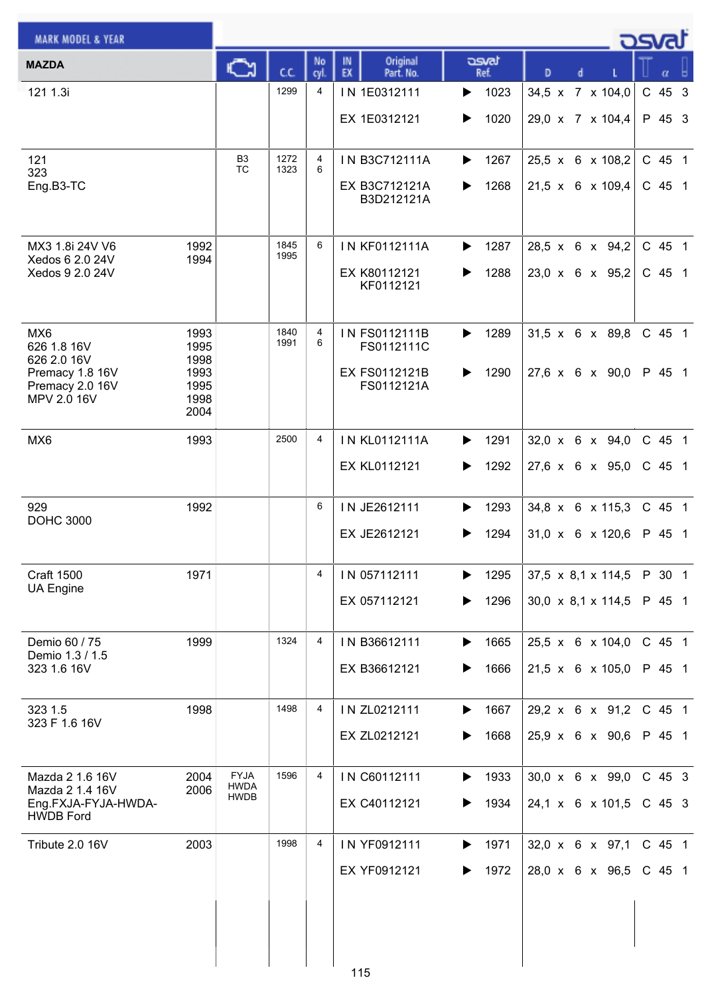| <b>MARK MODEL &amp; YEAR</b>            |              |                            |              |            |                                   |               |                                | كمحت     |
|-----------------------------------------|--------------|----------------------------|--------------|------------|-----------------------------------|---------------|--------------------------------|----------|
| <b>MAZDA</b>                            |              | C٦                         | C.C.         | No<br>cyl. | Original<br>IN<br>EX<br>Part. No. | asvat<br>Ref. | D<br>d                         |          |
| 121 1.3i                                |              |                            | 1299         | 4          | IN 1E0312111                      | 1023<br>▶     | 34,5 x 7 x 104,0               | C 45 3   |
|                                         |              |                            |              |            | EX 1E0312121                      | 1020<br>▶     | 29,0 x 7 x 104,4               | P 45 3   |
|                                         |              |                            |              |            |                                   |               |                                |          |
| 121<br>323                              |              | B3<br><b>TC</b>            | 1272<br>1323 | 4<br>6     | IN B3C712111A                     | 1267<br>▶     | 25,5 x 6 x 108,2               | C 45 1   |
| Eng.B3-TC                               |              |                            |              |            | EX B3C712121A<br>B3D212121A       | 1268          | 21,5 x 6 x 109,4               | C 45 1   |
|                                         |              |                            |              |            |                                   |               |                                |          |
| MX3 1.8i 24V V6<br>Xedos 6 2.0 24V      | 1992<br>1994 |                            | 1845<br>1995 | 6          | IN KF0112111A                     | 1287<br>▶     | 28,5 x 6 x 94,2                | C 45 1   |
| Xedos 9 2.0 24V                         |              |                            |              |            | EX K80112121<br>KF0112121         | 1288          | $23,0 \times 6 \times 95,2$    | C 45 1   |
|                                         |              |                            |              |            |                                   |               |                                |          |
| MX <sub>6</sub>                         | 1993         |                            | 1840<br>1991 | 4<br>6     | IN FS0112111B                     | 1289<br>▶     | $31,5 \times 6 \times 89,8$    | C 45 1   |
| 626 1.8 16V<br>626 2.0 16V              | 1995<br>1998 |                            |              |            | FS0112111C                        |               |                                |          |
| Premacy 1.8 16V<br>Premacy 2.0 16V      | 1993<br>1995 |                            |              |            | EX FS0112121B<br>FS0112121A       | 1290<br>▶     | $27,6 \times 6 \times 90,0$    | P 45 1   |
| MPV 2.0 16V                             | 1998<br>2004 |                            |              |            |                                   |               |                                |          |
| MX6                                     | 1993         |                            | 2500         | 4          | <b>IN KL0112111A</b>              | 1291<br>▶     | $32,0 \times 6 \times 94,0$    | C 45 1   |
|                                         |              |                            |              |            | EX KL0112121                      | 1292<br>▶     | 27,6 x 6 x 95,0                | C 45 1   |
|                                         |              |                            |              |            |                                   |               |                                |          |
| 929<br><b>DOHC 3000</b>                 | 1992         |                            |              | 6          | IN JE2612111                      | 1293<br>▶     | $34,8 \times 6 \times 115,3$   | C 45 1   |
|                                         |              |                            |              |            | EX JE2612121                      | 1294          | $31,0 \times 6 \times 120,6$   | P 45 1   |
| <b>Craft 1500</b>                       | 1971         |                            |              | 4          | IN 057112111                      | 1295<br>▶     | $37,5 \times 8,1 \times 114,5$ | P 30 1   |
| <b>UA Engine</b>                        |              |                            |              |            | EX 057112121                      | 1296<br>▶     | 30,0 x 8,1 x 114,5             | P 45 1   |
|                                         |              |                            |              |            |                                   |               |                                |          |
| Demio 60 / 75<br>Demio 1.3 / 1.5        | 1999         |                            | 1324         | 4          | IN B36612111                      | 1665<br>▶     | $25.5 \times 6 \times 104.0$   | C 45 1   |
| 323 1.6 16V                             |              |                            |              |            | EX B36612121                      | 1666          | $21,5 \times 6 \times 105,0$   | P 45 1   |
| 323 1.5                                 | 1998         |                            | 1498         | 4          | IN ZL0212111                      | 1667<br>▶     | 29,2 x 6 x 91,2                | C 45 1   |
| 323 F 1.6 16V                           |              |                            |              |            | EX ZL0212121                      | 1668          | $25.9 \times 6 \times 90.6$    | P 45 1   |
|                                         |              |                            |              |            |                                   |               |                                |          |
| Mazda 2 1.6 16V<br>Mazda 2 1.4 16V      | 2004<br>2006 | <b>FYJA</b><br><b>HWDA</b> | 1596         | 4          | IN C60112111                      | 1933<br>▶     | 30,0 x 6 x 99,0                | C 45 3   |
| Eng.FXJA-FYJA-HWDA-<br><b>HWDB Ford</b> |              | <b>HWDB</b>                |              |            | EX C40112121                      | 1934          | 24,1 x 6 x 101,5               | $C$ 45 3 |
| Tribute 2.0 16V                         | 2003         |                            | 1998         | 4          | IN YF0912111                      | 1971<br>▶     | 32,0 x 6 x 97,1                | C 45 1   |
|                                         |              |                            |              |            | EX YF0912121                      | 1972<br>▶     | 28,0 x 6 x 96,5                | C 45 1   |
|                                         |              |                            |              |            |                                   |               |                                |          |
|                                         |              |                            |              |            |                                   |               |                                |          |
|                                         |              |                            |              |            |                                   |               |                                |          |
|                                         |              |                            |              |            | 115                               |               |                                |          |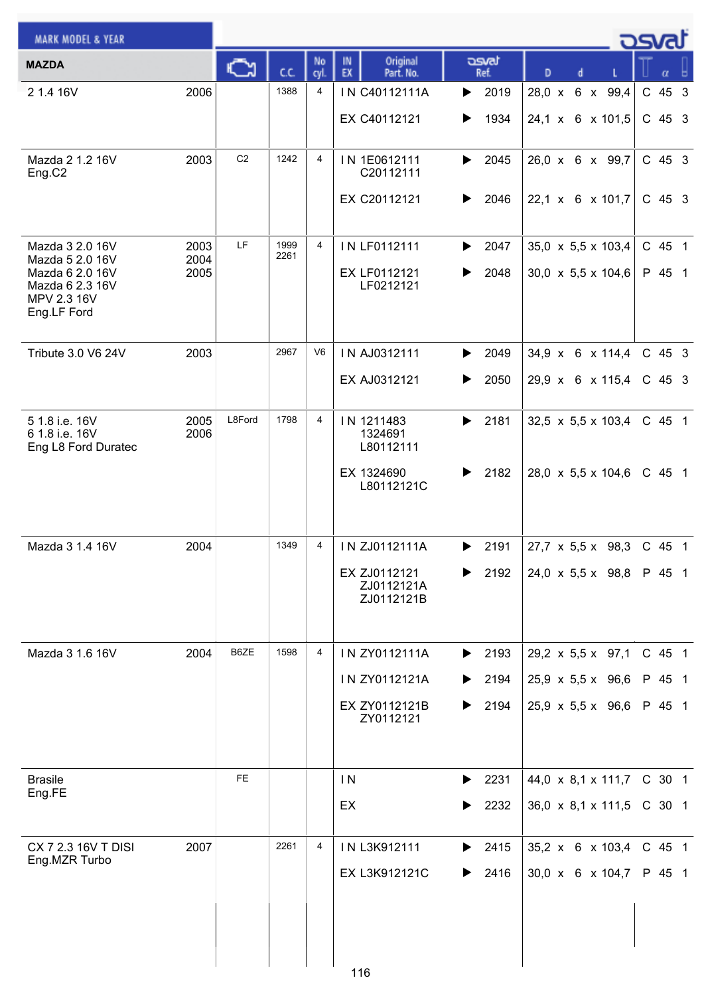| <b>MARK MODEL &amp; YEAR</b>          |              |                |              |                |                                   |                               |                                                                  | <b>DSval</b>     |
|---------------------------------------|--------------|----------------|--------------|----------------|-----------------------------------|-------------------------------|------------------------------------------------------------------|------------------|
| <b>MAZDA</b>                          |              | Č٦             | C.C.         | No<br>cyl.     | Original<br>IN<br>EX<br>Part. No. | asvat<br>Ref.                 | D                                                                | α                |
| 2 1.4 16V                             | 2006         |                | 1388         | 4              | IN C40112111A                     | 2019<br>▶                     | 28,0 x 6 x 99,4                                                  | C 45 3           |
|                                       |              |                |              |                | EX C40112121                      | 1934<br>▶                     | 24,1 x 6 x 101,5                                                 | C 45 3           |
| Mazda 2 1.2 16V                       | 2003         | C <sub>2</sub> | 1242         | 4              | IN 1E0612111                      | 2045                          |                                                                  | $C$ 45 3         |
| Eng.C2                                |              |                |              |                | C20112111                         | ▶                             | 26,0 x 6 x 99,7                                                  |                  |
|                                       |              |                |              |                | EX C20112121                      | 2046<br>▶                     | 22,1 x 6 x 101,7                                                 | $C$ 45 3         |
|                                       |              |                |              |                |                                   |                               |                                                                  |                  |
| Mazda 3 2.0 16V<br>Mazda 5 2.0 16V    | 2003<br>2004 | LF             | 1999<br>2261 | $\overline{4}$ | IN LF0112111                      | 2047<br>▶                     | 35,0 x 5,5 x 103,4                                               | C 45 1           |
| Mazda 6 2.0 16V<br>Mazda 6 2.3 16V    | 2005         |                |              |                | EX LF0112121<br>LF0212121         | 2048<br>▶                     | 30,0 $\times$ 5,5 $\times$ 104,6                                 | P 45 1           |
| MPV 2.3 16V<br>Eng.LF Ford            |              |                |              |                |                                   |                               |                                                                  |                  |
|                                       |              |                |              |                |                                   |                               |                                                                  |                  |
| Tribute 3.0 V6 24V                    | 2003         |                | 2967         | V6             | IN AJ0312111                      | $\blacktriangleright$<br>2049 | 34,9 x 6 x 114,4                                                 | C 45 3           |
|                                       |              |                |              |                | EX AJ0312121                      | 2050<br>▶                     | 29,9 x 6 x 115,4                                                 | $C$ 45 3         |
| 51.8 i.e. 16V                         | 2005         | L8Ford         | 1798         | 4              | IN 1211483                        | 2181<br>▶                     | 32,5 $\times$ 5,5 $\times$ 103,4                                 | C 45 1           |
| 6 1.8 i.e. 16V<br>Eng L8 Ford Duratec | 2006         |                |              |                | 1324691<br>L80112111              |                               |                                                                  |                  |
|                                       |              |                |              |                | EX 1324690<br>L80112121C          | 2182<br>▶                     | 28,0 $\times$ 5,5 $\times$ 104,6                                 | C 45 1           |
|                                       |              |                |              |                |                                   |                               |                                                                  |                  |
|                                       |              |                |              |                |                                   |                               |                                                                  |                  |
| Mazda 3 1.4 16V                       | 2004         |                | 1349         | 4              | IN ZJ0112111A                     | 2191<br>▶                     | $27.7 \times 5.5 \times 98.3$ C 45 1                             |                  |
|                                       |              |                |              |                | EX ZJ0112121<br>ZJ0112121A        | 2192                          | 24,0 x 5,5 x 98,8                                                | P 45 1           |
|                                       |              |                |              |                | ZJ0112121B                        |                               |                                                                  |                  |
|                                       |              |                | 1598         |                |                                   |                               |                                                                  |                  |
| Mazda 3 1.6 16V                       | 2004         | B6ZE           |              | 4              | IN ZY0112111A<br>IN ZY0112121A    | $\blacktriangleright$ 2193    | 29,2 x 5,5 x 97,1                                                | C 45 1<br>P 45 1 |
|                                       |              |                |              |                | EX ZY0112121B                     | ▶<br>2194<br>2194<br>▶        | $25,9 \times 5,5 \times 96,6$<br>25,9 $\times$ 5,5 $\times$ 96,6 | P 45 1           |
|                                       |              |                |              |                | ZY0112121                         |                               |                                                                  |                  |
|                                       |              |                |              |                |                                   |                               |                                                                  |                  |
| <b>Brasile</b>                        |              | <b>FE</b>      |              |                | $\mathsf{I}$ N                    | 2231<br>▶                     | 44,0 x 8,1 x 111,7                                               | C 30 1           |
| Eng.FE                                |              |                |              |                | EX                                | 2232                          | 36,0 $\times$ 8,1 $\times$ 111,5                                 | $C$ 30 1         |
|                                       |              |                |              |                |                                   |                               |                                                                  |                  |
| CX 7 2.3 16V T DISI<br>Eng.MZR Turbo  | 2007         |                | 2261         | 4              | IN L3K912111                      | 2415<br>▶                     | 35,2 x 6 x 103,4                                                 | C 45 1           |
|                                       |              |                |              |                | EX L3K912121C                     | 2416<br>▶                     | 30,0 x 6 x 104,7                                                 | P 45 1           |
|                                       |              |                |              |                |                                   |                               |                                                                  |                  |
|                                       |              |                |              |                |                                   |                               |                                                                  |                  |
|                                       |              |                |              |                | 116                               |                               |                                                                  |                  |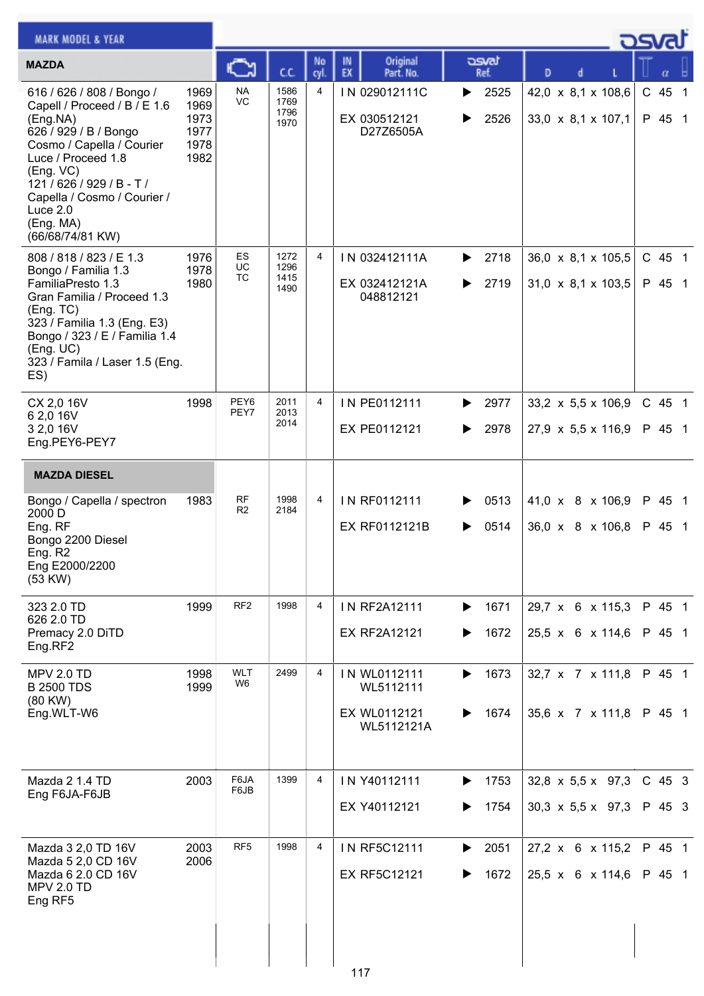| <b>MARK MODEL &amp; YEAR</b>                                                                                                                                                                                                                                         |                                              |                              |                              |                |                                                         |                        |                                                                | asvat              |
|----------------------------------------------------------------------------------------------------------------------------------------------------------------------------------------------------------------------------------------------------------------------|----------------------------------------------|------------------------------|------------------------------|----------------|---------------------------------------------------------|------------------------|----------------------------------------------------------------|--------------------|
| <b>MAZDA</b>                                                                                                                                                                                                                                                         |                                              |                              | C.C.                         | No<br>cyl      | Original<br>IN<br>EX<br>Part. No.                       | asvat<br>Ref.          | D                                                              |                    |
| 616 / 626 / 808 / Bongo /<br>Capell / Proceed / B / E 1.6<br>(Eng.NA)<br>626 / 929 / B / Bongo<br>Cosmo / Capella / Courier<br>Luce / Proceed 1.8<br>(Eng. VC)<br>$121/626/929/B - T/$<br>Capella / Cosmo / Courier /<br>Luce $2.0$<br>(Eng. MA)<br>(66/68/74/81 KW) | 1969<br>1969<br>1973<br>1977<br>1978<br>1982 | <b>NA</b><br>VC              | 1586<br>1769<br>1796<br>1970 | $\overline{4}$ | IN 029012111C<br>EX 030512121<br>D27Z6505A              | 2525<br>▶<br>2526      | 42,0 x 8,1 x 108,6<br>33,0 x 8,1 x 107,1                       | C 45 1<br>P 45 1   |
| 808 / 818 / 823 / E 1.3<br>Bongo / Familia 1.3<br>FamiliaPresto 1.3<br>Gran Familia / Proceed 1.3<br>(Eng. TC)<br>323 / Familia 1.3 (Eng. E3)<br>Bongo / 323 / E / Familia 1.4<br>(Eng. UC)<br>323 / Famila / Laser 1.5 (Eng.<br>ES)                                 | 1976<br>1978<br>1980                         | <b>ES</b><br>UC<br>ТC        | 1272<br>1296<br>1415<br>1490 | $\overline{4}$ | IN 032412111A<br>EX 032412121A<br>048812121             | 2718<br>2719<br>▶      | $36,0 \times 8,1 \times 105,5$<br>31,0 x 8,1 x 103,5           | C 45 1<br>P 45 1   |
| CX 2,0 16V<br>6 2,0 16V<br>3 2,0 16V<br>Eng.PEY6-PEY7                                                                                                                                                                                                                | 1998                                         | PEY6<br>PEY7                 | 2011<br>2013<br>2014         | $\overline{4}$ | IN PE0112111<br>EX PE0112121                            | 2977<br>▶<br>2978      | 33,2 $\times$ 5,5 $\times$ 106,9<br>27,9 x 5,5 x 116,9         | C 45 1<br>P 45 1   |
| <b>MAZDA DIESEL</b>                                                                                                                                                                                                                                                  |                                              |                              |                              |                |                                                         |                        |                                                                |                    |
| Bongo / Capella / spectron<br>2000 D<br>Eng. RF<br>Bongo 2200 Diesel<br>Eng. R2<br>Eng E2000/2200<br>(53 KW)                                                                                                                                                         | 1983                                         | RF<br>R <sub>2</sub>         | 1998<br>2184                 | 4              | IN RF0112111<br>EX RF0112121B                           | 0513<br>0514           | 41,0 x 8 x 106,9<br>36,0 x 8 x 106,8                           | P 45 1<br>P 45 1   |
| 323 2.0 TD<br>626 2.0 TD<br>Premacy 2.0 DiTD<br>Eng.RF2                                                                                                                                                                                                              | 1999                                         | RF <sub>2</sub>              | 1998                         | 4              | IN RF2A12111<br><b>EX RF2A12121</b>                     | 1671<br>▶<br>1672<br>▶ | 29,7 x 6 x 115,3<br>25,5 x 6 x 114,6                           | P 45 1<br>P 45 1   |
| <b>MPV 2.0 TD</b><br><b>B 2500 TDS</b><br>(80 KW)<br>Eng.WLT-W6                                                                                                                                                                                                      | 1998<br>1999                                 | <b>WLT</b><br>W <sub>6</sub> | 2499                         | 4              | IN WL0112111<br>WL5112111<br>EX WL0112121<br>WL5112121A | 1673<br>▶<br>1674      | 32,7 x 7 x 111,8<br>35,6 x 7 x 111,8                           | P 45 1<br>P 45 1   |
| Mazda 2 1.4 TD<br>Eng F6JA-F6JB                                                                                                                                                                                                                                      | 2003                                         | F6JA<br>F6JB                 | 1399                         | 4              | IN Y40112111<br>EX Y40112121                            | 1753<br>▶<br>1754      | $32,8 \times 5,5 \times 97,3$<br>$30,3 \times 5,5 \times 97,3$ | $C$ 45 3<br>P 45 3 |
| Mazda 3 2,0 TD 16V<br>Mazda 5 2,0 CD 16V<br>Mazda 6 2.0 CD 16V<br><b>MPV 2.0 TD</b><br>Eng RF5                                                                                                                                                                       | 2003<br>2006                                 | RF <sub>5</sub>              | 1998                         | 4              | IN RF5C12111<br><b>EX RF5C12121</b><br>117              | 2051<br>▶<br>1672      | 27,2 x 6 x 115,2<br>25,5 x 6 x 114,6                           | P 45 1<br>P 45 1   |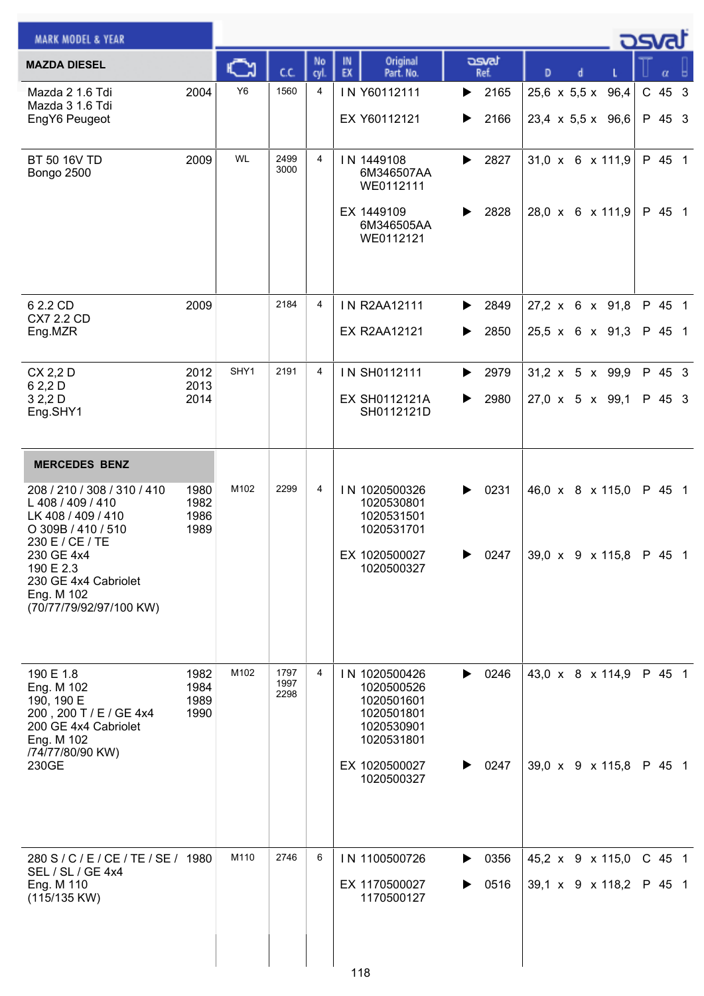| <b>MARK MODEL &amp; YEAR</b>                                                                                                                                                                                |                              |           |                      |                |                                                                                                                    |                                    |               |   |   |                                                    | asvat |                    |  |
|-------------------------------------------------------------------------------------------------------------------------------------------------------------------------------------------------------------|------------------------------|-----------|----------------------|----------------|--------------------------------------------------------------------------------------------------------------------|------------------------------------|---------------|---|---|----------------------------------------------------|-------|--------------------|--|
| <b>MAZDA DIESEL</b>                                                                                                                                                                                         |                              | C         | C.C.                 | No<br>cyl.     | IN<br>EX                                                                                                           | Original<br>Part. No.              | asvat<br>Ref. | D | d |                                                    |       |                    |  |
| Mazda 2 1.6 Tdi<br>Mazda 3 1.6 Tdi<br>EngY6 Peugeot                                                                                                                                                         | 2004                         | <b>Y6</b> | 1560                 | 4              | IN Y60112111<br>EX Y60112121                                                                                       | ▶<br>▶                             | 2165<br>2166  |   |   | 25,6 x 5,5 x 96,4<br>$23,4 \times 5,5 \times 96,6$ |       | $C$ 45 3<br>P 45 3 |  |
| BT 50 16V TD<br>Bongo 2500                                                                                                                                                                                  | 2009                         | <b>WL</b> | 2499<br>3000         | $\overline{4}$ | IN 1449108<br>WE0112111<br>EX 1449109<br>WE0112121                                                                 | ▶<br>6M346507AA<br>▶<br>6M346505AA | 2827<br>2828  |   |   | $31,0 \times 6 \times 111,9$<br>28,0 x 6 x 111,9   |       | P 45 1<br>P 45 1   |  |
| 6 2.2 CD<br>CX7 2.2 CD<br>Eng.MZR                                                                                                                                                                           | 2009                         |           | 2184                 | $\overline{4}$ | <b>IN R2AA12111</b><br><b>EX R2AA12121</b>                                                                         | ▶<br>▶                             | 2849<br>2850  |   |   | $27,2 \times 6 \times 91,8$<br>25,5 x 6 x 91,3     |       | P 45 1<br>P 45 1   |  |
| CX 2,2 D<br>6 2,2 D<br>32,2D<br>Eng.SHY1                                                                                                                                                                    | 2012<br>2013<br>2014         | SHY1      | 2191                 | 4              | IN SH0112111<br><b>EX SH0112121A</b>                                                                               | ▶<br>▶<br>SH0112121D               | 2979<br>2980  |   |   | $31,2 \times 5 \times 99,9$<br>27,0 x 5 x 99,1     |       | P 45 3<br>P 45 3   |  |
| <b>MERCEDES BENZ</b>                                                                                                                                                                                        |                              |           |                      |                |                                                                                                                    |                                    |               |   |   |                                                    |       |                    |  |
| 208 / 210 / 308 / 310 / 410<br>L 408 / 409 / 410<br>LK 408 / 409 / 410<br>O 309B / 410 / 510<br>230 E / CE / TE<br>230 GE 4x4<br>190 E 2.3<br>230 GE 4x4 Cabriolet<br>Eng. M 102<br>(70/77/79/92/97/100 KW) | 1980<br>1982<br>1986<br>1989 | M102      | 2299                 | 4              | IN 1020500326<br>1020530801<br>1020531501<br>1020531701<br>EX 1020500027<br>1020500327                             | ▶                                  | 0231<br>0247  |   |   | 46,0 x 8 x 115,0<br>39,0 x 9 x 115,8 P 45 1        |       | P 45 1             |  |
| 190 E 1.8<br>Eng. M 102<br>190, 190 E<br>200, 200 T / E / GE 4x4<br>200 GE 4x4 Cabriolet<br>Eng. M 102<br>/74/77/80/90 KW)<br>230GE                                                                         | 1982<br>1984<br>1989<br>1990 | M102      | 1797<br>1997<br>2298 | 4              | IN 1020500426<br>1020500526<br>1020501601<br>1020501801<br>1020530901<br>1020531801<br>EX 1020500027<br>1020500327 | ▶<br>▶                             | 0246<br>0247  |   |   | 43,0 x 8 x 114,9<br>39,0 x 9 x 115,8               |       | P 45 1<br>P 45 1   |  |
| 280 S / C / E / CE / TE / SE / 1980<br>SEL / SL / GE 4x4<br>Eng. M 110<br>(115/135 KW)                                                                                                                      |                              | M110      | 2746                 | 6              | IN 1100500726<br>EX 1170500027<br>1170500127<br>118                                                                | ▶<br>▶                             | 0356<br>0516  |   |   | 45,2 x 9 x 115,0<br>39,1 x 9 x 118,2               |       | C 45 1<br>P 45 1   |  |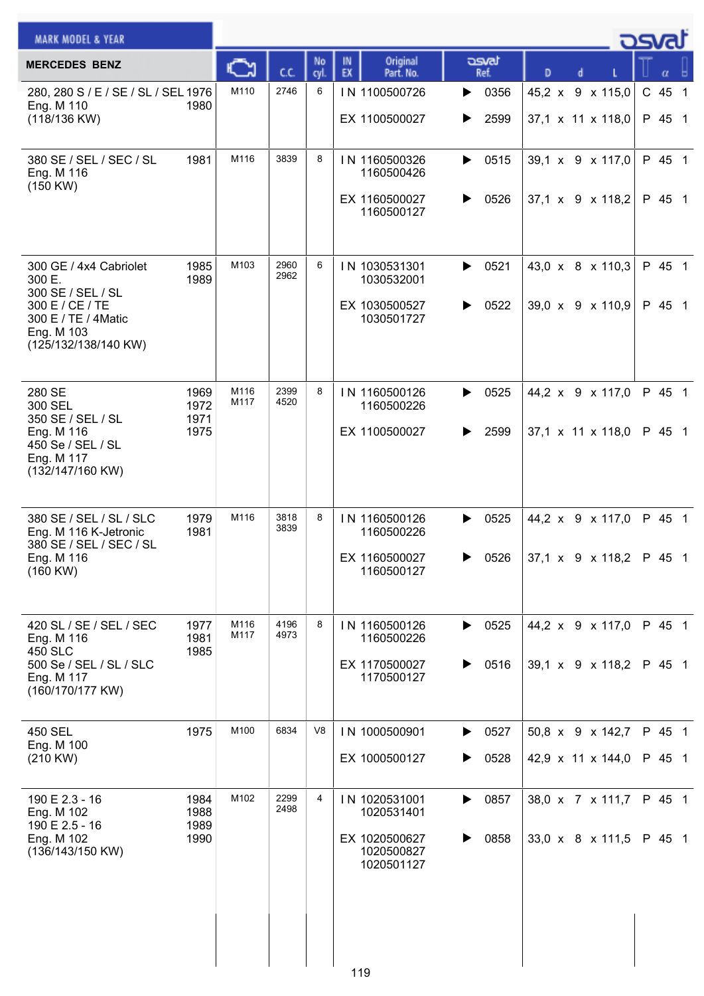| <b>MERCEDES BENZ</b><br>280, 280 S / E / SE / SL / SEL 1976<br>Eng. M 110<br>1980<br>(118/136 KW)<br>1981<br>380 SE / SEL / SEC / SL<br>Eng. M 116<br>(150 KW) | C<br>M110<br>M116 | C.C.<br>2746<br>3839 | No<br>cyl.<br>6<br>8 | Original<br>IN<br>EX<br>Part. No.<br>IN 1100500726<br>EX 1100500027<br>IN 1160500326 | asvat<br>Ref.<br>0356<br>▶<br>2599<br>▶ | D | 45,2 x 9 x 115,0<br>37,1 x 11 x 118,0              | C 45 1<br>P 45 1 |  |
|----------------------------------------------------------------------------------------------------------------------------------------------------------------|-------------------|----------------------|----------------------|--------------------------------------------------------------------------------------|-----------------------------------------|---|----------------------------------------------------|------------------|--|
|                                                                                                                                                                |                   |                      |                      |                                                                                      |                                         |   |                                                    |                  |  |
|                                                                                                                                                                |                   |                      |                      |                                                                                      |                                         |   |                                                    |                  |  |
|                                                                                                                                                                |                   |                      |                      | 1160500426<br>EX 1160500027<br>1160500127                                            | 0515<br>▶<br>0526<br>▶                  |   | 39,1 x 9 x 117,0<br>$37,1 \times 9 \times 118,2$   | P 45 1<br>P 45 1 |  |
| 1985<br>300 GE / 4x4 Cabriolet<br>1989<br>300 E.<br>300 SE / SEL / SL<br>300 E / CE / TE<br>300 E / TE / 4Matic<br>Eng. M 103<br>(125/132/138/140 KW)          | M103              | 2960<br>2962         | 6                    | IN 1030531301<br>1030532001<br>EX 1030500527<br>1030501727                           | 0521<br>▶<br>0522<br>▶                  |   | 43,0 x 8 x 110,3<br>39,0 x 9 x 110,9               | P 45 1<br>P 45 1 |  |
| 280 SE<br>1969<br>1972<br>300 SEL<br>350 SE / SEL / SL<br>1971<br>Eng. M 116<br>1975<br>450 Se / SEL / SL<br>Eng. M 117<br>(132/147/160 KW)                    | M116<br>M117      | 2399<br>4520         | 8                    | IN 1160500126<br>1160500226<br>EX 1100500027                                         | 0525<br>▶<br>2599<br>▶                  |   | 44,2 x 9 x 117,0<br>37,1 x 11 x 118,0              | P 45 1<br>P 45 1 |  |
| 380 SE / SEL / SL / SLC<br>1979<br>Eng. M 116 K-Jetronic<br>1981<br>380 SE / SEL / SEC / SL<br>Eng. M 116<br>$(160$ KW $)$                                     | M116              | 3818<br>3839         | 8                    | IN 1160500126<br>1160500226<br>EX 1160500027<br>1160500127                           | 0525<br>▶<br>0526<br>▶                  |   | 44,2 x 9 x 117,0<br>37,1 x $9 \times 118,2$ P 45 1 | P 45 1           |  |
| 420 SL / SE / SEL / SEC<br>1977<br>Eng. M 116<br>1981<br>450 SLC<br>1985<br>500 Se / SEL / SL / SLC<br>Eng. M 117<br>(160/170/177 KW)                          | M116<br>M117      | 4196<br>4973         | 8                    | IN 1160500126<br>1160500226<br>EX 1170500027<br>1170500127                           | 0525<br>▶<br>0516<br>▶                  |   | 44,2 x 9 x 117,0<br>39,1 x 9 x 118,2               | P 45 1<br>P 45 1 |  |
| 450 SEL<br>1975<br>Eng. M 100<br>(210 KW)                                                                                                                      | M100              | 6834                 | V <sub>8</sub>       | IN 1000500901<br>EX 1000500127                                                       | 0527<br>▶<br>0528<br>▶                  |   | 50,8 x 9 x 142,7<br>42,9 x 11 x 144,0              | P 45 1<br>P 45 1 |  |
| 1984<br>190 E 2.3 - 16<br>Eng. M 102<br>1988<br>190 E 2.5 - 16<br>1989<br>1990<br>Eng. M 102<br>(136/143/150 KW)                                               | M102              | 2299<br>2498         | 4                    | IN 1020531001<br>1020531401<br>EX 1020500627<br>1020500827<br>1020501127<br>119      | 0857<br>▶<br>0858<br>▶                  |   | 38,0 x 7 x 111,7<br>33,0 x 8 x 111,5               | P 45 1<br>P 45 1 |  |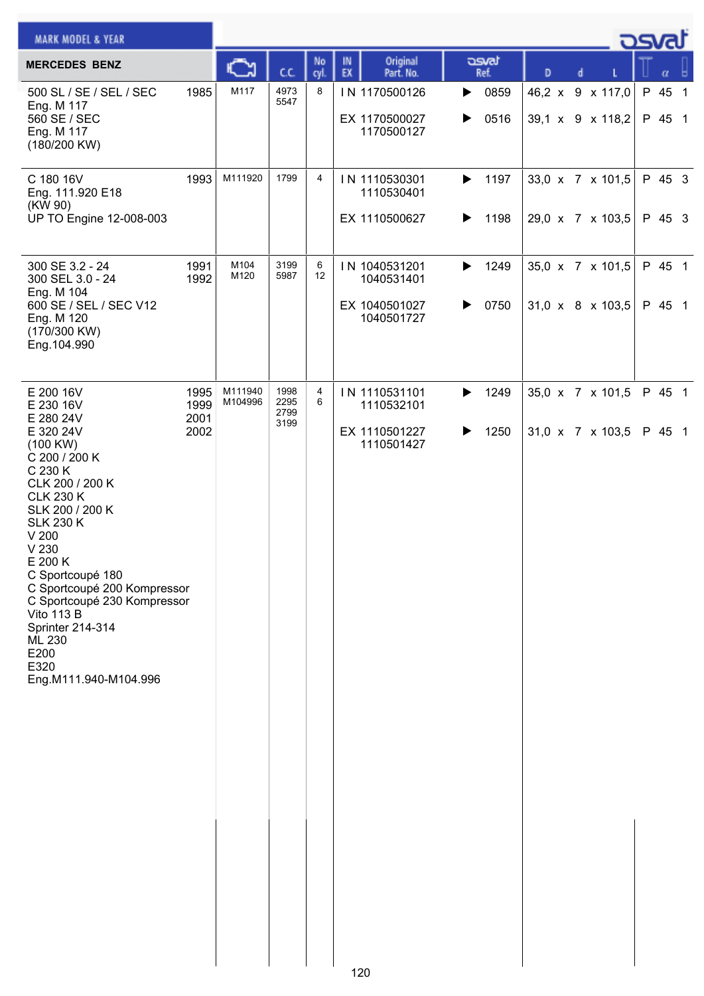| <b>MARK MODEL &amp; YEAR</b>                                                                                                                                                                                                                                                                                                                                                                 |                              |                    |                              |                        |                                                            |        |               |   |   |                                      | <b>DSVRJ</b>     |  |
|----------------------------------------------------------------------------------------------------------------------------------------------------------------------------------------------------------------------------------------------------------------------------------------------------------------------------------------------------------------------------------------------|------------------------------|--------------------|------------------------------|------------------------|------------------------------------------------------------|--------|---------------|---|---|--------------------------------------|------------------|--|
| <b>MERCEDES BENZ</b>                                                                                                                                                                                                                                                                                                                                                                         |                              |                    | C.C.                         | No<br>cyl.             | Original<br>IN<br>EX<br>Part. No.                          |        | asvat<br>Ref. | D | d |                                      | α                |  |
| 500 SL / SE / SEL / SEC<br>Eng. M 117<br>560 SE / SEC<br>Eng. M 117<br>(180/200 KW)                                                                                                                                                                                                                                                                                                          | 1985                         | M117               | 4973<br>5547                 | 8                      | IN 1170500126<br>EX 1170500027<br>1170500127               | ▶<br>▶ | 0859<br>0516  |   |   | 46,2 x 9 x 117,0<br>39,1 x 9 x 118,2 | P 45 1<br>P 45 1 |  |
| C 180 16V<br>Eng. 111.920 E18<br>(KW 90)<br>UP TO Engine 12-008-003                                                                                                                                                                                                                                                                                                                          | 1993                         | M111920            | 1799                         | 4                      | IN 1110530301<br>1110530401<br>EX 1110500627               | ▶<br>▶ | 1197<br>1198  |   |   | 33,0 x 7 x 101,5<br>29,0 x 7 x 103,5 | P 45 3<br>P 45 3 |  |
| 300 SE 3.2 - 24<br>300 SEL 3.0 - 24<br>Eng. M 104<br>600 SE / SEL / SEC V12<br>Eng. M 120<br>(170/300 KW)<br>Eng.104.990                                                                                                                                                                                                                                                                     | 1991<br>1992                 | M104<br>M120       | 3199<br>5987                 | 6<br>$12 \overline{ }$ | IN 1040531201<br>1040531401<br>EX 1040501027<br>1040501727 | ▶<br>▶ | 1249<br>0750  |   |   | 35,0 x 7 x 101,5<br>31,0 x 8 x 103,5 | P 45 1<br>P 45 1 |  |
| E 200 16V<br>E 230 16V<br>E 280 24V<br>E 320 24V<br>(100 KW)<br>C 200 / 200 K<br>C 230 K<br>CLK 200 / 200 K<br><b>CLK 230 K</b><br>SLK 200 / 200 K<br><b>SLK 230 K</b><br>V <sub>200</sub><br>V 230<br>E 200 K<br>C Sportcoupé 180<br>C Sportcoupé 200 Kompressor<br>C Sportcoupé 230 Kompressor<br><b>Vito 113 B</b><br>Sprinter 214-314<br>ML 230<br>E200<br>E320<br>Eng.M111.940-M104.996 | 1995<br>1999<br>2001<br>2002 | M111940<br>M104996 | 1998<br>2295<br>2799<br>3199 | 4<br>6                 | IN 1110531101<br>1110532101<br>EX 1110501227<br>1110501427 | ▶<br>▶ | 1249<br>1250  |   |   | 35,0 x 7 x 101,5<br>31,0 x 7 x 103,5 | P 45 1<br>P 45 1 |  |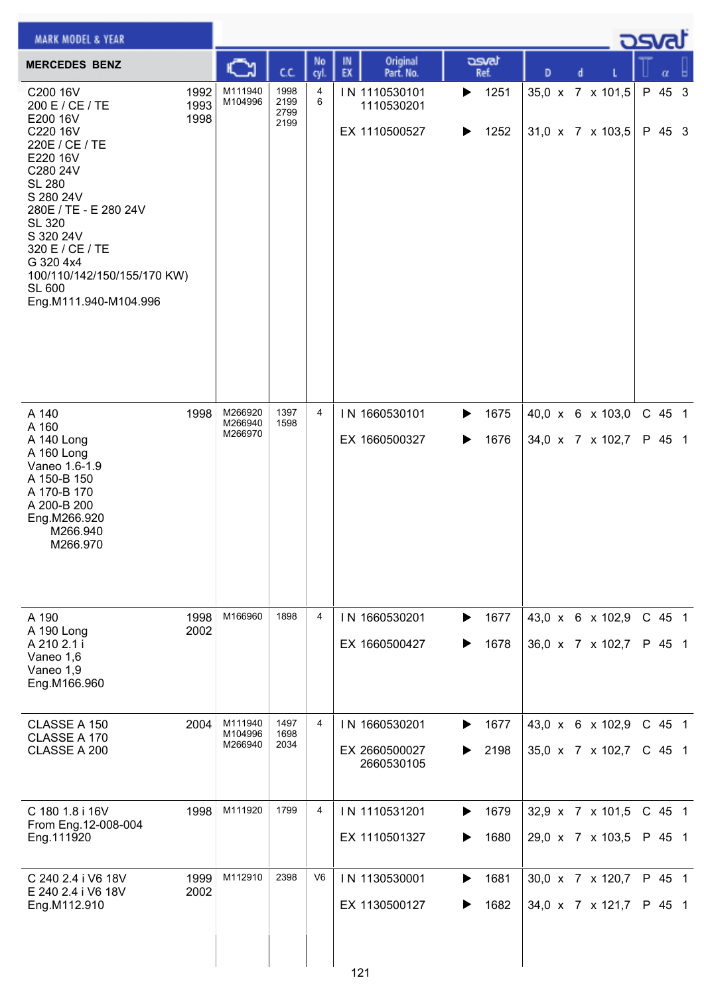| <b>MARK MODEL &amp; YEAR</b>                                                                                                                                                                                                                                                         |                      |                               |                              |                |                                              |                        |                                      |  | ك <i>osv</i> a     |  |
|--------------------------------------------------------------------------------------------------------------------------------------------------------------------------------------------------------------------------------------------------------------------------------------|----------------------|-------------------------------|------------------------------|----------------|----------------------------------------------|------------------------|--------------------------------------|--|--------------------|--|
| <b>MERCEDES BENZ</b>                                                                                                                                                                                                                                                                 |                      |                               | СC                           | No<br>cyl.     | Original<br>IN<br>EX<br>Part. No.            | asvat<br>Ref.          | D<br>d                               |  | α                  |  |
| C200 16V<br>200 E / CE / TE<br>E200 16V<br>C220 16V<br>220E / CE / TE<br>E220 16V<br>C280 24V<br><b>SL 280</b><br>S 280 24V<br>280E / TE - E 280 24V<br><b>SL 320</b><br>S 320 24V<br>320 E / CE / TE<br>G 320 4x4<br>100/110/142/150/155/170 KW)<br>SL 600<br>Eng.M111.940-M104.996 | 1992<br>1993<br>1998 | M111940<br>M104996            | 1998<br>2199<br>2799<br>2199 | 4<br>6         | IN 1110530101<br>1110530201<br>EX 1110500527 | 1251<br>▶<br>1252<br>▶ | 35,0 x 7 x 101,5<br>31,0 x 7 x 103,5 |  | P 45 3<br>P 45 3   |  |
| A 140<br>A 160<br>A 140 Long<br>A 160 Long<br>Vaneo 1.6-1.9<br>A 150-B 150<br>A 170-B 170<br>A 200-B 200<br>Eng.M266.920<br>M266.940<br>M266.970                                                                                                                                     | 1998                 | M266920<br>M266940<br>M266970 | 1397<br>1598                 | $\overline{4}$ | IN 1660530101<br>EX 1660500327               | 1675<br>▶<br>1676<br>▶ | 40,0 x 6 x 103,0<br>34,0 x 7 x 102,7 |  | C 45 1<br>P 45 1   |  |
| A 190<br>A 190 Long<br>A 210 2.1 i<br>Vaneo 1,6<br>Vaneo 1,9<br>Eng.M166.960                                                                                                                                                                                                         | 1998<br>2002         | M166960                       | 1898                         | 4              | IN 1660530201<br>EX 1660500427               | 1677<br>▶<br>1678<br>▶ | 43,0 x 6 x 102,9<br>36,0 x 7 x 102,7 |  | C 45 1<br>P 45 1   |  |
| CLASSE A 150<br>CLASSE A 170<br>CLASSE A 200                                                                                                                                                                                                                                         | 2004                 | M111940<br>M104996<br>M266940 | 1497<br>1698<br>2034         | 4              | IN 1660530201<br>EX 2660500027<br>2660530105 | 1677<br>▶<br>2198      | 43,0 x 6 x 102,9<br>35,0 x 7 x 102,7 |  | C 45 1<br>$C$ 45 1 |  |
| C 180 1.8 i 16V<br>From Eng. 12-008-004<br>Eng.111920                                                                                                                                                                                                                                | 1998                 | M111920                       | 1799                         | 4              | IN 1110531201<br>EX 1110501327               | 1679<br>▶<br>1680      | 32,9 x 7 x 101,5<br>29,0 x 7 x 103,5 |  | $C$ 45 1<br>P 45 1 |  |
| C 240 2.4 i V6 18V<br>E 240 2.4 i V6 18V<br>Eng.M112.910                                                                                                                                                                                                                             | 1999<br>2002         | M112910                       | 2398                         | V <sub>6</sub> | IN 1130530001<br>EX 1130500127<br>121        | 1681<br>▶<br>1682      | 30,0 x 7 x 120,7<br>34,0 x 7 x 121,7 |  | P 45 1<br>P 45 1   |  |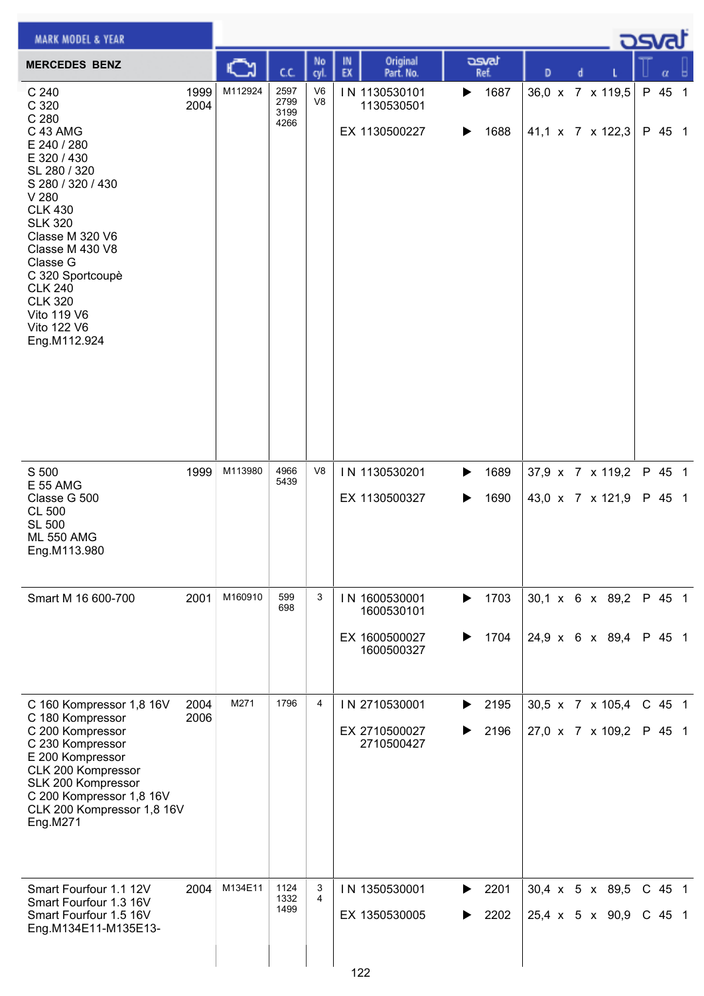| <b>MARK MODEL &amp; YEAR</b>                                                                                                                                                                                                                                                                                |              |         |                              |                                  |                                                            |                        |                                      | كتصوح                |   |  |
|-------------------------------------------------------------------------------------------------------------------------------------------------------------------------------------------------------------------------------------------------------------------------------------------------------------|--------------|---------|------------------------------|----------------------------------|------------------------------------------------------------|------------------------|--------------------------------------|----------------------|---|--|
| <b>MERCEDES BENZ</b>                                                                                                                                                                                                                                                                                        |              |         | C.C.                         | No<br>cyl.                       | Original<br>IN<br>EX<br>Part. No.                          | محت<br>Ref.            | D<br>d                               |                      | α |  |
| C 240<br>C 320<br>C 280<br>C 43 AMG<br>E 240 / 280<br>E 320 / 430<br>SL 280 / 320<br>S 280 / 320 / 430<br>V 280<br><b>CLK 430</b><br><b>SLK 320</b><br>Classe M 320 V6<br>Classe M 430 V8<br>Classe G<br>C 320 Sportcoupè<br><b>CLK 240</b><br><b>CLK 320</b><br>Vito 119 V6<br>Vito 122 V6<br>Eng.M112.924 | 1999<br>2004 | M112924 | 2597<br>2799<br>3199<br>4266 | V <sub>6</sub><br>V <sub>8</sub> | IN 1130530101<br>1130530501<br>EX 1130500227               | 1687<br>▶<br>1688<br>▶ | 36,0 x 7 x 119,5<br>41,1 x 7 x 122,3 | P 45 1<br>P 45 1     |   |  |
| S 500<br><b>E 55 AMG</b><br>Classe G 500<br><b>CL 500</b><br><b>SL 500</b><br><b>ML 550 AMG</b><br>Eng.M113.980                                                                                                                                                                                             | 1999         | M113980 | 4966<br>5439                 | V <sub>8</sub>                   | IN 1130530201<br>EX 1130500327                             | 1689<br>▶<br>1690<br>▶ | 37,9 x 7 x 119,2<br>43,0 x 7 x 121,9 | P 45 1<br>P 45 1     |   |  |
| Smart M 16 600-700                                                                                                                                                                                                                                                                                          | 2001         | M160910 | 599<br>698                   | 3                                | IN 1600530001<br>1600530101<br>EX 1600500027<br>1600500327 | 1703<br>▶<br>1704<br>▶ | 30,1 x 6 x 89,2<br>24,9 x 6 x 89,4   | P 45 1<br>P 45 1     |   |  |
| C 160 Kompressor 1,8 16V<br>C 180 Kompressor<br>C 200 Kompressor<br>C 230 Kompressor<br>E 200 Kompressor<br>CLK 200 Kompressor<br>SLK 200 Kompressor<br>C 200 Kompressor 1,8 16V<br>CLK 200 Kompressor 1,8 16V<br>Eng.M271                                                                                  | 2004<br>2006 | M271    | 1796                         | $\overline{4}$                   | IN 2710530001<br>EX 2710500027<br>2710500427               | 2195<br>▶<br>2196<br>▶ | 30,5 x 7 x 105,4<br>27,0 x 7 x 109,2 | C 45 1<br>P 45 1     |   |  |
| Smart Fourfour 1.1 12V<br>Smart Fourfour 1.3 16V<br>Smart Fourfour 1.5 16V<br>Eng.M134E11-M135E13-                                                                                                                                                                                                          | 2004         | M134E11 | 1124<br>1332<br>1499         | 3<br>$\overline{4}$              | IN 1350530001<br>EX 1350530005<br>122                      | 2201<br>▶<br>2202<br>▶ | 30,4 x 5 x 89,5<br>25,4 x 5 x 90,9   | $C$ 45 1<br>$C$ 45 1 |   |  |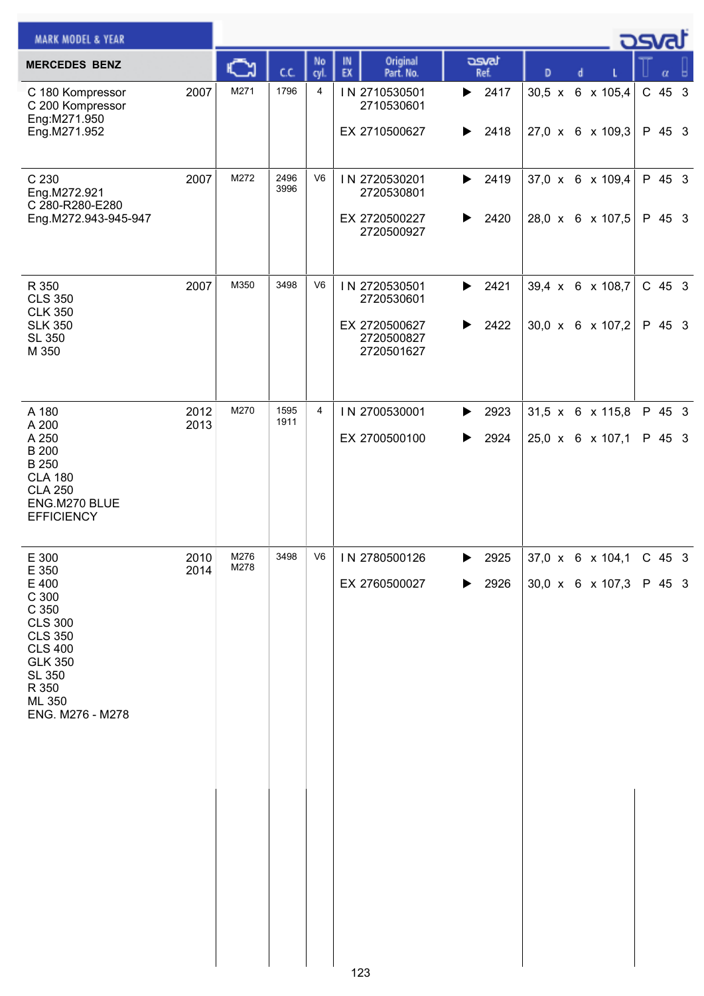| <b>MARK MODEL &amp; YEAR</b>                                                                                                                                              |              |              |              |                |                                                                          |                                            |   |                                                         | كت الصح            |  |
|---------------------------------------------------------------------------------------------------------------------------------------------------------------------------|--------------|--------------|--------------|----------------|--------------------------------------------------------------------------|--------------------------------------------|---|---------------------------------------------------------|--------------------|--|
| <b>MERCEDES BENZ</b>                                                                                                                                                      |              |              | C.C.         | No<br>cyl.     | Original<br>IN<br>EX<br>Part. No.                                        | asvat<br>Ref.                              | D | d                                                       | α                  |  |
| C 180 Kompressor<br>C 200 Kompressor<br>Eng:M271.950<br>Eng.M271.952                                                                                                      | 2007         | M271         | 1796         | $\overline{4}$ | IN 2710530501<br>2710530601<br>EX 2710500627                             | 2417<br>▶<br>2418<br>▶                     |   | 30,5 x 6 x 105,4<br>27,0 x 6 x 109,3                    | C 45 3<br>P 45 3   |  |
| C 230<br>Eng.M272.921<br>C 280-R280-E280<br>Eng.M272.943-945-947                                                                                                          | 2007         | M272         | 2496<br>3996 | V <sub>6</sub> | IN 2720530201<br>2720530801<br>EX 2720500227<br>2720500927               | 2419<br>▶<br>2420<br>▶                     |   | 37,0 x 6 x 109,4<br>28,0 x 6 x 107,5                    | P 45 3<br>P 45 3   |  |
| R 350<br><b>CLS 350</b><br><b>CLK 350</b><br><b>SLK 350</b><br><b>SL 350</b><br>M 350                                                                                     | 2007         | M350         | 3498         | V <sub>6</sub> | IN 2720530501<br>2720530601<br>EX 2720500627<br>2720500827<br>2720501627 | 2421<br>$\blacktriangleright$<br>2422<br>▶ |   | 39,4 x 6 x 108,7<br>30,0 x 6 x 107,2                    | $C$ 45 3<br>P 45 3 |  |
| A 180<br>A 200<br>A 250<br><b>B</b> 200<br>B 250<br><b>CLA 180</b><br><b>CLA 250</b><br>ENG.M270 BLUE<br><b>EFFICIENCY</b>                                                | 2012<br>2013 | M270         | 1595<br>1911 | $\overline{4}$ | IN 2700530001<br>EX 2700500100                                           | 2923<br>▶<br>2924<br>▶                     |   | 31,5 x 6 x 115,8<br>25,0 x 6 x 107,1                    | P 45 3<br>P 45 3   |  |
| E 300<br>E 350<br>E 400<br>C 300<br>C 350<br><b>CLS 300</b><br><b>CLS 350</b><br><b>CLS 400</b><br><b>GLK 350</b><br><b>SL 350</b><br>R 350<br>ML 350<br>ENG. M276 - M278 | 2010<br>2014 | M276<br>M278 | 3498         | V6             | IN 2780500126<br>EX 2760500027                                           | 2925<br>▶<br>2926<br>▶                     |   | $37,0 \times 6 \times 104,1$ C 45 3<br>30,0 x 6 x 107,3 | P 45 3             |  |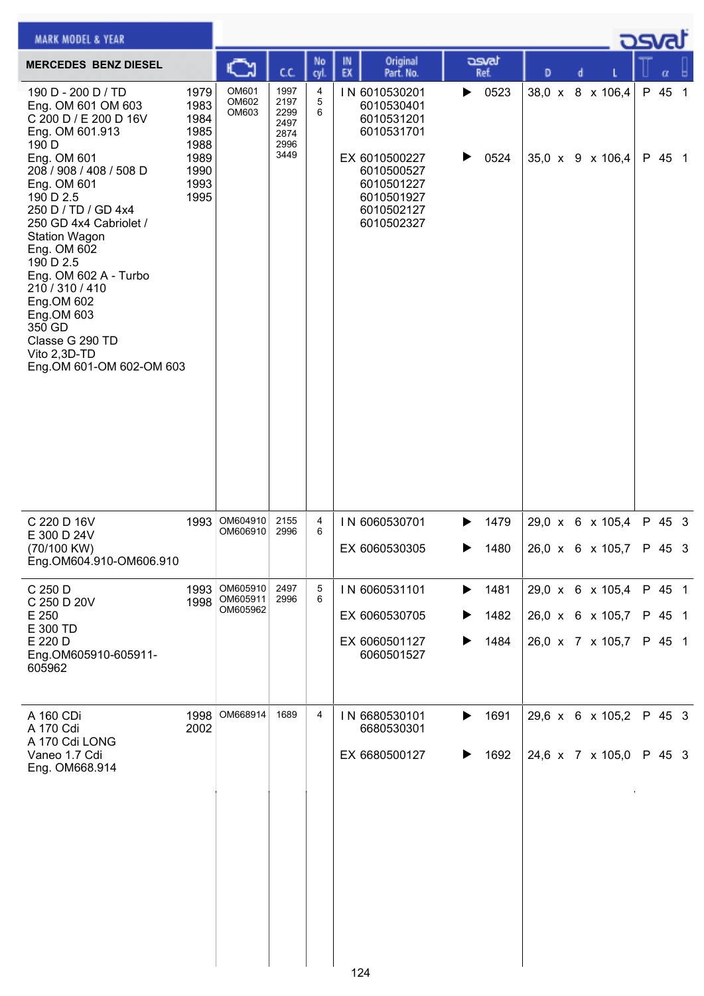| <b>MARK MODEL &amp; YEAR</b>                                                                                                                                                                                                                                             |                                                                      |                         |                                                      |                       |          |                                                                                                                                                |        |               |   |   |                                      | asvat            |  |
|--------------------------------------------------------------------------------------------------------------------------------------------------------------------------------------------------------------------------------------------------------------------------|----------------------------------------------------------------------|-------------------------|------------------------------------------------------|-----------------------|----------|------------------------------------------------------------------------------------------------------------------------------------------------|--------|---------------|---|---|--------------------------------------|------------------|--|
| <b>MERCEDES BENZ DIESEL</b>                                                                                                                                                                                                                                              |                                                                      | C٦                      | C.C.                                                 | No<br>cyl.            | IN<br>EX | Original<br>Part. No.                                                                                                                          |        | asvat<br>Ref. | D | d |                                      | α                |  |
| 190 D - 200 D / TD<br>Eng. OM 601 OM 603<br>C 200 D / E 200 D 16V<br>Eng. OM 601.913<br>190 D<br>Eng. OM 601<br>208 / 908 / 408 / 508 D<br>Eng. OM 601<br>190 D 2.5<br>250 D / TD / GD 4x4<br>250 GD 4x4 Cabriolet /<br><b>Station Wagon</b><br>Eng. OM 602<br>190 D 2.5 | 1979<br>1983<br>1984<br>1985<br>1988<br>1989<br>1990<br>1993<br>1995 | OM601<br>OM602<br>OM603 | 1997<br>2197<br>2299<br>2497<br>2874<br>2996<br>3449 | 4<br>$\mathbf 5$<br>6 |          | IN 6010530201<br>6010530401<br>6010531201<br>6010531701<br>EX 6010500227<br>6010500527<br>6010501227<br>6010501927<br>6010502127<br>6010502327 | ▶<br>▶ | 0523<br>0524  |   |   | 38,0 x 8 x 106,4<br>35,0 x 9 x 106,4 | P 45 1<br>P 45 1 |  |
| Eng. OM 602 A - Turbo<br>210 / 310 / 410<br>Eng.OM 602<br>Eng.OM 603<br>350 GD<br>Classe G 290 TD<br>Vito 2,3D-TD<br>Eng.OM 601-OM 602-OM 603                                                                                                                            |                                                                      |                         |                                                      |                       |          |                                                                                                                                                |        |               |   |   |                                      |                  |  |
| C 220 D 16V<br>E 300 D 24V<br>(70/100 KW)<br>Eng.OM604.910-OM606.910                                                                                                                                                                                                     | 1993                                                                 | OM604910<br>OM606910    | 2155<br>2996                                         | 4<br>6                |          | IN 6060530701<br>EX 6060530305                                                                                                                 | ▶      | 1479<br>1480  |   |   | 29,0 x 6 x 105,4<br>26,0 x 6 x 105,7 | P 45 3<br>P 45 3 |  |
| C 250 D<br>C 250 D 20V                                                                                                                                                                                                                                                   | 1993<br>1998                                                         | OM605910<br>OM605911    | 2497<br>2996                                         | 5<br>6                |          | IN 6060531101                                                                                                                                  | ▶      | 1481          |   |   | 29,0 x 6 x 105,4                     | P 45 1           |  |
| E 250<br>E 300 TD<br>E 220 D                                                                                                                                                                                                                                             |                                                                      | OM605962                |                                                      |                       |          | EX 6060530705                                                                                                                                  |        | 1482          |   |   | 26,0 x 6 x 105,7                     | P 45 1           |  |
| Eng.OM605910-605911-<br>605962                                                                                                                                                                                                                                           |                                                                      |                         |                                                      |                       |          | EX 6060501127<br>6060501527                                                                                                                    |        | 1484          |   |   | 26,0 x 7 x 105,7                     | P 45 1           |  |
| A 160 CDi<br>A 170 Cdi<br>A 170 Cdi LONG                                                                                                                                                                                                                                 | 1998<br>2002                                                         | OM668914                | 1689                                                 | 4                     |          | IN 6680530101<br>6680530301                                                                                                                    | ▶      | 1691          |   |   | 29,6 x 6 x 105,2                     | P 45 3           |  |
| Vaneo 1.7 Cdi<br>Eng. OM668.914                                                                                                                                                                                                                                          |                                                                      |                         |                                                      |                       |          | EX 6680500127                                                                                                                                  | ▶      | 1692          |   |   | 24,6 x 7 x 105,0                     | P 45 3           |  |
|                                                                                                                                                                                                                                                                          |                                                                      |                         |                                                      |                       | 124      |                                                                                                                                                |        |               |   |   |                                      |                  |  |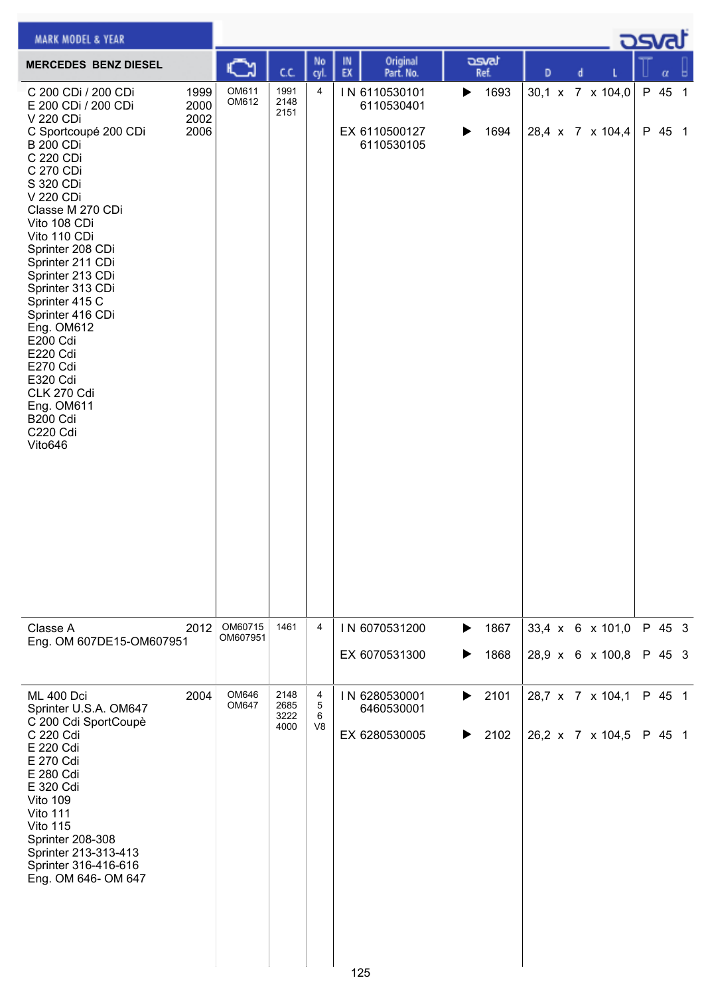| <b>MARK MODEL &amp; YEAR</b>                                                                                                                                                                                                                                                                                                                                                                                                                                           |                              |                     |                              |                               |          |                                                            |                            |               |   |   |                                      | كتصوح            |   |
|------------------------------------------------------------------------------------------------------------------------------------------------------------------------------------------------------------------------------------------------------------------------------------------------------------------------------------------------------------------------------------------------------------------------------------------------------------------------|------------------------------|---------------------|------------------------------|-------------------------------|----------|------------------------------------------------------------|----------------------------|---------------|---|---|--------------------------------------|------------------|---|
| <b>MERCEDES BENZ DIESEL</b>                                                                                                                                                                                                                                                                                                                                                                                                                                            |                              | C٦                  | C.C.                         | No<br>cyl.                    | IN<br>EX | Original<br>Part. No.                                      |                            | asvat<br>Ref. | D | d |                                      | $\alpha$         | ы |
| C 200 CDi / 200 CDi<br>E 200 CDi / 200 CDi<br>V 220 CDi<br>C Sportcoupé 200 CDi<br><b>B 200 CDi</b><br>C 220 CDi<br>C 270 CDi<br>S 320 CDi<br>V 220 CDi<br>Classe M 270 CDi<br>Vito 108 CDi<br>Vito 110 CDi<br>Sprinter 208 CDi<br>Sprinter 211 CDi<br>Sprinter 213 CDi<br>Sprinter 313 CDi<br>Sprinter 415 C<br>Sprinter 416 CDi<br>Eng. OM612<br>E200 Cdi<br><b>E220 Cdi</b><br>E270 Cdi<br>E320 Cdi<br>CLK 270 Cdi<br>Eng. OM611<br>B200 Cdi<br>C220 Cdi<br>Vito646 | 1999<br>2000<br>2002<br>2006 | OM611<br>OM612      | 1991<br>2148<br>2151         | 4                             |          | IN 6110530101<br>6110530401<br>EX 6110500127<br>6110530105 | $\blacktriangleright$<br>▶ | 1693<br>1694  |   |   | 30,1 x 7 x 104,0<br>28,4 x 7 x 104,4 | P 45 1<br>P 45 1 |   |
| Classe A<br>Eng. OM 607DE15-OM607951                                                                                                                                                                                                                                                                                                                                                                                                                                   | 2012                         | OM60715<br>OM607951 | 1461                         | 4                             |          | IN 6070531200<br>EX 6070531300                             | ▶<br>▶                     | 1867<br>1868  |   |   | 33,4 x 6 x 101,0<br>28,9 x 6 x 100,8 | P 45 3<br>P 45 3 |   |
| <b>ML 400 Dci</b><br>Sprinter U.S.A. OM647<br>C 200 Cdi SportCoupè<br>C 220 Cdi<br>E 220 Cdi<br>E 270 Cdi<br>E 280 Cdi<br>E 320 Cdi<br>Vito 109<br>Vito 111<br>Vito 115<br>Sprinter 208-308<br>Sprinter 213-313-413<br>Sprinter 316-416-616<br>Eng. OM 646- OM 647                                                                                                                                                                                                     | 2004                         | OM646<br>OM647      | 2148<br>2685<br>3222<br>4000 | 4<br>5<br>6<br>V <sub>8</sub> |          | IN 6280530001<br>6460530001<br>EX 6280530005               | $\blacktriangleright$<br>▶ | 2101<br>2102  |   |   | 28,7 x 7 x 104,1<br>26,2 x 7 x 104,5 | P 45 1<br>P 45 1 |   |
|                                                                                                                                                                                                                                                                                                                                                                                                                                                                        |                              |                     |                              |                               | 125      |                                                            |                            |               |   |   |                                      |                  |   |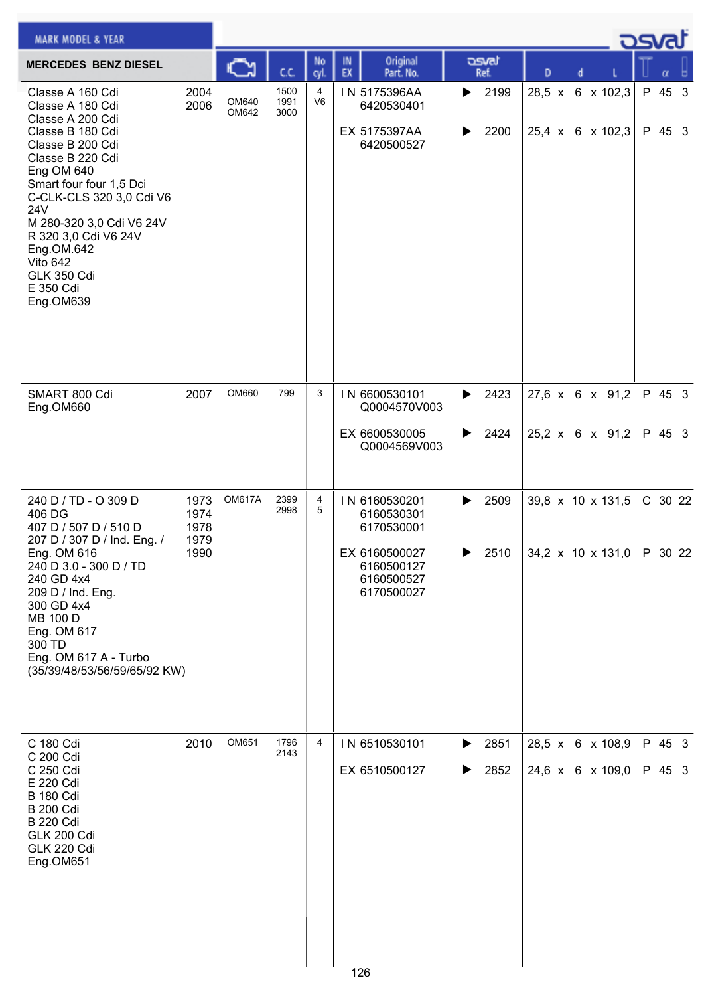| <b>MARK MODEL &amp; YEAR</b>                                                                                                                                                                                                                                                                                                   |                                      |                |                      |                     |                                                                                                      |                        |               |                                                                            | كمحت             |  |
|--------------------------------------------------------------------------------------------------------------------------------------------------------------------------------------------------------------------------------------------------------------------------------------------------------------------------------|--------------------------------------|----------------|----------------------|---------------------|------------------------------------------------------------------------------------------------------|------------------------|---------------|----------------------------------------------------------------------------|------------------|--|
| <b>MERCEDES BENZ DIESEL</b>                                                                                                                                                                                                                                                                                                    |                                      | C              | C.C.                 | No<br>cyl           | Original<br>IN<br>EX<br>Part. No.                                                                    | asvat<br>Ref.          | D             |                                                                            |                  |  |
| Classe A 160 Cdi<br>Classe A 180 Cdi<br>Classe A 200 Cdi<br>Classe B 180 Cdi<br>Classe B 200 Cdi<br>Classe B 220 Cdi<br>Eng OM 640<br>Smart four four 1,5 Dci<br>C-CLK-CLS 320 3,0 Cdi V6<br>24V<br>M 280-320 3,0 Cdi V6 24V<br>R 320 3,0 Cdi V6 24V<br>Eng.OM.642<br>Vito 642<br><b>GLK 350 Cdi</b><br>E 350 Cdi<br>Eng.OM639 | 2004<br>2006                         | OM640<br>OM642 | 1500<br>1991<br>3000 | 4<br>V <sub>6</sub> | IN 5175396AA<br>6420530401<br>EX 5175397AA<br>6420500527                                             | 2199<br>▶<br>2200<br>▶ | $28,5 \times$ | 6 x 102,3<br>$25,4 \times 6 \times 102,3$                                  | P 45 3<br>P 45 3 |  |
| SMART 800 Cdi<br>Eng.OM660                                                                                                                                                                                                                                                                                                     | 2007                                 | OM660          | 799                  | 3                   | IN 6600530101<br>Q0004570V003<br>EX 6600530005<br>Q0004569V003                                       | 2423<br>▶<br>2424<br>▶ |               | 27,6 x 6 x 91,2<br>25,2 x 6 x 91,2                                         | P 45 3<br>P 45 3 |  |
| 240 D / TD - O 309 D<br>406 DG<br>407 D / 507 D / 510 D<br>207 D / 307 D / Ind. Eng. /<br>Eng. OM 616<br>240 D 3.0 - 300 D / TD<br>240 GD 4x4<br>209 D / Ind. Eng.<br>300 GD 4x4<br>MB 100 D<br>Eng. OM 617<br>300 TD<br>Eng. OM 617 A - Turbo<br>(35/39/48/53/56/59/65/92 KW)                                                 | 1973<br>1974<br>1978<br>1979<br>1990 | <b>OM617A</b>  | 2399<br>2998         | 4<br>5              | IN 6160530201<br>6160530301<br>6170530001<br>EX 6160500027<br>6160500127<br>6160500527<br>6170500027 | 2509<br>▶<br>2510      |               | 39,8 $\times$ 10 $\times$ 131,5<br>$ 34,2 \times 10 \times 131,0 $ P 30 22 | C 30 22          |  |
| C 180 Cdi<br>C 200 Cdi<br>C 250 Cdi<br>E 220 Cdi<br><b>B</b> 180 Cdi<br><b>B 200 Cdi</b><br><b>B 220 Cdi</b><br>GLK 200 Cdi<br>GLK 220 Cdi<br>Eng.OM651                                                                                                                                                                        | 2010                                 | OM651          | 1796<br>2143         | 4                   | IN 6510530101<br>EX 6510500127                                                                       | 2851<br>▶<br>2852<br>▶ |               | 28,5 x 6 x 108,9<br>24,6 x 6 x 109,0                                       | P 45 3<br>P 45 3 |  |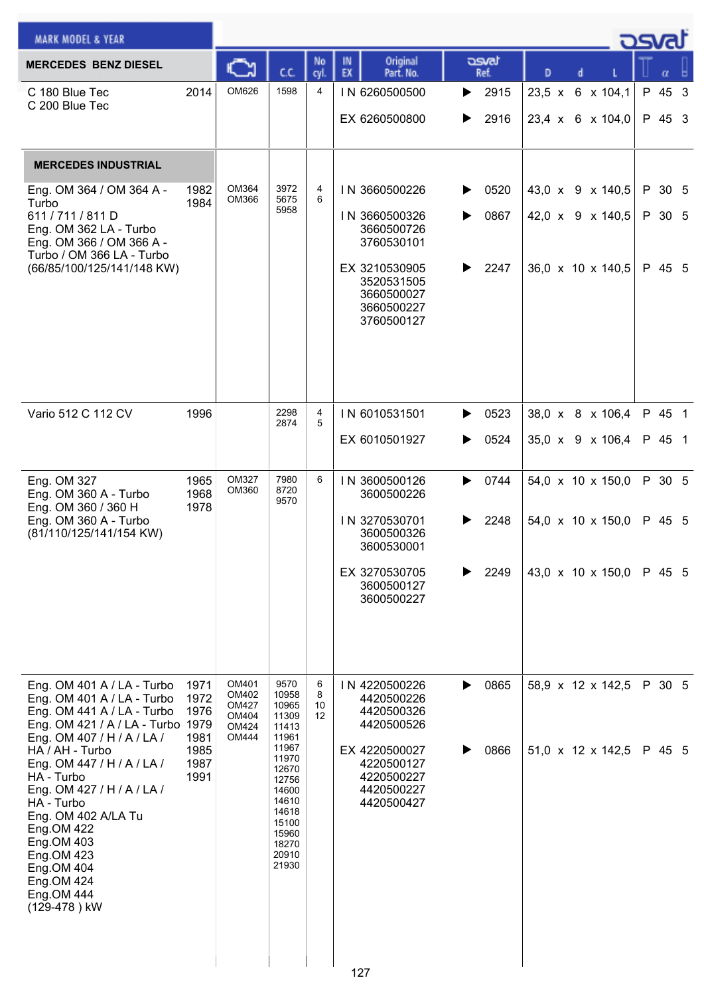| <b>MARK MODEL &amp; YEAR</b>                                                                  |              |                                |                         |                   |                                   |                   |                                      | osvat |                  |  |
|-----------------------------------------------------------------------------------------------|--------------|--------------------------------|-------------------------|-------------------|-----------------------------------|-------------------|--------------------------------------|-------|------------------|--|
| <b>MERCEDES BENZ DIESEL</b>                                                                   |              |                                | C.C.                    | No<br>cvl.        | Original<br>IN<br>EX<br>Part. No. | asvat<br>Ref.     | D                                    |       |                  |  |
| C 180 Blue Tec<br>C 200 Blue Tec                                                              | 2014         | OM626                          | 1598                    | 4                 | IN 6260500500                     | 2915<br>▶         | 23,5 x 6 x 104,1                     |       | P 45 3           |  |
|                                                                                               |              |                                |                         |                   | EX 6260500800                     | 2916              | 23,4 x 6 x 104,0                     |       | P 45 3           |  |
|                                                                                               |              |                                |                         |                   |                                   |                   |                                      |       |                  |  |
| <b>MERCEDES INDUSTRIAL</b>                                                                    |              |                                |                         |                   |                                   |                   |                                      |       |                  |  |
| Eng. OM 364 / OM 364 A -<br>Turbo<br>611/711/811D                                             | 1982<br>1984 | OM364<br>OM366                 | 3972<br>5675<br>5958    | 4<br>6            | IN 3660500226<br>IN 3660500326    | 0520<br>▶<br>0867 | 43,0 x 9 x 140,5<br>42,0 x 9 x 140,5 |       | P 30 5<br>P 30 5 |  |
| Eng. OM 362 LA - Turbo<br>Eng. OM 366 / OM 366 A -                                            |              |                                |                         |                   | 3660500726<br>3760530101          |                   |                                      |       |                  |  |
| Turbo / OM 366 LA - Turbo<br>(66/85/100/125/141/148 KW)                                       |              |                                |                         |                   | EX 3210530905                     | 2247              | 36,0 x 10 x 140,5                    |       | P 45 5           |  |
|                                                                                               |              |                                |                         |                   | 3520531505<br>3660500027          |                   |                                      |       |                  |  |
|                                                                                               |              |                                |                         |                   | 3660500227<br>3760500127          |                   |                                      |       |                  |  |
|                                                                                               |              |                                |                         |                   |                                   |                   |                                      |       |                  |  |
|                                                                                               |              |                                |                         |                   |                                   |                   |                                      |       |                  |  |
|                                                                                               |              |                                |                         |                   |                                   |                   |                                      |       |                  |  |
| Vario 512 C 112 CV                                                                            | 1996         |                                | 2298<br>2874            | 4<br>5            | IN 6010531501                     | 0523              | 38,0 x 8 x 106,4                     |       | P 45 1           |  |
|                                                                                               |              |                                |                         |                   | EX 6010501927                     | 0524<br>▶         | 35,0 x 9 x 106,4                     |       | P 45 1           |  |
| Eng. OM 327<br>Eng. OM 360 A - Turbo                                                          | 1965         | <b>OM327</b><br>OM360          | 7980<br>8720            | 6                 | IN 3600500126                     | 0744<br>▶         | 54,0 x 10 x 150,0                    |       | P 30 5           |  |
| Eng. OM 360 / 360 H                                                                           | 1968<br>1978 |                                | 9570                    |                   | 3600500226                        |                   |                                      |       |                  |  |
| Eng. OM 360 A - Turbo<br>(81/110/125/141/154 KW)                                              |              |                                |                         |                   | IN 3270530701<br>3600500326       | 2248<br>▶         | 54,0 x 10 x 150,0                    |       | P 45 5           |  |
|                                                                                               |              |                                |                         |                   | 3600530001<br>EX 3270530705       | 2249              | 43,0 x 10 x 150,0                    |       | P 45 5           |  |
|                                                                                               |              |                                |                         |                   | 3600500127<br>3600500227          |                   |                                      |       |                  |  |
|                                                                                               |              |                                |                         |                   |                                   |                   |                                      |       |                  |  |
|                                                                                               |              |                                |                         |                   |                                   |                   |                                      |       |                  |  |
|                                                                                               |              |                                |                         |                   |                                   |                   |                                      |       |                  |  |
| Eng. OM 401 A / LA - Turbo<br>Eng. OM 401 A / LA - Turbo                                      | 1971<br>1972 | OM401<br>OM402<br><b>OM427</b> | 9570<br>10958<br>10965  | 6<br>8<br>10      | IN 4220500226<br>4420500226       | 0865<br>▶         | 58,9 x 12 x 142,5                    |       | P 30 5           |  |
| Eng. OM 441 A / LA - Turbo<br>Eng. OM 421 / A / LA - Turbo 1979<br>Eng. OM 407 / H / A / LA / | 1976<br>1981 | OM404<br>OM424<br><b>OM444</b> | 11309<br>11413<br>11961 | $12 \overline{ }$ | 4420500326<br>4420500526          |                   |                                      |       |                  |  |
| HA / AH - Turbo<br>Eng. OM 447 / H / A / LA /                                                 | 1985<br>1987 |                                | 11967<br>11970          |                   | EX 4220500027<br>4220500127       | 0866              | $51,0 \times 12 \times 142,5$        |       | P 45 5           |  |
| HA - Turbo<br>Eng. OM 427 / H / A / LA /                                                      | 1991         |                                | 12670<br>12756<br>14600 |                   | 4220500227<br>4420500227          |                   |                                      |       |                  |  |
| HA - Turbo<br>Eng. OM 402 A/LA Tu                                                             |              |                                | 14610<br>14618          |                   | 4420500427                        |                   |                                      |       |                  |  |
| Eng.OM 422                                                                                    |              |                                | 15100<br>15960<br>18270 |                   |                                   |                   |                                      |       |                  |  |
| Eng.OM 423<br>Eng.OM 404                                                                      | Eng.OM 403   |                                | 20910<br>21930          |                   |                                   |                   |                                      |       |                  |  |
| Eng.OM 424<br>Eng.OM 444                                                                      |              |                                |                         |                   |                                   |                   |                                      |       |                  |  |
| (129-478) kW                                                                                  |              |                                |                         |                   |                                   |                   |                                      |       |                  |  |
|                                                                                               |              |                                |                         |                   |                                   |                   |                                      |       |                  |  |
|                                                                                               |              |                                |                         |                   | 127                               |                   |                                      |       |                  |  |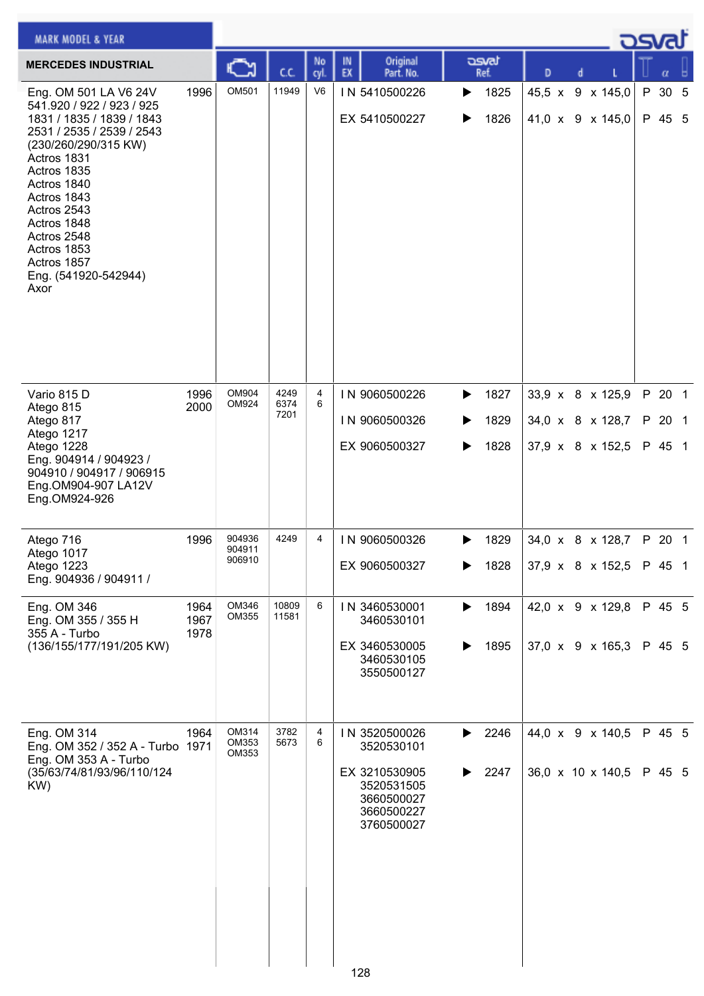| <b>MARK MODEL &amp; YEAR</b>                                                                                                                                                                                                                                                                                |                      |                            |                      |                |                                                                                                             |                                     |                                                          |   | osval                      |  |
|-------------------------------------------------------------------------------------------------------------------------------------------------------------------------------------------------------------------------------------------------------------------------------------------------------------|----------------------|----------------------------|----------------------|----------------|-------------------------------------------------------------------------------------------------------------|-------------------------------------|----------------------------------------------------------|---|----------------------------|--|
| <b>MERCEDES INDUSTRIAL</b>                                                                                                                                                                                                                                                                                  |                      |                            | cc                   | No<br>cyl.     | Original<br>IN<br>EX<br>Part. No.                                                                           | asvat<br>Ref.                       | D                                                        |   |                            |  |
| Eng. OM 501 LA V6 24V<br>541.920 / 922 / 923 / 925<br>1831 / 1835 / 1839 / 1843<br>2531 / 2535 / 2539 / 2543<br>(230/260/290/315 KW)<br>Actros 1831<br>Actros 1835<br>Actros 1840<br>Actros 1843<br>Actros 2543<br>Actros 1848<br>Actros 2548<br>Actros 1853<br>Actros 1857<br>Eng. (541920-542944)<br>Axor | 1996                 | OM501                      | 11949                | V <sub>6</sub> | IN 5410500226<br>EX 5410500227                                                                              | 1825<br>▶<br>1826<br>▶              | 45,5 x 9 x 145,0<br>41,0 x 9 x 145,0                     | P | 30 <sub>5</sub><br>P 45 5  |  |
| Vario 815 D<br>Atego 815<br>Atego 817<br>Atego 1217<br>Atego 1228<br>Eng. 904914 / 904923 /<br>904910 / 904917 / 906915<br>Eng.OM904-907 LA12V<br>Eng.OM924-926                                                                                                                                             | 1996<br>2000         | OM904<br>OM924             | 4249<br>6374<br>7201 | 4<br>6         | IN 9060500226<br>IN 9060500326<br>EX 9060500327                                                             | 1827<br>▶<br>1829<br>▶<br>1828<br>▶ | 33,9 x 8 x 125,9<br>34,0 x 8 x 128,7<br>37,9 x 8 x 152,5 |   | P 20 1<br>P 20 1<br>P 45 1 |  |
| Atego 716<br>Atego 1017<br>Atego 1223<br>Eng. 904936 / 904911 /                                                                                                                                                                                                                                             | 1996                 | 904936<br>904911<br>906910 | 4249                 | 4              | IN 9060500326<br>EX 9060500327                                                                              | 1829<br>▶<br>1828                   | 34,0 x 8 x 128,7<br>37,9 x 8 x 152,5                     |   | P 20 1<br>P 45 1           |  |
| Eng. OM 346<br>Eng. OM 355 / 355 H<br>355 A - Turbo<br>(136/155/177/191/205 KW)                                                                                                                                                                                                                             | 1964<br>1967<br>1978 | OM346<br>OM355             | 10809<br>11581       | 6              | IN 3460530001<br>3460530101<br>EX 3460530005<br>3460530105<br>3550500127                                    | 1894<br>▶<br>1895                   | 42,0 x 9 x 129,8<br>37,0 x 9 x 165,3                     |   | P 45 5<br>P 45 5           |  |
| Eng. OM 314<br>Eng. OM 352 / 352 A - Turbo 1971<br>Eng. OM 353 A - Turbo<br>(35/63/74/81/93/96/110/124<br>KW)                                                                                                                                                                                               | 1964                 | OM314<br>OM353<br>OM353    | 3782<br>5673         | 4<br>6         | IN 3520500026<br>3520530101<br>EX 3210530905<br>3520531505<br>3660500027<br>3660500227<br>3760500027<br>128 | 2246<br>▶<br>2247<br>▶              | 44,0 x 9 x 140,5<br>36,0 x 10 x 140,5                    |   | P 45 5<br>P 45 5           |  |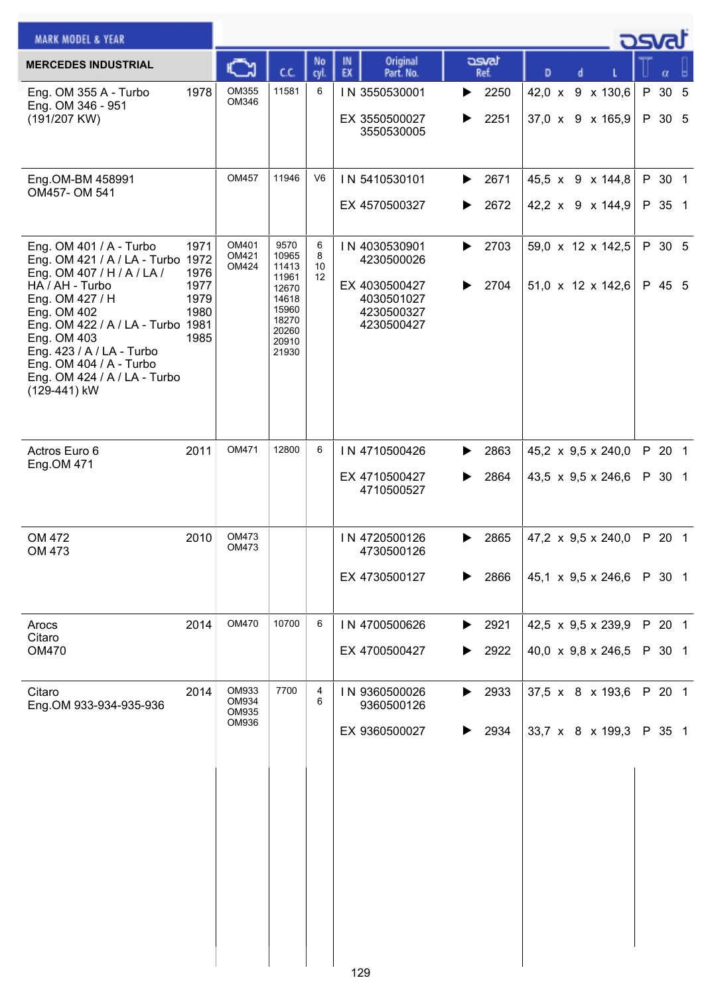| <b>MARK MODEL &amp; YEAR</b>                                                                                                                                                                        |                                              |                         |                                                                                       |                    |                                                                                        |                            |                                                        | osvaľ            |  |
|-----------------------------------------------------------------------------------------------------------------------------------------------------------------------------------------------------|----------------------------------------------|-------------------------|---------------------------------------------------------------------------------------|--------------------|----------------------------------------------------------------------------------------|----------------------------|--------------------------------------------------------|------------------|--|
| <b>MERCEDES INDUSTRIAL</b>                                                                                                                                                                          |                                              | Ѽ                       | C.C.                                                                                  | No<br>cyl.         | Original<br>IN<br>EX<br>Part. No.                                                      | asvat<br>Ref.              | D                                                      |                  |  |
| Eng. OM 355 A - Turbo<br>Eng. OM 346 - 951                                                                                                                                                          | 1978                                         | OM355<br>OM346          | 11581                                                                                 | 6                  | IN 3550530001                                                                          | 2250<br>▶                  | 42,0 x 9 x 130,6                                       | P 30 5           |  |
| (191/207 KW)                                                                                                                                                                                        |                                              |                         |                                                                                       |                    | EX 3550500027<br>3550530005                                                            | 2251<br>▶                  | 37,0 x 9 x 165,9                                       | P 30 5           |  |
| Eng.OM-BM 458991                                                                                                                                                                                    |                                              | OM457                   | 11946                                                                                 | V6                 | IN 5410530101                                                                          | 2671<br>▶                  | 45,5 x 9 x 144,8                                       | P 30 1           |  |
| OM457-OM 541                                                                                                                                                                                        |                                              |                         |                                                                                       |                    | EX 4570500327                                                                          | 2672<br>▶                  | 42,2 x 9 x 144,9                                       | P 35 1           |  |
| Eng. OM 401 / A - Turbo<br>Eng. OM 421 / A / LA - Turbo 1972<br>Eng. OM 407 / H / A / LA /<br>HA / AH - Turbo<br>Eng. OM 427 / H<br>Eng. OM 402<br>Eng. OM 422 / A / LA - Turbo 1981<br>Eng. OM 403 | 1971<br>1976<br>1977<br>1979<br>1980<br>1985 | OM401<br>OM421<br>OM424 | 9570<br>10965<br>11413<br>11961<br>12670<br>14618<br>15960<br>18270<br>20260<br>20910 | 6<br>8<br>10<br>12 | IN 4030530901<br>4230500026<br>EX 4030500427<br>4030501027<br>4230500327<br>4230500427 | 2703<br>▶<br>2704          | 59,0 x 12 x 142,5<br>$51,0 \times 12 \times 142,6$     | P 30 5<br>P 45 5 |  |
| Eng. 423 / A / LA - Turbo<br>Eng. OM 404 / A - Turbo<br>Eng. OM 424 / A / LA - Turbo<br>(129-441) kW                                                                                                |                                              |                         | 21930                                                                                 |                    |                                                                                        |                            |                                                        |                  |  |
| Actros Euro 6<br>Eng.OM 471                                                                                                                                                                         | 2011                                         | OM471                   | 12800                                                                                 | 6                  | IN 4710500426                                                                          | 2863<br>▶                  | 45,2 x 9,5 x 240,0                                     | P 20 1           |  |
|                                                                                                                                                                                                     |                                              |                         |                                                                                       |                    | EX 4710500427<br>4710500527                                                            | 2864                       | 43,5 x 9,5 x 246,6                                     | P 30 1           |  |
| OM 472<br>OM 473                                                                                                                                                                                    | 2010                                         | OM473<br>OM473          |                                                                                       |                    | IN 4720500126<br>4730500126<br>EX 4730500127                                           | 2865<br>▶<br>2866          | 47,2 $\times$ 9,5 $\times$ 240,0<br>45,1 x 9,5 x 246,6 | P 20 1<br>P 30 1 |  |
|                                                                                                                                                                                                     |                                              |                         |                                                                                       |                    |                                                                                        |                            |                                                        |                  |  |
| Arocs<br>Citaro                                                                                                                                                                                     | 2014                                         | OM470                   | 10700                                                                                 | 6                  | IN 4700500626                                                                          | 2921<br>▶                  | 42,5 x 9,5 x 239,9                                     | P 20 1           |  |
| <b>OM470</b>                                                                                                                                                                                        |                                              |                         |                                                                                       |                    | EX 4700500427                                                                          | 2922<br>▶                  | 40,0 $\times$ 9,8 $\times$ 246,5                       | P 30 1           |  |
| Citaro<br>Eng.OM 933-934-935-936                                                                                                                                                                    | 2014                                         | OM933<br>OM934<br>OM935 | 7700                                                                                  | 4<br>6             | IN 9360500026<br>9360500126                                                            | $\blacktriangleright$ 2933 | 37,5 x 8 x 193,6                                       | P 20 1           |  |
|                                                                                                                                                                                                     |                                              | OM936                   |                                                                                       |                    | EX 9360500027                                                                          | 2934<br>▶                  | 33,7 x 8 x 199,3                                       | P 35 1           |  |
|                                                                                                                                                                                                     |                                              |                         |                                                                                       |                    |                                                                                        |                            |                                                        |                  |  |
|                                                                                                                                                                                                     |                                              |                         |                                                                                       |                    |                                                                                        |                            |                                                        |                  |  |
|                                                                                                                                                                                                     |                                              |                         |                                                                                       |                    |                                                                                        |                            |                                                        |                  |  |
|                                                                                                                                                                                                     |                                              |                         |                                                                                       |                    |                                                                                        |                            |                                                        |                  |  |
|                                                                                                                                                                                                     |                                              |                         |                                                                                       |                    |                                                                                        |                            |                                                        |                  |  |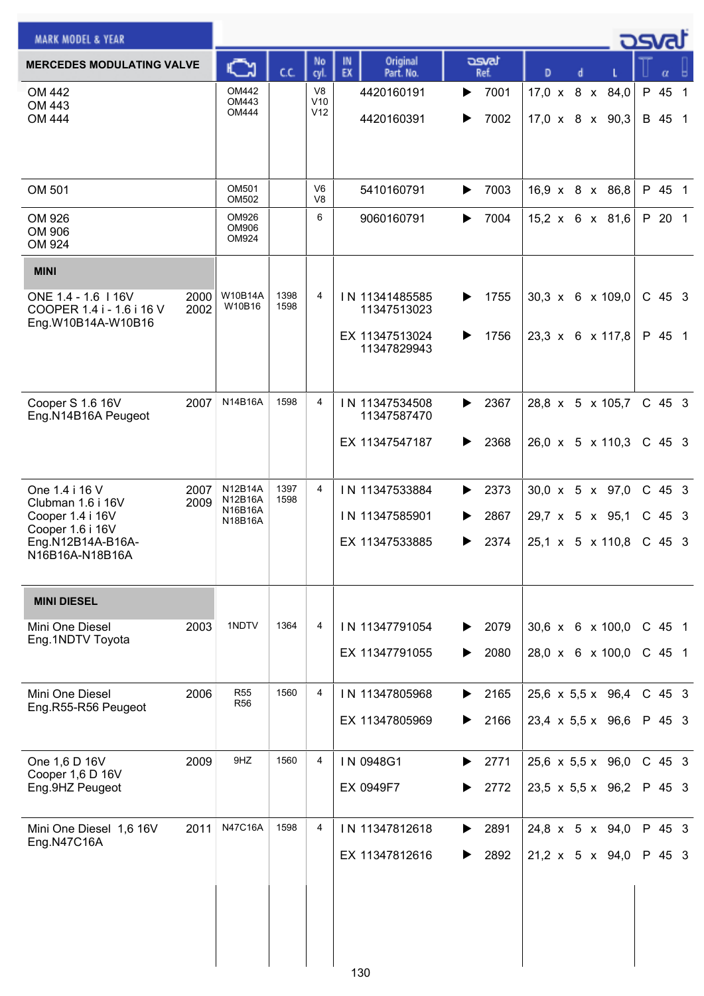| <b>MARK MODEL &amp; YEAR</b>                                                 |                                               |              |                                  |                                   |                        |                                                | - ರಾಗದ               |  |
|------------------------------------------------------------------------------|-----------------------------------------------|--------------|----------------------------------|-----------------------------------|------------------------|------------------------------------------------|----------------------|--|
| <b>MERCEDES MODULATING VALVE</b>                                             | C٦                                            | C.C.         | No<br>cyl.                       | Original<br>IN<br>EX<br>Part. No. | asvat<br>Ref.          | D                                              | α                    |  |
| OM 442<br>OM 443<br>OM 444                                                   | OM442<br>OM443<br>OM444                       |              | V <sub>8</sub><br>V10<br>V12     | 4420160191<br>4420160391          | 7001<br>▶<br>7002<br>▶ | 17,0 x 8 x 84,0<br>$17,0 \times 8 \times 90,3$ | P 45 1<br>B 45 1     |  |
| OM 501                                                                       | OM501<br>OM502                                |              | V <sub>6</sub><br>V <sub>8</sub> | 5410160791                        | 7003<br>▶              | 16,9 x 8 x 86,8                                | P 45 1               |  |
| OM 926<br>OM 906<br>OM 924                                                   | OM926<br>OM906<br>OM924                       |              | 6                                | 9060160791                        | 7004<br>▶              | 15,2 x 6 x 81,6                                | P 20 1               |  |
| <b>MINI</b>                                                                  |                                               |              |                                  |                                   |                        |                                                |                      |  |
| ONE 1.4 - 1.6   16V<br>COOPER 1.4 i - 1.6 i 16 V<br>Eng.W10B14A-W10B16       | W10B14A<br>2000<br>W10B16<br>2002             | 1398<br>1598 | 4                                | IN 11341485585<br>11347513023     | 1755<br>▶              | $30,3 \times 6 \times 109,0$                   | C 45 3               |  |
|                                                                              |                                               |              |                                  | EX 11347513024<br>11347829943     | 1756<br>▶              | 23,3 x 6 x 117,8                               | P 45 1               |  |
| Cooper S 1.6 16V<br>Eng.N14B16A Peugeot                                      | N14B16A<br>2007                               | 1598         | 4                                | IN 11347534508<br>11347587470     | 2367<br>▶              | 28,8 x 5 x 105,7                               | $C$ 45 3             |  |
|                                                                              |                                               |              |                                  | EX 11347547187                    | 2368<br>▶              | $26,0 \times 5 \times 110,3$                   | $C$ 45 3             |  |
| One 1.4 i 16 V<br>Clubman 1.6 i 16V                                          | 2007<br>N12B14A<br>N12B16A<br>2009<br>N16B16A | 1397<br>1598 | 4                                | IN 11347533884                    | 2373<br>▶              | $30,0 \times 5 \times 97,0$                    | $C$ 45 3             |  |
| Cooper 1.4 i 16V<br>Cooper 1.6 i 16V<br>Eng.N12B14A-B16A-<br>N16B16A-N18B16A | N18B16A                                       |              |                                  | IN 11347585901<br>EX 11347533885  | 2867<br>▶<br>2374<br>▶ | 29,7 x 5 x 95,1<br>25,1 x 5 x 110,8            | $C$ 45 3<br>$C$ 45 3 |  |
| <b>MINI DIESEL</b>                                                           |                                               |              |                                  |                                   |                        |                                                |                      |  |
| Mini One Diesel<br>Eng.1NDTV Toyota                                          | 1NDTV<br>2003                                 | 1364         | 4                                | IN 11347791054                    | 2079<br>▶              | $30,6 \times 6 \times 100,0$                   | $C$ 45 1             |  |
|                                                                              |                                               |              |                                  | EX 11347791055                    | 2080<br>▶              | 28,0 x 6 x 100,0                               | $C$ 45 1             |  |
| Mini One Diesel<br>Eng.R55-R56 Peugeot                                       | 2006<br><b>R55</b><br><b>R56</b>              | 1560         | 4                                | IN 11347805968                    | 2165<br>▶              | 25,6 x 5,5 x 96,4                              | $C$ 45 3             |  |
|                                                                              |                                               |              |                                  | EX 11347805969                    | 2166<br>▶              | $23,4 \times 5,5 \times 96,6$                  | P 45 3               |  |
| One 1,6 D 16V<br>Cooper 1,6 D 16V                                            | 9HZ<br>2009                                   | 1560         | 4                                | IN 0948G1                         | 2771<br>▶              | 25,6 x 5,5 x 96,0                              | $C$ 45 3             |  |
| Eng.9HZ Peugeot                                                              |                                               |              |                                  | EX 0949F7                         | 2772<br>▶              | $23,5 \times 5,5 \times 96,2$                  | P 45 3               |  |
| Mini One Diesel 1,6 16V<br>Eng.N47C16A                                       | N47C16A<br>2011                               | 1598         | 4                                | IN 11347812618                    | 2891<br>▶              | 24,8 $\times$ 5 $\times$ 94,0                  | P 45 3               |  |
|                                                                              |                                               |              |                                  | EX 11347812616<br>130             | 2892<br>▶              | 21,2 x 5 x 94,0                                | P 45 3               |  |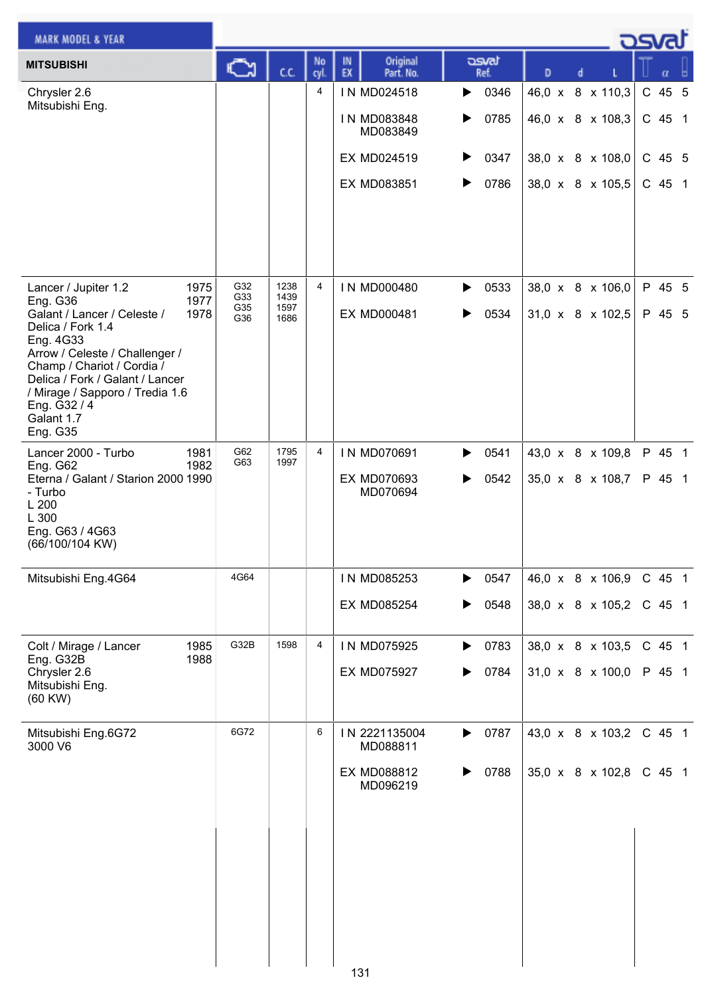| <b>MARK MODEL &amp; YEAR</b>                                                                                                                                                                                                                                                                              |                          |                              |            |                                        |                        |                                                  |   | osvat            |
|-----------------------------------------------------------------------------------------------------------------------------------------------------------------------------------------------------------------------------------------------------------------------------------------------------------|--------------------------|------------------------------|------------|----------------------------------------|------------------------|--------------------------------------------------|---|------------------|
| <b>MITSUBISHI</b>                                                                                                                                                                                                                                                                                         | $\sum_{i=1}^n$           | C.C.                         | No<br>cyl. | Original<br>IN<br>EX<br>Part. No.      | asvat<br>Ref.          | D                                                | d | α                |
| Chrysler 2.6                                                                                                                                                                                                                                                                                              |                          |                              | 4          | IN MD024518                            | 0346<br>▶              | 46,0 x 8 x 110,3                                 |   | C 45 5           |
| Mitsubishi Eng.                                                                                                                                                                                                                                                                                           |                          |                              |            | IN MD083848<br>MD083849                | 0785<br>▶              | 46,0 x 8 x 108,3                                 |   | $C$ 45 1         |
|                                                                                                                                                                                                                                                                                                           |                          |                              |            | EX MD024519                            | 0347<br>▶              | 38,0 x 8 x 108,0                                 |   | $C$ 45 5         |
|                                                                                                                                                                                                                                                                                                           |                          |                              |            | EX MD083851                            | 0786<br>▶              | 38,0 x 8 x 105,5                                 |   | C 45 1           |
| 1975<br>Lancer / Jupiter 1.2<br>1977<br>Eng. G36<br>Galant / Lancer / Celeste /<br>1978<br>Delica / Fork 1.4<br>Eng. 4G33<br>Arrow / Celeste / Challenger /<br>Champ / Chariot / Cordia /<br>Delica / Fork / Galant / Lancer<br>/ Mirage / Sapporo / Tredia 1.6<br>Eng. G32 / 4<br>Galant 1.7<br>Eng. G35 | G32<br>G33<br>G35<br>G36 | 1238<br>1439<br>1597<br>1686 | 4          | IN MD000480<br><b>EX MD000481</b>      | 0533<br>▶<br>0534<br>▶ | 38,0 x 8 x 106,0<br>$31,0 \times 8 \times 102,5$ |   | P 45 5<br>P 45 5 |
| Lancer 2000 - Turbo<br>1981<br>1982<br><b>Eng. G62</b><br>Eterna / Galant / Starion 2000 1990<br>- Turbo<br>L 200<br>L 300<br>Eng. G63 / 4G63<br>(66/100/104 KW)                                                                                                                                          | G62<br>G63               | 1795<br>1997                 | 4          | IN MD070691<br>EX MD070693<br>MD070694 | 0541<br>▶<br>0542<br>▶ | 43,0 x 8 x 109,8<br>35,0 x 8 x 108,7             |   | P 45 1<br>P 45 1 |
| Mitsubishi Eng.4G64                                                                                                                                                                                                                                                                                       | 4G64                     |                              |            | IN MD085253                            | 0547                   | 46,0 x 8 x 106,9                                 |   | C 45 1           |
|                                                                                                                                                                                                                                                                                                           |                          |                              |            | <b>EX MD085254</b>                     | 0548<br>▶              | 38,0 x 8 x 105,2                                 |   | C 45 1           |
| 1985<br>Colt / Mirage / Lancer<br>1988<br>Eng. G32B                                                                                                                                                                                                                                                       | G32B                     | 1598                         | 4          | IN MD075925                            | 0783<br>▶              | 38,0 x 8 x 103,5                                 |   | C 45 1           |
| Chrysler 2.6<br>Mitsubishi Eng.<br>(60 KW)                                                                                                                                                                                                                                                                |                          |                              |            | <b>EX MD075927</b>                     | 0784<br>▶              | 31,0 x 8 x 100,0                                 |   | P 45 1           |
| Mitsubishi Eng.6G72<br>3000 V6                                                                                                                                                                                                                                                                            | 6G72                     |                              | 6          | IN 2221135004<br>MD088811              | 0787<br>▶              | 43,0 x 8 x 103,2                                 |   | C 45 1           |
|                                                                                                                                                                                                                                                                                                           |                          |                              |            | EX MD088812<br>MD096219                | 0788<br>▶              | 35,0 x 8 x 102,8                                 |   | $C$ 45 1         |
|                                                                                                                                                                                                                                                                                                           |                          |                              |            | 131                                    |                        |                                                  |   |                  |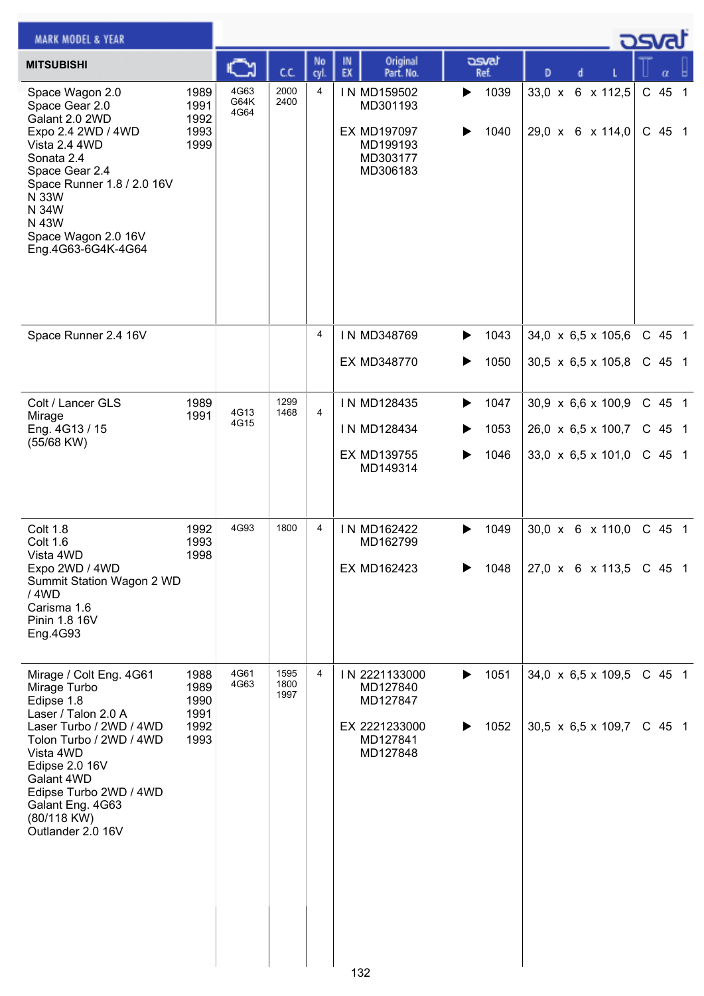| <b>MARK MODEL &amp; YEAR</b>                                                                                                                                                                                                                                      |                                              |                      |                      |                     |          |                                                                                                 |             |                                      |                                                                                                                                              |   |  | ك <i>osv</i> a                                     |  |
|-------------------------------------------------------------------------------------------------------------------------------------------------------------------------------------------------------------------------------------------------------------------|----------------------------------------------|----------------------|----------------------|---------------------|----------|-------------------------------------------------------------------------------------------------|-------------|--------------------------------------|----------------------------------------------------------------------------------------------------------------------------------------------|---|--|----------------------------------------------------|--|
| <b>MITSUBISHI</b>                                                                                                                                                                                                                                                 |                                              | ు                    | C.C.                 | No<br>cyl           | IN<br>EX | Original<br>Part. No.                                                                           |             | محت<br>Ref.                          | D                                                                                                                                            | d |  | α                                                  |  |
| Space Wagon 2.0<br>Space Gear 2.0<br>Galant 2.0 2WD<br>Expo 2.4 2WD / 4WD<br>Vista 2.4 4WD<br>Sonata 2.4<br>Space Gear 2.4<br>Space Runner 1.8 / 2.0 16V<br>N 33W<br>N 34W<br>N 43W<br>Space Wagon 2.0 16V<br>Eng.4G63-6G4K-4G64                                  | 1989<br>1991<br>1992<br>1993<br>1999         | 4G63<br>G64K<br>4G64 | 2000<br>2400         | 4                   |          | IN MD159502<br>MD301193<br>EX MD197097<br>MD199193<br>MD303177<br>MD306183                      | ▶<br>▶      | 1039<br>1040                         | 33,0 x 6 x 112,5<br>29,0 x 6 x 114,0                                                                                                         |   |  | C 45 1<br>C 45 1                                   |  |
| Space Runner 2.4 16V                                                                                                                                                                                                                                              |                                              |                      |                      | 4                   |          | IN MD348769<br>EX MD348770                                                                      | ▶<br>▶      | 1043<br>1050                         | 34,0 x 6,5 x 105,6<br>30,5 x 6,5 x 105,8                                                                                                     |   |  | C 45 1<br>$C$ 45 1                                 |  |
| Colt / Lancer GLS<br>Mirage<br>Eng. 4G13 / 15<br>(55/68 KW)<br>Colt 1.8<br><b>Colt 1.6</b><br>Vista 4WD<br>Expo 2WD / 4WD<br>Summit Station Wagon 2 WD<br>/ 4WD                                                                                                   | 1989<br>1991<br>1992<br>1993<br>1998         | 4G13<br>4G15<br>4G93 | 1299<br>1468<br>1800 | $\overline{4}$<br>4 |          | IN MD128435<br>IN MD128434<br>EX MD139755<br>MD149314<br>IN MD162422<br>MD162799<br>EX MD162423 | ▶<br>▶<br>▶ | 1047<br>1053<br>1046<br>1049<br>1048 | 30,9 x 6,6 x 100,9<br>26,0 x 6,5 x 100,7<br>33,0 $\times$ 6,5 $\times$ 101,0<br>$30,0 \times 6 \times 110,0$<br>$27,0 \times 6 \times 113,5$ |   |  | C 45 1<br>$C$ 45 1<br>C 45 1<br>$C$ 45 1<br>C 45 1 |  |
| Carisma 1.6<br>Pinin 1.8 16V<br>Eng.4G93                                                                                                                                                                                                                          |                                              | 4G61                 | 1595                 | 4                   |          |                                                                                                 |             |                                      |                                                                                                                                              |   |  | C 45 1                                             |  |
| Mirage / Colt Eng. 4G61<br>Mirage Turbo<br>Edipse 1.8<br>Laser / Talon 2.0 A<br>Laser Turbo / 2WD / 4WD<br>Tolon Turbo / 2WD / 4WD<br>Vista 4WD<br>Edipse 2.0 16V<br>Galant 4WD<br>Edipse Turbo 2WD / 4WD<br>Galant Eng. 4G63<br>(80/118 KW)<br>Outlander 2.0 16V | 1988<br>1989<br>1990<br>1991<br>1992<br>1993 | 4G63                 | 1800<br>1997         |                     |          | IN 2221133000<br>MD127840<br>MD127847<br>EX 2221233000<br>MD127841<br>MD127848                  | ▶<br>▶      | 1051<br>1052                         | 34,0 x 6,5 x 109,5<br>$30,5 \times 6,5 \times 109,7$                                                                                         |   |  | C 45 1                                             |  |
|                                                                                                                                                                                                                                                                   |                                              |                      |                      |                     | 132      |                                                                                                 |             |                                      |                                                                                                                                              |   |  |                                                    |  |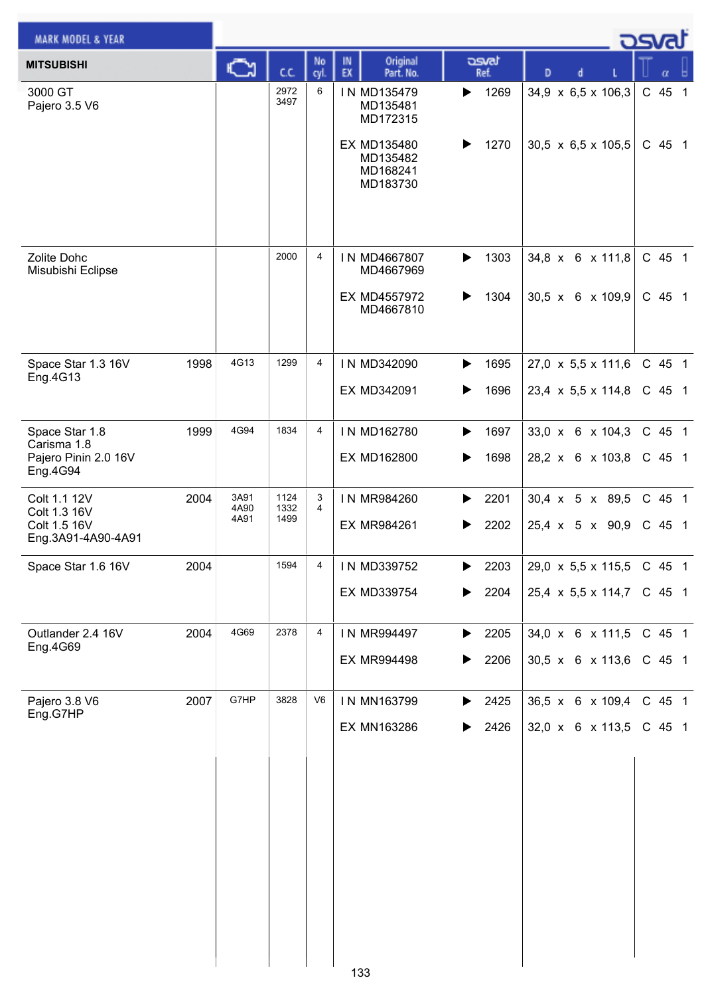| <b>MARK MODEL &amp; YEAR</b>       |      |              |              |                |                                                 |               |                                | osvat    |
|------------------------------------|------|--------------|--------------|----------------|-------------------------------------------------|---------------|--------------------------------|----------|
| <b>MITSUBISHI</b>                  |      |              | cc           | No<br>cyl.     | Original<br>IN<br>EX<br>Part. No.               | asvat<br>Ref. | D                              | α        |
| 3000 GT<br>Pajero 3.5 V6           |      |              | 2972<br>3497 | 6              | IN MD135479<br>MD135481<br>MD172315             | 1269<br>▶     | 34,9 x 6,5 x 106,3             | C 45 1   |
|                                    |      |              |              |                | EX MD135480<br>MD135482<br>MD168241<br>MD183730 | 1270          | $30,5 \times 6,5 \times 105,5$ | $C$ 45 1 |
| Zolite Dohc<br>Misubishi Eclipse   |      |              | 2000         | $\overline{4}$ | IN MD4667807<br>MD4667969                       | 1303<br>▶     | 34,8 x 6 x 111,8               | C 45 1   |
|                                    |      |              |              |                | EX MD4557972<br>MD4667810                       | 1304<br>▶     | $30,5 \times 6 \times 109,9$   | C 45 1   |
| Space Star 1.3 16V                 | 1998 | 4G13         | 1299         | $\overline{4}$ | IN MD342090                                     | 1695<br>▶     | 27,0 x 5,5 x 111,6             | C 45 1   |
| Eng.4G13                           |      |              |              |                | EX MD342091                                     | 1696<br>▶     | 23,4 x 5,5 x 114,8             | $C$ 45 1 |
| Space Star 1.8<br>Carisma 1.8      | 1999 | 4G94         | 1834         | 4              | IN MD162780                                     | 1697<br>▶     | 33,0 x 6 x 104,3               | $C$ 45 1 |
| Pajero Pinin 2.0 16V<br>Eng.4G94   |      |              |              |                | EX MD162800                                     | 1698          | 28,2 x 6 x 103,8               | $C$ 45 1 |
| Colt 1.1 12V<br>Colt 1.3 16V       | 2004 | 3A91<br>4A90 | 1124<br>1332 | 3<br>4         | IN MR984260                                     | 2201<br>▶     | 30,4 x 5 x 89,5                | C 45 1   |
| Colt 1.5 16V<br>Eng.3A91-4A90-4A91 |      | 4A91         | 1499         |                | <b>EX MR984261</b>                              | 2202<br>▶     | 25,4 x 5 x 90,9                | $C$ 45 1 |
| Space Star 1.6 16V                 | 2004 |              | 1594         | 4              | IN MD339752                                     | 2203<br>▶     | 29,0 x 5,5 x 115,5             | $C$ 45 1 |
|                                    |      |              |              |                | EX MD339754                                     | 2204<br>▶     | $25,4 \times 5,5 \times 114,7$ | C 45 1   |
| Outlander 2.4 16V<br>Eng.4G69      | 2004 | 4G69         | 2378         | 4              | IN MR994497                                     | 2205<br>▶     | 34,0 x 6 x 111,5               | C 45 1   |
|                                    |      |              |              |                | <b>EX MR994498</b>                              | 2206<br>▶     | 30,5 x 6 x 113,6               | $C$ 45 1 |
| Pajero 3.8 V6<br>Eng.G7HP          | 2007 | G7HP         | 3828         | V6             | IN MN163799                                     | 2425<br>▶     | 36,5 x 6 x 109,4               | C 45 1   |
|                                    |      |              |              |                | EX MN163286                                     | 2426<br>▶     | 32,0 x 6 x 113,5               | $C$ 45 1 |
|                                    |      |              |              |                |                                                 |               |                                |          |
|                                    |      |              |              |                |                                                 |               |                                |          |
|                                    |      |              |              |                |                                                 |               |                                |          |
|                                    |      |              |              |                |                                                 |               |                                |          |
|                                    |      |              |              |                |                                                 |               |                                |          |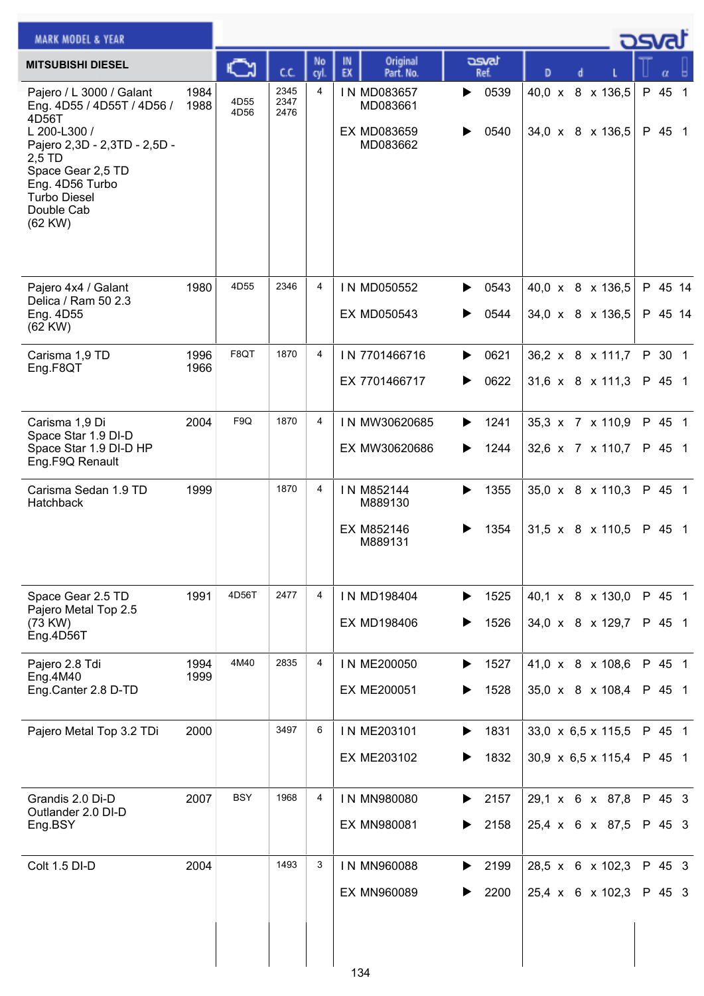| <b>MARK MODEL &amp; YEAR</b>                                                                                                                                                                                        |              |              |                      |            |                                                    |                        |                                                      | osval              |
|---------------------------------------------------------------------------------------------------------------------------------------------------------------------------------------------------------------------|--------------|--------------|----------------------|------------|----------------------------------------------------|------------------------|------------------------------------------------------|--------------------|
| <b>MITSUBISHI DIESEL</b>                                                                                                                                                                                            |              | C            | C.C.                 | No<br>cyl. | Original<br>IN<br>EX<br>Part. No.                  | asvat<br>Ref.          | D                                                    |                    |
| Pajero / L 3000 / Galant<br>Eng. 4D55 / 4D55T / 4D56 /<br>4D56T<br>L 200-L300 /<br>Pajero 2,3D - 2,3TD - 2,5D -<br>$2.5$ TD<br>Space Gear 2,5 TD<br>Eng. 4D56 Turbo<br><b>Turbo Diesel</b><br>Double Cab<br>(62 KW) | 1984<br>1988 | 4D55<br>4D56 | 2345<br>2347<br>2476 | 4          | IN MD083657<br>MD083661<br>EX MD083659<br>MD083662 | 0539<br>▶<br>0540      | 40,0 x 8 x 136,5<br>34,0 x 8 x 136,5                 | P 45 1<br>P 45 1   |
| Pajero 4x4 / Galant<br>Delica / Ram 50 2.3<br>Eng. 4D55<br>$(62$ KW $)$                                                                                                                                             | 1980         | 4D55         | 2346                 | 4          | IN MD050552<br>EX MD050543                         | 0543<br>▶<br>0544      | 40,0 x 8 x 136,5<br>34,0 x 8 x 136,5                 | P 45 14<br>P 45 14 |
| Carisma 1,9 TD<br>Eng.F8QT                                                                                                                                                                                          | 1996<br>1966 | F8QT         | 1870                 | 4          | IN 7701466716<br>EX 7701466717                     | 0621<br>▶<br>0622<br>▶ | 36,2 x 8 x 111,7<br>$31,6 \times 8 \times 111,3$     | P 30 1<br>P 45 1   |
| Carisma 1,9 Di<br>Space Star 1.9 DI-D<br>Space Star 1.9 DI-D HP<br>Eng.F9Q Renault                                                                                                                                  | 2004         | F9Q          | 1870                 | 4          | IN MW30620685<br>EX MW30620686                     | 1241<br>▶<br>1244<br>▶ | 35,3 x 7 x 110,9<br>32,6 x 7 x 110,7                 | P 45 1<br>P 45 1   |
| Carisma Sedan 1.9 TD<br>Hatchback                                                                                                                                                                                   | 1999         |              | 1870                 | 4          | IN M852144<br>M889130<br>EX M852146<br>M889131     | 1355<br>▶<br>1354      | 35,0 x 8 x 110,3<br>$31,5 \times 8 \times 110,5$     | P 45 1<br>P 45 1   |
| Space Gear 2.5 TD<br>Pajero Metal Top 2.5<br>(73 KW)<br>Eng.4D56T                                                                                                                                                   | 1991         | 4D56T        | 2477                 | 4          | IN MD198404<br>EX MD198406                         | 1525<br>▶<br>1526      | 40,1 x 8 x 130,0<br>34,0 x 8 x 129,7                 | P 45 1<br>P 45 1   |
| Pajero 2.8 Tdi<br>Eng.4M40<br>Eng.Canter 2.8 D-TD                                                                                                                                                                   | 1994<br>1999 | 4M40         | 2835                 | 4          | IN ME200050<br>EX ME200051                         | 1527<br>▶<br>1528      | 41,0 x 8 x 108,6<br>35,0 x 8 x 108,4                 | P 45 1<br>P 45 1   |
| Pajero Metal Top 3.2 TDi                                                                                                                                                                                            | 2000         |              | 3497                 | 6          | IN ME203101<br>EX ME203102                         | 1831<br>▶<br>1832<br>▶ | 33,0 x 6,5 x 115,5<br>$30,9 \times 6,5 \times 115,4$ | P 45 1<br>P 45 1   |
| Grandis 2.0 Di-D<br>Outlander 2.0 DI-D<br>Eng.BSY                                                                                                                                                                   | 2007         | <b>BSY</b>   | 1968                 | 4          | IN MN980080<br><b>EX MN980081</b>                  | 2157<br>▶<br>2158      | 29,1 x 6 x 87,8<br>25,4 x 6 x 87,5                   | P 45 3<br>P 45 3   |
| Colt 1.5 DI-D                                                                                                                                                                                                       | 2004         |              | 1493                 | 3          | IN MN960088<br><b>EX MN960089</b><br>134           | 2199<br>▶<br>2200      | 28,5 x 6 x 102,3<br>25,4 x 6 x 102,3                 | P 45 3<br>P 45 3   |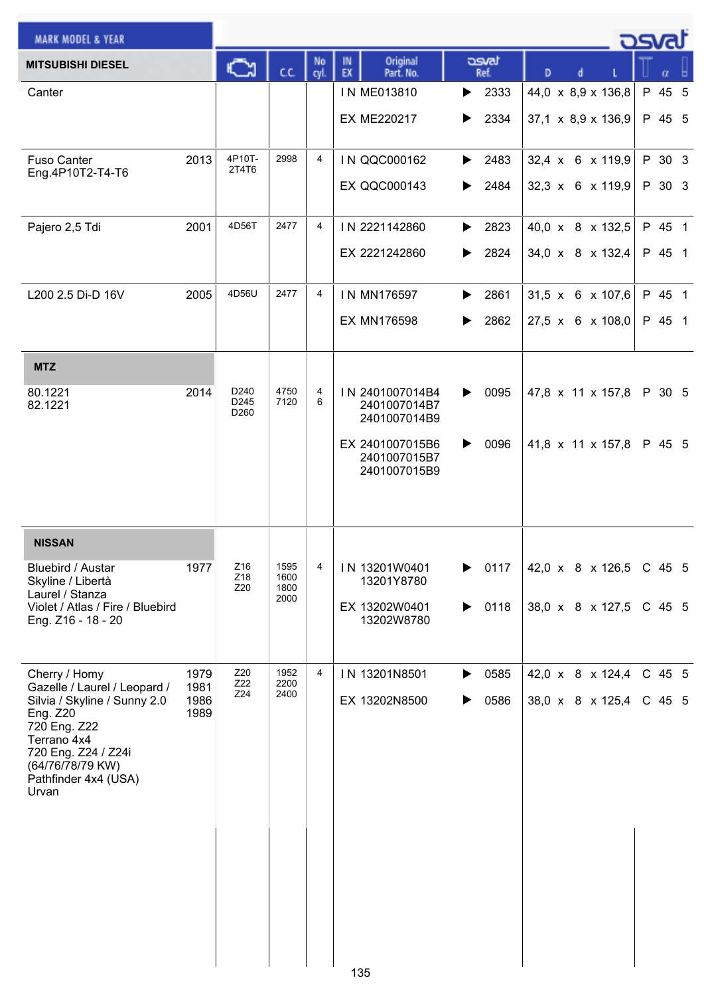| <b>MARK MODEL &amp; YEAR</b>                                                                                                                        |              |                                              |              |                |                                                 |                            |                              | <b>p</b> osvat |
|-----------------------------------------------------------------------------------------------------------------------------------------------------|--------------|----------------------------------------------|--------------|----------------|-------------------------------------------------|----------------------------|------------------------------|----------------|
| <b>MITSUBISHI DIESEL</b>                                                                                                                            |              | C٦                                           | C.C.         | No<br>cyl.     | Original<br>IN<br>EX<br>Part. No.               | asvat<br>Ref.              | D<br>d                       |                |
| Canter                                                                                                                                              |              |                                              |              |                | IN ME013810                                     | $\blacktriangleright$ 2333 | 44,0 x 8,9 x 136,8           | P 45 5         |
|                                                                                                                                                     |              |                                              |              |                | <b>EX ME220217</b>                              | 2334<br>▶                  | 37,1 x 8,9 x 136,9           | P 45 5         |
| <b>Fuso Canter</b>                                                                                                                                  | 2013         | 4P10T-<br>2T4T6                              | 2998         | $\overline{4}$ | IN QQC000162                                    | 2483<br>▶                  | 32,4 x 6 x 119,9             | P 30 3         |
| Eng.4P10T2-T4-T6                                                                                                                                    |              |                                              |              |                | <b>EX QQC000143</b>                             | 2484<br>▶                  | $32,3 \times 6 \times 119,9$ | P 30 3         |
| Pajero 2,5 Tdi                                                                                                                                      | 2001         | 4D56T                                        | 2477         | 4              | IN 2221142860                                   | 2823<br>▶                  | 40,0 x 8 x 132,5             | P 45 1         |
|                                                                                                                                                     |              |                                              |              |                | EX 2221242860                                   | 2824<br>▶                  | 34,0 x 8 x 132,4             | P 45 1         |
| L200 2.5 Di-D 16V                                                                                                                                   | 2005         | 4D56U                                        | 2477         | 4              | IN MN176597                                     | 2861<br>▶                  | $31,5 \times 6 \times 107,6$ | P 45 1         |
|                                                                                                                                                     |              |                                              |              |                | EX MN176598                                     | 2862<br>▶                  | $27.5 \times 6 \times 108.0$ | P 45 1         |
| <b>MTZ</b>                                                                                                                                          |              |                                              |              |                |                                                 |                            |                              |                |
| 80.1221<br>82.1221                                                                                                                                  | 2014         | D <sub>240</sub><br>D245<br>D <sub>260</sub> | 4750<br>7120 | 4<br>6         | IN 2401007014B4<br>2401007014B7<br>2401007014B9 | 0095<br>▶                  | 47,8 x 11 x 157,8            | P 30 5         |
|                                                                                                                                                     |              |                                              |              |                | EX 2401007015B6<br>2401007015B7<br>2401007015B9 | 0096<br>▶                  | 41,8 x 11 x 157,8            | P 45 5         |
| <b>NISSAN</b>                                                                                                                                       |              |                                              |              |                |                                                 |                            |                              |                |
| Bluebird / Austar<br>Skyline / Libertà                                                                                                              | 1977         | Z16<br>Z18                                   | 1595<br>1600 | 4              | IN 13201W0401<br>13201Y8780                     | 0117<br>▶                  | 42,0 x 8 x 126,5             | C 45 5         |
| Laurel / Stanza<br>Violet / Atlas / Fire / Bluebird<br>Eng. Z16 - 18 - 20                                                                           |              | Z20                                          | 1800<br>2000 |                | EX 13202W0401<br>13202W8780                     | 0118<br>▶                  | 38,0 x 8 x 127,5             | C 45 5         |
|                                                                                                                                                     |              |                                              |              |                |                                                 |                            |                              |                |
| Cherry / Homy<br>Gazelle / Laurel / Leopard /                                                                                                       | 1979<br>1981 | Z20<br>Z22                                   | 1952<br>2200 | 4              | IN 13201N8501                                   | 0585<br>▶                  | 42,0 x 8 x 124,4             | C 45 5         |
| Silvia / Skyline / Sunny 2.0<br>Eng. Z20<br>720 Eng. Z22<br>Terrano 4x4<br>720 Eng. Z24 / Z24i<br>(64/76/78/79 KW)<br>Pathfinder 4x4 (USA)<br>Urvan | 1986<br>1989 | Z24                                          | 2400         |                | EX 13202N8500                                   | 0586<br>▶                  | 38,0 x 8 x 125,4             | C 45 5         |
|                                                                                                                                                     |              |                                              |              |                |                                                 |                            |                              |                |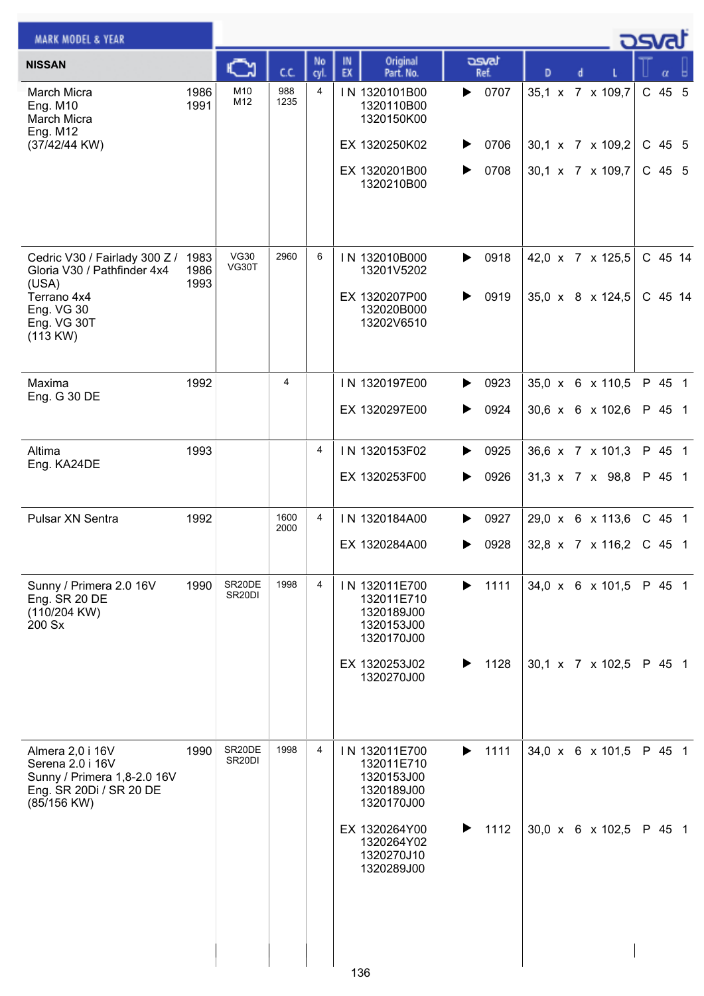| <b>MARK MODEL &amp; YEAR</b>                                                                                                       |              |                               |              |            |                                                                                                                                  |                                     |                                                          |  | osvat                        |  |
|------------------------------------------------------------------------------------------------------------------------------------|--------------|-------------------------------|--------------|------------|----------------------------------------------------------------------------------------------------------------------------------|-------------------------------------|----------------------------------------------------------|--|------------------------------|--|
| <b>NISSAN</b>                                                                                                                      |              | C                             | C.C.         | No<br>cyl. | Original<br>IN<br>EX<br>Part. No.                                                                                                | asvat<br>Ref.                       | D                                                        |  | α                            |  |
| <b>March Micra</b><br><b>Eng. M10</b><br><b>March Micra</b><br><b>Eng. M12</b><br>(37/42/44 KW)                                    | 1986<br>1991 | M10<br>M12                    | 988<br>1235  | 4          | IN 1320101B00<br>1320110B00<br>1320150K00<br>EX 1320250K02<br>EX 1320201B00<br>1320210B00                                        | 0707<br>▶<br>0706<br>▶<br>0708<br>▶ | 35,1 x 7 x 109,7<br>30,1 x 7 x 109,2<br>30,1 x 7 x 109,7 |  | C 45 5<br>C 45 5<br>$C$ 45 5 |  |
| Cedric V30 / Fairlady 300 Z / 1983<br>Gloria V30 / Pathfinder 4x4<br>(USA)<br>Terrano 4x4<br>Eng. VG 30<br>Eng. VG 30T<br>(113 KW) | 1986<br>1993 | VG30<br>VG30T                 | 2960         | 6          | IN 132010B000<br>13201V5202<br>EX 1320207P00<br>132020B000<br>13202V6510                                                         | 0918<br>▶<br>0919<br>▶              | 42,0 x 7 x 125,5<br>35,0 x 8 x 124,5                     |  | C 45 14<br>C 45 14           |  |
| Maxima<br>Eng. G 30 DE                                                                                                             | 1992         |                               | 4            |            | IN 1320197E00<br>EX 1320297E00                                                                                                   | 0923<br>▶<br>0924<br>▶              | 35,0 x 6 x 110,5<br>30,6 x 6 x 102,6                     |  | P 45 1<br>P 45 1             |  |
| Altima<br>Eng. KA24DE                                                                                                              | 1993         |                               |              | 4          | IN 1320153F02<br>EX 1320253F00                                                                                                   | 0925<br>▶<br>0926                   | 36,6 x 7 x 101,3<br>31,3 x 7 x 98,8                      |  | P 45 1<br>P 45 1             |  |
| Pulsar XN Sentra                                                                                                                   | 1992         |                               | 1600<br>2000 | 4          | IN 1320184A00<br>EX 1320284A00                                                                                                   | 0927<br>▶<br>0928<br>▶              | 29,0 x 6 x 113,6<br>32,8 x 7 x 116,2                     |  | C 45 1<br>C 45 1             |  |
| Sunny / Primera 2.0 16V<br>Eng. SR 20 DE<br>(110/204 KW)<br>200 Sx                                                                 | 1990         | SR20DE<br>SR <sub>20</sub> DI | 1998         | 4          | IN 132011E700<br>132011E710<br>1320189J00<br>1320153J00<br>1320170J00<br>EX 1320253J02<br>1320270J00                             | 1111<br>▶<br>1128                   | $34.0 \times 6 \times 101.5$<br>30,1 x 7 x 102,5         |  | P 45 1<br>P 45 1             |  |
| Almera 2,0 i 16V<br>Serena 2.0 i 16V<br>Sunny / Primera 1,8-2.0 16V<br>Eng. SR 20Di / SR 20 DE<br>(85/156 KW)                      | 1990         | SR20DE<br>SR <sub>20</sub> DI | 1998         | 4          | IN 132011E700<br>132011E710<br>1320153J00<br>1320189J00<br>1320170J00<br>EX 1320264Y00<br>1320264Y02<br>1320270J10<br>1320289J00 | 1111<br>▶<br>1112<br>▶              | 34,0 x 6 x 101,5<br>$30,0 \times 6 \times 102,5$         |  | P 45 1<br>P 45 1             |  |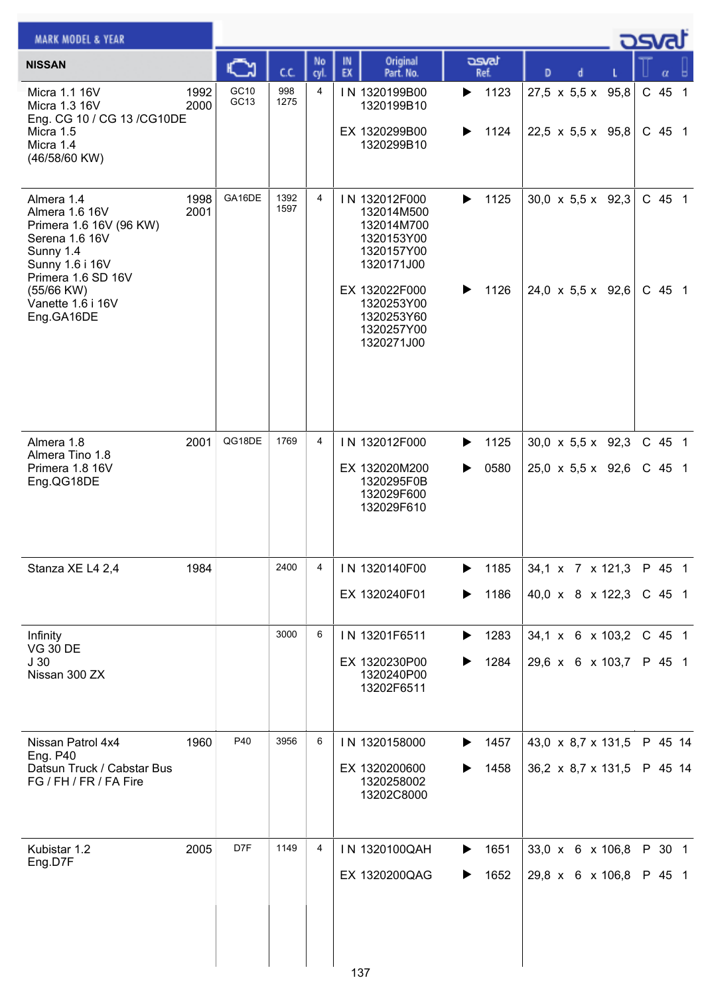| <b>MARK MODEL &amp; YEAR</b>                                                                                                                  |              |              |              |            |                                                                                                      |                        |                                                                | كمحت |                    |  |
|-----------------------------------------------------------------------------------------------------------------------------------------------|--------------|--------------|--------------|------------|------------------------------------------------------------------------------------------------------|------------------------|----------------------------------------------------------------|------|--------------------|--|
| <b>NISSAN</b>                                                                                                                                 |              |              | C.C.         | No<br>cyl. | Original<br>IN<br>EX<br>Part. No.                                                                    | asvat<br>Ref.          | D<br>d                                                         |      |                    |  |
| Micra 1.1 16V<br>Micra 1.3 16V<br>Eng. CG 10 / CG 13 / CG10DE<br>Micra 1.5<br>Micra 1.4<br>(46/58/60 KW)                                      | 1992<br>2000 | GC10<br>GC13 | 998<br>1275  | 4          | IN 1320199B00<br>1320199B10<br>EX 1320299B00<br>1320299B10                                           | 1123<br>▶<br>1124<br>▶ | $27,5 \times 5,5 \times 95,8$<br>22,5 x 5,5 x 95,8             |      | C 45 1<br>$C$ 45 1 |  |
| Almera 1.4<br>Almera 1.6 16V<br>Primera 1.6 16V (96 KW)<br>Serena 1.6 16V<br>Sunny 1.4<br>Sunny 1.6 i 16V<br>Primera 1.6 SD 16V<br>(55/66 KW) | 1998<br>2001 | GA16DE       | 1392<br>1597 | 4          | IN 132012F000<br>132014M500<br>132014M700<br>1320153Y00<br>1320157Y00<br>1320171J00<br>EX 132022F000 | 1125<br>▶<br>1126      | 30,0 $\times$ 5,5 $\times$ 92,3<br>24,0 x 5,5 x 92,6           |      | C 45 1<br>C 45 1   |  |
| Vanette 1.6 i 16V<br>Eng.GA16DE                                                                                                               |              |              |              |            | 1320253Y00<br>1320253Y60<br>1320257Y00<br>1320271J00                                                 |                        |                                                                |      |                    |  |
| Almera 1.8<br>Almera Tino 1.8<br>Primera 1.8 16V<br>Eng.QG18DE                                                                                | 2001         | QG18DE       | 1769         | 4          | IN 132012F000<br>EX 132020M200<br>1320295F0B<br>132029F600<br>132029F610                             | 1125<br>▶<br>0580<br>▶ | $30,0 \times 5,5 \times 92,3$<br>$25,0 \times 5,5 \times 92,6$ |      | C 45 1<br>$C$ 45 1 |  |
| Stanza XE L4 2,4                                                                                                                              | 1984         |              | 2400         | 4          | IN 1320140F00<br>EX 1320240F01                                                                       | 1185<br>▶<br>1186<br>▶ | $34,1 \times 7 \times 121,3$<br>40,0 x 8 x 122,3               |      | P 45 1<br>$C$ 45 1 |  |
| Infinity                                                                                                                                      |              |              | 3000         | 6          | IN 13201F6511                                                                                        | 1283<br>▶              | 34,1 x 6 x 103,2                                               |      | C 45 1             |  |
| <b>VG 30 DE</b><br>J <sub>30</sub><br>Nissan 300 ZX                                                                                           |              |              |              |            | EX 1320230P00<br>1320240P00<br>13202F6511                                                            | 1284                   | 29,6 x 6 x 103,7                                               |      | P 45 1             |  |
| Nissan Patrol 4x4                                                                                                                             | 1960         | P40          | 3956         | 6          | IN 1320158000                                                                                        | 1457<br>▶              | 43,0 $\times$ 8,7 $\times$ 131,5                               |      | P 45 14            |  |
| <b>Eng. P40</b><br>Datsun Truck / Cabstar Bus<br>FG / FH / FR / FA Fire                                                                       |              |              |              |            | EX 1320200600<br>1320258002<br>13202C8000                                                            | 1458<br>▶              | $36,2 \times 8,7 \times 131,5$                                 |      | P 45 14            |  |
| Kubistar 1.2<br>Eng.D7F                                                                                                                       | 2005         | D7F          | 1149         | 4          | IN 1320100QAH                                                                                        | 1651<br>▶              | 33,0 x 6 x 106,8                                               |      | P 30 1             |  |
|                                                                                                                                               |              |              |              |            | EX 1320200QAG<br>137                                                                                 | 1652<br>▶              | 29,8 x 6 x 106,8                                               |      | P 45 1             |  |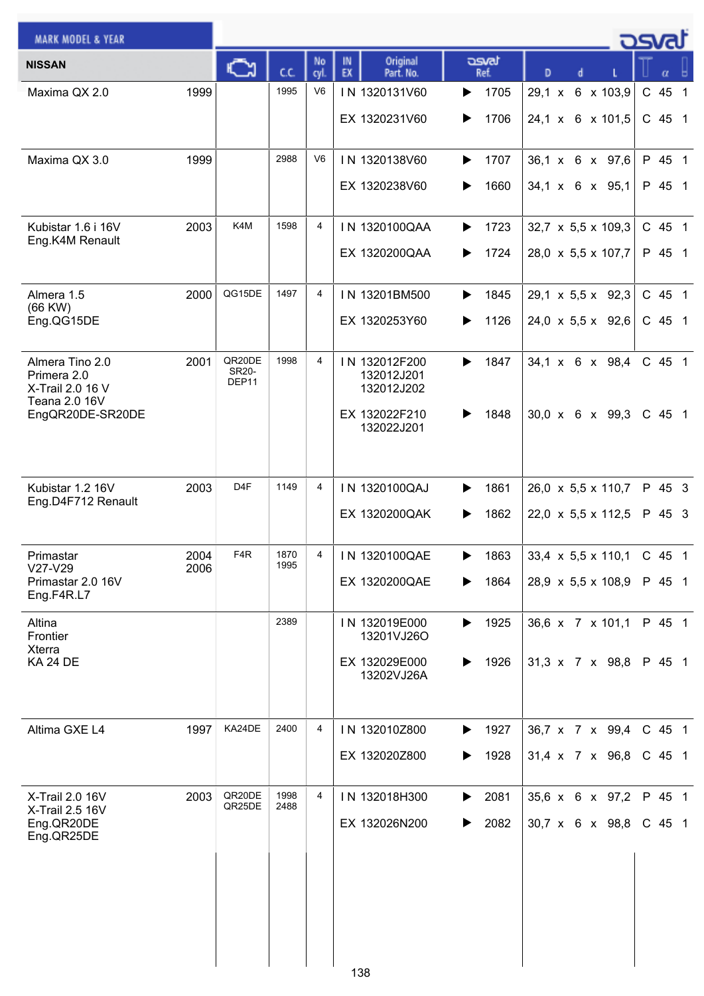| <b>MARK MODEL &amp; YEAR</b>                       |      |                                 |              |                |                                           |                        |                                         | osvat              |
|----------------------------------------------------|------|---------------------------------|--------------|----------------|-------------------------------------------|------------------------|-----------------------------------------|--------------------|
| <b>NISSAN</b>                                      |      |                                 | C.C.         | No<br>cyl.     | Original<br>IN<br>EX<br>Part. No.         | asvat<br>Ref.          | D                                       |                    |
| Maxima QX 2.0                                      | 1999 |                                 | 1995         | V <sub>6</sub> | IN 1320131V60                             | 1705<br>▶              | $29,1 \times$<br>6 x 103,9              | C 45 1             |
|                                                    |      |                                 |              |                | EX 1320231V60                             | 1706<br>▶              | 24,1 x 6 x 101,5                        | $C$ 45 1           |
| Maxima QX 3.0                                      | 1999 |                                 | 2988         | V <sub>6</sub> | IN 1320138V60                             | 1707<br>▶              | 36,1 x 6 x 97,6                         | P 45 1             |
|                                                    |      |                                 |              |                | EX 1320238V60                             | 1660<br>▶              | 34,1 x 6 x 95,1                         | P 45 1             |
| Kubistar 1.6 i 16V<br>Eng.K4M Renault              | 2003 | K4M                             | 1598         | 4              | IN 1320100QAA                             | 1723<br>▶              | 32,7 x 5,5 x 109,3                      | C 45 1             |
|                                                    |      |                                 |              |                | EX 1320200QAA                             | 1724<br>▶              | 28,0 x 5,5 x 107,7                      | P 45 1             |
| Almera 1.5<br>$(66$ KW $)$                         | 2000 | QG15DE                          | 1497         | 4              | IN 13201BM500                             | 1845<br>▶              | $29,1 \times 5,5 \times 92,3$           | C 45 1             |
| Eng.QG15DE                                         |      |                                 |              |                | EX 1320253Y60                             | 1126<br>▶              | $24,0 \times 5,5 \times 92,6$           | $C$ 45 1           |
| Almera Tino 2.0<br>Primera 2.0<br>X-Trail 2.0 16 V | 2001 | QR20DE<br><b>SR20-</b><br>DEP11 | 1998         | $\overline{4}$ | IN 132012F200<br>132012J201<br>132012J202 | 1847<br>▶              | 34,1 x 6 x 98,4                         | C 45 1             |
| Teana 2.0 16V<br>EngQR20DE-SR20DE                  |      |                                 |              |                | EX 132022F210<br>132022J201               | 1848                   | $30,0 \times 6 \times 99,3$             | $C$ 45 1           |
| Kubistar 1.2 16V                                   | 2003 | D <sub>4</sub> F                | 1149         | 4              | IN 1320100QAJ                             | 1861<br>▶              | 26,0 x 5,5 x 110,7                      | P 45 3             |
| Eng.D4F712 Renault                                 |      |                                 |              |                | EX 1320200QAK                             | 1862                   | 22,0 x 5,5 x 112,5                      | P 45 3             |
| Primastar                                          | 2004 | F <sub>4</sub> R                | 1870         | $\overline{4}$ | IN 1320100QAE                             | 1863                   | 33,4 $\times$ 5,5 $\times$ 110,1 C 45 1 |                    |
| $V27-V29$<br>Primastar 2.0 16V<br>Eng.F4R.L7       | 2006 |                                 | 1995         |                | EX 1320200QAE                             | 1864                   | 28,9 $\times$ 5,5 $\times$ 108,9        | P 45 1             |
| Altina<br>Frontier                                 |      |                                 | 2389         |                | IN 132019E000<br>13201VJ26O               | 1925<br>▶              | 36,6 x 7 x 101,1                        | P 45 1             |
| <b>Xterra</b><br><b>KA 24 DE</b>                   |      |                                 |              |                | EX 132029E000<br>13202VJ26A               | 1926<br>▶              | 31,3 x 7 x 98,8                         | P 45 1             |
|                                                    |      |                                 |              |                |                                           |                        |                                         |                    |
| Altima GXE L4                                      | 1997 | KA24DE                          | 2400         | 4              | IN 132010Z800<br>EX 132020Z800            | 1927<br>▶<br>1928<br>▶ | 36,7 x 7 x 99,4<br>31,4 x 7 x 96,8      | C 45 1<br>$C$ 45 1 |
|                                                    |      |                                 |              |                |                                           |                        |                                         |                    |
| X-Trail 2.0 16V<br>X-Trail 2.5 16V                 | 2003 | QR20DE<br>QR25DE                | 1998<br>2488 | 4              | IN 132018H300                             | 2081<br>▶              | 35,6 x 6 x 97,2                         | P 45 1             |
| Eng.QR20DE<br>Eng.QR25DE                           |      |                                 |              |                | EX 132026N200                             | 2082<br>▶              | 30,7 x 6 x 98,8                         | $C$ 45 1           |
|                                                    |      |                                 |              |                |                                           |                        |                                         |                    |
|                                                    |      |                                 |              |                |                                           |                        |                                         |                    |
|                                                    |      |                                 |              |                |                                           |                        |                                         |                    |
|                                                    |      |                                 |              |                | 138                                       |                        |                                         |                    |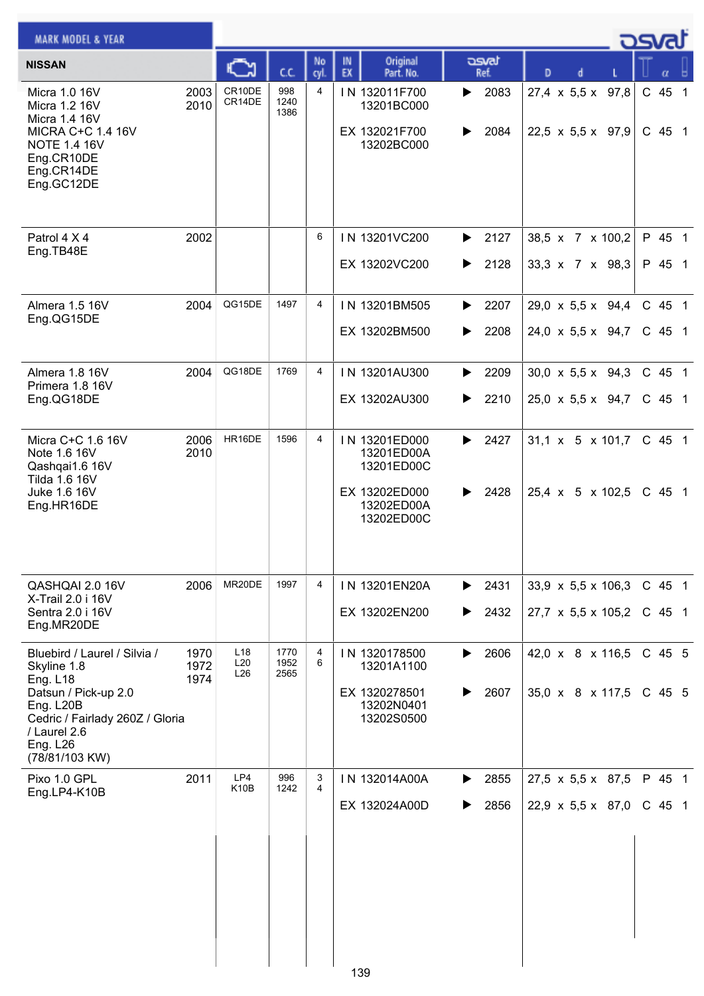| <b>MARK MODEL &amp; YEAR</b>                                                                                                                                                                |                      |                                           |                      |                     |                                                                                        |                                         |                                                                | osvat              |
|---------------------------------------------------------------------------------------------------------------------------------------------------------------------------------------------|----------------------|-------------------------------------------|----------------------|---------------------|----------------------------------------------------------------------------------------|-----------------------------------------|----------------------------------------------------------------|--------------------|
| <b>NISSAN</b>                                                                                                                                                                               |                      |                                           | C.C.                 | No<br>cyl.          | Original<br>IN<br>EX<br>Part. No.                                                      | asvat<br>Ref.                           | D<br>d                                                         |                    |
| Micra 1.0 16V<br>Micra 1.2 16V<br>Micra 1.4 16V<br><b>MICRA C+C 1.4 16V</b><br><b>NOTE 1.4 16V</b><br>Eng.CR10DE<br>Eng.CR14DE<br>Eng.GC12DE                                                | 2003<br>2010         | CR10DE<br>CR14DE                          | 998<br>1240<br>1386  | 4                   | IN 132011F700<br>13201BC000<br>EX 132021F700<br>13202BC000                             | $\blacktriangleright$ 2083<br>2084<br>▶ | $27.4 \times 5.5 \times 97.8$<br>22,5 x 5,5 x 97,9             | C 45 1<br>C 45 1   |
| Patrol 4 X 4<br>Eng.TB48E                                                                                                                                                                   | 2002                 |                                           |                      | 6                   | IN 13201VC200<br>EX 13202VC200                                                         | $\blacktriangleright$ 2127<br>2128<br>▶ | 38,5 x 7 x 100,2<br>$33.3 \times 7 \times 98.3$                | P 45 1<br>P 45 1   |
| Almera 1.5 16V<br>Eng.QG15DE                                                                                                                                                                | 2004                 | QG15DE                                    | 1497                 | 4                   | IN 13201BM505<br>EX 13202BM500                                                         | 2207<br>▶<br>2208<br>▶                  | $29,0 \times 5,5 \times 94,4$<br>$24,0 \times 5,5 \times 94,7$ | C 45 1<br>C 45 1   |
| Almera 1.8 16V<br>Primera 1.8 16V<br>Eng.QG18DE                                                                                                                                             | 2004                 | QG18DE                                    | 1769                 | 4                   | IN 13201AU300<br>EX 13202AU300                                                         | $\blacktriangleright$ 2209<br>2210<br>▶ | 30,0 x 5,5 x 94,3<br>25,0 $\times$ 5,5 $\times$ 94,7           | C 45 1<br>C 45 1   |
| Micra C+C 1.6 16V<br>Note 1.6 16V<br>Qashqai1.6 16V<br>Tilda 1.6 16V<br>Juke 1.6 16V<br>Eng.HR16DE                                                                                          | 2006<br>2010         | HR16DE                                    | 1596                 | 4                   | IN 13201ED000<br>13201ED00A<br>13201ED00C<br>EX 13202ED000<br>13202ED00A<br>13202ED00C | 2427<br>▶<br>2428<br>▶                  | $31,1 \times 5 \times 101,7$<br>25,4 x 5 x 102,5               | C 45 1<br>C 45 1   |
| QASHQAI 2.0 16V<br>X-Trail 2.0 i 16V<br>Sentra 2.0 i 16V<br>Eng.MR20DE                                                                                                                      | 2006                 | MR20DE                                    | 1997                 | 4                   | IN 13201EN20A<br>EX 13202EN200                                                         | $\blacktriangleright$ 2431<br>2432<br>▶ | 33,9 $\times$ 5,5 $\times$ 106,3<br>27,7 x 5,5 x 105,2         | C 45 1<br>$C$ 45 1 |
| Bluebird / Laurel / Silvia /<br>Skyline 1.8<br><b>Eng. L18</b><br>Datsun / Pick-up 2.0<br>Eng. L20B<br>Cedric / Fairlady 260Z / Gloria<br>/ Laurel 2.6<br><b>Eng. L26</b><br>(78/81/103 KW) | 1970<br>1972<br>1974 | L <sub>18</sub><br>L <sub>20</sub><br>L26 | 1770<br>1952<br>2565 | 4<br>6              | IN 1320178500<br>13201A1100<br>EX 1320278501<br>13202N0401<br>13202S0500               | 2606<br>▶<br>2607<br>▶                  | 42,0 x 8 x 116,5<br>$35,0 \times 8 \times 117,5$               | C 45 5<br>C 45 5   |
| Pixo 1.0 GPL<br>Eng.LP4-K10B                                                                                                                                                                | 2011                 | LP4<br>K <sub>10</sub> B                  | 996<br>1242          | 3<br>$\overline{4}$ | IN 132014A00A<br>EX 132024A00D<br>139                                                  | 2855<br>▶<br>2856<br>▶                  | $27,5 \times 5,5 \times 87,5$<br>22,9 x 5,5 x 87,0             | P 45 1<br>$C$ 45 1 |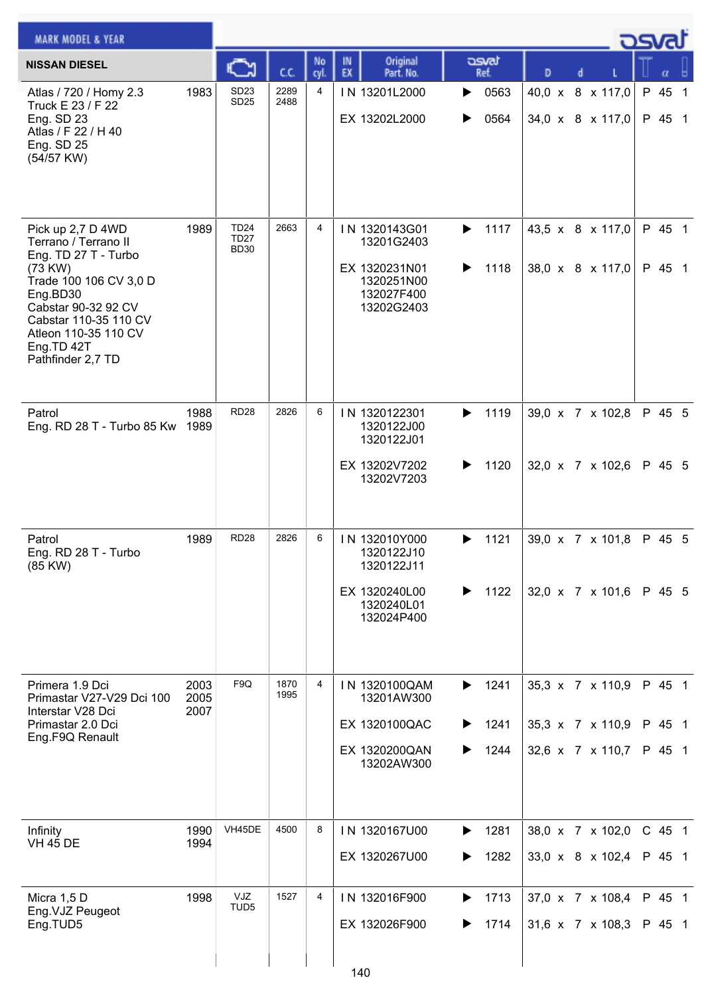| <b>MARK MODEL &amp; YEAR</b>                                                                                                                                                                                                  |                      |                                           |              |            |                                                                                        |                                     |                                                          | كت الصح                    |
|-------------------------------------------------------------------------------------------------------------------------------------------------------------------------------------------------------------------------------|----------------------|-------------------------------------------|--------------|------------|----------------------------------------------------------------------------------------|-------------------------------------|----------------------------------------------------------|----------------------------|
| <b>NISSAN DIESEL</b>                                                                                                                                                                                                          |                      |                                           | C.C.         | No<br>cyl. | Original<br>IN<br>EX<br>Part. No.                                                      | asvat<br>Ref.                       | D<br>d                                                   |                            |
| Atlas / 720 / Homy 2.3<br>Truck E 23 / F 22<br>Eng. SD 23<br>Atlas / F 22 / H 40<br>Eng. SD 25<br>(54/57 KW)                                                                                                                  | 1983                 | SD <sub>23</sub><br><b>SD25</b>           | 2289<br>2488 | 4          | IN 13201L2000<br>EX 13202L2000                                                         | 0563<br>▶<br>0564<br>▶              | 40,0 x 8 x 117,0<br>34,0 $\times$ 8 $\times$ 117,0       | P 45 1<br>P 45 1           |
| Pick up 2,7 D 4WD<br>Terrano / Terrano II<br>Eng. TD 27 T - Turbo<br>(73 KW)<br>Trade 100 106 CV 3,0 D<br>Eng.BD30<br>Cabstar 90-32 92 CV<br>Cabstar 110-35 110 CV<br>Atleon 110-35 110 CV<br>Eng.TD 42T<br>Pathfinder 2,7 TD | 1989                 | <b>TD24</b><br><b>TD27</b><br><b>BD30</b> | 2663         | 4          | IN 1320143G01<br>13201G2403<br>EX 1320231N01<br>1320251N00<br>132027F400<br>13202G2403 | 1117<br>▶<br>▶<br>1118              | 43,5 x 8 x 117,0<br>38,0 x 8 x 117,0                     | P 45 1<br>P 45 1           |
| Patrol<br>Eng. RD 28 T - Turbo 85 Kw                                                                                                                                                                                          | 1988<br>1989         | <b>RD28</b>                               | 2826         | 6          | IN 1320122301<br>1320122J00<br>1320122J01<br>EX 13202V7202<br>13202V7203               | 1119<br>▶<br>1120<br>▶              | 39,0 x 7 x 102,8<br>32,0 x 7 x 102,6                     | P 45 5<br>P 45 5           |
| Patrol<br>Eng. RD 28 T - Turbo<br>(85 KW)                                                                                                                                                                                     | 1989                 | <b>RD28</b>                               | 2826         | 6          | IN 132010Y000<br>1320122J10<br>1320122J11<br>EX 1320240L00<br>1320240L01<br>132024P400 | 1121<br>▶<br>1122<br>▶              | 39,0 x 7 x 101,8<br>32,0 x 7 x 101,6 P 45 5              | P 45 5                     |
| Primera 1.9 Dci<br>Primastar V27-V29 Dci 100<br>Interstar V28 Dci<br>Primastar 2.0 Dci<br>Eng.F9Q Renault                                                                                                                     | 2003<br>2005<br>2007 | F <sub>9Q</sub>                           | 1870<br>1995 | 4          | IN 1320100QAM<br>13201AW300<br>EX 1320100QAC<br>EX 1320200QAN<br>13202AW300            | 1241<br>▶<br>1241<br>▶<br>1244<br>▶ | 35,3 x 7 x 110,9<br>35,3 x 7 x 110,9<br>32,6 x 7 x 110,7 | P 45 1<br>P 45 1<br>P 45 1 |
| Infinity<br><b>VH 45 DE</b>                                                                                                                                                                                                   | 1990<br>1994         | VH45DE                                    | 4500         | 8          | IN 1320167U00<br>EX 1320267U00                                                         | 1281<br>▶<br>1282<br>▶              | 38,0 x 7 x 102,0<br>33,0 x 8 x 102,4                     | C 45 1<br>P 45 1           |
| Micra 1,5 D<br>Eng.VJZ Peugeot<br>Eng.TUD5                                                                                                                                                                                    | 1998                 | VJZ<br>TUD5                               | 1527         | 4          | IN 132016F900<br>EX 132026F900                                                         | 1713<br>▶<br>1714<br>▶              | 37,0 x 7 x 108,4<br>31,6 x 7 x 108,3                     | P 45 1<br>P 45 1           |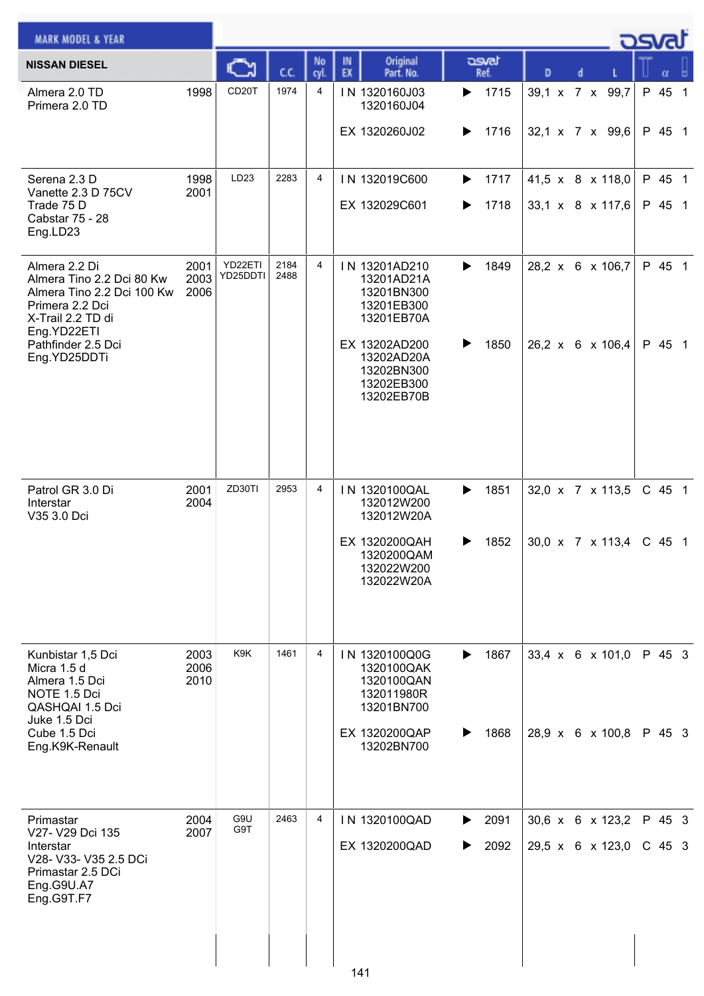| <b>MARK MODEL &amp; YEAR</b>                                                                                                    |                      |                     |              |            |                                                                                                      |                        |                                      | كمحت |                    |  |
|---------------------------------------------------------------------------------------------------------------------------------|----------------------|---------------------|--------------|------------|------------------------------------------------------------------------------------------------------|------------------------|--------------------------------------|------|--------------------|--|
| <b>NISSAN DIESEL</b>                                                                                                            |                      |                     | C.C.         | No<br>cyl. | Original<br>IN<br>EX<br>Part. No.                                                                    | asvat<br>Ref.          | D                                    |      | α                  |  |
| Almera 2.0 TD<br>Primera 2.0 TD                                                                                                 | 1998                 | CD <sub>20</sub> T  | 1974         | 4          | IN 1320160J03<br>1320160J04<br>EX 1320260J02                                                         | 1715<br>▶<br>1716<br>▶ | 39,1 x 7 x 99,7<br>32,1 x 7 x 99,6   |      | P 45 1<br>P 45 1   |  |
| Serena 2.3 D<br>Vanette 2.3 D 75CV<br>Trade 75 D<br>Cabstar 75 - 28<br>Eng.LD23                                                 | 1998<br>2001         | LD <sub>23</sub>    | 2283         | 4          | IN 132019C600<br>EX 132029C601                                                                       | 1717<br>▶<br>1718<br>▶ | 41,5 x 8 x 118,0<br>33,1 x 8 x 117,6 |      | P 45 1<br>P 45 1   |  |
| Almera 2.2 Di<br>Almera Tino 2.2 Dci 80 Kw<br>Almera Tino 2.2 Dci 100 Kw<br>Primera 2.2 Dci<br>X-Trail 2.2 TD di<br>Eng.YD22ETI | 2001<br>2003<br>2006 | YD22ETI<br>YD25DDTI | 2184<br>2488 | 4          | IN 13201AD210<br>13201AD21A<br>13201BN300<br>13201EB300<br>13201EB70A                                | 1849<br>▶              | 28,2 x 6 x 106,7                     |      | P 45 1             |  |
| Pathfinder 2.5 Dci<br>Eng.YD25DDTi                                                                                              |                      |                     |              |            | EX 13202AD200<br>13202AD20A<br>13202BN300<br>13202EB300<br>13202EB70B                                | 1850<br>▶              | 26,2 x 6 x 106,4                     |      | P 45 1             |  |
| Patrol GR 3.0 Di<br>Interstar<br>V35 3.0 Dci                                                                                    | 2001<br>2004         | ZD30TI              | 2953         | 4          | IN 1320100QAL<br>132012W200<br>132012W20A<br>EX 1320200QAH<br>1320200QAM<br>132022W200<br>132022W20A | 1851<br>▶<br>1852<br>▶ | 32,0 x 7 x 113,5<br>30,0 x 7 x 113,4 |      | C 45 1<br>$C$ 45 1 |  |
| Kunbistar 1,5 Dci<br>Micra 1.5 d<br>Almera 1.5 Dci<br>NOTE 1.5 Dci<br>QASHQAI 1.5 Dci<br>Juke 1.5 Dci                           | 2003<br>2006<br>2010 | K9K                 | 1461         | 4          | IN 1320100Q0G<br>1320100QAK<br>1320100QAN<br>132011980R<br>13201BN700                                | 1867<br>▶              | 33,4 x 6 x 101,0                     |      | P 45 3             |  |
| Cube 1.5 Dci<br>Eng.K9K-Renault                                                                                                 |                      |                     |              |            | EX 1320200QAP<br>13202BN700                                                                          | 1868<br>▶              | 28,9 x 6 x 100,8                     |      | P 45 3             |  |
| Primastar<br>V27- V29 Dci 135<br>Interstar<br>V28- V33- V35 2.5 DCi<br>Primastar 2.5 DCi<br>Eng.G9U.A7<br>Eng.G9T.F7            | 2004<br>2007         | G9U<br>G9T          | 2463         | 4          | IN 1320100QAD<br>EX 1320200QAD                                                                       | 2091<br>▶<br>2092<br>▶ | 30,6 x 6 x 123,2<br>29,5 x 6 x 123,0 |      | P 45 3<br>$C$ 45 3 |  |
|                                                                                                                                 |                      |                     |              |            | 141                                                                                                  |                        |                                      |      |                    |  |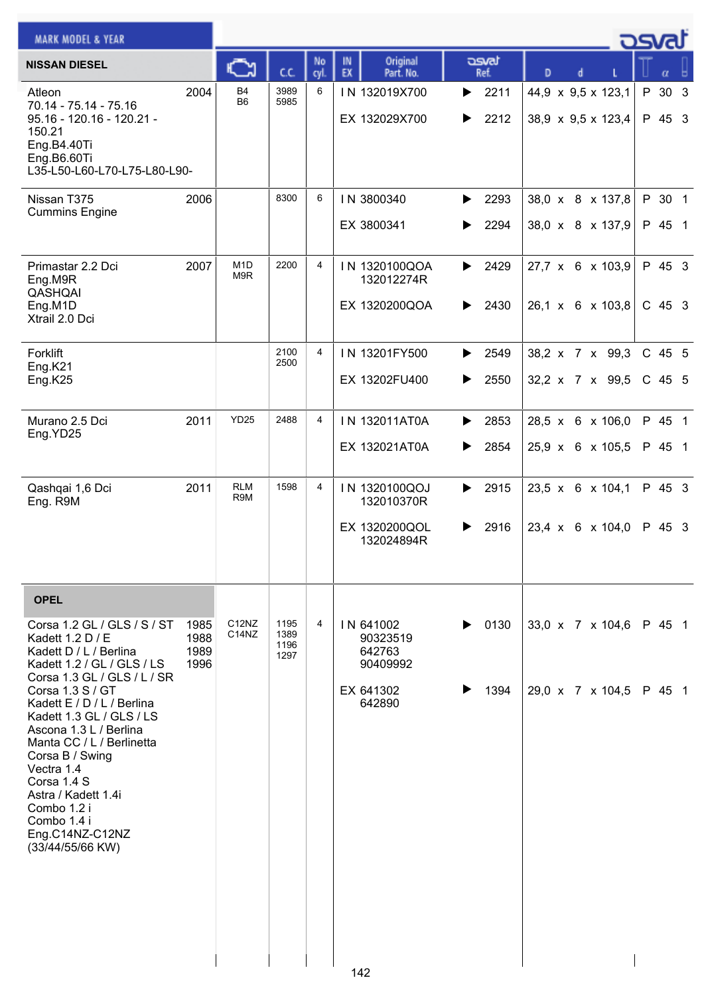| <b>MARK MODEL &amp; YEAR</b>                                                                                                                                                                                                                                                                                                                                                                                            |                              |                                                                  |                              |                |                                                                    |                        |                                          | محد <del>ه</del>   |
|-------------------------------------------------------------------------------------------------------------------------------------------------------------------------------------------------------------------------------------------------------------------------------------------------------------------------------------------------------------------------------------------------------------------------|------------------------------|------------------------------------------------------------------|------------------------------|----------------|--------------------------------------------------------------------|------------------------|------------------------------------------|--------------------|
| <b>NISSAN DIESEL</b>                                                                                                                                                                                                                                                                                                                                                                                                    |                              |                                                                  | c.c.                         | No<br>cyl      | Original<br>IN<br>EX<br>Part. No.                                  | asvat<br>Ref.          | D                                        | α                  |
| Atleon<br>70.14 - 75.14 - 75.16<br>95.16 - 120.16 - 120.21 -<br>150.21<br>Eng.B4.40Ti<br>Eng.B6.60Ti<br>L35-L50-L60-L70-L75-L80-L90-                                                                                                                                                                                                                                                                                    | 2004                         | <b>B4</b><br>B <sub>6</sub>                                      | 3989<br>5985                 | 6              | IN 132019X700<br>EX 132029X700                                     | 2211<br>▶<br>2212<br>▶ | 44,9 x 9,5 x 123,1<br>38,9 x 9,5 x 123,4 | P 30 3<br>P 45 3   |
| Nissan T375<br><b>Cummins Engine</b>                                                                                                                                                                                                                                                                                                                                                                                    | 2006                         |                                                                  | 8300                         | 6              | IN 3800340<br>EX 3800341                                           | 2293<br>▶<br>2294<br>▶ | 38,0 x 8 x 137,8<br>38,0 x 8 x 137,9     | P 30 1<br>P 45 1   |
| Primastar 2.2 Dci<br>Eng.M9R<br>QASHQAI<br>Eng.M1D<br>Xtrail 2.0 Dci                                                                                                                                                                                                                                                                                                                                                    | 2007                         | M <sub>1</sub> D<br>M9R                                          | 2200                         | 4              | IN 1320100QOA<br>132012274R<br>EX 1320200QOA                       | 2429<br>▶<br>2430<br>▶ | 27,7 x 6 x 103,9<br>26,1 x 6 x 103,8     | P 45 3<br>C 45 3   |
| <b>Forklift</b><br>Eng.K21<br>Eng.K25                                                                                                                                                                                                                                                                                                                                                                                   |                              |                                                                  | 2100<br>2500                 | 4              | IN 13201FY500<br>EX 13202FU400                                     | 2549<br>▶<br>2550<br>▶ | 38,2 x 7 x 99,3<br>32,2 x 7 x 99,5       | C 45 5<br>$C$ 45 5 |
| Murano 2.5 Dci<br>Eng.YD25                                                                                                                                                                                                                                                                                                                                                                                              | 2011                         | <b>YD25</b>                                                      | 2488                         | $\overline{4}$ | IN 132011AT0A<br>EX 132021AT0A                                     | 2853<br>▶<br>2854<br>▶ | 28,5 x 6 x 106,0<br>25,9 x 6 x 105,5     | P 45 1<br>P 45 1   |
| Qashqai 1,6 Dci<br>Eng. R9M                                                                                                                                                                                                                                                                                                                                                                                             | 2011                         | <b>RLM</b><br>R <sub>9</sub> M                                   | 1598                         | 4              | IN 1320100QOJ<br>132010370R<br>EX 1320200QOL<br>132024894R         | 2915<br>▶<br>2916<br>▶ | 23,5 x 6 x 104,1<br>23,4 x 6 x 104,0     | P 45 3<br>P 45 3   |
| <b>OPEL</b>                                                                                                                                                                                                                                                                                                                                                                                                             |                              |                                                                  |                              |                |                                                                    |                        |                                          |                    |
| Corsa 1.2 GL / GLS / S / ST<br>Kadett 1.2 D / E<br>Kadett D / L / Berlina<br>Kadett 1.2 / GL / GLS / LS<br>Corsa 1.3 GL / GLS / L / SR<br>Corsa 1.3 S / GT<br>Kadett E / D / L / Berlina<br>Kadett 1.3 GL / GLS / LS<br>Ascona 1.3 L / Berlina<br>Manta CC / L / Berlinetta<br>Corsa B / Swing<br>Vectra 1.4<br>Corsa 1.4 S<br>Astra / Kadett 1.4i<br>Combo 1.2 i<br>Combo 1.4 i<br>Eng.C14NZ-C12NZ<br>(33/44/55/66 KW) | 1985<br>1988<br>1989<br>1996 | C <sub>12</sub> N <sub>Z</sub><br>C <sub>14</sub> N <sub>Z</sub> | 1195<br>1389<br>1196<br>1297 | 4              | IN 641002<br>90323519<br>642763<br>90409992<br>EX 641302<br>642890 | 0130<br>1394           | 33,0 x 7 x 104,6<br>29,0 x 7 x 104,5     | P 45 1<br>P 45 1   |
|                                                                                                                                                                                                                                                                                                                                                                                                                         |                              |                                                                  |                              |                | 142                                                                |                        |                                          |                    |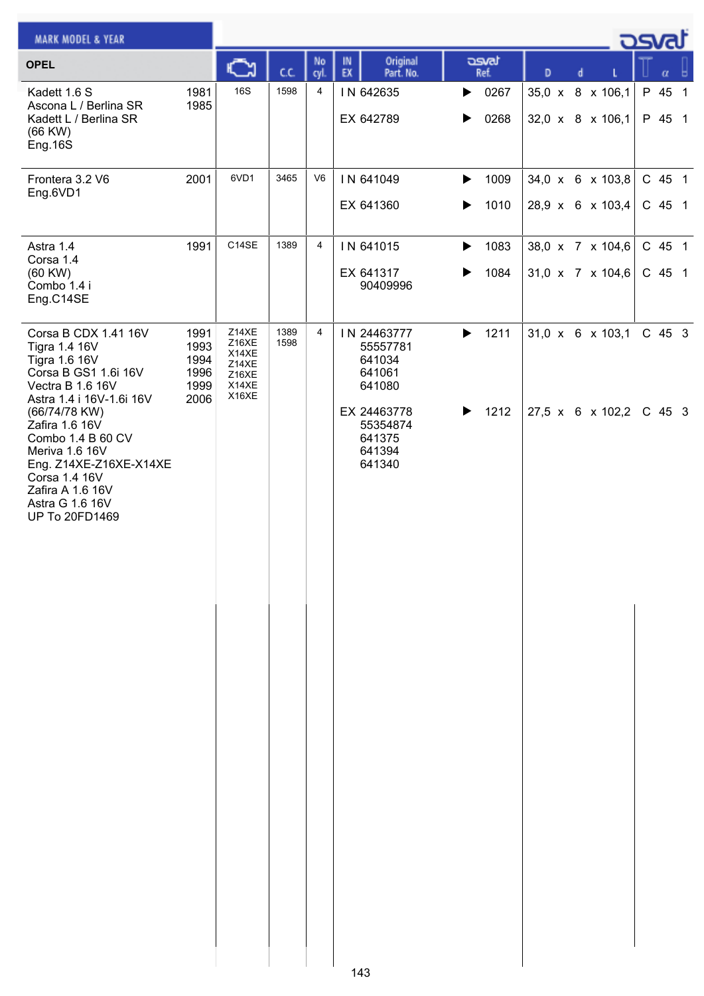| <b>MARK MODEL &amp; YEAR</b>                                                                                                                                               |                                              |                                                             |              |                |                                                       |                               |   |                                                  | . ರೂಡ              |
|----------------------------------------------------------------------------------------------------------------------------------------------------------------------------|----------------------------------------------|-------------------------------------------------------------|--------------|----------------|-------------------------------------------------------|-------------------------------|---|--------------------------------------------------|--------------------|
| <b>OPEL</b>                                                                                                                                                                |                                              | ⊾                                                           | C.C.         | No<br>cyl.     | Original<br>IN<br>EX<br>Part. No.                     | asvat<br>Ref.                 | D | d                                                | α                  |
| Kadett 1.6 S<br>Ascona L / Berlina SR<br>Kadett L / Berlina SR<br>(66 KW)<br>Eng.16S                                                                                       | 1981<br>1985                                 | <b>16S</b>                                                  | 1598         | $\overline{4}$ | IN 642635<br>EX 642789                                | $\triangleright$ 0267<br>0268 |   | 35,0 x 8 x 106,1<br>32,0 x 8 x 106,1             | P 45 1<br>P 45 1   |
| Frontera 3.2 V6<br>Eng.6VD1                                                                                                                                                | 2001                                         | 6VD1                                                        | 3465         | V <sub>6</sub> | IN 641049<br>EX 641360                                | 1009<br>▶<br>1010<br>▶        |   | 34,0 x 6 x 103,8<br>28,9 x 6 x 103,4             | C 45 1<br>$C$ 45 1 |
| Astra 1.4<br>Corsa 1.4<br>(60 KW)<br>Combo 1.4 i<br>Eng.C14SE                                                                                                              | 1991                                         | C14SE                                                       | 1389         | $\overline{4}$ | IN 641015<br>EX 641317<br>90409996                    | 1083<br>▶<br>1084<br>▶        |   | 38,0 x 7 x 104,6<br>$31,0 \times 7 \times 104,6$ | C 45 1<br>C 45 1   |
| Corsa B CDX 1.41 16V<br><b>Tigra 1.4 16V</b><br>Tigra 1.6 16V<br>Corsa B GS1 1.6i 16V<br>Vectra B 1.6 16V<br>Astra 1.4 i 16V-1.6i 16V                                      | 1991<br>1993<br>1994<br>1996<br>1999<br>2006 | Z14XE<br>Z16XE<br>X14XE<br>Z14XE<br>Z16XE<br>X14XE<br>X16XE | 1389<br>1598 | 4              | IN 24463777<br>55557781<br>641034<br>641061<br>641080 | 1211<br>▶                     |   | 31,0 x 6 x 103,1                                 | C 45 3             |
| (66/74/78 KW)<br>Zafira 1.6 16V<br>Combo 1.4 B 60 CV<br>Meriva 1.6 16V<br>Eng. Z14XE-Z16XE-X14XE<br>Corsa 1.4 16V<br>Zafira A 1.6 16V<br>Astra G 1.6 16V<br>UP To 20FD1469 |                                              |                                                             |              |                | EX 24463778<br>55354874<br>641375<br>641394<br>641340 | 1212<br>▶                     |   | 27,5 x 6 x 102,2 C 45 3                          |                    |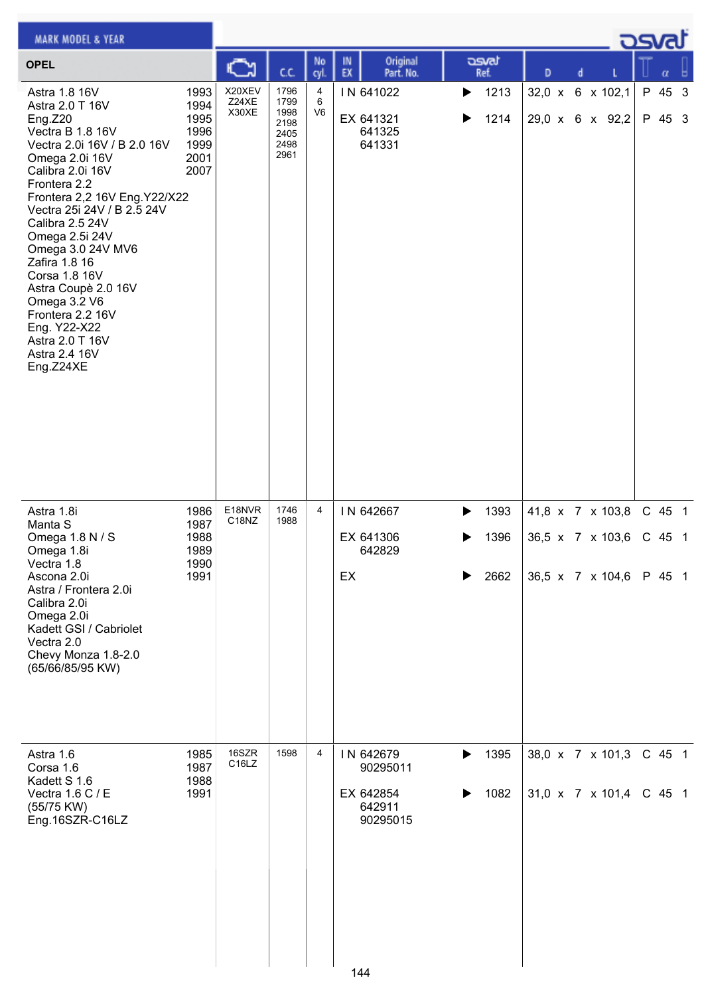| <b>MARK MODEL &amp; YEAR</b>                                                                                                                                                                                                                                                                                                                                                                                                               |                                                      |                             |                                                      |              |                                                                 |                                |               |                                                          | كتصد                         |
|--------------------------------------------------------------------------------------------------------------------------------------------------------------------------------------------------------------------------------------------------------------------------------------------------------------------------------------------------------------------------------------------------------------------------------------------|------------------------------------------------------|-----------------------------|------------------------------------------------------|--------------|-----------------------------------------------------------------|--------------------------------|---------------|----------------------------------------------------------|------------------------------|
| <b>OPEL</b>                                                                                                                                                                                                                                                                                                                                                                                                                                |                                                      | C٦                          | C.C.                                                 | No<br>cyl.   | Original<br>IN<br>EX<br>Part. No.                               | asvat<br>Ref.                  | D             | d                                                        | α                            |
| Astra 1.8 16V<br>Astra 2.0 T 16V<br>Eng.Z20<br>Vectra B 1.8 16V<br>Vectra 2.0i 16V / B 2.0 16V<br>Omega 2.0i 16V<br>Calibra 2.0i 16V<br>Frontera 2.2<br>Frontera 2,2 16V Eng.Y22/X22<br>Vectra 25i 24V / B 2.5 24V<br>Calibra 2.5 24V<br>Omega 2.5i 24V<br>Omega 3.0 24V MV6<br>Zafira 1.8 16<br>Corsa 1.8 16V<br>Astra Coupè 2.0 16V<br>Omega 3.2 V6<br>Frontera 2.2 16V<br>Eng. Y22-X22<br>Astra 2.0 T 16V<br>Astra 2.4 16V<br>Eng.Z24XE | 1993<br>1994<br>1995<br>1996<br>1999<br>2001<br>2007 | X20XEV<br>Z24XE<br>X30XE    | 1796<br>1799<br>1998<br>2198<br>2405<br>2498<br>2961 | 4<br>6<br>V6 | IN 641022<br>EX 641321<br>641325<br>641331                      | 1213<br>▶<br>1214<br>▶         | $32,0 \times$ | 6 x 102,1<br>29,0 x 6 x 92,2                             | P 45 3<br>P 45 3             |
| Astra 1.8i<br>Manta S<br>Omega 1.8 N / S<br>Omega 1.8i<br>Vectra 1.8<br>Ascona 2.0i<br>Astra / Frontera 2.0i<br>Calibra 2.0i<br>Omega 2.0i<br>Kadett GSI / Cabriolet<br>Vectra 2.0<br>Chevy Monza 1.8-2.0<br>(65/66/85/95 KW)                                                                                                                                                                                                              | 1986<br>1987<br>1988<br>1989<br>1990<br>1991         | E18NVR<br>C18NZ             | 1746<br>1988                                         | 4            | IN 642667<br>EX 641306<br>642829<br>EX                          | 1393<br>▶<br>1396<br>▶<br>2662 |               | 41,8 x 7 x 103,8<br>36,5 x 7 x 103,6<br>36,5 x 7 x 104,6 | C 45 1<br>$C$ 45 1<br>P 45 1 |
| Astra 1.6<br>Corsa 1.6<br>Kadett S 1.6<br>Vectra 1.6 C / E<br>(55/75 KW)<br>Eng.16SZR-C16LZ                                                                                                                                                                                                                                                                                                                                                | 1985<br>1987<br>1988<br>1991                         | 16SZR<br>C <sub>16</sub> LZ | 1598                                                 | 4            | IN 642679<br>90295011<br>EX 642854<br>642911<br>90295015<br>144 | 1395<br>▶<br>1082<br>▶         |               | 38,0 x 7 x 101,3<br>31,0 x 7 x 101,4                     | C 45 1<br>$C$ 45 1           |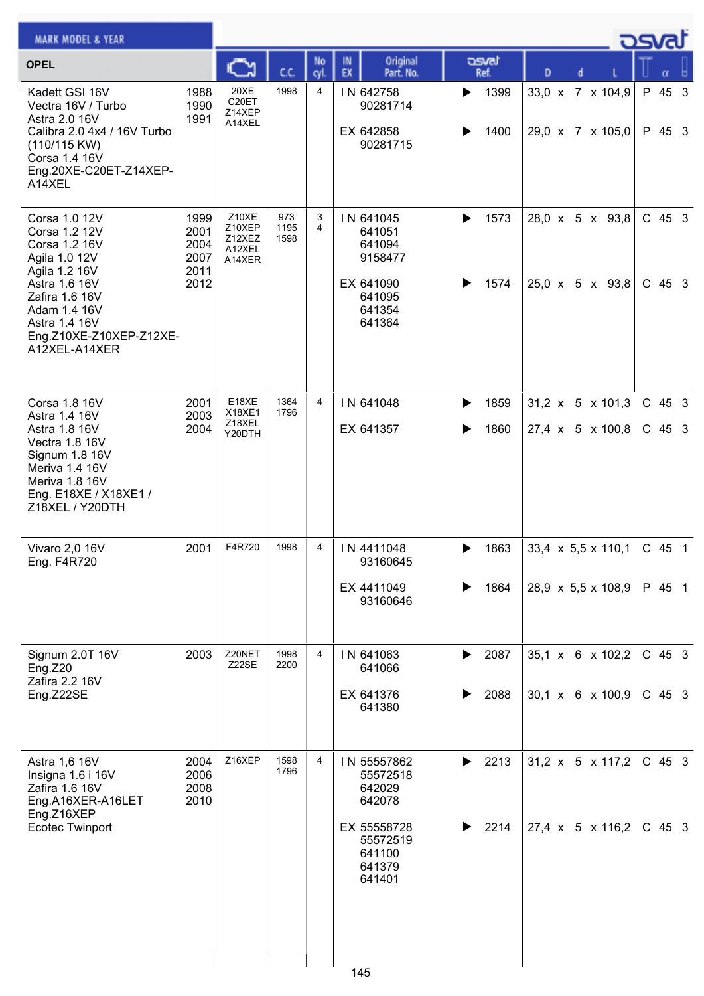| <b>MARK MODEL &amp; YEAR</b>                                                                                                                                                                      |                                              |                                               |                     |                     |                                                                                                      |                        |                                                                    | كSva                 |
|---------------------------------------------------------------------------------------------------------------------------------------------------------------------------------------------------|----------------------------------------------|-----------------------------------------------|---------------------|---------------------|------------------------------------------------------------------------------------------------------|------------------------|--------------------------------------------------------------------|----------------------|
| <b>OPEL</b>                                                                                                                                                                                       |                                              | C                                             | CC.                 | No<br>cyl.          | Original<br>IN<br>EX<br>Part. No.                                                                    | asvat<br>Ref.          | D<br>d                                                             |                      |
| Kadett GSI 16V<br>Vectra 16V / Turbo<br>Astra 2.0 16V<br>Calibra 2.0 4x4 / 16V Turbo<br>(110/115 KW)<br>Corsa 1.4 16V<br>Eng.20XE-C20ET-Z14XEP-<br>A14XEL                                         | 1988<br>1990<br>1991                         | <b>20XE</b><br>C20ET<br>Z14XEP<br>A14XEL      | 1998                | 4                   | IN 642758<br>90281714<br>EX 642858<br>90281715                                                       | 1399<br>▶<br>1400<br>▶ | 33,0 x 7 x 104,9<br>29,0 x 7 x 105,0                               | P 45 3<br>P 45 3     |
| Corsa 1.0 12V<br>Corsa 1.2 12V<br>Corsa 1.2 16V<br>Agila 1.0 12V<br>Agila 1.2 16V<br>Astra 1.6 16V<br>Zafira 1.6 16V<br>Adam 1.4 16V<br>Astra 1.4 16V<br>Eng.Z10XE-Z10XEP-Z12XE-<br>A12XEL-A14XER | 1999<br>2001<br>2004<br>2007<br>2011<br>2012 | Z10XE<br>Z10XEP<br>Z12XEZ<br>A12XEL<br>A14XER | 973<br>1195<br>1598 | 3<br>$\overline{4}$ | IN 641045<br>641051<br>641094<br>9158477<br>EX 641090<br>641095<br>641354<br>641364                  | 1573<br>▶<br>1574<br>▶ | 28,0 x 5 x 93,8<br>$25,0 \times 5 \times 93,8$                     | $C$ 45 3<br>$C$ 45 3 |
| Corsa 1.8 16V<br>Astra 1.4 16V<br>Astra 1.8 16V<br>Vectra 1.8 16V<br>Signum 1.8 16V<br>Meriva 1.4 16V<br>Meriva 1.8 16V<br>Eng. E18XE / X18XE1 /<br>Z18XEL / Y20DTH                               | 2001<br>2003<br>2004                         | E18XE<br>X18XE1<br>Z18XEL<br>Y20DTH           | 1364<br>1796        | $\overline{4}$      | IN 641048<br>EX 641357                                                                               | 1859<br>▶<br>1860<br>▶ | $31,2 \times 5 \times 101,3$<br>27,4 x 5 x 100,8                   | $C$ 45 3<br>$C$ 45 3 |
| Vivaro 2,0 16V<br>Eng. F4R720                                                                                                                                                                     | 2001                                         | F4R720                                        | 1998                | 4                   | IN 4411048<br>93160645<br>EX 4411049<br>93160646                                                     | 1863<br>▶<br>1864<br>▶ | $33,4 \times 5,5 \times 110,1$<br>28,9 $\times$ 5,5 $\times$ 108,9 | $C$ 45 1<br>P 45 1   |
| Signum 2.0T 16V<br>Eng.Z20<br>Zafira 2.2 16V<br>Eng.Z22SE                                                                                                                                         | 2003                                         | Z20NET<br>Z22SE                               | 1998<br>2200        | 4                   | IN 641063<br>641066<br>EX 641376<br>641380                                                           | 2087<br>▶<br>2088      | 35,1 x 6 x 102,2<br>$30,1 \times 6 \times 100,9$                   | $C$ 45 3<br>$C$ 45 3 |
| Astra 1,6 16V<br>Insigna 1.6 i 16V<br>Zafira 1.6 16V<br>Eng.A16XER-A16LET<br>Eng.Z16XEP<br><b>Ecotec Twinport</b>                                                                                 | 2004<br>2006<br>2008<br>2010                 | Z16XEP                                        | 1598<br>1796        | 4                   | IN 55557862<br>55572518<br>642029<br>642078<br>EX 55558728<br>55572519<br>641100<br>641379<br>641401 | 2213<br>▶<br>2214<br>▶ | 31,2 x 5 x 117,2<br>27,4 x 5 x 116,2                               | $C$ 45 3<br>$C$ 45 3 |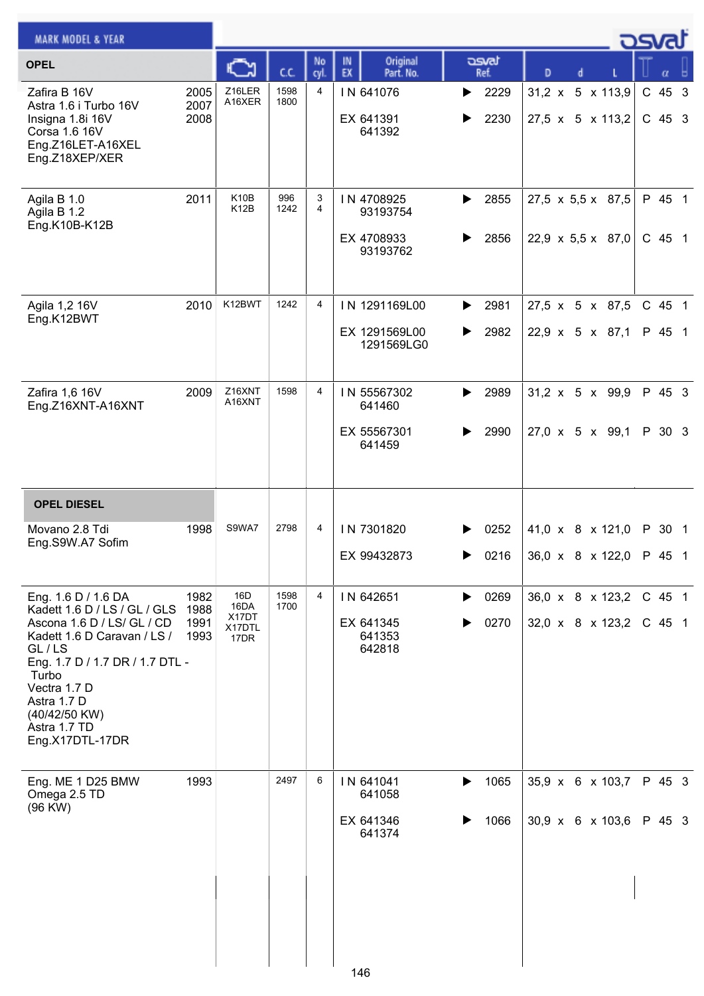| <b>MARK MODEL &amp; YEAR</b>                                                                                                                                                                                                                                                                             |                                      |                                        |                      |                     |                                                                                          |                                        |                                                                                          | <u>osvaľ</u> |                                        |  |
|----------------------------------------------------------------------------------------------------------------------------------------------------------------------------------------------------------------------------------------------------------------------------------------------------------|--------------------------------------|----------------------------------------|----------------------|---------------------|------------------------------------------------------------------------------------------|----------------------------------------|------------------------------------------------------------------------------------------|--------------|----------------------------------------|--|
| <b>OPEL</b>                                                                                                                                                                                                                                                                                              |                                      | C                                      | C.C.                 | No<br>cyl.          | Original<br>IN<br>EX<br>Part. No.                                                        | asvat<br>Ref.                          | D                                                                                        |              | α                                      |  |
| Zafira B 16V<br>Astra 1.6 i Turbo 16V<br>Insigna 1.8i 16V<br>Corsa 1.6 16V<br>Eng.Z16LET-A16XEL<br>Eng.Z18XEP/XER                                                                                                                                                                                        | 2005<br>2007<br>2008                 | Z16LER<br>A16XER                       | 1598<br>1800         | 4                   | IN 641076<br>EX 641391<br>641392                                                         | 2229<br>▶<br>2230<br>▶                 | 31,2 x 5 x 113,9<br>$27,5 \times 5 \times 113,2$                                         |              | C 45 3<br>C 45 3                       |  |
| Agila B 1.0<br>Agila B 1.2<br>Eng.K10B-K12B                                                                                                                                                                                                                                                              | 2011                                 | K <sub>10</sub> B<br>K12B              | 996<br>1242          | 3<br>$\overline{4}$ | IN 4708925<br>93193754<br>EX 4708933<br>93193762                                         | 2855<br>▶<br>2856<br>▶                 | $27,5 \times 5,5 \times 87,5$<br>22,9 $\times$ 5,5 $\times$ 87,0                         |              | P 45 1<br>C 45 1                       |  |
| Agila 1,2 16V<br>Eng.K12BWT                                                                                                                                                                                                                                                                              | 2010                                 | K12BWT                                 | 1242                 | 4                   | IN 1291169L00<br>EX 1291569L00<br>1291569LG0                                             | 2981<br>▶<br>2982<br>▶                 | 27,5 x 5 x 87,5<br>$22,9 \times 5 \times 87,1$                                           |              | C 45 1<br>P 45 1                       |  |
| Zafira 1,6 16V<br>Eng.Z16XNT-A16XNT                                                                                                                                                                                                                                                                      | 2009                                 | Z16XNT<br>A16XNT                       | 1598                 | 4                   | IN 55567302<br>641460<br>EX 55567301<br>641459                                           | 2989<br>▶<br>2990                      | $31,2 \times 5 \times 99,9$<br>27,0 x 5 x 99,1                                           |              | P 45 3<br>P 30 3                       |  |
| <b>OPEL DIESEL</b>                                                                                                                                                                                                                                                                                       |                                      |                                        |                      |                     |                                                                                          |                                        |                                                                                          |              |                                        |  |
| Movano 2.8 Tdi<br>Eng.S9W.A7 Sofim                                                                                                                                                                                                                                                                       | 1998                                 | S9WA7                                  | 2798                 | 4                   | IN 7301820<br>EX 99432873                                                                | 0252<br>0216                           | 41,0 x 8 x 121,0<br>$36.0 \times 8 \times 122.0$ P 45 1                                  |              | P 30 1                                 |  |
| Eng. 1.6 D / 1.6 DA<br>Kadett 1.6 D / LS / GL / GLS<br>Ascona 1.6 D / LS/ GL / CD<br>Kadett 1.6 D Caravan / LS /<br>GL/LS<br>Eng. 1.7 D / 1.7 DR / 1.7 DTL -<br>Turbo<br>Vectra 1.7 D<br>Astra 1.7 D<br>(40/42/50 KW)<br>Astra 1.7 TD<br>Eng.X17DTL-17DR<br>Eng. ME 1 D25 BMW<br>Omega 2.5 TD<br>(96 KW) | 1982<br>1988<br>1991<br>1993<br>1993 | 16D<br>16DA<br>X17DT<br>X17DTL<br>17DR | 1598<br>1700<br>2497 | 4<br>6              | IN 642651<br>EX 641345<br>641353<br>642818<br>IN 641041<br>641058<br>EX 641346<br>641374 | 0269<br>▶<br>0270<br>1065<br>▶<br>1066 | 36,0 x 8 x 123,2<br>32,0 x 8 x 123,2<br>35,9 x 6 x 103,7<br>$30,9 \times 6 \times 103,6$ |              | C 45 1<br>$C$ 45 1<br>P 45 3<br>P 45 3 |  |
|                                                                                                                                                                                                                                                                                                          |                                      |                                        |                      |                     | 146                                                                                      |                                        |                                                                                          |              |                                        |  |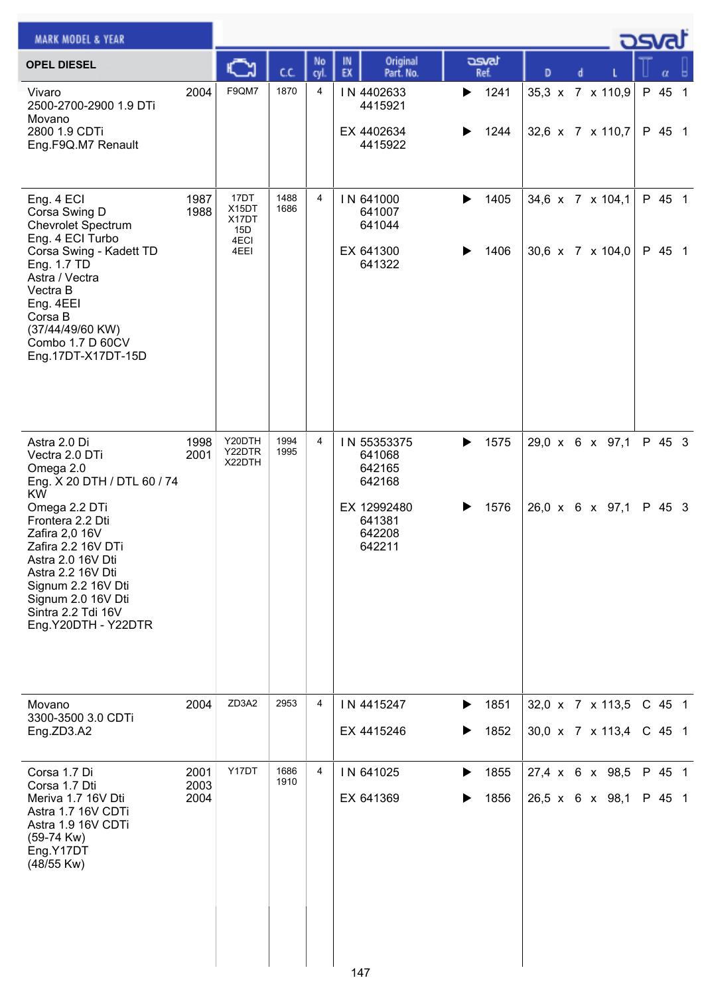| <b>MARK MODEL &amp; YEAR</b>                                                                                                                                                                                                                                                                            |                      |                                               |              |            |                                                                                        |                        |                                      | كصحت                 |  |
|---------------------------------------------------------------------------------------------------------------------------------------------------------------------------------------------------------------------------------------------------------------------------------------------------------|----------------------|-----------------------------------------------|--------------|------------|----------------------------------------------------------------------------------------|------------------------|--------------------------------------|----------------------|--|
| <b>OPEL DIESEL</b>                                                                                                                                                                                                                                                                                      |                      |                                               | cc           | No<br>cyl. | Original<br>IN<br>EX<br>Part. No.                                                      | asvat<br>Ref.          | D                                    | α                    |  |
| Vivaro<br>2500-2700-2900 1.9 DTi<br>Movano<br>2800 1.9 CDTi<br>Eng.F9Q.M7 Renault                                                                                                                                                                                                                       | 2004                 | F9QM7                                         | 1870         | 4          | IN 4402633<br>4415921<br>EX 4402634<br>4415922                                         | 1241<br>▶<br>1244<br>▶ | 35,3 x 7 x 110,9<br>32,6 x 7 x 110,7 | P 45 1<br>P 45 1     |  |
| Eng. 4 ECI<br>Corsa Swing D<br><b>Chevrolet Spectrum</b><br>Eng. 4 ECI Turbo<br>Corsa Swing - Kadett TD<br>Eng. 1.7 TD<br>Astra / Vectra<br>Vectra B<br>Eng. 4EEI<br>Corsa B<br>(37/44/49/60 KW)<br>Combo 1.7 D 60CV<br>Eng.17DT-X17DT-15D                                                              | 1987<br>1988         | 17DT<br>X15DT<br>X17DT<br>15D<br>4ECI<br>4EEI | 1488<br>1686 | 4          | IN 641000<br>641007<br>641044<br>EX 641300<br>641322                                   | 1405<br>▶<br>1406      | 34,6 x 7 x 104,1<br>30,6 x 7 x 104,0 | P 45 1<br>P 45 1     |  |
| Astra 2.0 Di<br>Vectra 2.0 DTi<br>Omega 2.0<br>Eng. X 20 DTH / DTL 60 / 74<br><b>KW</b><br>Omega 2.2 DTi<br>Frontera 2.2 Dti<br>Zafira 2,0 16V<br>Zafira 2.2 16V DTi<br>Astra 2.0 16V Dti<br>Astra 2.2 16V Dti<br>Signum 2.2 16V Dti<br>Signum 2.0 16V Dti<br>Sintra 2.2 Tdi 16V<br>Eng.Y20DTH - Y22DTR | 1998<br>2001         | Y20DTH<br>Y22DTR<br>X22DTH                    | 1994<br>1995 | 4          | IN 55353375<br>641068<br>642165<br>642168<br>EX 12992480<br>641381<br>642208<br>642211 | 1575<br>▶<br>1576<br>▶ | 29,0 x 6 x 97,1<br>26,0 x 6 x 97,1   | P 45 3<br>P 45 3     |  |
| Movano<br>3300-3500 3.0 CDTi<br>Eng.ZD3.A2                                                                                                                                                                                                                                                              | 2004                 | ZD3A2                                         | 2953         | 4          | IN 4415247<br>EX 4415246                                                               | 1851<br>▶<br>1852<br>▶ | 32,0 x 7 x 113,5<br>30,0 x 7 x 113,4 | $C$ 45 1<br>$C$ 45 1 |  |
| Corsa 1.7 Di<br>Corsa 1.7 Dti<br>Meriva 1.7 16V Dti<br>Astra 1.7 16V CDTi<br>Astra 1.9 16V CDTi<br>$(59-74$ Kw)<br>Eng.Y17DT<br>(48/55 Kw)                                                                                                                                                              | 2001<br>2003<br>2004 | Y17DT                                         | 1686<br>1910 | 4          | IN 641025<br>EX 641369<br>147                                                          | 1855<br>▶<br>1856      | 27,4 x 6 x 98,5<br>26,5 x 6 x 98,1   | P 45 1<br>P 45 1     |  |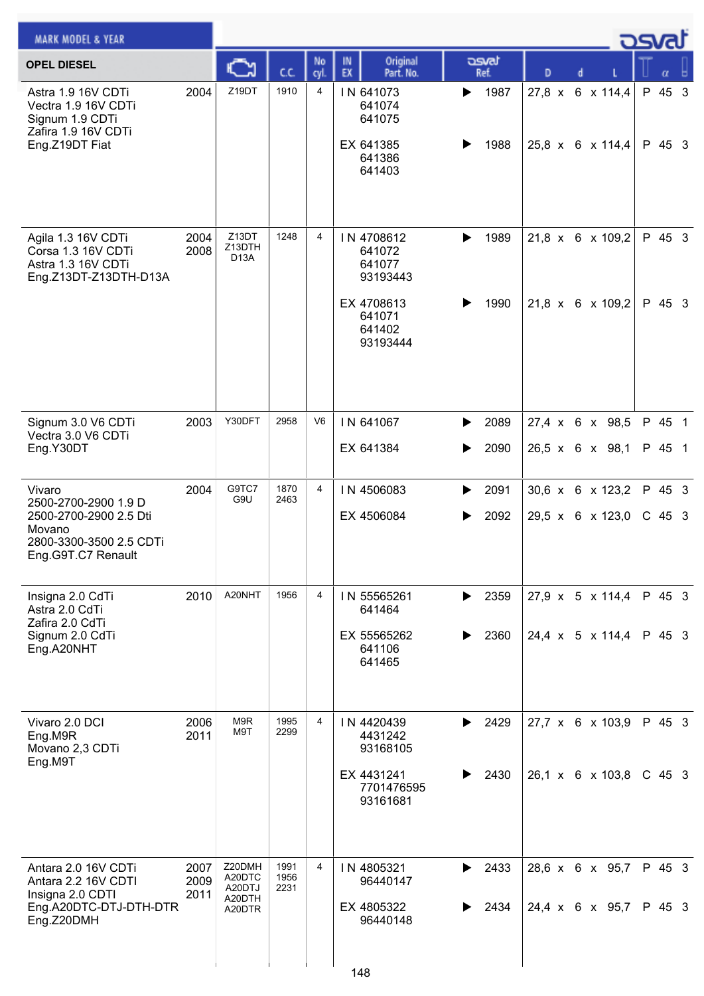| <b>MARK MODEL &amp; YEAR</b>                                                                                        |                      |                                                |                      |                |                                                                                          |                        |                                                  |   |  | ರ್ವಾ               |  |
|---------------------------------------------------------------------------------------------------------------------|----------------------|------------------------------------------------|----------------------|----------------|------------------------------------------------------------------------------------------|------------------------|--------------------------------------------------|---|--|--------------------|--|
| <b>OPEL DIESEL</b>                                                                                                  |                      | C                                              | C.C.                 | No<br>cyl.     | Original<br>IN<br>EX<br>Part. No.                                                        | asvat<br>Ref.          | D                                                | d |  | α                  |  |
| Astra 1.9 16V CDTi<br>Vectra 1.9 16V CDTi<br>Signum 1.9 CDTi<br>Zafira 1.9 16V CDTi<br>Eng.Z19DT Fiat               | 2004                 | Z19DT                                          | 1910                 | $\overline{4}$ | IN 641073<br>641074<br>641075<br>EX 641385<br>641386<br>641403                           | 1987<br>▶<br>1988      | 27,8 x 6 x 114,4<br>25,8 x 6 x 114,4             |   |  | P 45 3<br>P 45 3   |  |
| Agila 1.3 16V CDTi<br>Corsa 1.3 16V CDTi<br>Astra 1.3 16V CDTi<br>Eng.Z13DT-Z13DTH-D13A                             | 2004<br>2008         | Z13DT<br>Z13DTH<br>D <sub>13</sub> A           | 1248                 | $\overline{4}$ | IN 4708612<br>641072<br>641077<br>93193443<br>EX 4708613<br>641071<br>641402<br>93193444 | 1989<br>▶<br>1990<br>▶ | 21,8 x 6 x 109,2<br>$21,8 \times 6 \times 109,2$ |   |  | P 45 3<br>P 45 3   |  |
| Signum 3.0 V6 CDTi<br>Vectra 3.0 V6 CDTi<br>Eng.Y30DT                                                               | 2003                 | Y30DFT                                         | 2958                 | V <sub>6</sub> | IN 641067<br>EX 641384                                                                   | 2089<br>▶<br>2090<br>▶ | 27,4 x 6 x 98,5<br>26,5 x 6 x 98,1               |   |  | P 45 1<br>P 45 1   |  |
| Vivaro<br>2500-2700-2900 1.9 D<br>2500-2700-2900 2.5 Dti<br>Movano<br>2800-3300-3500 2.5 CDTi<br>Eng.G9T.C7 Renault | 2004                 | G9TC7<br>G9U                                   | 1870<br>2463         | 4              | IN 4506083<br>EX 4506084                                                                 | 2091<br>▶<br>2092<br>▶ | 30,6 x 6 x 123,2<br>29,5 x 6 x 123,0             |   |  | P 45 3<br>$C$ 45 3 |  |
| Insigna 2.0 CdTi<br>Astra 2.0 CdTi<br>Zafira 2.0 CdTi<br>Signum 2.0 CdTi<br>Eng.A20NHT                              | 2010                 | A20NHT                                         | 1956                 | 4              | IN 55565261<br>641464<br>EX 55565262<br>641106<br>641465                                 | 2359<br>▶<br>2360<br>▶ | $27.9 \times 5 \times 114.4$<br>24,4 x 5 x 114,4 |   |  | P 45 3<br>P 45 3   |  |
| Vivaro 2.0 DCI<br>Eng.M9R<br>Movano 2,3 CDTi<br>Eng.M9T                                                             | 2006<br>2011         | M9R<br>M9T                                     | 1995<br>2299         | 4              | IN 4420439<br>4431242<br>93168105<br>EX 4431241<br>7701476595<br>93161681                | 2429<br>▶<br>2430      | 27,7 x 6 x 103,9<br>26,1 x 6 x 103,8             |   |  | P 45 3<br>$C$ 45 3 |  |
| Antara 2.0 16V CDTi<br>Antara 2.2 16V CDTI<br>Insigna 2.0 CDTI<br>Eng.A20DTC-DTJ-DTH-DTR<br>Eng.Z20DMH              | 2007<br>2009<br>2011 | Z20DMH<br>A20DTC<br>A20DTJ<br>A20DTH<br>A20DTR | 1991<br>1956<br>2231 | 4              | IN 4805321<br>96440147<br>EX 4805322<br>96440148<br>148                                  | 2433<br>▶<br>2434      | 28,6 x 6 x 95,7<br>24,4 x 6 x 95,7               |   |  | P 45 3<br>P 45 3   |  |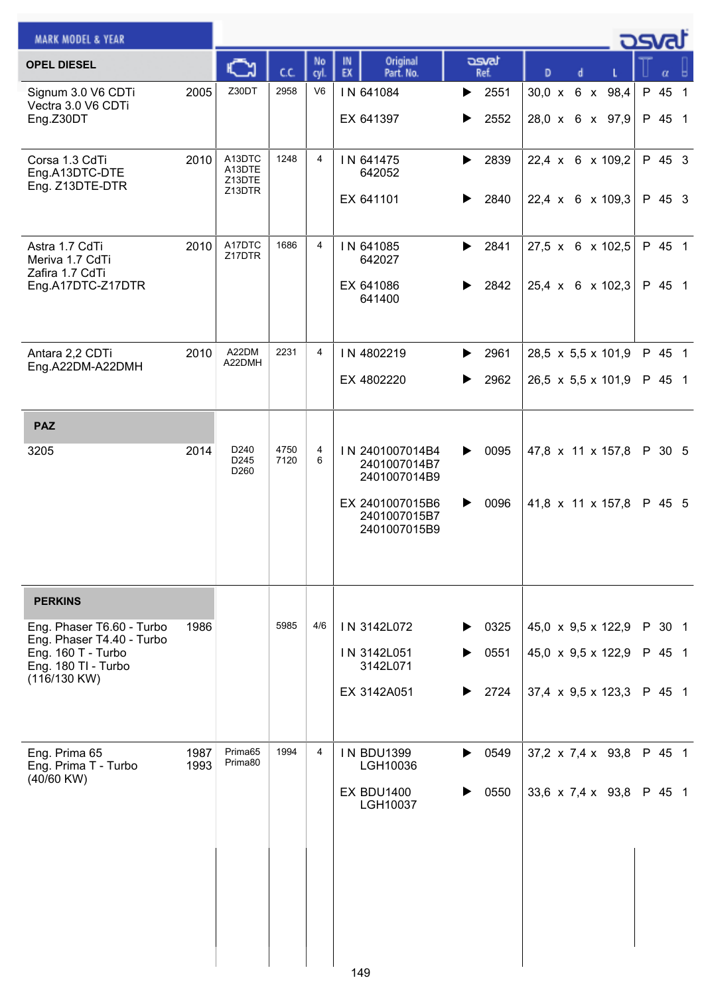| <b>MARK MODEL &amp; YEAR</b>                                                                                        |              |                                              |              |                |                                                                                                    |                                     |                                                                                                          |  | asvat                      |                |
|---------------------------------------------------------------------------------------------------------------------|--------------|----------------------------------------------|--------------|----------------|----------------------------------------------------------------------------------------------------|-------------------------------------|----------------------------------------------------------------------------------------------------------|--|----------------------------|----------------|
| <b>OPEL DIESEL</b>                                                                                                  |              |                                              | C.C.         | No<br>cyl.     | Original<br>IN<br>EX<br>Part. No.                                                                  | asvat<br>Ref.                       | D                                                                                                        |  | α                          |                |
| Signum 3.0 V6 CDTi<br>Vectra 3.0 V6 CDTi<br>Eng.Z30DT                                                               | 2005         | Z30DT                                        | 2958         | V <sub>6</sub> | IN 641084<br>EX 641397                                                                             | 2551<br>▶<br>2552<br>▶              | 30,0 x 6 x 98,4<br>28,0 x 6 x 97,9                                                                       |  | P 45<br>P 45 1             | $\overline{1}$ |
| Corsa 1.3 CdTi<br>Eng.A13DTC-DTE<br>Eng. Z13DTE-DTR                                                                 | 2010         | A13DTC<br>A13DTE<br>Z13DTE<br>Z13DTR         | 1248         | $\overline{4}$ | IN 641475<br>642052<br>EX 641101                                                                   | 2839<br>▶<br>2840<br>▶              | 22,4 x 6 x 109,2<br>22,4 x 6 x 109,3                                                                     |  | P 45 3<br>P 45 3           |                |
| Astra 1.7 CdTi<br>Meriva 1.7 CdTi<br>Zafira 1.7 CdTi<br>Eng.A17DTC-Z17DTR                                           | 2010         | A17DTC<br>Z17DTR                             | 1686         | 4              | IN 641085<br>642027<br>EX 641086<br>641400                                                         | 2841<br>▶<br>2842                   | 27,5 x 6 x 102,5<br>25,4 x 6 x 102,3                                                                     |  | P 45 1<br>P 45 1           |                |
| Antara 2,2 CDTi<br>Eng.A22DM-A22DMH                                                                                 | 2010         | A22DM<br>A22DMH                              | 2231         | 4              | IN 4802219<br>EX 4802220                                                                           | 2961<br>▶<br>2962<br>▶              | 28,5 $\times$ 5,5 $\times$ 101,9<br>26,5 x 5,5 x 101,9                                                   |  | P 45 1<br>P 45 1           |                |
| <b>PAZ</b>                                                                                                          |              |                                              |              |                |                                                                                                    |                                     |                                                                                                          |  |                            |                |
| 3205                                                                                                                | 2014         | D <sub>240</sub><br>D <sub>245</sub><br>D260 | 4750<br>7120 | 4<br>6         | IN 2401007014B4<br>2401007014B7<br>2401007014B9<br>EX 2401007015B6<br>2401007015B7<br>2401007015B9 | 0095<br>▶<br>0096<br>▶              | 47,8 x 11 x 157,8<br>41,8 x 11 x 157,8                                                                   |  | P 30 5<br>P 45 5           |                |
| <b>PERKINS</b>                                                                                                      |              |                                              |              |                |                                                                                                    |                                     |                                                                                                          |  |                            |                |
| Eng. Phaser T6.60 - Turbo<br>Eng. Phaser T4.40 - Turbo<br>Eng. 160 T - Turbo<br>Eng. 180 TI - Turbo<br>(116/130 KW) | 1986         |                                              | 5985         | 4/6            | IN 3142L072<br>IN 3142L051<br>3142L071<br>EX 3142A051                                              | 0325<br>▶<br>▶<br>0551<br>2724<br>▶ | 45,0 $\times$ 9,5 $\times$ 122,9<br>45,0 $\times$ 9,5 $\times$ 122,9<br>37,4 $\times$ 9,5 $\times$ 123,3 |  | P 30 1<br>P 45 1<br>P 45 1 |                |
| Eng. Prima 65<br>Eng. Prima T - Turbo<br>(40/60 KW)                                                                 | 1987<br>1993 | Prima65<br>Prima80                           | 1994         | 4              | <b>IN BDU1399</b><br>LGH10036<br><b>EX BDU1400</b><br>LGH10037                                     | 0549<br>▶<br>0550                   | 37,2 $\times$ 7,4 $\times$ 93,8<br>33,6 x 7,4 x 93,8                                                     |  | P 45 1<br>P 45 1           |                |
|                                                                                                                     |              |                                              |              |                | 149                                                                                                |                                     |                                                                                                          |  |                            |                |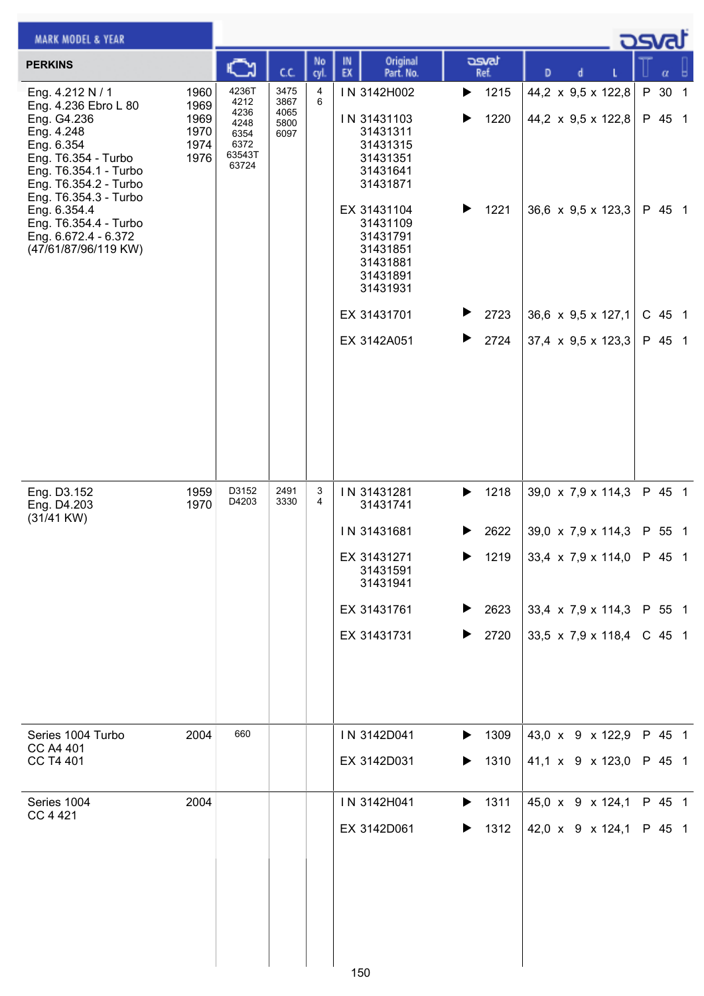| <b>MARK MODEL &amp; YEAR</b>                                                                                                                                                          |                                              |                                                                  |                                      |            |          |                                                                                        |        |                            |   |   |                                                        | ك <i>osva</i> d  |  |
|---------------------------------------------------------------------------------------------------------------------------------------------------------------------------------------|----------------------------------------------|------------------------------------------------------------------|--------------------------------------|------------|----------|----------------------------------------------------------------------------------------|--------|----------------------------|---|---|--------------------------------------------------------|------------------|--|
| <b>PERKINS</b>                                                                                                                                                                        |                                              | C                                                                | C.C.                                 | No<br>cyl. | IN<br>EX | Original<br>Part. No.                                                                  |        | asvat<br>Ref.              | D | d |                                                        | α                |  |
| Eng. 4.212 N / 1<br>Eng. 4.236 Ebro L 80<br>Eng. G4.236<br>Eng. 4.248<br>Eng. 6.354<br>Eng. T6.354 - Turbo<br>Eng. T6.354.1 - Turbo<br>Eng. T6.354.2 - Turbo<br>Eng. T6.354.3 - Turbo | 1960<br>1969<br>1969<br>1970<br>1974<br>1976 | 4236T<br>4212<br>4236<br>4248<br>6354<br>6372<br>63543T<br>63724 | 3475<br>3867<br>4065<br>5800<br>6097 | 4<br>6     |          | IN 3142H002<br>IN 31431103<br>31431311<br>31431315<br>31431351<br>31431641<br>31431871 | ▶<br>▶ | 1215<br>1220               |   |   | 44,2 x 9,5 x 122,8<br>44,2 $\times$ 9,5 $\times$ 122,8 | P 30 1<br>P 45 1 |  |
| Eng. 6.354.4<br>Eng. T6.354.4 - Turbo<br>Eng. 6.672.4 - 6.372<br>(47/61/87/96/119 KW)                                                                                                 |                                              |                                                                  |                                      |            |          | EX 31431104<br>31431109<br>31431791<br>31431851<br>31431881<br>31431891<br>31431931    | ▶      | 1221                       |   |   | 36,6 $\times$ 9,5 $\times$ 123,3                       | P 45 1           |  |
|                                                                                                                                                                                       |                                              |                                                                  |                                      |            |          | EX 31431701                                                                            |        | 2723                       |   |   | 36,6 $\times$ 9,5 $\times$ 127,1                       | C 45 1           |  |
|                                                                                                                                                                                       |                                              |                                                                  |                                      |            |          | EX 3142A051                                                                            | ▶      | 2724                       |   |   | $37,4 \times 9,5 \times 123,3$                         | P 45 1           |  |
| Eng. D3.152<br>Eng. D4.203<br>$(31/41$ KW)                                                                                                                                            | 1959<br>1970                                 | D3152<br>D4203                                                   | 2491<br>3330                         | 3<br>4     |          | IN 31431281<br>31431741                                                                | ▶      | 1218                       |   |   | 39,0 x 7,9 x 114,3                                     | P 45 1           |  |
|                                                                                                                                                                                       |                                              |                                                                  |                                      |            |          | IN 31431681                                                                            |        | 2622                       |   |   | 39,0 $\times$ 7,9 $\times$ 114,3                       | P 55 1           |  |
|                                                                                                                                                                                       |                                              |                                                                  |                                      |            |          | EX 31431271<br>31431591<br>31431941                                                    |        | $\blacktriangleright$ 1219 |   |   | 33,4 x 7,9 x 114,0 P 45 1                              |                  |  |
|                                                                                                                                                                                       |                                              |                                                                  |                                      |            |          | EX 31431761                                                                            | ▶      | 2623                       |   |   | 33,4 x 7,9 x 114,3 P 55 1                              |                  |  |
|                                                                                                                                                                                       |                                              |                                                                  |                                      |            |          | EX 31431731                                                                            | ▶      | 2720                       |   |   | 33,5 x 7,9 x 118,4                                     | $C$ 45 1         |  |
| Series 1004 Turbo<br>CC A4 401                                                                                                                                                        | 2004                                         | 660                                                              |                                      |            |          | IN 3142D041                                                                            | ▶      | 1309                       |   |   | 43,0 x 9 x 122,9                                       | P 45 1           |  |
| CC T4 401                                                                                                                                                                             |                                              |                                                                  |                                      |            |          | EX 3142D031                                                                            | ▶      | 1310                       |   |   | 41,1 x 9 x 123,0                                       | P 45 1           |  |
| Series 1004<br>CC 4 421                                                                                                                                                               | 2004                                         |                                                                  |                                      |            |          | IN 3142H041                                                                            | ▶      | 1311                       |   |   | 45,0 x 9 x 124,1                                       | P 45 1           |  |
|                                                                                                                                                                                       |                                              |                                                                  |                                      |            | 150      | EX 3142D061                                                                            | ▶      | 1312                       |   |   | 42,0 x 9 x 124,1                                       | P 45 1           |  |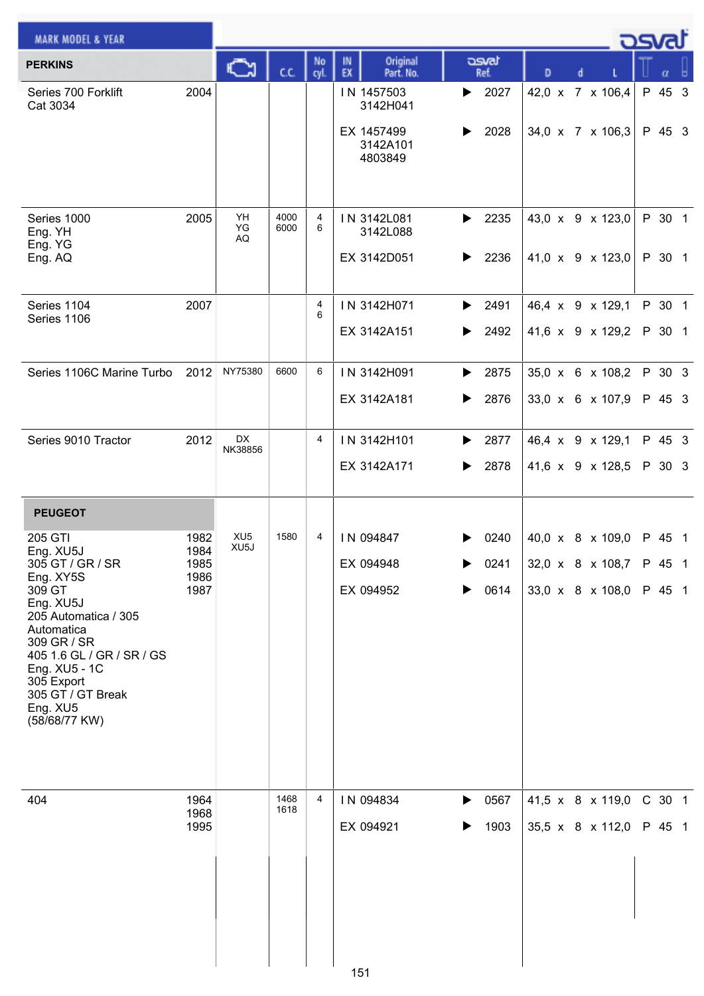| <b>MARK MODEL &amp; YEAR</b>                                                                                                                                                                                                                    |                                      |                                      |              |            |                                                             |                           |                                                                 | <b>DSval</b> |                  |  |
|-------------------------------------------------------------------------------------------------------------------------------------------------------------------------------------------------------------------------------------------------|--------------------------------------|--------------------------------------|--------------|------------|-------------------------------------------------------------|---------------------------|-----------------------------------------------------------------|--------------|------------------|--|
| <b>PERKINS</b>                                                                                                                                                                                                                                  |                                      | Ğ                                    | CC.          | No<br>cyl. | Original<br>IN<br>EX<br>Part. No.                           | asvat<br>Ref.             | D<br>d                                                          |              | α                |  |
| Series 700 Forklift<br>Cat 3034                                                                                                                                                                                                                 | 2004                                 |                                      |              |            | IN 1457503<br>3142H041<br>EX 1457499<br>3142A101<br>4803849 | 2027<br>▶<br>2028<br>▶    | 42,0 x 7 x 106,4<br>34,0 x 7 x 106,3                            |              | P 45 3<br>P 45 3 |  |
| Series 1000<br>Eng. YH<br>Eng. YG<br>Eng. AQ                                                                                                                                                                                                    | 2005                                 | YH<br>YG<br>AQ                       | 4000<br>6000 | 4<br>6     | IN 3142L081<br>3142L088<br>EX 3142D051                      | 2235<br>▶<br>2236<br>▶    | 43,0 x 9 x 123,0<br>41,0 $\times$ 9 $\times$ 123,0              |              | P 30 1<br>P 30 1 |  |
| Series 1104<br>Series 1106                                                                                                                                                                                                                      | 2007                                 |                                      |              | 4<br>6     | IN 3142H071<br>EX 3142A151                                  | 2491<br>▶<br>2492<br>▶    | 46,4 x 9 x 129,1<br>41,6 x 9 x 129,2                            |              | P 30 1<br>P 30 1 |  |
| Series 1106C Marine Turbo                                                                                                                                                                                                                       | 2012                                 | NY75380                              | 6600         | 6          | IN 3142H091<br>EX 3142A181                                  | 2875<br>▶<br>2876<br>▶    | 35,0 x 6 x 108,2<br>33,0 x 6 x 107,9                            |              | P 30 3<br>P 45 3 |  |
| Series 9010 Tractor                                                                                                                                                                                                                             | 2012                                 | DX<br>NK38856                        |              | 4          | IN 3142H101<br>EX 3142A171                                  | 2877<br>▶<br>2878<br>▶    | 46,4 x 9 x 129,1<br>41,6 x 9 x 128,5                            |              | P 45 3<br>P 30 3 |  |
| <b>PEUGEOT</b>                                                                                                                                                                                                                                  |                                      |                                      |              |            |                                                             |                           |                                                                 |              |                  |  |
| 205 GTI<br>Eng. XU5J<br>305 GT / GR / SR<br>Eng. XY5S<br>309 GT<br>Eng. XU5J<br>205 Automatica / 305<br>Automatica<br>309 GR / SR<br>405 1.6 GL / GR / SR / GS<br>Eng. XU5 - 1C<br>305 Export<br>305 GT / GT Break<br>Eng. XU5<br>(58/68/77 KW) | 1982<br>1984<br>1985<br>1986<br>1987 | XU <sub>5</sub><br>XU <sub>5</sub> J | 1580         | 4          | IN 094847<br>EX 094948<br>EX 094952                         | 0240<br>▶<br>0241<br>0614 | 40,0 x 8 x 109,0<br>32,0 x 8 x 108,7<br>33,0 x 8 x 108,0 P 45 1 | P 45 1       | P 45 1           |  |
| 404                                                                                                                                                                                                                                             | 1964<br>1968<br>1995                 |                                      | 1468<br>1618 | 4          | IN 094834<br>EX 094921<br>151                               | 0567<br>▶<br>1903<br>▶    | 41,5 x 8 x 119,0<br>35,5 x 8 x 112,0                            | P 45 1       | C 30 1           |  |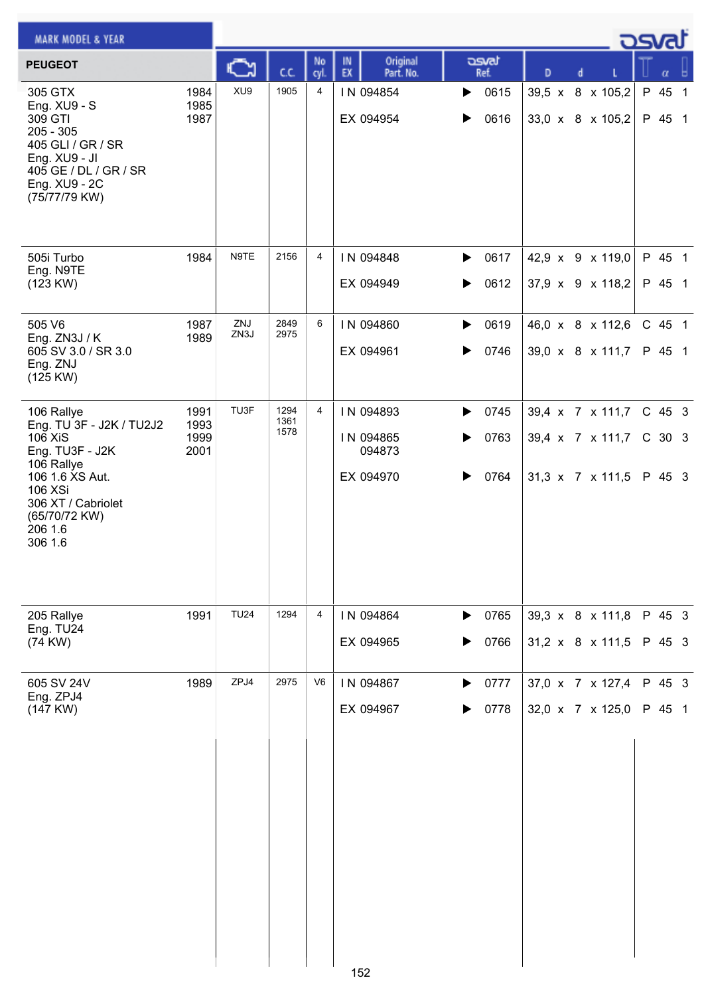| <b>MARK MODEL &amp; YEAR</b>                                                                                                                       |                              |             |                      |                |                                   |                        |                                                  | ಎ                |
|----------------------------------------------------------------------------------------------------------------------------------------------------|------------------------------|-------------|----------------------|----------------|-----------------------------------|------------------------|--------------------------------------------------|------------------|
| <b>PEUGEOT</b>                                                                                                                                     |                              |             | cc                   | No<br>cyl.     | Original<br>IN<br>EX<br>Part. No. | asvat<br>Ref.          | D                                                |                  |
| 305 GTX<br>Eng. XU9 - S<br>309 GTI<br>$205 - 305$<br>405 GLI / GR / SR<br>Eng. XU9 - JI<br>405 GE / DL / GR / SR<br>Eng. XU9 - 2C<br>(75/77/79 KW) | 1984<br>1985<br>1987         | XU9         | 1905                 | 4              | IN 094854<br>EX 094954            | 0615<br>▶<br>0616      | 8 x 105,2<br>$39,5 \times$<br>33,0 x 8 x 105,2   | P 45 1<br>P 45 1 |
| 505i Turbo<br>Eng. N9TE<br>(123 KW)                                                                                                                | 1984                         | N9TE        | 2156                 | 4              | IN 094848<br>EX 094949            | 0617<br>▶<br>0612      | 42,9 x 9 x 119,0<br>37,9 x 9 x 118,2             | P 45 1<br>P 45 1 |
| 505 V6<br>Eng. ZN3J / K<br>605 SV 3.0 / SR 3.0<br>Eng. ZNJ<br>(125 KW)                                                                             | 1987<br>1989                 | ZNJ<br>ZN3J | 2849<br>2975         | 6              | IN 094860<br>EX 094961            | 0619<br>▶<br>0746<br>▶ | 46,0 x 8 x 112,6<br>39,0 x 8 x 111,7             | C 45 1<br>P 45 1 |
| 106 Rallye<br>Eng. TU 3F - J2K / TU2J2<br>106 XiS<br>Eng. TU3F - J2K<br>106 Rallye                                                                 | 1991<br>1993<br>1999<br>2001 | TU3F        | 1294<br>1361<br>1578 | $\overline{4}$ | IN 094893<br>IN 094865<br>094873  | 0745<br>▶<br>0763<br>▶ | 39,4 x 7 x 111,7<br>39,4 x 7 x 111,7             | C 45 3<br>C 30 3 |
| 106 1.6 XS Aut.<br>106 XSi<br>306 XT / Cabriolet<br>(65/70/72 KW)<br>206 1.6<br>306 1.6                                                            |                              |             |                      |                | EX 094970                         | 0764                   | 31,3 x 7 x 111,5                                 | P 45 3           |
| 205 Rallye<br>Eng. TU24<br>(74 KW)                                                                                                                 | 1991                         | <b>TU24</b> | 1294                 | 4              | IN 094864<br>EX 094965            | 0765<br>▶<br>0766<br>▶ | 39,3 x 8 x 111,8<br>$31,2 \times 8 \times 111,5$ | P 45 3<br>P 45 3 |
| 605 SV 24V                                                                                                                                         | 1989                         | ZPJ4        | 2975                 | V6             | IN 094867                         | 0777<br>▶              | 37,0 x 7 x 127,4                                 | P 45 3           |
| Eng. ZPJ4<br>(147 KW)                                                                                                                              |                              |             |                      |                | EX 094967                         | 0778                   | 32,0 x 7 x 125,0                                 | P 45 1           |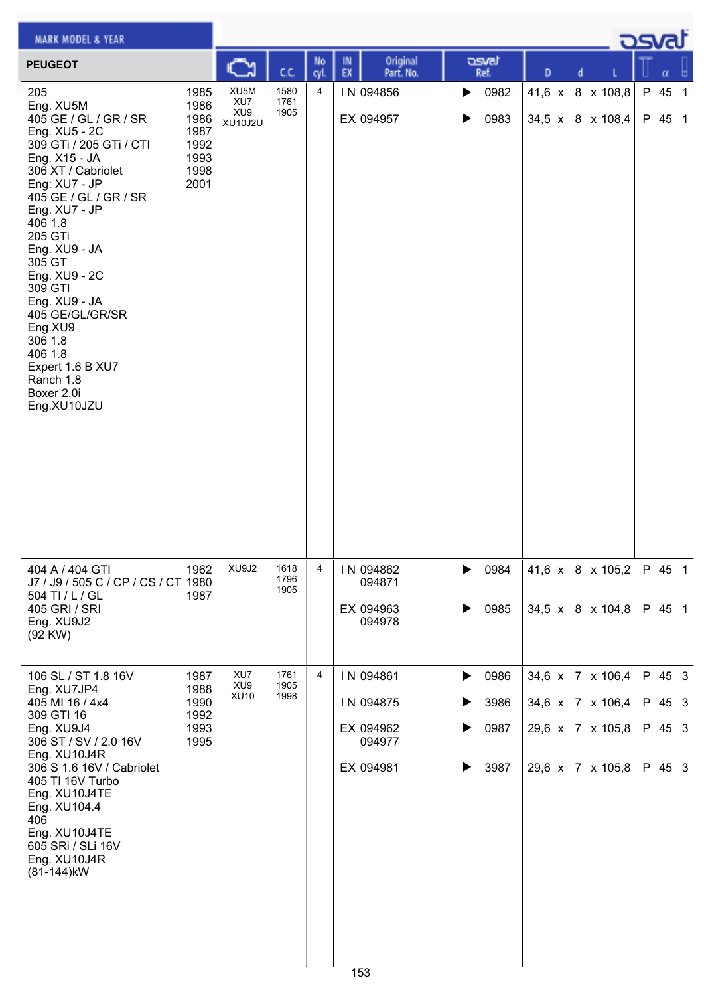| <b>MARK MODEL &amp; YEAR</b>                                                                                                                                                                                                                                                                                                                                                                            |                                                              |                                                  |                      |                |                                            |                        |   |                                      | <u>osvaľ</u>     |
|---------------------------------------------------------------------------------------------------------------------------------------------------------------------------------------------------------------------------------------------------------------------------------------------------------------------------------------------------------------------------------------------------------|--------------------------------------------------------------|--------------------------------------------------|----------------------|----------------|--------------------------------------------|------------------------|---|--------------------------------------|------------------|
| <b>PEUGEOT</b>                                                                                                                                                                                                                                                                                                                                                                                          |                                                              |                                                  | C.C.                 | No<br>cyl.     | Original<br>IN<br>EX<br>Part. No.          | asvat<br>Ref.          | D | d                                    |                  |
| 205<br>Eng. XU5M<br>405 GE / GL / GR / SR<br>Eng. XU5 - 2C<br>309 GTi / 205 GTi / CTI<br>Eng. X15 - JA<br>306 XT / Cabriolet<br>Eng: XU7 - JP<br>405 GE / GL / GR / SR<br>Eng. XU7 - JP<br>406 1.8<br>205 GTi<br>Eng. XU9 - JA<br>305 GT<br>Eng. XU9 - 2C<br>309 GTI<br>Eng. XU9 - JA<br>405 GE/GL/GR/SR<br>Eng.XU9<br>306 1.8<br>406 1.8<br>Expert 1.6 B XU7<br>Ranch 1.8<br>Boxer 2.0i<br>Eng.XU10JZU | 1985<br>1986<br>1986<br>1987<br>1992<br>1993<br>1998<br>2001 | XU5M<br>XU7<br>XU <sub>9</sub><br><b>XU10J2U</b> | 1580<br>1761<br>1905 | $\overline{4}$ | IN 094856<br>EX 094957                     | 0982<br>▶<br>0983<br>▶ |   | 41,6 x 8 x 108,8<br>34,5 x 8 x 108,4 | P 45 1<br>P 45 1 |
| 404 A / 404 GTI<br>J7 / J9 / 505 C / CP / CS / CT 1980<br>504 TI / L / GL<br>405 GRI / SRI<br>Eng. XU9J2<br>(92 KW)                                                                                                                                                                                                                                                                                     | 1962<br>1987                                                 | XU9J2                                            | 1618<br>1796<br>1905 | 4              | IN 094862<br>094871<br>EX 094963<br>094978 | 0984<br>0985           |   | 41,6 x 8 x 105,2<br>34,5 x 8 x 104,8 | P 45 1<br>P 45 1 |
| 106 SL / ST 1.8 16V<br>Eng. XU7JP4                                                                                                                                                                                                                                                                                                                                                                      | 1987<br>1988                                                 | XU7<br>XU <sub>9</sub><br><b>XU10</b>            | 1761<br>1905<br>1998 | 4              | IN 094861                                  | 0986<br>▶              |   | 34,6 x 7 x 106,4                     | P 45 3           |
| 405 MI 16 / 4x4<br>309 GTI 16<br>Eng. XU9J4                                                                                                                                                                                                                                                                                                                                                             | 1990<br>1992<br>1993                                         |                                                  |                      |                | IN 094875<br>EX 094962                     | 3986<br>▶<br>0987<br>▶ |   | 34,6 x 7 x 106,4<br>29,6 x 7 x 105,8 | P 45 3<br>P 45 3 |
| 306 ST / SV / 2.0 16V<br>Eng. XU10J4R<br>306 S 1.6 16V / Cabriolet<br>405 TI 16V Turbo<br>Eng. XU10J4TE<br>Eng. XU104.4<br>406<br>Eng. XU10J4TE<br>605 SRi / SLi 16V<br>Eng. XU10J4R<br>(81-144) kW                                                                                                                                                                                                     | 1995                                                         |                                                  |                      |                | 094977<br>EX 094981                        | 3987<br>▶              |   | 29,6 x 7 x 105,8                     | P 45 3           |
|                                                                                                                                                                                                                                                                                                                                                                                                         |                                                              |                                                  |                      |                | 153                                        |                        |   |                                      |                  |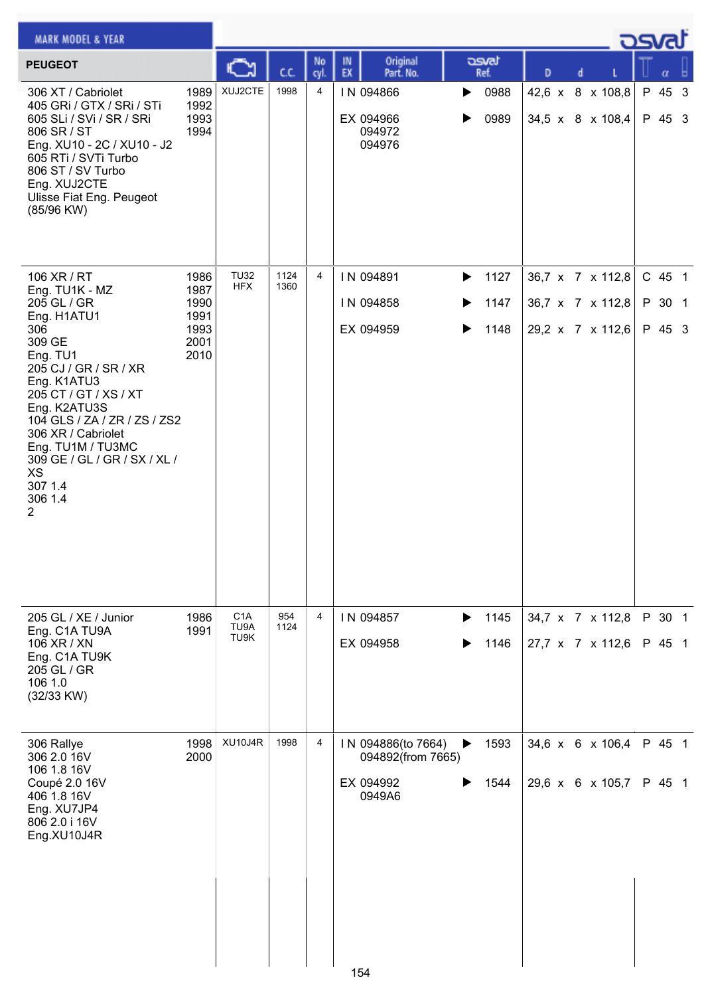| <b>MARK MODEL &amp; YEAR</b>                                                                                                                                                                                                                                                                                          |                                                      |                                  |              |                |                                                                |                                                         |   |                                                          | كصحت                       |  |
|-----------------------------------------------------------------------------------------------------------------------------------------------------------------------------------------------------------------------------------------------------------------------------------------------------------------------|------------------------------------------------------|----------------------------------|--------------|----------------|----------------------------------------------------------------|---------------------------------------------------------|---|----------------------------------------------------------|----------------------------|--|
| <b>PEUGEOT</b>                                                                                                                                                                                                                                                                                                        |                                                      |                                  | C.C.         | No<br>cyl.     | Original<br>IN<br>EX<br>Part. No.                              | asvat<br>Ref.                                           | D | d                                                        | α                          |  |
| 306 XT / Cabriolet<br>405 GRI / GTX / SRI / STI<br>605 SLi / SVi / SR / SRi<br>806 SR / ST<br>Eng. XU10 - 2C / XU10 - J2<br>605 RTi / SVTi Turbo<br>806 ST / SV Turbo<br>Eng. XUJ2CTE<br><b>Ulisse Fiat Eng. Peugeot</b><br>(85/96 KW)                                                                                | 1989<br>1992<br>1993<br>1994                         | XUJ2CTE                          | 1998         | 4              | IN 094866<br>EX 094966<br>094972<br>094976                     | 0988<br>▶<br>0989<br>▶                                  |   | 42,6 x 8 x 108,8<br>34,5 x 8 x 108,4                     | P 45 3<br>P 45 3           |  |
| 106 XR / RT<br>Eng. TU1K - MZ<br>205 GL / GR<br>Eng. H1ATU1<br>306<br>309 GE<br>Eng. TU1<br>205 CJ / GR / SR / XR<br>Eng. K1ATU3<br>205 CT / GT / XS / XT<br>Eng. K2ATU3S<br>104 GLS / ZA / ZR / ZS / ZS2<br>306 XR / Cabriolet<br>Eng. TU1M / TU3MC<br>309 GE / GL / GR / SX / XL /<br>XS<br>307 1.4<br>306 1.4<br>2 | 1986<br>1987<br>1990<br>1991<br>1993<br>2001<br>2010 | <b>TU32</b><br><b>HFX</b>        | 1124<br>1360 | $\overline{4}$ | IN 094891<br>IN 094858<br>EX 094959                            | 1127<br>$\blacktriangleright$<br>1147<br>▶<br>1148<br>▶ |   | 36,7 x 7 x 112,8<br>36,7 x 7 x 112,8<br>29,2 x 7 x 112,6 | C 45 1<br>P 30 1<br>P 45 3 |  |
| 205 GL / XE / Junior<br>Eng. C1A TU9A<br>106 XR / XN<br>Eng. C1A TU9K<br>205 GL / GR<br>106 1.0<br>(32/33 KW)                                                                                                                                                                                                         | 1986<br>1991                                         | C <sub>1</sub> A<br>TU9A<br>TU9K | 954<br>1124  | 4              | IN 094857<br>EX 094958                                         | 1145<br>▶<br>1146                                       |   | 34,7 x 7 x 112,8<br>27,7 x 7 x 112,6                     | P 30 1<br>P 45 1           |  |
| 306 Rallye<br>306 2.0 16V<br>106 1.8 16V<br>Coupé 2.0 16V<br>406 1.8 16V<br>Eng. XU7JP4<br>806 2.0 i 16V<br>Eng.XU10J4R                                                                                                                                                                                               | 1998<br>2000                                         | XU10J4R                          | 1998         | 4              | IN 094886(to 7664)<br>094892(from 7665)<br>EX 094992<br>0949A6 | 1593<br>▶<br>1544                                       |   | 34,6 x 6 x 106,4<br>29,6 x 6 x 105,7                     | P 45 1<br>P 45 1           |  |
|                                                                                                                                                                                                                                                                                                                       |                                                      |                                  |              |                | 154                                                            |                                                         |   |                                                          |                            |  |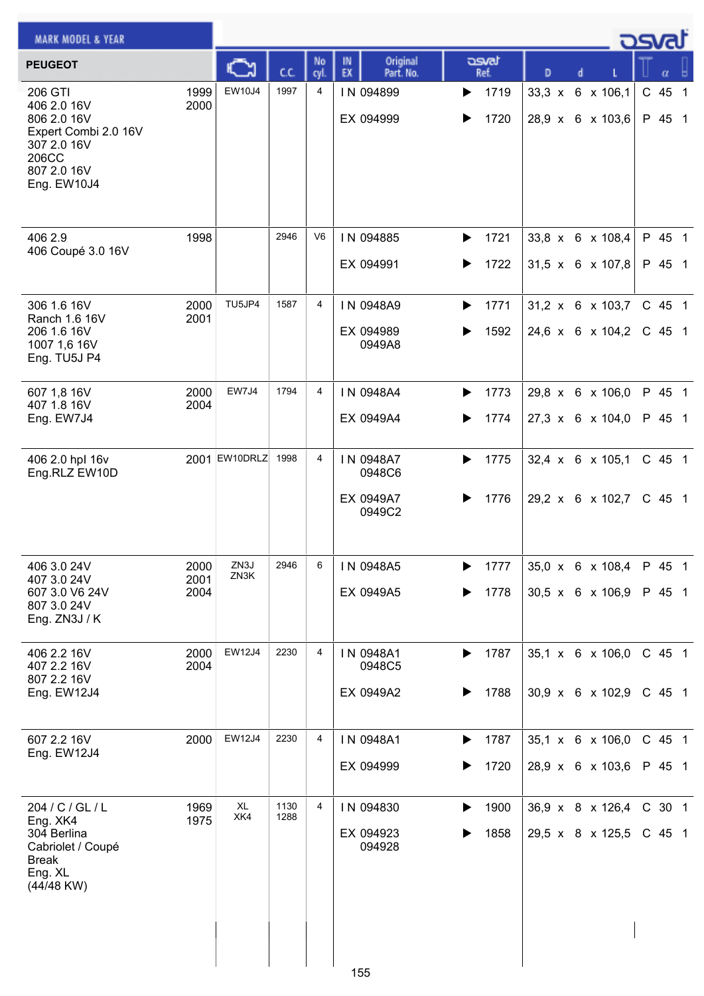| <b>MARK MODEL &amp; YEAR</b>                                                                                        |                      |               |              |            |                                            |                                       | كمحت                                             |                    |
|---------------------------------------------------------------------------------------------------------------------|----------------------|---------------|--------------|------------|--------------------------------------------|---------------------------------------|--------------------------------------------------|--------------------|
| <b>PEUGEOT</b>                                                                                                      |                      |               | C.C.         | No<br>cyl. | Original<br>IN.<br>EX<br>Part. No.         | asvat<br>Ref.                         | D<br>d                                           | α                  |
| 206 GTI<br>406 2.0 16V<br>806 2.0 16V<br>Expert Combi 2.0 16V<br>307 2.0 16V<br>206CC<br>807 2.0 16V<br>Eng. EW10J4 | 1999<br>2000         | EW10J4        | 1997         | 4          | IN 094899<br>EX 094999                     | 1719<br>▶<br>1720                     | 33,3 x 6 x 106,1<br>28,9 x 6 x 103,6             | C 45 1<br>P 45 1   |
| 406 2.9<br>406 Coupé 3.0 16V                                                                                        | 1998                 |               | 2946         | V6         | IN 094885<br>EX 094991                     | 1721<br>▶<br>1722<br>▶                | 33,8 x 6 x 108,4<br>$31,5 \times 6 \times 107,8$ | P 45 1<br>P 45 1   |
| 306 1.6 16V<br>Ranch 1.6 16V<br>206 1.6 16V<br>1007 1,6 16V<br>Eng. TU5J P4                                         | 2000<br>2001         | TU5JP4        | 1587         | 4          | IN 0948A9<br>EX 094989<br>0949A8           | 1771<br>▶<br>1592                     | $31,2 \times 6 \times 103,7$<br>24,6 x 6 x 104,2 | C 45 1<br>C 45 1   |
| 607 1,8 16V<br>407 1.8 16V<br>Eng. EW7J4                                                                            | 2000<br>2004         | EW7J4         | 1794         | 4          | IN 0948A4<br>EX 0949A4                     | 1773<br>▶<br>1774<br>▶                | 29,8 x 6 x 106,0<br>27,3 x 6 x 104,0             | P 45 1<br>P 45 1   |
| 406 2.0 hpl 16v<br>Eng.RLZ EW10D                                                                                    |                      | 2001 EW10DRLZ | 1998         | 4          | IN 0948A7<br>0948C6<br>EX 0949A7<br>0949C2 | 1775<br>▶<br>1776                     | 32,4 x 6 x 105,1<br>29,2 x 6 x 102,7             | C 45 1<br>$C$ 45 1 |
| 406 3.0 24V<br>407 3.0 24V<br>607 3.0 V6 24V<br>807 3.0 24V<br>Eng. ZN3J / K                                        | 2000<br>2001<br>2004 | ZN3J<br>ZN3K  | 2946         | 6          | IN 0948A5<br>EX 0949A5                     | 1777<br>▶<br>1778<br>▶                | 35,0 x 6 x 108,4<br>30,5 x 6 x 106,9             | P 45 1<br>P 45 1   |
| 406 2.2 16V<br>407 2.2 16V<br>807 2.2 16V<br>Eng. EW12J4                                                            | 2000<br>2004         | <b>EW12J4</b> | 2230         | 4          | IN 0948A1<br>0948C5<br>EX 0949A2           | 1787<br>$\blacktriangleright$<br>1788 | $35,1 \times 6 \times 106,0$<br>30,9 x 6 x 102,9 | C 45 1<br>C 45 1   |
| 607 2.2 16V<br>Eng. EW12J4                                                                                          | 2000                 | <b>EW12J4</b> | 2230         | 4          | IN 0948A1<br>EX 094999                     | 1787<br>▶<br>1720<br>▶                | 35,1 x 6 x 106,0<br>28,9 x 6 x 103,6             | C 45 1<br>P 45 1   |
| 204 / C / GL / L<br>Eng. XK4<br>304 Berlina<br>Cabriolet / Coupé<br><b>Break</b><br>Eng. XL<br>(44/48 KW)           | 1969<br>1975         | XL<br>XK4     | 1130<br>1288 | 4          | IN 094830<br>EX 094923<br>094928<br>155    | 1900<br>▶<br>1858                     | 36,9 x 8 x 126,4<br>29,5 x 8 x 125,5             | C 30 1<br>$C$ 45 1 |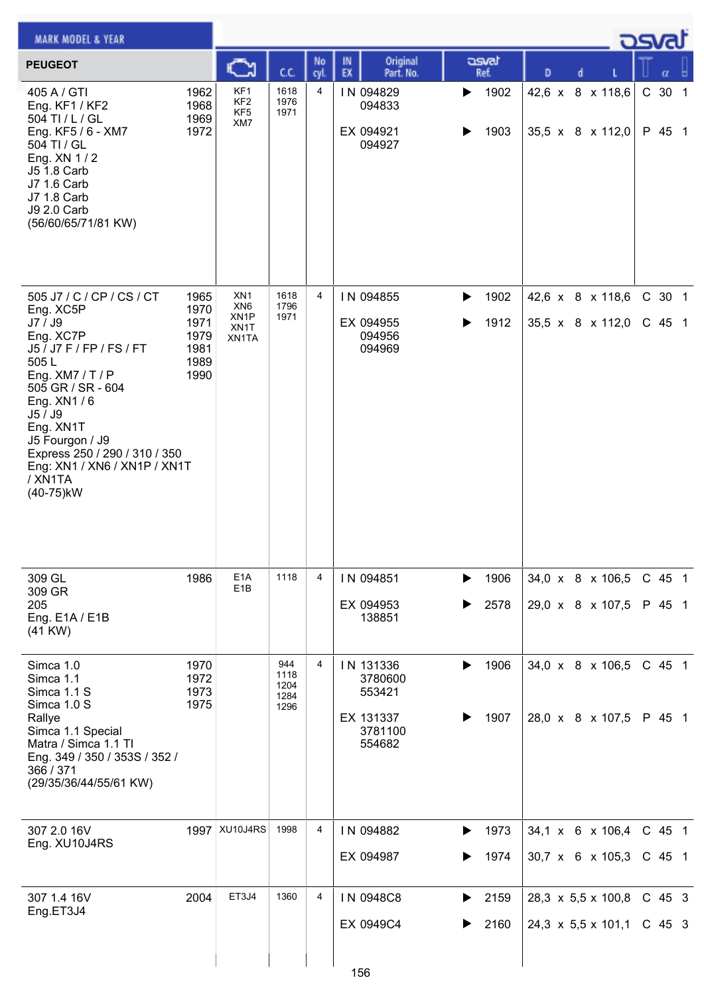| <b>MARK MODEL &amp; YEAR</b>                                                                                                                                                                                                                                                                   |                                                      |                                                                          |                                     |                |                                                                  |                        |   |  |                                      | ڪت |                  |  |
|------------------------------------------------------------------------------------------------------------------------------------------------------------------------------------------------------------------------------------------------------------------------------------------------|------------------------------------------------------|--------------------------------------------------------------------------|-------------------------------------|----------------|------------------------------------------------------------------|------------------------|---|--|--------------------------------------|----|------------------|--|
| <b>PEUGEOT</b>                                                                                                                                                                                                                                                                                 |                                                      |                                                                          | C.C.                                | No<br>cyl.     | Original<br>IN<br>EX<br>Part. No.                                | asvat<br>Ref.          | D |  |                                      |    | α                |  |
| 405 A / GTI<br>Eng. KF1 / KF2<br>504 TI / L / GL<br>Eng. KF5 / 6 - XM7<br>504 TI / GL<br>Eng. XN 1/2<br>J5 1.8 Carb<br>J7 1.6 Carb<br>J7 1.8 Carb<br><b>J9 2.0 Carb</b><br>(56/60/65/71/81 KW)                                                                                                 | 1962<br>1968<br>1969<br>1972                         | KF1<br>KF <sub>2</sub><br>KF <sub>5</sub><br>XM7                         | 1618<br>1976<br>1971                | $\overline{4}$ | IN 094829<br>094833<br>EX 094921<br>094927                       | 1902<br>▶<br>1903      |   |  | 42,6 x 8 x 118,6<br>35,5 x 8 x 112,0 |    | C 30 1<br>P 45 1 |  |
| 505 J7 / C / CP / CS / CT<br>Eng. XC5P<br>J7 / J9<br>Eng. XC7P<br>J5 / J7 F / FP / FS / FT<br>505L<br>Eng. $XM7 / T / P$<br>505 GR / SR - 604<br>Eng. XN1/6<br>J5 / J9<br>Eng. XN1T<br>J5 Fourgon / J9<br>Express 250 / 290 / 310 / 350<br>Eng: XN1 / XN6 / XN1P / XN1T<br>/XN1TA<br>(40-75)kW | 1965<br>1970<br>1971<br>1979<br>1981<br>1989<br>1990 | XN <sub>1</sub><br>XN <sub>6</sub><br>XN <sub>1</sub> P<br>XN1T<br>XN1TA | 1618<br>1796<br>1971                | 4              | IN 094855<br>EX 094955<br>094956<br>094969                       | 1902<br>▶<br>1912<br>▶ |   |  | 42,6 x 8 x 118,6<br>35,5 x 8 x 112,0 |    | C 30 1<br>C 45 1 |  |
| 309 GL<br>309 GR                                                                                                                                                                                                                                                                               | 1986                                                 | E <sub>1</sub> A<br>E <sub>1</sub> B                                     | 1118                                | 4              | IN 094851                                                        | 1906<br>▶              |   |  | 34,0 x 8 x 106,5                     |    | C 45 1           |  |
| 205<br>Eng. E1A / E1B<br>$(41$ KW $)$                                                                                                                                                                                                                                                          |                                                      |                                                                          |                                     |                | EX 094953<br>138851                                              | 2578                   |   |  | 29,0 x 8 x 107,5                     |    | P 45 1           |  |
| Simca 1.0<br>Simca 1.1<br>Simca 1.1 S<br>Simca 1.0 S<br>Rallye<br>Simca 1.1 Special<br>Matra / Simca 1.1 TI<br>Eng. 349 / 350 / 353S / 352 /<br>366 / 371<br>(29/35/36/44/55/61 KW)                                                                                                            | 1970<br>1972<br>1973<br>1975                         |                                                                          | 944<br>1118<br>1204<br>1284<br>1296 | 4              | IN 131336<br>3780600<br>553421<br>EX 131337<br>3781100<br>554682 | 1906<br>1907           |   |  | 34,0 x 8 x 106,5<br>28,0 x 8 x 107,5 |    | C 45 1<br>P 45 1 |  |
| 307 2.0 16V<br>Eng. XU10J4RS                                                                                                                                                                                                                                                                   | 1997                                                 | XU10J4RS                                                                 | 1998                                | 4              | IN 094882                                                        | 1973                   |   |  | 34,1 x 6 x 106,4                     |    | C 45 1           |  |
|                                                                                                                                                                                                                                                                                                |                                                      |                                                                          |                                     |                | EX 094987                                                        | 1974<br>▶              |   |  | $30,7 \times 6 \times 105,3$         |    | C 45 1           |  |
| 307 1.4 16V<br>Eng.ET3J4                                                                                                                                                                                                                                                                       | 2004                                                 | ET3J4                                                                    | 1360                                | 4              | IN 0948C8                                                        | 2159<br>▶              |   |  | 28,3 x 5,5 x 100,8                   |    | C 45 3           |  |
|                                                                                                                                                                                                                                                                                                |                                                      |                                                                          |                                     |                | EX 0949C4<br>156                                                 | 2160<br>▶              |   |  | 24,3 x 5,5 x 101,1                   |    | $C$ 45 3         |  |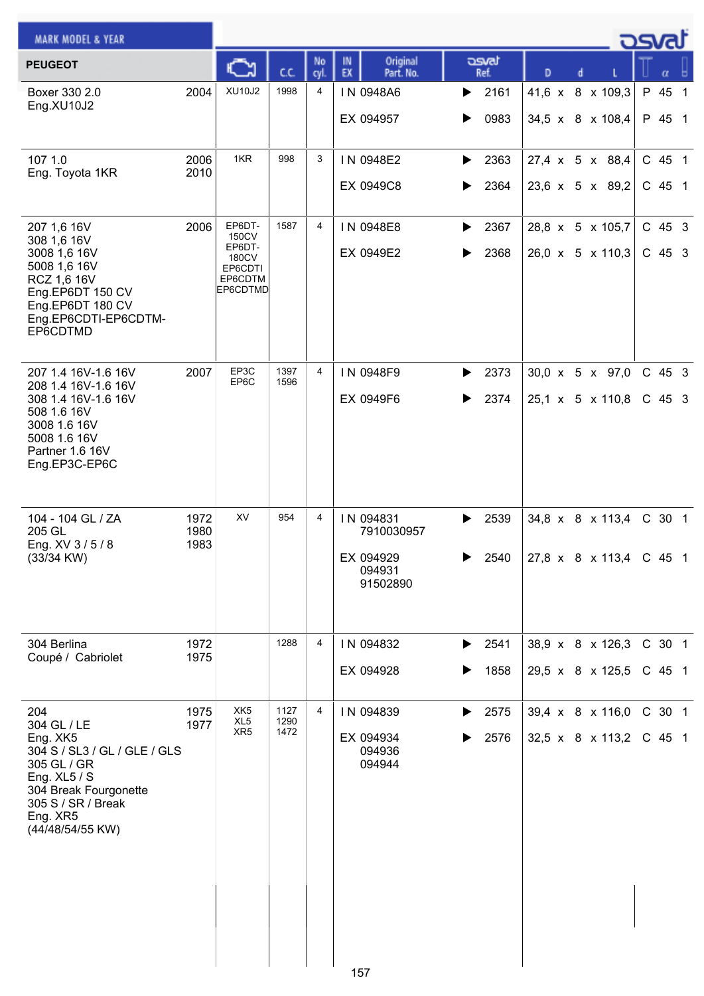| <b>MARK MODEL &amp; YEAR</b>                                                                                                                                                   |                      |                                                                      |                      |                |                                                            |                                         |                                                         | <b>post</b>        |  |
|--------------------------------------------------------------------------------------------------------------------------------------------------------------------------------|----------------------|----------------------------------------------------------------------|----------------------|----------------|------------------------------------------------------------|-----------------------------------------|---------------------------------------------------------|--------------------|--|
| <b>PEUGEOT</b>                                                                                                                                                                 |                      | ∾                                                                    | C.C.                 | No<br>cyl.     | Original<br>IN<br>EX<br>Part. No.                          | asvat<br>Ref.                           | D                                                       | α                  |  |
| Boxer 330 2.0<br>Eng.XU10J2                                                                                                                                                    | 2004                 | <b>XU10J2</b>                                                        | 1998                 | 4              | IN 0948A6<br>EX 094957                                     | 2161<br>▶<br>0983<br>▶                  | 41,6 x 8 x 109,3<br>34,5 x 8 x 108,4                    | P 45 1<br>P 45 1   |  |
| 107 1.0<br>Eng. Toyota 1KR                                                                                                                                                     | 2006<br>2010         | 1KR                                                                  | 998                  | 3              | IN 0948E2<br>EX 0949C8                                     | 2363<br>▶<br>2364<br>▶                  | 27,4 x 5 x 88,4<br>23,6 x 5 x 89,2                      | C 45 1<br>$C$ 45 1 |  |
| 207 1,6 16V<br>308 1,6 16V<br>3008 1,6 16V<br>5008 1,6 16V<br>RCZ 1,6 16V<br>Eng.EP6DT 150 CV<br>Eng.EP6DT 180 CV<br>Eng.EP6CDTI-EP6CDTM-<br>EP6CDTMD                          | 2006                 | EP6DT-<br>150CV<br>EP6DT-<br>180CV<br>EP6CDTI<br>EP6CDTM<br>EP6CDTMD | 1587                 | 4              | IN 0948E8<br>EX 0949E2                                     | 2367<br>▶<br>2368<br>▶                  | 28,8 x 5 x 105,7<br>26,0 x 5 x 110,3                    | C 45 3<br>C 45 3   |  |
| 207 1.4 16V-1.6 16V<br>208 1.4 16V-1.6 16V<br>308 1.4 16V-1.6 16V<br>508 1.6 16V<br>3008 1.6 16V<br>5008 1.6 16V<br>Partner 1.6 16V<br>Eng.EP3C-EP6C                           | 2007                 | EP3C<br>EP6C                                                         | 1397<br>1596         | $\overline{4}$ | IN 0948F9<br>EX 0949F6                                     | 2373<br>▶<br>2374<br>▶                  | 30,0 x 5 x 97,0<br>25,1 x 5 x 110,8                     | C 45 3<br>C 45 3   |  |
| 104 - 104 GL / ZA<br>205 GL<br>Eng. XV 3/5/8<br>$(33/34$ KW)                                                                                                                   | 1972<br>1980<br>1983 | XV                                                                   | 954                  | 4              | IN 094831<br>7910030957<br>EX 094929<br>094931<br>91502890 | 2539<br>▶<br>2540                       | 34,8 x 8 x 113,4<br>$27,8 \times 8 \times 113,4$ C 45 1 | C 30 1             |  |
| 304 Berlina<br>Coupé / Cabriolet                                                                                                                                               | 1972<br>1975         |                                                                      | 1288                 | 4              | IN 094832<br>EX 094928                                     | $\blacktriangleright$ 2541<br>1858<br>▶ | 38,9 x 8 x 126,3<br>29,5 x 8 x 125,5                    | C 30 1<br>$C$ 45 1 |  |
| 204<br>304 GL / LE<br>Eng. XK5<br>304 S / SL3 / GL / GLE / GLS<br>305 GL / GR<br>Eng. $XL5 / S$<br>304 Break Fourgonette<br>305 S / SR / Break<br>Eng. XR5<br>(44/48/54/55 KW) | 1975<br>1977         | XK <sub>5</sub><br>XL <sub>5</sub><br>XR <sub>5</sub>                | 1127<br>1290<br>1472 | 4              | IN 094839<br>EX 094934<br>094936<br>094944                 | 2575<br>▶<br>2576                       | 39,4 x 8 x 116,0<br>32,5 x 8 x 113,2                    | C 30 1<br>$C$ 45 1 |  |
|                                                                                                                                                                                |                      |                                                                      |                      |                | 157                                                        |                                         |                                                         |                    |  |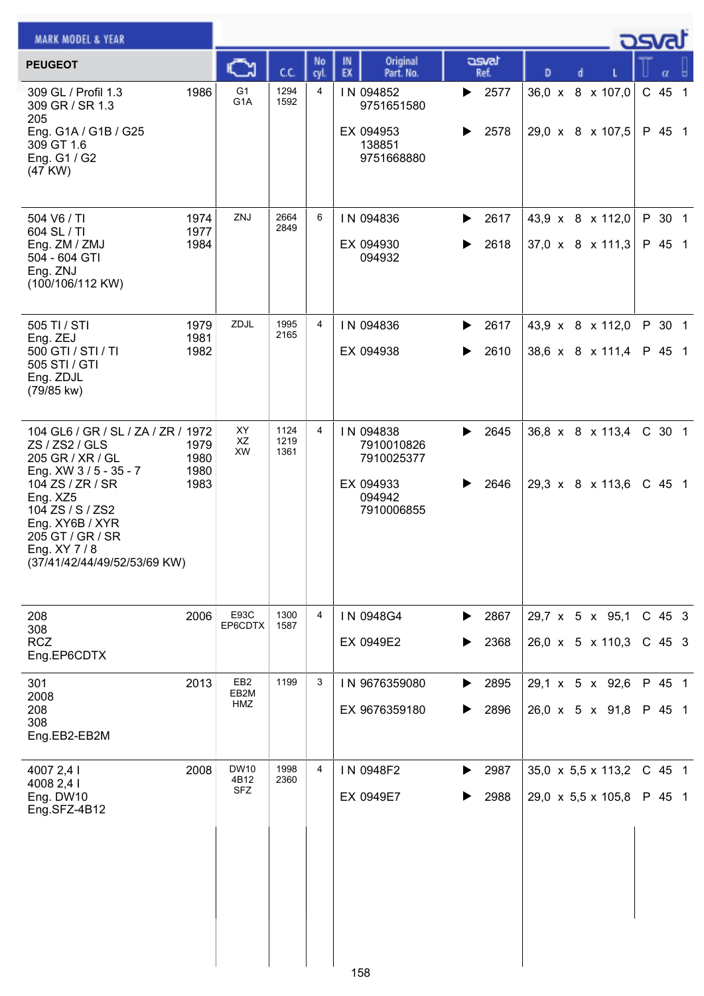| <b>MARK MODEL &amp; YEAR</b>                                                                                                                                                                                                                 |                              |                                    |                      |                |                                                                            |                        |                                                                  | ك <i>osv</i> a |                      |  |
|----------------------------------------------------------------------------------------------------------------------------------------------------------------------------------------------------------------------------------------------|------------------------------|------------------------------------|----------------------|----------------|----------------------------------------------------------------------------|------------------------|------------------------------------------------------------------|----------------|----------------------|--|
| <b>PEUGEOT</b>                                                                                                                                                                                                                               |                              |                                    | C.C.                 | No<br>cyl.     | Original<br>IN<br>EX<br>Part. No.                                          | asvat<br>Ref.          | D<br>d                                                           |                |                      |  |
| 309 GL / Profil 1.3<br>309 GR / SR 1.3<br>205<br>Eng. G1A / G1B / G25<br>309 GT 1.6<br>Eng. G1 / G2<br>(47 KW)                                                                                                                               | 1986                         | G <sub>1</sub><br>G <sub>1</sub> A | 1294<br>1592         | $\overline{4}$ | IN 094852<br>9751651580<br>EX 094953<br>138851<br>9751668880               | 2577<br>▶<br>2578      | 36,0 x 8 x 107,0<br>29,0 x 8 x 107,5                             |                | $C$ 45 1<br>P 45 1   |  |
| 504 V6 / TI<br>604 SL / TI<br>Eng. ZM / ZMJ<br>504 - 604 GTI<br>Eng. ZNJ<br>(100/106/112 KW)                                                                                                                                                 | 1974<br>1977<br>1984         | ZNJ                                | 2664<br>2849         | 6              | IN 094836<br>EX 094930<br>094932                                           | 2617<br>▶<br>2618      | 43,9 x 8 x 112,0<br>37,0 x 8 x 111,3                             |                | P 30 1<br>P 45 1     |  |
| 505 TI / STI<br>Eng. ZEJ<br>500 GTI / STI / TI<br>505 STI / GTI<br>Eng. ZDJL<br>(79/85 kw)                                                                                                                                                   | 1979<br>1981<br>1982         | ZDJL                               | 1995<br>2165         | 4              | IN 094836<br>EX 094938                                                     | 2617<br>▶<br>2610<br>▶ | 43,9 x 8 x 112,0<br>38,6 x 8 x 111,4                             |                | P 30 1<br>P 45 1     |  |
| 104 GL6 / GR / SL / ZA / ZR / 1972<br>ZS / ZS2 / GLS<br>205 GR / XR / GL<br>Eng. XW 3 / 5 - 35 - 7<br>104 ZS / ZR / SR<br>Eng. XZ5<br>104 ZS / S / ZS2<br>Eng. XY6B / XYR<br>205 GT / GR / SR<br>Eng. XY 7/8<br>(37/41/42/44/49/52/53/69 KW) | 1979<br>1980<br>1980<br>1983 | XY<br>XZ<br><b>XW</b>              | 1124<br>1219<br>1361 | 4              | IN 094838<br>7910010826<br>7910025377<br>EX 094933<br>094942<br>7910006855 | 2645<br>▶<br>2646      | 36,8 x 8 x 113,4<br>29,3 x 8 x 113,6                             |                | C 30 1<br>$C$ 45 1   |  |
| 208<br>308<br><b>RCZ</b><br>Eng.EP6CDTX                                                                                                                                                                                                      | 2006                         | E93C<br>EP6CDTX                    | 1300<br>1587         | 4              | IN 0948G4<br>EX 0949E2                                                     | 2867<br>▶<br>2368<br>▶ | 29,7 x 5 x 95,1<br>26,0 x 5 x 110,3                              |                | $C$ 45 3<br>$C$ 45 3 |  |
| 301<br>2008<br>208<br>308<br>Eng.EB2-EB2M                                                                                                                                                                                                    | 2013                         | EB <sub>2</sub><br>EB2M<br>HMZ     | 1199                 | 3              | IN 9676359080<br>EX 9676359180                                             | 2895<br>▶<br>2896      | 29,1 x 5 x 92,6<br>26,0 x 5 x 91,8                               |                | P 45 1<br>P 45 1     |  |
| 4007 2,4 l<br>4008 2,4 l<br>Eng. DW10<br>Eng.SFZ-4B12                                                                                                                                                                                        | 2008                         | DW10<br>4B12<br><b>SFZ</b>         | 1998<br>2360         | 4              | IN 0948F2<br>EX 0949E7<br>158                                              | 2987<br>▶<br>2988      | $35,0 \times 5,5 \times 113,2$<br>$29,0 \times 5,5 \times 105,8$ |                | C 45 1<br>P 45 1     |  |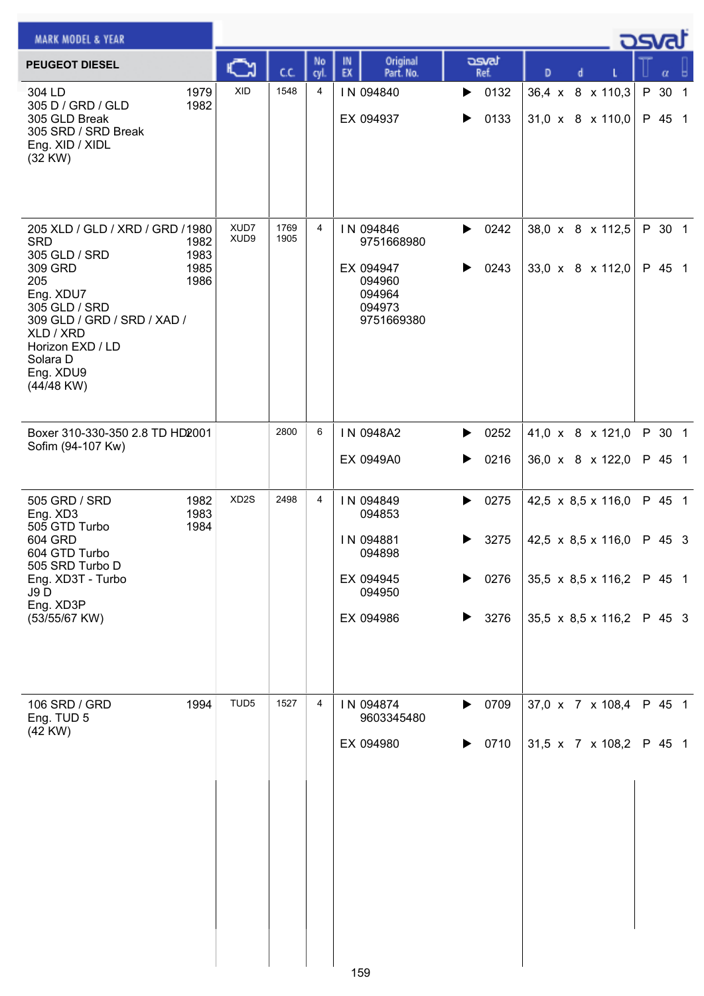| <b>MARK MODEL &amp; YEAR</b>                                                                                                                                                                                           |                              |                   |              |            |                                                                                  |                                                  |                                                                                                                  | كصوت                                 |
|------------------------------------------------------------------------------------------------------------------------------------------------------------------------------------------------------------------------|------------------------------|-------------------|--------------|------------|----------------------------------------------------------------------------------|--------------------------------------------------|------------------------------------------------------------------------------------------------------------------|--------------------------------------|
| <b>PEUGEOT DIESEL</b>                                                                                                                                                                                                  |                              |                   | C.C.         | No<br>cyl. | Original<br>IN<br>EX<br>Part. No.                                                | asvat<br>Ref.                                    | D<br>d                                                                                                           | α                                    |
| 304 LD<br>305 D / GRD / GLD<br>305 GLD Break<br>305 SRD / SRD Break<br>Eng. XID / XIDL<br>(32 KW)                                                                                                                      | 1979<br>1982                 | <b>XID</b>        | 1548         | 4          | IN 094840<br>EX 094937                                                           | 0132<br>▶<br>0133<br>▶                           | 36,4 x 8 x 110,3<br>31,0 x 8 x 110,0                                                                             | P 30 1<br>P 45 1                     |
| 205 XLD / GLD / XRD / GRD / 1980<br><b>SRD</b><br>305 GLD / SRD<br>309 GRD<br>205<br>Eng. XDU7<br>305 GLD / SRD<br>309 GLD / GRD / SRD / XAD /<br>XLD / XRD<br>Horizon EXD / LD<br>Solara D<br>Eng. XDU9<br>(44/48 KW) | 1982<br>1983<br>1985<br>1986 | XUD7<br>XUD9      | 1769<br>1905 | 4          | IN 094846<br>9751668980<br>EX 094947<br>094960<br>094964<br>094973<br>9751669380 | 0242<br>▶<br>0243<br>▶                           | 38,0 x 8 x 112,5<br>33,0 x 8 x 112,0                                                                             | P 30 1<br>P 45 1                     |
| Boxer 310-330-350 2.8 TD HD2001<br>Sofim (94-107 Kw)                                                                                                                                                                   |                              |                   | 2800         | 6          | IN 0948A2<br>EX 0949A0                                                           | 0252<br>▶<br>0216<br>▶                           | 41,0 x 8 x 121,0<br>36,0 x 8 x 122,0                                                                             | P 30 1<br>P 45 1                     |
| 505 GRD / SRD<br>Eng. XD3<br>505 GTD Turbo<br>604 GRD<br>604 GTD Turbo<br>505 SRD Turbo D<br>Eng. XD3T - Turbo<br><b>J9D</b><br>Eng. XD3P<br>(53/55/67 KW)                                                             | 1982<br>1983<br>1984         | XD <sub>2</sub> S | 2498         | 4          | IN 094849<br>094853<br>IN 094881<br>094898<br>EX 094945<br>094950<br>EX 094986   | 0275<br>▶<br>3275<br>▶<br>0276<br>▶<br>3276<br>▶ | 42,5 $\times$ 8,5 $\times$ 116,0<br>42,5 x 8,5 x 116,0<br>35,5 $\times$ 8,5 $\times$ 116,2<br>35,5 x 8,5 x 116,2 | P 45 1<br>P 45 3<br>P 45 1<br>P 45 3 |
| 106 SRD / GRD<br>Eng. TUD 5<br>(42 KW)                                                                                                                                                                                 | 1994                         | TUD <sub>5</sub>  | 1527         | 4          | IN 094874<br>9603345480<br>EX 094980                                             | 0709<br>▶<br>0710<br>▶                           | 37,0 x 7 x 108,4<br>31,5 x 7 x 108,2                                                                             | P 45 1<br>P 45 1                     |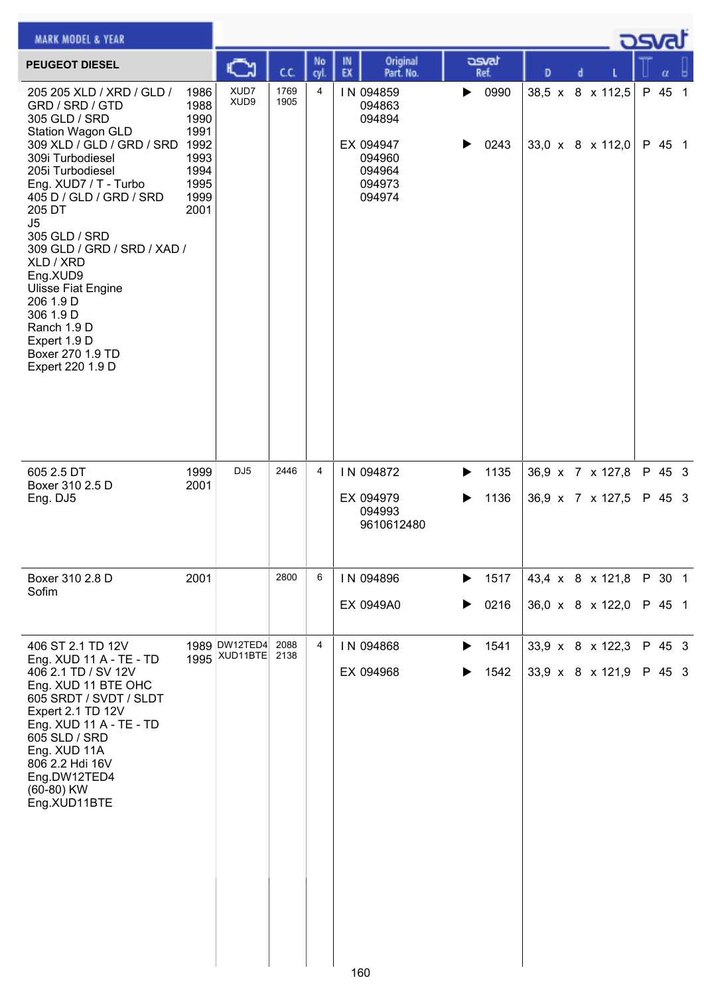| <b>MARK MODEL &amp; YEAR</b>                                                                                                                                                                                                                                                                                                                                                                                                                   |                                                                      |                           |              |                |          |                                                                                    |   |               |                                      |  | <b>DSVRJ</b> |                  |  |
|------------------------------------------------------------------------------------------------------------------------------------------------------------------------------------------------------------------------------------------------------------------------------------------------------------------------------------------------------------------------------------------------------------------------------------------------|----------------------------------------------------------------------|---------------------------|--------------|----------------|----------|------------------------------------------------------------------------------------|---|---------------|--------------------------------------|--|--------------|------------------|--|
| <b>PEUGEOT DIESEL</b>                                                                                                                                                                                                                                                                                                                                                                                                                          |                                                                      |                           | C.C.         | No<br>cyl      | IN<br>EX | Original<br>Part. No.                                                              |   | asvat<br>Ref. | D                                    |  |              |                  |  |
| 205 205 XLD / XRD / GLD /<br>GRD / SRD / GTD<br>305 GLD / SRD<br><b>Station Wagon GLD</b><br>309 XLD / GLD / GRD / SRD 1992<br>309i Turbodiesel<br>205i Turbodiesel<br>Eng. XUD7 / T - Turbo<br>405 D / GLD / GRD / SRD<br>205 DT<br>J5<br>305 GLD / SRD<br>309 GLD / GRD / SRD / XAD /<br>XLD / XRD<br>Eng.XUD9<br><b>Ulisse Fiat Engine</b><br>206 1.9 D<br>306 1.9 D<br>Ranch 1.9 D<br>Expert 1.9 D<br>Boxer 270 1.9 TD<br>Expert 220 1.9 D | 1986<br>1988<br>1990<br>1991<br>1993<br>1994<br>1995<br>1999<br>2001 | XUD7<br>XUD9              | 1769<br>1905 | $\overline{4}$ |          | IN 094859<br>094863<br>094894<br>EX 094947<br>094960<br>094964<br>094973<br>094974 | ▶ | 0990<br>0243  | 38,5 x 8 x 112,5<br>33,0 x 8 x 112,0 |  |              | P 45 1<br>P 45 1 |  |
| 605 2.5 DT                                                                                                                                                                                                                                                                                                                                                                                                                                     | 1999                                                                 | DJ <sub>5</sub>           | 2446         | 4              |          | IN 094872                                                                          | ▶ | 1135          | 36,9 x 7 x 127,8                     |  |              | P 45 3           |  |
| Boxer 310 2.5 D<br>Eng. DJ5                                                                                                                                                                                                                                                                                                                                                                                                                    | 2001                                                                 |                           |              |                |          | EX 094979<br>094993<br>9610612480                                                  | ▶ | 1136          | 36,9 x 7 x 127,5                     |  |              | P 45 3           |  |
| Boxer 310 2.8 D<br>Sofim                                                                                                                                                                                                                                                                                                                                                                                                                       | 2001                                                                 |                           | 2800         | 6              |          | IN 094896                                                                          | ▶ | 1517          | 43,4 x 8 x 121,8                     |  |              | P 30 1           |  |
|                                                                                                                                                                                                                                                                                                                                                                                                                                                |                                                                      |                           |              |                |          | EX 0949A0                                                                          | ▶ | 0216          | 36,0 x 8 x 122,0                     |  |              | P 45 1           |  |
| 406 ST 2.1 TD 12V<br>Eng. XUD 11 A - TE - TD                                                                                                                                                                                                                                                                                                                                                                                                   | 1995                                                                 | 1989 DW12TED4<br>XUD11BTE | 2088<br>2138 | 4              |          | IN 094868                                                                          | ▶ | 1541          | 33,9 x 8 x 122,3                     |  |              | P 45 3           |  |
| 406 2.1 TD / SV 12V<br>Eng. XUD 11 BTE OHC<br>605 SRDT / SVDT / SLDT<br>Expert 2.1 TD 12V<br>Eng. XUD 11 A - TE - TD<br>605 SLD / SRD<br>Eng. XUD 11A<br>806 2.2 Hdi 16V<br>Eng.DW12TED4<br>(60-80) KW<br>Eng.XUD11BTE                                                                                                                                                                                                                         |                                                                      |                           |              |                |          | EX 094968                                                                          | ▶ | 1542          | 33,9 x 8 x 121,9                     |  |              | P 45 3           |  |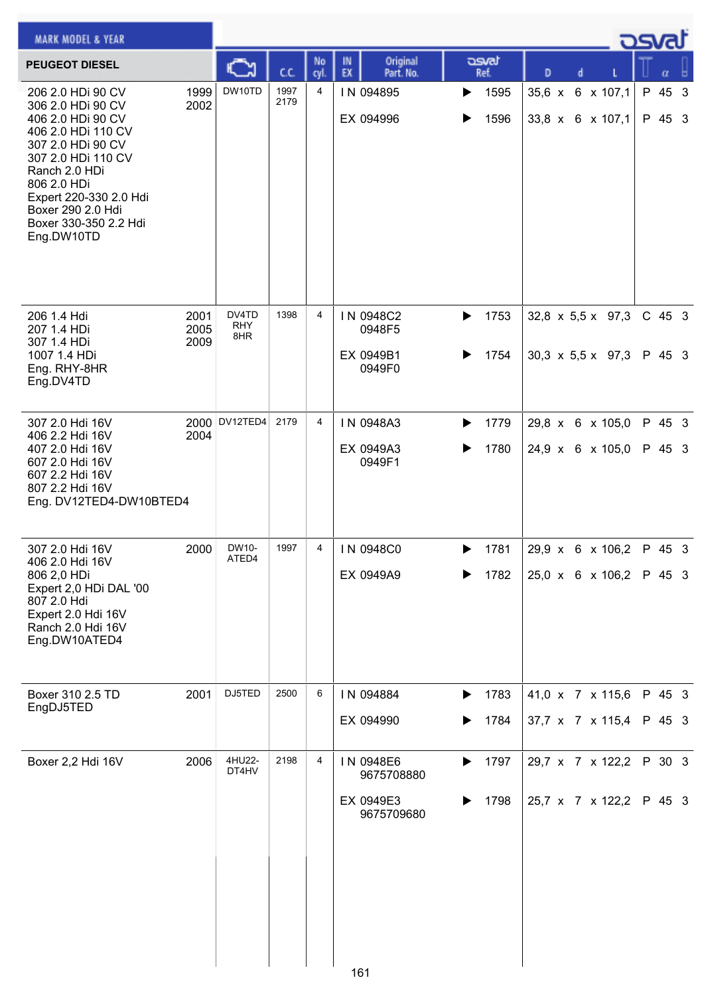| <b>MARK MODEL &amp; YEAR</b>                                                                                                                                                                                                                       |                      |                            |              |            |                                                    |                        |                                                                    | <b>DSval</b>       |
|----------------------------------------------------------------------------------------------------------------------------------------------------------------------------------------------------------------------------------------------------|----------------------|----------------------------|--------------|------------|----------------------------------------------------|------------------------|--------------------------------------------------------------------|--------------------|
| <b>PEUGEOT DIESEL</b>                                                                                                                                                                                                                              |                      |                            | c.c.         | No<br>cyl. | Original<br>IN<br>EX<br>Part. No.                  | asvat<br>Ref.          | D<br>d                                                             | α                  |
| 206 2.0 HDi 90 CV<br>306 2.0 HDi 90 CV<br>406 2.0 HDi 90 CV<br>406 2.0 HDi 110 CV<br>307 2.0 HDi 90 CV<br>307 2.0 HDi 110 CV<br>Ranch 2.0 HDi<br>806 2.0 HDi<br>Expert 220-330 2.0 Hdi<br>Boxer 290 2.0 Hdi<br>Boxer 330-350 2.2 Hdi<br>Eng.DW10TD | 1999<br>2002         | DW10TD                     | 1997<br>2179 | 4          | IN 094895<br>EX 094996                             | 1595<br>▶<br>1596<br>▶ | 35,6 x 6 x 107,1<br>33,8 x 6 x 107,1                               | P 45 3<br>P 45 3   |
| 206 1.4 Hdi<br>207 1.4 HDi<br>307 1.4 HDi<br>1007 1.4 HDi<br>Eng. RHY-8HR<br>Eng.DV4TD                                                                                                                                                             | 2001<br>2005<br>2009 | DV4TD<br><b>RHY</b><br>8HR | 1398         | 4          | IN 0948C2<br>0948F5<br>EX 0949B1<br>0949F0         | 1753<br>▶<br>1754<br>▶ | 32,8 $\times$ 5,5 $\times$ 97,3<br>30,3 $\times$ 5,5 $\times$ 97,3 | $C$ 45 3<br>P 45 3 |
| 307 2.0 Hdi 16V<br>406 2.2 Hdi 16V<br>407 2.0 Hdi 16V<br>607 2.0 Hdi 16V<br>607 2.2 Hdi 16V<br>807 2.2 Hdi 16V<br>Eng. DV12TED4-DW10BTED4                                                                                                          | 2004                 | 2000 DV12TED4              | 2179         | 4          | IN 0948A3<br>EX 0949A3<br>0949F1                   | 1779<br>▶<br>1780<br>▶ | 29,8 x 6 x 105,0<br>24,9 x 6 x 105,0                               | P 45 3<br>P 45 3   |
| 307 2.0 Hdi 16V<br>406 2.0 Hdi 16V<br>806 2,0 HDi<br>Expert 2,0 HDi DAL '00<br>807 2.0 Hdi<br>Expert 2.0 Hdi 16V<br>Ranch 2.0 Hdi 16V<br>Eng.DW10ATED4                                                                                             | 2000                 | DW10-<br>ATED4             | 1997         | 4          | IN 0948C0<br>EX 0949A9                             | 1781<br>▶<br>1782      | 29,9 x 6 x 106,2<br>$25,0 \times 6 \times 106,2$                   | P 45 3<br>P 45 3   |
| Boxer 310 2.5 TD<br>EngDJ5TED                                                                                                                                                                                                                      | 2001                 | DJ5TED                     | 2500         | 6          | IN 094884<br>EX 094990                             | 1783<br>▶<br>1784      | 41,0 x 7 x 115,6<br>37,7 x 7 x 115,4                               | P 45 3<br>P 45 3   |
| Boxer 2,2 Hdi 16V                                                                                                                                                                                                                                  | 2006                 | 4HU22-<br>DT4HV            | 2198         | 4          | IN 0948E6<br>9675708880<br>EX 0949E3<br>9675709680 | 1797<br>▶<br>1798<br>▶ | 29,7 x 7 x 122,2<br>25,7 x 7 x 122,2                               | P 30 3<br>P 45 3   |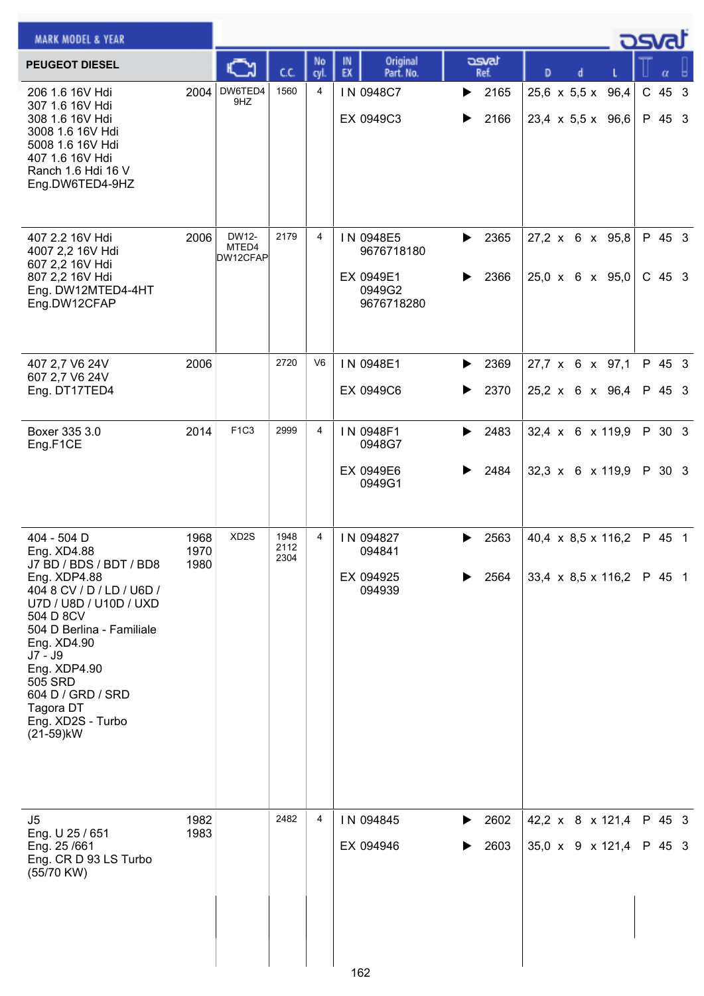| <b>MARK MODEL &amp; YEAR</b>                                                                                                                                                                                                                                                                    |                      |                            |                      |                |                                                              |                        |                                                                             | كمحت               |
|-------------------------------------------------------------------------------------------------------------------------------------------------------------------------------------------------------------------------------------------------------------------------------------------------|----------------------|----------------------------|----------------------|----------------|--------------------------------------------------------------|------------------------|-----------------------------------------------------------------------------|--------------------|
| <b>PEUGEOT DIESEL</b>                                                                                                                                                                                                                                                                           |                      |                            | СC                   | No<br>cvl      | Original<br>IN<br>EX<br>Part. No.                            | asvat<br>Ref.          | D                                                                           |                    |
| 206 1.6 16V Hdi<br>307 1.6 16V Hdi<br>308 1.6 16V Hdi<br>3008 1.6 16V Hdi<br>5008 1.6 16V Hdi<br>407 1.6 16V Hdi<br>Ranch 1.6 Hdi 16 V<br>Eng.DW6TED4-9HZ                                                                                                                                       | 2004                 | DW6TED4<br>9HZ             | 1560                 | 4              | IN 0948C7<br>EX 0949C3                                       | 2165<br>▶<br>2166<br>▶ | 25,6 x 5,5 x 96,4<br>$23,4 \times 5,5 \times 96,6$                          | $C$ 45 3<br>P 45 3 |
| 407 2.2 16V Hdi<br>4007 2,2 16V Hdi<br>607 2,2 16V Hdi<br>807 2,2 16V Hdi<br>Eng. DW12MTED4-4HT<br>Eng.DW12CFAP                                                                                                                                                                                 | 2006                 | DW12-<br>MTED4<br>DW12CFAP | 2179                 | 4              | IN 0948E5<br>9676718180<br>EX 0949E1<br>0949G2<br>9676718280 | 2365<br>▶<br>2366      | $27,2 \times 6 \times 95,8$<br>$25,0 \times 6 \times 95,0$                  | P 45 3<br>$C$ 45 3 |
| 407 2,7 V6 24V<br>607 2,7 V6 24V                                                                                                                                                                                                                                                                | 2006                 |                            | 2720                 | V <sub>6</sub> | IN 0948E1                                                    | 2369<br>▶              | 27,7 x 6 x 97,1                                                             | P 45 3             |
| Eng. DT17TED4                                                                                                                                                                                                                                                                                   |                      |                            |                      |                | EX 0949C6                                                    | 2370<br>▶              | 25,2 x 6 x 96,4                                                             | P 45 3             |
| Boxer 335 3.0<br>Eng.F1CE                                                                                                                                                                                                                                                                       | 2014                 | F <sub>1C3</sub>           | 2999                 | 4              | IN 0948F1<br>0948G7                                          | 2483<br>▶              | $32,4 \times 6 \times 119,9$                                                | P 30 3             |
|                                                                                                                                                                                                                                                                                                 |                      |                            |                      |                | EX 0949E6<br>0949G1                                          | 2484                   | $32,3 \times 6 \times 119,9$                                                | P 30 3             |
| 404 - 504 D<br>Eng. XD4.88<br>J7 BD / BDS / BDT / BD8<br>Eng. XDP4.88<br>404 8 CV / D / LD / U6D /<br>U7D / U8D / U10D / UXD<br>504 D 8CV<br>504 D Berlina - Familiale<br>Eng. XD4.90<br>J7 - J9<br>Eng. XDP4.90<br>505 SRD<br>604 D / GRD / SRD<br>Tagora DT<br>Eng. XD2S - Turbo<br>(21-59)kW | 1968<br>1970<br>1980 | XD <sub>2</sub> S          | 1948<br>2112<br>2304 | 4              | IN 094827<br>094841<br>EX 094925<br>094939                   | 2563<br>▶<br>2564      | 40,4 $\times$ 8,5 $\times$ 116,2<br>33,4 $\times$ 8,5 $\times$ 116,2 P 45 1 | P 45 1             |
| J5<br>Eng. U 25 / 651<br>Eng. 25/661<br>Eng. CR D 93 LS Turbo<br>(55/70 KW)                                                                                                                                                                                                                     | 1982<br>1983         |                            | 2482                 | 4              | IN 094845<br>EX 094946<br>162                                | 2602<br>▶<br>2603      | 42,2 x 8 x 121,4<br>35,0 x 9 x 121,4                                        | P 45 3<br>P 45 3   |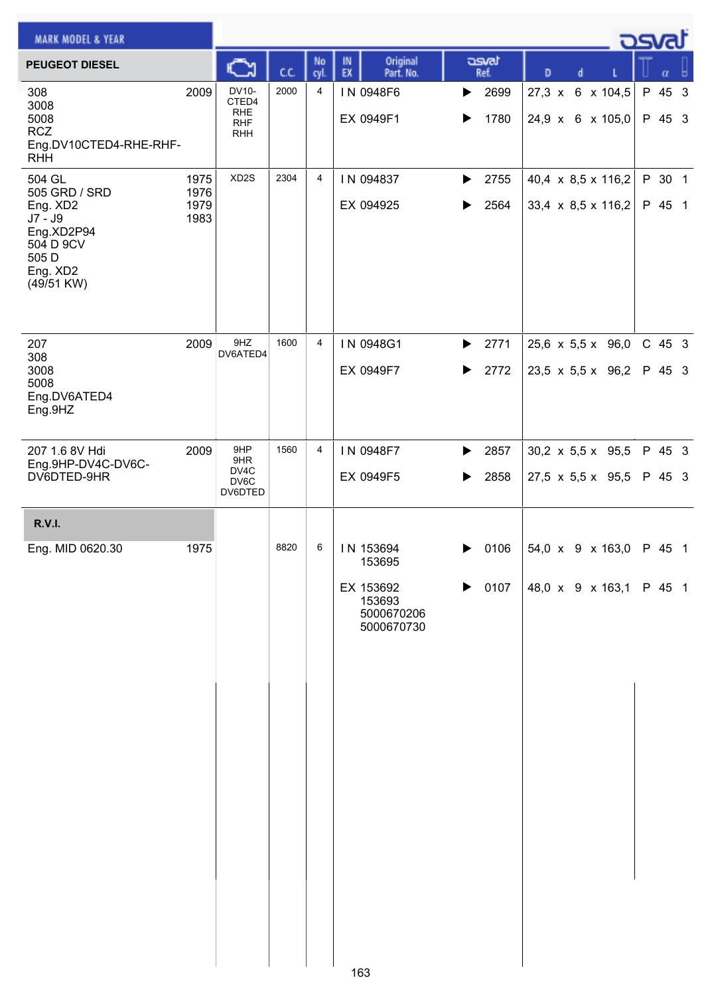| <b>MARK MODEL &amp; YEAR</b>                                                                                   |                              |                                                          |      |                |                                                                               |                        |                                                                | <b>DSVRJ</b> |                    |
|----------------------------------------------------------------------------------------------------------------|------------------------------|----------------------------------------------------------|------|----------------|-------------------------------------------------------------------------------|------------------------|----------------------------------------------------------------|--------------|--------------------|
| <b>PEUGEOT DIESEL</b>                                                                                          |                              | C                                                        | C.C. | No<br>cyl.     | Original<br>IN<br>EX<br>Part. No.                                             | asvat<br>Ref.          | D<br>d                                                         |              | $\alpha$           |
| 308<br>3008<br>5008<br><b>RCZ</b><br>Eng.DV10CTED4-RHE-RHF-<br><b>RHH</b>                                      | 2009                         | DV10-<br>CTED4<br><b>RHE</b><br><b>RHF</b><br><b>RHH</b> | 2000 | 4              | IN 0948F6<br>EX 0949F1                                                        | 2699<br>▶<br>1780      | 6 x 104,5<br>$27,3 \times$<br>24,9 x 6 x 105,0                 |              | P 45 3<br>P 45 3   |
| 504 GL<br>505 GRD / SRD<br>Eng. XD2<br>$J7 - J9$<br>Eng.XD2P94<br>504 D 9CV<br>505 D<br>Eng. XD2<br>(49/51 KW) | 1975<br>1976<br>1979<br>1983 | XD <sub>2</sub> S                                        | 2304 | $\overline{4}$ | IN 094837<br>EX 094925                                                        | 2755<br>▶<br>2564      | 40,4 x 8,5 x 116,2<br>33,4 x 8,5 x 116,2                       |              | P 30 1<br>P 45 1   |
| 207<br>308<br>3008<br>5008<br>Eng.DV6ATED4<br>Eng.9HZ                                                          | 2009                         | 9HZ<br>DV6ATED4                                          | 1600 | 4              | IN 0948G1<br>EX 0949F7                                                        | 2771<br>▶<br>2772<br>▶ | 25,6 x 5,5 x 96,0<br>23,5 x 5,5 x 96,2                         |              | $C$ 45 3<br>P 45 3 |
| 207 1.6 8V Hdi<br>Eng.9HP-DV4C-DV6C-<br>DV6DTED-9HR                                                            | 2009                         | 9HP<br>9HR<br>DV4C<br>DV6C<br>DV6DTED                    | 1560 | 4              | IN 0948F7<br>EX 0949F5                                                        | 2857<br>▶<br>2858<br>▶ | $30,2 \times 5,5 \times 95,5$<br>$27,5 \times 5,5 \times 95,5$ |              | P 45 3<br>P 45 3   |
| <b>R.V.I.</b>                                                                                                  |                              |                                                          |      |                |                                                                               |                        |                                                                |              |                    |
| Eng. MID 0620.30                                                                                               | 1975                         |                                                          | 8820 | 6              | IN 153694<br>153695<br>EX 153692<br>153693<br>5000670206<br>5000670730<br>ممد | 0106<br>▶<br>0107<br>▶ | 54,0 x 9 x 163,0<br>48,0 x 9 x 163,1                           |              | P 45 1<br>P 45 1   |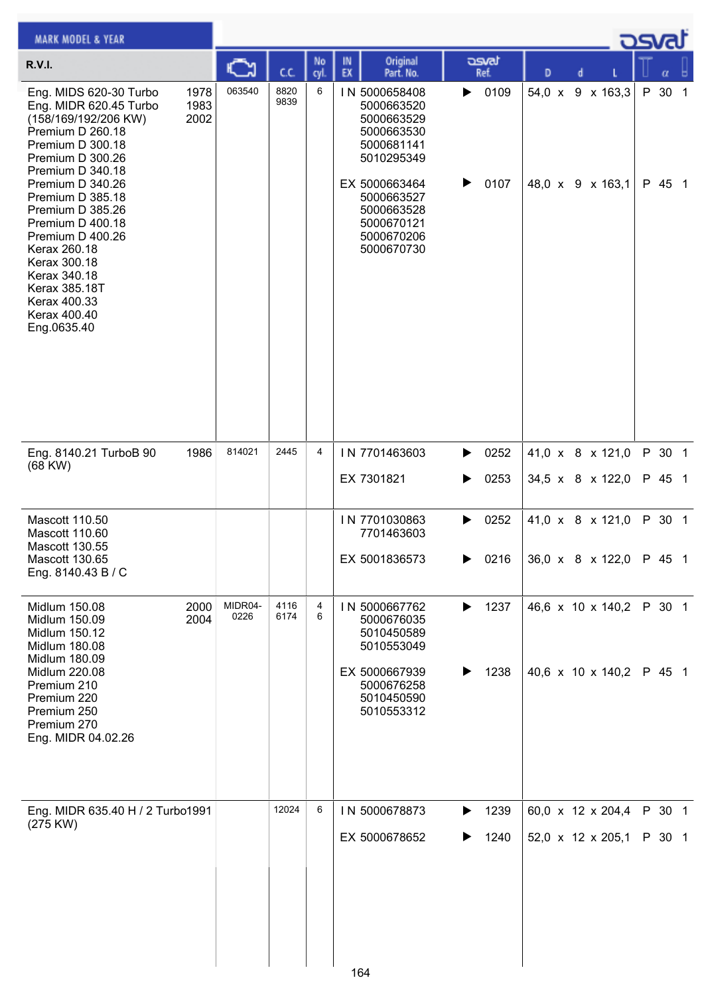| <b>MARK MODEL &amp; YEAR</b>                                                                                                                                                                                                                                 |                      |                 |              |            |                                                                                                                                                              |                        |                                         | osvat            |
|--------------------------------------------------------------------------------------------------------------------------------------------------------------------------------------------------------------------------------------------------------------|----------------------|-----------------|--------------|------------|--------------------------------------------------------------------------------------------------------------------------------------------------------------|------------------------|-----------------------------------------|------------------|
| <b>R.V.I.</b>                                                                                                                                                                                                                                                |                      |                 | C.C.         | No<br>cyl. | Original<br>IN<br>EX<br>Part. No.                                                                                                                            | asvat<br>Ref.          | D<br>d                                  | α                |
| Eng. MIDS 620-30 Turbo<br>Eng. MIDR 620.45 Turbo<br>(158/169/192/206 KW)<br>Premium D 260.18<br>Premium D 300.18<br>Premium D 300.26<br>Premium D 340.18<br>Premium D 340.26<br>Premium D 385.18<br>Premium D 385.26<br>Premium D 400.18<br>Premium D 400.26 | 1978<br>1983<br>2002 | 063540          | 8820<br>9839 | 6          | IN 5000658408<br>5000663520<br>5000663529<br>5000663530<br>5000681141<br>5010295349<br>EX 5000663464<br>5000663527<br>5000663528<br>5000670121<br>5000670206 | 0109<br>▶<br>▶<br>0107 | 54,0 x<br>9 x 163,3<br>48,0 x 9 x 163,1 | P 30 1<br>P 45 1 |
| Kerax 260.18<br>Kerax 300.18<br>Kerax 340.18<br><b>Kerax 385.18T</b><br>Kerax 400.33<br>Kerax 400.40<br>Eng.0635.40                                                                                                                                          |                      |                 |              |            | 5000670730                                                                                                                                                   |                        |                                         |                  |
| Eng. 8140.21 TurboB 90<br>$(68$ KW $)$                                                                                                                                                                                                                       | 1986                 | 814021          | 2445         | 4          | IN 7701463603                                                                                                                                                | 0252<br>▶              | 41,0 x 8 x 121,0                        | P 30 1           |
|                                                                                                                                                                                                                                                              |                      |                 |              |            | EX 7301821                                                                                                                                                   | 0253<br>▶              | 34,5 x 8 x 122,0                        | P 45 1           |
| Mascott 110.50<br>Mascott 110.60                                                                                                                                                                                                                             |                      |                 |              |            | IN 7701030863<br>7701463603                                                                                                                                  | 0252<br>▶              | 41,0 x 8 x 121,0                        | P 30 1           |
| Mascott 130.55<br>Mascott 130.65<br>Eng. 8140.43 B / C                                                                                                                                                                                                       |                      |                 |              |            | EX 5001836573                                                                                                                                                | 0216<br>▶              | 36,0 x 8 x 122,0                        | P 45 1           |
| Midlum 150.08<br>Midlum 150.09<br>Midlum 150.12<br>Midlum 180.08<br>Midlum 180.09                                                                                                                                                                            | 2000<br>2004         | MIDR04-<br>0226 | 4116<br>6174 | 4<br>6     | IN 5000667762<br>5000676035<br>5010450589<br>5010553049                                                                                                      | 1237<br>▶              | 46,6 x 10 x 140,2                       | P 30 1           |
| Midlum 220.08<br>Premium 210<br>Premium 220<br>Premium 250<br>Premium 270<br>Eng. MIDR 04.02.26                                                                                                                                                              |                      |                 |              |            | EX 5000667939<br>5000676258<br>5010450590<br>5010553312                                                                                                      | 1238<br>▶              | 40,6 x 10 x 140,2                       | P 45 1           |
| Eng. MIDR 635.40 H / 2 Turbo1991<br>(275 KW)                                                                                                                                                                                                                 |                      |                 | 12024        | 6          | IN 5000678873                                                                                                                                                | 1239<br>▶              | 60,0 x 12 x 204,4                       | P 30 1           |
|                                                                                                                                                                                                                                                              |                      |                 |              |            | EX 5000678652<br>164                                                                                                                                         | 1240<br>▶              | 52,0 x 12 x 205,1                       | P 30 1           |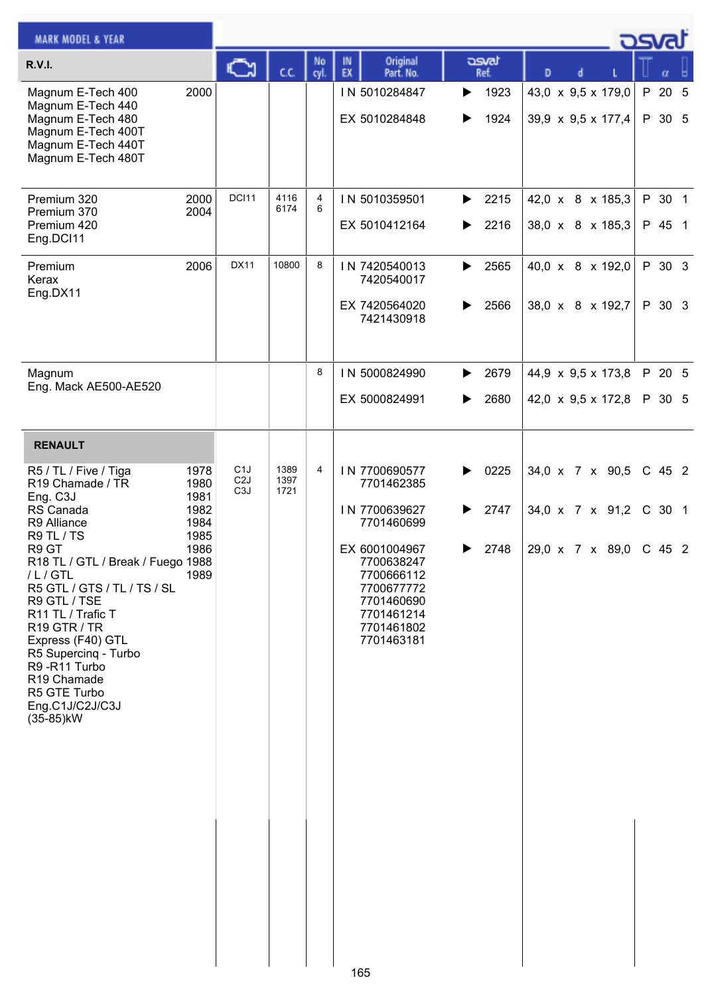| <b>MARK MODEL &amp; YEAR</b>                                                                                                                                                                                                                                                                                                                                                        |                                                              |                                                          |                      |            |                                                                                                                                                                               |                                     |                                                       | asvat                      |
|-------------------------------------------------------------------------------------------------------------------------------------------------------------------------------------------------------------------------------------------------------------------------------------------------------------------------------------------------------------------------------------|--------------------------------------------------------------|----------------------------------------------------------|----------------------|------------|-------------------------------------------------------------------------------------------------------------------------------------------------------------------------------|-------------------------------------|-------------------------------------------------------|----------------------------|
| <b>R.V.I.</b>                                                                                                                                                                                                                                                                                                                                                                       |                                                              | న                                                        | ĊĊ.                  | No<br>cyl. | Original<br>IN<br>EX<br>Part. No.                                                                                                                                             | asvat<br>Ref.                       | D<br>d                                                | $\alpha$                   |
| Magnum E-Tech 400<br>Magnum E-Tech 440<br>Magnum E-Tech 480<br>Magnum E-Tech 400T<br>Magnum E-Tech 440T<br>Magnum E-Tech 480T                                                                                                                                                                                                                                                       | 2000                                                         |                                                          |                      |            | IN 5010284847<br>EX 5010284848                                                                                                                                                | 1923<br>▶<br>1924<br>▶              | 43,0 x 9,5 x 179,0<br>39,9 x 9,5 x 177,4              | P 20 5<br>P 30 5           |
| Premium 320<br>Premium 370<br>Premium 420<br>Eng.DCI11                                                                                                                                                                                                                                                                                                                              | 2000<br>2004                                                 | DCI11                                                    | 4116<br>6174         | 4<br>6     | IN 5010359501<br>EX 5010412164                                                                                                                                                | 2215<br>▶<br>2216<br>▶              | 42,0 x 8 x 185,3<br>38,0 x 8 x 185,3                  | P 30 1<br>P 45 1           |
| Premium<br>Kerax<br>Eng.DX11                                                                                                                                                                                                                                                                                                                                                        | 2006                                                         | <b>DX11</b>                                              | 10800                | 8          | IN 7420540013<br>7420540017<br>EX 7420564020<br>7421430918                                                                                                                    | 2565<br>▶<br>2566<br>▶              | 40,0 x 8 x 192,0<br>38,0 x 8 x 192,7                  | P 30 3<br>P 30 3           |
| Magnum<br>Eng. Mack AE500-AE520                                                                                                                                                                                                                                                                                                                                                     |                                                              |                                                          |                      | 8          | IN 5000824990                                                                                                                                                                 | 2679<br>▶                           | 44,9 x 9,5 x 173,8                                    | P 20 5                     |
|                                                                                                                                                                                                                                                                                                                                                                                     |                                                              |                                                          |                      |            | EX 5000824991                                                                                                                                                                 | 2680<br>▶                           | 42,0 x 9,5 x 172,8                                    | P 30 5                     |
| <b>RENAULT</b>                                                                                                                                                                                                                                                                                                                                                                      |                                                              |                                                          |                      |            |                                                                                                                                                                               |                                     |                                                       |                            |
| R5 / TL / Five / Tiga<br>R19 Chamade / TR<br>Eng. C3J<br>RS Canada<br>R9 Alliance<br>R9 TL / TS<br>R9 GT<br>R18 TL / GTL / Break / Fuego 1988<br>/L/GTL<br>R5 GTL / GTS / TL / TS / SL<br>R9 GTL / TSE<br>R11 TL / Trafic T<br>R <sub>19</sub> GTR / TR<br>Express (F40) GTL<br>R5 Supercing - Turbo<br>R9-R11 Turbo<br>R19 Chamade<br>R5 GTE Turbo<br>Eng.C1J/C2J/C3J<br>(35-85)kW | 1978<br>1980<br>1981<br>1982<br>1984<br>1985<br>1986<br>1989 | C <sub>1</sub> J<br>C <sub>2</sub> J<br>C <sub>3</sub> J | 1389<br>1397<br>1721 | 4          | IN 7700690577<br>7701462385<br>IN 7700639627<br>7701460699<br>EX 6001004967<br>7700638247<br>7700666112<br>7700677772<br>7701460690<br>7701461214<br>7701461802<br>7701463181 | 0225<br>▶<br>2747<br>▶<br>2748<br>▶ | 34,0 x 7 x 90,5<br>34,0 x 7 x 91,2<br>29,0 x 7 x 89,0 | C 45 2<br>C 30 1<br>C 45 2 |
|                                                                                                                                                                                                                                                                                                                                                                                     |                                                              |                                                          |                      |            |                                                                                                                                                                               |                                     |                                                       |                            |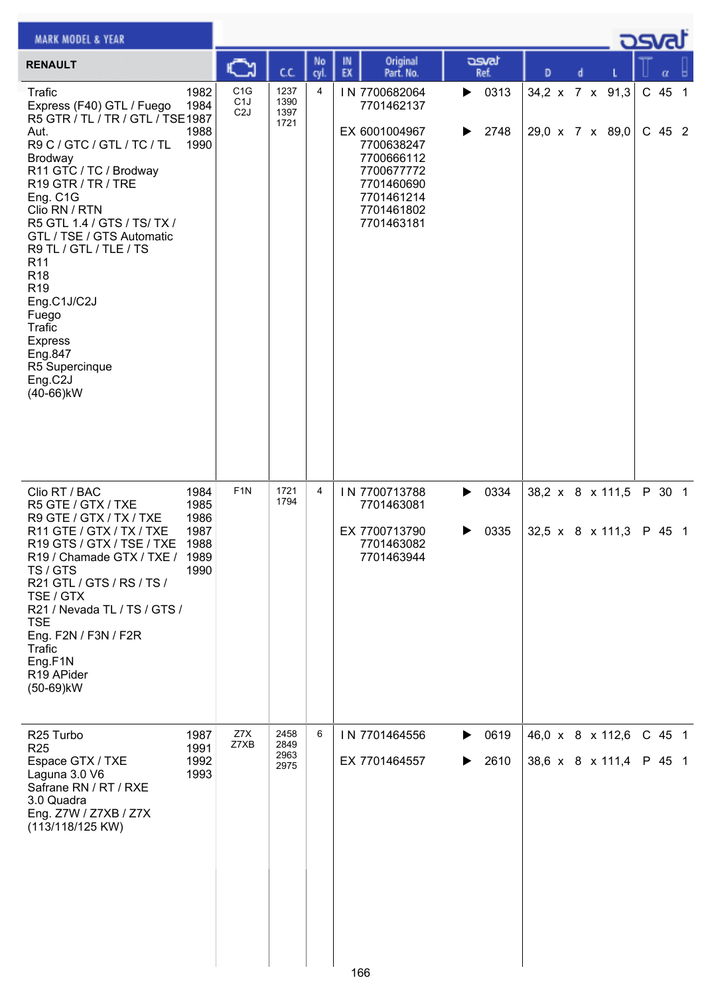| <b>MARK MODEL &amp; YEAR</b>                                                                                                                                                                                                                                                                                                                                                                                                                                         |                                                      |                                                          |                              |           |          |                                                                                                                                                |        |               |                  |   |                                      | <b>DSval</b>       |  |
|----------------------------------------------------------------------------------------------------------------------------------------------------------------------------------------------------------------------------------------------------------------------------------------------------------------------------------------------------------------------------------------------------------------------------------------------------------------------|------------------------------------------------------|----------------------------------------------------------|------------------------------|-----------|----------|------------------------------------------------------------------------------------------------------------------------------------------------|--------|---------------|------------------|---|--------------------------------------|--------------------|--|
| <b>RENAULT</b>                                                                                                                                                                                                                                                                                                                                                                                                                                                       |                                                      | C٦                                                       | C.C.                         | No<br>cyl | IN<br>EX | Original<br>Part. No.                                                                                                                          |        | asvat<br>Ref. | D                | d |                                      | α                  |  |
| Trafic<br>Express (F40) GTL / Fuego<br>R5 GTR / TL / TR / GTL / TSE1987<br>Aut.<br>R9 C / GTC / GTL / TC / TL<br>Brodway<br>R11 GTC / TC / Brodway<br>R19 GTR / TR / TRE<br>Eng. C1G<br>Clio RN / RTN<br>R5 GTL 1.4 / GTS / TS/ TX /<br>GTL / TSE / GTS Automatic<br>R9 TL / GTL / TLE / TS<br>R <sub>11</sub><br>R <sub>18</sub><br>R <sub>19</sub><br>Eng.C1J/C2J<br>Fuego<br><b>Trafic</b><br><b>Express</b><br>Eng.847<br>R5 Supercinque<br>Eng.C2J<br>(40-66)kW | 1982<br>1984<br>1988<br>1990                         | C <sub>1</sub> G<br>C <sub>1</sub> J<br>C <sub>2</sub> J | 1237<br>1390<br>1397<br>1721 | 4         |          | IN 7700682064<br>7701462137<br>EX 6001004967<br>7700638247<br>7700666112<br>7700677772<br>7701460690<br>7701461214<br>7701461802<br>7701463181 | ▶<br>▶ | 0313<br>2748  | 34,2 x 7 x 91,3  |   | 29,0 x 7 x 89,0                      | C 45 1<br>$C$ 45 2 |  |
| Clio RT / BAC<br>R5 GTE / GTX / TXE<br>R9 GTE / GTX / TX / TXE<br>R11 GTE / GTX / TX / TXE<br>R19 GTS / GTX / TSE / TXE<br>R19 / Chamade GTX / TXE /<br>TS / GTS<br>R21 GTL / GTS / RS / TS /<br>TSE / GTX<br>R21 / Nevada TL / TS / GTS /<br><b>TSE</b><br>Eng. F2N / F3N / F2R<br><b>Trafic</b><br>Eng.F1N<br>R19 APider<br>(50-69)kW                                                                                                                              | 1984<br>1985<br>1986<br>1987<br>1988<br>1989<br>1990 | F <sub>1</sub> N                                         | 1721<br>1794                 | 4         |          | IN 7700713788<br>7701463081<br>EX 7700713790<br>7701463082<br>7701463944                                                                       | ▶<br>▶ | 0334<br>0335  | 38,2 x 8 x 111,5 |   | 32,5 x 8 x 111,3                     | P 30 1<br>P 45 1   |  |
| R <sub>25</sub> Turbo<br><b>R25</b><br>Espace GTX / TXE<br>Laguna 3.0 V6<br>Safrane RN / RT / RXE<br>3.0 Quadra<br>Eng. Z7W / Z7XB / Z7X<br>(113/118/125 KW)                                                                                                                                                                                                                                                                                                         | 1987<br>1991<br>1992<br>1993                         | Z7X<br>Z7XB                                              | 2458<br>2849<br>2963<br>2975 | 6         |          | IN 7701464556<br>EX 7701464557<br>166                                                                                                          | ▶      | 0619<br>2610  |                  |   | 46,0 x 8 x 112,6<br>38,6 x 8 x 111,4 | C 45 1<br>P 45 1   |  |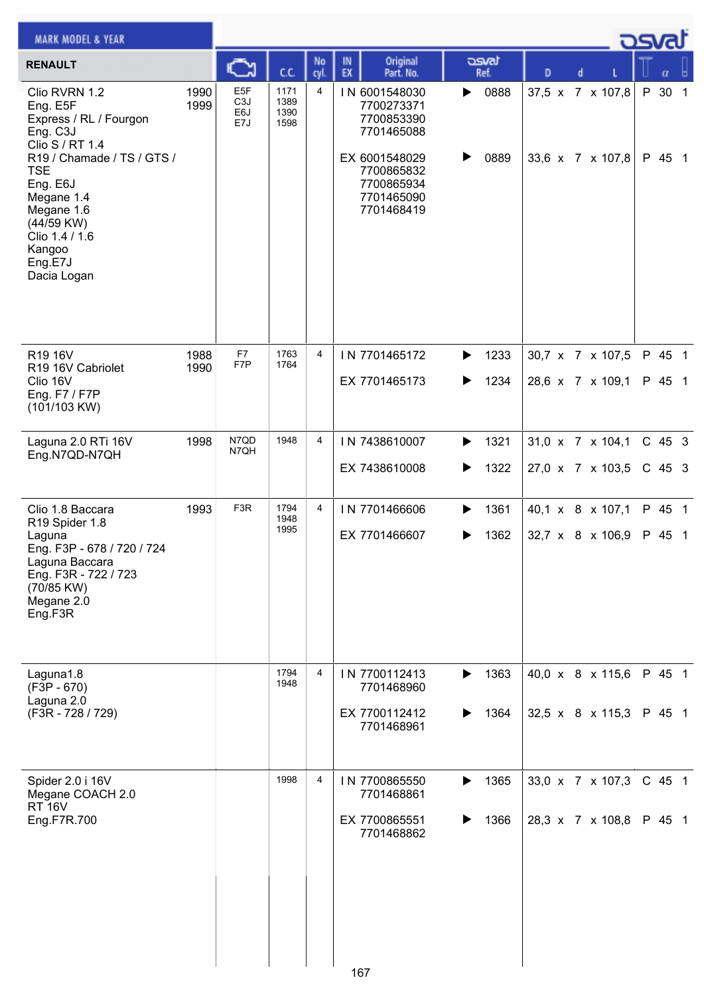| <b>MARK MODEL &amp; YEAR</b>                                                                                                                         |              |                                                    |                              |            |                                                                       |               |                  |   | <u>osvaľ</u>    |  |
|------------------------------------------------------------------------------------------------------------------------------------------------------|--------------|----------------------------------------------------|------------------------------|------------|-----------------------------------------------------------------------|---------------|------------------|---|-----------------|--|
| <b>RENAULT</b>                                                                                                                                       |              | с                                                  | C.C.                         | No<br>cyl. | Original<br>IN<br>EX<br>Part. No.                                     | asvat<br>Ref. | D                |   | α               |  |
| Clio RVRN 1.2<br>Eng. E5F<br>Express / RL / Fourgon<br>Eng. C3J<br>Clio S / RT 1.4                                                                   | 1990<br>1999 | E <sub>5</sub> F<br>C <sub>3</sub> J<br>E6J<br>E7J | 1171<br>1389<br>1390<br>1598 | 4          | IN 6001548030<br>7700273371<br>7700853390<br>7701465088               | 0888<br>▶     | 37,5 x 7 x 107,8 | P | 30 <sub>1</sub> |  |
| R19 / Chamade / TS / GTS /<br><b>TSE</b><br>Eng. E6J<br>Megane 1.4<br>Megane 1.6<br>(44/59 KW)<br>Clio 1.4 / 1.6<br>Kangoo<br>Eng.E7J<br>Dacia Logan |              |                                                    |                              |            | EX 6001548029<br>7700865832<br>7700865934<br>7701465090<br>7701468419 | 0889          | 33,6 x 7 x 107,8 |   | P 45 1          |  |
| R19 16V                                                                                                                                              | 1988         | F7                                                 | 1763                         | 4          | IN 7701465172                                                         | 1233<br>▶     | 30,7 x 7 x 107,5 |   | P 45 1          |  |
| R19 16V Cabriolet<br>Clio 16V<br>Eng. F7 / F7P<br>(101/103 KW)                                                                                       | 1990         | F7P                                                | 1764                         |            | EX 7701465173                                                         | 1234<br>▶     | 28,6 x 7 x 109,1 |   | P 45 1          |  |
| Laguna 2.0 RTi 16V<br>Eng.N7QD-N7QH                                                                                                                  | 1998         | N7QD<br>N7QH                                       | 1948                         | 4          | IN 7438610007                                                         | 1321<br>▶     | 31,0 x 7 x 104,1 |   | C 45 3          |  |
|                                                                                                                                                      |              |                                                    |                              |            | EX 7438610008                                                         | 1322<br>▶     | 27,0 x 7 x 103,5 |   | $C$ 45 3        |  |
| Clio 1.8 Baccara<br>R19 Spider 1.8                                                                                                                   | 1993         | F <sub>3</sub> R                                   | 1794<br>1948<br>1995         | 4          | IN 7701466606                                                         | 1361<br>▶     | 40,1 x 8 x 107,1 |   | P 45 1          |  |
| Laguna<br>Eng. F3P - 678 / 720 / 724<br>Laguna Baccara<br>Eng. F3R - 722 / 723<br>(70/85 KW)<br>Megane 2.0<br>Eng.F3R                                |              |                                                    |                              |            | EX 7701466607                                                         | 1362<br>▶     | 32,7 x 8 x 106,9 |   | P 45 1          |  |
| Laguna1.8<br>$(F3P - 670)$                                                                                                                           |              |                                                    | 1794<br>1948                 | 4          | IN 7700112413<br>7701468960                                           | 1363<br>▶     | 40,0 x 8 x 115,6 |   | P 45 1          |  |
| Laguna 2.0<br>(F3R - 728 / 729)                                                                                                                      |              |                                                    |                              |            | EX 7700112412<br>7701468961                                           | 1364<br>▶     | 32,5 x 8 x 115,3 |   | P 45 1          |  |
| Spider 2.0 i 16V<br>Megane COACH 2.0<br><b>RT 16V</b>                                                                                                |              |                                                    | 1998                         | 4          | IN 7700865550<br>7701468861                                           | 1365<br>▶     | 33,0 x 7 x 107,3 |   | $C$ 45 1        |  |
| Eng.F7R.700                                                                                                                                          |              |                                                    |                              |            | EX 7700865551<br>7701468862<br>167                                    | 1366<br>▶     | 28,3 x 7 x 108,8 |   | P 45 1          |  |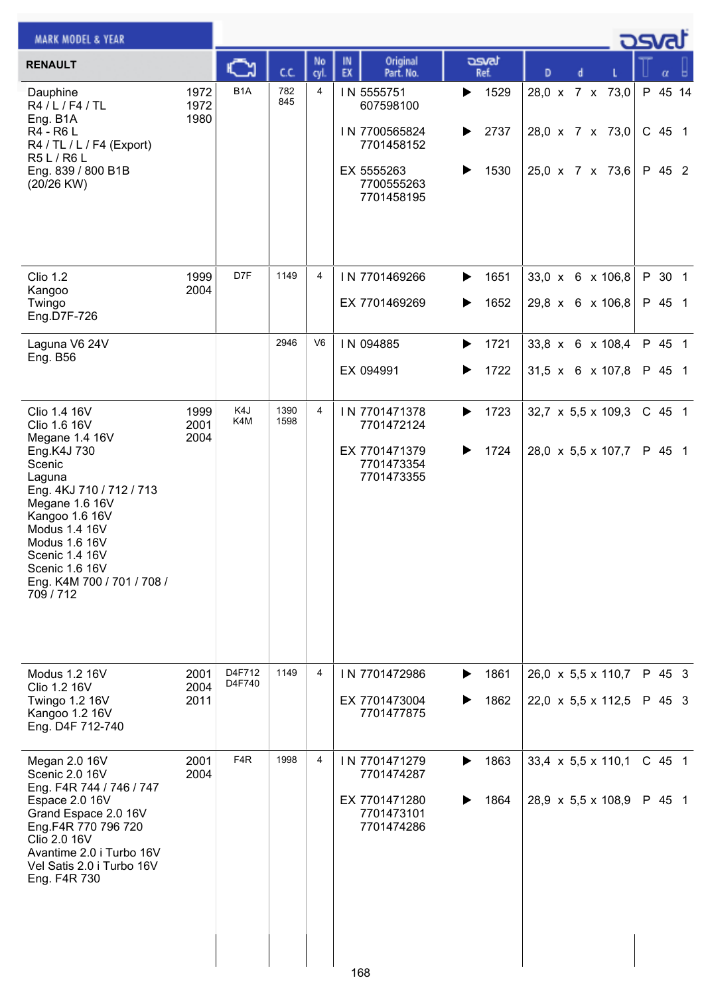| <b>MARK MODEL &amp; YEAR</b>                                                                                                                                                                                                                                     |                      |                  |              |                |                                                                                                  |                                            |                                                        |  | كت الصري                    |  |
|------------------------------------------------------------------------------------------------------------------------------------------------------------------------------------------------------------------------------------------------------------------|----------------------|------------------|--------------|----------------|--------------------------------------------------------------------------------------------------|--------------------------------------------|--------------------------------------------------------|--|-----------------------------|--|
| <b>RENAULT</b>                                                                                                                                                                                                                                                   |                      | C                | C.C.         | No<br>cyl.     | Original<br>IN<br>EX<br>Part. No.                                                                | asvat<br>Ref.                              | D<br>d                                                 |  |                             |  |
| Dauphine<br>R4 / L / F4 / TL<br>Eng. B1A<br>R4 - R6 L<br>R4 / TL / L / F4 (Export)<br>R5 L / R6 L<br>Eng. 839 / 800 B1B<br>(20/26 KW)                                                                                                                            | 1972<br>1972<br>1980 | B <sub>1</sub> A | 782<br>845   | 4              | IN 5555751<br>607598100<br>IN 7700565824<br>7701458152<br>EX 5555263<br>7700555263<br>7701458195 | 1529<br>▶<br>2737<br>▶<br>1530<br>▶        | 28,0 x 7 x 73,0<br>28,0 x 7 x 73,0<br>25,0 x 7 x 73,6  |  | P 45 14<br>C 45 1<br>P 45 2 |  |
| <b>Clio 1.2</b><br>Kangoo<br>Twingo<br>Eng.D7F-726                                                                                                                                                                                                               | 1999<br>2004         | D7F              | 1149         | 4              | IN 7701469266<br>EX 7701469269                                                                   | 1651<br>$\blacktriangleright$<br>1652<br>▶ | 33,0 x 6 x 106,8<br>29,8 x 6 x 106,8                   |  | P 30 1<br>P 45 1            |  |
| Laguna V6 24V<br><b>Eng. B56</b>                                                                                                                                                                                                                                 |                      |                  | 2946         | V <sub>6</sub> | IN 094885<br>EX 094991                                                                           | 1721<br>▶<br>1722<br>▶                     | 33,8 x 6 x 108,4<br>31,5 x 6 x 107,8                   |  | P 45 1<br>P 45 1            |  |
| Clio 1.4 16V<br>Clio 1.6 16V<br>Megane 1.4 16V<br>Eng.K4J 730<br>Scenic<br>Laguna<br>Eng. 4KJ 710 / 712 / 713<br>Megane 1.6 16V<br>Kangoo 1.6 16V<br>Modus 1.4 16V<br>Modus 1.6 16V<br>Scenic 1.4 16V<br>Scenic 1.6 16V<br>Eng. K4M 700 / 701 / 708 /<br>709/712 | 1999<br>2001<br>2004 | K4J<br>K4M       | 1390<br>1598 | 4              | IN 7701471378<br>7701472124<br>EX 7701471379<br>7701473354<br>7701473355                         | 1723<br>▶<br>1724<br>▶                     | 32,7 $\times$ 5,5 $\times$ 109,3<br>28,0 x 5,5 x 107,7 |  | C 45 1<br>P 45 1            |  |
| Modus 1.2 16V<br>Clio 1.2 16V<br>Twingo 1.2 16V<br>Kangoo 1.2 16V<br>Eng. D4F 712-740                                                                                                                                                                            | 2001<br>2004<br>2011 | D4F712<br>D4F740 | 1149         | 4              | IN 7701472986<br>EX 7701473004<br>7701477875                                                     | 1861<br>▶<br>1862<br>▶                     | $26,0 \times 5,5 \times 110,7$<br>22,0 x 5,5 x 112,5   |  | P 45 3<br>P 45 3            |  |
| Megan 2.0 16V<br>Scenic 2.0 16V<br>Eng. F4R 744 / 746 / 747<br>Espace 2.0 16V<br>Grand Espace 2.0 16V<br>Eng.F4R 770 796 720<br>Clio 2.0 16V<br>Avantime 2.0 i Turbo 16V<br>Vel Satis 2.0 i Turbo 16V<br>Eng. F4R 730                                            | 2001<br>2004         | F <sub>4</sub> R | 1998         | 4              | IN 7701471279<br>7701474287<br>EX 7701471280<br>7701473101<br>7701474286                         | 1863<br>▶<br>1864<br>▶                     | $33,4 \times 5,5 \times 110,1$<br>28,9 x 5,5 x 108,9   |  | C 45 1<br>P 45 1            |  |
|                                                                                                                                                                                                                                                                  |                      |                  |              |                | 168                                                                                              |                                            |                                                        |  |                             |  |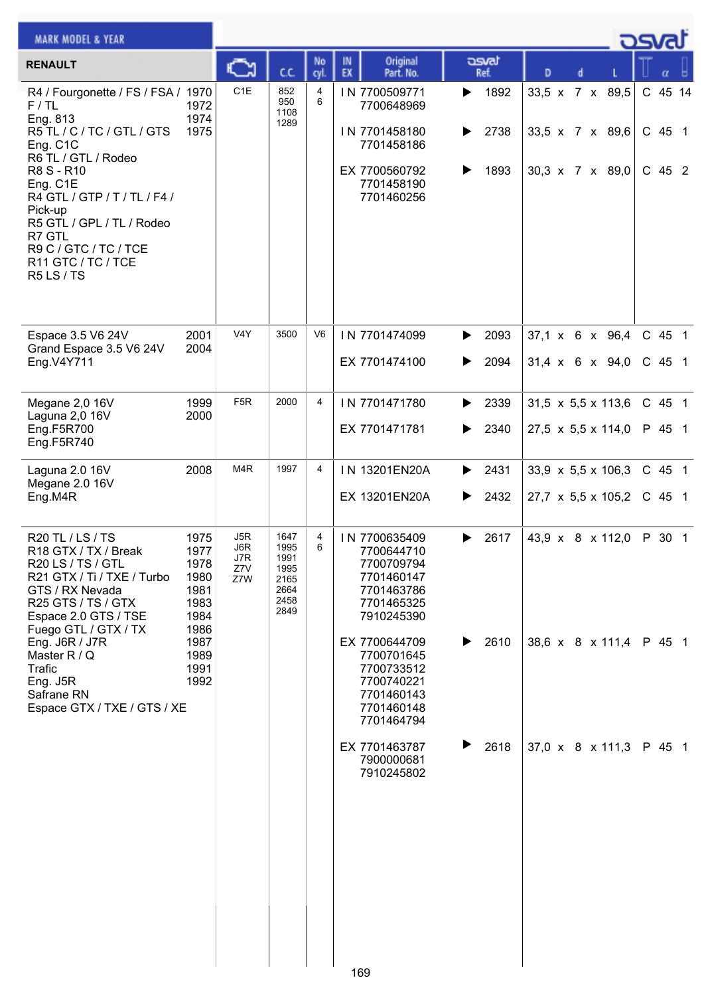| <b>MARK MODEL &amp; YEAR</b>                                                                                                                                                                                                     |                                                      |                                 |                                                              |                |          |                                                                                                         |             |                      |   |  | <b>DSVAT</b>                                          |                               |  |
|----------------------------------------------------------------------------------------------------------------------------------------------------------------------------------------------------------------------------------|------------------------------------------------------|---------------------------------|--------------------------------------------------------------|----------------|----------|---------------------------------------------------------------------------------------------------------|-------------|----------------------|---|--|-------------------------------------------------------|-------------------------------|--|
| <b>RENAULT</b>                                                                                                                                                                                                                   |                                                      |                                 | C.C.                                                         | No<br>cyl      | IN<br>EX | Original<br>Part. No.                                                                                   |             | asvat<br>Ref.        | D |  |                                                       | α                             |  |
| R4 / Fourgonette / FS / FSA / 1970<br>F/TL<br>Eng. 813<br>R5 TL / C / TC / GTL / GTS<br>Eng. C1C<br>R6 TL / GTL / Rodeo<br>R8 S - R10<br>Eng. C1E<br>R4 GTL / GTP / T / TL / F4 /<br>Pick-up                                     | 1972<br>1974<br>1975                                 | C <sub>1E</sub>                 | 852<br>950<br>1108<br>1289                                   | 4<br>6         |          | IN 7700509771<br>7700648969<br>IN 7701458180<br>7701458186<br>EX 7700560792<br>7701458190<br>7701460256 | ▶<br>▶<br>▶ | 1892<br>2738<br>1893 |   |  | 33,5 x 7 x 89,5<br>33,5 x 7 x 89,6<br>30,3 x 7 x 89,0 | C 45 14<br>$C$ 45 1<br>C 45 2 |  |
| R5 GTL / GPL / TL / Rodeo<br>R7 GTL<br>R9 C / GTC / TC / TCE<br>R11 GTC / TC / TCE<br>R5LS/TS                                                                                                                                    |                                                      |                                 |                                                              |                |          |                                                                                                         |             |                      |   |  |                                                       |                               |  |
| Espace 3.5 V6 24V<br>Grand Espace 3.5 V6 24V                                                                                                                                                                                     | 2001<br>2004                                         | V4Y                             | 3500                                                         | V <sub>6</sub> |          | IN 7701474099                                                                                           | ▶           | 2093                 |   |  | $37.1 \times 6 \times 96.4$                           | C 45 1                        |  |
| Eng.V4Y711                                                                                                                                                                                                                       |                                                      |                                 |                                                              |                |          | EX 7701474100                                                                                           | ▶           | 2094                 |   |  | $31,4 \times 6 \times 94,0$                           | $C$ 45 1                      |  |
| Megane 2,0 16V<br>Laguna 2,0 16V                                                                                                                                                                                                 | 1999<br>2000                                         | F <sub>5</sub> R                | 2000                                                         | 4              |          | IN 7701471780                                                                                           | ▶           | 2339                 |   |  | $31,5 \times 5,5 \times 113,6$                        | C 45 1                        |  |
| Eng.F5R700<br>Eng.F5R740                                                                                                                                                                                                         |                                                      |                                 |                                                              |                |          | EX 7701471781                                                                                           | ▶           | 2340                 |   |  | $27,5 \times 5,5 \times 114,0$                        | P 45 1                        |  |
|                                                                                                                                                                                                                                  | 2008                                                 | M <sub>4</sub> R                | 1997                                                         | 4              |          | IN 13201EN20A                                                                                           | ▶           | 2431                 |   |  | $33,9 \times 5,5 \times 106,3$                        | C 45 1                        |  |
| Eng.M4R                                                                                                                                                                                                                          |                                                      |                                 |                                                              |                |          | EX 13201EN20A                                                                                           | ▶           | 2432                 |   |  | $27,7 \times 5,5 \times 105,2$                        | C 45 1                        |  |
| Laguna 2.0 16V<br>Megane 2.0 16V<br>R20 TL / LS / TS<br>R18 GTX / TX / Break<br>R20 LS / TS / GTL<br>R21 GTX / Ti / TXE / Turbo<br>GTS / RX Nevada<br>R25 GTS / TS / GTX<br>Espace 2.0 GTS / TSE<br>1986<br>Fuego GTL / GTX / TX | 1975<br>1977<br>1978<br>1980<br>1981<br>1983<br>1984 | J5R<br>J6R<br>J7R<br>Z7V<br>Z7W | 1647<br>1995<br>1991<br>1995<br>2165<br>2664<br>2458<br>2849 | 4<br>6         |          | IN 7700635409<br>7700644710<br>7700709794<br>7701460147<br>7701463786<br>7701465325<br>7910245390       | ▶           | 2617                 |   |  | 43,9 x 8 x 112,0                                      | P 30 1                        |  |
| Eng. J6R / J7R<br>Master R / Q<br>Trafic<br>Eng. J5R<br>Safrane RN<br>Espace GTX / TXE / GTS / XE                                                                                                                                | 1987<br>1989<br>1991<br>1992                         |                                 |                                                              |                |          | EX 7700644709<br>7700701645<br>7700733512<br>7700740221<br>7701460143<br>7701460148<br>7701464794       | ▶           | 2610                 |   |  | 38,6 x 8 x 111,4                                      | P 45 1                        |  |
|                                                                                                                                                                                                                                  |                                                      |                                 |                                                              |                |          | EX 7701463787<br>7900000681<br>7910245802                                                               | ▶           | 2618                 |   |  | 37,0 x 8 x 111,3                                      | P 45 1                        |  |
|                                                                                                                                                                                                                                  |                                                      |                                 |                                                              |                |          |                                                                                                         |             |                      |   |  |                                                       |                               |  |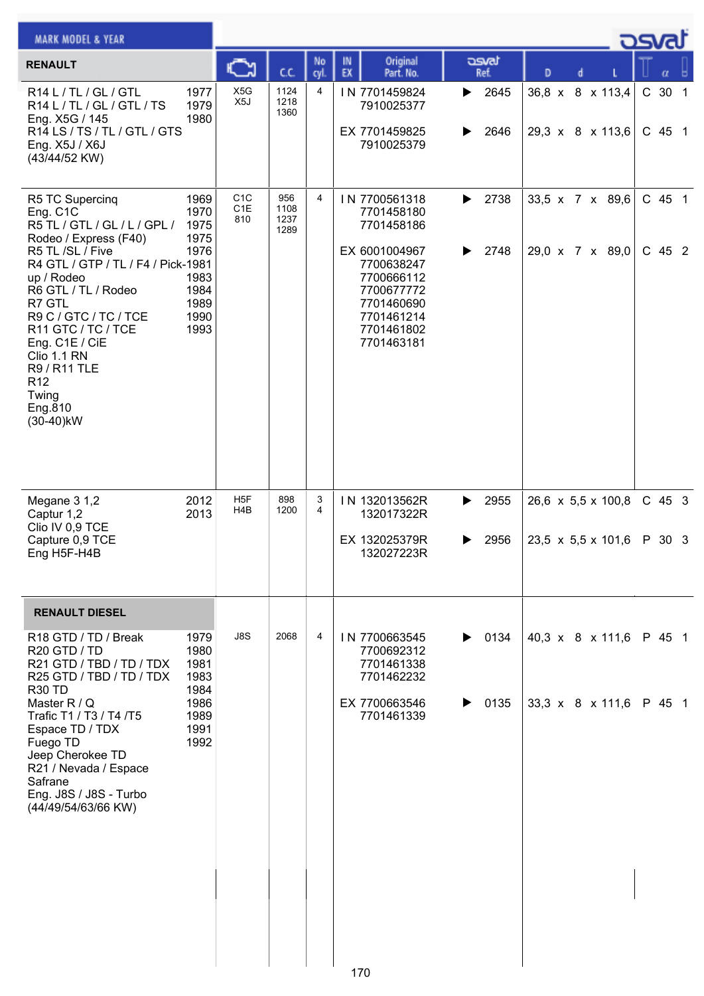| <b>MARK MODEL &amp; YEAR</b>                                                                                                                                                                                                                                                                                                                      |                                                                              |                                |                             |            |          |                                                                                                                                                              |        |                                    | <b>DSVAT</b>  |  |   |                                                      |  |                      |  |  |  |
|---------------------------------------------------------------------------------------------------------------------------------------------------------------------------------------------------------------------------------------------------------------------------------------------------------------------------------------------------|------------------------------------------------------------------------------|--------------------------------|-----------------------------|------------|----------|--------------------------------------------------------------------------------------------------------------------------------------------------------------|--------|------------------------------------|---------------|--|---|------------------------------------------------------|--|----------------------|--|--|--|
| <b>RENAULT</b>                                                                                                                                                                                                                                                                                                                                    |                                                                              | ∾                              | C.C.                        | No<br>cyl. | IN<br>EX | Original<br>Part. No.                                                                                                                                        |        | asvat<br>Ref.                      | D             |  | d |                                                      |  | α                    |  |  |  |
| R14 L / TL / GL / GTL<br>R14 L / TL / GL / GTL / TS<br>Eng. X5G / 145<br>R14 LS / TS / TL / GTL / GTS<br>Eng. X5J / X6J<br>(43/44/52 KW)                                                                                                                                                                                                          | 1977<br>1979<br>1980                                                         | X <sub>5</sub> G<br>X5J        | 1124<br>1218<br>1360        | 4          |          | IN 7701459824<br>7910025377<br>EX 7701459825<br>7910025379                                                                                                   | ▶      | $\blacktriangleright$ 2645<br>2646 | $36,8 \times$ |  |   | 8 x 113,4<br>29,3 x 8 x 113,6                        |  | C 30 1<br>$C$ 45 1   |  |  |  |
| R5 TC Supercinq<br>Eng. C1C<br>R5 TL / GTL / GL / L / GPL /<br>Rodeo / Express (F40)<br>R5 TL /SL / Five<br>R4 GTL / GTP / TL / F4 / Pick-1981<br>up / Rodeo<br>R6 GTL / TL / Rodeo<br>R7 GTL<br>R9 C / GTC / TC / TCE<br>R11 GTC / TC / TCE<br>Eng. C1E / CiE<br>Clio 1.1 RN<br>R9 / R11 TLE<br>R <sub>12</sub><br>Twing<br>Eng.810<br>(30-40)kW | 1969<br>1970<br>1975<br>1975<br>1976<br>1983<br>1984<br>1989<br>1990<br>1993 | C <sub>1</sub> C<br>C1E<br>810 | 956<br>1108<br>1237<br>1289 | 4          |          | IN 7700561318<br>7701458180<br>7701458186<br>EX 6001004967<br>7700638247<br>7700666112<br>7700677772<br>7701460690<br>7701461214<br>7701461802<br>7701463181 | ▶<br>▶ | 2738<br>2748                       |               |  |   | 33,5 x 7 x 89,6<br>29,0 x 7 x 89,0                   |  | $C$ 45 1<br>$C$ 45 2 |  |  |  |
| Megane 3 1,2<br>Captur 1,2<br>Clio IV 0,9 TCE<br>Capture 0,9 TCE<br>Eng H5F-H4B                                                                                                                                                                                                                                                                   | 2012<br>2013                                                                 | H <sub>5</sub> F<br>H4B        | 898<br>1200                 | 3<br>4     |          | IN 132013562R<br>132017322R<br>EX 132025379R<br>132027223R                                                                                                   | ▶<br>▶ | 2955<br>2956                       |               |  |   | $26,6 \times 5,5 \times 100,8$<br>23,5 x 5,5 x 101,6 |  | $C$ 45 3<br>P 30 3   |  |  |  |
| <b>RENAULT DIESEL</b>                                                                                                                                                                                                                                                                                                                             |                                                                              |                                |                             |            |          |                                                                                                                                                              |        |                                    |               |  |   |                                                      |  |                      |  |  |  |
| R <sub>18</sub> G <sub>TD</sub> / TD / Break<br>R20 GTD / TD<br>R21 GTD / TBD / TD / TDX<br>R25 GTD / TBD / TD / TDX<br><b>R30 TD</b><br>Master $R / Q$<br>Trafic T1 / T3 / T4 /T5<br>Espace TD / TDX<br>Fuego TD<br>Jeep Cherokee TD<br>R21 / Nevada / Espace<br>Safrane<br>Eng. J8S / J8S - Turbo<br>(44/49/54/63/66 KW)                        | 1979<br>1980<br>1981<br>1983<br>1984<br>1986<br>1989<br>1991<br>1992         | J8S                            | 2068                        | 4          |          | IN 7700663545<br>7700692312<br>7701461338<br>7701462232<br>EX 7700663546<br>7701461339                                                                       | ▶<br>▶ | 0134<br>0135                       |               |  |   | 40,3 x $8 \times 111,6$<br>33,3 x 8 x 111,6          |  | P 45 1<br>P 45 1     |  |  |  |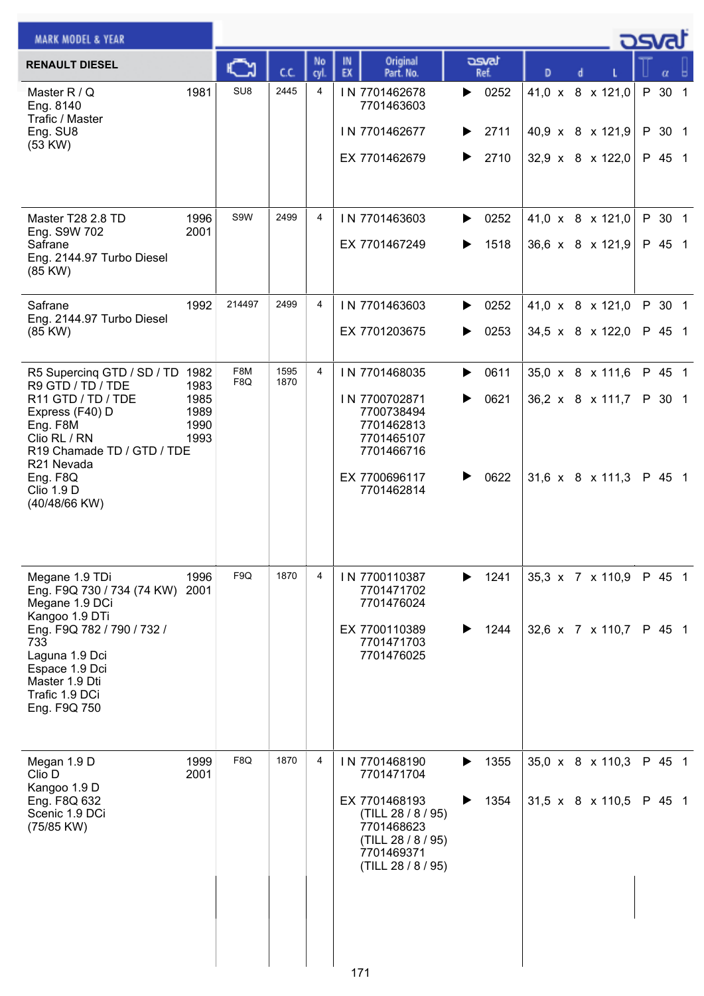| <b>MARK MODEL &amp; YEAR</b>                                                                                                                                                                                            |                                      |                 |              |                |                                                                                                                                            |                                |   |                                                                 | ెమ |                  |  |
|-------------------------------------------------------------------------------------------------------------------------------------------------------------------------------------------------------------------------|--------------------------------------|-----------------|--------------|----------------|--------------------------------------------------------------------------------------------------------------------------------------------|--------------------------------|---|-----------------------------------------------------------------|----|------------------|--|
| <b>RENAULT DIESEL</b>                                                                                                                                                                                                   |                                      |                 | C.C.         | No<br>cyl.     | Original<br>IN.<br>EX<br>Part. No.                                                                                                         | asvat<br>Ref.                  | D |                                                                 |    |                  |  |
| Master R / Q<br>Eng. 8140<br>Trafic / Master<br>Eng. SU8<br>(53 KW)                                                                                                                                                     | 1981                                 | SU <sub>8</sub> | 2445         | 4              | IN 7701462678<br>7701463603<br>IN 7701462677<br>EX 7701462679                                                                              | 0252<br>▶<br>2711<br>▶<br>2710 |   | 41,0 x 8 x 121,0<br>40,9 x 8 x 121,9 P 30 1<br>32,9 x 8 x 122,0 |    | P 30 1<br>P 45 1 |  |
| Master T28 2.8 TD<br>Eng. S9W 702<br>Safrane<br>Eng. 2144.97 Turbo Diesel<br>(85 KW)                                                                                                                                    | 1996<br>2001                         | S9W             | 2499         | $\overline{4}$ | IN 7701463603<br>EX 7701467249                                                                                                             | 0252<br>▶<br>1518              |   | 41,0 x 8 x 121,0<br>36,6 x 8 x 121,9                            |    | P 30 1<br>P 45 1 |  |
| Safrane<br>Eng. 2144.97 Turbo Diesel<br>(85 KW)                                                                                                                                                                         | 1992                                 | 214497          | 2499         | 4              | IN 7701463603<br>EX 7701203675                                                                                                             | 0252<br>▶<br>0253<br>▶         |   | 41,0 x 8 x 121,0<br>34,5 x 8 x 122,0                            |    | P 30 1<br>P 45 1 |  |
| R5 Supercing GTD / SD / TD 1982<br>R9 GTD / TD / TDE<br>R11 GTD / TD / TDE<br>Express (F40) D<br>Eng. F8M<br>Clio RL / RN<br>R19 Chamade TD / GTD / TDE<br>R21 Nevada<br>Eng. F8Q<br><b>Clio 1.9 D</b><br>(40/48/66 KW) | 1983<br>1985<br>1989<br>1990<br>1993 | F8M<br>F8Q      | 1595<br>1870 | 4              | IN 7701468035<br>IN 7700702871<br>7700738494<br>7701462813<br>7701465107<br>7701466716<br>EX 7700696117<br>7701462814                      | 0611<br>▶<br>0621<br>▶<br>0622 |   | 35,0 x 8 x 111,6<br>36,2 x 8 x 111,7<br>31,6 x 8 x 111,3 P 45 1 |    | P 45 1<br>P 30 1 |  |
| Megane 1.9 TDi<br>Eng. F9Q 730 / 734 (74 KW) 2001<br>Megane 1.9 DCi<br>Kangoo 1.9 DTi<br>Eng. F9Q 782 / 790 / 732 /<br>733<br>Laguna 1.9 Dci<br>Espace 1.9 Dci<br>Master 1.9 Dti<br>Trafic 1.9 DCi<br>Eng. F9Q 750      | 1996                                 | F9Q             | 1870         | 4              | IN 7700110387<br>7701471702<br>7701476024<br>EX 7700110389<br>7701471703<br>7701476025                                                     | 1241<br>▶<br>1244<br>▶         |   | 35,3 x 7 x 110,9<br>32,6 x 7 x 110,7                            |    | P 45 1<br>P 45 1 |  |
| Megan 1.9 D<br>Clio D<br>Kangoo 1.9 D<br>Eng. F8Q 632<br>Scenic 1.9 DCi<br>(75/85 KW)                                                                                                                                   | 1999<br>2001                         | F8Q             | 1870         | 4              | IN 7701468190<br>7701471704<br>EX 7701468193<br>(TILL 28 / 8 / 95)<br>7701468623<br>(TILL 28 / 8 / 95)<br>7701469371<br>(TILL 28 / 8 / 95) | 1355<br>▶<br>1354<br>▶         |   | 35,0 x 8 x 110,3<br>$31,5 \times 8 \times 110,5$                |    | P 45 1<br>P 45 1 |  |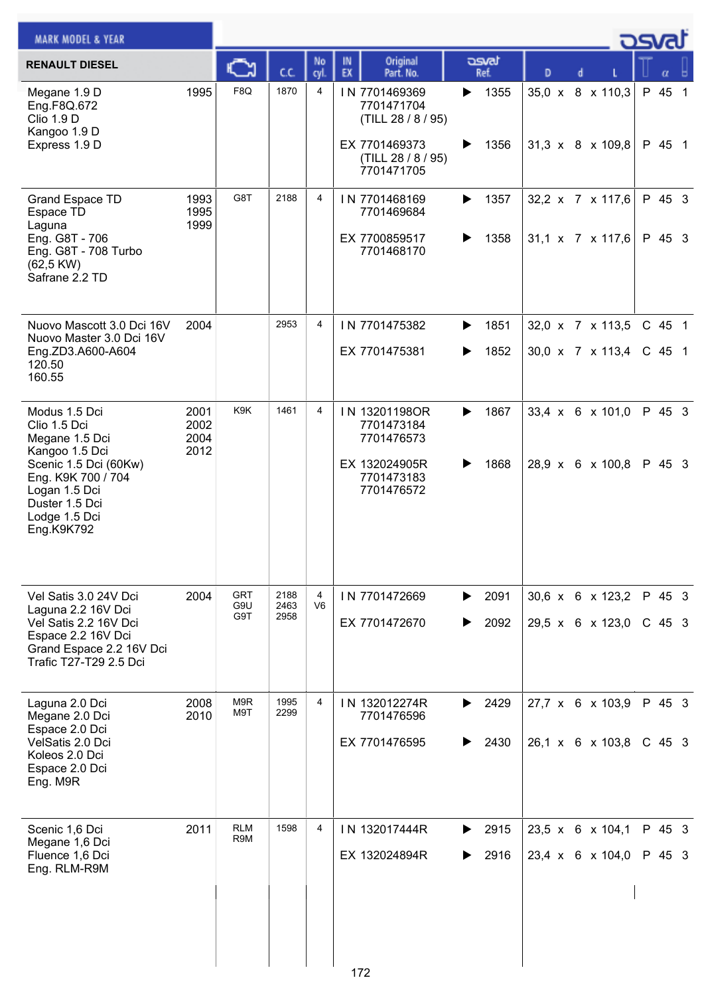| <b>MARK MODEL &amp; YEAR</b>                                                                                                                                                       |                              |                   |              |                |                                                                                          |                        |   |                                                    | 29 |                  |  |
|------------------------------------------------------------------------------------------------------------------------------------------------------------------------------------|------------------------------|-------------------|--------------|----------------|------------------------------------------------------------------------------------------|------------------------|---|----------------------------------------------------|----|------------------|--|
| <b>RENAULT DIESEL</b>                                                                                                                                                              |                              |                   | C.C.         | No<br>cyl.     | Original<br>IN<br>EX<br>Part. No.                                                        | asvat<br>Ref.          | D |                                                    |    |                  |  |
| Megane 1.9 D<br>Eng.F8Q.672<br><b>Clio 1.9 D</b><br>Kangoo 1.9 D<br>Express 1.9 D                                                                                                  | 1995                         | F8Q               | 1870         | 4              | IN 7701469369<br>7701471704<br>(TILL 28 / 8 / 95)<br>EX 7701469373<br>(TILL 28 / 8 / 95) | 1355<br>▶<br>1356<br>▶ |   | 35,0 x 8 x 110,3<br>31,3 $\times$ 8 $\times$ 109,8 |    | P 45 1<br>P 45 1 |  |
|                                                                                                                                                                                    |                              |                   |              |                | 7701471705                                                                               |                        |   |                                                    |    |                  |  |
| Grand Espace TD<br>Espace TD<br>Laguna<br>Eng. G8T - 706<br>Eng. G8T - 708 Turbo<br>$(62,5$ KW)<br>Safrane 2.2 TD                                                                  | 1993<br>1995<br>1999         | G8T               | 2188         | 4              | IN 7701468169<br>7701469684<br>EX 7700859517<br>7701468170                               | 1357<br>▶<br>1358<br>▶ |   | 32,2 x 7 x 117,6<br>31,1 x 7 x 117,6               |    | P 45 3<br>P 45 3 |  |
| Nuovo Mascott 3.0 Dci 16V                                                                                                                                                          | 2004                         |                   | 2953         | 4              | IN 7701475382                                                                            | 1851<br>▶              |   | 32,0 x 7 x 113,5                                   |    | C 45 1           |  |
| Nuovo Master 3.0 Dci 16V<br>Eng.ZD3.A600-A604<br>120.50<br>160.55                                                                                                                  |                              |                   |              |                | EX 7701475381                                                                            | 1852<br>▶              |   | 30,0 x 7 x 113,4                                   |    | C 45 1           |  |
| Modus 1.5 Dci<br>Clio 1.5 Dci<br>Megane 1.5 Dci<br>Kangoo 1.5 Dci<br>Scenic 1.5 Dci (60Kw)<br>Eng. K9K 700 / 704<br>Logan 1.5 Dci<br>Duster 1.5 Dci<br>Lodge 1.5 Dci<br>Eng.K9K792 | 2001<br>2002<br>2004<br>2012 | K9K               | 1461         | 4              | IN 13201198OR<br>7701473184<br>7701476573<br>EX 132024905R<br>7701473183<br>7701476572   | 1867<br>▶<br>1868<br>▶ |   | 33,4 x 6 x 101,0<br>28,9 x 6 x 100,8               |    | P 45 3<br>P 45 3 |  |
| Vel Satis 3.0 24V Dci                                                                                                                                                              | 2004                         | GRT               | 2188         | 4              | IN 7701472669                                                                            | 2091<br>▶              |   | 30,6 x 6 x 123,2                                   |    | P 45 3           |  |
| Laguna 2.2 16V Dci<br>Vel Satis 2.2 16V Dci<br>Espace 2.2 16V Dci<br>Grand Espace 2.2 16V Dci<br>Trafic T27-T29 2.5 Dci                                                            |                              | G9U<br>G9T        | 2463<br>2958 | V <sub>6</sub> | EX 7701472670                                                                            | 2092                   |   | 29,5 x 6 x 123,0                                   |    | $C$ 45 3         |  |
| Laguna 2.0 Dci<br>Megane 2.0 Dci                                                                                                                                                   | 2008<br>2010                 | M9R<br>M9T        | 1995<br>2299 | $\overline{4}$ | IN 132012274R<br>7701476596                                                              | 2429<br>▶              |   | 27,7 x 6 x 103,9                                   |    | P 45 3           |  |
| Espace 2.0 Dci<br>VelSatis 2.0 Dci<br>Koleos 2.0 Dci<br>Espace 2.0 Dci<br>Eng. M9R                                                                                                 |                              |                   |              |                | EX 7701476595                                                                            | 2430<br>▶              |   | 26,1 x 6 x 103,8                                   |    | $C$ 45 3         |  |
| Scenic 1,6 Dci<br>Megane 1,6 Dci                                                                                                                                                   | 2011                         | <b>RLM</b><br>R9M | 1598         | 4              | IN 132017444R                                                                            | 2915<br>▶              |   | 23,5 x 6 x 104,1                                   |    | P 45 3           |  |
| Fluence 1,6 Dci<br>Eng. RLM-R9M                                                                                                                                                    |                              |                   |              |                | EX 132024894R                                                                            | 2916<br>▶              |   | 23,4 x 6 x 104,0                                   |    | P 45 3           |  |
|                                                                                                                                                                                    |                              |                   |              |                | 172                                                                                      |                        |   |                                                    |    |                  |  |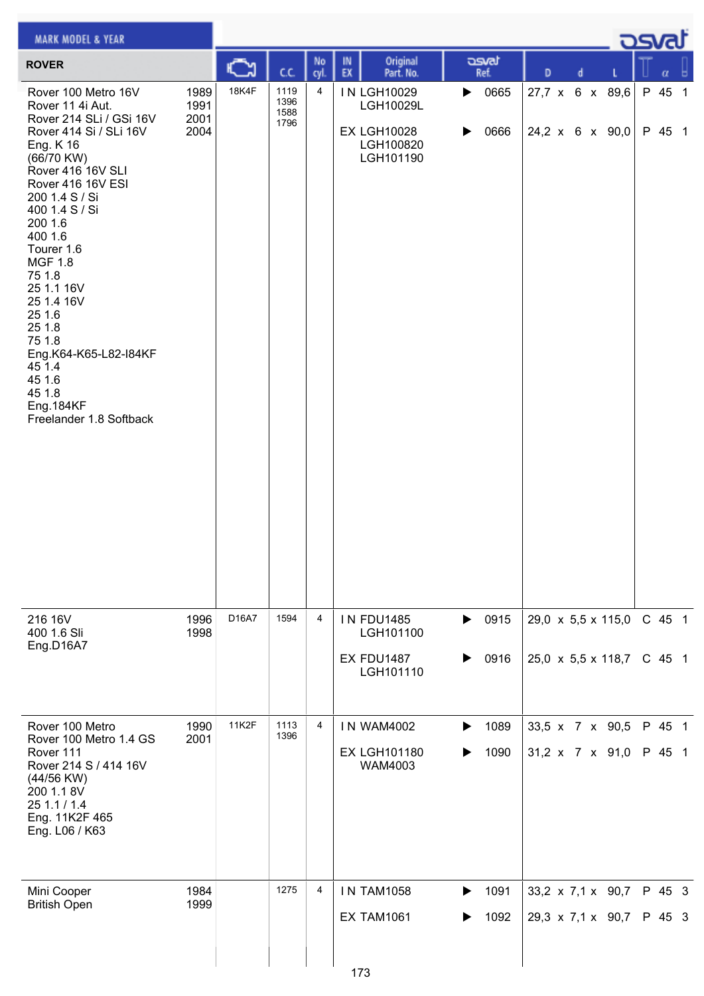| <b>MARK MODEL &amp; YEAR</b>                                                                                                                                                                                                                                                                                                                                                                                                          |                              |       |                              |                |                                                                          |                                    |                                                                  |  | osvat            |   |
|---------------------------------------------------------------------------------------------------------------------------------------------------------------------------------------------------------------------------------------------------------------------------------------------------------------------------------------------------------------------------------------------------------------------------------------|------------------------------|-------|------------------------------|----------------|--------------------------------------------------------------------------|------------------------------------|------------------------------------------------------------------|--|------------------|---|
| <b>ROVER</b>                                                                                                                                                                                                                                                                                                                                                                                                                          |                              |       | C.C.                         | No<br>cyl.     | Original<br>IN<br>EX<br>Part. No.                                        | asvat<br>Ref.                      | D<br>d                                                           |  | α                | ы |
| Rover 100 Metro 16V<br>Rover 11 4i Aut.<br>Rover 214 SLi / GSi 16V<br>Rover 414 Si / SLi 16V<br>Eng. K 16<br>(66/70 KW)<br>Rover 416 16V SLI<br>Rover 416 16V ESI<br>200 1.4 S / Si<br>400 1.4 S / Si<br>200 1.6<br>400 1.6<br>Tourer 1.6<br><b>MGF 1.8</b><br>75 1.8<br>25 1.1 16V<br>25 1.4 16V<br>25 1.6<br>25 1.8<br>75 1.8<br>Eng.K64-K65-L82-I84KF<br>45 1.4<br>45 1.6<br>45 1.8<br><b>Eng.184KF</b><br>Freelander 1.8 Softback | 1989<br>1991<br>2001<br>2004 | 18K4F | 1119<br>1396<br>1588<br>1796 | 4              | IN LGH10029<br>LGH10029L<br><b>EX LGH10028</b><br>LGH100820<br>LGH101190 | 0665<br>▶<br>0666<br>▶             | 27,7 x 6 x 89,6<br>24,2 x 6 x 90,0                               |  | P 45 1<br>P 45 1 |   |
| 216 16V<br>400 1.6 Sli<br>Eng.D16A7                                                                                                                                                                                                                                                                                                                                                                                                   | 1996<br>1998                 | D16A7 | 1594                         | 4              | <b>IN FDU1485</b><br>LGH101100<br>EX FDU1487<br>LGH101110                | $\triangleright$ 0915<br>0916<br>▶ | 29,0 $\times$ 5,5 $\times$ 115,0<br>25,0 x 5,5 x 118,7           |  | C 45 1<br>C 45 1 |   |
| Rover 100 Metro<br>Rover 100 Metro 1.4 GS<br>Rover 111<br>Rover 214 S / 414 16V<br>(44/56 KW)<br>200 1.1 8V<br>25 1.1 / 1.4<br>Eng. 11K2F 465<br>Eng. L06 / K63                                                                                                                                                                                                                                                                       | 1990<br>2001                 | 11K2F | 1113<br>1396                 | $\overline{4}$ | <b>IN WAM4002</b><br><b>EX LGH101180</b><br>WAM4003                      | 1089<br>▶<br>1090                  | 33,5 x 7 x 90,5<br>$31,2 \times 7 \times 91,0$                   |  | P 45 1<br>P 45 1 |   |
| Mini Cooper<br><b>British Open</b>                                                                                                                                                                                                                                                                                                                                                                                                    | 1984<br>1999                 |       | 1275                         | $\overline{4}$ | <b>IN TAM1058</b><br><b>EX TAM1061</b><br>173                            | 1091<br>▶<br>1092                  | 33,2 $\times$ 7,1 $\times$ 90,7<br>$29,3 \times 7,1 \times 90,7$ |  | P 45 3<br>P 45 3 |   |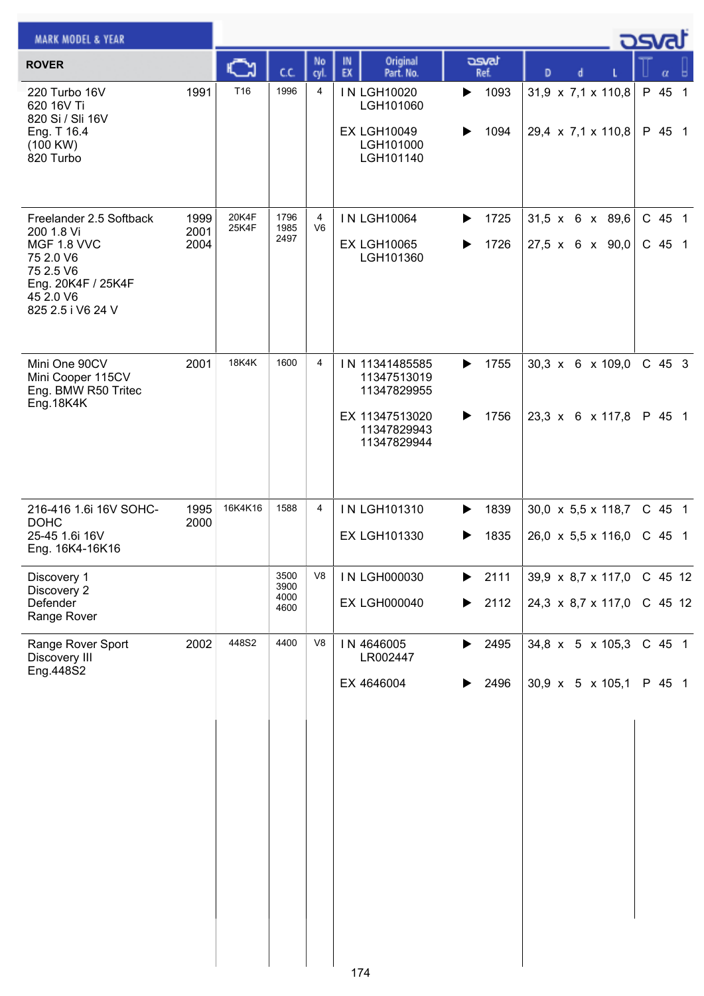| <b>MARK MODEL &amp; YEAR</b>                                                                                                           |                      |                |                              |                |                                                                    |                        |                                                                            | كە               |                    |  |
|----------------------------------------------------------------------------------------------------------------------------------------|----------------------|----------------|------------------------------|----------------|--------------------------------------------------------------------|------------------------|----------------------------------------------------------------------------|------------------|--------------------|--|
| <b>ROVER</b>                                                                                                                           |                      | Č٦             | C.C.                         | No<br>cyl.     | Original<br>IN<br>EX<br>Part. No.                                  | asvat<br>Ref.          | D<br>d                                                                     |                  | α                  |  |
| 220 Turbo 16V<br>620 16V Ti<br>820 Si / Sli 16V<br>Eng. T 16.4<br>(100 KW)                                                             | 1991                 | T16            | 1996                         | 4              | <b>IN LGH10020</b><br>LGH101060<br><b>EX LGH10049</b><br>LGH101000 | 1093<br>▶<br>1094      | 31,9 x 7,1 x 110,8<br>29,4 $\times$ 7,1 $\times$ 110,8                     | P 45 1           | P 45 1             |  |
| 820 Turbo                                                                                                                              |                      |                |                              |                | LGH101140                                                          |                        |                                                                            |                  |                    |  |
| Freelander 2.5 Softback<br>200 1.8 Vi<br>MGF 1.8 VVC<br>75 2.0 V6<br>75 2.5 V6<br>Eng. 20K4F / 25K4F<br>45 2.0 V6<br>825 2.5 i V6 24 V | 1999<br>2001<br>2004 | 20K4F<br>25K4F | 1796<br>1985<br>2497         | 4<br>V6        | <b>IN LGH10064</b><br><b>EX LGH10065</b><br>LGH101360              | 1725<br>▶<br>1726      | 31,5 x 6 x 89,6<br>27,5 x 6 x 90,0                                         | C 45 1<br>C 45 1 |                    |  |
| Mini One 90CV<br>Mini Cooper 115CV<br>Eng. BMW R50 Tritec<br>Eng.18K4K                                                                 | 2001                 | <b>18K4K</b>   | 1600                         | 4              | IN 11341485585<br>11347513019<br>11347829955<br>EX 11347513020     | 1755<br>▶<br>1756<br>▶ | $30,3 \times 6 \times 109,0$<br>23,3 x 6 x 117,8                           |                  | C 45 3<br>P 45 1   |  |
|                                                                                                                                        |                      |                |                              |                | 11347829943<br>11347829944                                         |                        |                                                                            |                  |                    |  |
| 216-416 1.6i 16V SOHC-<br><b>DOHC</b><br>25-45 1.6i 16V<br>Eng. 16K4-16K16                                                             | 1995<br>2000         | 16K4K16        | 1588                         | 4              | IN LGH101310<br><b>EX LGH101330</b>                                | 1839<br>▶<br>1835<br>▶ | $30,0 \times 5,5 \times 118,7$<br>26,0 $\times$ 5,5 $\times$ 116,0         |                  | C 45 1<br>$C$ 45 1 |  |
| Discovery 1<br>Discovery 2<br>Defender<br>Range Rover                                                                                  |                      |                | 3500<br>3900<br>4000<br>4600 | V <sub>8</sub> | IN LGH000030<br><b>EX LGH000040</b>                                | 2111<br>▶<br>2112<br>▶ | $39.9 \times 8.7 \times 117.0$ C 45 12<br>24,3 $\times$ 8,7 $\times$ 117,0 | C 45 12          |                    |  |
| Range Rover Sport<br>Discovery III<br>Eng.448S2                                                                                        | 2002                 | 448S2          | 4400                         | V8             | IN 4646005<br>LR002447                                             | 2495<br>▶              | 34,8 x 5 x 105,3                                                           |                  | C 45 1             |  |
|                                                                                                                                        |                      |                |                              |                | EX 4646004                                                         | 2496                   | $30.9 \times 5 \times 105.1$                                               |                  | P 45 1             |  |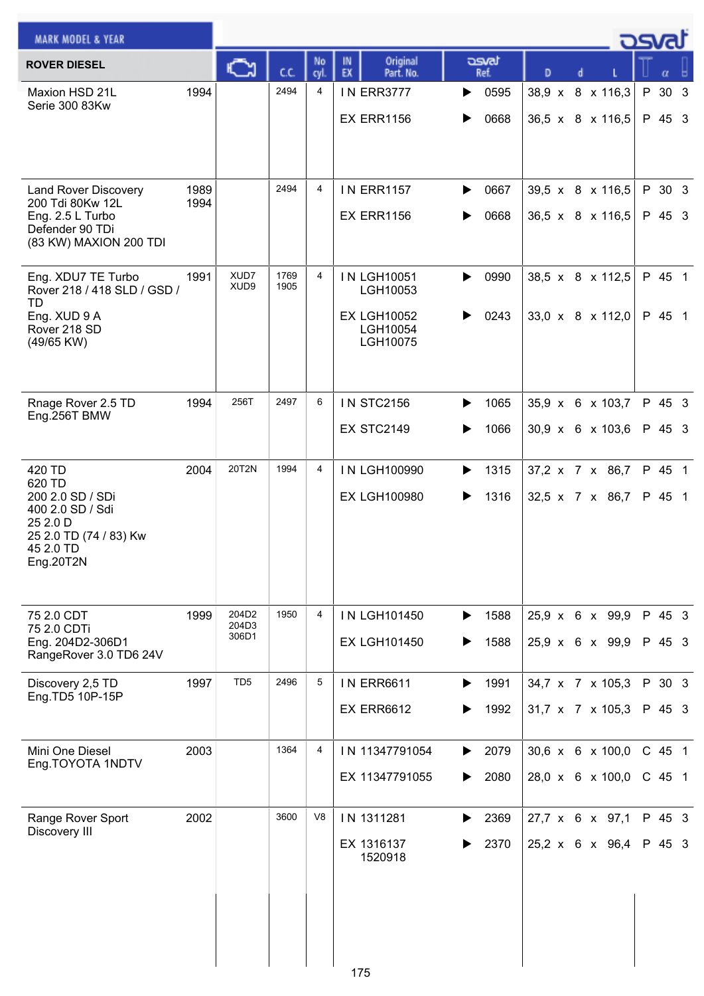| Original<br>asvat<br>IN<br>No<br><b>ROVER DIESEL</b><br>C٦<br>EX<br>cc<br>Part. No.<br>cyl.<br>Ref.<br>D<br>α<br>2494<br>1994<br>0595<br>38,9 x 8 x 116,3<br>4<br><b>IN ERR3777</b><br>30 <sub>3</sub><br>Maxion HSD 21L<br>P<br>Serie 300 83Kw<br><b>EX ERR1156</b><br>0668<br>36,5 x 8 x 116,5<br>P 45 3<br>2494<br>4<br>1989<br><b>IN ERR1157</b><br>0667<br>39,5 x 8 x 116,5<br>P 30 3<br>Land Rover Discovery<br>▶<br>200 Tdi 80Kw 12L<br>1994<br><b>EX ERR1156</b><br>0668<br>$36,5 \times 8 \times 116,5$<br>P 45 3<br>Eng. 2.5 L Turbo<br>Defender 90 TDi<br>(83 KW) MAXION 200 TDI<br>XUD7<br>1769<br>38,5 x 8 x 112,5<br>P 45 1<br>Eng. XDU7 TE Turbo<br>1991<br>4<br><b>IN LGH10051</b><br>0990<br>▶<br>XUD9<br>1905<br>Rover 218 / 418 SLD / GSD /<br>LGH10053<br><b>TD</b><br>33,0 x 8 x 112,0<br><b>EX LGH10052</b><br>0243<br>P 45 1<br>Eng. XUD 9 A<br>Rover 218 SD<br>LGH10054<br>LGH10075<br>(49/65 KW)<br>256T<br>2497<br>6<br><b>IN STC2156</b><br>35,9 x 6 x 103,7<br>P 45 3<br>1994<br>1065<br>Rnage Rover 2.5 TD<br>▶<br>Eng.256T BMW<br><b>EX STC2149</b><br>30,9 x 6 x 103,6<br>1066<br>P 45 3<br>20T2N<br>2004<br>1994<br>P 45 1<br>420 TD<br>4<br>IN LGH100990<br>1315<br>37,2 x 7 x 86,7<br>620 TD<br>200 2.0 SD / SDi<br><b>EX LGH100980</b><br>1316<br>P 45 1<br>32,5 x 7 x 86,7<br>400 2.0 SD / Sdi<br>25 2.0 D<br>25 2.0 TD (74 / 83) Kw<br>45 2.0 TD<br>Eng.20T2N<br>204D2<br>P 45 3<br>1999<br>1950<br>4<br>IN LGH101450<br>1588<br>25,9 x 6 x 99,9<br>75 2.0 CDT<br>▶<br>204D3<br>75 2.0 CDTi<br>306D1<br>$25.9 \times 6 \times 99.9$<br>P 45 3<br><b>EX LGH101450</b><br>1588<br>Eng. 204D2-306D1<br>▶<br>RangeRover 3.0 TD6 24V<br>TD <sub>5</sub><br>2496<br>5<br>1997<br>P 30 3<br><b>IN ERR6611</b><br>1991<br>34,7 x 7 x 105,3<br>Discovery 2,5 TD<br>▶<br>Eng.TD5 10P-15P<br><b>EX ERR6612</b><br>1992<br>$31,7 \times 7 \times 105,3$<br>P 45 3<br>1364<br>2003<br>4<br>30,6 x 6 x 100,0<br>C 45 1<br>Mini One Diesel<br>IN 11347791054<br>2079<br>▶<br>Eng.TOYOTA 1NDTV<br>28,0 x 6 x 100,0<br>EX 11347791055<br>2080<br>$C$ 45 1<br>3600<br>V <sub>8</sub><br>2002<br>IN 1311281<br>2369<br>27,7 x 6 x 97,1<br>P 45 3 | <b>MARK MODEL &amp; YEAR</b> |  |  |  |  | كت <del>م</del> |  |
|--------------------------------------------------------------------------------------------------------------------------------------------------------------------------------------------------------------------------------------------------------------------------------------------------------------------------------------------------------------------------------------------------------------------------------------------------------------------------------------------------------------------------------------------------------------------------------------------------------------------------------------------------------------------------------------------------------------------------------------------------------------------------------------------------------------------------------------------------------------------------------------------------------------------------------------------------------------------------------------------------------------------------------------------------------------------------------------------------------------------------------------------------------------------------------------------------------------------------------------------------------------------------------------------------------------------------------------------------------------------------------------------------------------------------------------------------------------------------------------------------------------------------------------------------------------------------------------------------------------------------------------------------------------------------------------------------------------------------------------------------------------------------------------------------------------------------------------------------------------------------------------------------------------------------------------------------------------------------------------------------------------------------------------------------------------------------------------------------------------------------------------------------------------------|------------------------------|--|--|--|--|-----------------|--|
|                                                                                                                                                                                                                                                                                                                                                                                                                                                                                                                                                                                                                                                                                                                                                                                                                                                                                                                                                                                                                                                                                                                                                                                                                                                                                                                                                                                                                                                                                                                                                                                                                                                                                                                                                                                                                                                                                                                                                                                                                                                                                                                                                                    |                              |  |  |  |  |                 |  |
|                                                                                                                                                                                                                                                                                                                                                                                                                                                                                                                                                                                                                                                                                                                                                                                                                                                                                                                                                                                                                                                                                                                                                                                                                                                                                                                                                                                                                                                                                                                                                                                                                                                                                                                                                                                                                                                                                                                                                                                                                                                                                                                                                                    |                              |  |  |  |  |                 |  |
|                                                                                                                                                                                                                                                                                                                                                                                                                                                                                                                                                                                                                                                                                                                                                                                                                                                                                                                                                                                                                                                                                                                                                                                                                                                                                                                                                                                                                                                                                                                                                                                                                                                                                                                                                                                                                                                                                                                                                                                                                                                                                                                                                                    |                              |  |  |  |  |                 |  |
|                                                                                                                                                                                                                                                                                                                                                                                                                                                                                                                                                                                                                                                                                                                                                                                                                                                                                                                                                                                                                                                                                                                                                                                                                                                                                                                                                                                                                                                                                                                                                                                                                                                                                                                                                                                                                                                                                                                                                                                                                                                                                                                                                                    |                              |  |  |  |  |                 |  |
|                                                                                                                                                                                                                                                                                                                                                                                                                                                                                                                                                                                                                                                                                                                                                                                                                                                                                                                                                                                                                                                                                                                                                                                                                                                                                                                                                                                                                                                                                                                                                                                                                                                                                                                                                                                                                                                                                                                                                                                                                                                                                                                                                                    |                              |  |  |  |  |                 |  |
|                                                                                                                                                                                                                                                                                                                                                                                                                                                                                                                                                                                                                                                                                                                                                                                                                                                                                                                                                                                                                                                                                                                                                                                                                                                                                                                                                                                                                                                                                                                                                                                                                                                                                                                                                                                                                                                                                                                                                                                                                                                                                                                                                                    |                              |  |  |  |  |                 |  |
|                                                                                                                                                                                                                                                                                                                                                                                                                                                                                                                                                                                                                                                                                                                                                                                                                                                                                                                                                                                                                                                                                                                                                                                                                                                                                                                                                                                                                                                                                                                                                                                                                                                                                                                                                                                                                                                                                                                                                                                                                                                                                                                                                                    |                              |  |  |  |  |                 |  |
|                                                                                                                                                                                                                                                                                                                                                                                                                                                                                                                                                                                                                                                                                                                                                                                                                                                                                                                                                                                                                                                                                                                                                                                                                                                                                                                                                                                                                                                                                                                                                                                                                                                                                                                                                                                                                                                                                                                                                                                                                                                                                                                                                                    |                              |  |  |  |  |                 |  |
|                                                                                                                                                                                                                                                                                                                                                                                                                                                                                                                                                                                                                                                                                                                                                                                                                                                                                                                                                                                                                                                                                                                                                                                                                                                                                                                                                                                                                                                                                                                                                                                                                                                                                                                                                                                                                                                                                                                                                                                                                                                                                                                                                                    |                              |  |  |  |  |                 |  |
|                                                                                                                                                                                                                                                                                                                                                                                                                                                                                                                                                                                                                                                                                                                                                                                                                                                                                                                                                                                                                                                                                                                                                                                                                                                                                                                                                                                                                                                                                                                                                                                                                                                                                                                                                                                                                                                                                                                                                                                                                                                                                                                                                                    |                              |  |  |  |  |                 |  |
|                                                                                                                                                                                                                                                                                                                                                                                                                                                                                                                                                                                                                                                                                                                                                                                                                                                                                                                                                                                                                                                                                                                                                                                                                                                                                                                                                                                                                                                                                                                                                                                                                                                                                                                                                                                                                                                                                                                                                                                                                                                                                                                                                                    |                              |  |  |  |  |                 |  |
|                                                                                                                                                                                                                                                                                                                                                                                                                                                                                                                                                                                                                                                                                                                                                                                                                                                                                                                                                                                                                                                                                                                                                                                                                                                                                                                                                                                                                                                                                                                                                                                                                                                                                                                                                                                                                                                                                                                                                                                                                                                                                                                                                                    |                              |  |  |  |  |                 |  |
|                                                                                                                                                                                                                                                                                                                                                                                                                                                                                                                                                                                                                                                                                                                                                                                                                                                                                                                                                                                                                                                                                                                                                                                                                                                                                                                                                                                                                                                                                                                                                                                                                                                                                                                                                                                                                                                                                                                                                                                                                                                                                                                                                                    |                              |  |  |  |  |                 |  |
|                                                                                                                                                                                                                                                                                                                                                                                                                                                                                                                                                                                                                                                                                                                                                                                                                                                                                                                                                                                                                                                                                                                                                                                                                                                                                                                                                                                                                                                                                                                                                                                                                                                                                                                                                                                                                                                                                                                                                                                                                                                                                                                                                                    |                              |  |  |  |  |                 |  |
|                                                                                                                                                                                                                                                                                                                                                                                                                                                                                                                                                                                                                                                                                                                                                                                                                                                                                                                                                                                                                                                                                                                                                                                                                                                                                                                                                                                                                                                                                                                                                                                                                                                                                                                                                                                                                                                                                                                                                                                                                                                                                                                                                                    |                              |  |  |  |  |                 |  |
|                                                                                                                                                                                                                                                                                                                                                                                                                                                                                                                                                                                                                                                                                                                                                                                                                                                                                                                                                                                                                                                                                                                                                                                                                                                                                                                                                                                                                                                                                                                                                                                                                                                                                                                                                                                                                                                                                                                                                                                                                                                                                                                                                                    |                              |  |  |  |  |                 |  |
|                                                                                                                                                                                                                                                                                                                                                                                                                                                                                                                                                                                                                                                                                                                                                                                                                                                                                                                                                                                                                                                                                                                                                                                                                                                                                                                                                                                                                                                                                                                                                                                                                                                                                                                                                                                                                                                                                                                                                                                                                                                                                                                                                                    |                              |  |  |  |  |                 |  |
|                                                                                                                                                                                                                                                                                                                                                                                                                                                                                                                                                                                                                                                                                                                                                                                                                                                                                                                                                                                                                                                                                                                                                                                                                                                                                                                                                                                                                                                                                                                                                                                                                                                                                                                                                                                                                                                                                                                                                                                                                                                                                                                                                                    |                              |  |  |  |  |                 |  |
|                                                                                                                                                                                                                                                                                                                                                                                                                                                                                                                                                                                                                                                                                                                                                                                                                                                                                                                                                                                                                                                                                                                                                                                                                                                                                                                                                                                                                                                                                                                                                                                                                                                                                                                                                                                                                                                                                                                                                                                                                                                                                                                                                                    |                              |  |  |  |  |                 |  |
|                                                                                                                                                                                                                                                                                                                                                                                                                                                                                                                                                                                                                                                                                                                                                                                                                                                                                                                                                                                                                                                                                                                                                                                                                                                                                                                                                                                                                                                                                                                                                                                                                                                                                                                                                                                                                                                                                                                                                                                                                                                                                                                                                                    |                              |  |  |  |  |                 |  |
|                                                                                                                                                                                                                                                                                                                                                                                                                                                                                                                                                                                                                                                                                                                                                                                                                                                                                                                                                                                                                                                                                                                                                                                                                                                                                                                                                                                                                                                                                                                                                                                                                                                                                                                                                                                                                                                                                                                                                                                                                                                                                                                                                                    |                              |  |  |  |  |                 |  |
|                                                                                                                                                                                                                                                                                                                                                                                                                                                                                                                                                                                                                                                                                                                                                                                                                                                                                                                                                                                                                                                                                                                                                                                                                                                                                                                                                                                                                                                                                                                                                                                                                                                                                                                                                                                                                                                                                                                                                                                                                                                                                                                                                                    |                              |  |  |  |  |                 |  |
|                                                                                                                                                                                                                                                                                                                                                                                                                                                                                                                                                                                                                                                                                                                                                                                                                                                                                                                                                                                                                                                                                                                                                                                                                                                                                                                                                                                                                                                                                                                                                                                                                                                                                                                                                                                                                                                                                                                                                                                                                                                                                                                                                                    |                              |  |  |  |  |                 |  |
|                                                                                                                                                                                                                                                                                                                                                                                                                                                                                                                                                                                                                                                                                                                                                                                                                                                                                                                                                                                                                                                                                                                                                                                                                                                                                                                                                                                                                                                                                                                                                                                                                                                                                                                                                                                                                                                                                                                                                                                                                                                                                                                                                                    |                              |  |  |  |  |                 |  |
|                                                                                                                                                                                                                                                                                                                                                                                                                                                                                                                                                                                                                                                                                                                                                                                                                                                                                                                                                                                                                                                                                                                                                                                                                                                                                                                                                                                                                                                                                                                                                                                                                                                                                                                                                                                                                                                                                                                                                                                                                                                                                                                                                                    |                              |  |  |  |  |                 |  |
|                                                                                                                                                                                                                                                                                                                                                                                                                                                                                                                                                                                                                                                                                                                                                                                                                                                                                                                                                                                                                                                                                                                                                                                                                                                                                                                                                                                                                                                                                                                                                                                                                                                                                                                                                                                                                                                                                                                                                                                                                                                                                                                                                                    |                              |  |  |  |  |                 |  |
|                                                                                                                                                                                                                                                                                                                                                                                                                                                                                                                                                                                                                                                                                                                                                                                                                                                                                                                                                                                                                                                                                                                                                                                                                                                                                                                                                                                                                                                                                                                                                                                                                                                                                                                                                                                                                                                                                                                                                                                                                                                                                                                                                                    |                              |  |  |  |  |                 |  |
|                                                                                                                                                                                                                                                                                                                                                                                                                                                                                                                                                                                                                                                                                                                                                                                                                                                                                                                                                                                                                                                                                                                                                                                                                                                                                                                                                                                                                                                                                                                                                                                                                                                                                                                                                                                                                                                                                                                                                                                                                                                                                                                                                                    |                              |  |  |  |  |                 |  |
|                                                                                                                                                                                                                                                                                                                                                                                                                                                                                                                                                                                                                                                                                                                                                                                                                                                                                                                                                                                                                                                                                                                                                                                                                                                                                                                                                                                                                                                                                                                                                                                                                                                                                                                                                                                                                                                                                                                                                                                                                                                                                                                                                                    |                              |  |  |  |  |                 |  |
|                                                                                                                                                                                                                                                                                                                                                                                                                                                                                                                                                                                                                                                                                                                                                                                                                                                                                                                                                                                                                                                                                                                                                                                                                                                                                                                                                                                                                                                                                                                                                                                                                                                                                                                                                                                                                                                                                                                                                                                                                                                                                                                                                                    |                              |  |  |  |  |                 |  |
| Discovery III                                                                                                                                                                                                                                                                                                                                                                                                                                                                                                                                                                                                                                                                                                                                                                                                                                                                                                                                                                                                                                                                                                                                                                                                                                                                                                                                                                                                                                                                                                                                                                                                                                                                                                                                                                                                                                                                                                                                                                                                                                                                                                                                                      | Range Rover Sport            |  |  |  |  |                 |  |
| EX 1316137<br>2370<br>25,2 x 6 x 96,4<br>P 45 3<br>1520918                                                                                                                                                                                                                                                                                                                                                                                                                                                                                                                                                                                                                                                                                                                                                                                                                                                                                                                                                                                                                                                                                                                                                                                                                                                                                                                                                                                                                                                                                                                                                                                                                                                                                                                                                                                                                                                                                                                                                                                                                                                                                                         |                              |  |  |  |  |                 |  |
|                                                                                                                                                                                                                                                                                                                                                                                                                                                                                                                                                                                                                                                                                                                                                                                                                                                                                                                                                                                                                                                                                                                                                                                                                                                                                                                                                                                                                                                                                                                                                                                                                                                                                                                                                                                                                                                                                                                                                                                                                                                                                                                                                                    |                              |  |  |  |  |                 |  |
|                                                                                                                                                                                                                                                                                                                                                                                                                                                                                                                                                                                                                                                                                                                                                                                                                                                                                                                                                                                                                                                                                                                                                                                                                                                                                                                                                                                                                                                                                                                                                                                                                                                                                                                                                                                                                                                                                                                                                                                                                                                                                                                                                                    |                              |  |  |  |  |                 |  |
|                                                                                                                                                                                                                                                                                                                                                                                                                                                                                                                                                                                                                                                                                                                                                                                                                                                                                                                                                                                                                                                                                                                                                                                                                                                                                                                                                                                                                                                                                                                                                                                                                                                                                                                                                                                                                                                                                                                                                                                                                                                                                                                                                                    |                              |  |  |  |  |                 |  |
| 175                                                                                                                                                                                                                                                                                                                                                                                                                                                                                                                                                                                                                                                                                                                                                                                                                                                                                                                                                                                                                                                                                                                                                                                                                                                                                                                                                                                                                                                                                                                                                                                                                                                                                                                                                                                                                                                                                                                                                                                                                                                                                                                                                                |                              |  |  |  |  |                 |  |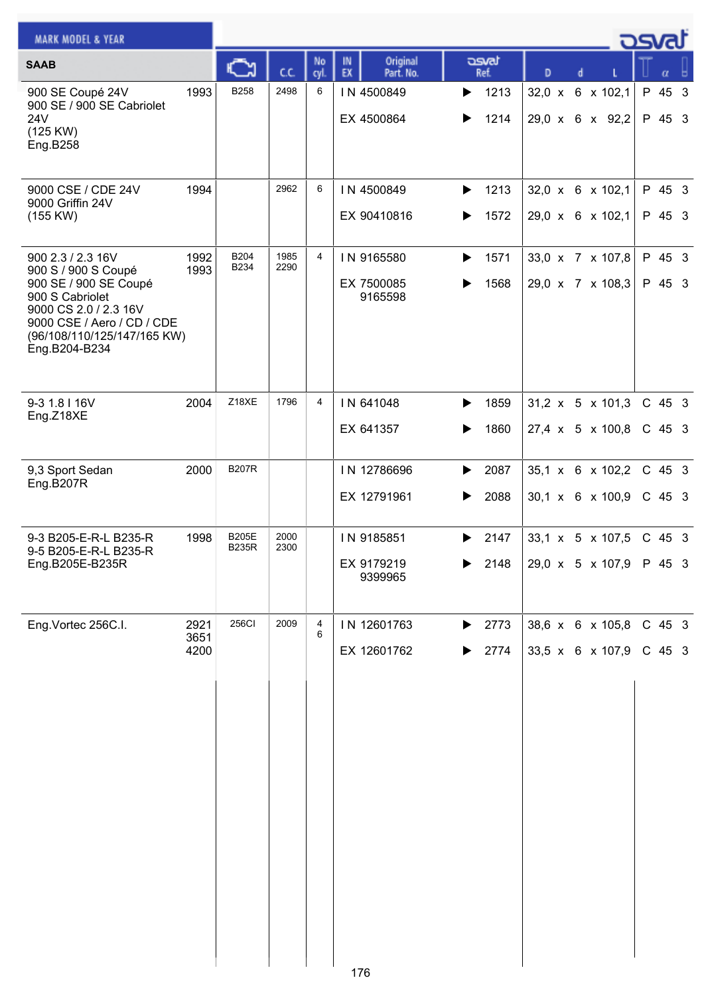| <b>MARK MODEL &amp; YEAR</b>                                                                                                                                                                |                      |                              |              |                |                                     |                                            |                                                  | <u>osvaľ</u>         |
|---------------------------------------------------------------------------------------------------------------------------------------------------------------------------------------------|----------------------|------------------------------|--------------|----------------|-------------------------------------|--------------------------------------------|--------------------------------------------------|----------------------|
| <b>SAAB</b>                                                                                                                                                                                 |                      | C٦                           | C.C.         | No<br>cyl.     | Original<br>IN<br>EX<br>Part. No.   | asvat<br>Ref.                              | D<br>d                                           | α                    |
| 900 SE Coupé 24V<br>900 SE / 900 SE Cabriolet<br>24V<br>(125 KW)<br>Eng.B258                                                                                                                | 1993                 | <b>B258</b>                  | 2498         | 6              | IN 4500849<br>EX 4500864            | 1213<br>▶<br>1214<br>▶                     | 32,0 x 6 x 102,1<br>29,0 x 6 x 92,2              | P 45 3<br>P 45 3     |
| 9000 CSE / CDE 24V<br>9000 Griffin 24V<br>(155 KW)                                                                                                                                          | 1994                 |                              | 2962         | 6              | IN 4500849<br>EX 90410816           | 1213<br>▶<br>1572<br>▶                     | 32,0 x 6 x 102,1<br>29,0 x 6 x 102,1             | P 45 3<br>P 45 3     |
| 900 2.3 / 2.3 16V<br>900 S / 900 S Coupé<br>900 SE / 900 SE Coupé<br>900 S Cabriolet<br>9000 CS 2.0 / 2.3 16V<br>9000 CSE / Aero / CD / CDE<br>(96/108/110/125/147/165 KW)<br>Eng.B204-B234 | 1992<br>1993         | <b>B204</b><br>B234          | 1985<br>2290 | $\overline{4}$ | IN 9165580<br>EX 7500085<br>9165598 | 1571<br>▶<br>1568<br>▶                     | 33,0 x 7 x 107,8<br>29,0 x 7 x 108,3             | P 45 3<br>P 45 3     |
| 9-3 1.8 I 16V<br>Eng.Z18XE                                                                                                                                                                  | 2004                 | Z18XE                        | 1796         | $\overline{4}$ | IN 641048<br>EX 641357              | 1859<br>▶<br>1860<br>▶                     | 31,2 x 5 x 101,3<br>27,4 x 5 x 100,8             | C 45 3<br>$C$ 45 3   |
| 9,3 Sport Sedan<br>Eng.B207R                                                                                                                                                                | 2000                 | <b>B207R</b>                 |              |                | IN 12786696<br>EX 12791961          | 2087<br>▶<br>2088<br>▶                     | 35,1 x 6 x 102,2<br>$30,1 \times 6 \times 100,9$ | C 45 3<br>$C$ 45 3   |
| 9-3 B205-E-R-L B235-R<br>9-5 B205-E-R-L B235-R<br>Eng.B205E-B235R                                                                                                                           | 1998                 | <b>B205E</b><br><b>B235R</b> | 2000<br>2300 |                | IN 9185851<br>EX 9179219<br>9399965 | 2147<br>▶<br>2148                          | $33.1 \times 5 \times 107.5$<br>29,0 x 5 x 107,9 | $C$ 45 3<br>P 45 3   |
| Eng.Vortec 256C.I.                                                                                                                                                                          | 2921<br>3651<br>4200 | <b>256CI</b>                 | 2009         | 4<br>6         | IN 12601763<br>EX 12601762<br>176   | 2773<br>$\blacktriangleright$<br>2774<br>▶ | 38,6 x 6 x 105,8<br>33,5 x 6 x 107,9             | $C$ 45 3<br>$C$ 45 3 |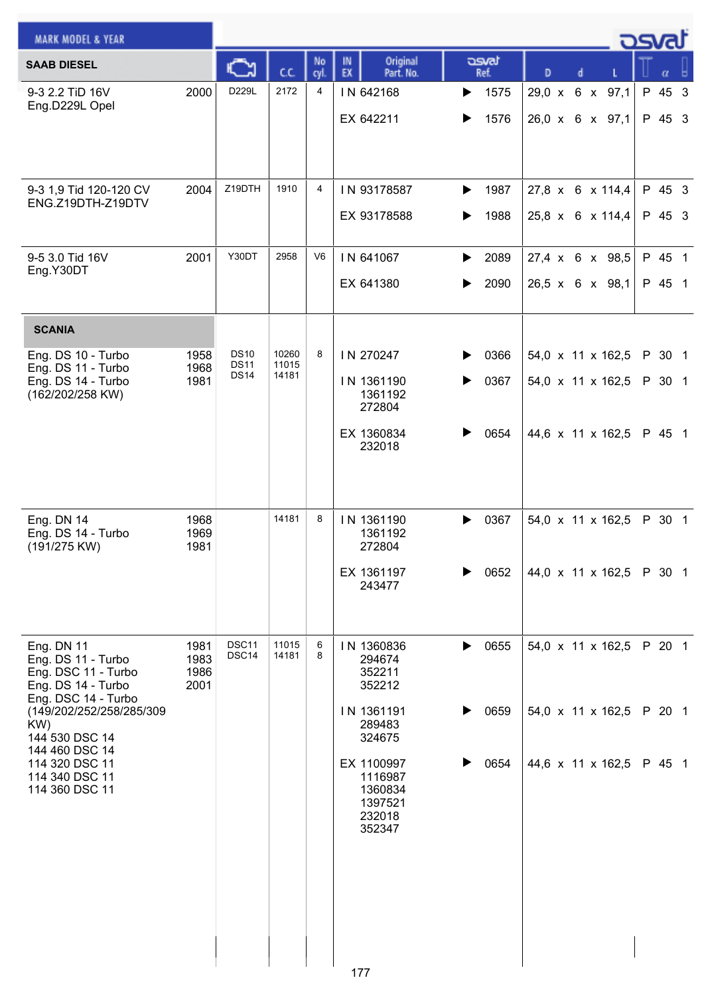| <b>MARK MODEL &amp; YEAR</b>                                                                                                                                                                                                             |                              |                                           |                         |                |                                                                                                                                               |                                |                                                             |  | كە                         |  |
|------------------------------------------------------------------------------------------------------------------------------------------------------------------------------------------------------------------------------------------|------------------------------|-------------------------------------------|-------------------------|----------------|-----------------------------------------------------------------------------------------------------------------------------------------------|--------------------------------|-------------------------------------------------------------|--|----------------------------|--|
| <b>SAAB DIESEL</b>                                                                                                                                                                                                                       |                              | C                                         | c.c.                    | No<br>cyl.     | Original<br>IN<br>EX<br>Part. No.                                                                                                             | asvat<br>Ref.                  | D<br>d                                                      |  | α                          |  |
| 9-3 2.2 TiD 16V<br>Eng.D229L Opel                                                                                                                                                                                                        | 2000                         | D229L                                     | 2172                    | 4              | IN 642168<br>EX 642211                                                                                                                        | 1575<br>▶<br>1576              | 29,0 x 6 x 97,1<br>26,0 x 6 x 97,1                          |  | P 45 3<br>P 45 3           |  |
| 9-3 1,9 Tid 120-120 CV<br>ENG.Z19DTH-Z19DTV                                                                                                                                                                                              | 2004                         | Z19DTH                                    | 1910                    | 4              | IN 93178587<br>EX 93178588                                                                                                                    | 1987<br>▶<br>1988              | 27,8 x 6 x 114,4<br>25,8 x 6 x 114,4                        |  | P 45 3<br>P 45 3           |  |
| 9-5 3.0 Tid 16V<br>Eng.Y30DT                                                                                                                                                                                                             | 2001                         | Y30DT                                     | 2958                    | V <sub>6</sub> | IN 641067<br>EX 641380                                                                                                                        | 2089<br>▶<br>2090<br>▶         | 27,4 x 6 x 98,5<br>26,5 x 6 x 98,1                          |  | P 45 1<br>P 45 1           |  |
| <b>SCANIA</b><br>Eng. DS 10 - Turbo<br>Eng. DS 11 - Turbo<br>Eng. DS 14 - Turbo<br>(162/202/258 KW)                                                                                                                                      | 1958<br>1968<br>1981         | <b>DS10</b><br><b>DS11</b><br><b>DS14</b> | 10260<br>11015<br>14181 | 8              | IN 270247<br>IN 1361190<br>1361192<br>272804<br>EX 1360834<br>232018                                                                          | 0366<br>0367<br>▶<br>0654      | 54,0 x 11 x 162,5<br>54,0 x 11 x 162,5<br>44,6 x 11 x 162,5 |  | P 30 1<br>P 30 1<br>P 45 1 |  |
| Eng. DN 14<br>Eng. DS 14 - Turbo<br>(191/275 KW)                                                                                                                                                                                         | 1968<br>1969<br>1981         |                                           | 14181                   | 8              | IN 1361190<br>1361192<br>272804<br>EX 1361197<br>243477                                                                                       | 0367<br>▶<br>0652              | 54,0 x 11 x 162,5<br>44,0 x 11 x 162,5                      |  | P 30 1<br>P 30 1           |  |
| <b>Eng. DN 11</b><br>Eng. DS 11 - Turbo<br>Eng. DSC 11 - Turbo<br>Eng. DS 14 - Turbo<br>Eng. DSC 14 - Turbo<br>(149/202/252/258/285/309<br>KW)<br>144 530 DSC 14<br>144 460 DSC 14<br>114 320 DSC 11<br>114 340 DSC 11<br>114 360 DSC 11 | 1981<br>1983<br>1986<br>2001 | DSC <sub>11</sub><br>DSC14                | 11015<br>14181          | 6<br>8         | IN 1360836<br>294674<br>352211<br>352212<br>IN 1361191<br>289483<br>324675<br>EX 1100997<br>1116987<br>1360834<br>1397521<br>232018<br>352347 | 0655<br>▶<br>0659<br>0654<br>▶ | 54,0 x 11 x 162,5<br>54,0 x 11 x 162,5<br>44,6 x 11 x 162,5 |  | P 20 1<br>P 20 1<br>P 45 1 |  |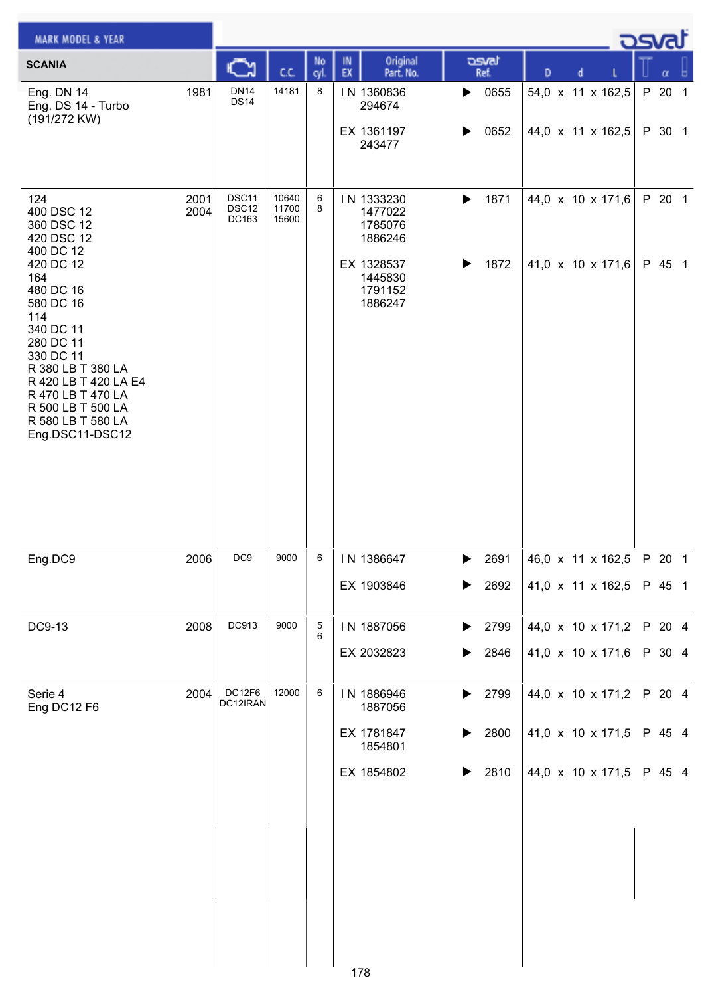| <b>MARK MODEL &amp; YEAR</b>                                                                                                                                                                                                                                                          |              |                            |                         |            |                                                                                            |                                                                |                                        | ك <i>osv</i> a   |
|---------------------------------------------------------------------------------------------------------------------------------------------------------------------------------------------------------------------------------------------------------------------------------------|--------------|----------------------------|-------------------------|------------|--------------------------------------------------------------------------------------------|----------------------------------------------------------------|----------------------------------------|------------------|
| <b>SCANIA</b>                                                                                                                                                                                                                                                                         |              | C                          | cc                      | No<br>cyl. | Original<br>IN<br>EX<br>Part. No.                                                          | asvat<br>Ref.                                                  | D<br>d                                 | α                |
| Eng. DN 14<br>Eng. DS 14 - Turbo<br>(191/272 KW)                                                                                                                                                                                                                                      | 1981         | <b>DN14</b><br><b>DS14</b> | 14181                   | 8          | IN 1360836<br>294674<br>EX 1361197<br>243477                                               | 0655<br>$\blacktriangleright$<br>0652<br>▶                     | 54,0 x 11 x 162,5<br>44,0 x 11 x 162,5 | P 20 1<br>P 30 1 |
| 124<br>400 DSC 12<br>360 DSC 12<br>420 DSC 12<br>400 DC 12<br>420 DC 12<br>164<br>480 DC 16<br>580 DC 16<br>114<br>340 DC 11<br>280 DC 11<br>330 DC 11<br>R 380 LB T 380 LA<br>R 420 LB T 420 LA E4<br>R 470 LB T 470 LA<br>R 500 LB T 500 LA<br>R 580 LB T 580 LA<br>Eng.DSC11-DSC12 | 2001<br>2004 | DSC11<br>DSC12<br>DC163    | 10640<br>11700<br>15600 | 6<br>8     | IN 1333230<br>1477022<br>1785076<br>1886246<br>EX 1328537<br>1445830<br>1791152<br>1886247 | 1871<br>$\blacktriangleright$<br>$\blacktriangleright$<br>1872 | 44,0 x 10 x 171,6<br>41,0 x 10 x 171,6 | P 20 1<br>P 45 1 |
| Eng.DC9                                                                                                                                                                                                                                                                               | 2006         | DC <sub>9</sub>            | 9000                    | 6          | IN 1386647                                                                                 | 2691<br>$\blacktriangleright$                                  | 46,0 x 11 x 162,5                      | P 20 1           |
|                                                                                                                                                                                                                                                                                       |              |                            |                         |            | EX 1903846                                                                                 | 2692<br>▶                                                      | 41,0 x 11 x 162,5                      | P 45 1           |
| DC9-13                                                                                                                                                                                                                                                                                | 2008         | DC913                      | 9000                    | 5<br>6     | IN 1887056<br>EX 2032823                                                                   | 2799<br>▶<br>2846<br>▶                                         | 44,0 x 10 x 171,2<br>41,0 x 10 x 171,6 | P 20 4<br>P 30 4 |
| Serie 4<br>Eng DC12 F6                                                                                                                                                                                                                                                                | 2004         | DC12F6<br>DC12IRAN         | 12000                   | 6          | IN 1886946<br>1887056                                                                      | 2799<br>$\blacktriangleright$                                  | 44,0 x 10 x 171,2                      | P 20 4           |
|                                                                                                                                                                                                                                                                                       |              |                            |                         |            | EX 1781847<br>1854801                                                                      | 2800<br>▶                                                      | 41,0 x 10 x 171,5                      | P 45 4           |
|                                                                                                                                                                                                                                                                                       |              |                            |                         |            | EX 1854802                                                                                 | 2810<br>▶                                                      | 44,0 x 10 x 171,5                      | P 45 4           |
|                                                                                                                                                                                                                                                                                       |              |                            |                         |            | 178                                                                                        |                                                                |                                        |                  |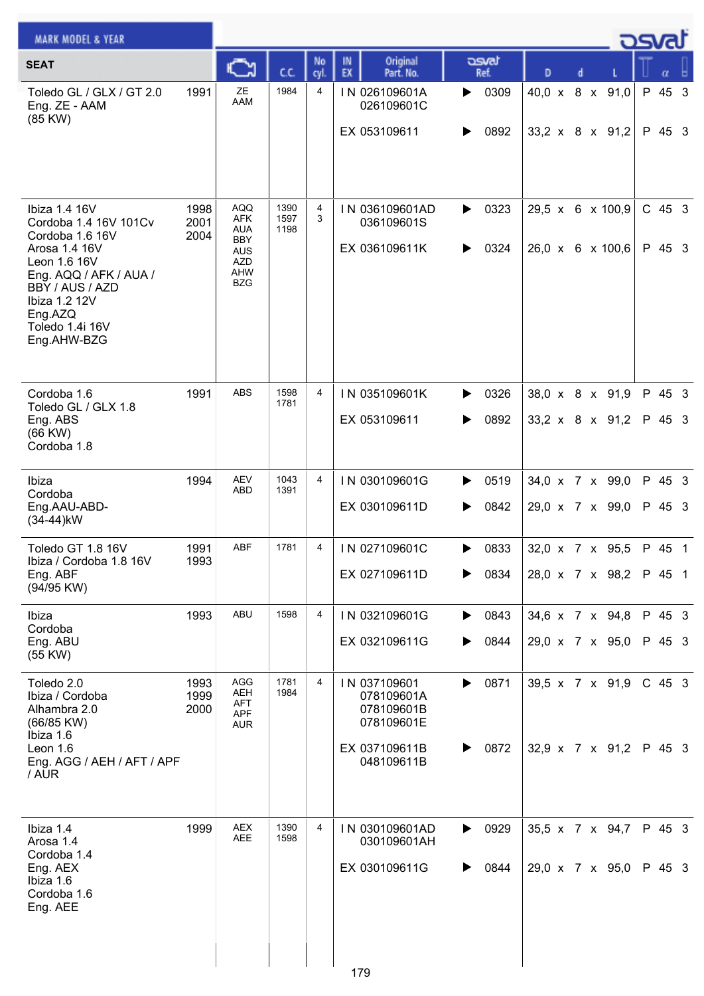| <b>MARK MODEL &amp; YEAR</b>                                                                                                                                                                          |                      |                                                                                                |                      |                |                                                                                       |                        |   |                                                | كت المرك           |
|-------------------------------------------------------------------------------------------------------------------------------------------------------------------------------------------------------|----------------------|------------------------------------------------------------------------------------------------|----------------------|----------------|---------------------------------------------------------------------------------------|------------------------|---|------------------------------------------------|--------------------|
| <b>SEAT</b>                                                                                                                                                                                           |                      | C٦                                                                                             | CC.                  | No<br>cyl.     | Original<br>IN<br>EX<br>Part. No.                                                     | asvat<br>Ref.          | D |                                                | α                  |
| Toledo GL / GLX / GT 2.0<br>Eng. ZE - AAM<br>(85 KW)                                                                                                                                                  | 1991                 | ZE<br>AAM                                                                                      | 1984                 | $\overline{4}$ | IN 026109601A<br>026109601C<br>EX 053109611                                           | 0309<br>▶<br>0892<br>▶ |   | 40,0 x 8 x 91,0<br>33,2 x 8 x 91,2             | P 45 3<br>P 45 3   |
| Ibiza 1.4 16V<br>Cordoba 1.4 16V 101Cv<br>Cordoba 1.6 16V<br>Arosa 1.4 16V<br>Leon 1.6 16V<br>Eng. AQQ / AFK / AUA /<br>BBY / AUS / AZD<br>Ibiza 1.2 12V<br>Eng.AZQ<br>Toledo 1.4i 16V<br>Eng.AHW-BZG | 1998<br>2001<br>2004 | <b>AQQ</b><br>AFK<br><b>AUA</b><br><b>BBY</b><br><b>AUS</b><br><b>AZD</b><br>AHW<br><b>BZG</b> | 1390<br>1597<br>1198 | 4<br>3         | IN 036109601AD<br>036109601S<br>EX 036109611K                                         | 0323<br>▶<br>0324<br>▶ |   | 29,5 x 6 x 100,9<br>26,0 x 6 x 100,6           | $C$ 45 3<br>P 45 3 |
| Cordoba 1.6<br>Toledo GL / GLX 1.8<br>Eng. ABS<br>$(66$ KW $)$<br>Cordoba 1.8                                                                                                                         | 1991                 | <b>ABS</b>                                                                                     | 1598<br>1781         | $\overline{4}$ | IN 035109601K<br>EX 053109611                                                         | 0326<br>▶<br>0892<br>▶ |   | 38,0 x 8 x 91,9<br>$33,2 \times 8 \times 91,2$ | P 45 3<br>P 45 3   |
| Ibiza<br>Cordoba<br>Eng.AAU-ABD-<br>$(34-44)$ kW                                                                                                                                                      | 1994                 | <b>AEV</b><br><b>ABD</b>                                                                       | 1043<br>1391         | $\overline{4}$ | IN 030109601G<br>EX 030109611D                                                        | 0519<br>▶<br>0842<br>▶ |   | 34,0 x 7 x 99,0<br>29,0 x 7 x 99,0             | P 45 3<br>P 45 3   |
| Toledo GT 1.8 16V<br>Ibiza / Cordoba 1.8 16V<br>Eng. ABF<br>(94/95 KW)                                                                                                                                | 1991<br>1993         | <b>ABF</b>                                                                                     | 1781                 | 4              | IN 027109601C<br>EX 027109611D                                                        | 0833<br>▶<br>0834<br>▶ |   | 32,0 x 7 x 95,5<br>28,0 x 7 x 98,2             | P 45 1<br>P 45 1   |
| Ibiza<br>Cordoba<br>Eng. ABU<br>(55 KW)                                                                                                                                                               | 1993                 | ABU                                                                                            | 1598                 | 4              | IN 032109601G<br>EX 032109611G                                                        | 0843<br>▶<br>0844<br>▶ |   | 34,6 x 7 x 94,8<br>29,0 x 7 x 95,0             | P 45 3<br>P 45 3   |
| Toledo 2.0<br>Ibiza / Cordoba<br>Alhambra 2.0<br>(66/85 KW)<br>Ibiza 1.6<br>Leon 1.6<br>Eng. AGG / AEH / AFT / APF<br>/ AUR                                                                           | 1993<br>1999<br>2000 | AGG<br><b>AEH</b><br><b>AFT</b><br>APF<br><b>AUR</b>                                           | 1781<br>1984         | 4              | IN 037109601<br>078109601A<br>078109601B<br>078109601E<br>EX 037109611B<br>048109611B | 0871<br>▶<br>0872<br>▶ |   | 39,5 x 7 x 91,9<br>32,9 x 7 x 91,2             | $C$ 45 3<br>P 45 3 |
| Ibiza 1.4<br>Arosa 1.4<br>Cordoba 1.4<br>Eng. AEX<br>Ibiza 1.6<br>Cordoba 1.6<br>Eng. AEE                                                                                                             | 1999                 | <b>AEX</b><br><b>AEE</b>                                                                       | 1390<br>1598         | 4              | IN 030109601AD<br>030109601AH<br>EX 030109611G<br>179                                 | 0929<br>▶<br>0844<br>▶ |   | 35,5 x 7 x 94,7<br>29,0 x 7 x 95,0             | P 45 3<br>P 45 3   |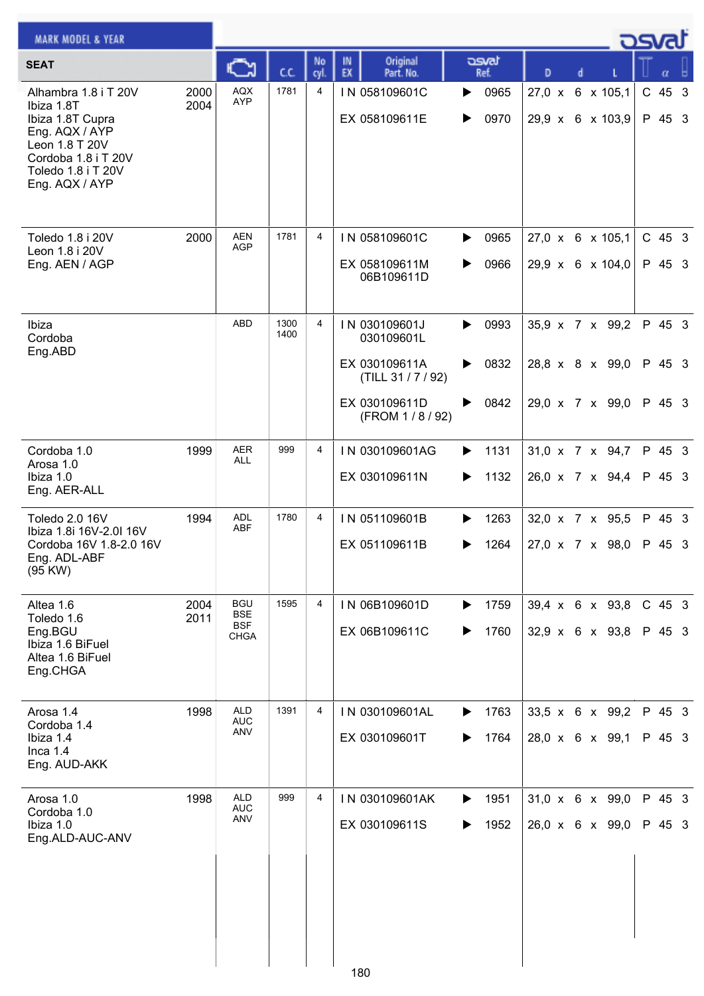| <b>MARK MODEL &amp; YEAR</b>                                                                                                                              |              |                                                |              |                |                                                                                                      |                                     |                                                            |   |  | osvat                      |  |
|-----------------------------------------------------------------------------------------------------------------------------------------------------------|--------------|------------------------------------------------|--------------|----------------|------------------------------------------------------------------------------------------------------|-------------------------------------|------------------------------------------------------------|---|--|----------------------------|--|
| <b>SEAT</b>                                                                                                                                               |              | с                                              | C.C.         | No<br>cyl.     | Original<br>IN<br>EX<br>Part. No.                                                                    | asvat<br>Ref.                       | D                                                          | d |  | α                          |  |
| Alhambra 1.8 i T 20V<br>Ibiza 1.8T<br>Ibiza 1.8T Cupra<br>Eng. AQX / AYP<br>Leon 1.8 T 20V<br>Cordoba 1.8 i T 20V<br>Toledo 1.8 i T 20V<br>Eng. AQX / AYP | 2000<br>2004 | <b>AQX</b><br><b>AYP</b>                       | 1781         | 4              | IN 058109601C<br>EX 058109611E                                                                       | 0965<br>▶<br>0970<br>▶              | 27,0 x 6 x 105,1<br>29,9 x 6 x 103,9                       |   |  | $C$ 45 3<br>P 45 3         |  |
| Toledo 1.8 i 20V<br>Leon 1.8 i 20V<br>Eng. AEN / AGP                                                                                                      | 2000         | <b>AEN</b><br><b>AGP</b>                       | 1781         | 4              | IN 058109601C<br>EX 058109611M<br>06B109611D                                                         | 0965<br>▶<br>0966<br>▶              | 27,0 x 6 x 105,1<br>29,9 x 6 x 104,0                       |   |  | C 45 3<br>P 45 3           |  |
| Ibiza<br>Cordoba<br>Eng.ABD                                                                                                                               |              | <b>ABD</b>                                     | 1300<br>1400 | $\overline{4}$ | IN 030109601J<br>030109601L<br>EX 030109611A<br>(TILL 31 / 7 / 92)<br>EX 030109611D<br>(FROM 1/8/92) | 0993<br>▶<br>0832<br>▶<br>0842<br>▶ | 35,9 x 7 x 99,2<br>28,8 x 8 x 99,0<br>29,0 x 7 x 99,0      |   |  | P 45 3<br>P 45 3<br>P 45 3 |  |
| Cordoba 1.0<br>Arosa 1.0<br>Ibiza 1.0<br>Eng. AER-ALL                                                                                                     | 1999         | <b>AER</b><br>ALL                              | 999          | 4              | IN 030109601AG<br>EX 030109611N                                                                      | 1131<br>▶<br>1132<br>▶              | 31,0 x 7 x 94,7<br>26,0 x 7 x 94,4                         |   |  | P 45 3<br>P 45 3           |  |
| Toledo 2.0 16V<br>Ibiza 1.8i 16V-2.0l 16V<br>Cordoba 16V 1.8-2.0 16V<br>Eng. ADL-ABF<br>(95 KW)                                                           | 1994         | <b>ADL</b><br><b>ABF</b>                       | 1780         | 4              | IN 051109601B<br>EX 051109611B                                                                       | 1263<br>▶<br>1264<br>▶              | 32,0 x 7 x 95,5<br>27,0 x 7 x 98,0                         |   |  | P 45 3<br>P 45 3           |  |
| Altea 1.6<br>Toledo 1.6<br>Eng.BGU<br>Ibiza 1.6 BiFuel<br>Altea 1.6 BiFuel<br>Eng.CHGA                                                                    | 2004<br>2011 | <b>BGU</b><br><b>BSE</b><br><b>BSF</b><br>CHGA | 1595         | 4              | IN 06B109601D<br>EX 06B109611C                                                                       | 1759<br>▶<br>1760<br>▶              | $39,4 \times 6 \times 93,8$<br>$32,9 \times 6 \times 93,8$ |   |  | $C$ 45 3<br>P 45 3         |  |
| Arosa 1.4<br>Cordoba 1.4<br>Ibiza 1.4<br>Inca $1.4$<br>Eng. AUD-AKK                                                                                       | 1998         | <b>ALD</b><br><b>AUC</b><br>ANV                | 1391         | 4              | IN 030109601AL<br>EX 030109601T                                                                      | 1763<br>▶<br>1764<br>▶              | 33,5 x 6 x 99,2<br>28,0 x 6 x 99,1                         |   |  | P 45 3<br>P 45 3           |  |
| Arosa 1.0<br>Cordoba 1.0<br>Ibiza 1.0<br>Eng.ALD-AUC-ANV                                                                                                  | 1998         | <b>ALD</b><br><b>AUC</b><br>ANV                | 999          | 4              | IN 030109601AK<br>EX 030109611S                                                                      | 1951<br>▶<br>1952<br>▶              | $31,0 \times 6 \times 99,0$<br>26,0 x 6 x 99,0             |   |  | P 45 3<br>P 45 3           |  |
|                                                                                                                                                           |              |                                                |              |                | 180                                                                                                  |                                     |                                                            |   |  |                            |  |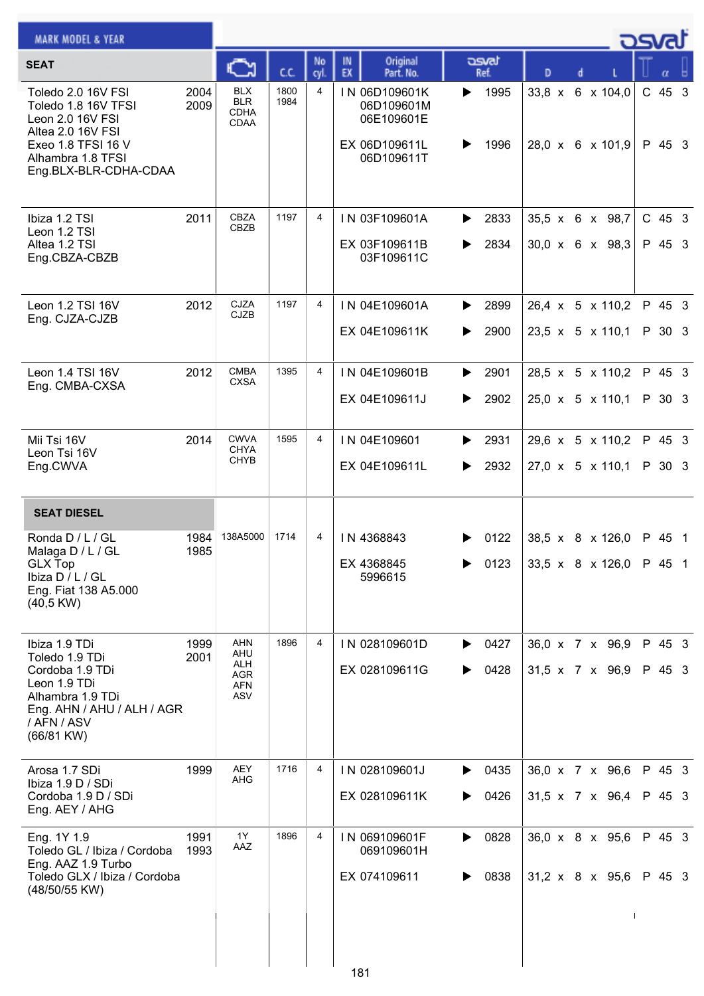| <b>MARK MODEL &amp; YEAR</b>                                                                                                                           |              |                                                 |              |            |                                                                          |                        |                                                  |   |  | كمحت               |  |
|--------------------------------------------------------------------------------------------------------------------------------------------------------|--------------|-------------------------------------------------|--------------|------------|--------------------------------------------------------------------------|------------------------|--------------------------------------------------|---|--|--------------------|--|
| <b>SEAT</b>                                                                                                                                            |              | C٦                                              | c.c.         | No<br>cyl. | Original<br>IN<br>EX<br>Part. No.                                        | asvat<br>Ref.          | D                                                | d |  |                    |  |
| Toledo 2.0 16V FSI<br>Toledo 1.8 16V TFSI<br>Leon 2.0 16V FSI<br>Altea 2.0 16V FSI<br>Exeo 1.8 TFSI 16 V<br>Alhambra 1.8 TFSI<br>Eng.BLX-BLR-CDHA-CDAA | 2004<br>2009 | <b>BLX</b><br><b>BLR</b><br><b>CDHA</b><br>CDAA | 1800<br>1984 | 4          | IN 06D109601K<br>06D109601M<br>06E109601E<br>EX 06D109611L<br>06D109611T | 1995<br>▶<br>1996      | 33,8 x 6 x 104,0<br>28,0 x 6 x 101,9             |   |  | $C$ 45 3<br>P 45 3 |  |
| Ibiza 1.2 TSI<br>Leon 1.2 TSI<br>Altea 1.2 TSI<br>Eng.CBZA-CBZB                                                                                        | 2011         | CBZA<br>CBZB                                    | 1197         | 4          | IN 03F109601A<br>EX 03F109611B<br>03F109611C                             | 2833<br>▶<br>2834<br>▶ | 35,5 x 6 x 98,7<br>$30,0 \times 6 \times 98,3$   |   |  | $C$ 45 3<br>P 45 3 |  |
| Leon 1.2 TSI 16V<br>Eng. CJZA-CJZB                                                                                                                     | 2012         | <b>CJZA</b><br><b>CJZB</b>                      | 1197         | 4          | IN 04E109601A<br>EX 04E109611K                                           | 2899<br>▶<br>2900<br>▶ | 26,4 x 5 x 110,2<br>23,5 x 5 x 110,1             |   |  | P 45 3<br>P 30 3   |  |
| Leon 1.4 TSI 16V<br>Eng. CMBA-CXSA                                                                                                                     | 2012         | <b>CMBA</b><br><b>CXSA</b>                      | 1395         | 4          | IN 04E109601B<br>EX 04E109611J                                           | 2901<br>▶<br>2902<br>▶ | 28,5 x 5 x 110,2<br>25,0 x 5 x 110,1             |   |  | P 45 3<br>P 30 3   |  |
| Mii Tsi 16V<br>Leon Tsi 16V<br>Eng.CWVA                                                                                                                | 2014         | <b>CWVA</b><br><b>CHYA</b><br><b>CHYB</b>       | 1595         | 4          | IN 04E109601<br>EX 04E109611L                                            | 2931<br>▶<br>2932<br>▶ | 29,6 x 5 x 110,2<br>$27,0 \times 5 \times 110,1$ |   |  | P 45 3<br>P 30 3   |  |
| <b>SEAT DIESEL</b>                                                                                                                                     |              |                                                 |              |            |                                                                          |                        |                                                  |   |  |                    |  |
| Ronda D / L / GL<br>Malaga D / L / GL<br><b>GLX Top</b><br>Ibiza D / L / GL<br>Eng. Fiat 138 A5.000<br>$(40,5 \text{ KW})$                             | 1984<br>1985 | 138A5000                                        | 1714         | 4          | IN 4368843<br>EX 4368845<br>5996615                                      | 0122<br>▶<br>0123      | 38,5 x 8 x 126,0<br>33,5 x 8 x 126,0             |   |  | P 45 1<br>P 45 1   |  |
| Ibiza 1.9 TDi<br>Toledo 1.9 TDi<br>Cordoba 1.9 TDi<br>Leon 1.9 TDi<br>Alhambra 1.9 TDi<br>Eng. AHN / AHU / ALH / AGR<br>/ AFN / ASV<br>$(66/81$ KW)    | 1999<br>2001 | AHN<br>AHU<br>ALH<br><b>AGR</b><br>AFN<br>ASV   | 1896         | 4          | IN 028109601D<br>EX 028109611G                                           | 0427<br>▶<br>0428<br>▶ | 36,0 x 7 x 96,9<br>31,5 x 7 x 96,9               |   |  | P 45 3<br>P 45 3   |  |
| Arosa 1.7 SDi<br>Ibiza 1.9 D / SDi<br>Cordoba 1.9 D / SDi<br>Eng. AEY / AHG                                                                            | 1999         | AEY<br>AHG                                      | 1716         | 4          | IN 028109601J<br>EX 028109611K                                           | 0435<br>▶<br>0426<br>▶ | 36,0 x 7 x 96,6<br>31,5 x 7 x 96,4               |   |  | P 45 3<br>P 45 3   |  |
| Eng. 1Y 1.9<br>Toledo GL / Ibiza / Cordoba<br>Eng. AAZ 1.9 Turbo<br>Toledo GLX / Ibiza / Cordoba<br>(48/50/55 KW)                                      | 1991<br>1993 | 1Y<br>AAZ                                       | 1896         | 4          | IN 069109601F<br>069109601H<br>EX 074109611                              | 0828<br>▶<br>0838<br>▶ | 36,0 x 8 x 95,6<br>$31,2 \times 8 \times 95,6$   |   |  | P 45 3<br>P 45 3   |  |
|                                                                                                                                                        |              |                                                 |              |            | 181                                                                      |                        |                                                  |   |  |                    |  |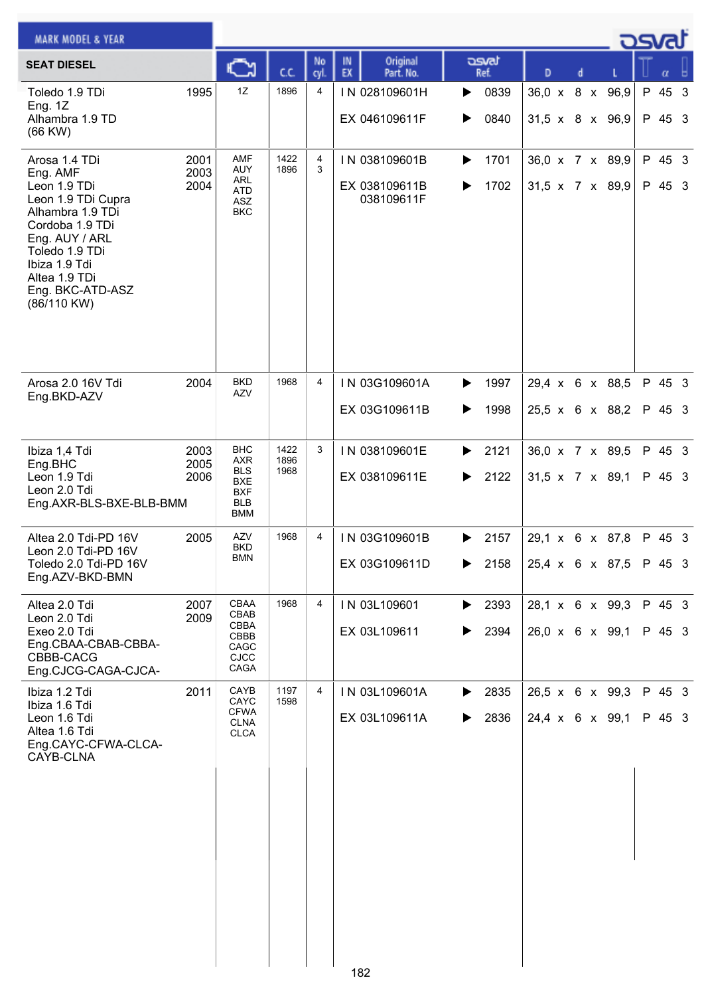| <b>MARK MODEL &amp; YEAR</b>                                                                                                                                                                                    |                      |                                                                                  |                      |                |                                              |                        |                 |                                    | asvar |                  |  |
|-----------------------------------------------------------------------------------------------------------------------------------------------------------------------------------------------------------------|----------------------|----------------------------------------------------------------------------------|----------------------|----------------|----------------------------------------------|------------------------|-----------------|------------------------------------|-------|------------------|--|
| <b>SEAT DIESEL</b>                                                                                                                                                                                              |                      |                                                                                  | cc                   | No<br>cyl.     | Original<br>IN<br>EX<br>Part. No.            | asvat<br>Ref.          | D               |                                    |       |                  |  |
| Toledo 1.9 TDi<br>Eng. $1Z$<br>Alhambra 1.9 TD<br>$(66$ KW $)$                                                                                                                                                  | 1995                 | 1Z                                                                               | 1896                 | 4              | IN 028109601H<br>EX 046109611F               | 0839<br>▶<br>0840<br>▶ |                 | 36,0 x 8 x 96,9<br>31,5 x 8 x 96,9 |       | P 45 3<br>P 45 3 |  |
| Arosa 1.4 TDi<br>Eng. AMF<br>Leon 1.9 TDi<br>Leon 1.9 TDi Cupra<br>Alhambra 1.9 TDi<br>Cordoba 1.9 TDi<br>Eng. AUY / ARL<br>Toledo 1.9 TDi<br>Ibiza 1.9 Tdi<br>Altea 1.9 TDi<br>Eng. BKC-ATD-ASZ<br>(86/110 KW) | 2001<br>2003<br>2004 | AMF<br><b>AUY</b><br>ARL<br>ATD<br>ASZ<br><b>BKC</b>                             | 1422<br>1896         | 4<br>3         | IN 038109601B<br>EX 038109611B<br>038109611F | 1701<br>▶<br>1702      |                 | 36,0 x 7 x 89,9<br>31,5 x 7 x 89,9 |       | P 45 3<br>P 45 3 |  |
| Arosa 2.0 16V Tdi<br>Eng.BKD-AZV                                                                                                                                                                                | 2004                 | <b>BKD</b><br><b>AZV</b>                                                         | 1968                 | $\overline{4}$ | IN 03G109601A<br>EX 03G109611B               | 1997<br>▶<br>1998<br>▶ | 29,4 x 6 x 88,5 | 25,5 x 6 x 88,2                    |       | P 45 3<br>P 45 3 |  |
| Ibiza 1,4 Tdi<br>Eng.BHC<br>Leon 1.9 Tdi<br>Leon 2.0 Tdi<br>Eng.AXR-BLS-BXE-BLB-BMM                                                                                                                             | 2003<br>2005<br>2006 | BHC<br>AXR<br><b>BLS</b><br><b>BXE</b><br><b>BXF</b><br><b>BLB</b><br><b>BMM</b> | 1422<br>1896<br>1968 | 3              | IN 038109601E<br>EX 038109611E               | 2121<br>▶<br>2122<br>▶ | 31,5 x 7 x 89,1 | 36,0 x 7 x 89,5                    |       | P 45 3<br>P 45 3 |  |
| Altea 2.0 Tdi-PD 16V<br>Leon 2.0 Tdi-PD 16V<br>Toledo 2.0 Tdi-PD 16V<br>Eng.AZV-BKD-BMN                                                                                                                         | 2005                 | AZV<br>BKD<br><b>BMN</b>                                                         | 1968                 | 4              | IN 03G109601B<br>EX 03G109611D               | 2157<br>▶<br>2158<br>▶ |                 | 29,1 x 6 x 87,8<br>25,4 x 6 x 87,5 |       | P 45 3<br>P 45 3 |  |
| Altea 2.0 Tdi<br>Leon 2.0 Tdi<br>Exeo 2.0 Tdi<br>Eng.CBAA-CBAB-CBBA-<br>CBBB-CACG<br>Eng.CJCG-CAGA-CJCA-                                                                                                        | 2007<br>2009         | CBAA<br>CBAB<br><b>CBBA</b><br>CBBB<br>CAGC<br>CJCC<br>CAGA                      | 1968                 | 4              | IN 03L109601<br>EX 03L109611                 | 2393<br>▶<br>2394<br>▶ |                 | 28,1 x 6 x 99,3<br>26,0 x 6 x 99,1 |       | P 45 3<br>P 45 3 |  |
| Ibiza 1.2 Tdi<br>Ibiza 1.6 Tdi<br>Leon 1.6 Tdi<br>Altea 1.6 Tdi<br>Eng.CAYC-CFWA-CLCA-<br>CAYB-CLNA                                                                                                             | 2011                 | CAYB<br>CAYC<br><b>CFWA</b><br><b>CLNA</b><br><b>CLCA</b>                        | 1197<br>1598         | $\overline{4}$ | IN 03L109601A<br>EX 03L109611A               | 2835<br>▶<br>2836      |                 | 26,5 x 6 x 99,3<br>24,4 x 6 x 99,1 |       | P 45 3<br>P 45 3 |  |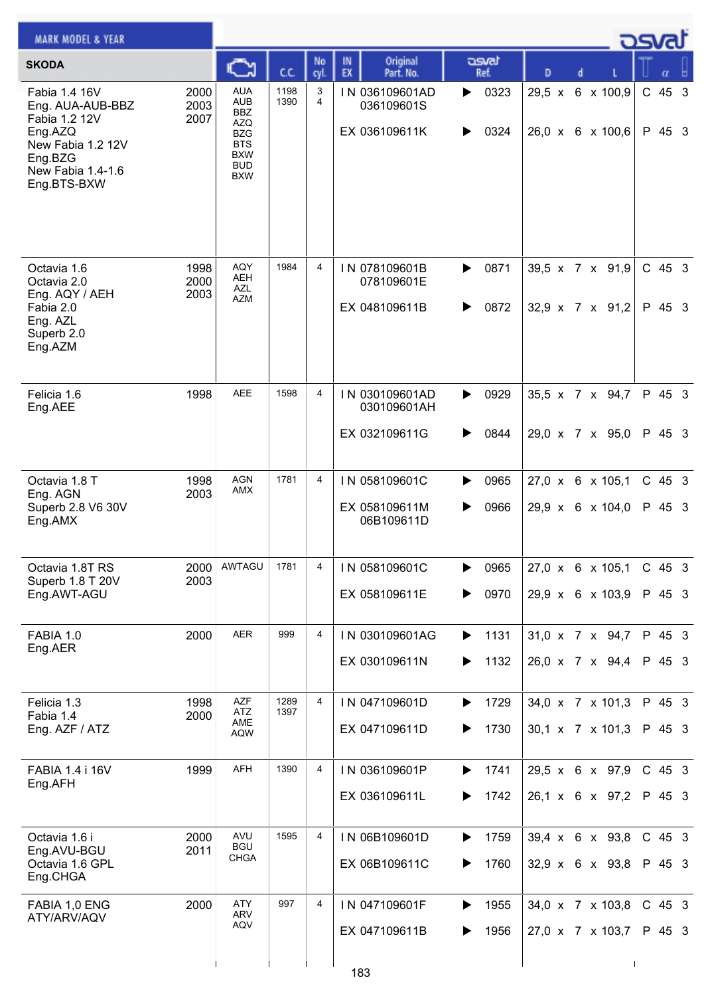| <b>MARK MODEL &amp; YEAR</b>                                                                                                      |                      |                                                                                                                            |              |                |                                                |                        |                                                  |           | osval |                    |  |
|-----------------------------------------------------------------------------------------------------------------------------------|----------------------|----------------------------------------------------------------------------------------------------------------------------|--------------|----------------|------------------------------------------------|------------------------|--------------------------------------------------|-----------|-------|--------------------|--|
| <b>SKODA</b>                                                                                                                      |                      |                                                                                                                            | ĊĊ.          | No<br>cyl      | Original<br>IN<br>EX<br>Part. No.              | asvat<br>Ref.          | D                                                |           |       |                    |  |
| Fabia 1.4 16V<br>Eng. AUA-AUB-BBZ<br>Fabia 1.2 12V<br>Eng.AZQ<br>New Fabia 1.2 12V<br>Eng.BZG<br>New Fabia 1.4-1.6<br>Eng.BTS-BXW | 2000<br>2003<br>2007 | <b>AUA</b><br><b>AUB</b><br><b>BBZ</b><br><b>AZQ</b><br><b>BZG</b><br><b>BTS</b><br><b>BXW</b><br><b>BUD</b><br><b>BXW</b> | 1198<br>1390 | 3<br>4         | IN 036109601AD<br>036109601S<br>EX 036109611K  | 0323<br>▶<br>0324<br>▶ | $29,5 \times$<br>26,0 x 6 x 100,6                | 6 x 100,9 |       | $C$ 45 3<br>P 45 3 |  |
| Octavia 1.6<br>Octavia 2.0<br>Eng. AQY / AEH<br>Fabia 2.0<br>Eng. AZL<br>Superb 2.0<br>Eng.AZM                                    | 1998<br>2000<br>2003 | AQY<br><b>AEH</b><br>AZL<br><b>AZM</b>                                                                                     | 1984         | 4              | IN 078109601B<br>078109601E<br>EX 048109611B   | 0871<br>▶<br>0872<br>▶ | 39,5 x 7 x 91,9<br>$32,9 \times 7 \times 91,2$   |           |       | $C$ 45 3<br>P 45 3 |  |
| Felicia 1.6<br>Eng.AEE                                                                                                            | 1998                 | <b>AEE</b>                                                                                                                 | 1598         | 4              | IN 030109601AD<br>030109601AH<br>EX 032109611G | 0929<br>▶<br>0844<br>▶ | 35,5 x 7 x 94,7<br>29,0 x 7 x 95,0               |           |       | P 45 3<br>P 45 3   |  |
| Octavia 1.8 T<br>Eng. AGN<br>Superb 2.8 V6 30V<br>Eng.AMX                                                                         | 1998<br>2003         | AGN<br>AMX                                                                                                                 | 1781         | $\overline{4}$ | IN 058109601C<br>EX 058109611M<br>06B109611D   | 0965<br>0966<br>▶      | 27,0 x 6 x 105,1<br>29,9 x 6 x 104,0             |           |       | $C$ 45 3<br>P 45 3 |  |
| Octavia 1.8T RS<br>Superb 1.8 T 20V<br>Eng.AWT-AGU                                                                                | 2000<br>2003         | AWTAGU                                                                                                                     | 1781         | 4              | IN 058109601C<br>EX 058109611E                 | 0965<br>▶<br>0970<br>▶ | 27,0 x 6 x 105,1<br>29,9 x 6 x 103,9             |           |       | $C$ 45 3<br>P 45 3 |  |
| FABIA 1.0<br>Eng.AER                                                                                                              | 2000                 | AER                                                                                                                        | 999          | 4              | IN 030109601AG<br>EX 030109611N                | 1131<br>▶<br>1132<br>▶ | 31,0 x 7 x 94,7<br>26,0 x 7 x 94,4               |           |       | P 45 3<br>P 45 3   |  |
| Felicia 1.3<br>Fabia 1.4<br>Eng. AZF / ATZ                                                                                        | 1998<br>2000         | <b>AZF</b><br>ATZ<br>AME<br><b>AQW</b>                                                                                     | 1289<br>1397 | $\overline{4}$ | IN 047109601D<br>EX 047109611D                 | 1729<br>▶<br>1730<br>▶ | 34,0 x 7 x 101,3<br>$30,1 \times 7 \times 101,3$ |           |       | P 45 3<br>P 45 3   |  |
| FABIA 1.4 i 16V<br>Eng.AFH                                                                                                        | 1999                 | <b>AFH</b>                                                                                                                 | 1390         | 4              | IN 036109601P<br>EX 036109611L                 | 1741<br>▶<br>1742<br>▶ | 29,5 x 6 x 97,9<br>26,1 x 6 x 97,2               |           |       | C 45 3<br>P 45 3   |  |
| Octavia 1.6 i<br>Eng.AVU-BGU<br>Octavia 1.6 GPL<br>Eng.CHGA                                                                       | 2000<br>2011         | AVU<br><b>BGU</b><br><b>CHGA</b>                                                                                           | 1595         | 4              | IN 06B109601D<br>EX 06B109611C                 | 1759<br>▶<br>1760      | 39,4 x 6 x 93,8<br>$32,9 \times 6 \times 93,8$   |           |       | $C$ 45 3<br>P 45 3 |  |
| FABIA 1,0 ENG<br>ATY/ARV/AQV                                                                                                      | 2000                 | <b>ATY</b><br>ARV<br>AQV                                                                                                   | 997          | 4              | IN 047109601F<br>EX 047109611B                 | 1955<br>▶<br>1956      | 34,0 x 7 x 103,8<br>27,0 x 7 x 103,7             |           |       | $C$ 45 3<br>P 45 3 |  |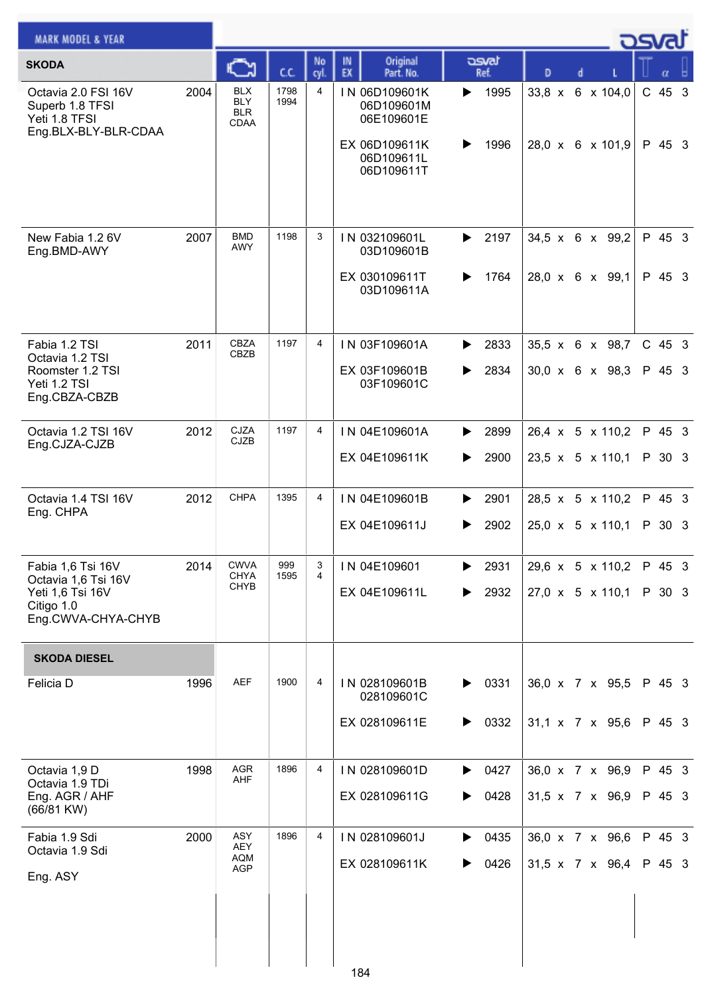| <b>MARK MODEL &amp; YEAR</b>                                                                     |      |                                         |              |                |                                                            |                               |                                                  | osval |                  |  |
|--------------------------------------------------------------------------------------------------|------|-----------------------------------------|--------------|----------------|------------------------------------------------------------|-------------------------------|--------------------------------------------------|-------|------------------|--|
| <b>SKODA</b>                                                                                     |      | C                                       | C.C.         | No<br>cyl.     | Original<br>IN<br>EX<br>Part. No.                          | asvat<br>Ref.                 | D<br>d                                           |       |                  |  |
| Octavia 2.0 FSI 16V<br>Superb 1.8 TFSI<br>Yeti 1.8 TFSI<br>Eng.BLX-BLY-BLR-CDAA                  | 2004 | BLX<br><b>BLY</b><br><b>BLR</b><br>CDAA | 1798<br>1994 | 4              | IN 06D109601K<br>06D109601M<br>06E109601E<br>EX 06D109611K | 1995<br>▶<br>1996<br>▶        | 33,8 x 6 x 104,0<br>28,0 x 6 x 101,9             |       | C 45 3<br>P 45 3 |  |
|                                                                                                  |      |                                         |              |                | 06D109611L<br>06D109611T                                   |                               |                                                  |       |                  |  |
| New Fabia 1.2 6V<br>Eng.BMD-AWY                                                                  | 2007 | <b>BMD</b><br>AWY                       | 1198         | 3              | IN 032109601L<br>03D109601B                                | 2197<br>▶                     | 34,5 x 6 x 99,2                                  |       | P 45 3           |  |
|                                                                                                  |      |                                         |              |                | EX 030109611T<br>03D109611A                                | 1764<br>▶                     | 28,0 x 6 x 99,1                                  |       | P 45 3           |  |
| Fabia 1.2 TSI<br>Octavia 1.2 TSI                                                                 | 2011 | CBZA<br><b>CBZB</b>                     | 1197         | $\overline{4}$ | IN 03F109601A                                              | 2833<br>▶                     | 35,5 x 6 x 98,7                                  |       | C 45 3           |  |
| Roomster 1.2 TSI<br>Yeti 1.2 TSI<br>Eng.CBZA-CBZB                                                |      |                                         |              |                | EX 03F109601B<br>03F109601C                                | 2834<br>▶                     | $30,0 \times 6 \times 98,3$                      |       | P 45 3           |  |
| Octavia 1.2 TSI 16V<br>Eng.CJZA-CJZB                                                             | 2012 | <b>CJZA</b><br><b>CJZB</b>              | 1197         | $\overline{4}$ | IN 04E109601A                                              | $\blacktriangleright$<br>2899 | 26,4 x 5 x 110,2                                 |       | P 45 3           |  |
|                                                                                                  |      |                                         |              |                | EX 04E109611K                                              | 2900<br>▶                     | $23,5 \times 5 \times 110,1$                     |       | P 30 3           |  |
| Octavia 1.4 TSI 16V<br>Eng. CHPA                                                                 | 2012 | <b>CHPA</b>                             | 1395         | 4              | IN 04E109601B                                              | 2901<br>▶                     | 28,5 x 5 x 110,2                                 |       | P 45 3           |  |
|                                                                                                  |      |                                         |              |                | EX 04E109611J                                              | 2902<br>▶                     | $25,0 \times 5 \times 110,1$                     |       | P 30 3           |  |
| Fabia 1,6 Tsi 16V<br>Octavia 1,6 Tsi 16V<br>Yeti 1,6 Tsi 16V<br>Citigo 1.0<br>Eng.CWVA-CHYA-CHYB | 2014 | <b>CWVA</b><br>CHYA<br><b>CHYB</b>      | 999<br>1595  | 3<br>4         | IN 04E109601<br>EX 04E109611L                              | 2931<br>▶<br>2932<br>▶        | 29,6 x 5 x 110,2<br>$27,0 \times 5 \times 110,1$ |       | P 45 3<br>P 30 3 |  |
| <b>SKODA DIESEL</b>                                                                              |      |                                         |              |                |                                                            |                               |                                                  |       |                  |  |
| Felicia D                                                                                        | 1996 | <b>AEF</b>                              | 1900         | 4              | IN 028109601B<br>028109601C                                | 0331<br>▶                     | 36,0 x 7 x 95,5                                  |       | P 45 3           |  |
|                                                                                                  |      |                                         |              |                | EX 028109611E                                              | 0332<br>▶                     | $31,1 \times 7 \times 95,6$                      |       | P 45 3           |  |
| Octavia 1,9 D<br>Octavia 1.9 TDi                                                                 | 1998 | <b>AGR</b><br>AHF                       | 1896         | 4              | IN 028109601D                                              | $\triangleright$ 0427         | 36,0 x 7 x 96,9                                  |       | P 45 3           |  |
| Eng. AGR / AHF<br>(66/81 KW)                                                                     |      |                                         |              |                | EX 028109611G                                              | 0428<br>▶                     | $31,5 \times 7 \times 96,9$                      |       | P 45 3           |  |
| Fabia 1.9 Sdi<br>Octavia 1.9 Sdi                                                                 | 2000 | ASY<br>AEY<br><b>AQM</b>                | 1896         | 4              | IN 028109601J                                              | 0435<br>▶                     | 36,0 x 7 x 96,6                                  |       | P 45 3           |  |
| Eng. ASY                                                                                         |      | AGP                                     |              |                | EX 028109611K                                              | 0426<br>▶                     | 31,5 x 7 x 96,4                                  |       | P 45 3           |  |
|                                                                                                  |      |                                         |              |                | 184                                                        |                               |                                                  |       |                  |  |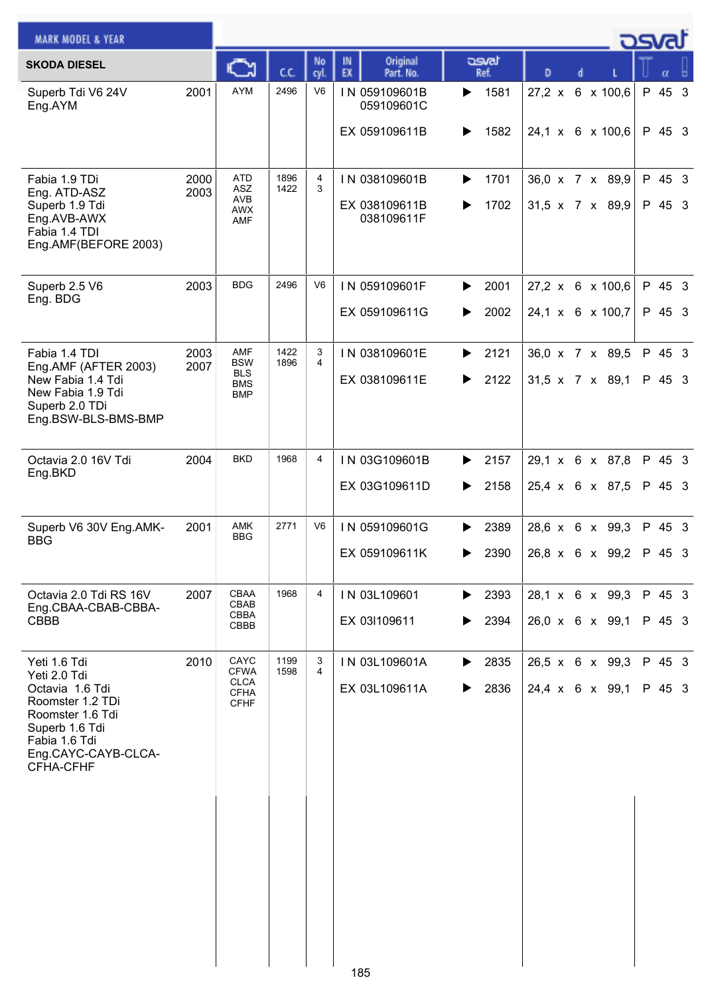| <b>MARK MODEL &amp; YEAR</b>                                                                                                                                   |              |                                                                  |              |                |                                              |                                         |                                                | _ <b>ಎ</b> ನ್ |                  |  |
|----------------------------------------------------------------------------------------------------------------------------------------------------------------|--------------|------------------------------------------------------------------|--------------|----------------|----------------------------------------------|-----------------------------------------|------------------------------------------------|---------------|------------------|--|
| <b>SKODA DIESEL</b>                                                                                                                                            |              | Ѽ                                                                | C.C.         | No<br>cyl.     | Original<br>IN<br>EX<br>Part. No.            | asvat<br>Ref.                           | D                                              |               | α                |  |
| Superb Tdi V6 24V<br>Eng.AYM                                                                                                                                   | 2001         | AYM                                                              | 2496         | V <sub>6</sub> | IN 059109601B<br>059109601C<br>EX 059109611B | 1581<br>▶<br>1582<br>▶                  | $27,2 \times$<br>24,1 x 6 x 100,6              | 6 x 100,6     | P 45 3<br>P 45 3 |  |
| Fabia 1.9 TDi<br>Eng. ATD-ASZ<br>Superb 1.9 Tdi<br>Eng.AVB-AWX<br>Fabia 1.4 TDI<br>Eng.AMF(BEFORE 2003)                                                        | 2000<br>2003 | <b>ATD</b><br>ASZ<br>AVB<br>AWX<br>AMF                           | 1896<br>1422 | 4<br>3         | IN 038109601B<br>EX 038109611B<br>038109611F | 1701<br>▶<br>1702<br>▶                  | 36,0 x 7 x 89,9<br>31,5 x 7 x 89,9             |               | P 45 3<br>P 45 3 |  |
| Superb 2.5 V6<br>Eng. BDG                                                                                                                                      | 2003         | <b>BDG</b>                                                       | 2496         | V <sub>6</sub> | IN 059109601F<br>EX 059109611G               | 2001<br>▶<br>2002<br>▶                  | 27,2 x 6 x 100,6<br>24,1 x 6 x 100,7           |               | P 45 3<br>P 45 3 |  |
| Fabia 1.4 TDI<br>Eng.AMF (AFTER 2003)<br>New Fabia 1.4 Tdi<br>New Fabia 1.9 Tdi<br>Superb 2.0 TDi<br>Eng.BSW-BLS-BMS-BMP                                       | 2003<br>2007 | AMF<br><b>BSW</b><br><b>BLS</b><br><b>BMS</b><br><b>BMP</b>      | 1422<br>1896 | 3<br>4         | IN 038109601E<br>EX 038109611E               | 2121<br>▶<br>2122<br>▶                  | 36,0 x 7 x 89,5<br>$31,5 \times 7 \times 89,1$ |               | P 45 3<br>P 45 3 |  |
| Octavia 2.0 16V Tdi<br>Eng.BKD                                                                                                                                 | 2004         | <b>BKD</b>                                                       | 1968         | 4              | IN 03G109601B<br>EX 03G109611D               | 2157<br>▶<br>2158<br>▶                  | 29,1 x 6 x 87,8<br>25,4 x 6 x 87,5             |               | P 45 3<br>P 45 3 |  |
| Superb V6 30V Eng.AMK-<br><b>BBG</b>                                                                                                                           | 2001         | <b>AMK</b><br><b>BBG</b>                                         | 2771         | V <sub>6</sub> | IN 059109601G<br>EX 059109611K               | 2389<br>▶<br>2390                       | 28,6 x 6 x 99,3<br>$26,8 \times 6 \times 99,2$ |               | P 45 3<br>P 45 3 |  |
| Octavia 2.0 Tdi RS 16V<br>Eng.CBAA-CBAB-CBBA-<br>CBBB                                                                                                          | 2007         | CBAA<br>CBAB<br>CBBA<br>CBBB                                     | 1968         | $\overline{4}$ | IN 03L109601<br>EX 03I109611                 | $\blacktriangleright$ 2393<br>2394<br>▶ | 28,1 x 6 x 99,3<br>26,0 x 6 x 99,1             |               | P 45 3<br>P 45 3 |  |
| Yeti 1.6 Tdi<br>Yeti 2.0 Tdi<br>Octavia 1.6 Tdi<br>Roomster 1.2 TDi<br>Roomster 1.6 Tdi<br>Superb 1.6 Tdi<br>Fabia 1.6 Tdi<br>Eng.CAYC-CAYB-CLCA-<br>CFHA-CFHF | 2010         | CAYC<br><b>CFWA</b><br><b>CLCA</b><br><b>CFHA</b><br><b>CFHF</b> | 1199<br>1598 | 3<br>4         | IN 03L109601A<br>EX 03L109611A               | 2835<br>▶<br>2836<br>▶                  | $26,5 \times 6 \times 99,3$<br>24,4 x 6 x 99,1 |               | P 45 3<br>P 45 3 |  |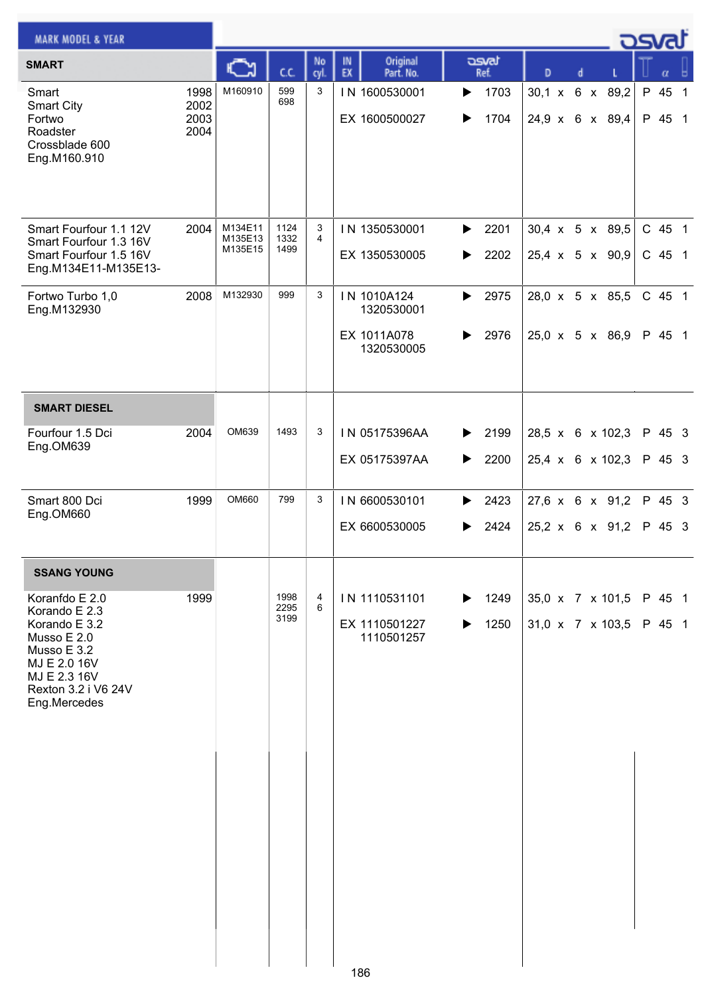| <b>MARK MODEL &amp; YEAR</b>                                                                                                                          |                              |                               |                      |                     |                                                        |                        |               |                                                | osvat |                  |                |
|-------------------------------------------------------------------------------------------------------------------------------------------------------|------------------------------|-------------------------------|----------------------|---------------------|--------------------------------------------------------|------------------------|---------------|------------------------------------------------|-------|------------------|----------------|
| <b>SMART</b>                                                                                                                                          |                              |                               | C.C.                 | No<br>cyl.          | Original<br>IN<br>EX<br>Part. No.                      | asvat<br>Ref.          | D             | d                                              |       | α                |                |
| Smart<br><b>Smart City</b><br>Fortwo<br>Roadster<br>Crossblade 600<br>Eng.M160.910                                                                    | 1998<br>2002<br>2003<br>2004 | M160910                       | 599<br>698           | 3                   | IN 1600530001<br>EX 1600500027                         | 1703<br>▶<br>1704<br>▶ | $30,1 \times$ | 6 x 89,2<br>24,9 x 6 x 89,4                    | P 45  | P 45 1           | $\overline{1}$ |
| Smart Fourfour 1.1 12V<br>Smart Fourfour 1.3 16V<br>Smart Fourfour 1.5 16V<br>Eng.M134E11-M135E13-                                                    | 2004                         | M134E11<br>M135E13<br>M135E15 | 1124<br>1332<br>1499 | 3<br>$\overline{4}$ | IN 1350530001<br>EX 1350530005                         | 2201<br>▶<br>2202<br>▶ |               | $30,4 \times 5 \times 89,5$<br>25,4 x 5 x 90,9 |       | C 45 1<br>C 45 1 |                |
| Fortwo Turbo 1,0<br>Eng.M132930                                                                                                                       | 2008                         | M132930                       | 999                  | 3                   | IN 1010A124<br>1320530001<br>EX 1011A078<br>1320530005 | 2975<br>▶<br>2976<br>▶ |               | 28,0 x 5 x 85,5<br>$25,0 \times 5 \times 86,9$ |       | C 45 1<br>P 45 1 |                |
| <b>SMART DIESEL</b>                                                                                                                                   |                              |                               |                      |                     |                                                        |                        |               |                                                |       |                  |                |
| Fourfour 1.5 Dci<br>Eng.OM639                                                                                                                         | 2004                         | OM639                         | 1493                 | 3                   | IN 05175396AA<br>EX 05175397AA                         | 2199<br>▶<br>2200<br>▶ |               | 28,5 x 6 x 102,3<br>25,4 x 6 x 102,3           |       | P 45 3<br>P 45 3 |                |
| Smart 800 Dci<br>Eng.OM660                                                                                                                            | 1999                         | OM660                         | 799                  | 3                   | IN 6600530101<br>EX 6600530005                         | 2423<br>▶<br>2424      |               | 27,6 x 6 x 91,2<br>$25,2 \times 6 \times 91,2$ |       | P 45 3<br>P 45 3 |                |
| <b>SSANG YOUNG</b>                                                                                                                                    |                              |                               |                      |                     |                                                        |                        |               |                                                |       |                  |                |
| Koranfdo E 2.0<br>Korando E 2.3<br>Korando E 3.2<br>Musso E 2.0<br>Musso E 3.2<br>MJ E 2.0 16V<br>MJ E 2.3 16V<br>Rexton 3.2 i V6 24V<br>Eng.Mercedes | 1999                         |                               | 1998<br>2295<br>3199 | 4<br>6              | IN 1110531101<br>EX 1110501227<br>1110501257           | 1249<br>▶<br>1250<br>▶ |               | 35,0 x 7 x 101,5<br>31,0 x 7 x 103,5           |       | P 45 1<br>P 45 1 |                |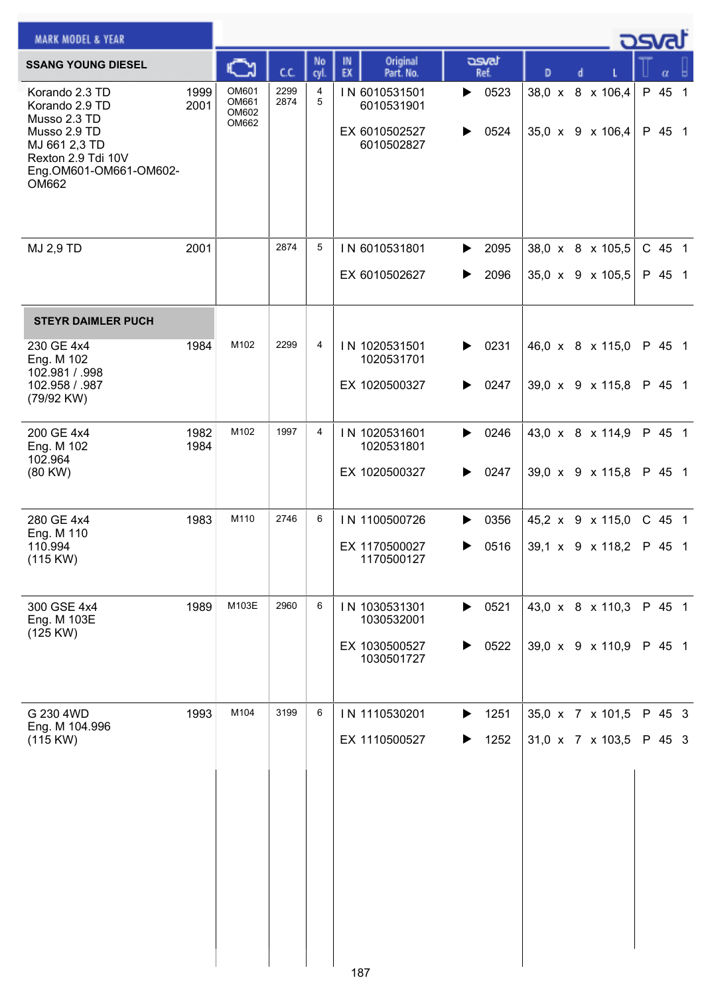| <b>MARK MODEL &amp; YEAR</b>                                                                                                               |              |                                  |              |            |                                                            |                        |                                      | كت الصح          |
|--------------------------------------------------------------------------------------------------------------------------------------------|--------------|----------------------------------|--------------|------------|------------------------------------------------------------|------------------------|--------------------------------------|------------------|
| <b>SSANG YOUNG DIESEL</b>                                                                                                                  |              | C                                | C.C.         | No<br>cyl. | Original<br>IN<br>EX<br>Part. No.                          | asvat<br>Ref.          | D<br>d                               | α                |
| Korando 2.3 TD<br>Korando 2.9 TD<br>Musso 2.3 TD<br>Musso 2.9 TD<br>MJ 661 2,3 TD<br>Rexton 2.9 Tdi 10V<br>Eng.OM601-OM661-OM602-<br>OM662 | 1999<br>2001 | OM601<br>OM661<br>OM602<br>OM662 | 2299<br>2874 | 4<br>5     | IN 6010531501<br>6010531901<br>EX 6010502527<br>6010502827 | 0523<br>▶<br>0524<br>▶ | 38,0 x 8 x 106,4<br>35,0 x 9 x 106,4 | P 45 1<br>P 45 1 |
| MJ 2,9 TD                                                                                                                                  | 2001         |                                  | 2874         | 5          | IN 6010531801<br>EX 6010502627                             | 2095<br>▶<br>2096<br>▶ | 38,0 x 8 x 105,5<br>35,0 x 9 x 105,5 | C 45 1<br>P 45 1 |
| <b>STEYR DAIMLER PUCH</b>                                                                                                                  |              |                                  |              |            |                                                            |                        |                                      |                  |
| 230 GE 4x4<br>Eng. M 102<br>102.981 / .998<br>102.958 / .987<br>(79/92 KW)                                                                 | 1984         | M102                             | 2299         | 4          | IN 1020531501<br>1020531701<br>EX 1020500327               | 0231<br>▶<br>0247<br>▶ | 46,0 x 8 x 115,0<br>39,0 x 9 x 115,8 | P 45 1<br>P 45 1 |
| 200 GE 4x4<br>Eng. M 102                                                                                                                   | 1982<br>1984 | M102                             | 1997         | 4          | IN 1020531601<br>1020531801                                | 0246<br>▶              | 43,0 x 8 x 114,9                     | P 45 1           |
| 102.964<br>(80 KW)                                                                                                                         |              |                                  |              |            | EX 1020500327                                              | 0247<br>▶              | 39,0 x 9 x 115,8                     | P 45 1           |
| 280 GE 4x4<br>Eng. M 110                                                                                                                   | 1983         | M110                             | 2746         | 6          | IN 1100500726                                              | 0356<br>▶              | 45,2 x 9 x 115,0                     | C 45 1           |
| 110.994<br>(115 KW)                                                                                                                        |              |                                  |              |            | EX 1170500027<br>1170500127                                | 0516<br>▶              | 39,1 x 9 x 118,2                     | P 45 1           |
| 300 GSE 4x4<br>Eng. M 103E                                                                                                                 | 1989         | M103E                            | 2960         | 6          | IN 1030531301<br>1030532001                                | $\triangleright$ 0521  | 43,0 x 8 x 110,3                     | P 45 1           |
| (125 KW)                                                                                                                                   |              |                                  |              |            | EX 1030500527<br>1030501727                                | 0522<br>▶              | 39,0 x 9 x 110,9                     | P 45 1           |
| G 230 4WD<br>Eng. M 104.996                                                                                                                | 1993         | M104                             | 3199         | 6          | IN 1110530201                                              | 1251<br>▶              | 35,0 x 7 x 101,5                     | P 45 3           |
| (115 KW)                                                                                                                                   |              |                                  |              |            | EX 1110500527                                              | 1252<br>▶              | 31,0 x 7 x 103,5                     | P 45 3           |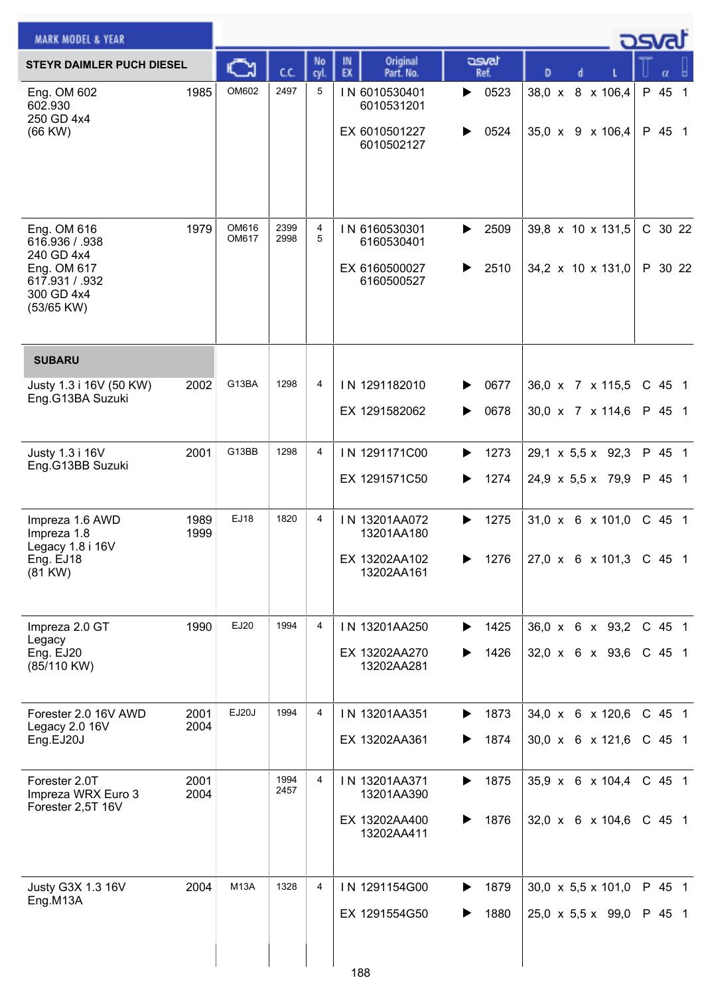| <b>MARK MODEL &amp; YEAR</b>                                                                             |              |                |              |            |                                                            |                        |                                                                   | كمحت               |
|----------------------------------------------------------------------------------------------------------|--------------|----------------|--------------|------------|------------------------------------------------------------|------------------------|-------------------------------------------------------------------|--------------------|
| <b>STEYR DAIMLER PUCH DIESEL</b>                                                                         |              | <b>A</b>       | C.C.         | No<br>cyl. | Original<br>IN<br>EX<br>Part. No.                          | asvat<br>Ref.          | D<br>d                                                            | α                  |
| Eng. OM 602<br>602.930<br>250 GD 4x4<br>$(66$ KW $)$                                                     | 1985         | OM602          | 2497         | 5          | IN 6010530401<br>6010531201<br>EX 6010501227<br>6010502127 | 0523<br>▶<br>0524<br>▶ | 38,0 x 8 x 106,4<br>35,0 $\times$ 9 $\times$ 106,4                | P 45 1<br>P 45 1   |
| Eng. OM 616<br>616.936 / .938<br>240 GD 4x4<br>Eng. OM 617<br>617.931 / .932<br>300 GD 4x4<br>(53/65 KW) | 1979         | OM616<br>OM617 | 2399<br>2998 | 4<br>5     | IN 6160530301<br>6160530401<br>EX 6160500027<br>6160500527 | 2509<br>▶<br>2510<br>▶ | 39,8 x 10 x 131,5<br>34,2 $\times$ 10 $\times$ 131,0              | C 30 22<br>P 30 22 |
| <b>SUBARU</b>                                                                                            |              |                |              |            |                                                            |                        |                                                                   |                    |
| Justy 1.3 i 16V (50 KW)<br>Eng.G13BA Suzuki                                                              | 2002         | G13BA          | 1298         | 4          | IN 1291182010<br>EX 1291582062                             | 0677<br>0678<br>▶      | 36,0 x 7 x 115,5<br>30,0 x 7 x 114,6                              | C 45 1<br>P 45 1   |
| Justy 1.3 i 16V<br>Eng.G13BB Suzuki                                                                      | 2001         | G13BB          | 1298         | 4          | IN 1291171C00<br>EX 1291571C50                             | 1273<br>▶<br>1274<br>▶ | 29,1 x 5,5 x 92,3<br>24,9 x 5,5 x 79,9                            | P 45 1<br>P 45 1   |
| Impreza 1.6 AWD<br>Impreza 1.8<br>Legacy 1.8 i 16V<br>Eng. EJ18<br>(81 KW)                               | 1989<br>1999 | EJ18           | 1820         | 4          | IN 13201AA072<br>13201AA180<br>EX 13202AA102<br>13202AA161 | 1275<br>▶<br>1276      | $31,0 \times 6 \times 101,0$<br>$27,0 \times 6 \times 101,3$      | C 45 1<br>C 45 1   |
| Impreza 2.0 GT<br>Legacy<br>Eng. EJ20<br>(85/110 KW)                                                     | 1990         | EJ20           | 1994         | 4          | IN 13201AA250<br>EX 13202AA270<br>13202AA281               | 1425<br>▶<br>1426      | $36,0 \times 6 \times 93,2$<br>$32,0 \times 6 \times 93,6$        | C 45 1<br>C 45 1   |
| Forester 2.0 16V AWD<br>Legacy 2.0 16V<br>Eng.EJ20J                                                      | 2001<br>2004 | EJ20J          | 1994         | 4          | IN 13201AA351<br>EX 13202AA361                             | 1873<br>▶<br>1874<br>▶ | 34,0 x 6 x 120,6<br>$30,0 \times 6 \times 121,6$                  | C 45 1<br>$C$ 45 1 |
| Forester 2.0T<br>Impreza WRX Euro 3<br>Forester 2,5T 16V                                                 | 2001<br>2004 |                | 1994<br>2457 | 4          | IN 13201AA371<br>13201AA390<br>EX 13202AA400<br>13202AA411 | 1875<br>▶<br>1876<br>▶ | $35,9 \times 6 \times 104,4$<br>32,0 x 6 x 104,6                  | C 45 1<br>C 45 1   |
| Justy G3X 1.3 16V<br>Eng.M13A                                                                            | 2004         | <b>M13A</b>    | 1328         | 4          | IN 1291154G00<br>EX 1291554G50<br>188                      | 1879<br>1880<br>▶      | 30,0 $\times$ 5,5 $\times$ 101,0<br>$25,0 \times 5,5 \times 99,0$ | P 45 1<br>P 45 1   |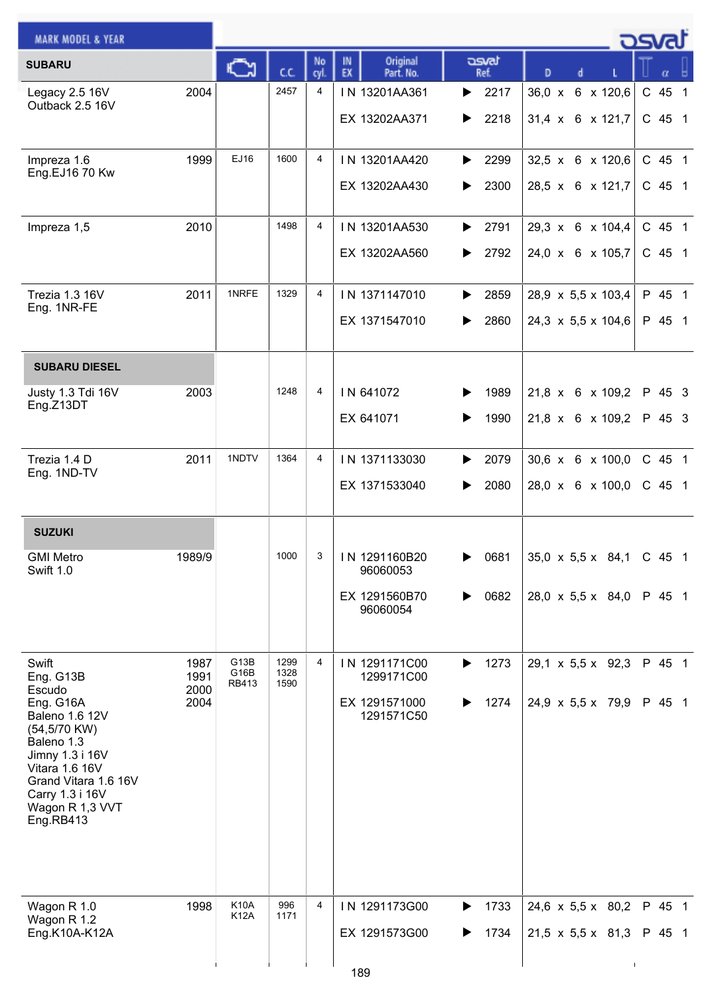| <b>MARK MODEL &amp; YEAR</b>                                                                                                                                                     |                      |                            |                      |                |                                   |                        |                                                      | _ <b>ರಾ</b> ಡ    |
|----------------------------------------------------------------------------------------------------------------------------------------------------------------------------------|----------------------|----------------------------|----------------------|----------------|-----------------------------------|------------------------|------------------------------------------------------|------------------|
| <b>SUBARU</b>                                                                                                                                                                    |                      | ⊾                          | C.C.                 | No<br>cyl.     | IN<br>Original<br>EX<br>Part. No. | asvat<br>Ref.          | D                                                    |                  |
| Legacy 2.5 16V<br>Outback 2.5 16V                                                                                                                                                | 2004                 |                            | 2457                 | 4              | IN 13201AA361<br>EX 13202AA371    | 2217<br>▶<br>2218<br>▶ | 36,0 x 6 x 120,6<br>$31,4 \times 6 \times 121,7$     | C 45 1<br>C 45 1 |
| Impreza 1.6<br>Eng.EJ16 70 Kw                                                                                                                                                    | 1999                 | EJ16                       | 1600                 | 4              | IN 13201AA420<br>EX 13202AA430    | 2299<br>▶<br>2300<br>▶ | 32,5 x 6 x 120,6<br>28,5 x 6 x 121,7                 | C 45 1<br>C 45 1 |
| Impreza 1,5                                                                                                                                                                      | 2010                 |                            | 1498                 | 4              | IN 13201AA530<br>EX 13202AA560    | 2791<br>▶<br>2792<br>▶ | 29,3 x 6 x 104,4<br>24,0 x 6 x 105,7                 | C 45 1<br>C 45 1 |
| Trezia 1.3 16V<br>Eng. 1NR-FE                                                                                                                                                    | 2011                 | 1NRFE                      | 1329                 | 4              | IN 1371147010<br>EX 1371547010    | 2859<br>▶<br>2860<br>▶ | 28,9 x 5,5 x 103,4<br>$24,3 \times 5,5 \times 104,6$ | P 45 1<br>P 45 1 |
| <b>SUBARU DIESEL</b>                                                                                                                                                             |                      |                            |                      |                |                                   |                        |                                                      |                  |
| Justy 1.3 Tdi 16V<br>Eng.Z13DT                                                                                                                                                   | 2003                 |                            | 1248                 | 4              | IN 641072<br>EX 641071            | 1989<br>1990           | $21,8 \times 6 \times 109,2$<br>21,8 x 6 x 109,2     | P 45 3<br>P 45 3 |
| Trezia 1.4 D<br>Eng. 1ND-TV                                                                                                                                                      | 2011                 | 1NDTV                      | 1364                 | 4              | IN 1371133030<br>EX 1371533040    | 2079<br>▶<br>2080<br>▶ | 30,6 x 6 x 100,0<br>28,0 x 6 x 100,0                 | C 45 1<br>C 45 1 |
| <b>SUZUKI</b>                                                                                                                                                                    |                      |                            |                      |                |                                   |                        |                                                      |                  |
| <b>GMI Metro</b><br>Swift 1.0                                                                                                                                                    | 1989/9               |                            | 1000                 | 3 <sup>3</sup> | IN 1291160B20<br>96060053         | 0681<br>▶              | $35,0 \times 5,5 \times 84,1$                        | C 45 1           |
|                                                                                                                                                                                  |                      |                            |                      |                | EX 1291560B70<br>96060054         | 0682<br>▶              | 28,0 $\times$ 5,5 $\times$ 84,0                      | P 45 1           |
| Swift<br>Eng. G13B<br>Escudo                                                                                                                                                     | 1987<br>1991<br>2000 | G13B<br>G16B<br>RB413      | 1299<br>1328<br>1590 | 4              | IN 1291171C00<br>1299171C00       | 1273<br>▶              | $29,1 \times 5,5 \times 92,3$                        | P 45 1           |
| Eng. G16A<br><b>Baleno 1.6 12V</b><br>(54,5/70 KW)<br>Baleno 1.3<br>Jimny 1.3 i 16V<br>Vitara 1.6 16V<br>Grand Vitara 1.6 16V<br>Carry 1.3 i 16V<br>Wagon R 1,3 VVT<br>Eng.RB413 | 2004                 |                            |                      |                | EX 1291571000<br>1291571C50       | 1274<br>▶              | 24,9 $\times$ 5,5 $\times$ 79,9                      | P 45 1           |
| Wagon R 1.0<br>Wagon R 1.2                                                                                                                                                       | 1998                 | <b>K10A</b><br><b>K12A</b> | 996<br>1171          | 4              | IN 1291173G00                     | 1733<br>▶              | $24,6 \times 5,5 \times 80,2$                        | P 45 1           |
| Eng.K10A-K12A                                                                                                                                                                    |                      |                            |                      |                | EX 1291573G00                     | 1734                   | $21,5 \times 5,5 \times 81,3$                        | P 45 1           |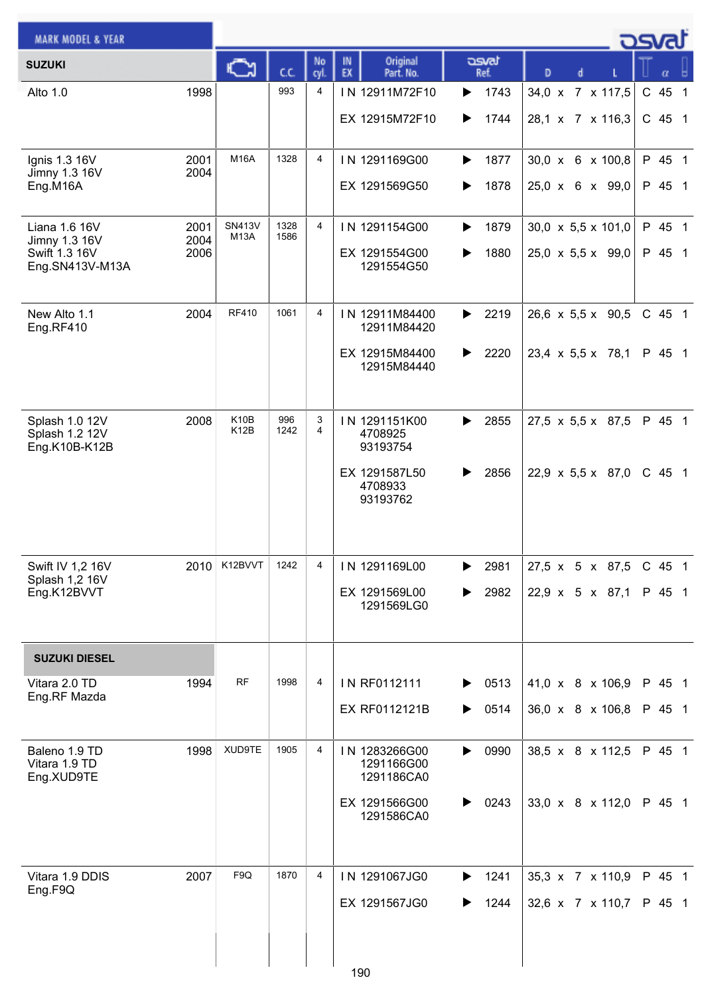| <b>MARK MODEL &amp; YEAR</b>       |              |                       |              |                |                                   |               |                               | osvat    |
|------------------------------------|--------------|-----------------------|--------------|----------------|-----------------------------------|---------------|-------------------------------|----------|
| <b>SUZUKI</b>                      |              | ⊾                     | C.C.         | No<br>cyl.     | IN<br>Original<br>EX<br>Part. No. | asvat<br>Ref. | D                             |          |
| Alto 1.0                           | 1998         |                       | 993          | 4              | IN 12911M72F10                    | 1743<br>▶     | 34,0 x 7 x 117,5              | C 45 1   |
|                                    |              |                       |              |                | EX 12915M72F10                    | 1744<br>▶     | 28,1 x 7 x 116,3              | $C$ 45 1 |
|                                    |              | <b>M16A</b>           | 1328         | $\overline{4}$ |                                   |               |                               |          |
| Ignis 1.3 16V<br>Jimny 1.3 16V     | 2001<br>2004 |                       |              |                | IN 1291169G00                     | 1877<br>▶     | 30,0 x 6 x 100,8              | P 45 1   |
| Eng.M16A                           |              |                       |              |                | EX 1291569G50                     | 1878<br>▶     | 25,0 x 6 x 99,0               | P 45 1   |
| Liana 1.6 16V                      | 2001         | <b>SN413V</b><br>M13A | 1328<br>1586 | $\overline{4}$ | IN 1291154G00                     | 1879<br>▶     | 30,0 x 5,5 x 101,0            | P 45 1   |
| Jimny 1.3 16V<br>Swift 1.3 16V     | 2004<br>2006 |                       |              |                | EX 1291554G00                     | 1880<br>▶     | 25,0 x 5,5 x 99,0             | P 45 1   |
| Eng.SN413V-M13A                    |              |                       |              |                | 1291554G50                        |               |                               |          |
| New Alto 1.1                       | 2004         | <b>RF410</b>          | 1061         | 4              | IN 12911M84400                    | 2219<br>▶     | $26,6 \times 5,5 \times 90,5$ | C 45 1   |
| Eng.RF410                          |              |                       |              |                | 12911M84420                       |               |                               |          |
|                                    |              |                       |              |                | EX 12915M84400<br>12915M84440     | 2220<br>▶     | $23,4 \times 5,5 \times 78,1$ | P 45 1   |
|                                    |              |                       |              |                |                                   |               |                               |          |
| Splash 1.0 12V                     | 2008         | K <sub>10</sub> B     | 996          | 3              | IN 1291151K00                     | 2855<br>▶     | $27,5 \times 5,5 \times 87,5$ | P 45 1   |
| Splash 1.2 12V<br>Eng.K10B-K12B    |              | K12B                  | 1242         | 4              | 4708925<br>93193754               |               |                               |          |
|                                    |              |                       |              |                | EX 1291587L50                     | 2856<br>▶     | 22,9 x 5,5 x 87,0             | C 45 1   |
|                                    |              |                       |              |                | 4708933<br>93193762               |               |                               |          |
|                                    |              |                       |              |                |                                   |               |                               |          |
|                                    |              |                       |              |                |                                   |               |                               |          |
| Swift IV 1,2 16V<br>Splash 1,2 16V | 2010         | K12BVVT               | 1242         | 4              | IN 1291169L00                     | 2981<br>▶     | 27,5 x 5 x 87,5               | C 45 1   |
| Eng.K12BVVT                        |              |                       |              |                | EX 1291569L00<br>1291569LG0       | 2982<br>▶     | 22,9 x 5 x 87,1               | P 45 1   |
|                                    |              |                       |              |                |                                   |               |                               |          |
| <b>SUZUKI DIESEL</b>               |              |                       |              |                |                                   |               |                               |          |
| Vitara 2.0 TD<br>Eng.RF Mazda      | 1994         | <b>RF</b>             | 1998         | 4              | IN RF0112111                      | 0513<br>▶     | 41,0 x 8 x 106,9              | P 45 1   |
|                                    |              |                       |              |                | EX RF0112121B                     | 0514<br>▶     | 36,0 x 8 x 106,8              | P 45 1   |
| Baleno 1.9 TD                      | 1998         | XUD9TE                | 1905         | 4              | IN 1283266G00                     | 0990<br>▶     | 38,5 x 8 x 112,5              | P 45 1   |
| Vitara 1.9 TD<br>Eng.XUD9TE        |              |                       |              |                | 1291166G00<br>1291186CA0          |               |                               |          |
|                                    |              |                       |              |                | EX 1291566G00                     | 0243<br>▶     | 33,0 x 8 x 112,0              | P 45 1   |
|                                    |              |                       |              |                | 1291586CA0                        |               |                               |          |
|                                    |              |                       |              |                |                                   |               |                               |          |
| Vitara 1.9 DDIS                    | 2007         | F <sub>9Q</sub>       | 1870         | 4              | IN 1291067JG0                     | 1241<br>▶     | 35,3 x 7 x 110,9              | P 45 1   |
| Eng.F9Q                            |              |                       |              |                | EX 1291567JG0                     | 1244<br>▶     | 32,6 x 7 x 110,7              | P 45 1   |
|                                    |              |                       |              |                |                                   |               |                               |          |
|                                    |              |                       |              |                |                                   |               |                               |          |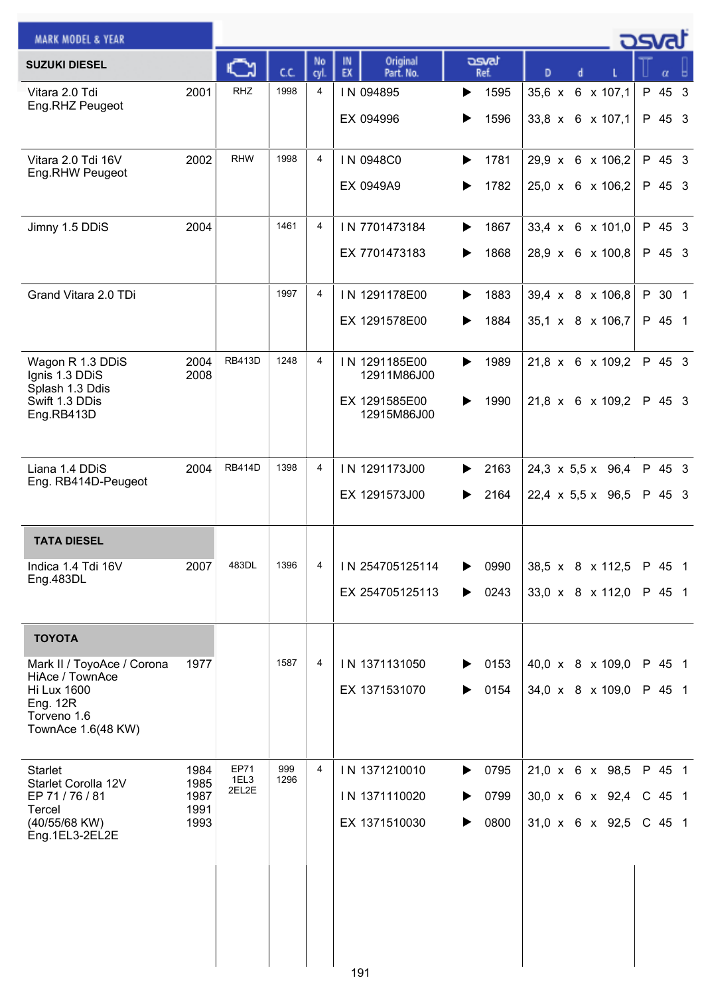| <b>MARK MODEL &amp; YEAR</b>                                                                                                |                                      |                       |             |            |                                                              |                                |                                                                               | - ਹਤਾਰੀ                        |
|-----------------------------------------------------------------------------------------------------------------------------|--------------------------------------|-----------------------|-------------|------------|--------------------------------------------------------------|--------------------------------|-------------------------------------------------------------------------------|--------------------------------|
| <b>SUZUKI DIESEL</b>                                                                                                        |                                      |                       | C.C.        | No<br>cyl. | Original<br>IN<br>EX<br>Part. No.                            | asvat<br>Ref.                  | D                                                                             | α                              |
| Vitara 2.0 Tdi<br>Eng.RHZ Peugeot                                                                                           | 2001                                 | <b>RHZ</b>            | 1998        | 4          | IN 094895<br>EX 094996                                       | 1595<br>▶<br>1596              | $35,6 \times$<br>6 x 107,1<br>33,8 x 6 x 107,1                                | P 45 3<br>P 45 3               |
| Vitara 2.0 Tdi 16V<br>Eng.RHW Peugeot                                                                                       | 2002                                 | <b>RHW</b>            | 1998        | 4          | IN 0948C0<br>EX 0949A9                                       | 1781<br>▶<br>1782<br>▶         | 29,9 x 6 x 106,2<br>25,0 x 6 x 106,2                                          | P 45 3<br>P 45 3               |
| Jimny 1.5 DDiS                                                                                                              | 2004                                 |                       | 1461        | 4          | IN 7701473184<br>EX 7701473183                               | 1867<br>▶<br>1868<br>▶         | 33,4 x 6 x 101,0<br>28,9 x 6 x 100,8                                          | P 45 3<br>P 45 3               |
| Grand Vitara 2.0 TDi                                                                                                        |                                      |                       | 1997        | 4          | IN 1291178E00<br>EX 1291578E00                               | 1883<br>▶<br>1884<br>▶         | 39,4 x 8 x 106,8<br>35,1 x 8 x 106,7                                          | P 30 1<br>P 45 1               |
| Wagon R 1.3 DDiS<br>Ignis 1.3 DDiS<br>Splash 1.3 Ddis<br>Swift 1.3 DDis<br>Eng.RB413D                                       | 2004<br>2008                         | <b>RB413D</b>         | 1248        | 4          | IN 1291185E00<br>12911M86J00<br>EX 1291585E00<br>12915M86J00 | 1989<br>▶<br>1990              | 21,8 x 6 x 109,2<br>21,8 x 6 x 109,2                                          | P 45 3<br>P 45 3               |
| Liana 1.4 DDiS<br>Eng. RB414D-Peugeot                                                                                       | 2004                                 | <b>RB414D</b>         | 1398        | 4          | IN 1291173J00<br>EX 1291573J00                               | 2163<br>▶<br>2164<br>▶         | $24,3 \times 5,5 \times 96,4$<br>$22,4 \times 5,5 \times 96,5$                | P 45 3<br>P 45 3               |
| <b>TATA DIESEL</b>                                                                                                          |                                      |                       |             |            |                                                              |                                |                                                                               |                                |
| Indica 1.4 Tdi 16V<br>Eng.483DL                                                                                             | 2007                                 | 483DL                 | 1396        | 4          | IN 254705125114<br>EX 254705125113                           | 0990<br>0243<br>▶              | 38,5 x 8 x 112,5<br>33,0 x 8 x 112,0                                          | P 45 1<br>P 45 1               |
| <b>TOYOTA</b>                                                                                                               |                                      |                       |             |            |                                                              |                                |                                                                               |                                |
| Mark II / ToyoAce / Corona<br>HiAce / TownAce<br><b>Hi Lux 1600</b><br><b>Eng. 12R</b><br>Torveno 1.6<br>TownAce 1.6(48 KW) | 1977                                 |                       | 1587        | 4          | IN 1371131050<br>EX 1371531070                               | 0153<br>0154<br>▶              | 40,0 x 8 x 109,0<br>34,0 x 8 x 109,0                                          | P 45 1<br>P 45 1               |
| <b>Starlet</b><br>Starlet Corolla 12V<br>EP 71 / 76 / 81<br>Tercel<br>(40/55/68 KW)<br>Eng.1EL3-2EL2E                       | 1984<br>1985<br>1987<br>1991<br>1993 | EP71<br>1EL3<br>2EL2E | 999<br>1296 | 4          | IN 1371210010<br>IN 1371110020<br>EX 1371510030              | 0795<br>▶<br>0799<br>0800<br>▶ | $21,0 \times 6 \times 98,5$<br>30,0 x 6 x 92,4<br>$31,0 \times 6 \times 92,5$ | P 45 1<br>$C$ 45 1<br>$C$ 45 1 |
|                                                                                                                             |                                      |                       |             |            | 191                                                          |                                |                                                                               |                                |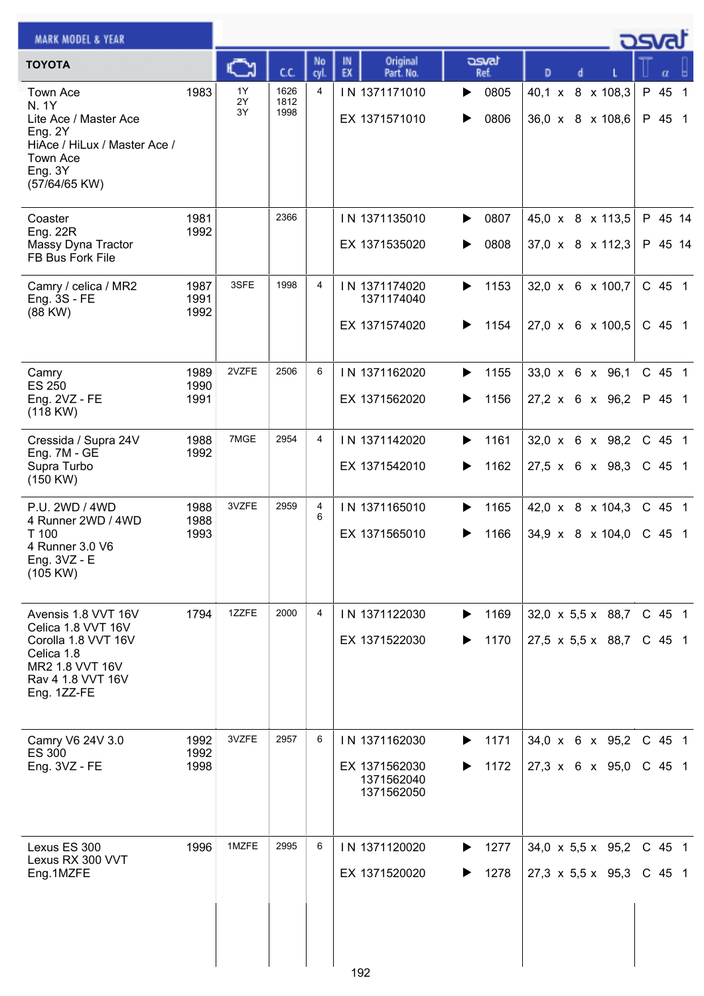| <b>MARK MODEL &amp; YEAR</b>                                                                                                          |                      |                |                      |            |                                       |                          |        |               |   |  |                                                                  | كمحت |                      |  |
|---------------------------------------------------------------------------------------------------------------------------------------|----------------------|----------------|----------------------|------------|---------------------------------------|--------------------------|--------|---------------|---|--|------------------------------------------------------------------|------|----------------------|--|
| <b>TOYOTA</b>                                                                                                                         |                      | C              | C.C.                 | No<br>cyl. | IN<br>EX                              | Original<br>Part. No.    |        | asvat<br>Ref. | D |  |                                                                  |      | α                    |  |
| Town Ace<br><b>N. 1Y</b><br>Lite Ace / Master Ace<br>Eng. 2Y<br>HiAce / HiLux / Master Ace /<br>Town Ace<br>Eng. 3Y<br>(57/64/65 KW)  | 1983                 | 1Y<br>2Y<br>3Y | 1626<br>1812<br>1998 | 4          | IN 1371171010<br>EX 1371571010        |                          |        | 0805<br>0806  |   |  | 40,1 x 8 x 108,3<br>36,0 x 8 x 108,6                             |      | P 45 1<br>P 45 1     |  |
| Coaster<br><b>Eng. 22R</b><br>Massy Dyna Tractor<br>FB Bus Fork File                                                                  | 1981<br>1992         |                | 2366                 |            | IN 1371135010<br>EX 1371535020        |                          | ▶      | 0807<br>0808  |   |  | 45,0 x 8 x 113,5<br>$37,0 \times 8 \times 112,3$                 |      | P 45 14<br>P 45 14   |  |
| Camry / celica / MR2<br>Eng. 3S - FE<br>(88 KW)                                                                                       | 1987<br>1991<br>1992 | 3SFE           | 1998                 | 4          | IN 1371174020<br>EX 1371574020        | 1371174040               | ▶<br>▶ | 1153<br>1154  |   |  | 32,0 x 6 x 100,7<br>27,0 x 6 x 100,5                             |      | C 45 1<br>C 45 1     |  |
| Camry<br><b>ES 250</b><br>Eng. 2VZ - FE<br>(118 KW)                                                                                   | 1989<br>1990<br>1991 | 2VZFE          | 2506                 | 6          | IN 1371162020<br>EX 1371562020        |                          | ▶      | 1155<br>1156  |   |  | 33,0 x 6 x 96,1<br>27,2 x 6 x 96,2                               |      | C 45 1<br>P 45 1     |  |
| Cressida / Supra 24V<br>Eng. 7M - GE<br>Supra Turbo<br>(150 KW)                                                                       | 1988<br>1992         | 7MGE           | 2954                 | 4          | IN 1371142020<br>EX 1371542010        |                          | ▶      | 1161<br>1162  |   |  | $32,0 \times 6 \times 98,2$<br>27,5 x 6 x 98,3                   |      | C 45 1<br>C 45 1     |  |
| P.U. 2WD / 4WD<br>4 Runner 2WD / 4WD<br>T 100<br>4 Runner 3.0 V6<br>Eng. 3VZ - E<br>(105 KW)                                          | 1988<br>1988<br>1993 | 3VZFE          | 2959                 | 4<br>6     | IN 1371165010<br>EX 1371565010        |                          | ▶      | 1165<br>1166  |   |  | 42,0 x 8 x 104,3<br>34,9 x 8 x 104,0                             |      | C 45 1<br>C 45 1     |  |
| Avensis 1.8 VVT 16V<br>Celica 1.8 VVT 16V<br>Corolla 1.8 VVT 16V<br>Celica 1.8<br>MR2 1.8 VVT 16V<br>Rav 4 1.8 VVT 16V<br>Eng. 1ZZ-FE | 1794                 | 1ZZFE          | 2000                 | 4          | IN 1371122030<br>EX 1371522030        |                          | ▶      | 1169<br>1170  |   |  | $32,0 \times 5,5 \times 88,7$<br>$27,5 \times 5,5 \times 88,7$   |      | $C$ 45 1<br>$C$ 45 1 |  |
| Camry V6 24V 3.0<br><b>ES 300</b><br>Eng. 3VZ - FE                                                                                    | 1992<br>1992<br>1998 | 3VZFE          | 2957                 | 6          | IN 1371162030<br>EX 1371562030        | 1371562040<br>1371562050 | ▶      | 1171<br>1172  |   |  | 34,0 x 6 x 95,2<br>$27,3 \times 6 \times 95,0$                   |      | C 45 1<br>$C$ 45 1   |  |
| Lexus ES 300<br>Lexus RX 300 VVT<br>Eng.1MZFE                                                                                         | 1996                 | 1MZFE          | 2995                 | 6          | IN 1371120020<br>EX 1371520020<br>192 |                          | ▶      | 1277<br>1278  |   |  | $34,0 \times 5,5 \times 95,2$<br>27,3 $\times$ 5,5 $\times$ 95,3 |      | $C$ 45 1<br>$C$ 45 1 |  |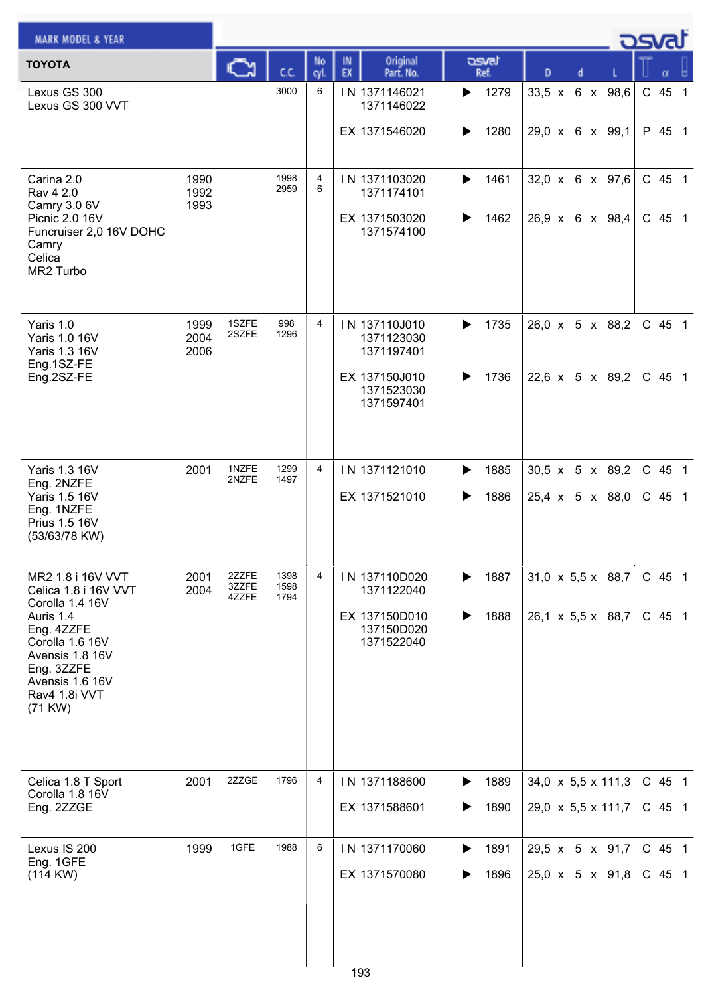| <b>MARK MODEL &amp; YEAR</b>                                                                                                                                                               |                      |                         |                      |                |                                                                                        |                        |                                                                    |                      |
|--------------------------------------------------------------------------------------------------------------------------------------------------------------------------------------------|----------------------|-------------------------|----------------------|----------------|----------------------------------------------------------------------------------------|------------------------|--------------------------------------------------------------------|----------------------|
| <b>TOYOTA</b>                                                                                                                                                                              |                      |                         | C.C.                 | No<br>cyl.     | Original<br>IN<br>EX<br>Part. No.                                                      | asvat<br>Ref.          | D                                                                  |                      |
| Lexus GS 300<br>Lexus GS 300 VVT                                                                                                                                                           |                      |                         | 3000                 | 6              | IN 1371146021<br>1371146022                                                            | 1279<br>▶              | 33,5 x 6 x 98,6                                                    | $C$ 45 1             |
|                                                                                                                                                                                            |                      |                         |                      |                | EX 1371546020                                                                          | 1280<br>▶              | 29,0 x 6 x 99,1                                                    | P 45 1               |
| Carina 2.0<br>Rav 4 2.0<br>Camry 3.0 6V<br>Picnic 2.0 16V<br>Funcruiser 2,0 16V DOHC<br>Camry<br>Celica<br>MR2 Turbo                                                                       | 1990<br>1992<br>1993 |                         | 1998<br>2959         | 4<br>6         | IN 1371103020<br>1371174101<br>EX 1371503020<br>1371574100                             | 1461<br>▶<br>1462      | $32,0 \times 6 \times 97,6$<br>$26.9 \times 6 \times 98.4$         | C 45 1<br>C 45 1     |
| Yaris 1.0<br>Yaris 1.0 16V<br>Yaris 1.3 16V<br>Eng.1SZ-FE<br>Eng.2SZ-FE                                                                                                                    | 1999<br>2004<br>2006 | 1SZFE<br>2SZFE          | 998<br>1296          | $\overline{4}$ | IN 137110J010<br>1371123030<br>1371197401<br>EX 137150J010<br>1371523030<br>1371597401 | 1735<br>▶<br>1736      | 26,0 x 5 x 88,2<br>22,6 $\times$ 5 $\times$ 89,2                   | C 45 1<br>C 45 1     |
| Yaris 1.3 16V<br>Eng. 2NZFE<br>Yaris 1.5 16V<br>Eng. 1NZFE<br>Prius 1.5 16V<br>(53/63/78 KW)                                                                                               | 2001                 | 1NZFE<br>2NZFE          | 1299<br>1497         | $\overline{4}$ | IN 1371121010<br>EX 1371521010                                                         | 1885<br>▶<br>1886      | 30,5 x 5 x 89,2<br>$25,4 \times 5 \times 88,0$                     | C 45 1<br>$C$ 45 1   |
| MR2 1.8 i 16V VVT<br>Celica 1.8 i 16V VVT<br>Corolla 1.4 16V<br>Auris 1.4<br>Eng. 4ZZFE<br>Corolla 1.6 16V<br>Avensis 1.8 16V<br>Eng. 3ZZFE<br>Avensis 1.6 16V<br>Rav4 1.8i VVT<br>(71 KW) | 2001<br>2004         | 2ZZFE<br>3ZZFE<br>4ZZFE | 1398<br>1598<br>1794 | 4              | IN 137110D020<br>1371122040<br>EX 137150D010<br>137150D020<br>1371522040               | 1887<br>▶<br>1888<br>▶ | $31,0 \times 5,5 \times 88,7$<br>$26,1 \times 5,5 \times 88,7$     | C 45 1<br>$C$ 45 1   |
| Celica 1.8 T Sport<br>Corolla 1.8 16V<br>Eng. 2ZZGE                                                                                                                                        | 2001                 | 2ZZGE                   | 1796                 | 4              | IN 1371188600<br>EX 1371588601                                                         | 1889<br>▶<br>1890<br>▶ | 34,0 $\times$ 5,5 $\times$ 111,3<br>$29,0 \times 5,5 \times 111,7$ | C 45 1<br>$C$ 45 1   |
| Lexus IS 200<br>Eng. 1GFE<br>(114 KW)                                                                                                                                                      | 1999                 | 1GFE                    | 1988                 | 6              | IN 1371170060<br>EX 1371570080                                                         | 1891<br>▶<br>1896      | 29,5 x 5 x 91,7<br>$25.0 \times 5 \times 91.8$                     | $C$ 45 1<br>$C$ 45 1 |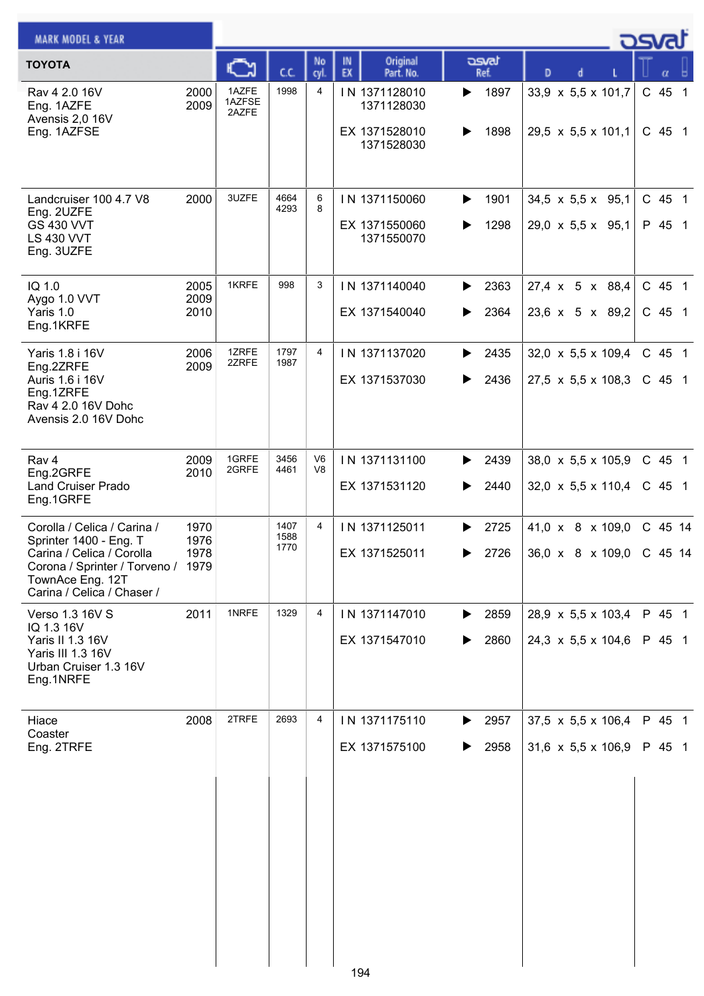| <b>MARK MODEL &amp; YEAR</b>                                                                                                                                               |                      |                          |                      |                      |                                                            |                                         |                                                                      | ك <i>osva</i> d    |
|----------------------------------------------------------------------------------------------------------------------------------------------------------------------------|----------------------|--------------------------|----------------------|----------------------|------------------------------------------------------------|-----------------------------------------|----------------------------------------------------------------------|--------------------|
| <b>TOYOTA</b>                                                                                                                                                              |                      | с                        | CC.                  | No<br>cyl.           | Original<br>IN<br>EX<br>Part. No.                          | asvat<br>Ref.                           | D<br>d                                                               | α                  |
| Rav 4 2.0 16V<br>Eng. 1AZFE<br>Avensis 2,0 16V<br>Eng. 1AZFSE                                                                                                              | 2000<br>2009         | 1AZFE<br>1AZFSE<br>2AZFE | 1998                 | 4                    | IN 1371128010<br>1371128030<br>EX 1371528010<br>1371528030 | 1897<br>▶<br>1898<br>▶                  | 33,9 x 5,5 x 101,7<br>$29,5 \times 5,5 \times 101,1$                 | C 45 1<br>$C$ 45 1 |
| Landcruiser 100 4.7 V8<br>Eng. 2UZFE<br><b>GS 430 VVT</b><br><b>LS 430 VVT</b><br>Eng. 3UZFE                                                                               | 2000                 | 3UZFE                    | 4664<br>4293         | 6<br>8               | IN 1371150060<br>EX 1371550060<br>1371550070               | 1901<br>▶<br>1298<br>▶                  | $34,5 \times 5,5 \times 95,1$<br>29,0 x 5,5 x 95,1                   | $C$ 45 1<br>P 45 1 |
| IQ 1.0<br>Aygo 1.0 VVT<br>Yaris 1.0<br>Eng.1KRFE                                                                                                                           | 2005<br>2009<br>2010 | 1KRFE                    | 998                  | 3                    | IN 1371140040<br>EX 1371540040                             | 2363<br>▶<br>2364<br>▶                  | 27,4 x 5 x 88,4<br>23,6 x 5 x 89,2                                   | C 45 1<br>$C$ 45 1 |
| Yaris 1.8 i 16V<br>Eng.2ZRFE<br>Auris 1.6 i 16V<br>Eng.1ZRFE<br>Rav 4 2.0 16V Dohc<br>Avensis 2.0 16V Dohc                                                                 | 2006<br>2009         | 1ZRFE<br>2ZRFE           | 1797<br>1987         | 4                    | IN 1371137020<br>EX 1371537030                             | ▶<br>2435<br>2436<br>▶                  | $32,0 \times 5,5 \times 109,4$<br>$27,5 \times 5,5 \times 108,3$     | C 45 1<br>$C$ 45 1 |
| Rav 4<br>Eng.2GRFE<br><b>Land Cruiser Prado</b><br>Eng.1GRFE                                                                                                               | 2009<br>2010         | 1GRFE<br>2GRFE           | 3456<br>4461         | V <sub>6</sub><br>V8 | IN 1371131100<br>EX 1371531120                             | 2439<br>▶<br>2440<br>▶                  | $38,0 \times 5,5 \times 105,9$<br>$32,0 \times 5,5 \times 110,4$     | C 45 1<br>$C$ 45 1 |
| Corolla / Celica / Carina /<br>Sprinter 1400 - Eng. T<br>Carina / Celica / Corolla<br>Corona / Sprinter / Torveno / 1979<br>TownAce Eng. 12T<br>Carina / Celica / Chaser / | 1970<br>1976<br>1978 |                          | 1407<br>1588<br>1770 | 4                    | IN 1371125011<br>EX 1371525011                             | 2725<br>▶<br>$\blacktriangleright$ 2726 | 41,0 x 8 x 109,0<br>36,0 x 8 x 109,0 C 45 14                         | C 45 14            |
| Verso 1.3 16V S<br>IQ 1.3 16V<br>Yaris II 1.3 16V<br>Yaris III 1.3 16V<br>Urban Cruiser 1.3 16V<br>Eng.1NRFE                                                               | 2011                 | 1NRFE                    | 1329                 | 4                    | IN 1371147010<br>EX 1371547010                             | 2859<br>▶<br>2860<br>▶                  | 28,9 x 5,5 x 103,4<br>$24,3 \times 5,5 \times 104,6$                 | P 45 1<br>P 45 1   |
| Hiace<br>Coaster<br>Eng. 2TRFE                                                                                                                                             | 2008                 | 2TRFE                    | 2693                 | 4                    | IN 1371175110<br>EX 1371575100                             | 2957<br>▶<br>2958                       | 37,5 $\times$ 5,5 $\times$ 106,4<br>31,6 $\times$ 5,5 $\times$ 106,9 | P 45 1<br>P 45 1   |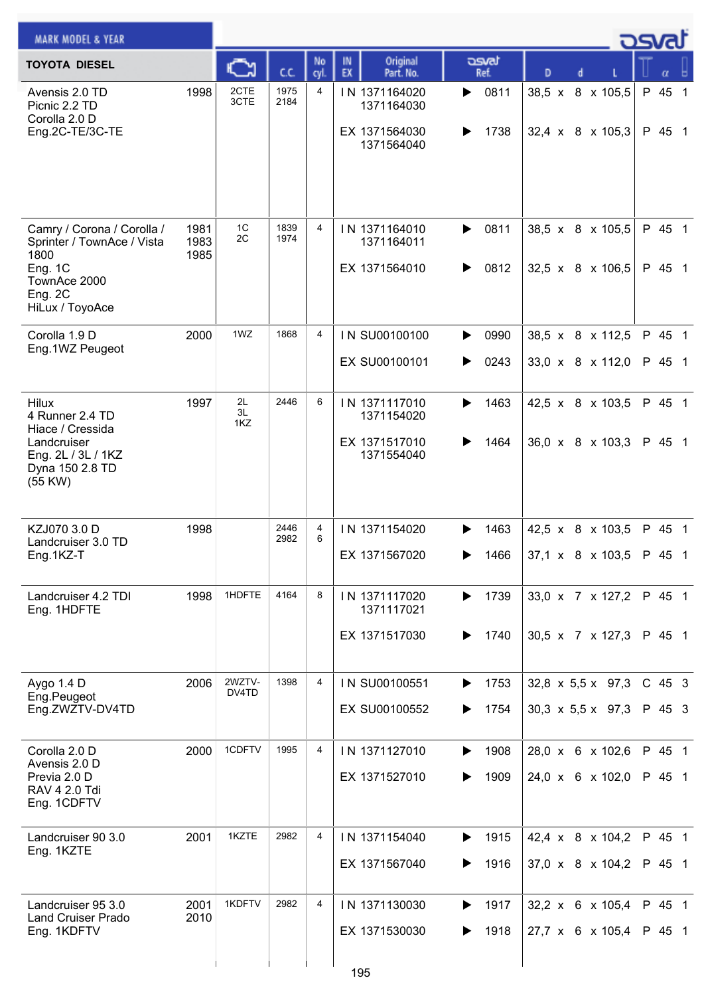| <b>MARK MODEL &amp; YEAR</b>                                                                                              |                      |                 |              |            |                                                            |                        |                                                                | كمحت               |
|---------------------------------------------------------------------------------------------------------------------------|----------------------|-----------------|--------------|------------|------------------------------------------------------------|------------------------|----------------------------------------------------------------|--------------------|
| <b>TOYOTA DIESEL</b>                                                                                                      |                      |                 | C.C.         | No<br>cyl. | Original<br>IN<br>EX<br>Part. No.                          | asvat<br>Ref.          | D                                                              |                    |
| Avensis 2.0 TD<br>Picnic 2.2 TD<br>Corolla 2.0 D<br>Eng.2C-TE/3C-TE                                                       | 1998                 | 2CTE<br>3CTE    | 1975<br>2184 | 4          | IN 1371164020<br>1371164030<br>EX 1371564030<br>1371564040 | 0811<br>▶<br>1738      | 38,5 x 8 x 105,5<br>$32,4 \times 8 \times 105,3$               | P 45 1<br>P 45 1   |
| Camry / Corona / Corolla /<br>Sprinter / TownAce / Vista<br>1800<br>Eng. 1C<br>TownAce 2000<br>Eng. 2C<br>HiLux / ToyoAce | 1981<br>1983<br>1985 | 1C<br>2C        | 1839<br>1974 | 4          | IN 1371164010<br>1371164011<br>EX 1371564010               | 0811<br>▶<br>0812<br>▶ | 38,5 x 8 x 105,5<br>32,5 x 8 x 106,5                           | P 45 1<br>P 45 1   |
| Corolla 1.9 D<br>Eng.1WZ Peugeot                                                                                          | 2000                 | 1WZ             | 1868         | 4          | IN SU00100100<br>EX SU00100101                             | 0990<br>▶<br>0243<br>▶ | 38,5 x 8 x 112,5<br>33,0 x 8 x 112,0                           | P 45 1<br>P 45 1   |
| <b>Hilux</b><br>4 Runner 2.4 TD<br>Hiace / Cressida<br>Landcruiser<br>Eng. 2L / 3L / 1KZ<br>Dyna 150 2.8 TD<br>(55 KW)    | 1997                 | 2L<br>3L<br>1KZ | 2446         | 6          | IN 1371117010<br>1371154020<br>EX 1371517010<br>1371554040 | 1463<br>▶<br>1464      | 42,5 x 8 x 103,5<br>36,0 x 8 x 103,3                           | P 45 1<br>P 45 1   |
| KZJ070 3.0 D<br>Landcruiser 3.0 TD<br>Eng.1KZ-T                                                                           | 1998                 |                 | 2446<br>2982 | 4<br>6     | IN 1371154020<br>EX 1371567020                             | 1463<br>▶<br>1466      | 42,5 x 8 x 103,5<br>$ 37.1 \times 8 \times 103.5 $ P 45 1      | P 45 1             |
| Landcruiser 4.2 TDI<br>Eng. 1HDFTE                                                                                        | 1998                 | 1HDFTE          | 4164         | 8          | IN 1371117020<br>1371117021<br>EX 1371517030               | 1739<br>▶<br>1740<br>▶ | 33,0 x 7 x 127,2<br>30,5 x 7 x 127,3                           | P 45 1<br>P 45 1   |
| Aygo 1.4 D<br>Eng.Peugeot<br>Eng.ZWZTV-DV4TD                                                                              | 2006                 | 2WZTV-<br>DV4TD | 1398         | 4          | IN SU00100551<br>EX SU00100552                             | 1753<br>▶<br>1754      | $32,8 \times 5,5 \times 97,3$<br>$30,3 \times 5,5 \times 97,3$ | $C$ 45 3<br>P 45 3 |
| Corolla 2.0 D<br>Avensis 2.0 D<br>Previa 2.0 D<br><b>RAV 4 2.0 Tdi</b><br>Eng. 1CDFTV                                     | 2000                 | 1CDFTV          | 1995         | 4          | IN 1371127010<br>EX 1371527010                             | 1908<br>▶<br>1909      | 28,0 x 6 x 102,6<br>24,0 x 6 x 102,0                           | P 45 1<br>P 45 1   |
| Landcruiser 90 3.0<br>Eng. 1KZTE                                                                                          | 2001                 | 1KZTE           | 2982         | 4          | IN 1371154040<br>EX 1371567040                             | 1915<br>▶<br>1916      | 42,4 x 8 x 104,2<br>37,0 x 8 x 104,2                           | P 45 1<br>P 45 1   |
| Landcruiser 95 3.0<br><b>Land Cruiser Prado</b><br>Eng. 1KDFTV                                                            | 2001<br>2010         | 1KDFTV          | 2982         | 4          | IN 1371130030<br>EX 1371530030<br>195                      | 1917<br>▶<br>1918      | 32,2 x 6 x 105,4<br>27,7 x 6 x 105,4                           | P 45 1<br>P 45 1   |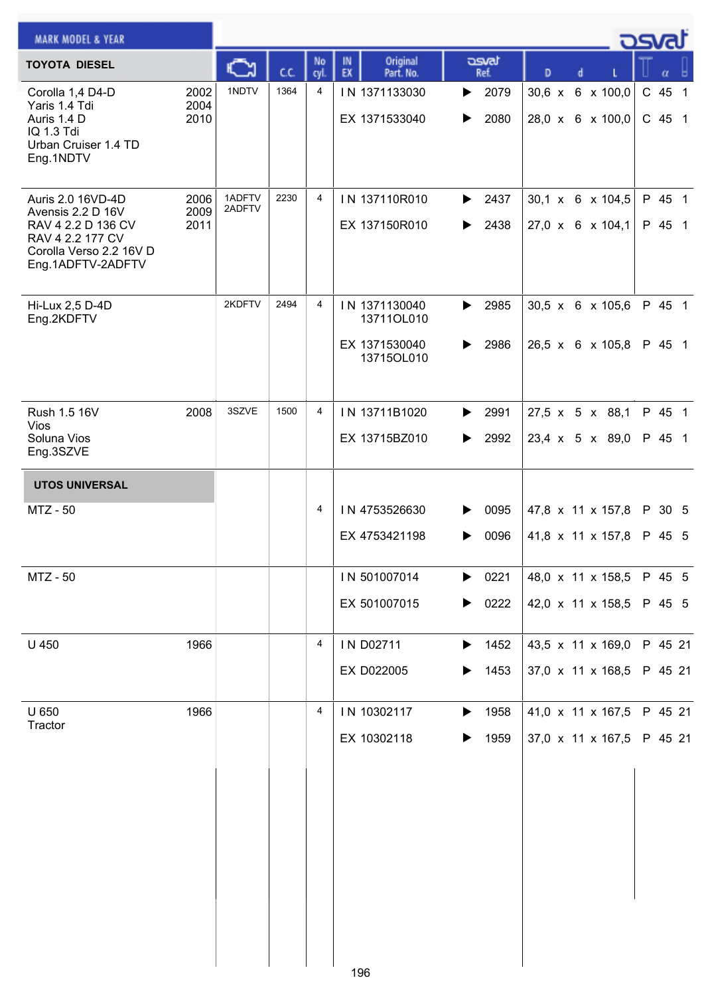| <b>MARK MODEL &amp; YEAR</b>                                                                                                     |                      |                  |      |                |                                                            |                        |                                                  | osvaľ |                    |  |
|----------------------------------------------------------------------------------------------------------------------------------|----------------------|------------------|------|----------------|------------------------------------------------------------|------------------------|--------------------------------------------------|-------|--------------------|--|
| <b>TOYOTA DIESEL</b>                                                                                                             |                      |                  | C.C. | No<br>cyl.     | Original<br>IN<br>EX<br>Part. No.                          | asvat<br>Ref.          | D<br>d                                           |       | $\alpha$           |  |
| Corolla 1,4 D4-D<br>Yaris 1.4 Tdi<br>Auris 1.4 D<br>IQ 1.3 Tdi<br>Urban Cruiser 1.4 TD<br>Eng.1NDTV                              | 2002<br>2004<br>2010 | 1NDTV            | 1364 | $\overline{4}$ | IN 1371133030<br>EX 1371533040                             | 2079<br>▶<br>2080<br>▶ | 30,6 x 6 x 100,0<br>28,0 x 6 x 100,0             |       | C 45 1<br>$C$ 45 1 |  |
| Auris 2.0 16VD-4D<br>Avensis 2.2 D 16V<br>RAV 4 2.2 D 136 CV<br>RAV 4 2.2 177 CV<br>Corolla Verso 2.2 16V D<br>Eng.1ADFTV-2ADFTV | 2006<br>2009<br>2011 | 1ADFTV<br>2ADFTV | 2230 | 4              | IN 137110R010<br>EX 137150R010                             | 2437<br>▶<br>2438<br>▶ | 30,1 x 6 x 104,5<br>27,0 x 6 x 104,1             |       | P 45 1<br>P 45 1   |  |
| Hi-Lux 2,5 D-4D<br>Eng.2KDFTV                                                                                                    |                      | 2KDFTV           | 2494 | 4              | IN 1371130040<br>13711OL010<br>EX 1371530040<br>13715OL010 | 2985<br>▶<br>2986<br>▶ | $30,5 \times 6 \times 105,6$<br>26,5 x 6 x 105,8 |       | P 45 1<br>P 45 1   |  |
| Rush 1.5 16V<br><b>Vios</b><br>Soluna Vios<br>Eng.3SZVE                                                                          | 2008                 | 3SZVE            | 1500 | 4              | IN 13711B1020<br>EX 13715BZ010                             | 2991<br>▶<br>2992<br>▶ | 27,5 x 5 x 88,1<br>23,4 x 5 x 89,0               |       | P 45 1<br>P 45 1   |  |
| <b>UTOS UNIVERSAL</b>                                                                                                            |                      |                  |      |                |                                                            |                        |                                                  |       |                    |  |
| <b>MTZ - 50</b>                                                                                                                  |                      |                  |      | 4              | IN 4753526630<br>EX 4753421198                             | 0095<br>0096<br>▶      | 47,8 x 11 x 157,8<br>41,8 x 11 x 157,8           |       | P 30 5<br>P 45 5   |  |
| MTZ - 50                                                                                                                         |                      |                  |      |                | IN 501007014<br>EX 501007015                               | 0221<br>▶<br>0222<br>▶ | 48,0 x 11 x 158,5<br>42,0 x 11 x 158,5           |       | P 45 5<br>P 45 5   |  |
| U 450                                                                                                                            | 1966                 |                  |      | 4              | IN D02711<br>EX D022005                                    | 1452<br>▶<br>1453<br>▶ | 43,5 x 11 x 169,0<br>37,0 x 11 x 168,5           |       | P 45 21<br>P 45 21 |  |
| U 650<br>Tractor                                                                                                                 | 1966                 |                  |      | 4              | IN 10302117<br>EX 10302118                                 | 1958<br>▶<br>1959      | 41,0 x 11 x 167,5<br>37,0 x 11 x 167,5           |       | P 45 21<br>P 45 21 |  |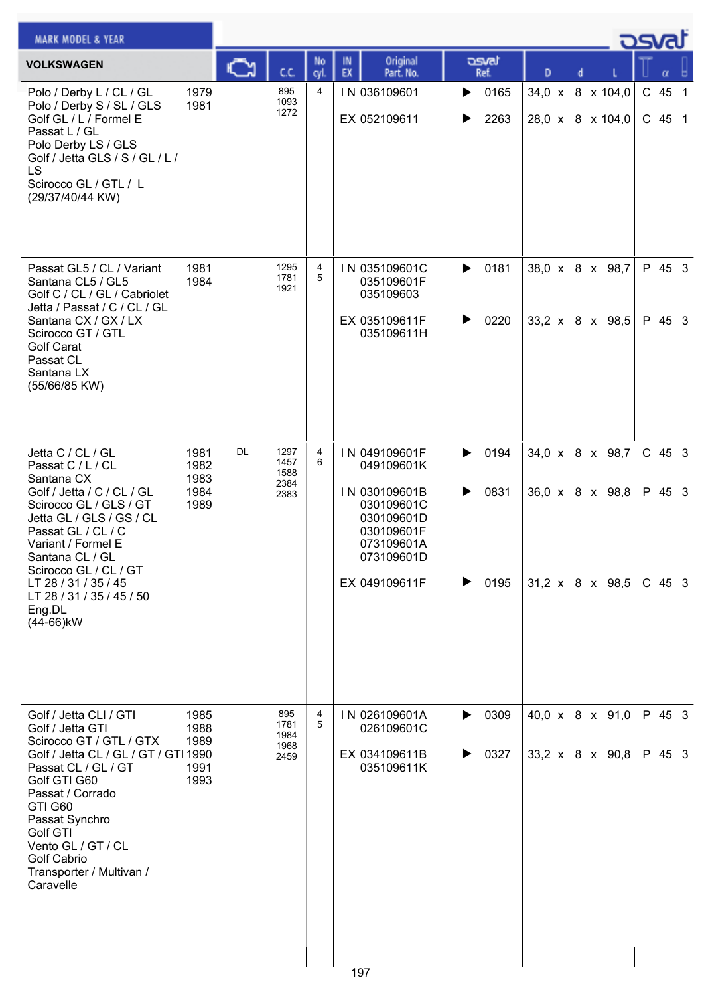| <b>MARK MODEL &amp; YEAR</b>                                                                                                                                                                                                                                                                                 |                                      |    |                                      |                |                                                                                                                                     |                                            |                                                              | كصحت   |                    |  |
|--------------------------------------------------------------------------------------------------------------------------------------------------------------------------------------------------------------------------------------------------------------------------------------------------------------|--------------------------------------|----|--------------------------------------|----------------|-------------------------------------------------------------------------------------------------------------------------------------|--------------------------------------------|--------------------------------------------------------------|--------|--------------------|--|
| <b>VOLKSWAGEN</b>                                                                                                                                                                                                                                                                                            |                                      | ∾  | C.C.                                 | No<br>cyl      | Original<br>IN<br>EX<br>Part. No.                                                                                                   | asvat<br>Ref.                              | D<br>d                                                       |        | α                  |  |
| Polo / Derby L / CL / GL<br>Polo / Derby S / SL / GLS<br>Golf GL / L / Formel E<br>Passat L / GL<br>Polo Derby LS / GLS<br>Golf / Jetta GLS / S / GL / L /<br><b>LS</b><br>Scirocco GL / GTL / L<br>(29/37/40/44 KW)                                                                                         | 1979<br>1981                         |    | 895<br>1093<br>1272                  | $\overline{4}$ | IN 036109601<br>EX 052109611                                                                                                        | 0165<br>▶<br>2263<br>▶                     | 34,0 x 8 x 104,0<br>28,0 x 8 x 104,0                         |        | C 45 1<br>C 45 1   |  |
| Passat GL5 / CL / Variant<br>Santana CL5 / GL5<br>Golf C / CL / GL / Cabriolet<br>Jetta / Passat / C / CL / GL<br>Santana CX / GX / LX<br>Scirocco GT / GTL<br><b>Golf Carat</b><br>Passat CL<br>Santana LX<br>(55/66/85 KW)                                                                                 | 1981<br>1984                         |    | 1295<br>1781<br>1921                 | 4<br>5         | IN 035109601C<br>035109601F<br>035109603<br>EX 035109611F<br>035109611H                                                             | 0181<br>$\blacktriangleright$<br>0220<br>▶ | 38,0 x 8 x 98,7<br>33,2 x 8 x 98,5                           |        | P 45 3<br>P 45 3   |  |
| Jetta C / CL / GL<br>Passat C / L / CL<br>Santana CX<br>Golf / Jetta / C / CL / GL<br>Scirocco GL / GLS / GT<br>Jetta GL / GLS / GS / CL<br>Passat GL / CL / C<br>Variant / Formel E<br>Santana CL / GL<br>Scirocco GL / CL / GT<br>LT 28 / 31 / 35 / 45<br>LT 28 / 31 / 35 / 45 / 50<br>Eng.DL<br>(44-66)kW | 1981<br>1982<br>1983<br>1984<br>1989 | DL | 1297<br>1457<br>1588<br>2384<br>2383 | 4<br>6         | IN 049109601F<br>049109601K<br>IN 030109601B<br>030109601C<br>030109601D<br>030109601F<br>073109601A<br>073109601D<br>EX 049109611F | 0194<br>▶<br>0831<br>▶<br>0195<br>▶        | 34,0 x 8 x 98,7<br>36,0 x 8 x 98,8<br>31,2 x 8 x 98,5 C 45 3 |        | $C$ 45 3<br>P 45 3 |  |
| Golf / Jetta CLI / GTI<br>Golf / Jetta GTI<br>Scirocco GT / GTL / GTX<br>Golf / Jetta CL / GL / GT / GTI 1990<br>Passat CL / GL / GT<br>Golf GTI G60<br>Passat / Corrado<br>GTI G60<br>Passat Synchro<br>Golf GTI<br>Vento GL / GT / CL<br><b>Golf Cabrio</b><br>Transporter / Multivan /<br>Caravelle       | 1985<br>1988<br>1989<br>1991<br>1993 |    | 895<br>1781<br>1984<br>1968<br>2459  | 4<br>5         | IN 026109601A<br>026109601C<br>EX 034109611B<br>035109611K<br>197                                                                   | 0309<br>▶<br>0327<br>▶                     | 40,0 x 8 x 91,0<br>33,2 x 8 x 90,8                           | P 45 3 | P 45 3             |  |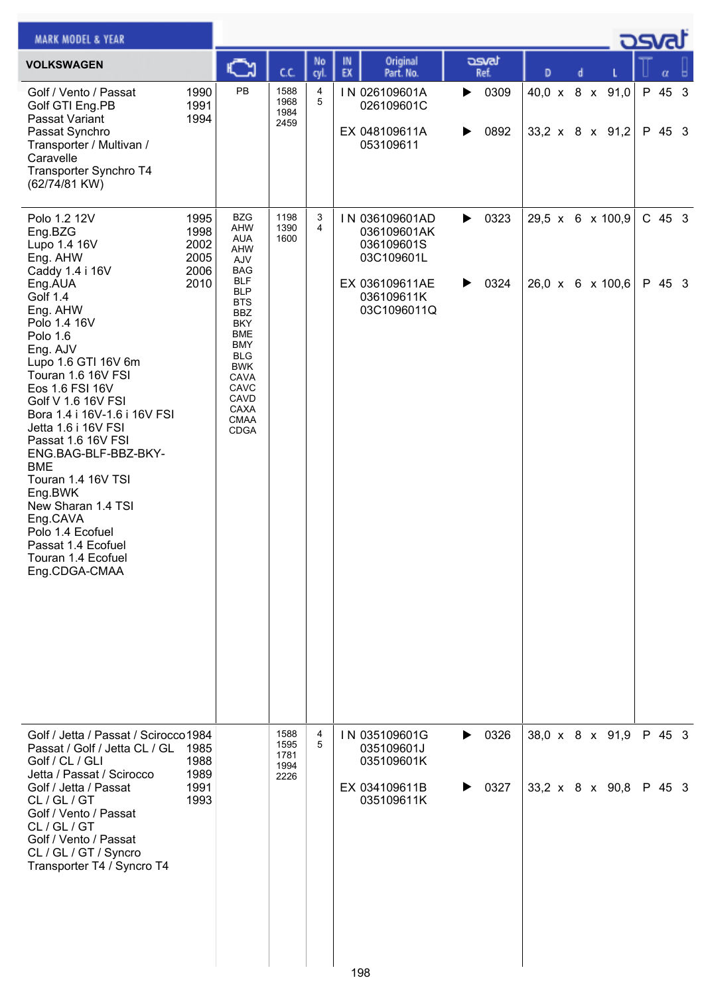| <b>MARK MODEL &amp; YEAR</b>                                                                                                                                                                                                                                                                                                                                                                                                                                                                                   |                                              |                                                                                                                                                                                                                                                         |                                      |            |          |                                                                                                          |        |               |   |   |                                      | <b>DSVAL</b>       |   |
|----------------------------------------------------------------------------------------------------------------------------------------------------------------------------------------------------------------------------------------------------------------------------------------------------------------------------------------------------------------------------------------------------------------------------------------------------------------------------------------------------------------|----------------------------------------------|---------------------------------------------------------------------------------------------------------------------------------------------------------------------------------------------------------------------------------------------------------|--------------------------------------|------------|----------|----------------------------------------------------------------------------------------------------------|--------|---------------|---|---|--------------------------------------|--------------------|---|
| <b>VOLKSWAGEN</b>                                                                                                                                                                                                                                                                                                                                                                                                                                                                                              |                                              | J                                                                                                                                                                                                                                                       | C.C.                                 | No<br>cyl. | IN<br>EX | Original<br>Part. No.                                                                                    |        | asvat<br>Ref. | D | d |                                      | α                  | ы |
| Golf / Vento / Passat<br>Golf GTI Eng.PB<br>Passat Variant<br>Passat Synchro<br>Transporter / Multivan /<br>Caravelle<br>Transporter Synchro T4<br>(62/74/81 KW)                                                                                                                                                                                                                                                                                                                                               | 1990<br>1991<br>1994                         | PB                                                                                                                                                                                                                                                      | 1588<br>1968<br>1984<br>2459         | 4<br>5     |          | IN 026109601A<br>026109601C<br>EX 048109611A<br>053109611                                                | ▶<br>▶ | 0309<br>0892  |   |   | 40,0 x 8 x 91,0<br>33,2 x 8 x 91,2   | P 45 3<br>P 45 3   |   |
| Polo 1.2 12V<br>Eng.BZG<br>Lupo 1.4 16V<br>Eng. AHW<br>Caddy 1.4 i 16V<br>Eng.AUA<br>Golf 1.4<br>Eng. AHW<br>Polo 1.4 16V<br>Polo 1.6<br>Eng. AJV<br>Lupo 1.6 GTI 16V 6m<br>Touran 1.6 16V FSI<br>Eos 1.6 FSI 16V<br>Golf V 1.6 16V FSI<br>Bora 1.4 i 16V-1.6 i 16V FSI<br>Jetta 1.6 i 16V FSI<br>Passat 1.6 16V FSI<br>ENG.BAG-BLF-BBZ-BKY-<br><b>BME</b><br>Touran 1.4 16V TSI<br>Eng.BWK<br>New Sharan 1.4 TSI<br>Eng.CAVA<br>Polo 1.4 Ecofuel<br>Passat 1.4 Ecofuel<br>Touran 1.4 Ecofuel<br>Eng.CDGA-CMAA | 1995<br>1998<br>2002<br>2005<br>2006<br>2010 | <b>BZG</b><br>AHW<br><b>AUA</b><br>AHW<br>AJV<br><b>BAG</b><br><b>BLF</b><br><b>BLP</b><br><b>BTS</b><br><b>BBZ</b><br><b>BKY</b><br><b>BME</b><br><b>BMY</b><br><b>BLG</b><br><b>BWK</b><br>CAVA<br>CAVC<br>CAVD<br>CAXA<br><b>CMAA</b><br><b>CDGA</b> | 1198<br>1390<br>1600                 | 3<br>4     |          | IN 036109601AD<br>036109601AK<br>036109601S<br>03C109601L<br>EX 036109611AE<br>036109611K<br>03C1096011Q | ▶<br>▶ | 0323<br>0324  |   |   | 29,5 x 6 x 100,9<br>26,0 x 6 x 100,6 | $C$ 45 3<br>P 45 3 |   |
| Golf / Jetta / Passat / Scirocco 1984<br>Passat / Golf / Jetta CL / GL<br>Golf / CL / GLI<br>Jetta / Passat / Scirocco<br>Golf / Jetta / Passat<br>CL / GL / GT<br>Golf / Vento / Passat<br>CL/GL/GT                                                                                                                                                                                                                                                                                                           | 1985<br>1988<br>1989<br>1991<br>1993         |                                                                                                                                                                                                                                                         | 1588<br>1595<br>1781<br>1994<br>2226 | 4<br>5     |          | IN 035109601G<br>035109601J<br>035109601K<br>EX 034109611B<br>035109611K                                 | ▶<br>▶ | 0326<br>0327  |   |   | 38,0 x 8 x 91,9<br>33,2 x 8 x 90,8   | P 45 3<br>P 45 3   |   |
| Golf / Vento / Passat<br>CL / GL / GT / Syncro<br>Transporter T4 / Syncro T4                                                                                                                                                                                                                                                                                                                                                                                                                                   |                                              |                                                                                                                                                                                                                                                         |                                      |            |          |                                                                                                          |        |               |   |   |                                      |                    |   |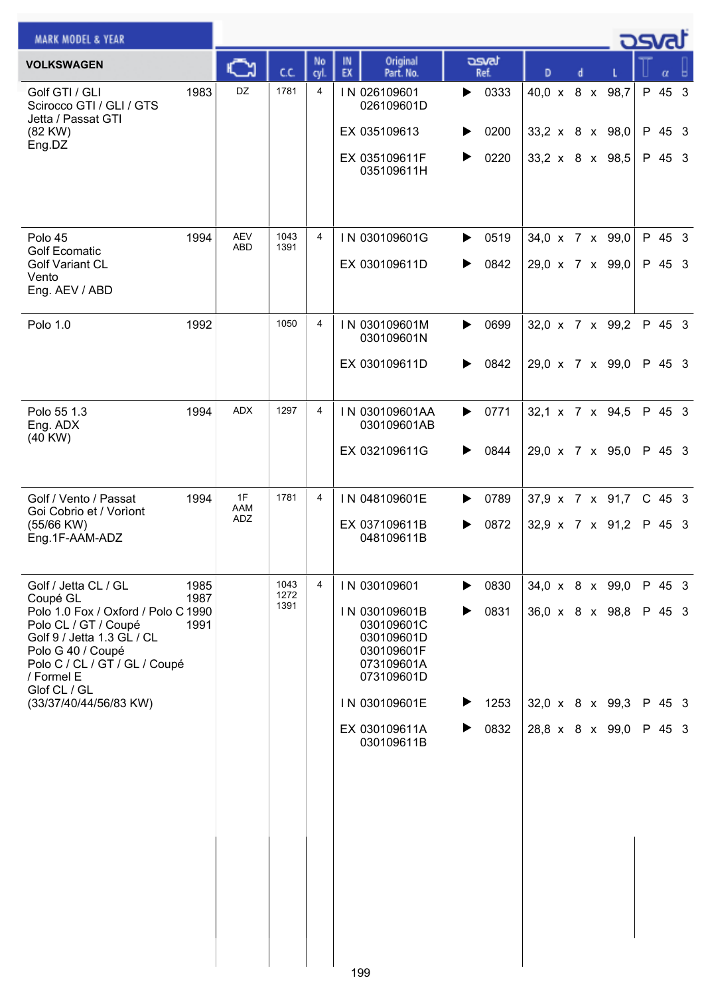| <b>MARK MODEL &amp; YEAR</b>                                                                                                                                                  |              |                          |              |                |          |                                                                                     |   |               |   |  |                             | osvat    |  |
|-------------------------------------------------------------------------------------------------------------------------------------------------------------------------------|--------------|--------------------------|--------------|----------------|----------|-------------------------------------------------------------------------------------|---|---------------|---|--|-----------------------------|----------|--|
| <b>VOLKSWAGEN</b>                                                                                                                                                             |              |                          | сc           | No<br>cyl      | IN<br>EX | Original<br>Part. No.                                                               |   | asvat<br>Ref. | D |  |                             | α        |  |
| Golf GTI / GLI<br>Scirocco GTI / GLI / GTS<br>Jetta / Passat GTI                                                                                                              | 1983         | DZ                       | 1781         | 4              |          | IN 026109601<br>026109601D                                                          | ▶ | 0333          |   |  | 40,0 x 8 x 98,7             | P 45 3   |  |
| (82 KW)<br>Eng.DZ                                                                                                                                                             |              |                          |              |                |          | EX 035109613                                                                        | ▶ | 0200          |   |  | 33,2 x 8 x 98,0             | P 45 3   |  |
|                                                                                                                                                                               |              |                          |              |                |          | EX 035109611F<br>035109611H                                                         | ▶ | 0220          |   |  | $33,2 \times 8 \times 98,5$ | P 45 3   |  |
| Polo 45                                                                                                                                                                       | 1994         | <b>AEV</b><br><b>ABD</b> | 1043<br>1391 | 4              |          | IN 030109601G                                                                       | ▶ | 0519          |   |  | 34,0 x 7 x 99,0             | P 45 3   |  |
| <b>Golf Ecomatic</b><br><b>Golf Variant CL</b><br>Vento<br>Eng. AEV / ABD                                                                                                     |              |                          |              |                |          | EX 030109611D                                                                       | ▶ | 0842          |   |  | 29,0 x 7 x 99,0             | P 45 3   |  |
| Polo 1.0                                                                                                                                                                      | 1992         |                          | 1050         | 4              |          | IN 030109601M<br>030109601N                                                         | ▶ | 0699          |   |  | 32,0 x 7 x 99,2             | P 45 3   |  |
|                                                                                                                                                                               |              |                          |              |                |          | EX 030109611D                                                                       | ▶ | 0842          |   |  | 29,0 x 7 x 99,0             | P 45 3   |  |
| Polo 55 1.3<br>Eng. ADX<br>$(40$ KW $)$                                                                                                                                       | 1994         | <b>ADX</b>               | 1297         | 4              |          | IN 030109601AA<br>030109601AB                                                       | ▶ | 0771          |   |  | 32,1 x 7 x 94,5             | P 45 3   |  |
|                                                                                                                                                                               |              |                          |              |                |          | EX 032109611G                                                                       | ▶ | 0844          |   |  | 29,0 x 7 x 95,0             | P 45 3   |  |
| Golf / Vento / Passat<br>Goi Cobrio et / Vorìont                                                                                                                              | 1994         | 1F<br>AAM                | 1781         | 4              |          | IN 048109601E                                                                       |   | 0789          |   |  | 37,9 x 7 x 91,7             | $C$ 45 3 |  |
| (55/66 KW)<br>Eng.1F-AAM-ADZ                                                                                                                                                  |              | ADZ                      |              |                |          | EX 037109611B<br>048109611B                                                         | ▶ | 0872          |   |  | $32.9 \times 7 \times 91.2$ | P 45 3   |  |
| Golf / Jetta CL / GL<br>Coupé GL                                                                                                                                              | 1985<br>1987 |                          | 1043<br>1272 | $\overline{4}$ |          | IN 030109601                                                                        | ▶ | 0830          |   |  | 34,0 x 8 x 99,0             | P 45 3   |  |
| Polo 1.0 Fox / Oxford / Polo C 1990<br>Polo CL / GT / Coupé<br>Golf 9 / Jetta 1.3 GL / CL<br>Polo G 40 / Coupé<br>Polo C / CL / GT / GL / Coupé<br>/ Formel E<br>Glof CL / GL | 1991         |                          | 1391         |                |          | IN 030109601B<br>030109601C<br>030109601D<br>030109601F<br>073109601A<br>073109601D | ▶ | 0831          |   |  | 36,0 x 8 x 98,8             | P 45 3   |  |
| (33/37/40/44/56/83 KW)                                                                                                                                                        |              |                          |              |                |          | IN 030109601E                                                                       | ▶ | 1253          |   |  | 32,0 x 8 x 99,3             | P 45 3   |  |
|                                                                                                                                                                               |              |                          |              |                |          | EX 030109611A<br>030109611B                                                         | ▶ | 0832          |   |  | 28,8 x 8 x 99,0             | P 45 3   |  |
|                                                                                                                                                                               |              |                          |              |                |          |                                                                                     |   |               |   |  |                             |          |  |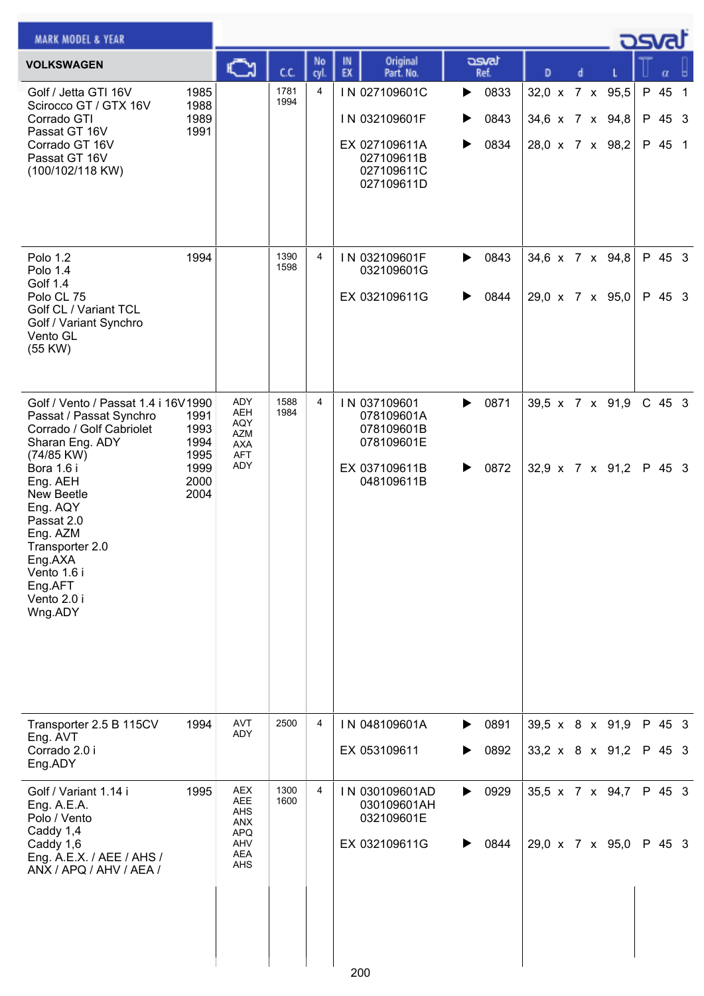| <b>MARK MODEL &amp; YEAR</b>                                                                                                                                                                                                                                                                |                                                      |                                                                                  |              |                |                                                                                           |                                     |                                                       |  | ك <i>osva</i> d          |                |
|---------------------------------------------------------------------------------------------------------------------------------------------------------------------------------------------------------------------------------------------------------------------------------------------|------------------------------------------------------|----------------------------------------------------------------------------------|--------------|----------------|-------------------------------------------------------------------------------------------|-------------------------------------|-------------------------------------------------------|--|--------------------------|----------------|
| <b>VOLKSWAGEN</b>                                                                                                                                                                                                                                                                           |                                                      | C                                                                                | C.C.         | No<br>cyl.     | Original<br>IN<br>EX<br>Part. No.                                                         | asvat<br>Ref.                       | D<br>d                                                |  |                          |                |
| Golf / Jetta GTI 16V<br>Scirocco GT / GTX 16V<br>Corrado GTI<br>Passat GT 16V<br>Corrado GT 16V<br>Passat GT 16V<br>(100/102/118 KW)                                                                                                                                                        | 1985<br>1988<br>1989<br>1991                         |                                                                                  | 1781<br>1994 | 4              | IN 027109601C<br>IN 032109601F<br>EX 027109611A<br>027109611B<br>027109611C<br>027109611D | 0833<br>▶<br>0843<br>▶<br>0834<br>▶ | 32,0 x 7 x 95,5<br>34,6 x 7 x 94,8<br>28,0 x 7 x 98,2 |  | P 45<br>P 45 3<br>P 45 1 | $\overline{1}$ |
| Polo 1.2<br>Polo 1.4<br>Golf 1.4<br>Polo CL 75<br>Golf CL / Variant TCL<br>Golf / Variant Synchro<br>Vento GL<br>(55 KW)                                                                                                                                                                    | 1994                                                 |                                                                                  | 1390<br>1598 | $\overline{4}$ | IN 032109601F<br>032109601G<br>EX 032109611G                                              | 0843<br>▶<br>0844<br>▶              | 34,6 x 7 x 94,8<br>29,0 x 7 x 95,0                    |  | P 45 3<br>P 45 3         |                |
| Golf / Vento / Passat 1.4 i 16V1990<br>Passat / Passat Synchro<br>Corrado / Golf Cabriolet<br>Sharan Eng. ADY<br>(74/85 KW)<br>Bora 1.6 i<br>Eng. AEH<br>New Beetle<br>Eng. AQY<br>Passat 2.0<br>Eng. AZM<br>Transporter 2.0<br>Eng.AXA<br>Vento 1.6 i<br>Eng.AFT<br>Vento 2.0 i<br>Wng.ADY | 1991<br>1993<br>1994<br>1995<br>1999<br>2000<br>2004 | ADY<br><b>AEH</b><br>AQY<br><b>AZM</b><br><b>AXA</b><br><b>AFT</b><br>ADY        | 1588<br>1984 | 4              | IN 037109601<br>078109601A<br>078109601B<br>078109601E<br>EX 037109611B<br>048109611B     | 0871<br>▶<br>0872<br>▶              | 39,5 x 7 x 91,9<br>$32,9 \times 7 \times 91,2$        |  | $C$ 45 3<br>P 45 3       |                |
| Transporter 2.5 B 115CV<br>Eng. AVT<br>Corrado 2.0 i<br>Eng.ADY                                                                                                                                                                                                                             | 1994                                                 | <b>AVT</b><br>ADY                                                                | 2500         | 4              | IN 048109601A<br>EX 053109611                                                             | 0891<br>▶<br>0892<br>▶              | 39,5 x 8 x 91,9<br>33,2 x 8 x 91,2                    |  | P 45 3<br>P 45 3         |                |
| Golf / Variant 1.14 i<br>Eng. A.E.A.<br>Polo / Vento<br>Caddy 1,4<br>Caddy 1,6<br>Eng. A.E.X. / AEE / AHS /<br>ANX / APQ / AHV / AEA /                                                                                                                                                      | 1995                                                 | <b>AEX</b><br>AEE<br>AHS<br><b>ANX</b><br><b>APQ</b><br>AHV<br><b>AEA</b><br>AHS | 1300<br>1600 | 4              | IN 030109601AD<br>030109601AH<br>032109601E<br>EX 032109611G<br>200                       | 0929<br>▶<br>0844<br>▶              | 35,5 x 7 x 94,7<br>29,0 x 7 x 95,0                    |  | P 45 3<br>P 45 3         |                |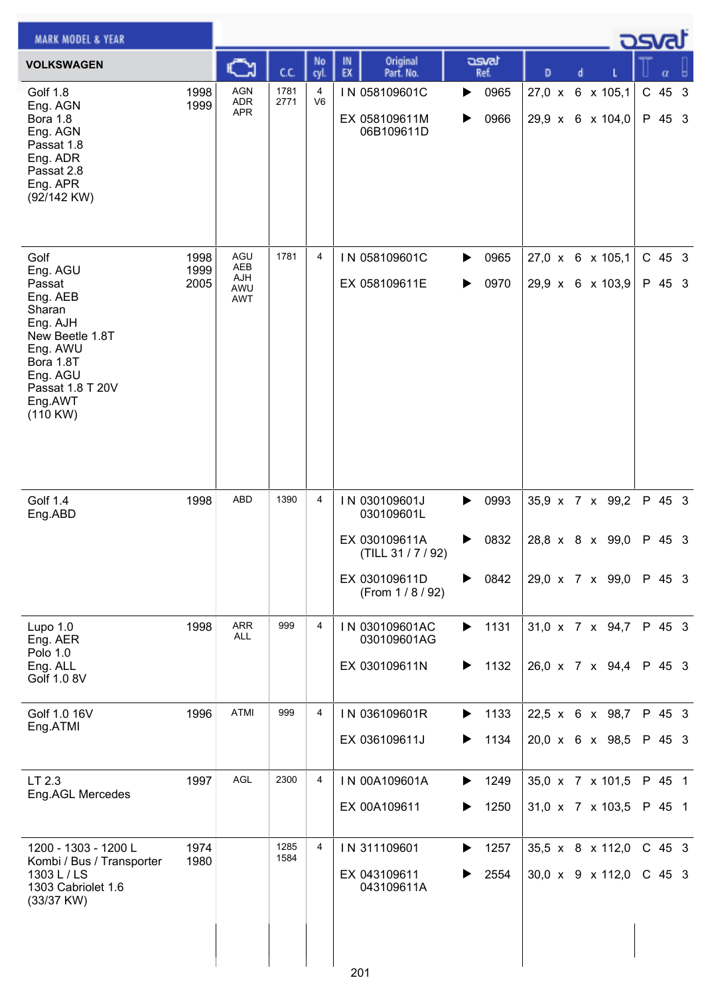| <b>MARK MODEL &amp; YEAR</b>                                                                                                                |              |                                        |              |                     |                                                                       |        |               |               |   |                                      | كصحح               |  |
|---------------------------------------------------------------------------------------------------------------------------------------------|--------------|----------------------------------------|--------------|---------------------|-----------------------------------------------------------------------|--------|---------------|---------------|---|--------------------------------------|--------------------|--|
| <b>VOLKSWAGEN</b>                                                                                                                           |              |                                        | cc           | No<br>cyl           | Original<br>IN<br>EX<br>Part. No.                                     |        | asvat<br>Ref. | D             | d |                                      |                    |  |
| Golf 1.8<br>Eng. AGN<br>Bora 1.8<br>Eng. AGN<br>Passat 1.8<br>Eng. ADR<br>Passat 2.8<br>Eng. APR<br>(92/142 KW)                             | 1998<br>1999 | <b>AGN</b><br><b>ADR</b><br><b>APR</b> | 1781<br>2771 | 4<br>V <sub>6</sub> | IN 058109601C<br>EX 058109611M<br>06B109611D                          | ▶<br>▶ | 0965<br>0966  | $27,0 \times$ |   | 6 x 105,1<br>29,9 x 6 x 104,0        | $C$ 45 3<br>P 45 3 |  |
| Golf<br>Eng. AGU                                                                                                                            | 1998<br>1999 | AGU<br><b>AEB</b>                      | 1781         | 4                   | IN 058109601C                                                         | ▶      | 0965          |               |   | 27,0 x 6 x 105,1                     | C 45 3             |  |
| Passat<br>Eng. AEB<br>Sharan<br>Eng. AJH<br>New Beetle 1.8T<br>Eng. AWU<br>Bora 1.8T<br>Eng. AGU<br>Passat 1.8 T 20V<br>Eng.AWT<br>(110 KW) | 2005         | AJH<br>AWU<br><b>AWT</b>               |              |                     | EX 058109611E                                                         | ▶      | 0970          |               |   | 29,9 x 6 x 103,9                     | P 45 3             |  |
| Golf 1.4<br>Eng.ABD                                                                                                                         | 1998         | <b>ABD</b>                             | 1390         | 4                   | IN 030109601J<br>030109601L                                           | ▶      | 0993          |               |   | 35,9 x 7 x 99,2                      | P 45 3             |  |
|                                                                                                                                             |              |                                        |              |                     | EX 030109611A<br>(TILL 31 / 7 / 92)<br>EX 030109611D<br>(From 1/8/92) | ▶<br>▶ | 0832<br>0842  |               |   | 28,8 x 8 x 99,0<br>29,0 x 7 x 99,0   | P 45 3<br>P 45 3   |  |
| Lupo $1.0$                                                                                                                                  | 1998         | <b>ARR</b><br><b>ALL</b>               | 999          | 4                   | IN 030109601AC                                                        | ▶      | 1131          |               |   | 31,0 x 7 x 94,7                      | P 45 3             |  |
| Eng. AER<br>Polo 1.0<br>Eng. ALL<br>Golf 1.0 8V                                                                                             |              |                                        |              |                     | 030109601AG<br>EX 030109611N                                          | ▶      | 1132          |               |   | 26,0 x 7 x 94,4                      | P 45 3             |  |
| Golf 1.0 16V<br>Eng.ATMI                                                                                                                    | 1996         | ATMI                                   | 999          | 4                   | IN 036109601R                                                         | ▶      | 1133          |               |   | 22,5 x 6 x 98,7                      | P 45 3             |  |
|                                                                                                                                             |              |                                        |              |                     | EX 036109611J                                                         | ▶      | 1134          |               |   | 20,0 x 6 x 98,5                      | P 45 3             |  |
| LT 2.3<br>Eng.AGL Mercedes                                                                                                                  | 1997         | AGL                                    | 2300         | 4                   | IN 00A109601A                                                         | ▶      | 1249          |               |   | 35,0 x 7 x 101,5                     | P 45 1             |  |
|                                                                                                                                             |              |                                        |              |                     | EX 00A109611                                                          | ▶      | 1250          |               |   | 31,0 x 7 x 103,5                     | P 45 1             |  |
| 1200 - 1303 - 1200 L<br>Kombi / Bus / Transporter<br>1303 L / LS<br>1303 Cabriolet 1.6<br>(33/37 KW)                                        | 1974<br>1980 |                                        | 1285<br>1584 | 4                   | IN 311109601<br>EX 043109611<br>043109611A                            | ▶      | 1257<br>2554  |               |   | 35,5 x 8 x 112,0<br>30,0 x 9 x 112,0 | C 45 3<br>$C$ 45 3 |  |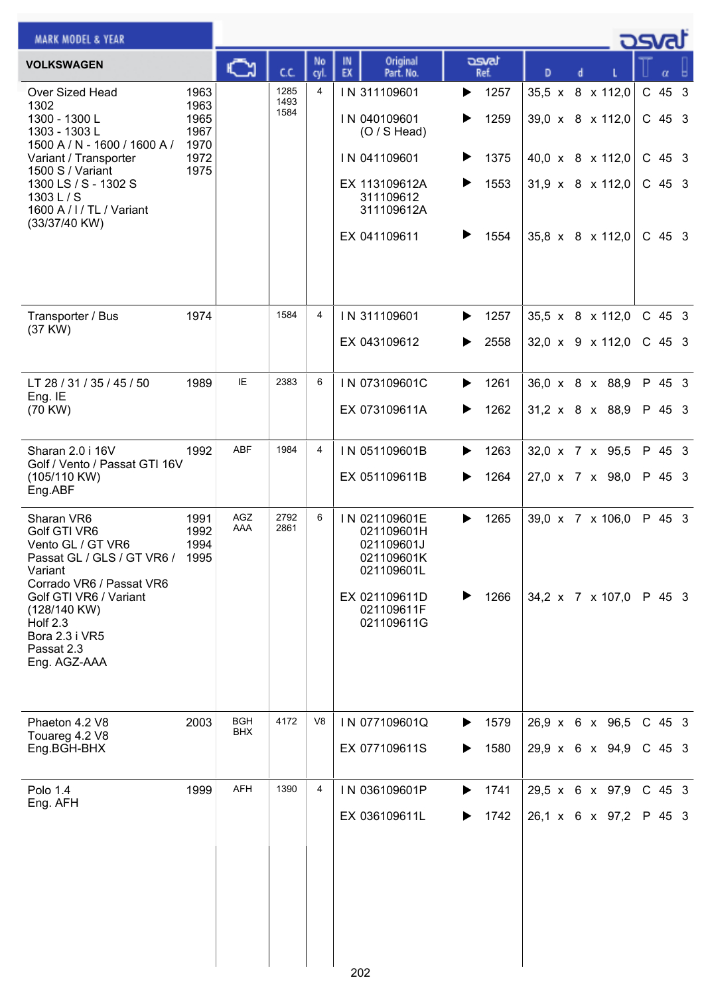| <b>MARK MODEL &amp; YEAR</b>                                                                                                                                                                                                      |                                                      |                          |                      |                |          |                                                                                                                            |                       |                                      |                                                          |  |                                                              | كصحت                                               |  |
|-----------------------------------------------------------------------------------------------------------------------------------------------------------------------------------------------------------------------------------|------------------------------------------------------|--------------------------|----------------------|----------------|----------|----------------------------------------------------------------------------------------------------------------------------|-----------------------|--------------------------------------|----------------------------------------------------------|--|--------------------------------------------------------------|----------------------------------------------------|--|
| <b>VOLKSWAGEN</b>                                                                                                                                                                                                                 |                                                      | C                        | C.C.                 | No<br>cyl.     | IN<br>EX | Original<br>Part. No.                                                                                                      |                       | asvat<br>Ref.                        | D                                                        |  |                                                              |                                                    |  |
| Over Sized Head<br>1302<br>1300 - 1300 L<br>1303 - 1303 L<br>1500 A / N - 1600 / 1600 A /<br>Variant / Transporter<br>1500 S / Variant<br>1300 LS / S - 1302 S<br>1303 L / S<br>1600 A / I / TL / Variant<br>(33/37/40 KW)        | 1963<br>1963<br>1965<br>1967<br>1970<br>1972<br>1975 |                          | 1285<br>1493<br>1584 | $\overline{4}$ |          | IN 311109601<br>IN 040109601<br>$(O / S$ Head)<br>IN 041109601<br>EX 113109612A<br>311109612<br>311109612A<br>EX 041109611 | ▶<br>▶<br>▶<br>▶<br>▶ | 1257<br>1259<br>1375<br>1553<br>1554 | 35,5 x 8 x 112,0<br>39,0 x 8 x 112,0<br>40,0 x 8 x 112,0 |  | $31,9 \times 8 \times 112,0$<br>$35,8 \times 8 \times 112,0$ | C 45 3<br>$C$ 45 3<br>$C$ 45 3<br>C 45 3<br>C 45 3 |  |
| Transporter / Bus<br>(37 KW)                                                                                                                                                                                                      | 1974                                                 |                          | 1584                 | 4              |          | IN 311109601<br>EX 043109612                                                                                               | ▶<br>▶                | 1257<br>2558                         | 35,5 x 8 x 112,0<br>$32,0 \times 9 \times 112,0$         |  |                                                              | $C$ 45 3<br>C 45 3                                 |  |
| LT 28 / 31 / 35 / 45 / 50<br>Eng. IE<br>(70 KW)                                                                                                                                                                                   | 1989                                                 | IE                       | 2383                 | 6              |          | IN 073109601C<br>EX 073109611A                                                                                             | ▶<br>▶                | 1261<br>1262                         | 36,0 x 8 x 88,9<br>$31,2 \times 8 \times 88,9$           |  |                                                              | P 45 3<br>P 45 3                                   |  |
| Sharan 2.0 i 16V<br>Golf / Vento / Passat GTI 16V<br>(105/110 KW)<br>Eng.ABF                                                                                                                                                      | 1992                                                 | <b>ABF</b>               | 1984                 | $\overline{4}$ |          | IN 051109601B<br>EX 051109611B                                                                                             | ▶<br>▶                | 1263<br>1264                         | 32,0 x 7 x 95,5<br>27,0 x 7 x 98,0                       |  |                                                              | P 45 3<br>P 45 3                                   |  |
| Sharan VR6<br>Golf GTI VR6<br>Vento GL / GT VR6<br>Passat GL / GLS / GT VR6 / 1995<br>Variant<br>Corrado VR6 / Passat VR6<br>Golf GTI VR6 / Variant<br>(128/140 KW)<br>Holf $2.3$<br>Bora 2.3 i VR5<br>Passat 2.3<br>Eng. AGZ-AAA | 1991<br>1992<br>1994                                 | AGZ<br>AAA               | 2792<br>2861         | 6              |          | IN 021109601E<br>021109601H<br>021109601J<br>021109601K<br>021109601L<br>EX 021109611D<br>021109611F<br>021109611G         | ▶                     | 1265<br>1266                         |                                                          |  | 39,0 x 7 x 106,0<br>34,2 x 7 x 107,0                         | P 45 3<br>P 45 3                                   |  |
| Phaeton 4.2 V8<br>Touareg 4.2 V8<br>Eng.BGH-BHX                                                                                                                                                                                   | 2003                                                 | <b>BGH</b><br><b>BHX</b> | 4172                 | V8             |          | IN 077109601Q<br>EX 077109611S                                                                                             | ▶                     | 1579<br>1580                         | 26,9 x 6 x 96,5                                          |  | 29,9 x 6 x 94,9                                              | C 45 3<br>$C$ 45 3                                 |  |
| Polo 1.4<br>Eng. AFH                                                                                                                                                                                                              | 1999                                                 | <b>AFH</b>               | 1390                 | 4              |          | IN 036109601P<br>EX 036109611L                                                                                             | ▶                     | 1741<br>1742                         | 26,1 x 6 x 97,2                                          |  | 29,5 x 6 x 97,9                                              | $C$ 45 3<br>P 45 3                                 |  |
|                                                                                                                                                                                                                                   |                                                      |                          |                      |                | 202      |                                                                                                                            |                       |                                      |                                                          |  |                                                              |                                                    |  |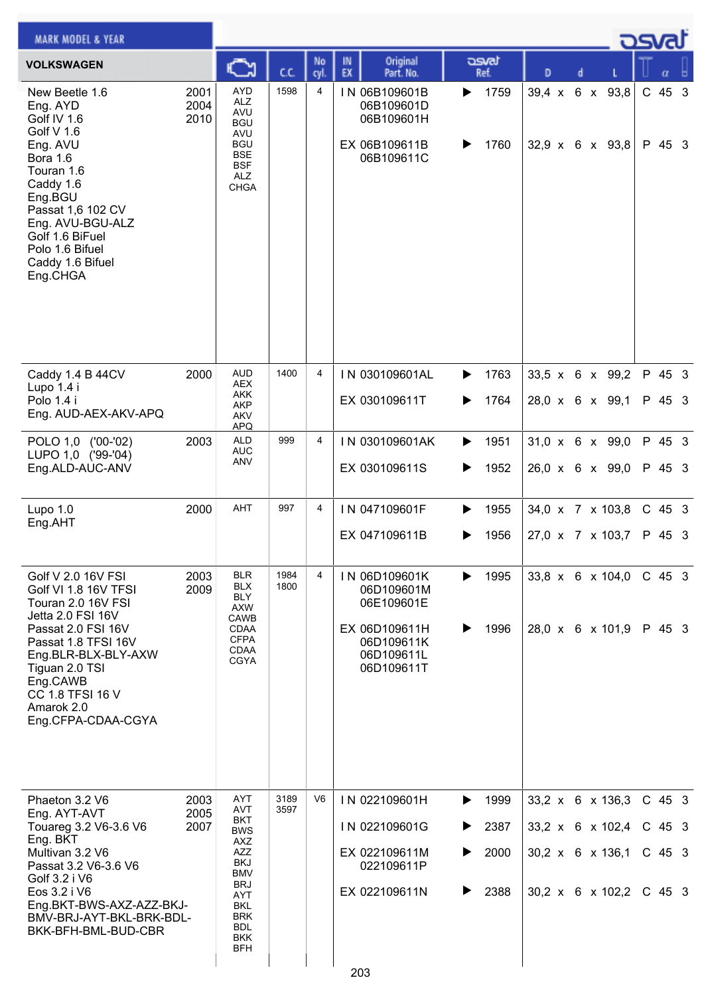| <b>MARK MODEL &amp; YEAR</b>                                                                                                                                                                                                                           |                      |                                                                                                                                                                                           |              |                |                                                                                                      |                  |                              |                                                                                                      |  |                  | osval                                        |  |
|--------------------------------------------------------------------------------------------------------------------------------------------------------------------------------------------------------------------------------------------------------|----------------------|-------------------------------------------------------------------------------------------------------------------------------------------------------------------------------------------|--------------|----------------|------------------------------------------------------------------------------------------------------|------------------|------------------------------|------------------------------------------------------------------------------------------------------|--|------------------|----------------------------------------------|--|
| <b>VOLKSWAGEN</b>                                                                                                                                                                                                                                      |                      |                                                                                                                                                                                           | C.C.         | No<br>cyl.     | Original<br>IN<br>EX<br>Part. No.                                                                    |                  | asvat<br>Ref.                | D                                                                                                    |  |                  |                                              |  |
| New Beetle 1.6<br>Eng. AYD<br>Golf IV 1.6<br>Golf V 1.6<br>Eng. AVU<br><b>Bora 1.6</b><br>Touran 1.6<br>Caddy 1.6<br>Eng.BGU<br>Passat 1,6 102 CV<br>Eng. AVU-BGU-ALZ<br>Golf 1.6 BiFuel<br>Polo 1.6 Bifuel<br>Caddy 1.6 Bifuel<br>Eng.CHGA            | 2001<br>2004<br>2010 | <b>AYD</b><br><b>ALZ</b><br><b>AVU</b><br><b>BGU</b><br>AVU<br><b>BGU</b><br><b>BSE</b><br><b>BSF</b><br><b>ALZ</b><br><b>CHGA</b>                                                        | 1598         | 4              | IN 06B109601B<br>06B109601D<br>06B109601H<br>EX 06B109611B<br>06B109611C                             | ▶<br>▶           | 1759<br>1760                 | $39.4 \times$<br>$32,9 \times 6 \times 93,8$                                                         |  | 6 x 93,8         | C 45 3<br>P 45 3                             |  |
| Caddy 1.4 B 44CV<br>Lupo 1.4 i<br>Polo 1.4 i<br>Eng. AUD-AEX-AKV-APQ                                                                                                                                                                                   | 2000                 | <b>AUD</b><br><b>AEX</b><br><b>AKK</b><br>AKP<br>AKV<br><b>APQ</b>                                                                                                                        | 1400         | $\overline{4}$ | IN 030109601AL<br>EX 030109611T                                                                      | ▶<br>▶           | 1763<br>1764                 | 33,5 x 6 x 99,2<br>28,0 x 6 x 99,1                                                                   |  |                  | P 45 3<br>P 45 3                             |  |
| POLO 1,0 ('00-'02)<br>LUPO 1,0 ('99-'04)<br>Eng.ALD-AUC-ANV                                                                                                                                                                                            | 2003                 | <b>ALD</b><br><b>AUC</b><br><b>ANV</b>                                                                                                                                                    | 999          | $\overline{4}$ | IN 030109601AK<br>EX 030109611S                                                                      | ▶<br>▶           | 1951<br>1952                 | 31,0 x 6 x 99,0<br>26,0 x 6 x 99,0                                                                   |  |                  | P 45 3<br>P 45 3                             |  |
| Lupo $1.0$<br>Eng.AHT                                                                                                                                                                                                                                  | 2000                 | AHT                                                                                                                                                                                       | 997          | 4              | IN 047109601F<br>EX 047109611B                                                                       | ▶                | 1955<br>1956                 | 34,0 x 7 x 103,8<br>27,0 x 7 x 103,7                                                                 |  |                  | $C$ 45 3<br>P 45 3                           |  |
| Golf V 2.0 16V FSI<br>Golf VI 1.8 16V TFSI<br>Touran 2.0 16V FSI<br>Jetta 2.0 FSI 16V<br>Passat 2.0 FSI 16V<br>Passat 1.8 TFSI 16V<br>Eng.BLR-BLX-BLY-AXW<br>Tiguan 2.0 TSI<br>Eng.CAWB<br><b>CC 1.8 TFSI 16 V</b><br>Amarok 2.0<br>Eng.CFPA-CDAA-CGYA | 2003<br>2009         | <b>BLR</b><br><b>BLX</b><br><b>BLY</b><br><b>AXW</b><br><b>CAWB</b><br>CDAA<br><b>CFPA</b><br><b>CDAA</b><br><b>CGYA</b>                                                                  | 1984<br>1800 | 4              | IN 06D109601K<br>06D109601M<br>06E109601E<br>EX 06D109611H<br>06D109611K<br>06D109611L<br>06D109611T | ▶<br>▶           | 1995<br>1996                 | 28,0 x 6 x 101,9                                                                                     |  | 33,8 x 6 x 104,0 | $C$ 45 3<br>P 45 3                           |  |
| Phaeton 3.2 V6<br>Eng. AYT-AVT<br>Touareg 3.2 V6-3.6 V6<br>Eng. BKT<br>Multivan 3.2 V6<br>Passat 3.2 V6-3.6 V6<br>Golf 3.2 i V6<br>Eos 3.2 i V6<br>Eng.BKT-BWS-AXZ-AZZ-BKJ-<br>BMV-BRJ-AYT-BKL-BRK-BDL-<br>BKK-BFH-BML-BUD-CBR                         | 2003<br>2005<br>2007 | AYT<br><b>AVT</b><br><b>BKT</b><br><b>BWS</b><br>AXZ<br><b>AZZ</b><br><b>BKJ</b><br><b>BMV</b><br><b>BRJ</b><br>AYT<br><b>BKL</b><br><b>BRK</b><br><b>BDL</b><br><b>BKK</b><br><b>BFH</b> | 3189<br>3597 | V <sub>6</sub> | IN 022109601H<br>IN 022109601G<br>EX 022109611M<br>022109611P<br>EX 022109611N                       | ▶<br>▶<br>▶<br>▶ | 1999<br>2387<br>2000<br>2388 | 33,2 x 6 x 136,3<br>33,2 x 6 x 102,4<br>$30,2 \times 6 \times 136,1$<br>$30,2 \times 6 \times 102,2$ |  |                  | $C$ 45 3<br>$C$ 45 3<br>$C$ 45 3<br>$C$ 45 3 |  |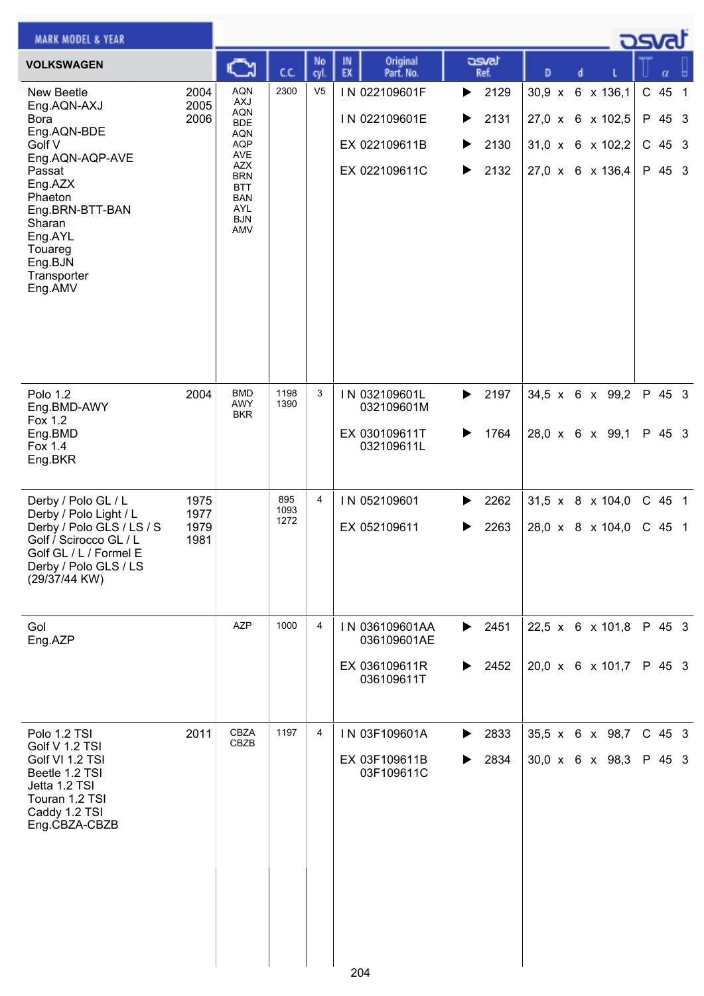| <b>MARK MODEL &amp; YEAR</b>                                                                                                                                                                                        |                              |                                                                                                                                                        |                     |                |                                                                  |                                                  |                                                                              |  | كت الصح                                |  |
|---------------------------------------------------------------------------------------------------------------------------------------------------------------------------------------------------------------------|------------------------------|--------------------------------------------------------------------------------------------------------------------------------------------------------|---------------------|----------------|------------------------------------------------------------------|--------------------------------------------------|------------------------------------------------------------------------------|--|----------------------------------------|--|
| <b>VOLKSWAGEN</b>                                                                                                                                                                                                   |                              | న                                                                                                                                                      | C.C.                | No<br>cyl.     | Original<br>IN<br>EX<br>Part. No.                                | dsvat<br>Ref.                                    | D<br>d                                                                       |  | α                                      |  |
| <b>New Beetle</b><br>Eng.AQN-AXJ<br><b>Bora</b><br>Eng.AQN-BDE<br>Golf V<br>Eng.AQN-AQP-AVE<br>Passat<br>Eng.AZX<br>Phaeton<br>Eng.BRN-BTT-BAN<br>Sharan<br>Eng.AYL<br>Touareg<br>Eng.BJN<br>Transporter<br>Eng.AMV | 2004<br>2005<br>2006         | <b>AQN</b><br><b>AXJ</b><br>AQN<br><b>BDE</b><br>AQN<br><b>AQP</b><br>AVE<br>AZX<br><b>BRN</b><br><b>BTT</b><br><b>BAN</b><br>AYL<br><b>BJN</b><br>AMV | 2300                | V <sub>5</sub> | IN 022109601F<br>IN 022109601E<br>EX 022109611B<br>EX 022109611C | 2129<br>▶<br>2131<br>▶<br>2130<br>▶<br>2132<br>▶ | 30,9 x 6 x 136,1<br>27,0 x 6 x 102,5<br>31,0 x 6 x 102,2<br>27,0 x 6 x 136,4 |  | C 45 1<br>P 45 3<br>$C$ 45 3<br>P 45 3 |  |
| Polo 1.2<br>Eng.BMD-AWY<br>Fox 1.2<br>Eng.BMD<br>Fox 1.4<br>Eng.BKR                                                                                                                                                 | 2004                         | <b>BMD</b><br>AWY<br><b>BKR</b>                                                                                                                        | 1198<br>1390        | 3              | IN 032109601L<br>032109601M<br>EX 030109611T<br>032109611L       | 2197<br>▶<br>1764                                | 34,5 x 6 x 99,2<br>28,0 x 6 x 99,1                                           |  | P 45 3<br>P 45 3                       |  |
| Derby / Polo GL / L<br>Derby / Polo Light / L<br>Derby / Polo GLS / LS / S<br>Golf / Scirocco GL / L<br>Golf GL / L / Formel E<br>Derby / Polo GLS / LS<br>(29/37/44 KW)                                            | 1975<br>1977<br>1979<br>1981 |                                                                                                                                                        | 895<br>1093<br>1272 | 4              | IN 052109601<br>EX 052109611                                     | 2262<br>▶<br>2263                                | $31,5 \times 8 \times 104,0$<br>28,0 x 8 x 104,0                             |  | C 45 1<br>$C$ 45 1                     |  |
| Gol<br>Eng.AZP                                                                                                                                                                                                      |                              | <b>AZP</b>                                                                                                                                             | 1000                | 4              | IN 036109601AA<br>036109601AE<br>EX 036109611R<br>036109611T     | 2451<br>▶<br>2452<br>▶                           | 22,5 x 6 x 101,8<br>20,0 x 6 x 101,7                                         |  | P 45 3<br>P 45 3                       |  |
| Polo 1.2 TSI<br>Golf V 1.2 TSI<br>Golf VI 1.2 TSI<br>Beetle 1.2 TSI<br>Jetta 1.2 TSI<br>Touran 1.2 TSI<br>Caddy 1.2 TSI<br>Eng.CBZA-CBZB                                                                            | 2011                         | <b>CBZA</b><br>CBZB                                                                                                                                    | 1197                | 4              | IN 03F109601A<br>EX 03F109611B<br>03F109611C                     | 2833<br>▶<br>2834                                | 35,5 x 6 x 98,7<br>$30,0 \times 6 \times 98,3$                               |  | $C$ 45 3<br>P 45 3                     |  |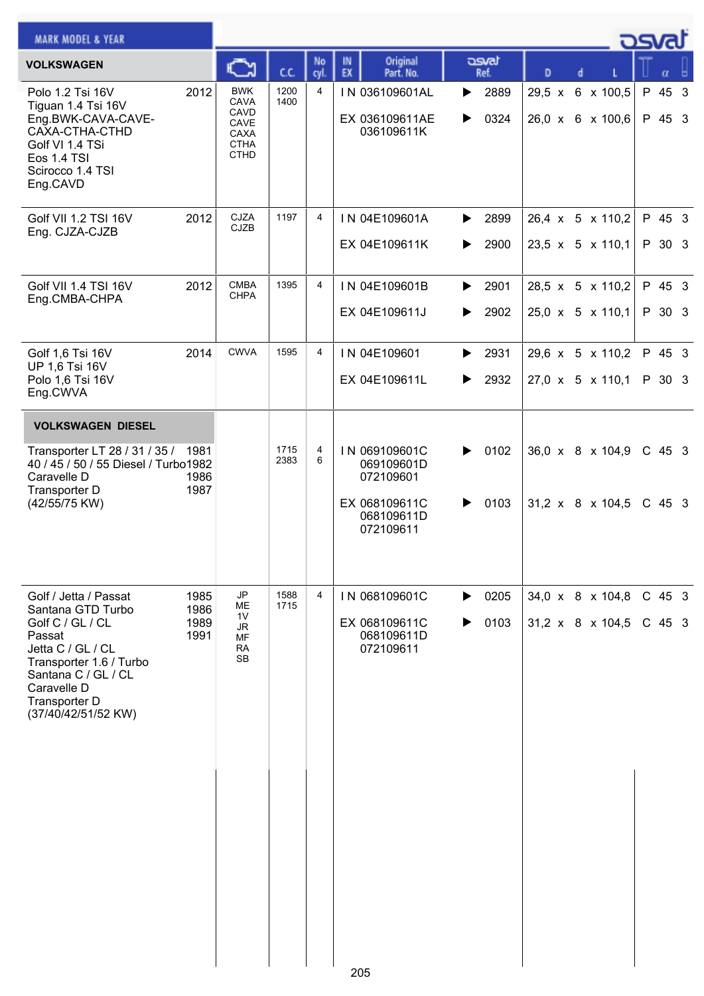| <b>MARK MODEL &amp; YEAR</b>                                                                                                                                                                           |                              |                                                                          |              |                |                    |                                                                                      |        |                                    |               |  | <u>_</u> ರಾಗ                                     |                      |  |
|--------------------------------------------------------------------------------------------------------------------------------------------------------------------------------------------------------|------------------------------|--------------------------------------------------------------------------|--------------|----------------|--------------------|--------------------------------------------------------------------------------------|--------|------------------------------------|---------------|--|--------------------------------------------------|----------------------|--|
| <b>VOLKSWAGEN</b>                                                                                                                                                                                      |                              | Ѽ                                                                        | C.C.         | No<br>cyl.     | $\mathbb{N}$<br>EX | Original<br>Part. No.                                                                |        | asvat<br>Ref.                      | D             |  |                                                  |                      |  |
| Polo 1.2 Tsi 16V<br>Tiguan 1.4 Tsi 16V<br>Eng.BWK-CAVA-CAVE-<br>CAXA-CTHA-CTHD<br>Golf VI 1.4 TSi<br>Eos 1.4 TSI<br>Scirocco 1.4 TSI<br>Eng.CAVD                                                       | 2012                         | <b>BWK</b><br>CAVA<br>CAVD<br>CAVE<br>CAXA<br><b>CTHA</b><br><b>CTHD</b> | 1200<br>1400 | 4              |                    | IN 036109601AL<br>EX 036109611AE<br>036109611K                                       | ▶<br>▶ | 2889<br>0324                       | $29,5 \times$ |  | 6 x 100,5<br>26,0 x 6 x 100,6                    | P 45 3<br>P 45 3     |  |
| Golf VII 1.2 TSI 16V<br>Eng. CJZA-CJZB                                                                                                                                                                 | 2012                         | CJZA<br><b>CJZB</b>                                                      | 1197         | 4              |                    | IN 04E109601A<br>EX 04E109611K                                                       | ▶      | $\blacktriangleright$ 2899<br>2900 |               |  | 26,4 x 5 x 110,2<br>$23,5 \times 5 \times 110,1$ | P 45 3<br>P 30 3     |  |
| Golf VII 1.4 TSI 16V<br>Eng.CMBA-CHPA                                                                                                                                                                  | 2012                         | <b>CMBA</b><br><b>CHPA</b>                                               | 1395         | 4              |                    | IN 04E109601B<br>EX 04E109611J                                                       | ▶<br>▶ | 2901<br>2902                       |               |  | 28,5 x 5 x 110,2<br>25,0 x 5 x 110,1             | P 45 3<br>P 30 3     |  |
| Golf 1,6 Tsi 16V<br>UP 1,6 Tsi 16V<br>Polo 1,6 Tsi 16V<br>Eng.CWVA                                                                                                                                     | 2014                         | <b>CWVA</b>                                                              | 1595         | 4              |                    | IN 04E109601<br>EX 04E109611L                                                        | ▶<br>▶ | 2931<br>2932                       |               |  | 29,6 x 5 x 110,2<br>$27,0 \times 5 \times 110,1$ | P 45 3<br>P 30 3     |  |
| <b>VOLKSWAGEN DIESEL</b>                                                                                                                                                                               |                              |                                                                          |              |                |                    |                                                                                      |        |                                    |               |  |                                                  |                      |  |
| Transporter LT 28 / 31 / 35 /<br>40 / 45 / 50 / 55 Diesel / Turbo1982<br>Caravelle D<br>Transporter D<br>(42/55/75 KW)                                                                                 | 1981<br>1986<br>1987         |                                                                          | 1715<br>2383 | 4<br>6         |                    | IN 069109601C<br>069109601D<br>072109601<br>EX 068109611C<br>068109611D<br>072109611 | ▶<br>▶ | 0102<br>0103                       |               |  | 36,0 x 8 x 104,9<br>31,2 x 8 x 104,5             | $C$ 45 3<br>$C$ 45 3 |  |
| Golf / Jetta / Passat<br>Santana GTD Turbo<br>Golf C / GL / CL<br>Passat<br>Jetta C / GL / CL<br>Transporter 1.6 / Turbo<br>Santana C / GL / CL<br>Caravelle D<br>Transporter D<br>(37/40/42/51/52 KW) | 1985<br>1986<br>1989<br>1991 | JP<br>ME<br>1 <sub>V</sub><br>JR<br>MF<br><b>RA</b><br><b>SB</b>         | 1588<br>1715 | $\overline{4}$ |                    | IN 068109601C<br>EX 068109611C<br>068109611D<br>072109611                            | ▶      | $\triangleright$ 0205<br>0103      |               |  | 34,0 x 8 x 104,8<br>$31,2 \times 8 \times 104,5$ | C 45 3<br>$C$ 45 3   |  |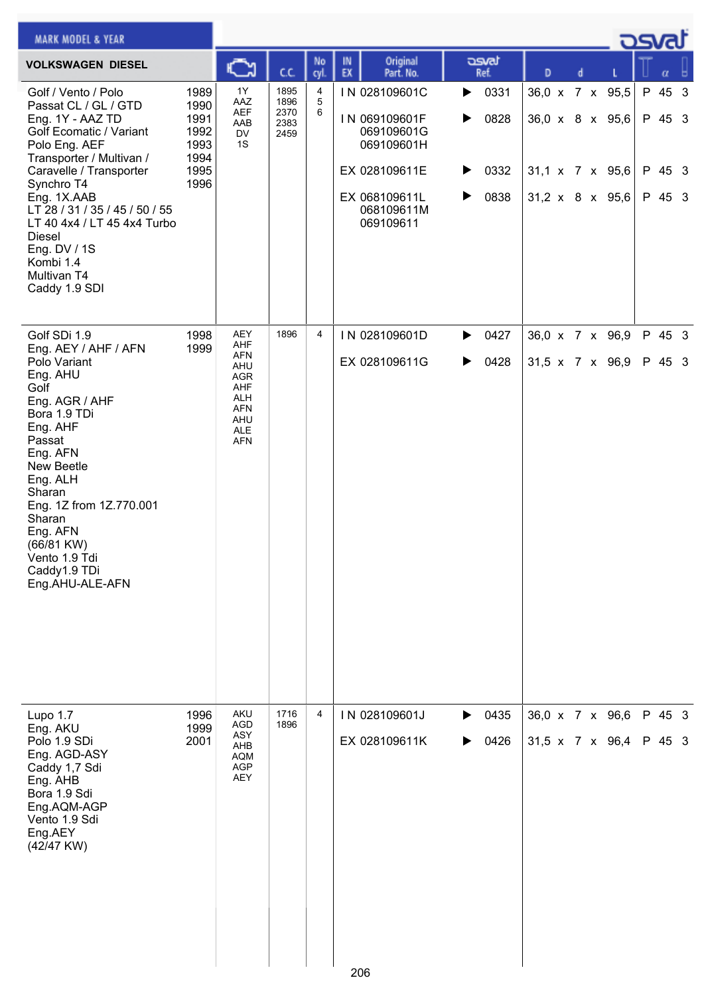| <b>MARK MODEL &amp; YEAR</b>                                                                                                                                                                                                                                                                                                            |                                                              |                                                                                                |                                      |             |                                                                                                                         |                                                                      |                                                                                      |   |  | كتصد                                 |  |
|-----------------------------------------------------------------------------------------------------------------------------------------------------------------------------------------------------------------------------------------------------------------------------------------------------------------------------------------|--------------------------------------------------------------|------------------------------------------------------------------------------------------------|--------------------------------------|-------------|-------------------------------------------------------------------------------------------------------------------------|----------------------------------------------------------------------|--------------------------------------------------------------------------------------|---|--|--------------------------------------|--|
| <b>VOLKSWAGEN DIESEL</b>                                                                                                                                                                                                                                                                                                                |                                                              | న                                                                                              | C.C.                                 | No<br>cyl.  | Original<br>IN<br>EX<br>Part. No.                                                                                       | asvat<br>Ref.                                                        | D                                                                                    | d |  | α                                    |  |
| Golf / Vento / Polo<br>Passat CL / GL / GTD<br>Eng. 1Y - AAZ TD<br>Golf Ecomatic / Variant<br>Polo Eng. AEF<br>Transporter / Multivan /<br>Caravelle / Transporter<br>Synchro T4<br>Eng. 1X.AAB<br>LT 28 / 31 / 35 / 45 / 50 / 55<br>LT 40 4x4 / LT 45 4x4 Turbo<br>Diesel<br>Eng. DV / 1S<br>Kombi 1.4<br>Multivan T4<br>Caddy 1.9 SDI | 1989<br>1990<br>1991<br>1992<br>1993<br>1994<br>1995<br>1996 | 1Y<br>AAZ<br><b>AEF</b><br>AAB<br><b>DV</b><br>1S                                              | 1895<br>1896<br>2370<br>2383<br>2459 | 4<br>5<br>6 | IN 028109601C<br>IN 069109601F<br>069109601G<br>069109601H<br>EX 028109611E<br>EX 068109611L<br>068109611M<br>069109611 | 0331<br>$\blacktriangleright$<br>0828<br>▶<br>▶<br>0332<br>0838<br>▶ | 36,0 x 7 x 95,5<br>$36,0 \times 8 \times 95,6$<br>31,1 x 7 x 95,6<br>31,2 x 8 x 95,6 |   |  | P 45 3<br>P 45 3<br>P 45 3<br>P 45 3 |  |
| Golf SDi 1.9<br>Eng. AEY / AHF / AFN<br>Polo Variant<br>Eng. AHU<br>Golf<br>Eng. AGR / AHF<br>Bora 1.9 TDi<br>Eng. AHF<br>Passat<br>Eng. AFN<br>New Beetle<br>Eng. ALH<br>Sharan<br>Eng. 1Z from 1Z.770.001<br>Sharan<br>Eng. AFN<br>$(66/81$ KW)<br>Vento 1.9 Tdi<br>Caddy1.9 TDi<br>Eng.AHU-ALE-AFN                                   | 1998<br>1999                                                 | AEY<br>AHF<br><b>AFN</b><br>AHU<br>AGR<br>AHF<br>ALH<br><b>AFN</b><br>AHU<br>ALE<br><b>AFN</b> | 1896                                 | 4           | IN 028109601D<br>EX 028109611G                                                                                          | 0427<br>▶<br>0428<br>▶                                               | 36,0 x 7 x 96,9<br>31,5 x 7 x 96,9                                                   |   |  | P 45 3<br>P 45 3                     |  |
| Lupo $1.7$<br>Eng. AKU<br>Polo 1.9 SDi<br>Eng. AGD-ASY<br>Caddy 1,7 Sdi<br>Eng. AHB<br>Bora 1.9 Sdi<br>Eng.AQM-AGP<br>Vento 1.9 Sdi<br>Eng.AEY<br>(42/47 KW)                                                                                                                                                                            | 1996<br>1999<br>2001                                         | AKU<br>AGD<br>ASY<br>AHB<br><b>AQM</b><br>AGP<br>AEY                                           | 1716<br>1896                         | 4           | IN 028109601J<br>EX 028109611K                                                                                          | 0435<br>▶<br>0426<br>▶                                               | 36,0 x 7 x 96,6<br>31,5 x 7 x 96,4                                                   |   |  | P 45 3<br>P 45 3                     |  |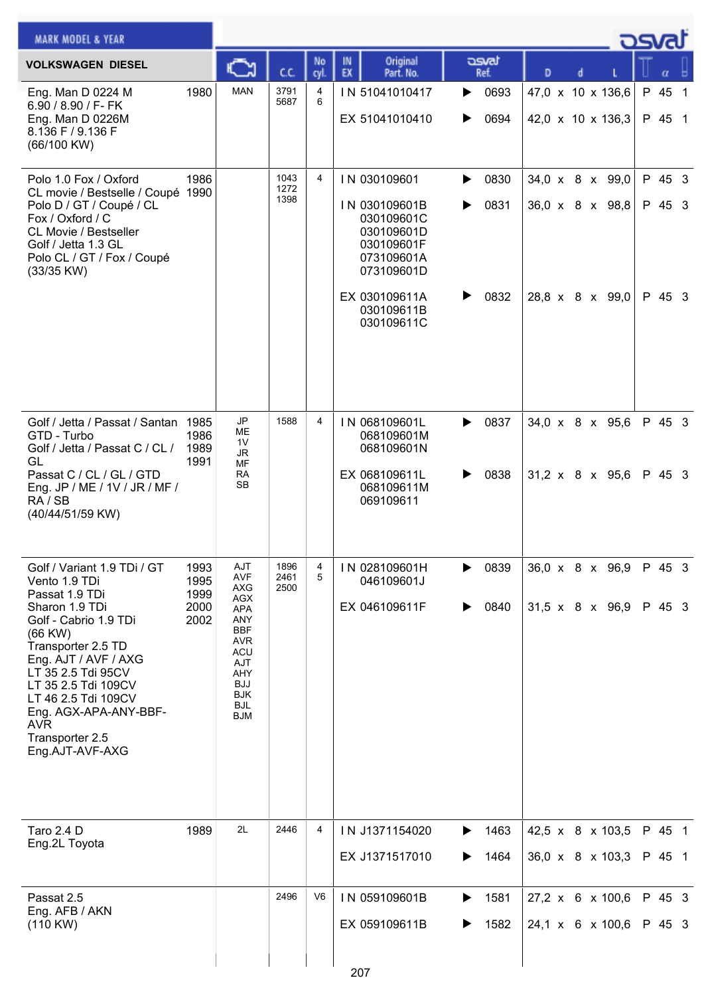| <b>MARK MODEL &amp; YEAR</b>                                                                                                                                                                                                                                                                                             |                                      |                                                                                                                                                                             |                      |                |                                                                                                                                                  |                                     |                                                       |  | كصحت                       |  |
|--------------------------------------------------------------------------------------------------------------------------------------------------------------------------------------------------------------------------------------------------------------------------------------------------------------------------|--------------------------------------|-----------------------------------------------------------------------------------------------------------------------------------------------------------------------------|----------------------|----------------|--------------------------------------------------------------------------------------------------------------------------------------------------|-------------------------------------|-------------------------------------------------------|--|----------------------------|--|
| <b>VOLKSWAGEN DIESEL</b>                                                                                                                                                                                                                                                                                                 |                                      |                                                                                                                                                                             | C.C.                 | No<br>cyl.     | Original<br>IN<br>EX<br>Part. No.                                                                                                                | asvat<br>Ref.                       | D                                                     |  |                            |  |
| Eng. Man D 0224 M<br>6.90 / 8.90 / F- FK<br>Eng. Man D 0226M<br>8.136 F / 9.136 F<br>(66/100 KW)                                                                                                                                                                                                                         | 1980                                 | <b>MAN</b>                                                                                                                                                                  | 3791<br>5687         | 4<br>6         | IN 51041010417<br>EX 51041010410                                                                                                                 | 0693<br>▶<br>0694<br>▶              | 47,0 x 10 x 136,6<br>42,0 x 10 x 136,3                |  | P 45 1<br>P 45 1           |  |
| Polo 1.0 Fox / Oxford<br>CL movie / Bestselle / Coupé 1990<br>Polo D / GT / Coupé / CL<br>Fox / Oxford / C<br><b>CL Movie / Bestseller</b><br>Golf / Jetta 1.3 GL<br>Polo CL / GT / Fox / Coupé<br>(33/35 KW)                                                                                                            | 1986                                 |                                                                                                                                                                             | 1043<br>1272<br>1398 | $\overline{4}$ | IN 030109601<br>IN 030109601B<br>030109601C<br>030109601D<br>030109601F<br>073109601A<br>073109601D<br>EX 030109611A<br>030109611B<br>030109611C | 0830<br>▶<br>0831<br>▶<br>0832<br>▶ | 34,0 x 8 x 99,0<br>36,0 x 8 x 98,8<br>28,8 x 8 x 99,0 |  | P 45 3<br>P 45 3<br>P 45 3 |  |
| Golf / Jetta / Passat / Santan 1985<br>GTD - Turbo<br>Golf / Jetta / Passat C / CL /<br>GL<br>Passat C / CL / GL / GTD<br>Eng. JP / ME / 1V / JR / MF /<br>RA / SB<br>(40/44/51/59 KW)                                                                                                                                   | 1986<br>1989<br>1991                 | <b>JP</b><br>MЕ<br>1V<br><b>JR</b><br>MF<br><b>RA</b><br><b>SB</b>                                                                                                          | 1588                 | 4              | IN 068109601L<br>068109601M<br>068109601N<br>EX 068109611L<br>068109611M<br>069109611                                                            | 0837<br>▶<br>0838                   | 34,0 x 8 x 95,6<br>$31,2 \times 8 \times 95,6$        |  | P 45 3<br>P 45 3           |  |
| Golf / Variant 1.9 TDi / GT<br>Vento 1.9 TDi<br>Passat 1.9 TDi<br>Sharon 1.9 TDi<br>Golf - Cabrio 1.9 TDi<br>$(66$ KW $)$<br>Transporter 2.5 TD<br>Eng. AJT / AVF / AXG<br>LT 35 2.5 Tdi 95CV<br>LT 35 2.5 Tdi 109CV<br>LT 46 2.5 Tdi 109CV<br>Eng. AGX-APA-ANY-BBF-<br><b>AVR</b><br>Transporter 2.5<br>Eng.AJT-AVF-AXG | 1993<br>1995<br>1999<br>2000<br>2002 | AJT<br><b>AVF</b><br>AXG<br><b>AGX</b><br><b>APA</b><br>ANY<br><b>BBF</b><br><b>AVR</b><br><b>ACU</b><br>AJT<br>AHY<br><b>BJJ</b><br><b>BJK</b><br><b>BJL</b><br><b>BJM</b> | 1896<br>2461<br>2500 | 4<br>5         | IN 028109601H<br>046109601J<br>EX 046109611F                                                                                                     | 0839<br>0840<br>▶                   | 36,0 x 8 x 96,9<br>31,5 x 8 x 96,9                    |  | P 45 3<br>P 45 3           |  |
| <b>Taro 2.4 D</b><br>Eng.2L Toyota                                                                                                                                                                                                                                                                                       | 1989                                 | 2L                                                                                                                                                                          | 2446                 | 4              | IN J1371154020<br>EX J1371517010                                                                                                                 | 1463<br>1464<br>▶                   | 42,5 x 8 x 103,5<br>36,0 x 8 x 103,3                  |  | P 45 1<br>P 45 1           |  |
| Passat 2.5<br>Eng. AFB / AKN<br>(110 KW)                                                                                                                                                                                                                                                                                 |                                      |                                                                                                                                                                             | 2496                 | V <sub>6</sub> | IN 059109601B<br>EX 059109611B                                                                                                                   | 1581<br>▶<br>1582<br>▶              | $27,2 \times 6 \times 100,6$<br>24,1 x 6 x 100,6      |  | P 45 3<br>P 45 3           |  |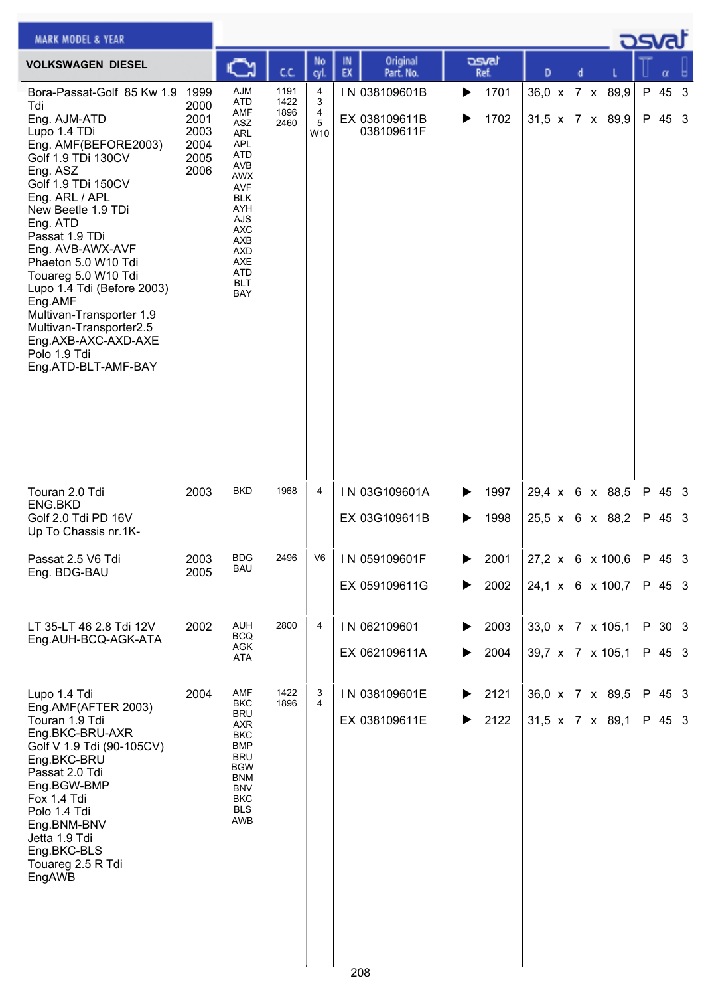|                                                                                    | C                                                                                                                                                                                                              | C.C.                         | No                                  | Original<br>IN                               | asvat<br>Ref.                                       | D |                                                                                                                                                                                                         |                                 |
|------------------------------------------------------------------------------------|----------------------------------------------------------------------------------------------------------------------------------------------------------------------------------------------------------------|------------------------------|-------------------------------------|----------------------------------------------|-----------------------------------------------------|---|---------------------------------------------------------------------------------------------------------------------------------------------------------------------------------------------------------|---------------------------------|
| Bora-Passat-Golf 85 Kw 1.9<br>1999<br>2000<br>2001<br>2003<br>2004<br>2005<br>2006 | AJM<br><b>ATD</b><br>AMF<br>ASZ<br>ARL<br><b>APL</b><br><b>ATD</b><br>AVB<br><b>AWX</b><br><b>AVF</b><br><b>BLK</b><br>AYH<br><b>AJS</b><br><b>AXC</b><br>AXB<br>AXD<br>AXE<br>ATD<br><b>BLT</b><br><b>BAY</b> | 1191<br>1422<br>1896<br>2460 | 4<br>3<br>4<br>5<br>W <sub>10</sub> | IN 038109601B<br>EX 038109611B<br>038109611F | 1701<br>▶<br>1702<br>▶                              |   | P 45 3<br>P 45 3                                                                                                                                                                                        |                                 |
| 2003                                                                               | <b>BKD</b>                                                                                                                                                                                                     | 1968                         | 4                                   | IN 03G109601A<br>EX 03G109611B               | 1997<br>▶<br>1998<br>▶                              |   | P 45 3<br>P 45 3                                                                                                                                                                                        |                                 |
| 2003<br>2005                                                                       | <b>BDG</b><br><b>BAU</b>                                                                                                                                                                                       |                              |                                     | EX 059109611G                                | 2001<br>▶<br>2002<br>▶                              |   | P 45 3                                                                                                                                                                                                  |                                 |
| 2002                                                                               | <b>AUH</b><br><b>BCQ</b><br>AGK<br>ATA                                                                                                                                                                         | 2800                         | 4                                   | IN 062109601<br>EX 062109611A                | 2003<br>▶<br>2004<br>▶                              |   | P 30 3<br>P 45 3                                                                                                                                                                                        |                                 |
| 2004                                                                               | AMF<br><b>BKC</b><br><b>BRU</b><br>AXR<br><b>BKC</b><br><b>BMP</b><br><b>BRU</b><br><b>BGW</b><br><b>BNM</b><br><b>BNV</b><br><b>BKC</b><br><b>BLS</b><br>AWB                                                  | 1422<br>1896                 | 3<br>$\overline{4}$                 | IN 038109601E<br>EX 038109611E               | 2121<br>▶<br>2122<br>▶                              |   | P 45 3<br>P 45 3                                                                                                                                                                                        |                                 |
|                                                                                    |                                                                                                                                                                                                                |                              |                                     | cyl.                                         | EX<br>Part. No.<br>2496   V6   IN 059109601F<br>208 |   | d<br>36,0 x 7 x 89,9<br>$31,5 \times 7 \times 89,9$<br>29,4 x 6 x 88,5<br>25,5 x 6 x 88,2<br>24,1 x 6 x 100,7<br>33,0 x 7 x 105,1<br>39,7 x 7 x 105,1<br>36,0 x 7 x 89,5<br>$31,5 \times 7 \times 89,1$ | كصحت<br>27,2 x 6 x 100,6 P 45 3 |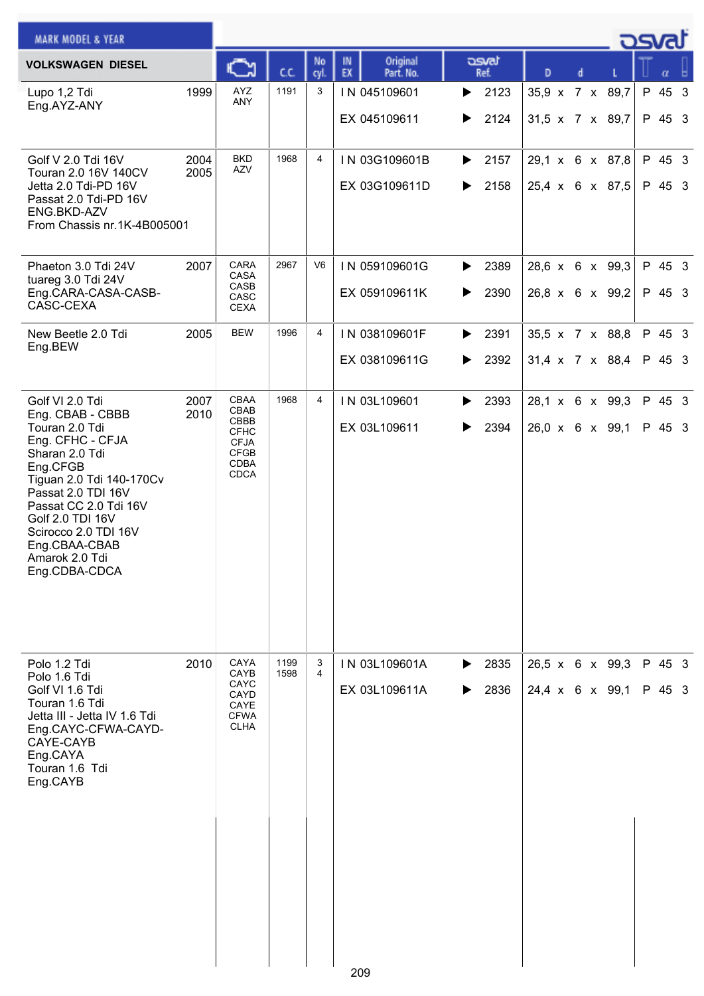| <b>MARK MODEL &amp; YEAR</b>                                                                                                                                                                                                                                                       |              |                                                                                          |              |                |          |                                |        |               |                 |  | <u>_ ਹਤਾਰੀ</u>                     |                  |  |
|------------------------------------------------------------------------------------------------------------------------------------------------------------------------------------------------------------------------------------------------------------------------------------|--------------|------------------------------------------------------------------------------------------|--------------|----------------|----------|--------------------------------|--------|---------------|-----------------|--|------------------------------------|------------------|--|
| <b>VOLKSWAGEN DIESEL</b>                                                                                                                                                                                                                                                           |              | C                                                                                        | CC.          | No<br>cyl      | IN<br>EX | Original<br>Part. No.          |        | asvat<br>Ref. | D               |  |                                    |                  |  |
| Lupo 1,2 Tdi<br>Eng.AYZ-ANY                                                                                                                                                                                                                                                        | 1999         | AYZ<br>ANY                                                                               | 1191         | 3              |          | IN 045109601<br>EX 045109611   | ▶<br>▶ | 2123<br>2124  | 35,9 x 7 x 89,7 |  | 31,5 x 7 x 89,7                    | P 45 3<br>P 45 3 |  |
| Golf V 2.0 Tdi 16V<br>Touran 2.0 16V 140CV<br>Jetta 2.0 Tdi-PD 16V<br>Passat 2.0 Tdi-PD 16V<br>ENG.BKD-AZV<br>From Chassis nr.1K-4B005001                                                                                                                                          | 2004<br>2005 | <b>BKD</b><br>AZV                                                                        | 1968         | 4              |          | IN 03G109601B<br>EX 03G109611D | ▶<br>▶ | 2157<br>2158  |                 |  | 29,1 x 6 x 87,8<br>25,4 x 6 x 87,5 | P 45 3<br>P 45 3 |  |
| Phaeton 3.0 Tdi 24V<br>tuareg 3.0 Tdi 24V<br>Eng.CARA-CASA-CASB-<br>CASC-CEXA                                                                                                                                                                                                      | 2007         | CARA<br>CASA<br>CASB<br>CASC<br><b>CEXA</b>                                              | 2967         | V <sub>6</sub> |          | IN 059109601G<br>EX 059109611K | ▶<br>▶ | 2389<br>2390  |                 |  | 28,6 x 6 x 99,3<br>26,8 x 6 x 99,2 | P 45 3<br>P 45 3 |  |
| New Beetle 2.0 Tdi<br>Eng.BEW                                                                                                                                                                                                                                                      | 2005         | <b>BEW</b>                                                                               | 1996         | $\overline{4}$ |          | IN 038109601F<br>EX 038109611G | ▶<br>▶ | 2391<br>2392  |                 |  | 35,5 x 7 x 88,8<br>31,4 x 7 x 88,4 | P 45 3<br>P 45 3 |  |
| Golf VI 2.0 Tdi<br>Eng. CBAB - CBBB<br>Touran 2.0 Tdi<br>Eng. CFHC - CFJA<br>Sharan 2.0 Tdi<br>Eng.CFGB<br>Tiguan 2.0 Tdi 140-170Cv<br>Passat 2.0 TDI 16V<br>Passat CC 2.0 Tdi 16V<br>Golf 2.0 TDI 16V<br>Scirocco 2.0 TDI 16V<br>Eng.CBAA-CBAB<br>Amarok 2.0 Tdi<br>Eng.CDBA-CDCA | 2007<br>2010 | CBAA<br>CBAB<br>CBBB<br><b>CFHC</b><br><b>CFJA</b><br><b>CFGB</b><br><b>CDBA</b><br>CDCA | 1968         | 4              |          | IN 03L109601<br>EX 03L109611   | ▶      | 2393<br>2394  |                 |  | 28,1 x 6 x 99,3<br>26,0 x 6 x 99,1 | P 45 3<br>P 45 3 |  |
| Polo 1.2 Tdi<br>Polo 1.6 Tdi<br>Golf VI 1.6 Tdi<br>Touran 1.6 Tdi<br>Jetta III - Jetta IV 1.6 Tdi<br>Eng.CAYC-CFWA-CAYD-<br>CAYE-CAYB<br>Eng.CAYA<br>Touran 1.6 Tdi<br>Eng.CAYB                                                                                                    | 2010         | CAYA<br>CAYB<br>CAYC<br>CAYD<br>CAYE<br><b>CFWA</b><br><b>CLHA</b>                       | 1199<br>1598 | 3<br>4         |          | IN 03L109601A<br>EX 03L109611A | ▶<br>▶ | 2835<br>2836  |                 |  | 26,5 x 6 x 99,3<br>24,4 x 6 x 99,1 | P 45 3<br>P 45 3 |  |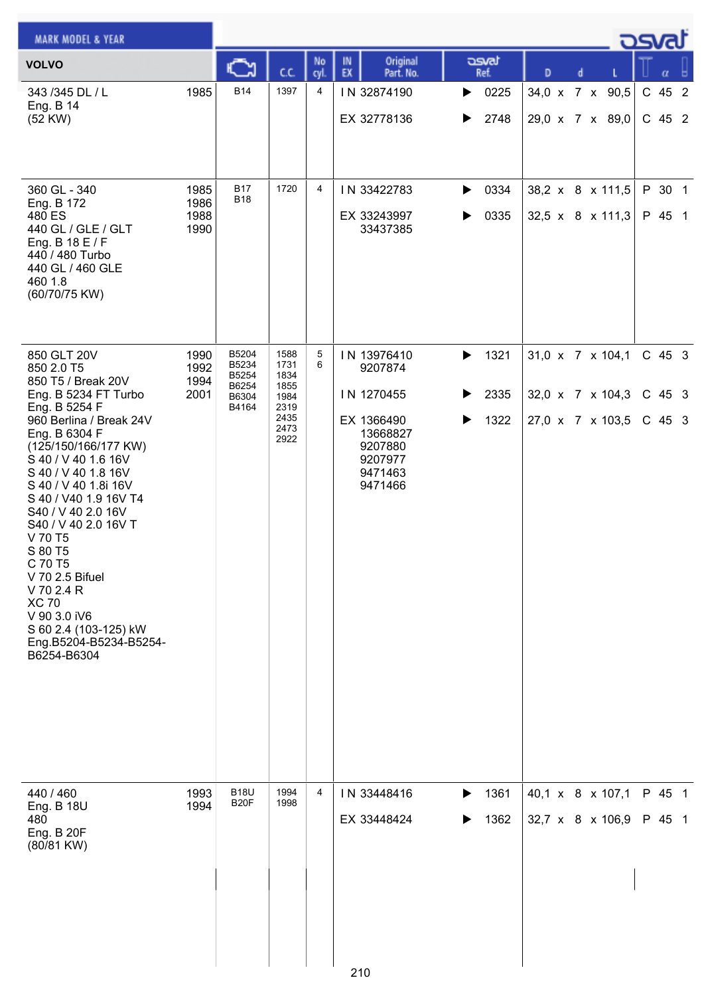| <b>MARK MODEL &amp; YEAR</b>                                                                                                                                                                                                                                                                                                                                                                                                                                                  |                              |                                                    |                                                                      |            |                                                                                                            |                                     |                                                          |  | <b>DSval</b>                   |  |
|-------------------------------------------------------------------------------------------------------------------------------------------------------------------------------------------------------------------------------------------------------------------------------------------------------------------------------------------------------------------------------------------------------------------------------------------------------------------------------|------------------------------|----------------------------------------------------|----------------------------------------------------------------------|------------|------------------------------------------------------------------------------------------------------------|-------------------------------------|----------------------------------------------------------|--|--------------------------------|--|
| <b>VOLVO</b>                                                                                                                                                                                                                                                                                                                                                                                                                                                                  |                              | Č٦                                                 | CC.                                                                  | No<br>cyl. | Original<br>IN<br>EX<br>Part. No.                                                                          | asvat<br>Ref.                       | D<br>d                                                   |  | α                              |  |
| 343 /345 DL / L<br>Eng. B 14<br>(52 KW)                                                                                                                                                                                                                                                                                                                                                                                                                                       | 1985                         | <b>B14</b>                                         | 1397                                                                 | 4          | IN 32874190<br>EX 32778136                                                                                 | 0225<br>▶<br>2748<br>▶              | 34,0 x 7 x 90,5<br>29,0 x 7 x 89,0                       |  | C 45 2<br>C 45 2               |  |
| 360 GL - 340<br>Eng. B 172<br>480 ES<br>440 GL / GLE / GLT<br>Eng. B 18 E / F<br>440 / 480 Turbo<br>440 GL / 460 GLE<br>460 1.8<br>(60/70/75 KW)                                                                                                                                                                                                                                                                                                                              | 1985<br>1986<br>1988<br>1990 | <b>B17</b><br><b>B18</b>                           | 1720                                                                 | 4          | IN 33422783<br>EX 33243997<br>33437385                                                                     | 0334<br>▶<br>0335<br>▶              | 38,2 x 8 x 111,5<br>32,5 x 8 x 111,3                     |  | P 30 1<br>P 45 1               |  |
| 850 GLT 20V<br>850 2.0 T5<br>850 T5 / Break 20V<br>Eng. B 5234 FT Turbo<br>Eng. B 5254 F<br>960 Berlina / Break 24V<br>Eng. B 6304 F<br>(125/150/166/177 KW)<br>S 40 / V 40 1.6 16V<br>S 40 / V 40 1.8 16V<br>S 40 / V 40 1.8i 16V<br>S 40 / V40 1.9 16V T4<br>S40 / V 40 2.0 16V<br>S40 / V 40 2.0 16V T<br>V 70 T5<br>S 80 T5<br>C 70 T5<br>V 70 2.5 Bifuel<br>V 70 2.4 R<br><b>XC 70</b><br>V 90 3.0 iV6<br>S 60 2.4 (103-125) kW<br>Eng.B5204-B5234-B5254-<br>B6254-B6304 | 1990<br>1992<br>1994<br>2001 | B5204<br>B5234<br>B5254<br>B6254<br>B6304<br>B4164 | 1588<br>1731<br>1834<br>1855<br>1984<br>2319<br>2435<br>2473<br>2922 | 5<br>6     | IN 13976410<br>9207874<br>IN 1270455<br>EX 1366490<br>13668827<br>9207880<br>9207977<br>9471463<br>9471466 | 1321<br>▶<br>2335<br>▶<br>1322<br>▶ | 31,0 x 7 x 104,1<br>32,0 x 7 x 104,3<br>27,0 x 7 x 103,5 |  | $C$ 45 3<br>$C$ 45 3<br>C 45 3 |  |
| 440 / 460<br>Eng. B 18U<br>480<br><b>Eng. B 20F</b><br>(80/81 KW)                                                                                                                                                                                                                                                                                                                                                                                                             | 1993<br>1994                 | <b>B18U</b><br>B <sub>20</sub> F                   | 1994<br>1998                                                         | 4          | IN 33448416<br>EX 33448424<br>210                                                                          | 1361<br>▶<br>1362<br>▶              | 40,1 x 8 x 107,1<br>32,7 x 8 x 106,9                     |  | P 45 1<br>P 45 1               |  |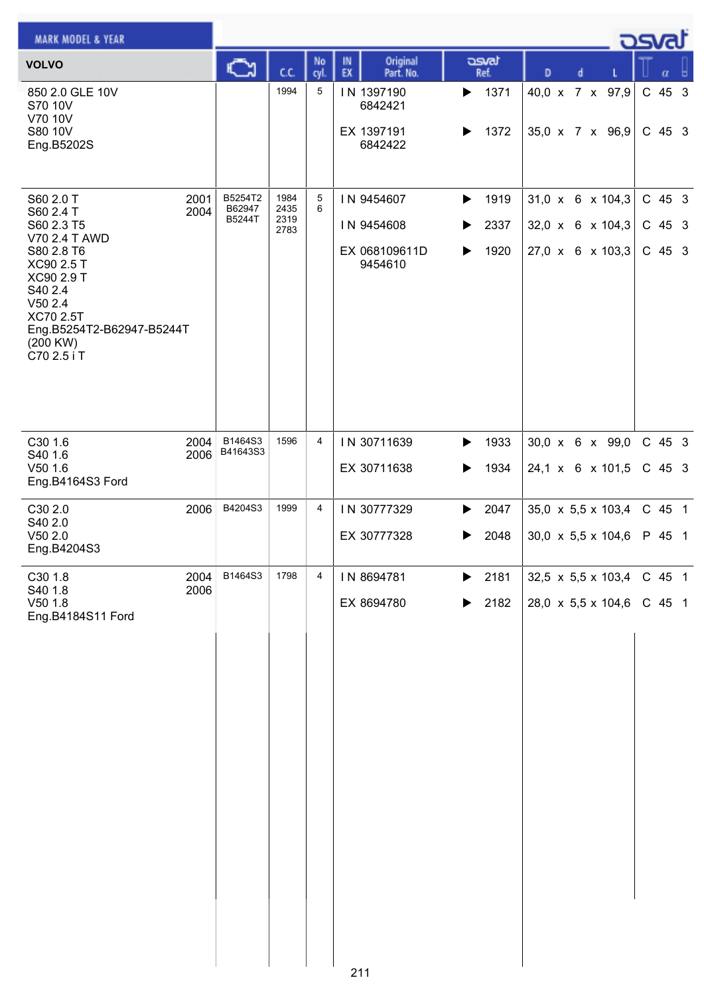| <b>MARK MODEL &amp; YEAR</b>                                                                                                                                                              |              |                             |                              |           |                                                      |                                                                             |                                                                           | <u>_</u> ರಾಗ |                                  |   |  |
|-------------------------------------------------------------------------------------------------------------------------------------------------------------------------------------------|--------------|-----------------------------|------------------------------|-----------|------------------------------------------------------|-----------------------------------------------------------------------------|---------------------------------------------------------------------------|--------------|----------------------------------|---|--|
| <b>VOLVO</b>                                                                                                                                                                              |              | C٦                          | CC.                          | No<br>cyl | Original<br>IN<br>EX<br>Part. No.                    | asvat<br>Ref.                                                               | D<br>d                                                                    |              |                                  | α |  |
| 850 2.0 GLE 10V<br>S70 10V<br>V70 10V<br>S80 10V<br>Eng.B5202S                                                                                                                            |              |                             | 1994                         | 5         | IN 1397190<br>6842421<br>EX 1397191<br>6842422       | 1371<br>▶<br>1372<br>▶                                                      | 40,0 x 7 x 97,9<br>35,0 x 7 x 96,9                                        |              | C 45 3<br>$C$ 45 3               |   |  |
| S60 2.0 T<br>S60 2.4 T<br>S60 2.3 T5<br>V70 2.4 T AWD<br>S80 2.8 T6<br>XC90 2.5 T<br>XC90 2.9 T<br>S40 2.4<br>V502.4<br>XC70 2.5T<br>Eng.B5254T2-B62947-B5244T<br>(200 KW)<br>C70 2.5 i T | 2001<br>2004 | B5254T2<br>B62947<br>B5244T | 1984<br>2435<br>2319<br>2783 | 5<br>6    | IN 9454607<br>IN 9454608<br>EX 068109611D<br>9454610 | $\blacktriangleright$<br>1919<br>2337<br>▶<br>1920<br>$\blacktriangleright$ | 31,0 x 6 x 104,3<br>32,0 x 6 x 104,3<br>27,0 x 6 x 103,3                  |              | $C$ 45 3<br>$C$ 45 3<br>$C$ 45 3 |   |  |
| C30 1.6<br>S40 1.6<br>V50 1.6<br>Eng.B4164S3 Ford                                                                                                                                         | 2004<br>2006 | B1464S3<br>B41643S3         | 1596                         | 4         | IN 30711639<br>EX 30711638                           | 1933<br>▶<br>1934<br>▶                                                      | 30,0 x 6 x 99,0<br>24,1 x 6 x 101,5                                       |              | C 45 3<br>C 45 3                 |   |  |
| C30 2.0<br>S40 2.0<br>V50 2.0<br>Eng.B4204S3                                                                                                                                              | 2006         | B4204S3                     | 1999                         | 4         | IN 30777329<br>EX 30777328                           | 2047<br>▶<br>2048                                                           | 35,0 $\times$ 5,5 $\times$ 103,4<br>$30,0 \times 5,5 \times 104,6$        |              | C 45 1<br>P 45 1                 |   |  |
| C30 1.8<br>S40 1.8<br>$V50$ 1.8<br>Eng.B4184S11 Ford                                                                                                                                      | 2004<br>2006 | B1464S3                     | 1798                         | 4         | IN 8694781<br>EX 8694780<br>o,                       | 2181<br>▶<br>2182<br>▶                                                      | $32,5 \times 5,5 \times 103,4$ C 45 1<br>28,0 $\times$ 5,5 $\times$ 104,6 |              | C 45 1                           |   |  |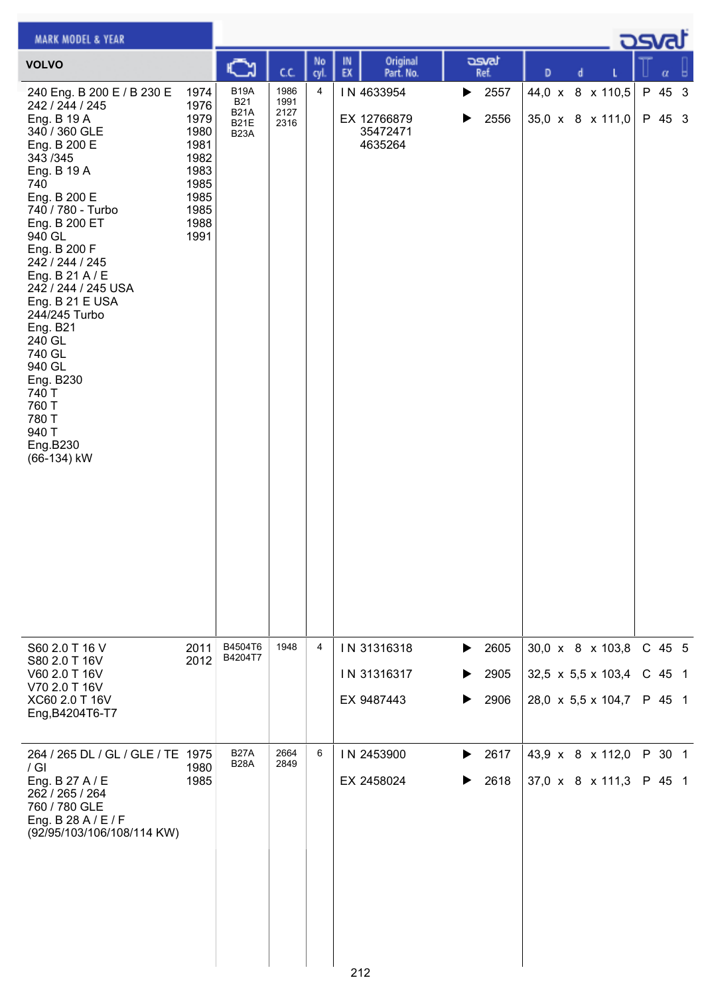| <b>MARK MODEL &amp; YEAR</b>                                                                                                                                                                                                                                                                                                                                                                                                                   |                                                                                              |                                                                              |                              |            |                                                  |                                     |                                                              | كت المرك                   |
|------------------------------------------------------------------------------------------------------------------------------------------------------------------------------------------------------------------------------------------------------------------------------------------------------------------------------------------------------------------------------------------------------------------------------------------------|----------------------------------------------------------------------------------------------|------------------------------------------------------------------------------|------------------------------|------------|--------------------------------------------------|-------------------------------------|--------------------------------------------------------------|----------------------------|
| <b>VOLVO</b>                                                                                                                                                                                                                                                                                                                                                                                                                                   |                                                                                              | ు                                                                            | C.C.                         | No<br>cyl. | Original<br>IN<br>EX<br>Part. No.                | asvat<br>Ref.                       | D<br>d                                                       | α                          |
| 240 Eng. B 200 E / B 230 E<br>242 / 244 / 245<br>Eng. B 19 A<br>340 / 360 GLE<br>Eng. B 200 E<br>343 / 345<br>Eng. B 19 A<br>740<br>Eng. B 200 E<br>740 / 780 - Turbo<br>Eng. B 200 ET<br>940 GL<br>Eng. B 200 F<br>242 / 244 / 245<br>Eng. B 21 A / E<br>242 / 244 / 245 USA<br>Eng. B 21 E USA<br>244/245 Turbo<br><b>Eng. B21</b><br>240 GL<br>740 GL<br>940 GL<br>Eng. B230<br>740 T<br>760 T<br>780 T<br>940 T<br>Eng.B230<br>(66-134) kW | 1974<br>1976<br>1979<br>1980<br>1981<br>1982<br>1983<br>1985<br>1985<br>1985<br>1988<br>1991 | <b>B19A</b><br><b>B21</b><br><b>B21A</b><br><b>B21E</b><br>B <sub>23</sub> A | 1986<br>1991<br>2127<br>2316 | 4          | IN 4633954<br>EX 12766879<br>35472471<br>4635264 | 2557<br>▶<br>2556<br>▶              | 44,0 x 8 x 110,5<br>35,0 x 8 x 111,0                         | P 45 3<br>P 45 3           |
| S60 2.0 T 16 V<br>S80 2.0 T 16V<br>V60 2.0 T 16V<br>V70 2.0 T 16V<br>XC60 2.0 T 16V<br>Eng, B4204T6-T7                                                                                                                                                                                                                                                                                                                                         | 2011<br>2012                                                                                 | B4504T6<br>B4204T7                                                           | 1948                         | 4          | IN 31316318<br>IN 31316317<br>EX 9487443         | 2605<br>▶<br>2905<br>▶<br>2906<br>▶ | 30,0 x 8 x 103,8<br>32,5 x 5,5 x 103,4<br>28,0 x 5,5 x 104,7 | C 45 5<br>C 45 1<br>P 45 1 |
| 264 / 265 DL / GL / GLE / TE 1975<br>$/$ GI<br>Eng. B 27 A / E<br>262 / 265 / 264<br>760 / 780 GLE<br>Eng. B 28 A / E / F<br>(92/95/103/106/108/114 KW)                                                                                                                                                                                                                                                                                        | 1980<br>1985                                                                                 | <b>B27A</b><br><b>B28A</b>                                                   | 2664<br>2849                 | 6          | IN 2453900<br>EX 2458024<br>212                  | 2617<br>▶<br>2618                   | 43,9 x 8 x 112,0<br>$37,0 \times 8 \times 111,3$             | P 30 1<br>P 45 1           |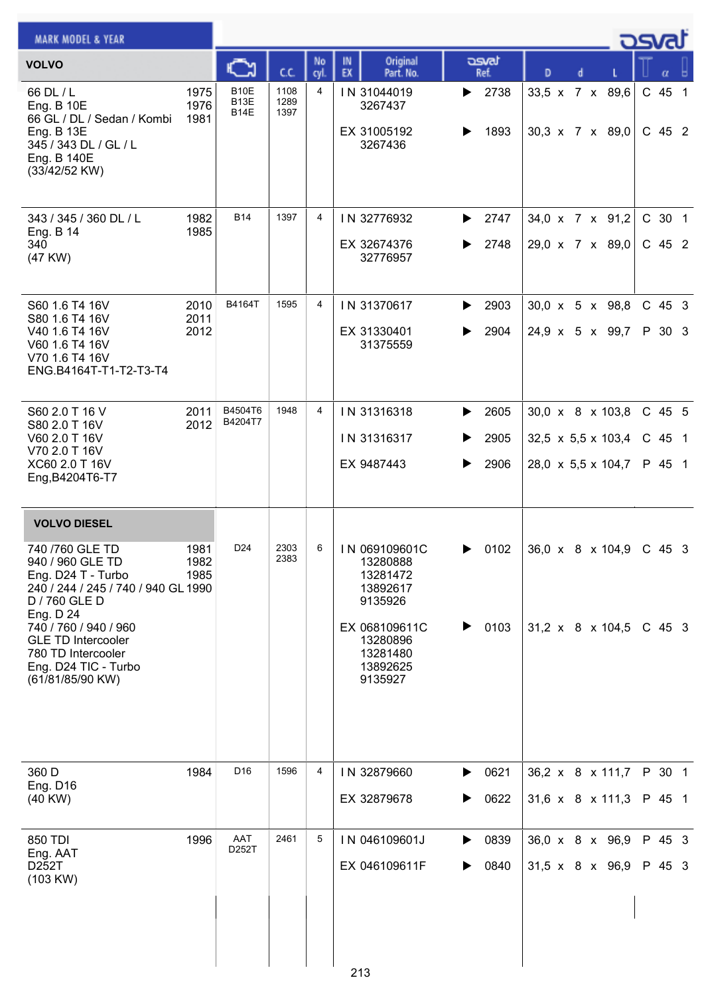| <b>MARK MODEL &amp; YEAR</b>                                                                                                                                                                                                                            |                      |                             |                      |            |                                                                                                                              |                                     |   |                                                                          | كت الصح                      |  |
|---------------------------------------------------------------------------------------------------------------------------------------------------------------------------------------------------------------------------------------------------------|----------------------|-----------------------------|----------------------|------------|------------------------------------------------------------------------------------------------------------------------------|-------------------------------------|---|--------------------------------------------------------------------------|------------------------------|--|
| <b>VOLVO</b>                                                                                                                                                                                                                                            |                      | Č٦                          | сc                   | No<br>cyl. | Original<br>IN<br>EX<br>Part. No.                                                                                            | asvat<br>Ref.                       | D | d                                                                        | α                            |  |
| 66 DL / L<br><b>Eng. B 10E</b><br>66 GL / DL / Sedan / Kombi<br>Eng. B 13E<br>345 / 343 DL / GL / L<br>Eng. B 140E<br>(33/42/52 KW)                                                                                                                     | 1975<br>1976<br>1981 | <b>B10E</b><br>B13E<br>B14E | 1108<br>1289<br>1397 | 4          | IN 31044019<br>3267437<br>EX 31005192<br>3267436                                                                             | 2738<br>▶<br>1893<br>▶              |   | 33,5 x 7 x 89,6<br>$30,3 \times 7 \times 89,0$                           | $C$ 45 1<br>$C$ 45 2         |  |
| 343 / 345 / 360 DL / L<br>Eng. B 14<br>340<br>(47 KW)                                                                                                                                                                                                   | 1982<br>1985         | <b>B14</b>                  | 1397                 | 4          | IN 32776932<br>EX 32674376<br>32776957                                                                                       | 2747<br>▶<br>2748<br>▶              |   | 34,0 x 7 x 91,2<br>29,0 x 7 x 89,0                                       | C 30 1<br>$C$ 45 2           |  |
| S60 1.6 T4 16V<br>S80 1.6 T4 16V<br>V40 1.6 T4 16V<br>V60 1.6 T4 16V<br>V70 1.6 T4 16V<br>ENG.B4164T-T1-T2-T3-T4                                                                                                                                        | 2010<br>2011<br>2012 | B4164T                      | 1595                 | 4          | IN 31370617<br>EX 31330401<br>31375559                                                                                       | 2903<br>▶<br>2904<br>▶              |   | $30.0 \times 5 \times 98.8$<br>24,9 x 5 x 99,7                           | $C$ 45 3<br>P 30 3           |  |
| S60 2.0 T 16 V<br>S80 2.0 T 16V<br>V60 2.0 T 16V<br>V70 2.0 T 16V<br>XC60 2.0 T 16V<br>Eng, B4204T6-T7                                                                                                                                                  | 2011<br>2012         | B4504T6<br>B4204T7          | 1948                 | 4          | IN 31316318<br>IN 31316317<br>EX 9487443                                                                                     | 2605<br>▶<br>2905<br>▶<br>2906<br>▶ |   | 30,0 x 8 x 103,8<br>$32,5 \times 5,5 \times 103,4$<br>28,0 x 5,5 x 104,7 | $C$ 45 5<br>C 45 1<br>P 45 1 |  |
| <b>VOLVO DIESEL</b>                                                                                                                                                                                                                                     |                      |                             |                      |            |                                                                                                                              |                                     |   |                                                                          |                              |  |
| 740 / 760 GLE TD<br>940 / 960 GLE TD<br>Eng. D24 T - Turbo<br>240 / 244 / 245 / 740 / 940 GL 1990<br>D / 760 GLE D<br>Eng. D 24<br>740 / 760 / 940 / 960<br><b>GLE TD Intercooler</b><br>780 TD Intercooler<br>Eng. D24 TIC - Turbo<br>(61/81/85/90 KW) | 1981<br>1982<br>1985 | D <sub>24</sub>             | 2303<br>2383         | 6          | IN 069109601C<br>13280888<br>13281472<br>13892617<br>9135926<br>EX 068109611C<br>13280896<br>13281480<br>13892625<br>9135927 | 0102<br>0103<br>▶                   |   | 36,0 x 8 x 104,9 C 45 3<br>$31,2 \times 8 \times 104,5$                  | C 45 3                       |  |
| 360 D<br>Eng. D16<br>$(40$ KW $)$                                                                                                                                                                                                                       | 1984                 | D <sub>16</sub>             | 1596                 | 4          | IN 32879660<br>EX 32879678                                                                                                   | 0621<br>▶<br>0622<br>▶              |   | 36,2 x 8 x 111,7<br>31,6 x 8 x 111,3                                     | P 30 1<br>P 45 1             |  |
| 850 TDI<br>Eng. AAT<br>D252T<br>(103 KW)                                                                                                                                                                                                                | 1996                 | AAT<br>D252T                | 2461                 | 5          | IN 046109601J<br>EX 046109611F<br>213                                                                                        | 0839<br>▶<br>0840<br>▶              |   | 36,0 x 8 x 96,9<br>31,5 x 8 x 96,9                                       | P 45 3<br>P 45 3             |  |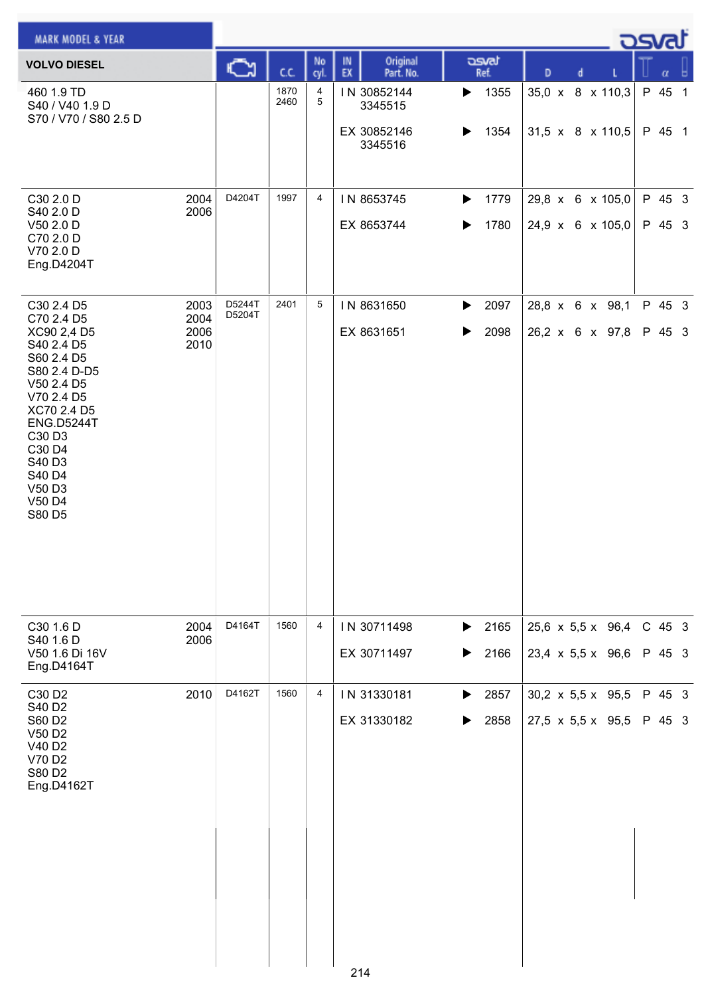| <b>DSval</b><br><b>MARK MODEL &amp; YEAR</b>                                                                                                                                                                              |                              |                  |              |                |                                                  |                                            |                                                      |  |  |                  |   |  |
|---------------------------------------------------------------------------------------------------------------------------------------------------------------------------------------------------------------------------|------------------------------|------------------|--------------|----------------|--------------------------------------------------|--------------------------------------------|------------------------------------------------------|--|--|------------------|---|--|
| <b>VOLVO DIESEL</b>                                                                                                                                                                                                       |                              | ు                | C.C.         | No<br>cyl.     | Original<br>IN.<br>EX<br>Part. No.               | asvat<br>Ref.                              | D<br>d                                               |  |  | α                | ь |  |
| 460 1.9 TD<br>S40 / V40 1.9 D<br>S70 / V70 / S80 2.5 D                                                                                                                                                                    |                              |                  | 1870<br>2460 | 4<br>5         | IN 30852144<br>3345515<br>EX 30852146<br>3345516 | 1355<br>▶<br>1354<br>▶                     | 35,0 x 8 x 110,3<br>31,5 x 8 x 110,5                 |  |  | P 45 1<br>P 45 1 |   |  |
| C30 2.0 D<br>S40 2.0 D<br>V50 2.0 D<br>C70 2.0 D<br>V70 2.0 D<br>Eng.D4204T                                                                                                                                               | 2004<br>2006                 | D4204T           | 1997         | 4              | IN 8653745<br>EX 8653744                         | 1779<br>▶<br>1780<br>$\blacktriangleright$ | 29,8 x 6 x 105,0<br>24,9 x 6 x 105,0                 |  |  | P 45 3<br>P 45 3 |   |  |
| C30 2.4 D5<br>C70 2.4 D5<br>XC90 2,4 D5<br>S40 2.4 D5<br>S60 2.4 D5<br>S80 2.4 D-D5<br>V50 2.4 D5<br>V70 2.4 D5<br>XC70 2.4 D5<br><b>ENG.D5244T</b><br>C30 D3<br>C30 D4<br>S40 D3<br>S40 D4<br>V50 D3<br>V50 D4<br>S80 D5 | 2003<br>2004<br>2006<br>2010 | D5244T<br>D5204T | 2401         | 5              | IN 8631650<br>EX 8631651                         | 2097<br>$\blacktriangleright$<br>2098<br>▶ | 28,8 x 6 x 98,1<br>26,2 x 6 x 97,8                   |  |  | P 45 3<br>P 45 3 |   |  |
| C30 1.6 D<br>S40 1.6 D<br>V50 1.6 Di 16V<br>Eng.D4164T                                                                                                                                                                    | 2004<br>2006                 | D4164T           | 1560         | 4              | IN 30711498<br>EX 30711497                       | 2165<br>▶<br>2166<br>$\blacktriangleright$ | 25,6 x 5,5 x 96,4<br>23,4 $\times$ 5,5 $\times$ 96,6 |  |  | C 45 3<br>P 45 3 |   |  |
| C30 D2<br>S40 D2<br>S60 D2<br>V50 D2<br>V40 D2<br>V70 D2<br>S80 D2<br>Eng.D4162T                                                                                                                                          | 2010                         | D4162T           | 1560         | $\overline{4}$ | IN 31330181<br>EX 31330182                       | 2857<br>$\blacktriangleright$<br>2858<br>▶ | 30,2 $\times$ 5,5 $\times$ 95,5<br>27,5 x 5,5 x 95,5 |  |  | P 45 3<br>P 45 3 |   |  |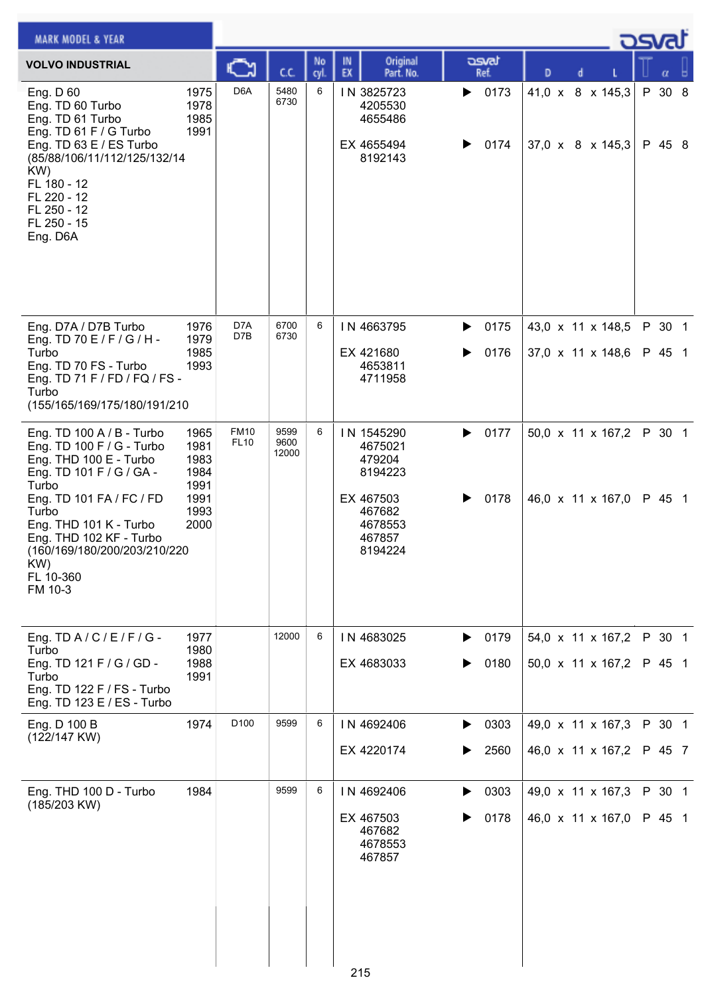| <b>MARK MODEL &amp; YEAR</b>                                                                                                                                                                                                                                                   |                                                              |                            |                       |            |                                                                                                   |                        |                                                  |  | osvat            |  |
|--------------------------------------------------------------------------------------------------------------------------------------------------------------------------------------------------------------------------------------------------------------------------------|--------------------------------------------------------------|----------------------------|-----------------------|------------|---------------------------------------------------------------------------------------------------|------------------------|--------------------------------------------------|--|------------------|--|
| <b>VOLVO INDUSTRIAL</b>                                                                                                                                                                                                                                                        |                                                              |                            | C.C.                  | No<br>cyl. | Original<br>IN<br>EX<br>Part. No.                                                                 | asvat<br>Ref.          | D                                                |  |                  |  |
| Eng. D 60<br>Eng. TD 60 Turbo<br>Eng. TD 61 Turbo<br>Eng. TD 61 F / G Turbo<br>Eng. TD 63 E / ES Turbo<br>(85/88/106/11/112/125/132/14<br>KW)<br>FL 180 - 12<br>FL 220 - 12<br>FL 250 - 12<br>FL 250 - 15<br>Eng. D6A                                                          | 1975<br>1978<br>1985<br>1991                                 | D <sub>6</sub> A           | 5480<br>6730          | 6          | IN 3825723<br>4205530<br>4655486<br>EX 4655494<br>8192143                                         | 0173<br>▶<br>0174      | 41,0 x 8 x 145,3<br>$37,0 \times 8 \times 145,3$ |  | P 30 8<br>P 45 8 |  |
| Eng. D7A / D7B Turbo<br>Eng. TD 70 E / F / G / H -<br>Turbo<br>Eng. TD 70 FS - Turbo<br>Eng. TD 71 F / FD / FQ / FS -<br>Turbo<br>(155/165/169/175/180/191/210                                                                                                                 | 1976<br>1979<br>1985<br>1993                                 | D7A<br>D7B                 | 6700<br>6730          | 6          | IN 4663795<br>EX 421680<br>4653811<br>4711958                                                     | 0175<br>▶<br>0176<br>▶ | 43,0 x 11 x 148,5<br>37,0 x 11 x 148,6           |  | P 30 1<br>P 45 1 |  |
| Eng. TD 100 A / B - Turbo<br>Eng. TD 100 F / G - Turbo<br>Eng. THD 100 E - Turbo<br>Eng. TD 101 F / G / GA -<br>Turbo<br>Eng. TD 101 FA / FC / FD<br>Turbo<br>Eng. THD 101 K - Turbo<br>Eng. THD 102 KF - Turbo<br>(160/169/180/200/203/210/220<br>KW)<br>FL 10-360<br>FM 10-3 | 1965<br>1981<br>1983<br>1984<br>1991<br>1991<br>1993<br>2000 | <b>FM10</b><br><b>FL10</b> | 9599<br>9600<br>12000 | 6          | IN 1545290<br>4675021<br>479204<br>8194223<br>EX 467503<br>467682<br>4678553<br>467857<br>8194224 | 0177<br>▶<br>0178      | 50,0 x 11 x 167,2<br>46,0 x 11 x 167,0           |  | P 30 1<br>P 45 1 |  |
| Eng. TD A / C / E / F / G -<br>Turbo<br>Eng. TD 121 F / G / GD -<br>Turbo<br>Eng. TD 122 F / FS - Turbo<br>Eng. TD 123 E / ES - Turbo                                                                                                                                          | 1977<br>1980<br>1988<br>1991                                 |                            | 12000                 | 6          | IN 4683025<br>EX 4683033                                                                          | 0179<br>▶<br>0180      | 54,0 x 11 x 167,2<br>50,0 x 11 x 167,2           |  | P 30 1<br>P 45 1 |  |
| Eng. D 100 B<br>(122/147 KW)                                                                                                                                                                                                                                                   | 1974                                                         | D <sub>100</sub>           | 9599                  | 6          | IN 4692406<br>EX 4220174                                                                          | 0303<br>▶<br>2560      | 49,0 x 11 x 167,3<br>46,0 x 11 x 167,2           |  | P 30 1<br>P 45 7 |  |
| Eng. THD 100 D - Turbo<br>(185/203 KW)                                                                                                                                                                                                                                         | 1984                                                         |                            | 9599                  | 6          | IN 4692406<br>EX 467503<br>467682<br>4678553<br>467857<br>24E                                     | 0303<br>0178           | 49,0 x 11 x 167,3<br>46,0 x 11 x 167,0           |  | P 30 1<br>P 45 1 |  |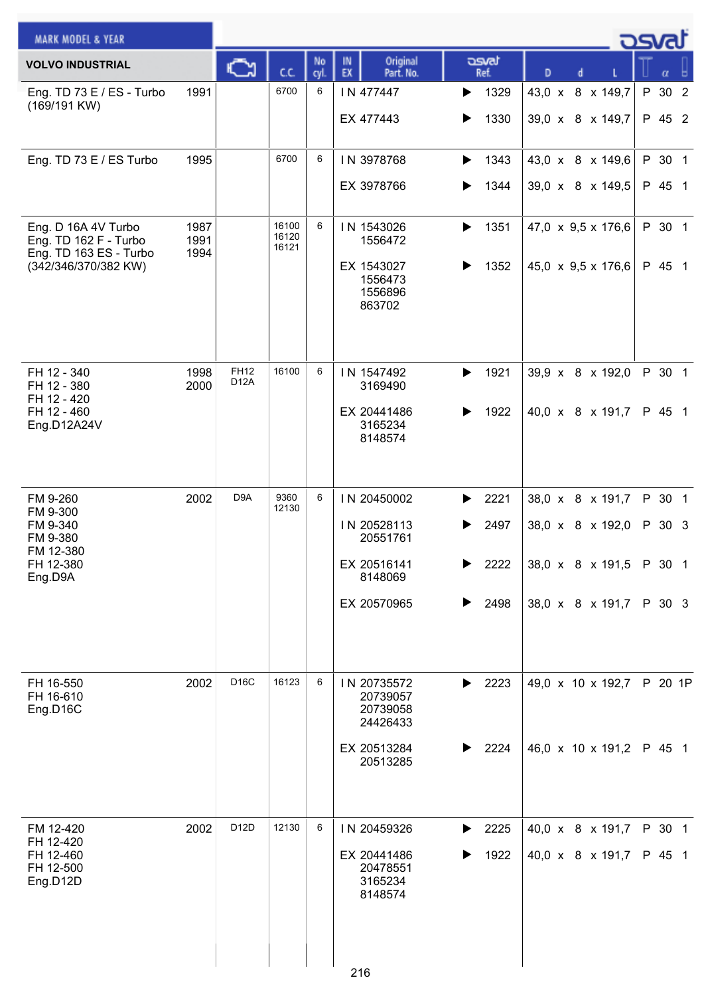| <b>MARK MODEL &amp; YEAR</b>                                                                   |                      |                     |                         |            |                                                                                 |                                             |                                                                              | <b>OSva</b>                          |
|------------------------------------------------------------------------------------------------|----------------------|---------------------|-------------------------|------------|---------------------------------------------------------------------------------|---------------------------------------------|------------------------------------------------------------------------------|--------------------------------------|
| <b>VOLVO INDUSTRIAL</b>                                                                        |                      |                     | C.C.                    | No<br>cyl. | Original<br>IN<br>EX<br>Part. No.                                               | asvat<br>Ref.                               | D                                                                            | α                                    |
| Eng. TD 73 E / ES - Turbo<br>(169/191 KW)                                                      | 1991                 |                     | 6700                    | 6          | IN 477447<br>EX 477443                                                          | 1329<br>▶<br>1330<br>▶                      | 43,0 x 8 x 149,7<br>39,0 x 8 x 149,7                                         | P 30 2<br>P 45 2                     |
| Eng. TD 73 E / ES Turbo                                                                        | 1995                 |                     | 6700                    | 6          | IN 3978768<br>EX 3978766                                                        | 1343<br>▶<br>1344                           | 43,0 x 8 x 149,6<br>39,0 x 8 x 149,5                                         | P 30 1<br>P 45 1                     |
| Eng. D 16A 4V Turbo<br>Eng. TD 162 F - Turbo<br>Eng. TD 163 ES - Turbo<br>(342/346/370/382 KW) | 1987<br>1991<br>1994 |                     | 16100<br>16120<br>16121 | 6          | IN 1543026<br>1556472<br>EX 1543027<br>1556473<br>1556896<br>863702             | 1351<br>▶<br>1352<br>▶                      | 47,0 $\times$ 9,5 $\times$ 176,6<br>$45,0 \times 9,5 \times 176,6$           | P 30 1<br>P 45 1                     |
| FH 12 - 340<br>FH 12 - 380<br>FH 12 - 420<br>FH 12 - 460<br>Eng.D12A24V                        | 1998<br>2000         | <b>FH12</b><br>D12A | 16100                   | 6          | IN 1547492<br>3169490<br>EX 20441486<br>3165234<br>8148574                      | 1921<br>▶<br>1922<br>▶                      | 39,9 x 8 x 192,0<br>40,0 x 8 x 191,7                                         | P 30 1<br>P 45 1                     |
| FM 9-260<br>FM 9-300<br>FM 9-340<br>FM 9-380<br>FM 12-380<br>FH 12-380<br>Eng.D9A              | 2002                 | D <sub>9</sub> A    | 9360<br>12130           | 6          | IN 20450002<br>IN 20528113<br>20551761<br>EX 20516141<br>8148069<br>EX 20570965 | 2221<br>2497<br>▶<br>2222<br>▶<br>2498<br>▶ | 38,0 x 8 x 191,7<br>38,0 x 8 x 192,0<br>38,0 x 8 x 191,5<br>38,0 x 8 x 191,7 | P 30 1<br>P 30 3<br>P 30 1<br>P 30 3 |
| FH 16-550<br>FH 16-610<br>Eng.D16C                                                             | 2002                 | D16C                | 16123                   | 6          | IN 20735572<br>20739057<br>20739058<br>24426433<br>EX 20513284<br>20513285      | 2223<br>▶<br>2224<br>▶                      | 49,0 x 10 x 192,7<br>46,0 x 10 x 191,2                                       | P 20 1P<br>P 45 1                    |
| FM 12-420<br>FH 12-420<br>FH 12-460<br>FH 12-500<br>Eng.D12D                                   | 2002                 | D12D                | 12130                   | 6          | IN 20459326<br>EX 20441486<br>20478551<br>3165234<br>8148574<br>216             | 2225<br>▶<br>1922<br>▶                      | 40,0 x 8 x 191,7<br>40,0 x 8 x 191,7                                         | P 30 1<br>P 45 1                     |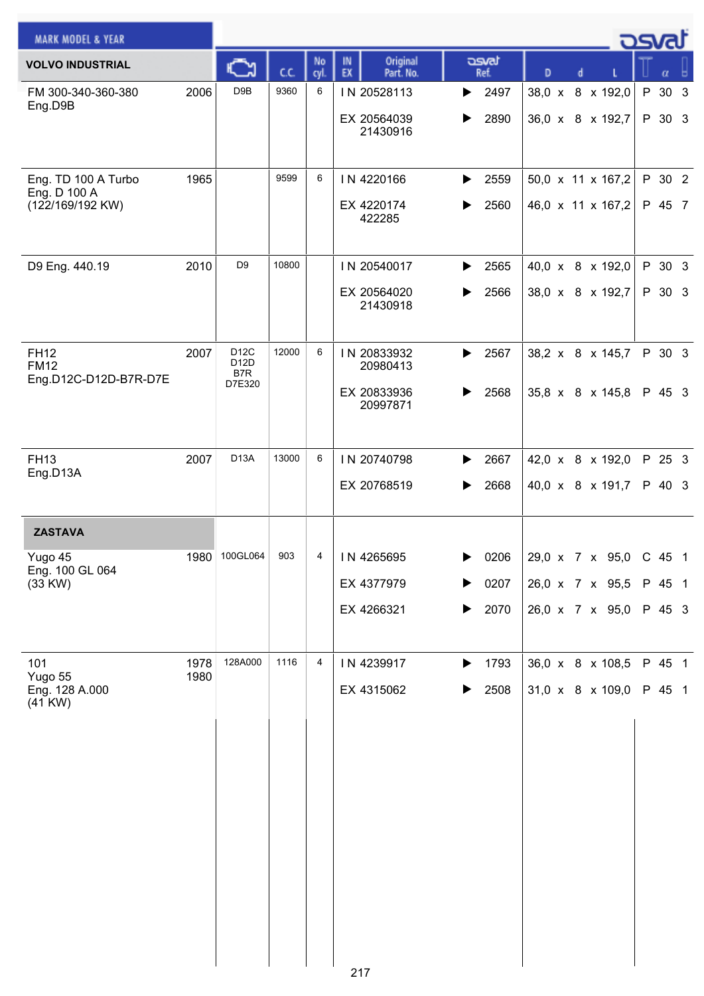| <u>_ ರಾ</u> ಡ<br><b>MARK MODEL &amp; YEAR</b>           |      |                                            |       |           |                                   |               |                        |  |        |        |  |
|---------------------------------------------------------|------|--------------------------------------------|-------|-----------|-----------------------------------|---------------|------------------------|--|--------|--------|--|
| <b>VOLVO INDUSTRIAL</b>                                 |      |                                            | C.C.  | No<br>cyl | Original<br>IN<br>EX<br>Part. No. | asvat<br>Ref. | D<br>d                 |  |        | α      |  |
| FM 300-340-360-380<br>Eng.D9B                           | 2006 | D9B                                        | 9360  | 6         | IN 20528113                       | 2497<br>▶     | 38,0 x 8 x 192,0       |  |        | P 30 3 |  |
|                                                         |      |                                            |       |           | EX 20564039<br>21430916           | 2890<br>▶     | 36,0 x 8 x 192,7       |  |        | P 30 3 |  |
|                                                         |      |                                            |       |           |                                   |               |                        |  |        |        |  |
| Eng. TD 100 A Turbo<br>Eng. D 100 A<br>(122/169/192 KW) | 1965 |                                            | 9599  | 6         | IN 4220166                        | 2559<br>▶     | 50,0 x 11 x 167,2      |  |        | P 30 2 |  |
|                                                         |      |                                            |       |           | EX 4220174                        | 2560          | 46,0 x 11 x 167,2      |  |        | P 45 7 |  |
|                                                         |      |                                            |       |           | 422285                            |               |                        |  |        |        |  |
| D9 Eng. 440.19                                          | 2010 | D <sub>9</sub>                             | 10800 |           | IN 20540017                       | 2565<br>▶     | 40,0 x 8 x 192,0       |  |        | P 30 3 |  |
|                                                         |      |                                            |       |           | EX 20564020                       | 2566<br>▶     | 38,0 x 8 x 192,7       |  |        | P 30 3 |  |
|                                                         |      |                                            |       |           | 21430918                          |               |                        |  |        |        |  |
| <b>FH12</b>                                             | 2007 | D <sub>12</sub> C<br>D12D<br>B7R<br>D7E320 | 12000 | 6         | IN 20833932                       | 2567<br>▶     | 38,2 x 8 x 145,7       |  |        | P 30 3 |  |
| <b>FM12</b><br>Eng.D12C-D12D-B7R-D7E                    |      |                                            |       |           | 20980413                          |               |                        |  |        |        |  |
|                                                         |      |                                            |       |           | EX 20833936<br>20997871           | 2568          | 35,8 x 8 x 145,8       |  |        | P 45 3 |  |
|                                                         |      |                                            |       |           |                                   |               |                        |  |        |        |  |
| <b>FH13</b><br>Eng.D13A                                 | 2007 | D <sub>13</sub> A                          | 13000 | 6         | IN 20740798                       | 2667<br>▶     | 42,0 x 8 x 192,0       |  |        | P 25 3 |  |
|                                                         |      |                                            |       |           | EX 20768519                       | 2668          | 40,0 x 8 x 191,7       |  |        | P 40 3 |  |
|                                                         |      |                                            |       |           |                                   |               |                        |  |        |        |  |
| <b>ZASTAVA</b>                                          | 1980 | 100GL064                                   | 903   | 4         | IN 4265695                        | 0206          | 29,0 x 7 x 95,0 C 45 1 |  |        |        |  |
| Yugo 45<br>Eng. 100 GL 064<br>(33 KW)                   |      |                                            |       |           | EX 4377979                        | 0207          | 26,0 x 7 x 95,5        |  |        | P 45 1 |  |
|                                                         |      |                                            |       |           | EX 4266321                        | 2070<br>▶     | 26,0 x 7 x 95,0        |  | P 45 3 |        |  |
|                                                         |      |                                            |       |           |                                   |               |                        |  |        |        |  |
| 101                                                     | 1978 | 128A000                                    | 1116  | 4         | IN 4239917                        | 1793<br>▶     | 36,0 x 8 x 108,5       |  |        | P 45 1 |  |
| Yugo 55<br>Eng. 128 A.000                               | 1980 |                                            |       |           | EX 4315062                        | 2508<br>▶     | 31,0 x 8 x 109,0       |  |        | P 45 1 |  |
| $(41$ KW $)$                                            |      |                                            |       |           |                                   |               |                        |  |        |        |  |
|                                                         |      |                                            |       |           |                                   |               |                        |  |        |        |  |
|                                                         |      |                                            |       |           |                                   |               |                        |  |        |        |  |
|                                                         |      |                                            |       |           |                                   |               |                        |  |        |        |  |
|                                                         |      |                                            |       |           |                                   |               |                        |  |        |        |  |
|                                                         |      |                                            |       |           |                                   |               |                        |  |        |        |  |
|                                                         |      |                                            |       |           |                                   |               |                        |  |        |        |  |
|                                                         |      |                                            |       |           |                                   |               |                        |  |        |        |  |
|                                                         |      |                                            |       |           |                                   |               |                        |  |        |        |  |
|                                                         |      |                                            |       |           |                                   |               |                        |  |        |        |  |